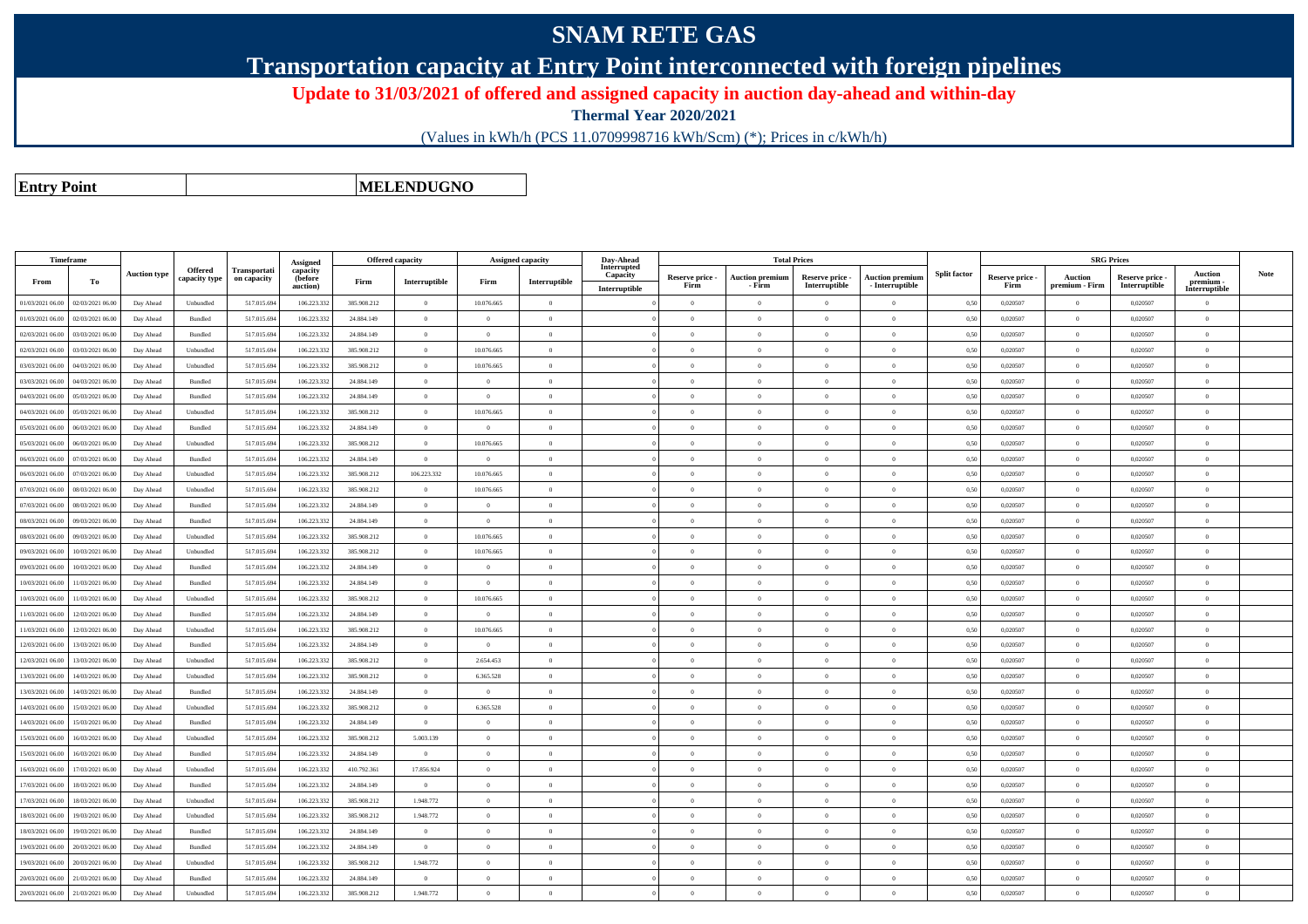## **SNAM RETE GAS**

**Transportation capacity at Entry Point interconnected with foreign pipelines**

**Update to 31/03/2021 of offered and assigned capacity in auction day-ahead and within-day**

**Thermal Year 2020/2021**

(Values in kWh/h (PCS 11.0709998716 kWh/Scm) (\*); Prices in c/kWh/h)

**Entry Point**

**MELENDUGNO**

|                  | <b>Timeframe</b> |                     |                    |                     |                      | <b>Offered capacity</b> |                |                | <b>Assigned capacity</b> | Day-Ahead               |                         | <b>Total Prices</b>    |                                  |                        |                     |                 |                | <b>SRG Prices</b>                |                            |             |
|------------------|------------------|---------------------|--------------------|---------------------|----------------------|-------------------------|----------------|----------------|--------------------------|-------------------------|-------------------------|------------------------|----------------------------------|------------------------|---------------------|-----------------|----------------|----------------------------------|----------------------------|-------------|
|                  |                  | <b>Auction type</b> | <b>Offered</b>     | <b>Transportati</b> | Assigned<br>capacity |                         |                |                |                          | Interrupted<br>Capacity |                         | <b>Auction premium</b> |                                  | <b>Auction premium</b> | <b>Split factor</b> | Reserve price - | <b>Auction</b> |                                  | <b>Auction</b>             | <b>Note</b> |
| From             | To               |                     | capacity type      | on capacity         | (before<br>auction)  | Firm                    | Interruptible  | Firm           | Interruptible            | Interruptible           | Reserve price -<br>Firm | - Firm                 | Reserve price -<br>Interruptible | - Interruptible        |                     | Firm            | premium - Firm | Reserve price -<br>Interruptible | premium -<br>Interruptible |             |
| 01/03/2021 06:00 | 02/03/2021 06.00 | Day Ahead           | Unbundled          | 517.015.69          | 106.223.332          | 385.908.212             | $\overline{0}$ | 10.076.665     | $\overline{0}$           |                         | $\overline{0}$          | $\overline{0}$         | $\overline{0}$                   | $\overline{0}$         | 0,50                | 0,020507        | $\theta$       | 0.020507                         | $\theta$                   |             |
| 01/03/2021 06:00 | 02/03/2021 06.00 | Day Ahead           | Bundled            | 517.015.694         | 106.223.332          | 24.884.149              | $\overline{0}$ | $\overline{0}$ | $\overline{0}$           |                         | $\Omega$                | $\theta$               | $\overline{0}$                   | $\theta$               | 0,50                | 0,020507        | $\overline{0}$ | 0,020507                         | $\theta$                   |             |
| 02/03/2021 06:00 | 03/03/2021 06.00 | Day Ahead           | Bundled            | 517.015.694         | 106.223.332          | 24.884.149              | $\overline{0}$ | $\overline{0}$ | $\overline{0}$           |                         | $\overline{0}$          | $\theta$               | $\overline{0}$                   | $\theta$               | 0,50                | 0,020507        | $\overline{0}$ | 0,020507                         | $\mathbf{0}$               |             |
| 02/03/2021 06:00 | 03/03/2021 06.00 | Day Ahead           | Unbundled          | 517.015.69          | 106.223.332          | 385.908.212             | $\overline{0}$ | 10.076.665     | $\Omega$                 |                         | $\Omega$                | $\theta$               | $\Omega$                         | $\theta$               | 0,50                | 0,020507        | $\overline{0}$ | 0,020507                         | $\theta$                   |             |
| 03/03/2021 06:00 | 04/03/2021 06.00 | Day Ahead           | Unbundled          | 517.015.69          | 106.223.332          | 385.908.212             | $\overline{0}$ | 10.076.665     | $\Omega$                 |                         | $\Omega$                |                        | $\theta$                         | $\theta$               | 0,50                | 0,020507        | $\theta$       | 0,020507                         | $\theta$                   |             |
| 03/03/2021 06:00 | 04/03/2021 06:00 | Day Ahead           | $\mathbf B$ undled | 517.015.694         | 106.223.332          | 24.884.149              | $\overline{0}$ | $\Omega$       | $\overline{0}$           |                         | $\Omega$                | $\theta$               | $\Omega$                         | $\bf{0}$               | 0,50                | 0,020507        | $\overline{0}$ | 0,020507                         | $\Omega$                   |             |
| 04/03/2021 06:00 | 05/03/2021 06.00 | Day Ahead           | Bundled            | 517.015.69          | 106.223.332          | 24.884.149              | $\overline{0}$ | $\overline{0}$ | $\overline{0}$           |                         | $\overline{0}$          | $\theta$               | $\overline{0}$                   | $\theta$               | 0,50                | 0,020507        | $\overline{0}$ | 0,020507                         | $\theta$                   |             |
| 04/03/2021 06:00 | 05/03/2021 06:00 | Day Ahead           | Unbundled          | 517.015.694         | 106.223.332          | 385.908.212             | $\overline{0}$ | 10.076.665     | $\overline{0}$           |                         | $\Omega$                | $\theta$               | $\theta$                         | $\theta$               | 0,50                | 0.020507        | $\overline{0}$ | 0.020507                         | $\Omega$                   |             |
| 05/03/2021 06:00 | 06/03/2021 06:00 | Day Ahead           | <b>Bundled</b>     | 517.015.694         | 106.223.332          | 24 884 149              | $\overline{0}$ | $\Omega$       | $\Omega$                 |                         | $\Omega$                | $\theta$               | $\theta$                         | $\theta$               | 0.50                | 0.020507        | $\Omega$       | 0.020507                         | $\theta$                   |             |
| 05/03/2021 06:00 | 06/03/2021 06:00 | Day Ahead           | Unbundled          | 517.015.694         | 106.223.332          | 385.908.212             | $\overline{0}$ | 10.076.665     | $\overline{0}$           |                         | $\Omega$                | $\theta$               | $\Omega$                         | $\bf{0}$               | 0,50                | 0.020507        | $\overline{0}$ | 0.020507                         | $\Omega$                   |             |
| 06/03/2021 06:00 | 07/03/2021 06:00 | Day Ahead           | <b>Bundled</b>     | 517.015.694         | 106.223.332          | 24 884 149              | $\overline{0}$ | $\Omega$       | $\Omega$                 |                         | $\Omega$                | $\theta$               | $\Omega$                         | $\theta$               | 0.50                | 0.020507        | $\overline{0}$ | 0.020507                         | $\Omega$                   |             |
| 06/03/2021 06:00 | 07/03/2021 06.00 | Day Ahead           | Unbundled          | 517.015.69          | 106.223.332          | 385.908.212             | 106.223.332    | 10.076.665     | $\Omega$                 |                         | $\Omega$                | $\theta$               | $\Omega$                         | $\overline{0}$         | 0,50                | 0,020507        | $\overline{0}$ | 0,020507                         | $\theta$                   |             |
| 07/03/2021 06.00 | 08/03/2021 06:00 | Day Ahead           | Unbundled          | 517.015.694         | 106.223.332          | 385.908.212             | $\overline{0}$ | 10.076.665     | $\Omega$                 |                         | $\Omega$                | $\Omega$               | $\theta$                         | $\Omega$               | 0,50                | 0,020507        | $\theta$       | 0.020507                         | $\Omega$                   |             |
| 07/03/2021 06:00 | 08/03/2021 06:00 | Day Ahead           | Bundled            | 517.015.69          | 106.223.332          | 24.884.149              | $\overline{0}$ | $\overline{0}$ | $\overline{0}$           |                         | $\overline{0}$          | $\theta$               | $\overline{0}$                   | $\overline{0}$         | 0,50                | 0,020507        | $\overline{0}$ | 0,020507                         | $\mathbf{0}$               |             |
| 08/03/2021 06.00 | 09/03/2021 06.00 | Day Ahead           | <b>Bundled</b>     | 517.015.69          | 106.223.332          | 24 884 149              | $\overline{0}$ | $\overline{0}$ | $\overline{0}$           |                         | $\overline{0}$          | $\theta$               | $\overline{0}$                   | $\overline{0}$         | 0.50                | 0.020507        | $\overline{0}$ | 0.020507                         | $\overline{0}$             |             |
| 08/03/2021 06:00 | 09/03/2021 06.0  | Day Ahead           | Unbundled          | 517.015.69          | 106.223.33           | 385.908.212             | $\overline{0}$ | 10.076.665     | $\overline{0}$           |                         | $\overline{0}$          | $\theta$               | $\overline{0}$                   | $\theta$               | 0,50                | 0,020507        | $\bf{0}$       | 0,020507                         | $\theta$                   |             |
| 09/03/2021 06:00 | 10/03/2021 06:00 | Day Ahead           | Unbundled          | 517.015.69          | 106.223.332          | 385.908.212             | $\overline{0}$ | 10.076.665     | $\Omega$                 |                         | $\Omega$                | $\theta$               | $\theta$                         | $\Omega$               | 0.50                | 0,020507        | $\theta$       | 0,020507                         | $\Omega$                   |             |
| 09/03/2021 06:00 | 10/03/2021 06.0  | Day Ahead           | Bundled            | 517.015.69          | 106.223.332          | 24.884.149              | $\overline{0}$ | $\overline{0}$ | $\Omega$                 |                         | $\theta$                |                        | $\overline{0}$                   | $\overline{0}$         | 0,50                | 0,020507        | $\theta$       | 0,020507                         | $\theta$                   |             |
| 10/03/2021 06:00 | 11/03/2021 06.00 | Day Ahead           | Bundled            | 517.015.69          | 106.223.332          | 24.884.149              | $\overline{0}$ | $\overline{0}$ | $\overline{0}$           |                         | $\overline{0}$          | $\theta$               | $\overline{0}$                   | $\overline{0}$         | 0,50                | 0,020507        | $\overline{0}$ | 0,020507                         | $\overline{0}$             |             |
| 10/03/2021 06:00 | 1/03/2021 06.0   | Day Ahead           | Unbundled          | 517.015.69          | 106.223.33           | 385.908.212             | $\overline{0}$ | 10.076.665     | $\overline{0}$           |                         | $\Omega$                | $\theta$               | $\Omega$                         | $\theta$               | 0,50                | 0.020507        | $\overline{0}$ | 0.020507                         | $\Omega$                   |             |
| 11/03/2021 06:00 | 12/03/2021 06:00 | Day Ahead           | Bundled            | 517.015.69          | 106.223.332          | 24.884.149              | $\overline{0}$ | $\Omega$       | $\Omega$                 |                         | $\Omega$                | $\theta$               | $\theta$                         | $\Omega$               | 0,50                | 0,020507        | $\theta$       | 0,020507                         | $\Omega$                   |             |
| 11/03/2021 06:00 | 12/03/2021 06.0  | Day Ahead           | Unbundled          | 517.015.69          | 106.223.332          | 385.908.212             | $\overline{0}$ | 10.076.665     | $\overline{0}$           |                         | $\theta$                |                        | $\overline{0}$                   | $\overline{0}$         | 0,50                | 0,020507        | $\theta$       | 0,020507                         | $\theta$                   |             |
| 12/03/2021 06:00 | 13/03/2021 06.00 | Day Ahead           | Bundled            | 517.015.69          | 106.223.332          | 24.884.149              | $\overline{0}$ | $\overline{0}$ | $\overline{0}$           |                         | $\overline{0}$          | $\overline{0}$         | $\overline{0}$                   | $\overline{0}$         | 0,50                | 0,020507        | $\overline{0}$ | 0,020507                         | $\overline{0}$             |             |
| 12/03/2021 06.0  | 3/03/2021 06.0   | Day Ahead           | Unbundled          | 517.015.69          | 106.223.33           | 385.908.212             | $\overline{0}$ | 2.654.453      | $\overline{0}$           |                         | $\overline{0}$          | $\Omega$               | $\overline{0}$                   | $\overline{0}$         | 0,50                | 0,020507        | $\overline{0}$ | 0,020507                         | $\mathbf{0}$               |             |
| 13/03/2021 06:00 | 14/03/2021 06:00 | Day Ahead           | Unbundled          | 517.015.69          | 106.223.332          | 385.908.212             | $\overline{0}$ | 6.365.528      | $\overline{0}$           |                         | $\overline{0}$          | $\overline{0}$         | $\overline{0}$                   | $\theta$               | 0,50                | 0,020507        | $\overline{0}$ | 0,020507                         | $\mathbf{0}$               |             |
| 13/03/2021 06:00 | 14/03/2021 06.0  | Day Ahead           | Bundled            | 517.015.69          | 106.223.332          | 24.884.149              | $\overline{0}$ | $\overline{0}$ | $\overline{0}$           |                         | $\Omega$                | $\theta$               | $\overline{0}$                   | $\theta$               | 0,50                | 0,020507        | $\overline{0}$ | 0,020507                         | $\theta$                   |             |
| 14/03/2021 06:00 | 15/03/2021 06.00 | Day Ahead           | Unbundled          | 517.015.69          | 106.223.332          | 385.908.212             | $\overline{0}$ | 6.365.528      | $\overline{0}$           |                         | $\overline{0}$          | $\overline{0}$         | $\overline{0}$                   | $\overline{0}$         | 0,50                | 0,020507        | $\overline{0}$ | 0,020507                         | $\mathbf{0}$               |             |
| 14/03/2021 06:00 | 15/03/2021 06.00 | Day Ahead           | Bundled            | 517.015.69          | 106.223.332          | 24.884.149              | $\overline{0}$ | $\theta$       | $\Omega$                 |                         | $\Omega$                |                        | $\overline{0}$                   | $\theta$               | 0,50                | 0,020507        | $\Omega$       | 0,020507                         | $\theta$                   |             |
| 15/03/2021 06:00 | 16/03/2021 06:00 | Day Ahead           | Unbundled          | 517.015.69          | 106.223.332          | 385.908.212             | 5.003.139      | $\overline{0}$ | $\overline{0}$           |                         | $\overline{0}$          | $\theta$               | $\overline{0}$                   | $\theta$               | 0,50                | 0,020507        | $\overline{0}$ | 0,020507                         | $\mathbf{0}$               |             |
| 15/03/2021 06:00 | 16/03/2021 06:00 | Day Ahead           | Bundled            | 517.015.69          | 106.223.332          | 24.884.149              | $\theta$       | $\theta$       | $\Omega$                 |                         | $\Omega$                |                        | $\Omega$                         | $\theta$               | 0,50                | 0,020507        | $\Omega$       | 0,020507                         | $\theta$                   |             |
| 16/03/2021 06:00 | 17/03/2021 06.00 | Day Ahead           | Unbundled          | 517.015.694         | 106.223.332          | 410.792.361             | 17.856.924     | $\overline{0}$ | $\overline{0}$           |                         | $\theta$                | $\theta$               | $\overline{0}$                   | $\overline{0}$         | 0,50                | 0,020507        | $\overline{0}$ | 0,020507                         | $\theta$                   |             |
| 17/03/2021 06:00 | 18/03/2021 06.0  | Day Ahead           | Bundled            | 517.015.69          | 106.223.332          | 24.884.149              | $\Omega$       | $\theta$       | $\Omega$                 |                         | $\theta$                |                        | $\theta$                         | $\theta$               | 0,50                | 0,020507        | $\theta$       | 0,020507                         | $\theta$                   |             |
| 17/03/2021 06:00 | 18/03/2021 06:00 | Day Ahead           | Unbundled          | 517.015.69          | 106.223.332          | 385.908.212             | 1.948.772      | $\Omega$       | $\theta$                 |                         | $\Omega$                | $\theta$               | $\overline{0}$                   | $\theta$               | 0,50                | 0,020507        | $\overline{0}$ | 0,020507                         | $\theta$                   |             |
| 18/03/2021 06:00 | 19/03/2021 06:00 | Day Ahead           | Unbundled          | 517.015.69          | 106,223,332          | 385.908.212             | 1.948.772      | $\overline{0}$ | $\Omega$                 |                         | $\theta$                | $\theta$               | $\overline{0}$                   | $\theta$               | 0.50                | 0.020507        | $\overline{0}$ | 0.020507                         | $\theta$                   |             |
| 18/03/2021 06:00 | 19/03/2021 06.00 | Day Ahead           | Bundled            | 517.015.694         | 106.223.332          | 24.884.149              | $\overline{0}$ | $\overline{0}$ | $\overline{0}$           |                         | $\Omega$                | $\theta$               | $\overline{0}$                   | $\overline{0}$         | 0,50                | 0,020507        | $\overline{0}$ | 0,020507                         | $\theta$                   |             |
| 19/03/2021 06:00 | 20/03/2021 06:00 | Day Ahead           | Bundled            | 517.015.694         | 106.223.332          | 24.884.149              | $\overline{0}$ | $\overline{0}$ | $\overline{0}$           |                         | $\overline{0}$          | $\theta$               | $\overline{0}$                   | $\theta$               | 0,50                | 0,020507        | $\overline{0}$ | 0,020507                         | $\mathbf{0}$               |             |
| 19/03/2021 06:00 | 20/03/2021 06:00 | Day Ahead           | Unbundled          | 517.015.69          | 106.223.332          | 385.908.212             | 1.948.772      | $\Omega$       | $\Omega$                 |                         | $\theta$                | $\theta$               | $\Omega$                         | $\theta$               | 0.50                | 0.020507        | $\overline{0}$ | 0.020507                         | $\Omega$                   |             |
| 20/03/2021 06:00 | 21/03/2021 06:00 | Day Ahead           | Bundled            | 517.015.69          | 106.223.332          | 24.884.149              | $\overline{0}$ | $\overline{0}$ | $\Omega$                 |                         | $\Omega$                |                        | $\overline{0}$                   | $\theta$               | 0,50                | 0,020507        | $\overline{0}$ | 0,020507                         | $\theta$                   |             |
| 20/03/2021 06:00 | 21/03/2021 06:00 | Day Ahead           | Unbundled          | 517.015.694         | 106.223.332          | 385.908.212             | 1.948.772      | $\overline{0}$ | $\overline{0}$           |                         | $\Omega$                |                        | $\Omega$                         | $\theta$               | 0,50                | 0.020507        | $\overline{0}$ | 0.020507                         | $\theta$                   |             |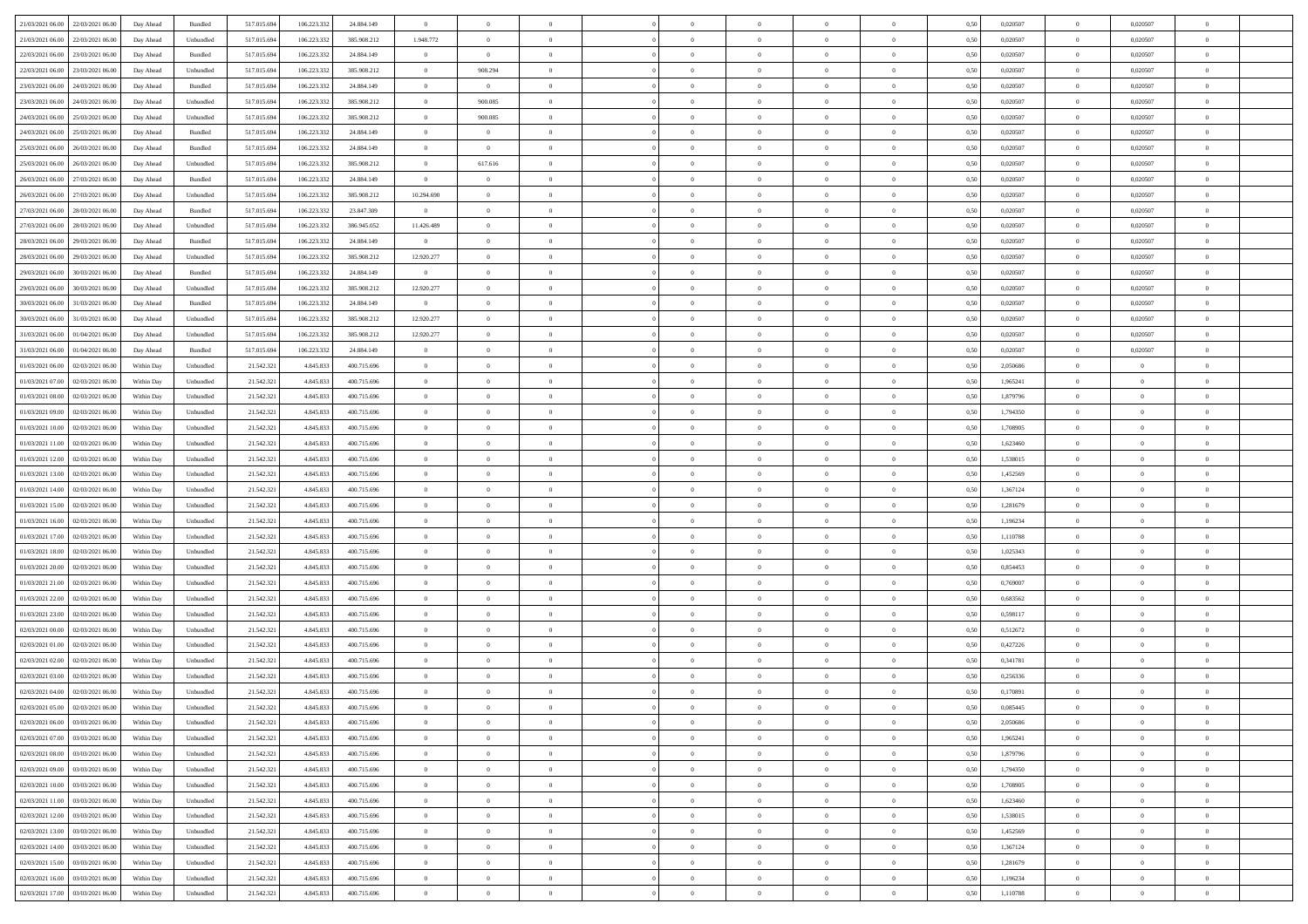| 21/03/2021 06:00 22/03/2021 06:00            | Day Ahead  | Bundled   | 517.015.694 | 106.223.332 | 24.884.149  | $\overline{0}$ | $\theta$       |                | $\overline{0}$ | $\bf{0}$       | $\overline{0}$ | $\theta$       | 0,50 | 0,020507 | $\overline{0}$ | 0,020507       | $\bf{0}$       |  |
|----------------------------------------------|------------|-----------|-------------|-------------|-------------|----------------|----------------|----------------|----------------|----------------|----------------|----------------|------|----------|----------------|----------------|----------------|--|
| 21/03/2021 06:00<br>22/03/2021 06:00         | Day Ahead  | Unbundled | 517.015.69  | 106.223.332 | 385.908.212 | 1.948.772      | $\overline{0}$ | $\overline{0}$ | $\overline{0}$ | $\,$ 0         | $\overline{0}$ | $\bf{0}$       | 0,50 | 0,020507 | $\bf{0}$       | 0,020507       | $\,$ 0         |  |
|                                              |            |           |             |             |             |                |                |                |                |                |                |                |      |          |                |                |                |  |
| 22/03/2021 06:00<br>23/03/2021 06:00         | Day Ahead  | Bundled   | 517.015.694 | 106.223.332 | 24,884,149  | $\overline{0}$ | $\overline{0}$ | $\overline{0}$ | $\overline{0}$ | $\bf{0}$       | $\overline{0}$ | $\overline{0}$ | 0.50 | 0.020507 | $\overline{0}$ | 0.020507       | $\bf{0}$       |  |
| 22/03/2021 06:00<br>23/03/2021 06:00         | Day Ahead  | Unbundled | 517.015.694 | 106.223.332 | 385.908.212 | $\overline{0}$ | 908.294        | $\overline{0}$ | $\overline{0}$ | $\bf{0}$       | $\overline{0}$ | $\theta$       | 0,50 | 0,020507 | $\,0\,$        | 0,020507       | $\overline{0}$ |  |
| 23/03/2021 06:00<br>24/03/2021 06.00         | Day Ahead  | Bundled   | 517.015.69  | 106.223.332 | 24.884.149  | $\overline{0}$ | $\overline{0}$ | $\overline{0}$ |                | $\,$ 0         | $\overline{0}$ | $\bf{0}$       | 0,50 | 0,020507 | $\bf{0}$       | 0,020507       | $\bf{0}$       |  |
| 23/03/2021 06:00<br>24/03/2021 06:00         | Day Ahead  | Unbundled | 517.015.694 | 106.223.332 | 385.908.212 | $\overline{0}$ | 900.085        | $\overline{0}$ | $\overline{0}$ | $\bf{0}$       | $\overline{0}$ | $\overline{0}$ | 0.50 | 0.020507 | $\bf{0}$       | 0.020507       | $\bf{0}$       |  |
| 24/03/2021 06:00<br>25/03/2021 06:00         | Day Ahead  | Unbundled | 517.015.69  | 106.223.332 | 385.908.212 | $\overline{0}$ | 900.085        | $\overline{0}$ | $\overline{0}$ | $\bf{0}$       | $\overline{0}$ | $\overline{0}$ | 0,50 | 0,020507 | $\,0\,$        | 0,020507       | $\overline{0}$ |  |
| 24/03/2021 06:00<br>25/03/2021 06.00         | Day Ahead  | Bundled   | 517.015.69  | 106.223.332 | 24.884.149  | $\overline{0}$ | $\theta$       | $\overline{0}$ | $\overline{0}$ | $\,$ 0         | $\overline{0}$ | $\bf{0}$       | 0,50 | 0,020507 | $\bf{0}$       | 0,020507       | $\bf{0}$       |  |
| 25/03/2021 06:00<br>26/03/2021 06:00         | Day Ahead  | Bundled   | 517.015.69  | 106.223.332 | 24.884.149  | $\overline{0}$ | $\overline{0}$ | $\overline{0}$ | $\overline{0}$ | $\bf{0}$       | $\overline{0}$ | $\overline{0}$ | 0.50 | 0.020507 | $\overline{0}$ | 0.020507       | $\bf{0}$       |  |
| 25/03/2021 06:00<br>26/03/2021 06:00         | Day Ahead  | Unbundled | 517.015.694 | 106.223.332 | 385.908.212 | $\overline{0}$ | 617.616        | $\overline{0}$ | $\overline{0}$ | $\bf{0}$       | $\overline{0}$ | $\overline{0}$ | 0,50 | 0,020507 | $\overline{0}$ | 0,020507       | $\overline{0}$ |  |
| 26/03/2021 06:00<br>27/03/2021 06.00         | Day Ahead  | Bundled   | 517.015.69  | 106.223.332 | 24.884.149  | $\bf{0}$       | $\theta$       | $\overline{0}$ | $\overline{0}$ | $\,$ 0         | $\overline{0}$ | $\bf{0}$       | 0,50 | 0,020507 | $\bf{0}$       | 0,020507       | $\bf{0}$       |  |
| 27/03/2021 06:00                             |            |           |             | 106.223.332 |             |                | $\overline{0}$ | $\overline{0}$ |                |                |                | $\overline{0}$ | 0.50 | 0.020507 |                | 0.020507       |                |  |
| 26/03/2021 06:00                             | Day Ahead  | Unbundled | 517.015.694 |             | 385.908.212 | 10.294.690     |                |                | $\overline{0}$ | $\,$ 0 $\,$    | $\overline{0}$ |                |      |          | $\,$ 0 $\,$    |                | $\bf{0}$       |  |
| 27/03/2021 06:00<br>28/03/2021 06:00         | Day Ahead  | Bundled   | 517.015.69  | 106.223.332 | 23.847.309  | $\overline{0}$ | $\overline{0}$ | $\overline{0}$ | $\overline{0}$ | $\bf{0}$       | $\overline{0}$ | $\theta$       | 0,50 | 0,020507 | $\,0\,$        | 0,020507       | $\overline{0}$ |  |
| 27/03/2021 06:00<br>28/03/2021 06:00         | Day Ahead  | Unbundled | 517.015.69  | 106.223.332 | 386.945.052 | 11.426.489     | $\theta$       | $\overline{0}$ | $\overline{0}$ | $\,$ 0         | $\overline{0}$ | $\bf{0}$       | 0,50 | 0,020507 | $\bf{0}$       | 0,020507       | $\bf{0}$       |  |
| 28/03/2021 06:00<br>29/03/2021 06:00         | Day Ahead  | Bundled   | 517.015.694 | 106.223.332 | 24.884.149  | $\mathbf{0}$   | $\overline{0}$ | $\overline{0}$ | $\overline{0}$ | $\bf{0}$       | $\overline{0}$ | $\overline{0}$ | 0.50 | 0.020507 | $\bf{0}$       | 0.020507       | $\bf{0}$       |  |
| 28/03/2021 06:00<br>29/03/2021 06:00         | Day Ahead  | Unbundled | 517.015.694 | 106.223.332 | 385.908.212 | 12.920.277     | $\overline{0}$ | $\overline{0}$ | $\overline{0}$ | $\bf{0}$       | $\overline{0}$ | $\overline{0}$ | 0,50 | 0,020507 | $\overline{0}$ | 0,020507       | $\overline{0}$ |  |
| 29/03/2021 06:00<br>30/03/2021 06:00         | Day Ahead  | Bundled   | 517.015.69  | 106.223.332 | 24.884.149  | $\overline{0}$ | $\theta$       | $\overline{0}$ |                | $\,$ 0         | $\overline{0}$ | $\bf{0}$       | 0,50 | 0,020507 | $\bf{0}$       | 0,020507       | $\overline{0}$ |  |
| 29/03/2021 06:00<br>30/03/2021 06:00         | Day Ahead  | Unbundled | 517.015.69  | 106.223.332 | 385.908.212 | 12.920.277     | $\overline{0}$ | $\overline{0}$ | $\overline{0}$ | $\bf{0}$       | $\overline{0}$ | $\overline{0}$ | 0.50 | 0.020507 | $\overline{0}$ | 0.020507       | $\bf{0}$       |  |
| 30/03/2021 06:00<br>31/03/2021 06:00         | Day Ahead  | Bundled   | 517.015.694 | 106.223.332 | 24.884.149  | $\overline{0}$ | $\overline{0}$ | $\overline{0}$ | $\overline{0}$ | $\bf{0}$       | $\overline{0}$ | $\overline{0}$ | 0,50 | 0,020507 | $\,0\,$        | 0,020507       | $\overline{0}$ |  |
| 30/03/2021 06:00<br>31/03/2021 06.00         | Day Ahead  | Unbundled | 517.015.69  | 106.223.332 | 385.908.212 | 12.920.277     | $\overline{0}$ | $\overline{0}$ | $\overline{0}$ | $\,$ 0         | $\overline{0}$ | $\bf{0}$       | 0,50 | 0,020507 | $\bf{0}$       | 0,020507       | $\bf{0}$       |  |
| 31/03/2021 06:00<br>01/04/2021 06:00         | Day Ahead  | Unbundled | 517.015.694 | 106.223.332 | 385.908.212 | 12.920.277     | $\overline{0}$ | $\overline{0}$ | $\overline{0}$ | $\,$ 0 $\,$    | $\overline{0}$ | $\overline{0}$ | 0.50 | 0.020507 | $\overline{0}$ | 0.020507       | $\bf{0}$       |  |
| 31/03/2021 06:00<br>01/04/2021 06:00         | Day Ahead  | Bundled   | 517.015.69  | 106.223.332 | 24.884.149  | $\overline{0}$ | $\overline{0}$ | $\overline{0}$ | $\overline{0}$ | $\,$ 0         | $\overline{0}$ | $\overline{0}$ | 0,50 | 0,020507 | $\,0\,$        | 0,020507       | $\overline{0}$ |  |
|                                              |            |           |             |             |             |                | $\theta$       |                |                |                |                |                |      |          |                |                |                |  |
| 01/03/2021 06:00<br>02/03/2021 06.00         | Within Day | Unbundled | 21.542.32   | 4.845.833   | 400.715.696 | $\bf{0}$       |                | $\overline{0}$ | $\overline{0}$ | $\,$ 0         | $\overline{0}$ | $\bf{0}$       | 0,50 | 2,050686 | $\bf{0}$       | $\overline{0}$ | $\bf{0}$       |  |
| 01/03/2021 07:00<br>02/03/2021 06:00         | Within Day | Unbundled | 21.542.321  | 4.845.83    | 400.715.696 | $\overline{0}$ | $\overline{0}$ | $\overline{0}$ | $\overline{0}$ | $\bf{0}$       | $\overline{0}$ | $\overline{0}$ | 0.50 | 1.965241 | $\bf{0}$       | $\overline{0}$ | $\bf{0}$       |  |
| 01/03/2021 08:00<br>02/03/2021 06:00         | Within Day | Unbundled | 21.542.321  | 4.845.833   | 400.715.696 | $\overline{0}$ | $\overline{0}$ | $\overline{0}$ | $\overline{0}$ | $\,$ 0         | $\overline{0}$ | $\overline{0}$ | 0,50 | 1,879796 | $\,0\,$        | $\overline{0}$ | $\overline{0}$ |  |
| 01/03/2021 09:00<br>02/03/2021 06.00         | Within Day | Unbundled | 21.542.32   | 4.845.833   | 400.715.696 | $\overline{0}$ | $\theta$       | $\overline{0}$ |                | $\,$ 0         | $\overline{0}$ | $\bf{0}$       | 0,50 | 1,794350 | $\bf{0}$       | $\overline{0}$ | $\,$ 0         |  |
| 01/03/2021 10:00<br>02/03/2021 06:00         | Within Day | Unbundled | 21.542.32   | 4,845,833   | 400.715.696 | $\overline{0}$ | $\overline{0}$ | $\overline{0}$ | $\overline{0}$ | $\bf{0}$       | $\overline{0}$ | $\overline{0}$ | 0.50 | 1.708905 | $\bf{0}$       | $\overline{0}$ | $\bf{0}$       |  |
| 01/03/2021 11:00<br>02/03/2021 06:00         | Within Day | Unbundled | 21.542.321  | 4.845.833   | 400.715.696 | $\overline{0}$ | $\overline{0}$ | $\overline{0}$ | $\overline{0}$ | $\bf{0}$       | $\overline{0}$ | $\overline{0}$ | 0,50 | 1,623460 | $\,0\,$        | $\overline{0}$ | $\overline{0}$ |  |
| 01/03/2021 12:00<br>02/03/2021 06.00         | Within Day | Unbundled | 21.542.32   | 4.845.833   | 400.715.696 | $\bf{0}$       | $\overline{0}$ | $\overline{0}$ | $\overline{0}$ | $\bf{0}$       | $\overline{0}$ | $\bf{0}$       | 0,50 | 1,538015 | $\bf{0}$       | $\overline{0}$ | $\bf{0}$       |  |
| 01/03/2021 13:00<br>02/03/2021 06:00         | Within Day | Unbundled | 21.542.321  | 4,845,833   | 400.715.696 | $\overline{0}$ | $\overline{0}$ | $\overline{0}$ | $\overline{0}$ | $\,$ 0 $\,$    | $\overline{0}$ | $\overline{0}$ | 0.50 | 1,452569 | $\,$ 0 $\,$    | $\bf{0}$       | $\bf{0}$       |  |
| 01/03/2021 14:00<br>02/03/2021 06:00         | Within Day | Unbundled | 21.542.32   | 4.845.833   | 400.715.696 | $\overline{0}$ | $\overline{0}$ | $\theta$       | $\Omega$       | $\mathbf{0}$   | $\overline{0}$ | $\overline{0}$ | 0.50 | 1,367124 | $\mathbf{0}$   | $\overline{0}$ | $\overline{0}$ |  |
| 01/03/2021 15:00<br>02/03/2021 06.00         | Within Day | Unbundled | 21.542.32   | 4.845.833   | 400.715.696 | $\overline{0}$ | $\theta$       | $\overline{0}$ | $\overline{0}$ | $\,$ 0         | $\overline{0}$ | $\bf{0}$       | 0,50 | 1,281679 | $\bf{0}$       | $\overline{0}$ | $\bf{0}$       |  |
| 01/03/2021 16:00<br>02/03/2021 06:00         | Within Day | Unbundled | 21.542.321  | 4,845,833   | 400.715.696 | $\overline{0}$ | $\overline{0}$ | $\overline{0}$ | $\overline{0}$ | $\bf{0}$       | $\overline{0}$ | $\overline{0}$ | 0.50 | 1.196234 | $\bf{0}$       | $\overline{0}$ | $\bf{0}$       |  |
| 01/03/2021 17:00<br>02/03/2021 06:00         | Within Day | Unbundled | 21.542.321  | 4.845.833   | 400.715.696 | $\overline{0}$ | $\overline{0}$ | $\Omega$       | $\Omega$       | $\mathbf{0}$   | $\overline{0}$ | $\overline{0}$ | 0.50 | 1,110788 | $\mathbf{0}$   | $\overline{0}$ | $\overline{0}$ |  |
|                                              |            |           |             |             |             |                |                |                |                |                |                |                |      |          |                |                |                |  |
| 01/03/2021 18:00<br>02/03/2021 06.00         | Within Day | Unbundled | 21.542.32   | 4.845.833   | 400.715.696 | $\overline{0}$ | $\theta$       | $\overline{0}$ |                | $\,$ 0         | $\overline{0}$ | $\bf{0}$       | 0,50 | 1,025343 | $\bf{0}$       | $\overline{0}$ | $\bf{0}$       |  |
| 01/03/2021 20:00<br>02/03/2021 06:00         | Within Day | Unbundled | 21.542.32   | 4,845,833   | 400.715.696 | $\overline{0}$ | $\overline{0}$ | $\overline{0}$ | $\overline{0}$ | $\bf{0}$       | $\overline{0}$ | $\overline{0}$ | 0.50 | 0.854453 | $\bf{0}$       | $\overline{0}$ | $\bf{0}$       |  |
| 01/03/2021 21:00<br>02/03/2021 06:00         | Within Day | Unbundled | 21.542.32   | 4.845.833   | 400.715.696 | $\overline{0}$ | $\overline{0}$ | $\overline{0}$ | $\Omega$       | $\overline{0}$ | $\overline{0}$ | $\overline{0}$ | 0.50 | 0,769007 | $\mathbf{0}$   | $\overline{0}$ | $\overline{0}$ |  |
| 01/03/2021 22:00<br>02/03/2021 06.00         | Within Day | Unbundled | 21.542.32   | 4.845.833   | 400.715.696 | $\bf{0}$       | $\overline{0}$ | $\overline{0}$ | $\overline{0}$ | $\bf{0}$       | $\overline{0}$ | $\bf{0}$       | 0,50 | 0,683562 | $\bf{0}$       | $\overline{0}$ | $\bf{0}$       |  |
| 01/03/2021 23:00<br>02/03/2021 06:00         | Within Day | Unbundled | 21.542.321  | 4,845,833   | 400.715.696 | $\overline{0}$ | $\overline{0}$ | $\overline{0}$ | $\overline{0}$ | $\,$ 0 $\,$    | $\overline{0}$ | $\overline{0}$ | 0.50 | 0.598117 | $\overline{0}$ | $\bf{0}$       | $\bf{0}$       |  |
| 02/03/2021 00:00<br>02/03/2021 06:00         | Within Day | Unbundled | 21.542.321  | 4.845.833   | 400.715.696 | $\overline{0}$ | $\overline{0}$ | $\Omega$       | $\Omega$       | $\mathbf{0}$   | $\overline{0}$ | $\overline{0}$ | 0.50 | 0,512672 | $\mathbf{0}$   | $\overline{0}$ | $\overline{0}$ |  |
| 02/03/2021 01:00<br>02/03/2021 06.00         | Within Day | Unbundled | 21.542.32   | 4.845.833   | 400.715.696 | $\overline{0}$ | $\overline{0}$ | $\overline{0}$ | $\overline{0}$ | $\,$ 0         | $\overline{0}$ | $\bf{0}$       | 0,50 | 0,427226 | $\bf{0}$       | $\overline{0}$ | $\bf{0}$       |  |
| 02/03/2021 02:00<br>02/03/2021 06:00         | Within Day | Unbundled | 21.542.321  | 4.845.833   | 400.715.696 | $\overline{0}$ | $\theta$       | $\overline{0}$ | $\overline{0}$ | $\bf{0}$       | $\overline{0}$ | $\overline{0}$ | 0.50 | 0,341781 | $\bf{0}$       | $\overline{0}$ | $\bf{0}$       |  |
| 02/03/2021 03:00<br>02/03/2021 06:00         | Within Day | Unbundled | 21.542.32   | 4.845.833   | 400.715.696 | $\overline{0}$ | $\Omega$       | $\Omega$       | $\Omega$       | $\bf{0}$       | $\overline{0}$ | $\theta$       | 0.50 | 0,256336 | $\mathbf{0}$   | $\overline{0}$ | $\overline{0}$ |  |
| 02/03/2021 04:00<br>02/03/2021 06:00         | Within Day | Unbundled | 21.542.32   | 4.845.833   | 400.715.696 | $\overline{0}$ | $\overline{0}$ | $\overline{0}$ | $\bf{0}$       | $\,$ 0         | $\overline{0}$ | $\bf{0}$       | 0,50 | 0,170891 | $\bf{0}$       | $\overline{0}$ | $\bf{0}$       |  |
| $02/03/2021\ 05.00 \qquad 02/03/2021\ 06.00$ | Within Day | Unbundled | 21.542.321  | 4.845.833   | 400.715.696 | $\bf{0}$       | $\theta$       |                |                |                |                |                | 0,50 | 0.085445 | $\theta$       | $\Omega$       |                |  |
| 02/03/2021 06:00 03/03/2021 06:00            |            |           |             |             |             | $\theta$       | $\overline{0}$ | $\Omega$       | $\Omega$       | $\mathbf{0}$   |                |                |      |          | $\theta$       | $\overline{0}$ |                |  |
|                                              | Within Day | Unbundled | 21.542.321  | 4.845.833   | 400.715.696 |                |                |                |                |                | $\overline{0}$ | $\mathbf{0}$   | 0,50 | 2,050686 |                |                | $\bf{0}$       |  |
| 02/03/2021 07:00<br>03/03/2021 06:00         | Within Day | Unbundled | 21.542.32   | 4.845.833   | 400.715.696 | $\overline{0}$ | $\overline{0}$ | $\overline{0}$ | $\bf{0}$       | $\overline{0}$ | $\overline{0}$ | $\mathbf{0}$   | 0,50 | 1,965241 | $\overline{0}$ | $\bf{0}$       | $\bf{0}$       |  |
| 02/03/2021 08:00 03/03/2021 06:00            | Within Day | Unbundled | 21.542.321  | 4,845,833   | 400.715.696 | $\overline{0}$ | $\overline{0}$ | $\overline{0}$ | $\overline{0}$ | $\overline{0}$ | $\overline{0}$ | $\mathbf{0}$   | 0.50 | 1,879796 | $\overline{0}$ | $\,$ 0 $\,$    | $\bf{0}$       |  |
| 02/03/2021 09:00 03/03/2021 06:00            | Within Day | Unbundled | 21.542.321  | 4.845.833   | 400.715.696 | $\overline{0}$ | $\overline{0}$ | $\overline{0}$ | $\overline{0}$ | $\overline{0}$ | $\overline{0}$ | $\overline{0}$ | 0,50 | 1,794350 | $\theta$       | $\overline{0}$ | $\bf{0}$       |  |
| 02/03/2021 10:00<br>03/03/2021 06:00         | Within Day | Unbundled | 21.542.321  | 4.845.833   | 400.715.696 | $\overline{0}$ | $\overline{0}$ | $\overline{0}$ | $\overline{0}$ | $\bf{0}$       | $\overline{0}$ | $\bf{0}$       | 0,50 | 1,708905 | $\,0\,$        | $\bf{0}$       | $\bf{0}$       |  |
| 02/03/2021 11:00 03/03/2021 06:00            | Within Day | Unbundled | 21.542.321  | 4,845,833   | 400.715.696 | $\overline{0}$ | $\overline{0}$ | $\overline{0}$ | $\overline{0}$ | $\bf{0}$       | $\overline{0}$ | $\overline{0}$ | 0.50 | 1.623460 | $\overline{0}$ | $\overline{0}$ | $\bf{0}$       |  |
| 02/03/2021 12:00<br>03/03/2021 06:00         | Within Dav | Unbundled | 21.542.321  | 4.845.833   | 400.715.696 | $\overline{0}$ | $\overline{0}$ | $\overline{0}$ | $\overline{0}$ | $\overline{0}$ | $\overline{0}$ | $\overline{0}$ | 0,50 | 1,538015 | $\overline{0}$ | $\overline{0}$ | $\bf{0}$       |  |
| 03/03/2021 06:00<br>02/03/2021 13:00         | Within Day | Unbundled | 21.542.32   | 4.845.833   | 400.715.696 | $\overline{0}$ | $\,$ 0         | $\overline{0}$ | $\overline{0}$ | $\,$ 0 $\,$    | $\overline{0}$ | $\bf{0}$       | 0,50 | 1,452569 | $\overline{0}$ | $\,$ 0 $\,$    | $\bf{0}$       |  |
| 02/03/2021 14:00 03/03/2021 06:00            | Within Day | Unbundled | 21.542.321  | 4,845,833   | 400.715.696 | $\overline{0}$ | $\overline{0}$ | $\overline{0}$ | $\overline{0}$ | $\,$ 0 $\,$    | $\overline{0}$ | $\overline{0}$ | 0.50 | 1.367124 | $\overline{0}$ | $\bf{0}$       | $\bf{0}$       |  |
| 02/03/2021 15:00 03/03/2021 06:00            | Within Dav | Unbundled | 21.542.321  | 4.845.833   | 400.715.696 | $\overline{0}$ | $\overline{0}$ | $\overline{0}$ | $\overline{0}$ | $\overline{0}$ | $\overline{0}$ | $\overline{0}$ | 0,50 | 1,281679 | $\overline{0}$ | $\overline{0}$ | $\bf{0}$       |  |
|                                              |            |           |             |             |             |                |                |                |                |                |                |                |      |          |                |                |                |  |
| 02/03/2021 16:00<br>03/03/2021 06:00         | Within Day | Unbundled | 21.542.32   | 4.845.833   | 400.715.696 | $\overline{0}$ | $\overline{0}$ | $\overline{0}$ | $\overline{0}$ | $\bf{0}$       | $\overline{0}$ | $\bf{0}$       | 0,50 | 1,196234 | $\overline{0}$ | $\bf{0}$       | $\bf{0}$       |  |
| 02/03/2021 17:00 03/03/2021 06:00            | Within Day | Unbundled | 21.542.321  | 4.845.833   | 400.715.696 | $\overline{0}$ | $\bf{0}$       | $\overline{0}$ | $\overline{0}$ | $\,$ 0 $\,$    | $\overline{0}$ | $\overline{0}$ | 0,50 | 1,110788 | $\,$ 0 $\,$    | $\,$ 0 $\,$    | $\bf{0}$       |  |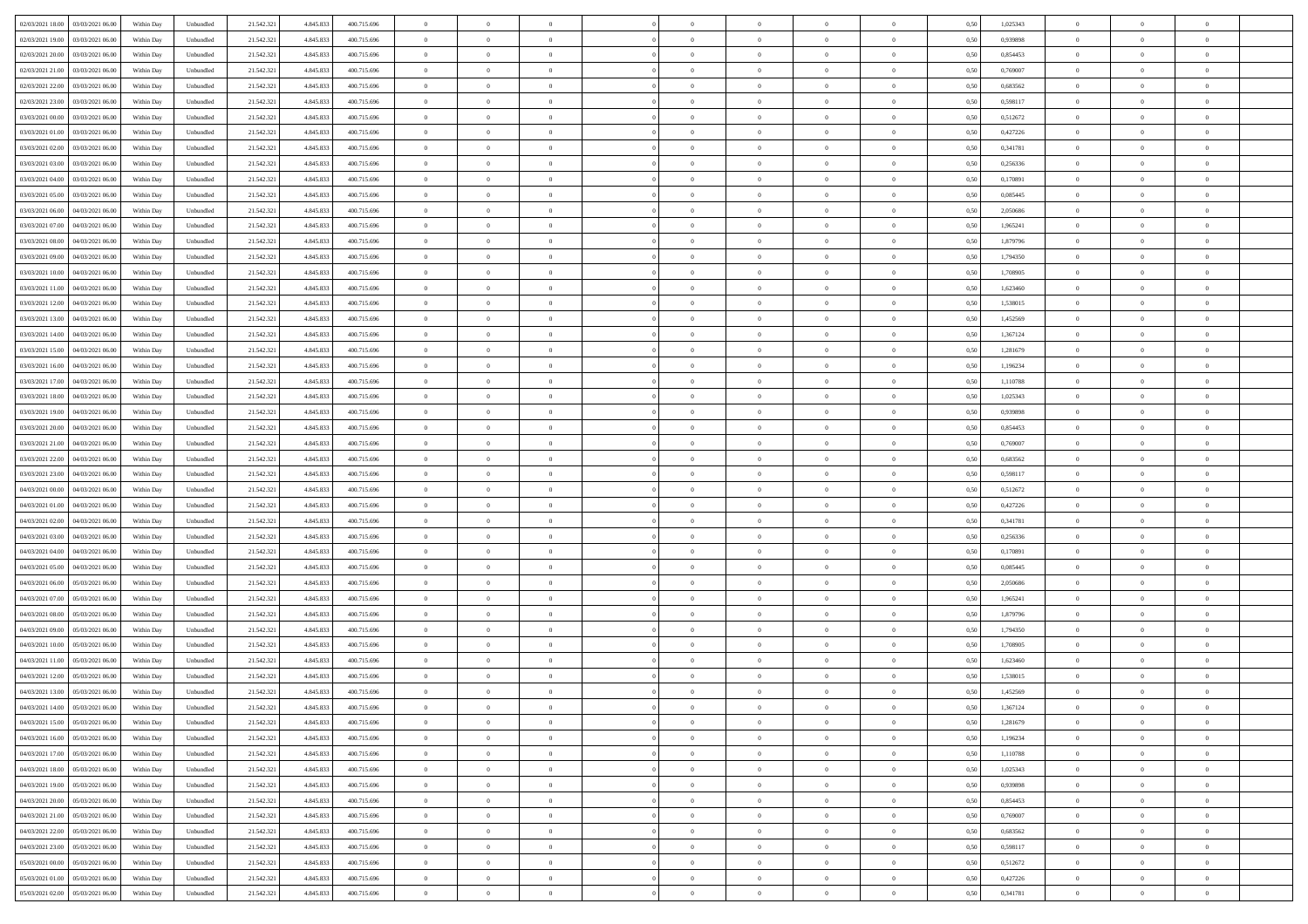| 02/03/2021 18:00 03/03/2021 06:00            | Within Day | Unbundled | 21.542.321 | 4.845.833 | 400.715.696 | $\overline{0}$ | $\theta$       |                | $\overline{0}$ | $\bf{0}$       |                | $\bf{0}$       | 0,50 | 1,025343 | $\theta$       | $\theta$       | $\theta$       |  |
|----------------------------------------------|------------|-----------|------------|-----------|-------------|----------------|----------------|----------------|----------------|----------------|----------------|----------------|------|----------|----------------|----------------|----------------|--|
|                                              |            |           |            |           |             |                |                |                |                |                |                |                |      |          |                |                |                |  |
| 02/03/2021 19:00<br>03/03/2021 06:00         | Within Day | Unbundled | 21.542.32  | 4.845.83  | 400.715.696 | $\bf{0}$       | $\overline{0}$ | $\bf{0}$       | $\overline{0}$ | $\overline{0}$ | $\overline{0}$ | $\bf{0}$       | 0,50 | 0,939898 | $\,$ 0 $\,$    | $\bf{0}$       | $\overline{0}$ |  |
| 02/03/2021 20:00<br>03/03/2021 06:00         | Within Day | Unbundled | 21.542.321 | 4.845.833 | 400.715.696 | $\overline{0}$ | $\bf{0}$       | $\overline{0}$ | $\bf{0}$       | $\bf{0}$       | $\overline{0}$ | $\bf{0}$       | 0.50 | 0.854453 | $\bf{0}$       | $\overline{0}$ | $\bf{0}$       |  |
| 02/03/2021 21:00<br>03/03/2021 06:00         | Within Day | Unbundled | 21.542.32  | 4.845.833 | 400.715.696 | $\overline{0}$ | $\overline{0}$ | $\overline{0}$ | $\theta$       | $\theta$       | $\overline{0}$ | $\overline{0}$ | 0,50 | 0,769007 | $\theta$       | $\theta$       | $\overline{0}$ |  |
| 02/03/2021 22:00<br>03/03/2021 06.00         | Within Day | Unbundled | 21.542.32  | 4.845.833 | 400.715.696 | $\bf{0}$       | $\overline{0}$ | $\bf{0}$       | $\overline{0}$ | $\theta$       | $\overline{0}$ | $\bf{0}$       | 0,50 | 0,683562 | $\bf{0}$       | $\bf{0}$       | $\overline{0}$ |  |
| 02/03/2021 23:00<br>03/03/2021 06:00         |            | Unbundled | 21.542.321 | 4.845.83  | 400.715.696 | $\overline{0}$ | $\overline{0}$ | $\overline{0}$ | $\overline{0}$ | $\overline{0}$ | $\theta$       | $\bf{0}$       | 0.50 | 0.598117 | $\bf{0}$       | $\theta$       | $\overline{0}$ |  |
|                                              | Within Day |           |            |           |             |                |                |                |                |                |                |                |      |          |                |                |                |  |
| 03/03/2021 00:00<br>03/03/2021 06:00         | Within Day | Unbundled | 21.542.32  | 4.845.833 | 400.715.696 | $\overline{0}$ | $\overline{0}$ | $\overline{0}$ | $\overline{0}$ | $\theta$       | $\overline{0}$ | $\bf{0}$       | 0,50 | 0,512672 | $\theta$       | $\theta$       | $\overline{0}$ |  |
| 03/03/2021 01:00<br>03/03/2021 06.00         | Within Day | Unbundled | 21.542.32  | 4.845.83  | 400.715.696 | $\bf{0}$       | $\overline{0}$ | $\overline{0}$ | $\overline{0}$ | $\theta$       | $\overline{0}$ | $\bf{0}$       | 0,50 | 0,427226 | $\,$ 0 $\,$    | $\bf{0}$       | $\overline{0}$ |  |
| 03/03/2021 02:00<br>03/03/2021 06:00         | Within Day | Unbundled | 21.542.32  | 4.845.83  | 400.715.696 | $\overline{0}$ | $\bf{0}$       | $\overline{0}$ | $\bf{0}$       | $\overline{0}$ | $\overline{0}$ | $\bf{0}$       | 0.50 | 0.341781 | $\bf{0}$       | $\overline{0}$ | $\overline{0}$ |  |
| 03/03/2021 03:00<br>03/03/2021 06:00         | Within Day | Unbundled | 21.542.321 | 4.845.833 | 400.715.696 | $\overline{0}$ | $\bf{0}$       | $\overline{0}$ | $\overline{0}$ | $\overline{0}$ | $\overline{0}$ | $\bf{0}$       | 0,50 | 0,256336 | $\,$ 0 $\,$    | $\theta$       | $\overline{0}$ |  |
| 03/03/2021 04:00<br>03/03/2021 06.00         | Within Day | Unbundled | 21.542.32  | 4.845.833 | 400.715.696 | $\bf{0}$       | $\overline{0}$ | $\bf{0}$       | $\overline{0}$ | $\bf{0}$       | $\overline{0}$ | $\bf{0}$       | 0,50 | 0,170891 | $\,$ 0 $\,$    | $\bf{0}$       | $\overline{0}$ |  |
| 03/03/2021 05:00<br>03/03/2021 06:00         | Within Day | Unbundled | 21.542.321 | 4.845.83  | 400.715.696 | $\overline{0}$ | $\bf{0}$       | $\overline{0}$ | $\bf{0}$       | $\bf{0}$       | $\overline{0}$ | $\bf{0}$       | 0.50 | 0.085445 | $\bf{0}$       | $\overline{0}$ | $\bf{0}$       |  |
| 03/03/2021 06:00<br>04/03/2021 06:00         | Within Day | Unbundled | 21.542.32  | 4.845.833 | 400.715.696 | $\overline{0}$ | $\overline{0}$ | $\overline{0}$ | $\theta$       | $\theta$       | $\overline{0}$ | $\overline{0}$ | 0,50 | 2,050686 | $\theta$       | $\theta$       | $\overline{0}$ |  |
|                                              |            |           |            |           |             |                |                |                |                |                |                |                |      |          |                |                |                |  |
| 03/03/2021 07:00<br>04/03/2021 06.00         | Within Day | Unbundled | 21.542.32  | 4.845.83  | 400.715.696 | $\bf{0}$       | $\overline{0}$ | $\bf{0}$       | $\overline{0}$ | $\theta$       | $\overline{0}$ | $\bf{0}$       | 0,50 | 1,965241 | $\,$ 0 $\,$    | $\bf{0}$       | $\overline{0}$ |  |
| 03/03/2021 08:00<br>04/03/2021 06:00         | Within Day | Unbundled | 21.542.321 | 4.845.83  | 400.715.696 | $\overline{0}$ | $\overline{0}$ | $\overline{0}$ | $\bf{0}$       | $\overline{0}$ | $\Omega$       | $\bf{0}$       | 0.50 | 1.879796 | $\theta$       | $\theta$       | $\overline{0}$ |  |
| 03/03/2021 09:00<br>04/03/2021 06:00         | Within Day | Unbundled | 21.542.321 | 4.845.833 | 400.715.696 | $\overline{0}$ | $\overline{0}$ | $\overline{0}$ | $\overline{0}$ | $\overline{0}$ | $\overline{0}$ | $\bf{0}$       | 0,50 | 1,794350 | $\theta$       | $\theta$       | $\overline{0}$ |  |
| 03/03/2021 10:00<br>04/03/2021 06.00         | Within Day | Unbundled | 21.542.32  | 4.845.83  | 400.715.696 | $\bf{0}$       | $\overline{0}$ | $\overline{0}$ | $\overline{0}$ | $\theta$       | $\overline{0}$ | $\bf{0}$       | 0,50 | 1,708905 | $\,$ 0 $\,$    | $\bf{0}$       | $\overline{0}$ |  |
| 03/03/2021 11:00<br>04/03/2021 06:00         | Within Day | Unbundled | 21.542.32  | 4.845.83  | 400.715.696 | $\overline{0}$ | $\bf{0}$       | $\overline{0}$ | $\bf{0}$       | $\overline{0}$ | $\overline{0}$ | $\bf{0}$       | 0.50 | 1.623460 | $\bf{0}$       | $\overline{0}$ | $\overline{0}$ |  |
| 03/03/2021 12:00<br>04/03/2021 06:00         | Within Day | Unbundled | 21.542.321 | 4.845.833 | 400.715.696 | $\overline{0}$ | $\overline{0}$ | $\overline{0}$ | $\overline{0}$ | $\overline{0}$ | $\overline{0}$ | $\bf{0}$       | 0,50 | 1,538015 | $\,$ 0 $\,$    | $\theta$       | $\overline{0}$ |  |
| 03/03/2021 13:00<br>04/03/2021 06.00         | Within Day | Unbundled | 21.542.32  | 4.845.83  | 400.715.696 | $\bf{0}$       | $\bf{0}$       | $\bf{0}$       | $\bf{0}$       | $\overline{0}$ | $\overline{0}$ | $\bf{0}$       | 0,50 | 1,452569 | $\,$ 0 $\,$    | $\bf{0}$       | $\overline{0}$ |  |
| 03/03/2021 14:00<br>04/03/2021 06:00         |            | Unbundled |            |           | 400.715.696 |                | $\bf{0}$       | $\overline{0}$ |                | $\bf{0}$       | $\overline{0}$ |                | 0.50 | 1.367124 | $\bf{0}$       | $\overline{0}$ | $\bf{0}$       |  |
|                                              | Within Day |           | 21.542.321 | 4.845.833 |             | $\overline{0}$ |                |                | $\bf{0}$       |                |                | $\bf{0}$       |      |          |                |                |                |  |
| 03/03/2021 15:00<br>04/03/2021 06:00         | Within Day | Unbundled | 21.542.32  | 4.845.833 | 400.715.696 | $\overline{0}$ | $\overline{0}$ | $\overline{0}$ | $\theta$       | $\theta$       | $\overline{0}$ | $\bf{0}$       | 0,50 | 1,281679 | $\theta$       | $\theta$       | $\overline{0}$ |  |
| 03/03/2021 16:00<br>04/03/2021 06.00         | Within Day | Unbundled | 21.542.32  | 4.845.833 | 400.715.696 | $\bf{0}$       | $\overline{0}$ | $\bf{0}$       | $\overline{0}$ | $\,$ 0 $\,$    | $\overline{0}$ | $\bf{0}$       | 0,50 | 1,196234 | $\,$ 0 $\,$    | $\bf{0}$       | $\overline{0}$ |  |
| 03/03/2021 17:00<br>04/03/2021 06:00         | Within Day | Unbundled | 21.542.321 | 4.845.83  | 400.715.696 | $\overline{0}$ | $\overline{0}$ | $\overline{0}$ | $\overline{0}$ | $\overline{0}$ | $\Omega$       | $\bf{0}$       | 0.50 | 1.110788 | $\bf{0}$       | $\theta$       | $\overline{0}$ |  |
| 03/03/2021 18:00<br>04/03/2021 06:00         | Within Day | Unbundled | 21.542.321 | 4.845.833 | 400.715.696 | $\overline{0}$ | $\overline{0}$ | $\overline{0}$ | $\overline{0}$ | $\theta$       | $\overline{0}$ | $\bf{0}$       | 0,50 | 1,025343 | $\theta$       | $\theta$       | $\overline{0}$ |  |
| 03/03/2021 19:00<br>04/03/2021 06.00         | Within Day | Unbundled | 21.542.32  | 4.845.83  | 400.715.696 | $\bf{0}$       | $\overline{0}$ | $\bf{0}$       | $\overline{0}$ | $\theta$       | $\overline{0}$ | $\bf{0}$       | 0,50 | 0,939898 | $\,$ 0 $\,$    | $\bf{0}$       | $\overline{0}$ |  |
| 03/03/2021 20:00<br>04/03/2021 06:00         | Within Day | Unbundled | 21.542.32  | 4.845.83  | 400.715.696 | $\overline{0}$ | $\bf{0}$       | $\overline{0}$ | $\bf{0}$       | $\overline{0}$ | $\overline{0}$ | $\bf{0}$       | 0.50 | 0.854453 | $\bf{0}$       | $\overline{0}$ | $\overline{0}$ |  |
| 03/03/2021 21:00<br>04/03/2021 06:00         | Within Day | Unbundled | 21.542.321 | 4.845.833 | 400.715.696 | $\overline{0}$ | $\overline{0}$ | $\overline{0}$ | $\overline{0}$ | $\overline{0}$ | $\overline{0}$ | $\bf{0}$       | 0,50 | 0,769007 | $\theta$       | $\theta$       | $\overline{0}$ |  |
| 03/03/2021 22:00<br>04/03/2021 06.00         | Within Day | Unbundled | 21.542.32  | 4.845.833 | 400.715.696 | $\bf{0}$       | $\bf{0}$       | $\bf{0}$       | $\bf{0}$       | $\overline{0}$ | $\overline{0}$ | $\bf{0}$       | 0,50 | 0,683562 | $\,$ 0 $\,$    | $\bf{0}$       | $\overline{0}$ |  |
|                                              |            |           |            |           |             |                |                |                |                |                |                |                |      |          |                |                |                |  |
| 03/03/2021 23:00<br>04/03/2021 06:00         | Within Day | Unbundled | 21.542.321 | 4.845.83  | 400.715.696 | $\overline{0}$ | $\bf{0}$       | $\overline{0}$ | $\bf{0}$       | $\bf{0}$       | $\overline{0}$ | $\bf{0}$       | 0.50 | 0.598117 | $\bf{0}$       | $\overline{0}$ | $\bf{0}$       |  |
| 04/03/2021 00:00<br>04/03/2021 06:00         | Within Day | Unbundled | 21.542.32  | 4,845,833 | 400.715.696 | $\overline{0}$ | $\overline{0}$ | $\overline{0}$ | $\overline{0}$ | $\overline{0}$ | $\overline{0}$ | $\bf{0}$       | 0.5( | 0,512672 | $\theta$       | $\theta$       | $\overline{0}$ |  |
| 04/03/2021 01:00<br>04/03/2021 06.00         | Within Day | Unbundled | 21.542.32  | 4.845.83  | 400.715.696 | $\bf{0}$       | $\overline{0}$ | $\bf{0}$       | $\bf{0}$       | $\overline{0}$ | $\overline{0}$ | $\bf{0}$       | 0,50 | 0,427226 | $\,$ 0 $\,$    | $\bf{0}$       | $\overline{0}$ |  |
| 04/03/2021 02:00<br>04/03/2021 06:00         | Within Day | Unbundled | 21.542.321 | 4.845.83  | 400.715.696 | $\overline{0}$ | $\overline{0}$ | $\overline{0}$ | $\bf{0}$       | $\overline{0}$ | $\Omega$       | $\bf{0}$       | 0.50 | 0.341781 | $\,$ 0 $\,$    | $\theta$       | $\overline{0}$ |  |
| 04/03/2021 03:00<br>04/03/2021 06:00         | Within Dav | Unbundled | 21.542.321 | 4.845.833 | 400.715.696 | $\overline{0}$ | $\overline{0}$ | $\overline{0}$ | $\overline{0}$ | $\overline{0}$ | $\overline{0}$ | $\overline{0}$ | 0.5( | 0,256336 | $\theta$       | $\theta$       | $\overline{0}$ |  |
| 04/03/2021 04:00<br>04/03/2021 06.00         | Within Day | Unbundled | 21.542.32  | 4.845.833 | 400.715.696 | $\bf{0}$       | $\overline{0}$ | $\bf{0}$       | $\overline{0}$ | $\bf{0}$       | $\overline{0}$ | $\bf{0}$       | 0,50 | 0,170891 | $\,$ 0 $\,$    | $\bf{0}$       | $\overline{0}$ |  |
| 04/03/2021 05:00<br>04/03/2021 06:00         | Within Day | Unbundled | 21.542.32  | 4.845.83  | 400.715.696 | $\overline{0}$ | $\bf{0}$       | $\overline{0}$ | $\bf{0}$       | $\overline{0}$ | $\overline{0}$ | $\bf{0}$       | 0.50 | 0.085445 | $\bf{0}$       | $\overline{0}$ | $\overline{0}$ |  |
| 04/03/2021 06:00<br>05/03/2021 06:00         | Within Day | Unbundled | 21.542.32  | 4,845,833 | 400.715.696 | $\overline{0}$ | $\overline{0}$ | $\overline{0}$ | $\overline{0}$ | $\overline{0}$ | $\overline{0}$ | $\overline{0}$ | 0.50 | 2.050686 | $\theta$       | $\theta$       | $\overline{0}$ |  |
| 05/03/2021 06.00                             | Within Day | Unbundled | 21.542.32  | 4.845.83  | 400.715.696 | $\bf{0}$       | $\bf{0}$       | $\bf{0}$       | $\bf{0}$       | $\overline{0}$ | $\overline{0}$ | $\bf{0}$       | 0,50 | 1,965241 | $\,$ 0 $\,$    | $\bf{0}$       | $\overline{0}$ |  |
| 04/03/2021 07:00                             |            |           |            |           |             |                |                |                |                |                |                |                |      |          |                |                |                |  |
| 04/03/2021 08:00<br>05/03/2021 06:00         | Within Day | Unbundled | 21.542.321 | 4.845.833 | 400.715.696 | $\overline{0}$ | $\bf{0}$       | $\overline{0}$ | $\bf{0}$       | $\bf{0}$       | $\overline{0}$ | $\bf{0}$       | 0.50 | 1.879796 | $\bf{0}$       | $\overline{0}$ | $\bf{0}$       |  |
| 04/03/2021 09:00<br>05/03/2021 06:00         | Within Dav | Unbundled | 21.542.321 | 4.845.833 | 400.715.696 | $\overline{0}$ | $\overline{0}$ | $\Omega$       | $\overline{0}$ | $\overline{0}$ | $\overline{0}$ | $\bf{0}$       | 0.5( | 1,794350 | $\theta$       | $\theta$       | $\overline{0}$ |  |
| 04/03/2021 10:00<br>05/03/2021 06.00         | Within Day | Unbundled | 21.542.32  | 4.845.833 | 400.715.696 | $\bf{0}$       | $\overline{0}$ | $\bf{0}$       | $\bf{0}$       | $\overline{0}$ | $\overline{0}$ | $\bf{0}$       | 0,50 | 1,708905 | $\,$ 0 $\,$    | $\bf{0}$       | $\overline{0}$ |  |
| 04/03/2021 11:00<br>05/03/2021 06:00         | Within Day | Unbundled | 21.542.321 | 4.845.83  | 400.715.696 | $\overline{0}$ | $\overline{0}$ | $\Omega$       | $\overline{0}$ | $\overline{0}$ | $\Omega$       | $\bf{0}$       | 0.50 | 1.623460 | $\bf{0}$       | $\theta$       | $\overline{0}$ |  |
| 04/03/2021 12:00<br>05/03/2021 06:00         | Within Dav | Unbundled | 21.542.32  | 4.845.83  | 400.715.696 | $\overline{0}$ | $\overline{0}$ | $\Omega$       | $\overline{0}$ | $\theta$       | $\Omega$       | $\overline{0}$ | 0.5( | 1,538015 | $\theta$       | $\theta$       | $\overline{0}$ |  |
| 04/03/2021 13:00<br>05/03/2021 06:00         | Within Day | Unbundled | 21.542.32  | 4.845.833 | 400.715.696 | $\bf{0}$       | $\bf{0}$       | $\overline{0}$ | $\bf{0}$       | $\bf{0}$       | $\overline{0}$ | $\bf{0}$       | 0,50 | 1,452569 | $\,$ 0 $\,$    | $\bf{0}$       | $\overline{0}$ |  |
| $04/03/2021\ 14.00 \qquad 05/03/2021\ 06.00$ | Within Day | Unbundled | 21.542.321 | 4.845.833 | 400.715.696 | $\bf{0}$       | $\Omega$       |                | $\Omega$       |                |                |                | 0,50 | 1,367124 | $\bf{0}$       | $\overline{0}$ |                |  |
| 04/03/2021 15:00 05/03/2021 06:00            | Within Day | Unbundled | 21.542.321 | 4.845.833 | 400.715.696 | $\overline{0}$ | $\theta$       | $\overline{0}$ | $\theta$       | $\overline{0}$ | $\overline{0}$ | $\bf{0}$       | 0,50 | 1,281679 | $\theta$       | $\theta$       | $\overline{0}$ |  |
|                                              |            |           |            |           |             |                |                |                |                |                |                |                |      |          |                |                |                |  |
| 04/03/2021 16:00<br>05/03/2021 06:00         | Within Day | Unbundled | 21.542.321 | 4.845.833 | 400.715.696 | $\overline{0}$ | $\bf{0}$       | $\overline{0}$ | $\overline{0}$ | $\bf{0}$       | $\overline{0}$ | $\bf{0}$       | 0,50 | 1,196234 | $\bf{0}$       | $\overline{0}$ | $\bf{0}$       |  |
| 04/03/2021 17:00  05/03/2021 06:00           | Within Day | Unbundled | 21.542.321 | 4.845.833 | 400.715.696 | $\overline{0}$ | $\bf{0}$       | $\overline{0}$ | $\overline{0}$ | $\overline{0}$ | $\overline{0}$ | $\,$ 0 $\,$    | 0.50 | 1,110788 | $\overline{0}$ | $\bf{0}$       | $\,$ 0 $\,$    |  |
| 04/03/2021 18:00  05/03/2021 06:00           | Within Day | Unbundled | 21.542.321 | 4.845.833 | 400.715.696 | $\overline{0}$ | $\overline{0}$ | $\overline{0}$ | $\overline{0}$ | $\overline{0}$ | $\overline{0}$ | $\bf{0}$       | 0,50 | 1,025343 | $\theta$       | $\theta$       | $\overline{0}$ |  |
| 04/03/2021 19:00<br>05/03/2021 06:00         | Within Day | Unbundled | 21.542.321 | 4.845.833 | 400.715.696 | $\overline{0}$ | $\bf{0}$       | $\overline{0}$ | $\bf{0}$       | $\overline{0}$ | $\bf{0}$       | $\bf{0}$       | 0,50 | 0,939898 | $\overline{0}$ | $\bf{0}$       | $\overline{0}$ |  |
| 05/03/2021 06:00<br>04/03/2021 20:00         | Within Day | Unbundled | 21.542.321 | 4.845.833 | 400.715.696 | $\overline{0}$ | $\bf{0}$       | $\overline{0}$ | $\overline{0}$ | $\overline{0}$ | $\overline{0}$ | $\bf{0}$       | 0.50 | 0.854453 | $\,$ 0 $\,$    | $\theta$       | $\overline{0}$ |  |
| 04/03/2021 21:00<br>05/03/2021 06:00         | Within Dav | Unbundled | 21.542.321 | 4.845.833 | 400.715.696 | $\overline{0}$ | $\overline{0}$ | $\overline{0}$ | $\overline{0}$ | $\overline{0}$ | $\overline{0}$ | $\bf{0}$       | 0,50 | 0,769007 | $\overline{0}$ | $\theta$       | $\overline{0}$ |  |
| 05/03/2021 06:00<br>04/03/2021 22:00         | Within Day | Unbundled | 21.542.32  | 4.845.833 | 400.715.696 | $\overline{0}$ | $\overline{0}$ | $\overline{0}$ | $\overline{0}$ | $\overline{0}$ | $\overline{0}$ | $\bf{0}$       | 0,50 | 0,683562 | $\bf{0}$       | $\overline{0}$ | $\overline{0}$ |  |
| 04/03/2021 23:00<br>05/03/2021 06:00         |            | Unbundled |            |           | 400.715.696 | $\overline{0}$ | $\overline{0}$ | $\overline{0}$ |                | $\bf{0}$       | $\overline{0}$ |                | 0.50 | 0.598117 | $\overline{0}$ | $\,$ 0 $\,$    | $\,$ 0         |  |
|                                              | Within Day |           | 21.542.321 | 4.845.833 |             |                |                |                | $\overline{0}$ |                |                | $\bf{0}$       |      |          |                |                |                |  |
| 05/03/2021 00:00 05/03/2021 06:00            | Within Dav | Unbundled | 21.542.321 | 4.845.833 | 400.715.696 | $\overline{0}$ | $\overline{0}$ | $\overline{0}$ | $\overline{0}$ | $\overline{0}$ | $\overline{0}$ | $\bf{0}$       | 0,50 | 0,512672 | $\overline{0}$ | $\theta$       | $\overline{0}$ |  |
| 05/03/2021 01:00<br>05/03/2021 06:00         | Within Day | Unbundled | 21.542.32  | 4.845.833 | 400.715.696 | $\overline{0}$ | $\bf{0}$       | $\overline{0}$ | $\bf{0}$       | $\overline{0}$ | $\bf{0}$       | $\bf{0}$       | 0,50 | 0,427226 | $\bf{0}$       | $\bf{0}$       | $\overline{0}$ |  |
| 05/03/2021 02:00 05/03/2021 06:00            | Within Day | Unbundled | 21.542.321 | 4.845.833 | 400.715.696 | $\overline{0}$ | $\bf{0}$       | $\overline{0}$ | $\overline{0}$ | $\,$ 0 $\,$    | $\overline{0}$ | $\bf{0}$       | 0,50 | 0,341781 | $\overline{0}$ | $\,$ 0 $\,$    | $\,$ 0 $\,$    |  |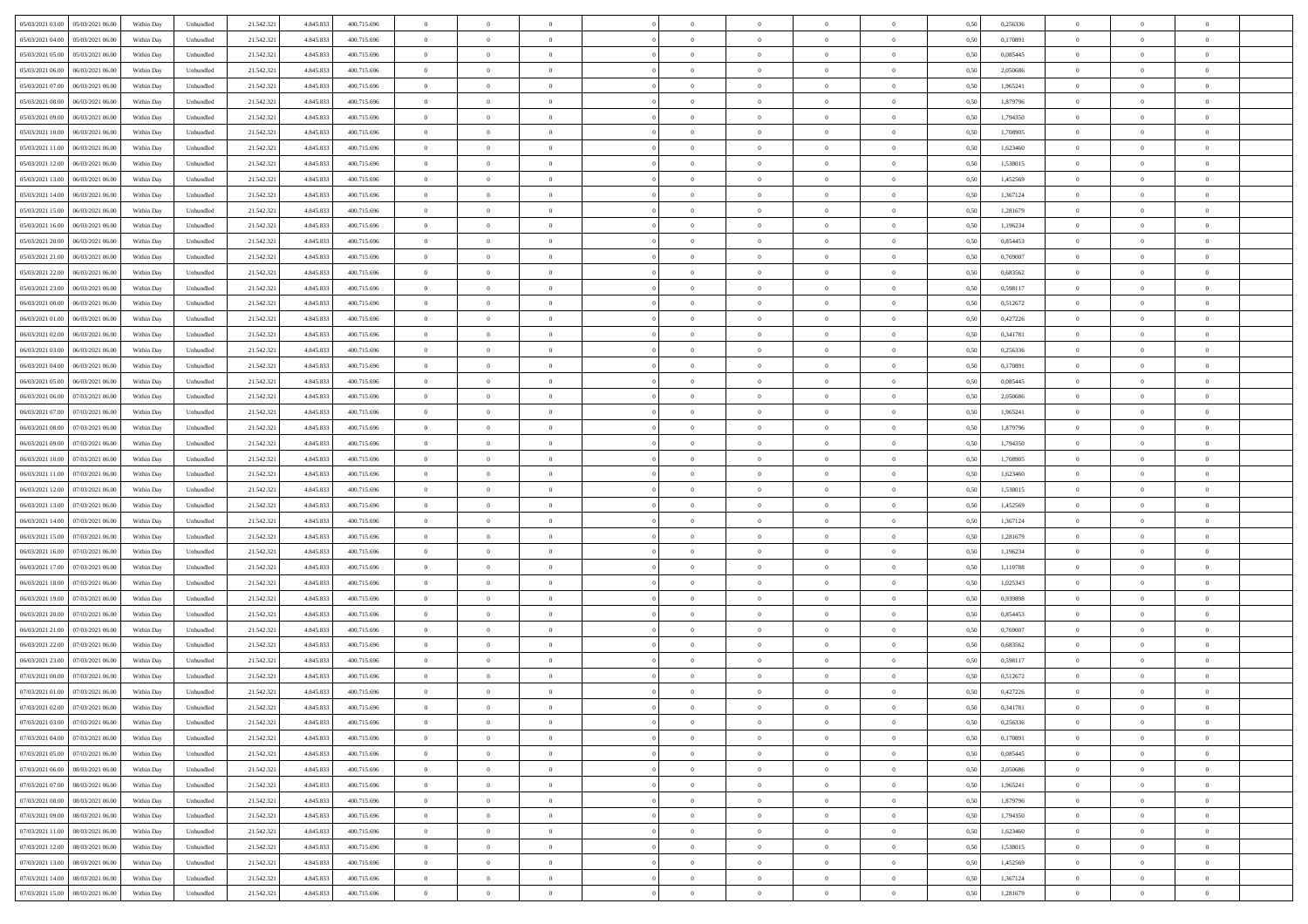|                                              |            |           |            |           |             | $\overline{0}$ | $\theta$       |                | $\overline{0}$ | $\bf{0}$       |                | $\bf{0}$       |      |          | $\theta$       | $\theta$       | $\theta$       |  |
|----------------------------------------------|------------|-----------|------------|-----------|-------------|----------------|----------------|----------------|----------------|----------------|----------------|----------------|------|----------|----------------|----------------|----------------|--|
| 05/03/2021 03:00 05/03/2021 06:00            | Within Day | Unbundled | 21.542.321 | 4.845.833 | 400.715.696 |                |                |                |                |                |                |                | 0,50 | 0,256336 |                |                |                |  |
| 05/03/2021 04:00<br>05/03/2021 06.00         | Within Day | Unbundled | 21.542.32  | 4.845.83  | 400.715.696 | $\bf{0}$       | $\overline{0}$ | $\overline{0}$ | $\overline{0}$ | $\theta$       | $\overline{0}$ | $\bf{0}$       | 0,50 | 0,170891 | $\,$ 0 $\,$    | $\theta$       | $\overline{0}$ |  |
| 05/03/2021 05:00<br>05/03/2021 06:00         | Within Day | Unbundled | 21.542.321 | 4.845.833 | 400.715.696 | $\overline{0}$ | $\overline{0}$ | $\overline{0}$ | $\bf{0}$       | $\bf{0}$       | $\overline{0}$ | $\bf{0}$       | 0.50 | 0.085445 | $\bf{0}$       | $\overline{0}$ | $\overline{0}$ |  |
| 05/03/2021 06:00<br>06/03/2021 06:00         | Within Day | Unbundled | 21.542.32  | 4.845.833 | 400.715.696 | $\overline{0}$ | $\overline{0}$ | $\overline{0}$ | $\theta$       | $\theta$       | $\overline{0}$ | $\overline{0}$ | 0,50 | 2,050686 | $\theta$       | $\theta$       | $\overline{0}$ |  |
| 05/03/2021 07:00<br>06/03/2021 06.00         | Within Day | Unbundled | 21.542.32  | 4.845.833 | 400.715.696 | $\overline{0}$ | $\theta$       | $\overline{0}$ | $\overline{0}$ | $\theta$       | $\overline{0}$ | $\bf{0}$       | 0,50 | 1,965241 | $\,$ 0 $\,$    | $\theta$       | $\overline{0}$ |  |
| 05/03/2021 08:00<br>06/03/2021 06:00         |            | Unbundled | 21.542.321 | 4.845.83  | 400.715.696 | $\overline{0}$ | $\overline{0}$ | $\Omega$       | $\overline{0}$ | $\overline{0}$ | $\Omega$       | $\bf{0}$       | 0.50 | 1.879796 | $\bf{0}$       | $\theta$       | $\overline{0}$ |  |
|                                              | Within Day |           |            |           |             |                |                |                |                |                |                |                |      |          |                |                |                |  |
| 05/03/2021 09:00<br>06/03/2021 06:00         | Within Day | Unbundled | 21.542.32  | 4.845.833 | 400.715.696 | $\overline{0}$ | $\overline{0}$ | $\overline{0}$ | $\overline{0}$ | $\theta$       | $\overline{0}$ | $\bf{0}$       | 0,50 | 1,794350 | $\theta$       | $\theta$       | $\overline{0}$ |  |
| 05/03/2021 10:00<br>06/03/2021 06.00         | Within Day | Unbundled | 21.542.32  | 4.845.83  | 400.715.696 | $\overline{0}$ | $\overline{0}$ | $\overline{0}$ | $\overline{0}$ | $\theta$       | $\overline{0}$ | $\bf{0}$       | 0,50 | 1,708905 | $\,$ 0 $\,$    | $\bf{0}$       | $\overline{0}$ |  |
| 05/03/2021 11:00<br>06/03/2021 06:00         | Within Day | Unbundled | 21.542.32  | 4.845.83  | 400.715.696 | $\overline{0}$ | $\overline{0}$ | $\overline{0}$ | $\bf{0}$       | $\overline{0}$ | $\overline{0}$ | $\bf{0}$       | 0.50 | 1.623460 | $\bf{0}$       | $\theta$       | $\overline{0}$ |  |
| 05/03/2021 12:00<br>06/03/2021 06:00         | Within Day | Unbundled | 21.542.321 | 4.845.833 | 400.715.696 | $\overline{0}$ | $\bf{0}$       | $\overline{0}$ | $\overline{0}$ | $\theta$       | $\overline{0}$ | $\bf{0}$       | 0,50 | 1,538015 | $\,$ 0 $\,$    | $\theta$       | $\overline{0}$ |  |
| 05/03/2021 13:00<br>06/03/2021 06.00         | Within Day | Unbundled | 21.542.32  | 4.845.833 | 400.715.696 | $\bf{0}$       | $\overline{0}$ | $\bf{0}$       | $\overline{0}$ | $\bf{0}$       | $\overline{0}$ | $\bf{0}$       | 0,50 | 1,452569 | $\,$ 0 $\,$    | $\bf{0}$       | $\overline{0}$ |  |
| 05/03/2021 14:00<br>06/03/2021 06:00         | Within Day | Unbundled | 21.542.321 | 4.845.83  | 400.715.696 | $\overline{0}$ | $\overline{0}$ | $\overline{0}$ | $\bf{0}$       | $\bf{0}$       | $\overline{0}$ | $\bf{0}$       | 0.50 | 1.367124 | $\bf{0}$       | $\overline{0}$ | $\overline{0}$ |  |
| 05/03/2021 15:00<br>06/03/2021 06:00         | Within Day | Unbundled | 21.542.32  | 4.845.833 | 400.715.696 | $\overline{0}$ | $\overline{0}$ | $\overline{0}$ | $\overline{0}$ | $\theta$       | $\overline{0}$ | $\overline{0}$ | 0,50 | 1,281679 | $\theta$       | $\theta$       | $\overline{0}$ |  |
|                                              |            |           |            |           |             |                |                |                |                |                |                |                |      |          |                |                |                |  |
| 05/03/2021 16:00<br>06/03/2021 06.00         | Within Day | Unbundled | 21.542.32  | 4.845.83  | 400.715.696 | $\bf{0}$       | $\theta$       | $\bf{0}$       | $\overline{0}$ | $\theta$       | $\overline{0}$ | $\bf{0}$       | 0,50 | 1,196234 | $\bf{0}$       | $\bf{0}$       | $\overline{0}$ |  |
| 05/03/2021 20:00<br>06/03/2021 06:00         | Within Day | Unbundled | 21.542.321 | 4.845.83  | 400.715.696 | $\overline{0}$ | $\overline{0}$ | $\overline{0}$ | $\bf{0}$       | $\theta$       | $\theta$       | $\bf{0}$       | 0.50 | 0.854453 | $\theta$       | $\overline{0}$ | $\overline{0}$ |  |
| 05/03/2021 21:00<br>06/03/2021 06:00         | Within Day | Unbundled | 21.542.321 | 4.845.833 | 400.715.696 | $\overline{0}$ | $\overline{0}$ | $\overline{0}$ | $\overline{0}$ | $\overline{0}$ | $\overline{0}$ | $\bf{0}$       | 0,50 | 0,769007 | $\theta$       | $\theta$       | $\overline{0}$ |  |
| 05/03/2021 22:00<br>06/03/2021 06.00         | Within Day | Unbundled | 21.542.32  | 4.845.83  | 400.715.696 | $\bf{0}$       | $\overline{0}$ | $\overline{0}$ | $\overline{0}$ | $\theta$       | $\overline{0}$ | $\bf{0}$       | 0,50 | 0,683562 | $\,$ 0 $\,$    | $\theta$       | $\overline{0}$ |  |
| 05/03/2021 23:00<br>06/03/2021 06:00         | Within Day | Unbundled | 21.542.32  | 4.845.83  | 400.715.696 | $\overline{0}$ | $\overline{0}$ | $\overline{0}$ | $\bf{0}$       | $\overline{0}$ | $\overline{0}$ | $\bf{0}$       | 0.50 | 0.598117 | $\bf{0}$       | $\overline{0}$ | $\overline{0}$ |  |
| 06/03/2021 00:00<br>06/03/2021 06:00         | Within Day | Unbundled | 21.542.321 | 4.845.833 | 400.715.696 | $\overline{0}$ | $\overline{0}$ | $\overline{0}$ | $\overline{0}$ | $\theta$       | $\overline{0}$ | $\bf{0}$       | 0,50 | 0,512672 | $\,$ 0 $\,$    | $\theta$       | $\overline{0}$ |  |
| 06/03/2021 01:00<br>06/03/2021 06.00         | Within Day | Unbundled | 21.542.32  | 4.845.83  | 400.715.696 | $\bf{0}$       | $\overline{0}$ | $\bf{0}$       | $\bf{0}$       | $\overline{0}$ | $\overline{0}$ | $\bf{0}$       | 0,50 | 0,427226 | $\,$ 0 $\,$    | $\bf{0}$       | $\overline{0}$ |  |
| 06/03/2021 02:00<br>06/03/2021 06:00         |            | Unbundled |            |           | 400.715.696 |                | $\overline{0}$ | $\overline{0}$ |                | $\bf{0}$       | $\overline{0}$ |                | 0.50 | 0.341781 | $\bf{0}$       | $\overline{0}$ | $\overline{0}$ |  |
|                                              | Within Day |           | 21.542.321 | 4.845.833 |             | $\overline{0}$ |                |                | $\bf{0}$       |                |                | $\bf{0}$       |      |          |                |                |                |  |
| 06/03/2021 03:00<br>06/03/2021 06:00         | Within Day | Unbundled | 21.542.32  | 4.845.833 | 400.715.696 | $\overline{0}$ | $\overline{0}$ | $\overline{0}$ | $\theta$       | $\theta$       | $\overline{0}$ | $\bf{0}$       | 0,50 | 0,256336 | $\theta$       | $\theta$       | $\overline{0}$ |  |
| 06/03/2021 04:00<br>06/03/2021 06.00         | Within Day | Unbundled | 21.542.32  | 4.845.833 | 400.715.696 | $\bf{0}$       | $\overline{0}$ | $\bf{0}$       | $\overline{0}$ | $\theta$       | $\overline{0}$ | $\bf{0}$       | 0,50 | 0,170891 | $\,$ 0 $\,$    | $\bf{0}$       | $\overline{0}$ |  |
| 06/03/2021 05:00<br>06/03/2021 06:00         | Within Day | Unbundled | 21.542.321 | 4.845.83  | 400.715.696 | $\overline{0}$ | $\overline{0}$ | $\Omega$       | $\overline{0}$ | $\overline{0}$ | $\Omega$       | $\bf{0}$       | 0.50 | 0.085445 | $\bf{0}$       | $\theta$       | $\overline{0}$ |  |
| 06/03/2021 06:00<br>07/03/2021 06:00         | Within Day | Unbundled | 21.542.321 | 4.845.833 | 400.715.696 | $\overline{0}$ | $\overline{0}$ | $\overline{0}$ | $\overline{0}$ | $\theta$       | $\overline{0}$ | $\bf{0}$       | 0,50 | 2,050686 | $\theta$       | $\theta$       | $\overline{0}$ |  |
| 06/03/2021 07:00<br>07/03/2021 06.00         | Within Day | Unbundled | 21.542.32  | 4.845.83  | 400.715.696 | $\bf{0}$       | $\overline{0}$ | $\overline{0}$ | $\overline{0}$ | $\theta$       | $\overline{0}$ | $\bf{0}$       | 0,50 | 1,965241 | $\,$ 0 $\,$    | $\theta$       | $\overline{0}$ |  |
| 06/03/2021 08:00<br>07/03/2021 06:00         | Within Day | Unbundled | 21.542.32  | 4.845.83  | 400.715.696 | $\overline{0}$ | $\overline{0}$ | $\overline{0}$ | $\bf{0}$       | $\overline{0}$ | $\overline{0}$ | $\bf{0}$       | 0.50 | 1.879796 | $\bf{0}$       | $\overline{0}$ | $\overline{0}$ |  |
| 06/03/2021 09:00<br>07/03/2021 06:00         | Within Day | Unbundled | 21.542.321 | 4.845.833 | 400.715.696 | $\overline{0}$ | $\overline{0}$ | $\overline{0}$ | $\overline{0}$ | $\theta$       | $\overline{0}$ | $\bf{0}$       | 0,50 | 1,794350 | $\theta$       | $\theta$       | $\overline{0}$ |  |
|                                              |            |           |            |           |             |                |                |                |                |                |                |                |      |          |                |                |                |  |
| 06/03/2021 10:00<br>07/03/2021 06.00         | Within Day | Unbundled | 21.542.32  | 4.845.833 | 400.715.696 | $\bf{0}$       | $\bf{0}$       | $\bf{0}$       | $\bf{0}$       | $\overline{0}$ | $\overline{0}$ | $\bf{0}$       | 0,50 | 1,708905 | $\,$ 0 $\,$    | $\bf{0}$       | $\overline{0}$ |  |
| 06/03/2021 11:00<br>07/03/2021 06:00         | Within Day | Unbundled | 21.542.321 | 4.845.83  | 400.715.696 | $\overline{0}$ | $\overline{0}$ | $\overline{0}$ | $\bf{0}$       | $\bf{0}$       | $\overline{0}$ | $\bf{0}$       | 0.50 | 1.623460 | $\bf{0}$       | $\overline{0}$ | $\overline{0}$ |  |
| 06/03/2021 12:00<br>07/03/2021 06:00         | Within Day | Unbundled | 21.542.32  | 4,845,833 | 400.715.696 | $\overline{0}$ | $\overline{0}$ | $\overline{0}$ | $\overline{0}$ | $\theta$       | $\overline{0}$ | $\bf{0}$       | 0.5( | 1,538015 | $\theta$       | $\theta$       | $\overline{0}$ |  |
| 06/03/2021 13:00<br>07/03/2021 06.00         | Within Day | Unbundled | 21.542.32  | 4.845.83  | 400.715.696 | $\bf{0}$       | $\overline{0}$ | $\bf{0}$       | $\overline{0}$ | $\overline{0}$ | $\overline{0}$ | $\bf{0}$       | 0,50 | 1,452569 | $\,$ 0 $\,$    | $\bf{0}$       | $\overline{0}$ |  |
| 06/03/2021 14:00<br>07/03/2021 06:00         | Within Day | Unbundled | 21.542.321 | 4.845.83  | 400.715.696 | $\overline{0}$ | $\overline{0}$ | $\overline{0}$ | $\bf{0}$       | $\theta$       | $\Omega$       | $\bf{0}$       | 0.50 | 1.367124 | $\,$ 0 $\,$    | $\overline{0}$ | $\overline{0}$ |  |
| 06/03/2021 15:00<br>07/03/2021 06:00         | Within Dav | Unbundled | 21.542.321 | 4.845.833 | 400.715.696 | $\overline{0}$ | $\theta$       | $\Omega$       | $\overline{0}$ | $\theta$       | $\overline{0}$ | $\overline{0}$ | 0.5( | 1,281679 | $\theta$       | $\theta$       | $\overline{0}$ |  |
| 06/03/2021 16:00<br>07/03/2021 06.00         | Within Day | Unbundled | 21.542.32  | 4.845.833 | 400.715.696 | $\bf{0}$       | $\overline{0}$ | $\bf{0}$       | $\overline{0}$ | $\bf{0}$       | $\overline{0}$ | $\bf{0}$       | 0,50 | 1,196234 | $\,$ 0 $\,$    | $\bf{0}$       | $\overline{0}$ |  |
| 06/03/2021 17:00<br>07/03/2021 06:00         | Within Day | Unbundled | 21.542.32  | 4.845.83  | 400.715.696 | $\overline{0}$ | $\overline{0}$ | $\overline{0}$ | $\bf{0}$       | $\overline{0}$ | $\overline{0}$ | $\bf{0}$       | 0.50 | 1.110788 | $\bf{0}$       | $\theta$       | $\overline{0}$ |  |
| 06/03/2021 18:00<br>07/03/2021 06:00         | Within Dav | Unbundled | 21.542.32  | 4,845,833 | 400.715.696 | $\overline{0}$ | $\overline{0}$ | $\overline{0}$ | $\overline{0}$ | $\overline{0}$ | $\overline{0}$ | $\overline{0}$ | 0.50 | 1,025343 | $\theta$       | $\theta$       | $\overline{0}$ |  |
|                                              |            |           |            |           |             |                |                |                |                |                |                |                |      |          |                |                |                |  |
| 06/03/2021 19:00<br>07/03/2021 06.00         | Within Day | Unbundled | 21.542.32  | 4.845.83  | 400.715.696 | $\bf{0}$       | $\bf{0}$       | $\bf{0}$       | $\bf{0}$       | $\overline{0}$ | $\overline{0}$ | $\bf{0}$       | 0,50 | 0,939898 | $\,$ 0 $\,$    | $\bf{0}$       | $\overline{0}$ |  |
| 06/03/2021 20:00<br>07/03/2021 06:00         | Within Day | Unbundled | 21.542.321 | 4.845.833 | 400.715.696 | $\overline{0}$ | $\bf{0}$       | $\overline{0}$ | $\bf{0}$       | $\bf{0}$       | $\overline{0}$ | $\bf{0}$       | 0.50 | 0.854453 | $\bf{0}$       | $\overline{0}$ | $\overline{0}$ |  |
| 06/03/2021 21:00<br>07/03/2021 06:00         | Within Dav | Unbundled | 21.542.321 | 4.845.833 | 400.715.696 | $\overline{0}$ | $\overline{0}$ | $\Omega$       | $\overline{0}$ | $\overline{0}$ | $\overline{0}$ | $\bf{0}$       | 0.5( | 0,769007 | $\theta$       | $\theta$       | $\overline{0}$ |  |
| 06/03/2021 22:00<br>07/03/2021 06.00         | Within Day | Unbundled | 21.542.32  | 4.845.833 | 400.715.696 | $\bf{0}$       | $\overline{0}$ | $\bf{0}$       | $\overline{0}$ | $\overline{0}$ | $\overline{0}$ | $\bf{0}$       | 0,50 | 0,683562 | $\,$ 0 $\,$    | $\bf{0}$       | $\overline{0}$ |  |
| 06/03/2021 23:00<br>07/03/2021 06:00         | Within Day | Unbundled | 21.542.321 | 4.845.83  | 400.715.696 | $\overline{0}$ | $\overline{0}$ | $\Omega$       | $\overline{0}$ | $\theta$       | $\theta$       | $\overline{0}$ | 0.50 | 0.598117 | $\,$ 0 $\,$    | $\overline{0}$ | $\overline{0}$ |  |
| 07/03/2021 00:00<br>07/03/2021 06:00         | Within Dav | Unbundled | 21.542.32  | 4,845,833 | 400.715.696 | $\overline{0}$ | $\overline{0}$ | $\Omega$       | $\overline{0}$ | $\theta$       | $\Omega$       | $\overline{0}$ | 0.5( | 0,512672 | $\theta$       | $\theta$       | $\overline{0}$ |  |
| 07/03/2021 01:00<br>07/03/2021 06:00         | Within Day | Unbundled | 21.542.32  | 4.845.833 | 400.715.696 | $\bf{0}$       | $\bf{0}$       | $\overline{0}$ | $\bf{0}$       | $\bf{0}$       | $\overline{0}$ | $\bf{0}$       | 0,50 | 0,427226 | $\,$ 0 $\,$    | $\bf{0}$       | $\overline{0}$ |  |
| $07/03/2021\ 02.00 \qquad 07/03/2021\ 06.00$ | Within Day | Unbundled | 21.542.321 | 4.845.833 | 400.715.696 | $\overline{0}$ | $\Omega$       |                | $\Omega$       |                |                |                | 0,50 | 0,341781 | $\theta$       | $\overline{0}$ |                |  |
| 07/03/2021 03:00 07/03/2021 06:00            | Within Day | Unbundled | 21.542.321 | 4.845.833 | 400.715.696 | $\overline{0}$ | $\overline{0}$ | $\overline{0}$ | $\theta$       | $\overline{0}$ | $\overline{0}$ | $\bf{0}$       | 0,50 | 0,256336 | $\theta$       | $\theta$       | $\overline{0}$ |  |
|                                              |            |           |            |           |             |                |                |                |                |                |                |                |      |          |                |                |                |  |
| 07/03/2021 04:00<br>07/03/2021 06:00         | Within Day | Unbundled | 21.542.321 | 4.845.833 | 400.715.696 | $\overline{0}$ | $\bf{0}$       | $\overline{0}$ | $\overline{0}$ | $\bf{0}$       | $\overline{0}$ | $\bf{0}$       | 0,50 | 0,170891 | $\bf{0}$       | $\overline{0}$ | $\bf{0}$       |  |
| 07/03/2021 05:00 07/03/2021 06:00            | Within Day | Unbundled | 21.542.321 | 4.845.833 | 400.715.696 | $\overline{0}$ | $\bf{0}$       | $\overline{0}$ | $\overline{0}$ | $\overline{0}$ | $\overline{0}$ | $\,$ 0 $\,$    | 0.50 | 0.085445 | $\overline{0}$ | $\bf{0}$       | $\,$ 0 $\,$    |  |
| 07/03/2021 06:00 08/03/2021 06:00            | Within Day | Unbundled | 21.542.321 | 4.845.833 | 400.715.696 | $\overline{0}$ | $\overline{0}$ | $\overline{0}$ | $\overline{0}$ | $\overline{0}$ | $\overline{0}$ | $\bf{0}$       | 0,50 | 2,050686 | $\theta$       | $\theta$       | $\overline{0}$ |  |
| 07/03/2021 07:00<br>08/03/2021 06:00         | Within Day | Unbundled | 21.542.321 | 4.845.833 | 400.715.696 | $\overline{0}$ | $\bf{0}$       | $\overline{0}$ | $\overline{0}$ | $\overline{0}$ | $\bf{0}$       | $\bf{0}$       | 0,50 | 1,965241 | $\bf{0}$       | $\bf{0}$       | $\overline{0}$ |  |
| 07/03/2021 08:00<br>08/03/2021 06:00         | Within Day | Unbundled | 21.542.321 | 4.845.833 | 400.715.696 | $\overline{0}$ | $\bf{0}$       | $\overline{0}$ | $\overline{0}$ | $\overline{0}$ | $\overline{0}$ | $\bf{0}$       | 0.50 | 1.879796 | $\,$ 0 $\,$    | $\theta$       | $\overline{0}$ |  |
| 07/03/2021 09:00<br>08/03/2021 06:00         | Within Dav | Unbundled | 21.542.321 | 4.845.833 | 400.715.696 | $\overline{0}$ | $\overline{0}$ | $\overline{0}$ | $\overline{0}$ | $\overline{0}$ | $\overline{0}$ | $\bf{0}$       | 0.50 | 1,794350 | $\overline{0}$ | $\theta$       | $\overline{0}$ |  |
| 07/03/2021 11:00<br>08/03/2021 06:00         | Within Day | Unbundled | 21.542.32  | 4.845.833 | 400.715.696 | $\overline{0}$ | $\overline{0}$ | $\overline{0}$ | $\overline{0}$ | $\overline{0}$ | $\overline{0}$ | $\bf{0}$       | 0,50 | 1,623460 | $\bf{0}$       | $\overline{0}$ | $\overline{0}$ |  |
|                                              |            |           |            |           |             |                |                |                |                |                |                |                |      |          |                |                |                |  |
| 07/03/2021 12:00<br>08/03/2021 06:00         | Within Day | Unbundled | 21.542.321 | 4.845.833 | 400.715.696 | $\overline{0}$ | $\overline{0}$ | $\overline{0}$ | $\overline{0}$ | $\bf{0}$       | $\overline{0}$ | $\bf{0}$       | 0.50 | 1.538015 | $\overline{0}$ | $\,$ 0 $\,$    | $\,$ 0         |  |
| 07/03/2021 13:00<br>08/03/2021 06:00         | Within Dav | Unbundled | 21.542.321 | 4.845.833 | 400.715.696 | $\overline{0}$ | $\overline{0}$ | $\overline{0}$ | $\overline{0}$ | $\overline{0}$ | $\overline{0}$ | $\bf{0}$       | 0,50 | 1,452569 | $\overline{0}$ | $\theta$       | $\overline{0}$ |  |
| 07/03/2021 14:00<br>08/03/2021 06:00         | Within Day | Unbundled | 21.542.32  | 4.845.833 | 400.715.696 | $\overline{0}$ | $\bf{0}$       | $\overline{0}$ | $\bf{0}$       | $\overline{0}$ | $\bf{0}$       | $\bf{0}$       | 0,50 | 1,367124 | $\bf{0}$       | $\bf{0}$       | $\overline{0}$ |  |
| 07/03/2021 15:00   08/03/2021 06:00          | Within Day | Unbundled | 21.542.321 | 4.845.833 | 400.715.696 | $\overline{0}$ | $\bf{0}$       | $\overline{0}$ | $\overline{0}$ | $\,$ 0 $\,$    | $\overline{0}$ | $\bf{0}$       | 0,50 | 1,281679 | $\overline{0}$ | $\,$ 0 $\,$    | $\,$ 0 $\,$    |  |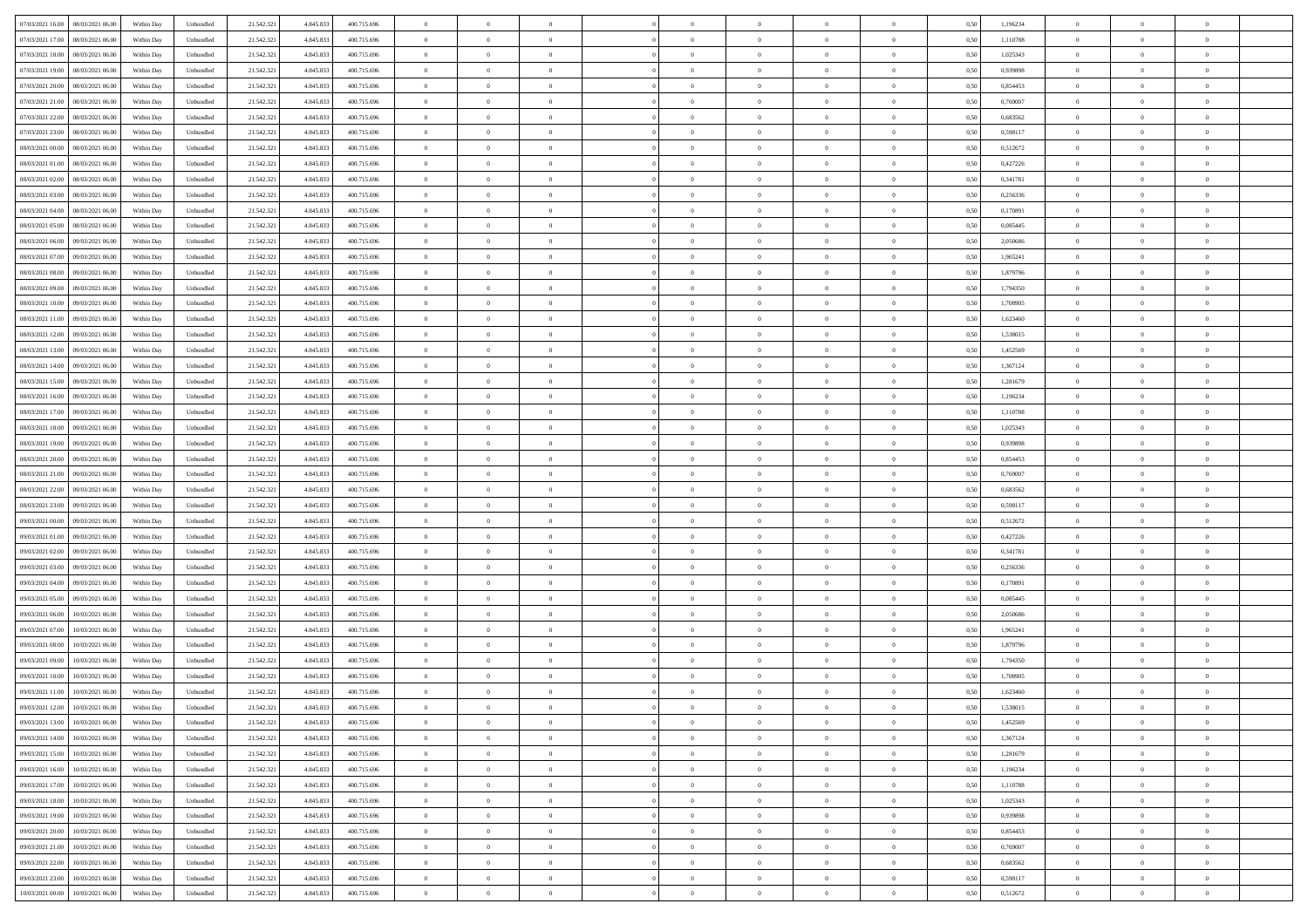| 07/03/2021 16:00  08/03/2021 06:00           | Within Day | Unbundled | 21.542.321 | 4.845.833 | 400.715.696 | $\overline{0}$ | $\overline{0}$ |                | $\overline{0}$ | $\bf{0}$       |                | $\bf{0}$       | 0,50 | 1,196234 | $\theta$       | $\theta$       | $\theta$       |  |
|----------------------------------------------|------------|-----------|------------|-----------|-------------|----------------|----------------|----------------|----------------|----------------|----------------|----------------|------|----------|----------------|----------------|----------------|--|
|                                              |            |           |            |           |             |                |                |                |                |                |                |                |      |          |                |                |                |  |
| 07/03/2021 17:00<br>08/03/2021 06:00         | Within Day | Unbundled | 21.542.32  | 4.845.83  | 400.715.696 | $\bf{0}$       | $\overline{0}$ | $\overline{0}$ | $\overline{0}$ | $\theta$       | $\overline{0}$ | $\bf{0}$       | 0,50 | 1,110788 | $\,$ 0 $\,$    | $\bf{0}$       | $\overline{0}$ |  |
| 07/03/2021 18:00<br>08/03/2021 06:00         | Within Day | Unbundled | 21.542.321 | 4.845.833 | 400.715.696 | $\overline{0}$ | $\overline{0}$ | $\overline{0}$ | $\bf{0}$       | $\bf{0}$       | $\overline{0}$ | $\bf{0}$       | 0.50 | 1,025343 | $\bf{0}$       | $\overline{0}$ | $\overline{0}$ |  |
| 07/03/2021 19:00<br>08/03/2021 06:00         | Within Day | Unbundled | 21.542.32  | 4.845.833 | 400.715.696 | $\overline{0}$ | $\overline{0}$ | $\overline{0}$ | $\theta$       | $\theta$       | $\overline{0}$ | $\overline{0}$ | 0,50 | 0,939898 | $\theta$       | $\theta$       | $\overline{0}$ |  |
| 07/03/2021 20:00<br>08/03/2021 06:00         | Within Day | Unbundled | 21.542.32  | 4.845.833 | 400.715.696 | $\overline{0}$ | $\theta$       | $\overline{0}$ | $\overline{0}$ | $\theta$       | $\overline{0}$ | $\bf{0}$       | 0,50 | 0,854453 | $\,$ 0 $\,$    | $\theta$       | $\overline{0}$ |  |
| 07/03/2021 21:00<br>08/03/2021 06:00         | Within Day | Unbundled | 21.542.321 | 4.845.83  | 400.715.696 | $\overline{0}$ | $\overline{0}$ | $\overline{0}$ | $\overline{0}$ | $\overline{0}$ | $\Omega$       | $\bf{0}$       | 0.50 | 0.769007 | $\theta$       | $\theta$       | $\overline{0}$ |  |
|                                              |            |           |            |           |             | $\overline{0}$ | $\overline{0}$ | $\overline{0}$ | $\overline{0}$ | $\theta$       | $\overline{0}$ |                |      |          | $\theta$       | $\theta$       | $\overline{0}$ |  |
| 07/03/2021 22.00<br>08/03/2021 06:00         | Within Day | Unbundled | 21.542.32  | 4.845.833 | 400.715.696 |                |                |                |                |                |                | $\bf{0}$       | 0,50 | 0,683562 |                |                |                |  |
| 07/03/2021 23:00<br>08/03/2021 06:00         | Within Day | Unbundled | 21.542.32  | 4.845.83  | 400.715.696 | $\overline{0}$ | $\overline{0}$ | $\overline{0}$ | $\overline{0}$ | $\theta$       | $\overline{0}$ | $\bf{0}$       | 0,50 | 0,598117 | $\,$ 0 $\,$    | $\bf{0}$       | $\overline{0}$ |  |
| 08/03/2021 00:00<br>08/03/2021 06:00         | Within Day | Unbundled | 21.542.321 | 4.845.83  | 400.715.696 | $\overline{0}$ | $\overline{0}$ | $\overline{0}$ | $\bf{0}$       | $\overline{0}$ | $\overline{0}$ | $\bf{0}$       | 0.50 | 0,512672 | $\bf{0}$       | $\theta$       | $\overline{0}$ |  |
| 08/03/2021 01:00<br>08/03/2021 06:00         | Within Day | Unbundled | 21.542.321 | 4.845.833 | 400.715.696 | $\overline{0}$ | $\bf{0}$       | $\overline{0}$ | $\overline{0}$ | $\theta$       | $\overline{0}$ | $\bf{0}$       | 0,50 | 0,427226 | $\,$ 0 $\,$    | $\theta$       | $\overline{0}$ |  |
| 08/03/2021 02:00<br>08/03/2021 06:00         | Within Day | Unbundled | 21.542.32  | 4.845.833 | 400.715.696 | $\bf{0}$       | $\overline{0}$ | $\bf{0}$       | $\overline{0}$ | $\bf{0}$       | $\overline{0}$ | $\bf{0}$       | 0,50 | 0,341781 | $\,$ 0 $\,$    | $\bf{0}$       | $\overline{0}$ |  |
| 08/03/2021 03:00<br>08/03/2021 06:00         | Within Day | Unbundled | 21.542.321 | 4.845.83  | 400.715.696 | $\overline{0}$ | $\overline{0}$ | $\overline{0}$ | $\bf{0}$       | $\bf{0}$       | $\overline{0}$ | $\bf{0}$       | 0.50 | 0,256336 | $\bf{0}$       | $\overline{0}$ | $\bf{0}$       |  |
| 08/03/2021 04:00<br>08/03/2021 06:00         | Within Day | Unbundled | 21.542.32  | 4.845.833 | 400.715.696 | $\overline{0}$ | $\overline{0}$ | $\overline{0}$ | $\overline{0}$ | $\theta$       | $\overline{0}$ | $\overline{0}$ | 0,50 | 0,170891 | $\theta$       | $\theta$       | $\overline{0}$ |  |
|                                              |            |           |            |           |             |                | $\theta$       |                | $\overline{0}$ | $\theta$       | $\overline{0}$ | $\bf{0}$       |      |          |                | $\bf{0}$       | $\overline{0}$ |  |
| 08/03/2021 05:00<br>08/03/2021 06:00         | Within Day | Unbundled | 21.542.32  | 4.845.83  | 400.715.696 | $\bf{0}$       |                | $\bf{0}$       |                |                |                |                | 0,50 | 0,085445 | $\bf{0}$       |                |                |  |
| 08/03/2021 06:00<br>09/03/2021 06:00         | Within Day | Unbundled | 21.542.321 | 4.845.83  | 400.715.696 | $\overline{0}$ | $\overline{0}$ | $\overline{0}$ | $\bf{0}$       | $\theta$       | $\theta$       | $\bf{0}$       | 0.50 | 2.050686 | $\theta$       | $\theta$       | $\overline{0}$ |  |
| 08/03/2021 07:00<br>09/03/2021 06:00         | Within Day | Unbundled | 21.542.321 | 4.845.833 | 400.715.696 | $\overline{0}$ | $\overline{0}$ | $\overline{0}$ | $\overline{0}$ | $\overline{0}$ | $\overline{0}$ | $\bf{0}$       | 0,50 | 1,965241 | $\theta$       | $\theta$       | $\overline{0}$ |  |
| 08/03/2021 08:00<br>09/03/2021 06.00         | Within Day | Unbundled | 21.542.32  | 4.845.83  | 400.715.696 | $\bf{0}$       | $\overline{0}$ | $\overline{0}$ | $\overline{0}$ | $\theta$       | $\overline{0}$ | $\bf{0}$       | 0,50 | 1,879796 | $\,$ 0 $\,$    | $\theta$       | $\overline{0}$ |  |
| 08/03/2021 09:00<br>09/03/2021 06:00         | Within Day | Unbundled | 21.542.32  | 4.845.83  | 400.715.696 | $\overline{0}$ | $\overline{0}$ | $\overline{0}$ | $\bf{0}$       | $\overline{0}$ | $\overline{0}$ | $\bf{0}$       | 0.50 | 1,794350 | $\bf{0}$       | $\overline{0}$ | $\overline{0}$ |  |
| 08/03/2021 10:00<br>09/03/2021 06:00         | Within Day | Unbundled | 21.542.321 | 4.845.833 | 400.715.696 | $\overline{0}$ | $\overline{0}$ | $\overline{0}$ | $\overline{0}$ | $\theta$       | $\overline{0}$ | $\bf{0}$       | 0,50 | 1,708905 | $\,$ 0 $\,$    | $\theta$       | $\overline{0}$ |  |
| 08/03/2021 11:00<br>09/03/2021 06.00         | Within Day | Unbundled | 21.542.32  | 4.845.83  | 400.715.696 | $\bf{0}$       | $\overline{0}$ | $\bf{0}$       | $\bf{0}$       | $\overline{0}$ | $\overline{0}$ | $\bf{0}$       | 0,50 | 1,623460 | $\,$ 0 $\,$    | $\bf{0}$       | $\overline{0}$ |  |
| 08/03/2021 12:00<br>09/03/2021 06:00         | Within Day | Unbundled | 21.542.321 | 4.845.833 | 400.715.696 | $\overline{0}$ | $\overline{0}$ | $\overline{0}$ | $\bf{0}$       | $\bf{0}$       | $\overline{0}$ | $\bf{0}$       | 0.50 | 1.538015 | $\bf{0}$       | $\overline{0}$ | $\overline{0}$ |  |
|                                              |            |           |            |           |             |                |                |                |                |                |                |                |      |          |                |                |                |  |
| 08/03/2021 13:00<br>09/03/2021 06:00         | Within Day | Unbundled | 21.542.32  | 4.845.833 | 400.715.696 | $\overline{0}$ | $\overline{0}$ | $\overline{0}$ | $\theta$       | $\theta$       | $\overline{0}$ | $\bf{0}$       | 0,50 | 1,452569 | $\theta$       | $\theta$       | $\overline{0}$ |  |
| 08/03/2021 14:00<br>09/03/2021 06.00         | Within Day | Unbundled | 21.542.32  | 4.845.833 | 400.715.696 | $\bf{0}$       | $\overline{0}$ | $\bf{0}$       | $\overline{0}$ | $\theta$       | $\overline{0}$ | $\bf{0}$       | 0,50 | 1,367124 | $\,$ 0 $\,$    | $\bf{0}$       | $\overline{0}$ |  |
| 08/03/2021 15:00<br>09/03/2021 06:00         | Within Day | Unbundled | 21.542.321 | 4.845.83  | 400.715.696 | $\overline{0}$ | $\overline{0}$ | $\overline{0}$ | $\overline{0}$ | $\overline{0}$ | $\Omega$       | $\bf{0}$       | 0.50 | 1.281679 | $\bf{0}$       | $\theta$       | $\overline{0}$ |  |
| 08/03/2021 16:00<br>09/03/2021 06:00         | Within Day | Unbundled | 21.542.321 | 4.845.833 | 400.715.696 | $\overline{0}$ | $\overline{0}$ | $\overline{0}$ | $\overline{0}$ | $\theta$       | $\overline{0}$ | $\bf{0}$       | 0,50 | 1,196234 | $\theta$       | $\theta$       | $\overline{0}$ |  |
| 08/03/2021 17:00<br>09/03/2021 06.00         | Within Day | Unbundled | 21.542.32  | 4.845.83  | 400.715.696 | $\bf{0}$       | $\overline{0}$ | $\overline{0}$ | $\overline{0}$ | $\theta$       | $\overline{0}$ | $\bf{0}$       | 0,50 | 1,110788 | $\,$ 0 $\,$    | $\bf{0}$       | $\overline{0}$ |  |
| 08/03/2021 18:00<br>09/03/2021 06:00         | Within Day | Unbundled | 21.542.32  | 4.845.83  | 400.715.696 | $\overline{0}$ | $\overline{0}$ | $\overline{0}$ | $\bf{0}$       | $\overline{0}$ | $\overline{0}$ | $\bf{0}$       | 0.50 | 1.025343 | $\bf{0}$       | $\overline{0}$ | $\overline{0}$ |  |
| 08/03/2021 19:00<br>09/03/2021 06:00         | Within Day | Unbundled | 21.542.321 | 4.845.833 | 400.715.696 | $\overline{0}$ | $\overline{0}$ | $\overline{0}$ | $\overline{0}$ | $\theta$       | $\overline{0}$ | $\bf{0}$       | 0,50 | 0,939898 | $\theta$       | $\theta$       | $\overline{0}$ |  |
| 08/03/2021 20:00<br>09/03/2021 06.00         | Within Day | Unbundled | 21.542.32  | 4.845.833 | 400.715.696 | $\bf{0}$       | $\bf{0}$       | $\bf{0}$       | $\bf{0}$       | $\overline{0}$ | $\overline{0}$ | $\bf{0}$       | 0,50 | 0,854453 | $\,$ 0 $\,$    | $\bf{0}$       | $\overline{0}$ |  |
|                                              |            |           |            |           |             |                |                |                |                |                |                |                |      |          |                |                |                |  |
| 08/03/2021 21:00<br>09/03/2021 06:00         | Within Day | Unbundled | 21.542.321 | 4.845.83  | 400.715.696 | $\overline{0}$ | $\overline{0}$ | $\overline{0}$ | $\bf{0}$       | $\bf{0}$       | $\overline{0}$ | $\bf{0}$       | 0.50 | 0.769007 | $\bf{0}$       | $\overline{0}$ | $\overline{0}$ |  |
| 08/03/2021 22:00<br>09/03/2021 06:00         | Within Day | Unbundled | 21.542.32  | 4.845.83  | 400.715.696 | $\overline{0}$ | $\overline{0}$ | $\overline{0}$ | $\overline{0}$ | $\theta$       | $\overline{0}$ | $\bf{0}$       | 0.5( | 0,683562 | $\theta$       | $\theta$       | $\overline{0}$ |  |
| 08/03/2021 23:00<br>09/03/2021 06.00         | Within Day | Unbundled | 21.542.32  | 4.845.83  | 400.715.696 | $\bf{0}$       | $\overline{0}$ | $\bf{0}$       | $\overline{0}$ | $\overline{0}$ | $\overline{0}$ | $\bf{0}$       | 0,50 | 0,598117 | $\,$ 0 $\,$    | $\bf{0}$       | $\overline{0}$ |  |
| 09/03/2021 00:00<br>09/03/2021 06:00         | Within Day | Unbundled | 21.542.321 | 4.845.83  | 400.715.696 | $\overline{0}$ | $\overline{0}$ | $\overline{0}$ | $\bf{0}$       | $\theta$       | $\Omega$       | $\bf{0}$       | 0.50 | 0,512672 | $\,$ 0 $\,$    | $\theta$       | $\overline{0}$ |  |
| 09/03/2021 01:00<br>09/03/2021 06:00         | Within Dav | Unbundled | 21.542.321 | 4.845.833 | 400.715.696 | $\overline{0}$ | $\theta$       | $\Omega$       | $\overline{0}$ | $\theta$       | $\overline{0}$ | $\overline{0}$ | 0.5( | 0,427226 | $\theta$       | $\theta$       | $\overline{0}$ |  |
| 09/03/2021 02:00<br>09/03/2021 06.00         | Within Day | Unbundled | 21.542.32  | 4.845.833 | 400.715.696 | $\bf{0}$       | $\overline{0}$ | $\bf{0}$       | $\overline{0}$ | $\bf{0}$       | $\overline{0}$ | $\bf{0}$       | 0,50 | 0,341781 | $\,$ 0 $\,$    | $\bf{0}$       | $\overline{0}$ |  |
| 09/03/2021 03:00<br>09/03/2021 06:00         | Within Day | Unbundled | 21.542.32  | 4.845.83  | 400.715.696 | $\overline{0}$ | $\overline{0}$ | $\overline{0}$ | $\bf{0}$       | $\overline{0}$ | $\overline{0}$ | $\bf{0}$       | 0.50 | 0.256336 | $\bf{0}$       | $\overline{0}$ | $\overline{0}$ |  |
| 09/03/2021 04:00<br>09/03/2021 06:00         | Within Dav | Unbundled | 21.542.32  | 4.845.83  | 400.715.696 | $\overline{0}$ | $\overline{0}$ | $\overline{0}$ | $\overline{0}$ | $\overline{0}$ | $\overline{0}$ | $\overline{0}$ | 0.50 | 0,170891 | $\theta$       | $\theta$       | $\overline{0}$ |  |
| 09/03/2021 06.00                             | Within Day | Unbundled | 21.542.32  | 4.845.83  | 400.715.696 | $\bf{0}$       | $\bf{0}$       | $\bf{0}$       | $\bf{0}$       | $\overline{0}$ | $\overline{0}$ | $\bf{0}$       | 0,50 | 0,085445 | $\,$ 0 $\,$    | $\bf{0}$       | $\overline{0}$ |  |
| 09/03/2021 05:00                             |            |           |            |           |             |                |                |                |                |                |                |                |      |          |                |                |                |  |
| 09/03/2021 06:00<br>10/03/2021 06:00         | Within Day | Unbundled | 21.542.321 | 4.845.833 | 400.715.696 | $\overline{0}$ | $\bf{0}$       | $\overline{0}$ | $\bf{0}$       | $\bf{0}$       | $\overline{0}$ | $\bf{0}$       | 0.50 | 2.050686 | $\bf{0}$       | $\overline{0}$ | $\overline{0}$ |  |
| 09/03/2021 07:00<br>10/03/2021 06:00         | Within Dav | Unbundled | 21.542.321 | 4.845.833 | 400.715.696 | $\overline{0}$ | $\overline{0}$ | $\Omega$       | $\overline{0}$ | $\theta$       | $\overline{0}$ | $\bf{0}$       | 0.50 | 1,965241 | $\theta$       | $\theta$       | $\overline{0}$ |  |
| 09/03/2021 08:00<br>10/03/2021 06:00         | Within Day | Unbundled | 21.542.32  | 4.845.833 | 400.715.696 | $\bf{0}$       | $\overline{0}$ | $\bf{0}$       | $\overline{0}$ | $\overline{0}$ | $\overline{0}$ | $\bf{0}$       | 0,50 | 1,879796 | $\,$ 0 $\,$    | $\bf{0}$       | $\overline{0}$ |  |
| 09/03/2021 09:00<br>10/03/2021 06:00         | Within Day | Unbundled | 21.542.321 | 4.845.83  | 400.715.696 | $\overline{0}$ | $\overline{0}$ | $\Omega$       | $\overline{0}$ | $\theta$       | $\theta$       | $\overline{0}$ | 0.50 | 1,794350 | $\bf{0}$       | $\overline{0}$ | $\overline{0}$ |  |
| 09/03/2021 10:00<br>10/03/2021 06:00         | Within Dav | Unbundled | 21.542.32  | 4.845.83  | 400.715.696 | $\overline{0}$ | $\overline{0}$ | $\Omega$       | $\overline{0}$ | $\theta$       | $\Omega$       | $\overline{0}$ | 0.5( | 1,708905 | $\theta$       | $\theta$       | $\overline{0}$ |  |
| 09/03/2021 11:00<br>10/03/2021 06:00         | Within Day | Unbundled | 21.542.32  | 4.845.833 | 400.715.696 | $\bf{0}$       | $\bf{0}$       | $\overline{0}$ | $\bf{0}$       | $\bf{0}$       | $\overline{0}$ | $\bf{0}$       | 0,50 | 1,623460 | $\,$ 0 $\,$    | $\bf{0}$       | $\overline{0}$ |  |
| $09/03/2021\ 12.00 \qquad 10/03/2021\ 06.00$ | Within Day | Unbundled | 21.542.321 | 4.845.833 | 400.715.696 | $\overline{0}$ | $\Omega$       |                | $\Omega$       |                |                |                | 0,50 | 1.538015 | $\theta$       | $\overline{0}$ |                |  |
| 09/03/2021 13:00 10/03/2021 06:00            | Within Day | Unbundled | 21.542.321 | 4.845.833 | 400.715.696 | $\overline{0}$ | $\theta$       | $\overline{0}$ | $\theta$       | $\overline{0}$ | $\overline{0}$ | $\bf{0}$       | 0,50 | 1,452569 | $\theta$       | $\theta$       | $\overline{0}$ |  |
|                                              |            |           |            |           |             |                |                |                |                |                |                |                |      |          |                |                |                |  |
| 09/03/2021 14:00<br>10/03/2021 06:00         | Within Day | Unbundled | 21.542.321 | 4.845.833 | 400.715.696 | $\overline{0}$ | $\bf{0}$       | $\overline{0}$ | $\overline{0}$ | $\bf{0}$       | $\overline{0}$ | $\bf{0}$       | 0,50 | 1,367124 | $\bf{0}$       | $\overline{0}$ | $\bf{0}$       |  |
| 09/03/2021 15:00<br>10/03/2021 06:00         | Within Day | Unbundled | 21.542.321 | 4.845.833 | 400.715.696 | $\overline{0}$ | $\bf{0}$       | $\overline{0}$ | $\overline{0}$ | $\overline{0}$ | $\overline{0}$ | $\,$ 0 $\,$    | 0.50 | 1.281679 | $\overline{0}$ | $\bf{0}$       | $\,$ 0 $\,$    |  |
| 09/03/2021 16:00<br>10/03/2021 06:00         | Within Day | Unbundled | 21.542.321 | 4.845.833 | 400.715.696 | $\overline{0}$ | $\overline{0}$ | $\overline{0}$ | $\overline{0}$ | $\overline{0}$ | $\overline{0}$ | $\bf{0}$       | 0,50 | 1,196234 | $\theta$       | $\theta$       | $\overline{0}$ |  |
| 09/03/2021 17:00<br>10/03/2021 06:00         | Within Day | Unbundled | 21.542.321 | 4.845.833 | 400.715.696 | $\overline{0}$ | $\bf{0}$       | $\overline{0}$ | $\bf{0}$       | $\overline{0}$ | $\bf{0}$       | $\bf{0}$       | 0,50 | 1,110788 | $\overline{0}$ | $\bf{0}$       | $\overline{0}$ |  |
| 09/03/2021 18:00<br>10/03/2021 06:00         | Within Day | Unbundled | 21.542.321 | 4.845.833 | 400.715.696 | $\overline{0}$ | $\bf{0}$       | $\overline{0}$ | $\overline{0}$ | $\overline{0}$ | $\overline{0}$ | $\bf{0}$       | 0.50 | 1.025343 | $\,$ 0 $\,$    | $\theta$       | $\,$ 0         |  |
| 09/03/2021 19:00<br>10/03/2021 06:00         | Within Dav | Unbundled | 21.542.321 | 4.845.833 | 400.715.696 | $\overline{0}$ | $\overline{0}$ | $\overline{0}$ | $\overline{0}$ | $\overline{0}$ | $\overline{0}$ | $\bf{0}$       | 0,50 | 0,939898 | $\overline{0}$ | $\theta$       | $\overline{0}$ |  |
| 09/03/2021 20:00<br>10/03/2021 06:00         | Within Day | Unbundled | 21.542.32  | 4.845.833 | 400.715.696 | $\overline{0}$ | $\overline{0}$ | $\overline{0}$ | $\overline{0}$ | $\overline{0}$ | $\overline{0}$ | $\bf{0}$       | 0,50 | 0,854453 | $\bf{0}$       | $\overline{0}$ | $\overline{0}$ |  |
|                                              |            | Unbundled |            |           | 400.715.696 |                | $\overline{0}$ | $\overline{0}$ |                |                | $\overline{0}$ |                | 0.50 | 0.769007 |                | $\,$ 0 $\,$    | $\,$ 0         |  |
| 09/03/2021 21:00<br>10/03/2021 06:00         | Within Day |           | 21.542.321 | 4.845.833 |             | $\overline{0}$ |                |                | $\overline{0}$ | $\bf{0}$       |                | $\bf{0}$       |      |          | $\overline{0}$ |                |                |  |
| 09/03/2021 22:00<br>10/03/2021 06:00         | Within Dav | Unbundled | 21.542.321 | 4.845.833 | 400.715.696 | $\overline{0}$ | $\overline{0}$ | $\overline{0}$ | $\overline{0}$ | $\overline{0}$ | $\overline{0}$ | $\bf{0}$       | 0,50 | 0,683562 | $\overline{0}$ | $\theta$       | $\overline{0}$ |  |
| 09/03/2021 23:00<br>10/03/2021 06:00         | Within Day | Unbundled | 21.542.32  | 4.845.833 | 400.715.696 | $\overline{0}$ | $\bf{0}$       | $\overline{0}$ | $\bf{0}$       | $\overline{0}$ | $\bf{0}$       | $\bf{0}$       | 0,50 | 0,598117 | $\bf{0}$       | $\bf{0}$       | $\overline{0}$ |  |
| 10/03/2021 00:00 10/03/2021 06:00            | Within Day | Unbundled | 21.542.321 | 4.845.833 | 400.715.696 | $\overline{0}$ | $\bf{0}$       | $\overline{0}$ | $\overline{0}$ | $\,$ 0 $\,$    | $\overline{0}$ | $\bf{0}$       | 0,50 | 0,512672 | $\overline{0}$ | $\,$ 0 $\,$    | $\,$ 0 $\,$    |  |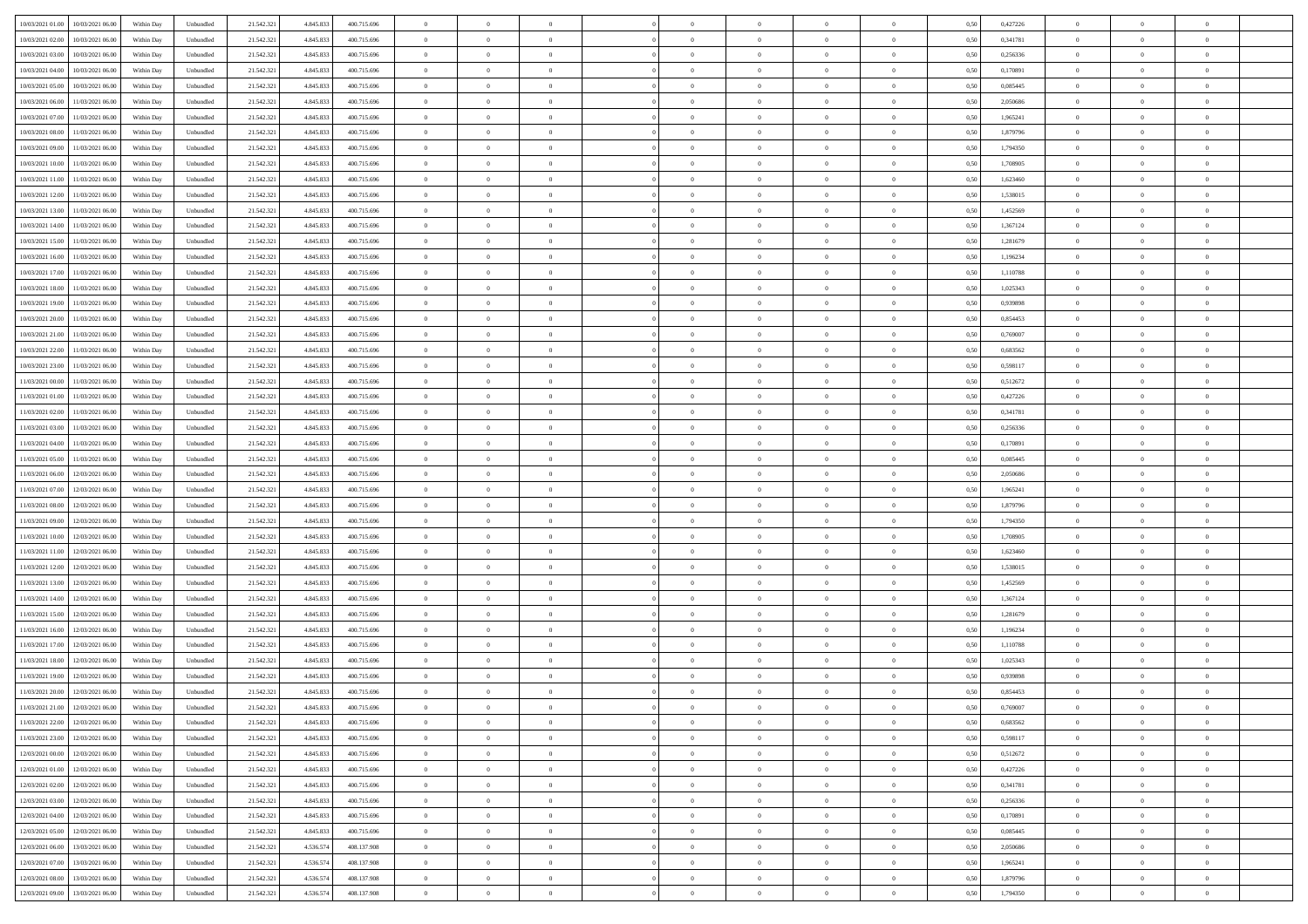| 10/03/2021 01:00<br>10/03/2021 06:00           | Within Day | Unbundled | 21.542.321 | 4.845.833 | 400.715.696 | $\overline{0}$ | $\overline{0}$ |                | $\overline{0}$ | $\theta$       |                | $\theta$       | 0,50 | 0,427226 | $\theta$       | $\theta$       | $\theta$       |  |
|------------------------------------------------|------------|-----------|------------|-----------|-------------|----------------|----------------|----------------|----------------|----------------|----------------|----------------|------|----------|----------------|----------------|----------------|--|
|                                                |            |           |            |           |             |                |                |                |                |                |                |                |      |          |                |                |                |  |
| 10/03/2021 02:00<br>10/03/2021 06:00           | Within Day | Unbundled | 21.542.32  | 4.845.83  | 400.715.696 | $\bf{0}$       | $\overline{0}$ | $\bf{0}$       | $\overline{0}$ | $\overline{0}$ | $\overline{0}$ | $\bf{0}$       | 0,50 | 0,341781 | $\,$ 0 $\,$    | $\bf{0}$       | $\overline{0}$ |  |
| 10/03/2021 03:00<br>10/03/2021 06:00           | Within Day | Unbundled | 21.542.321 | 4.845.83  | 400.715.696 | $\overline{0}$ | $\bf{0}$       | $\overline{0}$ | $\bf{0}$       | $\bf{0}$       | $\overline{0}$ | $\bf{0}$       | 0.50 | 0,256336 | $\bf{0}$       | $\overline{0}$ | $\bf{0}$       |  |
| 10/03/2021 04:00<br>10/03/2021 06:00           | Within Day | Unbundled | 21.542.32  | 4.845.833 | 400.715.696 | $\overline{0}$ | $\overline{0}$ | $\overline{0}$ | $\theta$       | $\theta$       | $\overline{0}$ | $\bf{0}$       | 0,50 | 0,170891 | $\theta$       | $\theta$       | $\overline{0}$ |  |
| 10/03/2021 05:00<br>10/03/2021 06:00           | Within Day | Unbundled | 21.542.32  | 4.845.833 | 400.715.696 | $\bf{0}$       | $\overline{0}$ | $\bf{0}$       | $\overline{0}$ | $\theta$       | $\overline{0}$ | $\bf{0}$       | 0,50 | 0,085445 | $\,$ 0 $\,$    | $\bf{0}$       | $\overline{0}$ |  |
| 10/03/2021 06:00<br>11/03/2021 06:00           | Within Day | Unbundled | 21.542.321 | 4.845.83  | 400.715.696 | $\overline{0}$ | $\overline{0}$ | $\overline{0}$ | $\bf{0}$       | $\overline{0}$ | $\theta$       | $\bf{0}$       | 0.50 | 2.050686 | $\bf{0}$       | $\theta$       | $\overline{0}$ |  |
|                                                |            |           |            |           |             | $\overline{0}$ | $\overline{0}$ | $\overline{0}$ | $\overline{0}$ | $\overline{0}$ | $\overline{0}$ |                |      |          | $\theta$       | $\theta$       | $\overline{0}$ |  |
| 10/03/2021 07:00<br>11/03/2021 06:00           | Within Day | Unbundled | 21.542.32  | 4.845.833 | 400.715.696 |                |                |                |                |                |                | $\bf{0}$       | 0,50 | 1,965241 |                |                |                |  |
| 10/03/2021 08:00<br>11/03/2021 06:00           | Within Day | Unbundled | 21.542.32  | 4.845.83  | 400.715.696 | $\bf{0}$       | $\overline{0}$ | $\overline{0}$ | $\overline{0}$ | $\overline{0}$ | $\overline{0}$ | $\bf{0}$       | 0,50 | 1,879796 | $\,$ 0 $\,$    | $\bf{0}$       | $\overline{0}$ |  |
| 10/03/2021 09:00<br>11/03/2021 06:00           | Within Day | Unbundled | 21.542.321 | 4.845.83  | 400.715.696 | $\overline{0}$ | $\bf{0}$       | $\overline{0}$ | $\bf{0}$       | $\overline{0}$ | $\overline{0}$ | $\bf{0}$       | 0.50 | 1,794350 | $\bf{0}$       | $\overline{0}$ | $\overline{0}$ |  |
| 10/03/2021 10:00<br>11/03/2021 06:00           | Within Day | Unbundled | 21.542.321 | 4.845.833 | 400.715.696 | $\bf{0}$       | $\bf{0}$       | $\overline{0}$ | $\overline{0}$ | $\overline{0}$ | $\overline{0}$ | $\bf{0}$       | 0,50 | 1,708905 | $\,$ 0 $\,$    | $\bf{0}$       | $\overline{0}$ |  |
| 10/03/2021 11:00<br>11/03/2021 06:00           | Within Day | Unbundled | 21.542.32  | 4.845.833 | 400.715.696 | $\bf{0}$       | $\overline{0}$ | $\bf{0}$       | $\bf{0}$       | $\bf{0}$       | $\overline{0}$ | $\bf{0}$       | 0,50 | 1,623460 | $\,$ 0 $\,$    | $\bf{0}$       | $\overline{0}$ |  |
| 10/03/2021 12:00<br>11/03/2021 06:00           | Within Day | Unbundled | 21.542.321 | 4.845.83  | 400.715.696 | $\overline{0}$ | $\bf{0}$       | $\overline{0}$ | $\bf{0}$       | $\bf{0}$       | $\overline{0}$ | $\bf{0}$       | 0.50 | 1.538015 | $\bf{0}$       | $\overline{0}$ | $\bf{0}$       |  |
| 10/03/2021 13:00<br>11/03/2021 06:00           | Within Day | Unbundled | 21.542.32  | 4.845.833 | 400.715.696 | $\overline{0}$ | $\overline{0}$ | $\overline{0}$ | $\theta$       | $\theta$       | $\overline{0}$ | $\overline{0}$ | 0,50 | 1,452569 | $\theta$       | $\theta$       | $\overline{0}$ |  |
|                                                |            |           |            |           |             |                | $\overline{0}$ |                | $\overline{0}$ | $\theta$       | $\overline{0}$ |                |      |          | $\,$ 0 $\,$    | $\bf{0}$       | $\overline{0}$ |  |
| 10/03/2021 14:00<br>11/03/2021 06:00           | Within Day | Unbundled | 21.542.32  | 4.845.83  | 400.715.696 | $\bf{0}$       |                | $\bf{0}$       |                |                |                | $\bf{0}$       | 0,50 | 1,367124 |                |                |                |  |
| 10/03/2021 15:00<br>11/03/2021 06:00           | Within Day | Unbundled | 21.542.321 | 4.845.83  | 400.715.696 | $\overline{0}$ | $\overline{0}$ | $\overline{0}$ | $\bf{0}$       | $\overline{0}$ | $\Omega$       | $\bf{0}$       | 0.50 | 1.281679 | $\theta$       | $\theta$       | $\overline{0}$ |  |
| 10/03/2021 16:00<br>11/03/2021 06:00           | Within Day | Unbundled | 21.542.321 | 4.845.833 | 400.715.696 | $\overline{0}$ | $\overline{0}$ | $\overline{0}$ | $\overline{0}$ | $\overline{0}$ | $\overline{0}$ | $\bf{0}$       | 0,50 | 1,196234 | $\theta$       | $\theta$       | $\overline{0}$ |  |
| 10/03/2021 17:00<br>11/03/2021 06:00           | Within Day | Unbundled | 21.542.32  | 4.845.83  | 400.715.696 | $\bf{0}$       | $\overline{0}$ | $\overline{0}$ | $\overline{0}$ | $\bf{0}$       | $\overline{0}$ | $\bf{0}$       | 0,50 | 1,110788 | $\,$ 0 $\,$    | $\bf{0}$       | $\overline{0}$ |  |
| 10/03/2021 18:00<br>11/03/2021 06:00           | Within Day | Unbundled | 21.542.32  | 4.845.83  | 400.715.696 | $\overline{0}$ | $\bf{0}$       | $\overline{0}$ | $\bf{0}$       | $\overline{0}$ | $\overline{0}$ | $\bf{0}$       | 0.50 | 1.025343 | $\bf{0}$       | $\overline{0}$ | $\bf{0}$       |  |
| 10/03/2021 19:00<br>11/03/2021 06:00           | Within Day | Unbundled | 21.542.321 | 4.845.833 | 400.715.696 | $\overline{0}$ | $\overline{0}$ | $\overline{0}$ | $\overline{0}$ | $\overline{0}$ | $\overline{0}$ | $\bf{0}$       | 0,50 | 0,939898 | $\,$ 0 $\,$    | $\theta$       | $\overline{0}$ |  |
| 10/03/2021 20:00<br>11/03/2021 06:00           | Within Day | Unbundled | 21.542.32  | 4.845.83  | 400.715.696 | $\bf{0}$       | $\bf{0}$       | $\bf{0}$       | $\bf{0}$       | $\overline{0}$ | $\overline{0}$ | $\bf{0}$       | 0,50 | 0,854453 | $\,$ 0 $\,$    | $\bf{0}$       | $\overline{0}$ |  |
| 10/03/2021 21:00<br>11/03/2021 06:00           | Within Day | Unbundled | 21.542.321 | 4.845.833 | 400.715.696 | $\overline{0}$ | $\bf{0}$       | $\overline{0}$ | $\bf{0}$       | $\bf{0}$       | $\overline{0}$ | $\bf{0}$       | 0.50 | 0.769007 | $\bf{0}$       | $\overline{0}$ | $\bf{0}$       |  |
|                                                |            |           |            |           |             |                |                |                |                |                |                |                |      |          |                |                |                |  |
| 10/03/2021 22:00<br>11/03/2021 06:00           | Within Day | Unbundled | 21.542.32  | 4.845.833 | 400.715.696 | $\overline{0}$ | $\overline{0}$ | $\overline{0}$ | $\theta$       | $\theta$       | $\overline{0}$ | $\bf{0}$       | 0,50 | 0,683562 | $\theta$       | $\theta$       | $\overline{0}$ |  |
| 10/03/2021 23:00<br>11/03/2021 06:00           | Within Day | Unbundled | 21.542.32  | 4.845.833 | 400.715.696 | $\bf{0}$       | $\overline{0}$ | $\bf{0}$       | $\bf{0}$       | $\bf{0}$       | $\overline{0}$ | $\bf{0}$       | 0,50 | 0,598117 | $\,$ 0 $\,$    | $\bf{0}$       | $\overline{0}$ |  |
| 11/03/2021 00:00<br>11/03/2021 06:00           | Within Day | Unbundled | 21.542.321 | 4.845.83  | 400.715.696 | $\overline{0}$ | $\overline{0}$ | $\overline{0}$ | $\overline{0}$ | $\overline{0}$ | $\theta$       | $\bf{0}$       | 0.50 | 0,512672 | $\,$ 0 $\,$    | $\theta$       | $\overline{0}$ |  |
| 11/03/2021 01:00<br>11/03/2021 06:00           | Within Day | Unbundled | 21.542.321 | 4.845.833 | 400.715.696 | $\overline{0}$ | $\overline{0}$ | $\overline{0}$ | $\overline{0}$ | $\theta$       | $\overline{0}$ | $\bf{0}$       | 0,50 | 0,427226 | $\theta$       | $\theta$       | $\overline{0}$ |  |
| 11/03/2021 02:00<br>11/03/2021 06:00           | Within Day | Unbundled | 21.542.32  | 4.845.83  | 400.715.696 | $\bf{0}$       | $\overline{0}$ | $\bf{0}$       | $\overline{0}$ | $\theta$       | $\overline{0}$ | $\bf{0}$       | 0,50 | 0,341781 | $\,$ 0 $\,$    | $\bf{0}$       | $\overline{0}$ |  |
| 11/03/2021 03:00<br>11/03/2021 06:00           | Within Day | Unbundled | 21.542.32  | 4.845.83  | 400.715.696 | $\overline{0}$ | $\bf{0}$       | $\overline{0}$ | $\bf{0}$       | $\overline{0}$ | $\overline{0}$ | $\bf{0}$       | 0.50 | 0.256336 | $\bf{0}$       | $\overline{0}$ | $\overline{0}$ |  |
| 11/03/2021 04:00<br>11/03/2021 06:00           | Within Day | Unbundled | 21.542.321 | 4.845.833 | 400.715.696 | $\overline{0}$ | $\overline{0}$ | $\overline{0}$ | $\overline{0}$ | $\overline{0}$ | $\overline{0}$ | $\bf{0}$       | 0,50 | 0,170891 | $\theta$       | $\theta$       | $\overline{0}$ |  |
| 11/03/2021 05:00<br>11/03/2021 06:00           | Within Day | Unbundled | 21.542.32  | 4.845.833 | 400.715.696 | $\bf{0}$       | $\bf{0}$       | $\bf{0}$       | $\bf{0}$       | $\overline{0}$ | $\overline{0}$ | $\bf{0}$       | 0,50 | 0,085445 | $\,$ 0 $\,$    | $\bf{0}$       | $\overline{0}$ |  |
|                                                |            |           |            |           |             |                |                |                |                |                |                |                |      |          |                |                |                |  |
| 11/03/2021 06:00<br>12/03/2021 06:00           | Within Day | Unbundled | 21.542.321 | 4.845.83  | 400.715.696 | $\overline{0}$ | $\bf{0}$       | $\overline{0}$ | $\bf{0}$       | $\bf{0}$       | $\overline{0}$ | $\bf{0}$       | 0.50 | 2.050686 | $\bf{0}$       | $\overline{0}$ | $\bf{0}$       |  |
| 11/03/2021 07:00<br>12/03/2021 06:00           | Within Day | Unbundled | 21.542.32  | 4,845,833 | 400.715.696 | $\overline{0}$ | $\overline{0}$ | $\overline{0}$ | $\overline{0}$ | $\overline{0}$ | $\overline{0}$ | $\bf{0}$       | 0.5( | 1,965241 | $\theta$       | $\theta$       | $\overline{0}$ |  |
| 11/03/2021 08:00<br>12/03/2021 06:00           | Within Day | Unbundled | 21.542.32  | 4.845.83  | 400.715.696 | $\bf{0}$       | $\overline{0}$ | $\bf{0}$       | $\bf{0}$       | $\overline{0}$ | $\overline{0}$ | $\bf{0}$       | 0,50 | 1,879796 | $\,$ 0 $\,$    | $\bf{0}$       | $\overline{0}$ |  |
| 11/03/2021 09:00<br>12/03/2021 06:00           | Within Day | Unbundled | 21.542.321 | 4.845.83  | 400.715.696 | $\overline{0}$ | $\overline{0}$ | $\overline{0}$ | $\bf{0}$       | $\overline{0}$ | $\Omega$       | $\bf{0}$       | 0.50 | 1,794350 | $\,$ 0 $\,$    | $\theta$       | $\overline{0}$ |  |
| 11/03/2021 10:00<br>12/03/2021 06:00           | Within Dav | Unbundled | 21.542.321 | 4.845.833 | 400.715.696 | $\overline{0}$ | $\overline{0}$ | $\overline{0}$ | $\overline{0}$ | $\overline{0}$ | $\overline{0}$ | $\overline{0}$ | 0.5( | 1,708905 | $\theta$       | $\theta$       | $\overline{0}$ |  |
| 11/03/2021 11:00<br>12/03/2021 06:00           | Within Day | Unbundled | 21.542.32  | 4.845.833 | 400.715.696 | $\bf{0}$       | $\overline{0}$ | $\bf{0}$       | $\overline{0}$ | $\bf{0}$       | $\overline{0}$ | $\bf{0}$       | 0,50 | 1,623460 | $\,$ 0 $\,$    | $\bf{0}$       | $\overline{0}$ |  |
| 11/03/2021 12:00<br>12/03/2021 06:00           | Within Day | Unbundled | 21.542.321 | 4.845.83  | 400.715.696 | $\overline{0}$ | $\bf{0}$       | $\overline{0}$ | $\bf{0}$       | $\overline{0}$ | $\overline{0}$ | $\bf{0}$       | 0.50 | 1.538015 | $\bf{0}$       | $\overline{0}$ | $\overline{0}$ |  |
| 11/03/2021 13:00<br>12/03/2021 06:00           | Within Dav | Unbundled | 21.542.32  | 4.845.83  | 400.715.696 | $\overline{0}$ | $\overline{0}$ | $\overline{0}$ | $\overline{0}$ | $\overline{0}$ | $\overline{0}$ | $\overline{0}$ | 0.50 | 1,452569 | $\theta$       | $\theta$       | $\overline{0}$ |  |
| 12/03/2021 06:00                               | Within Day | Unbundled | 21.542.32  | 4.845.83  | 400.715.696 | $\bf{0}$       | $\bf{0}$       | $\bf{0}$       | $\bf{0}$       | $\overline{0}$ | $\overline{0}$ | $\bf{0}$       | 0,50 | 1,367124 | $\,$ 0 $\,$    | $\bf{0}$       | $\overline{0}$ |  |
| 11/03/2021 14:00                               |            |           |            |           |             |                |                |                |                |                |                |                |      |          |                |                |                |  |
| 11/03/2021 15:00<br>12/03/2021 06:00           | Within Day | Unbundled | 21.542.321 | 4.845.833 | 400.715.696 | $\overline{0}$ | $\bf{0}$       | $\overline{0}$ | $\bf{0}$       | $\bf{0}$       | $\overline{0}$ | $\bf{0}$       | 0.50 | 1.281679 | $\bf{0}$       | $\overline{0}$ | $\bf{0}$       |  |
| 11/03/2021 16:00<br>12/03/2021 06:00           | Within Dav | Unbundled | 21.542.321 | 4.845.833 | 400.715.696 | $\overline{0}$ | $\overline{0}$ | $\overline{0}$ | $\overline{0}$ | $\theta$       | $\overline{0}$ | $\bf{0}$       | 0.5( | 1,196234 | $\theta$       | $\theta$       | $\overline{0}$ |  |
| 11/03/2021 17:00<br>12/03/2021 06:00           | Within Day | Unbundled | 21.542.32  | 4.845.833 | 400.715.696 | $\bf{0}$       | $\overline{0}$ | $\bf{0}$       | $\bf{0}$       | $\overline{0}$ | $\overline{0}$ | $\bf{0}$       | 0,50 | 1,110788 | $\,$ 0 $\,$    | $\bf{0}$       | $\overline{0}$ |  |
| 11/03/2021 18:00<br>12/03/2021 06:00           | Within Day | Unbundled | 21.542.321 | 4.845.83  | 400.715.696 | $\overline{0}$ | $\overline{0}$ | $\Omega$       | $\overline{0}$ | $\overline{0}$ | $\Omega$       | $\bf{0}$       | 0.50 | 1.025343 | $\bf{0}$       | $\theta$       | $\overline{0}$ |  |
| 11/03/2021 19:00<br>12/03/2021 06:00           | Within Dav | Unbundled | 21.542.32  | 4.845.83  | 400.715.696 | $\overline{0}$ | $\overline{0}$ | $\Omega$       | $\overline{0}$ | $\theta$       | $\Omega$       | $\overline{0}$ | 0.5( | 0.939898 | $\theta$       | $\theta$       | $\overline{0}$ |  |
| 11/03/2021 20:00<br>12/03/2021 06:00           | Within Day | Unbundled | 21.542.32  | 4.845.83  | 400.715.696 | $\bf{0}$       | $\bf{0}$       | $\overline{0}$ | $\bf{0}$       | $\bf{0}$       | $\overline{0}$ | $\bf{0}$       | 0,50 | 0,854453 | $\,$ 0 $\,$    | $\bf{0}$       | $\overline{0}$ |  |
| $11/03/2021\; 21.00 \qquad 12/03/2021\; 06.00$ | Within Day | Unbundled | 21.542.321 | 4.845.833 | 400.715.696 | $\bf{0}$       | $\Omega$       |                | $\Omega$       |                |                |                | 0,50 | 0.769007 | $\theta$       | $\overline{0}$ |                |  |
| 11/03/2021 22:00 12/03/2021 06:00              | Within Day | Unbundled | 21.542.321 | 4.845.833 | 400.715.696 | $\overline{0}$ | $\overline{0}$ | $\overline{0}$ | $\theta$       | $\overline{0}$ | $\overline{0}$ | $\bf{0}$       | 0,50 | 0,683562 | $\theta$       | $\theta$       | $\overline{0}$ |  |
|                                                |            |           |            |           |             |                |                |                |                |                |                |                |      |          |                |                |                |  |
| 11/03/2021 23:00<br>12/03/2021 06:00           | Within Day | Unbundled | 21.542.321 | 4.845.833 | 400.715.696 | $\overline{0}$ | $\bf{0}$       | $\overline{0}$ | $\overline{0}$ | $\bf{0}$       | $\overline{0}$ | $\bf{0}$       | 0,50 | 0,598117 | $\bf{0}$       | $\overline{0}$ | $\bf{0}$       |  |
| 12/03/2021 00:00 12/03/2021 06:00              | Within Day | Unbundled | 21.542.321 | 4.845.833 | 400.715.696 | $\overline{0}$ | $\bf{0}$       | $\overline{0}$ | $\overline{0}$ | $\overline{0}$ | $\overline{0}$ | $\,$ 0 $\,$    | 0.50 | 0,512672 | $\overline{0}$ | $\bf{0}$       | $\,$ 0 $\,$    |  |
| 12/03/2021 01:00 12/03/2021 06:00              | Within Day | Unbundled | 21.542.321 | 4.845.833 | 400.715.696 | $\overline{0}$ | $\overline{0}$ | $\overline{0}$ | $\overline{0}$ | $\overline{0}$ | $\overline{0}$ | $\bf{0}$       | 0,50 | 0,427226 | $\overline{0}$ | $\theta$       | $\overline{0}$ |  |
| 12/03/2021 02:00<br>12/03/2021 06:00           | Within Day | Unbundled | 21.542.321 | 4.845.833 | 400.715.696 | $\overline{0}$ | $\bf{0}$       | $\overline{0}$ | $\bf{0}$       | $\overline{0}$ | $\bf{0}$       | $\bf{0}$       | 0,50 | 0,341781 | $\bf{0}$       | $\bf{0}$       | $\overline{0}$ |  |
| 12/03/2021 03:00<br>12/03/2021 06:00           | Within Day | Unbundled | 21.542.321 | 4.845.833 | 400.715.696 | $\overline{0}$ | $\bf{0}$       | $\overline{0}$ | $\overline{0}$ | $\overline{0}$ | $\overline{0}$ | $\bf{0}$       | 0.50 | 0.256336 | $\,$ 0 $\,$    | $\theta$       | $\overline{0}$ |  |
| 12/03/2021 04:00<br>12/03/2021 06:00           | Within Dav | Unbundled | 21.542.321 | 4.845.833 | 400.715.696 | $\overline{0}$ | $\overline{0}$ | $\overline{0}$ | $\overline{0}$ | $\overline{0}$ | $\overline{0}$ | $\bf{0}$       | 0.50 | 0,170891 | $\overline{0}$ | $\theta$       | $\overline{0}$ |  |
| 12/03/2021 05:00<br>12/03/2021 06:00           | Within Day | Unbundled | 21.542.32  | 4.845.833 | 400.715.696 | $\overline{0}$ | $\overline{0}$ | $\overline{0}$ | $\overline{0}$ | $\overline{0}$ | $\overline{0}$ | $\bf{0}$       | 0,50 | 0,085445 | $\bf{0}$       | $\overline{0}$ | $\overline{0}$ |  |
|                                                |            | Unbundled |            | 4.536.574 | 408.137.908 |                | $\overline{0}$ | $\overline{0}$ |                |                | $\overline{0}$ |                | 0.50 | 2.050686 |                |                | $\,$ 0         |  |
| 12/03/2021 06:00<br>13/03/2021 06:00           | Within Day |           | 21.542.321 |           |             | $\overline{0}$ |                |                | $\overline{0}$ | $\bf{0}$       |                | $\bf{0}$       |      |          | $\mathbf{0}$   | $\bf{0}$       |                |  |
| 12/03/2021 07:00 13/03/2021 06:00              | Within Dav | Unbundled | 21.542.321 | 4.536.574 | 408.137.908 | $\overline{0}$ | $\overline{0}$ | $\overline{0}$ | $\overline{0}$ | $\overline{0}$ | $\overline{0}$ | $\bf{0}$       | 0,50 | 1,965241 | $\overline{0}$ | $\theta$       | $\overline{0}$ |  |
| 12/03/2021 08:00<br>13/03/2021 06:00           | Within Day | Unbundled | 21.542.32  | 4.536.574 | 408.137.908 | $\overline{0}$ | $\bf{0}$       | $\overline{0}$ | $\bf{0}$       | $\overline{0}$ | $\bf{0}$       | $\bf{0}$       | 0,50 | 1,879796 | $\bf{0}$       | $\bf{0}$       | $\bf{0}$       |  |
| 12/03/2021 09:00 13/03/2021 06:00              | Within Day | Unbundled | 21.542.321 | 4.536.574 | 408.137.908 | $\overline{0}$ | $\bf{0}$       | $\overline{0}$ | $\overline{0}$ | $\,$ 0 $\,$    | $\overline{0}$ | $\bf{0}$       | 0,50 | 1,794350 | $\overline{0}$ | $\,$ 0 $\,$    | $\,$ 0 $\,$    |  |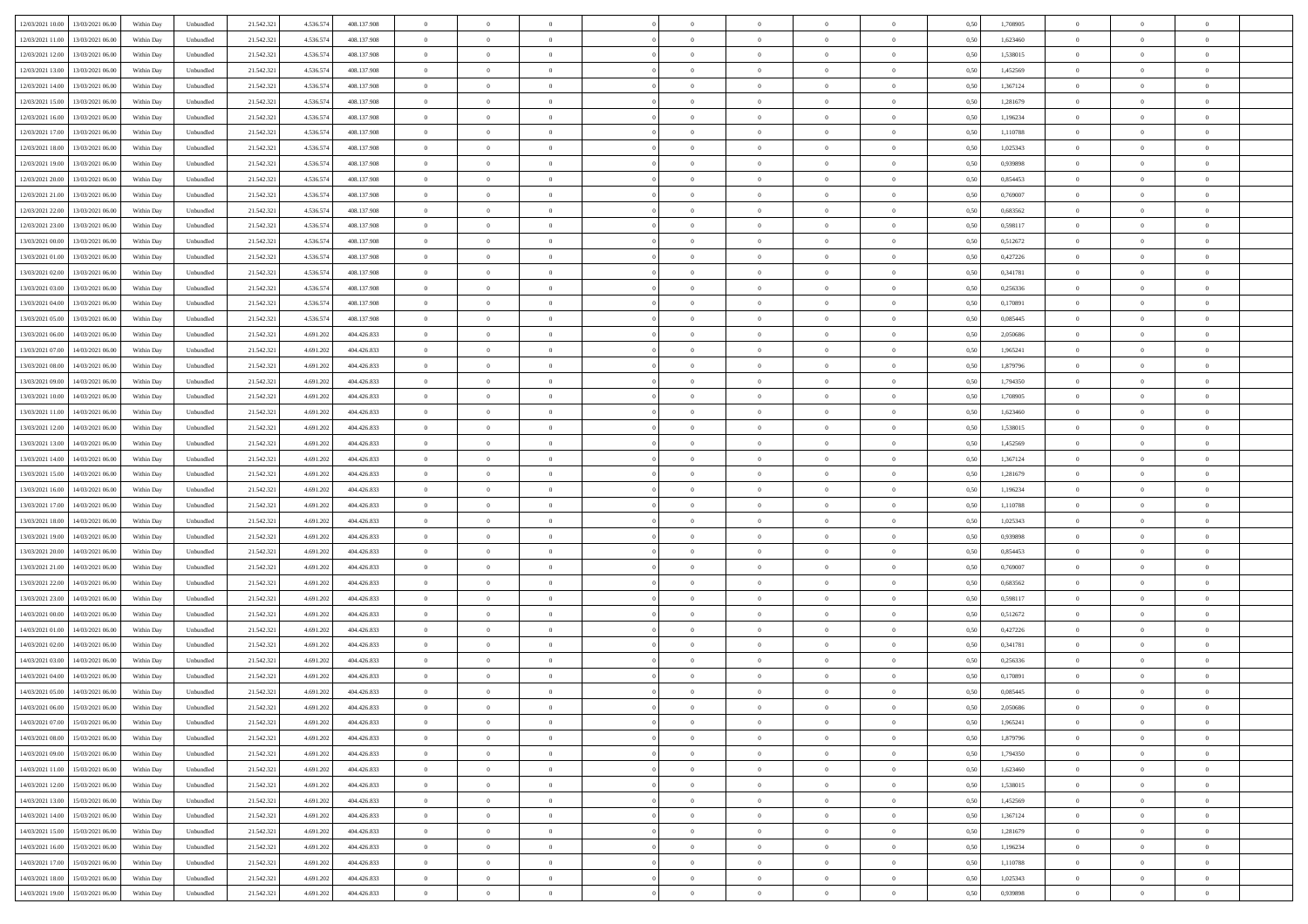| 12/03/2021 10:00 | 13/03/2021 06:00                  | Within Day | Unbundled | 21.542.321 | 4.536.574 | 408.137.908 | $\overline{0}$ | $\theta$       |                | $\overline{0}$ | $\bf{0}$       | $\overline{0}$ | $\theta$       | 0,50 | 1,708905 | $\theta$       | $\theta$       | $\overline{0}$           |  |
|------------------|-----------------------------------|------------|-----------|------------|-----------|-------------|----------------|----------------|----------------|----------------|----------------|----------------|----------------|------|----------|----------------|----------------|--------------------------|--|
|                  |                                   |            |           |            |           |             | $\overline{0}$ | $\theta$       | $\overline{0}$ | $\overline{0}$ | $\,$ 0         |                |                |      |          | $\,$ 0 $\,$    | $\overline{0}$ | $\overline{0}$           |  |
| 12/03/2021 11:00 | 13/03/2021 06.00                  | Within Day | Unbundled | 21.542.321 | 4.536.574 | 408.137.908 |                |                |                |                |                | $\bf{0}$       | $\bf{0}$       | 0,50 | 1,623460 |                |                |                          |  |
| 12/03/2021 12:00 | 13/03/2021 06:00                  | Within Day | Unbundled | 21.542.321 | 4.536.574 | 408.137.908 | $\overline{0}$ | $\overline{0}$ | $\overline{0}$ | $\overline{0}$ | $\bf{0}$       | $\overline{0}$ | $\mathbf{0}$   | 0.50 | 1.538015 | $\bf{0}$       | $\overline{0}$ | $\overline{0}$           |  |
| 12/03/2021 13:00 | 13/03/2021 06:00                  | Within Day | Unbundled | 21.542.321 | 4.536.574 | 408.137.908 | $\overline{0}$ | $\overline{0}$ | $\overline{0}$ | $\overline{0}$ | $\bf{0}$       | $\overline{0}$ | $\overline{0}$ | 0,50 | 1,452569 | $\,$ 0 $\,$    | $\overline{0}$ | $\overline{0}$           |  |
| 12/03/2021 14:00 | 13/03/2021 06.00                  | Within Day | Unbundled | 21.542.321 | 4.536.574 | 408.137.908 | $\overline{0}$ | $\theta$       | $\overline{0}$ |                | $\overline{0}$ | $\overline{0}$ | $\bf{0}$       | 0,50 | 1,367124 | $\,$ 0 $\,$    | $\overline{0}$ | $\overline{0}$           |  |
| 12/03/2021 15:00 | 13/03/2021 06:00                  | Within Day | Unbundled | 21.542.321 | 4.536.574 | 408.137.908 | $\overline{0}$ | $\overline{0}$ | $\overline{0}$ | $\overline{0}$ | $\bf{0}$       | $\overline{0}$ | $\bf{0}$       | 0.50 | 1.281679 | $\,0\,$        | $\theta$       | $\overline{0}$           |  |
| 12/03/2021 16:00 | 13/03/2021 06:00                  | Within Day | Unbundled | 21.542.321 | 4.536.574 | 408.137.908 | $\overline{0}$ | $\theta$       | $\overline{0}$ | $\overline{0}$ | $\,$ 0         | $\overline{0}$ | $\overline{0}$ | 0,50 | 1,196234 | $\,0\,$        | $\theta$       | $\overline{0}$           |  |
| 12/03/2021 17:00 | 13/03/2021 06.00                  | Within Day | Unbundled | 21.542.321 | 4.536.574 | 408.137.908 | $\overline{0}$ | $\theta$       | $\overline{0}$ | $\overline{0}$ | $\,$ 0         | $\overline{0}$ | $\bf{0}$       | 0,50 | 1,110788 | $\,$ 0 $\,$    | $\overline{0}$ | $\overline{0}$           |  |
| 12/03/2021 18:00 | 13/03/2021 06:00                  | Within Day | Unbundled | 21.542.321 | 4.536.574 | 408.137.908 | $\overline{0}$ | $\overline{0}$ | $\overline{0}$ | $\overline{0}$ | $\bf{0}$       | $\overline{0}$ | $\bf{0}$       | 0.50 | 1.025343 | $\,0\,$        | $\theta$       | $\overline{0}$           |  |
|                  |                                   |            |           |            |           |             |                |                |                |                |                |                |                |      |          |                |                |                          |  |
| 12/03/2021 19:00 | 13/03/2021 06:00                  | Within Day | Unbundled | 21.542.321 | 4.536.574 | 408.137.908 | $\overline{0}$ | $\overline{0}$ | $\overline{0}$ | $\overline{0}$ | $\,$ 0         | $\overline{0}$ | $\bf{0}$       | 0,50 | 0,939898 | $\,$ 0 $\,$    | $\overline{0}$ | $\overline{0}$           |  |
| 12/03/2021 20:00 | 13/03/2021 06.00                  | Within Day | Unbundled | 21.542.321 | 4.536.574 | 408.137.908 | $\bf{0}$       | $\theta$       | $\overline{0}$ | $\overline{0}$ | $\,$ 0         | $\overline{0}$ | $\bf{0}$       | 0,50 | 0,854453 | $\,$ 0 $\,$    | $\overline{0}$ | $\overline{0}$           |  |
| 12/03/2021 21:00 | 13/03/2021 06:00                  | Within Day | Unbundled | 21.542.321 | 4.536.574 | 408.137.908 | $\overline{0}$ | $\overline{0}$ | $\overline{0}$ | $\overline{0}$ | $\bf{0}$       | $\overline{0}$ | $\mathbf{0}$   | 0.50 | 0.769007 | $\bf{0}$       | $\overline{0}$ | $\overline{\phantom{a}}$ |  |
| 12/03/2021 22:00 | 13/03/2021 06:00                  | Within Day | Unbundled | 21.542.321 | 4.536.574 | 408.137.908 | $\overline{0}$ | $\theta$       | $\overline{0}$ | $\overline{0}$ | $\bf{0}$       | $\overline{0}$ | $\mathbf{0}$   | 0,50 | 0,683562 | $\,$ 0 $\,$    | $\overline{0}$ | $\overline{0}$           |  |
| 12/03/2021 23:00 | 13/03/2021 06.00                  | Within Day | Unbundled | 21.542.321 | 4.536.574 | 408.137.908 | $\overline{0}$ | $\theta$       | $\overline{0}$ | $\overline{0}$ | $\overline{0}$ | $\overline{0}$ | $\bf{0}$       | 0,50 | 0,598117 | $\,$ 0 $\,$    | $\overline{0}$ | $\overline{0}$           |  |
| 13/03/2021 00:00 | 13/03/2021 06:00                  | Within Day | Unbundled | 21.542.321 | 4.536.574 | 408.137.908 | $\overline{0}$ | $\overline{0}$ | $\overline{0}$ | $\overline{0}$ | $\,$ 0         | $\overline{0}$ | $\bf{0}$       | 0.50 | 0,512672 | $\,0\,$        | $\theta$       | $\overline{0}$           |  |
| 13/03/2021 01:00 | 13/03/2021 06:00                  | Within Day | Unbundled | 21.542.321 | 4.536.574 | 408.137.908 | $\overline{0}$ | $\theta$       | $\overline{0}$ | $\overline{0}$ | $\bf{0}$       | $\overline{0}$ | $\overline{0}$ | 0,50 | 0,427226 | $\theta$       | $\theta$       | $\overline{0}$           |  |
|                  |                                   |            |           |            |           |             |                |                |                |                |                |                |                |      |          |                |                |                          |  |
| 13/03/2021 02:00 | 13/03/2021 06.00                  | Within Day | Unbundled | 21.542.321 | 4.536.574 | 408.137.908 | $\overline{0}$ | $\theta$       | $\overline{0}$ |                | $\bf{0}$       | $\overline{0}$ | $\bf{0}$       | 0,50 | 0,341781 | $\,$ 0 $\,$    | $\overline{0}$ | $\overline{0}$           |  |
| 13/03/2021 03:00 | 13/03/2021 06:00                  | Within Day | Unbundled | 21.542.321 | 4.536.574 | 408.137.908 | $\overline{0}$ | $\overline{0}$ | $\overline{0}$ | $\overline{0}$ | $\bf{0}$       | $\overline{0}$ | $\bf{0}$       | 0.50 | 0.256336 | $\,0\,$        | $\overline{0}$ | $\overline{0}$           |  |
| 13/03/2021 04:00 | 13/03/2021 06:00                  | Within Day | Unbundled | 21.542.321 | 4.536.574 | 408.137.908 | $\overline{0}$ | $\overline{0}$ | $\overline{0}$ | $\overline{0}$ | $\,$ 0         | $\overline{0}$ | $\overline{0}$ | 0,50 | 0,170891 | $\,$ 0 $\,$    | $\overline{0}$ | $\overline{0}$           |  |
| 13/03/2021 05:00 | 13/03/2021 06.00                  | Within Day | Unbundled | 21.542.321 | 4.536.574 | 408.137.908 | $\bf{0}$       | $\theta$       | $\overline{0}$ | $\overline{0}$ | $\,$ 0         | $\bf{0}$       | $\bf{0}$       | 0,50 | 0,085445 | $\,$ 0 $\,$    | $\overline{0}$ | $\overline{0}$           |  |
| 13/03/2021 06:00 | 14/03/2021 06:00                  | Within Day | Unbundled | 21.542.321 | 4.691.202 | 404.426.833 | $\overline{0}$ | $\overline{0}$ | $\overline{0}$ | $\overline{0}$ | $\bf{0}$       | $\overline{0}$ | $\mathbf{0}$   | 0.50 | 2.050686 | $\bf{0}$       | $\overline{0}$ | $\overline{0}$           |  |
| 13/03/2021 07:00 | 14/03/2021 06:00                  | Within Day | Unbundled | 21.542.321 | 4.691.202 | 404.426.833 | $\overline{0}$ | $\overline{0}$ | $\overline{0}$ | $\overline{0}$ | $\bf{0}$       | $\overline{0}$ | $\overline{0}$ | 0,50 | 1,965241 | $\,$ 0 $\,$    | $\overline{0}$ | $\overline{0}$           |  |
| 13/03/2021 08:00 | 14/03/2021 06.00                  | Within Day | Unbundled | 21.542.321 | 4.691.202 | 404.426.833 | $\overline{0}$ | $\theta$       | $\overline{0}$ | $\overline{0}$ | $\,$ 0         | $\overline{0}$ | $\bf{0}$       | 0,50 | 1,879796 | $\,$ 0 $\,$    | $\overline{0}$ | $\overline{0}$           |  |
| 13/03/2021 09:00 | 14/03/2021 06:00                  |            |           |            |           | 404.426.833 |                | $\overline{0}$ | $\overline{0}$ | $\overline{0}$ | $\bf{0}$       | $\overline{0}$ |                | 0.50 | 1,794350 | $\,0\,$        | $\theta$       | $\overline{0}$           |  |
|                  |                                   | Within Day | Unbundled | 21.542.321 | 4.691.202 |             | $\overline{0}$ |                |                |                |                |                | $\bf{0}$       |      |          |                |                |                          |  |
| 13/03/2021 10:00 | 14/03/2021 06:00                  | Within Day | Unbundled | 21.542.321 | 4.691.202 | 404.426.833 | $\overline{0}$ | $\theta$       | $\overline{0}$ | $\overline{0}$ | $\bf{0}$       | $\overline{0}$ | $\overline{0}$ | 0,50 | 1,708905 | $\,$ 0 $\,$    | $\theta$       | $\overline{0}$           |  |
| 13/03/2021 11:00 | 14/03/2021 06.00                  | Within Day | Unbundled | 21.542.321 | 4.691.202 | 404.426.833 | $\overline{0}$ | $\theta$       | $\overline{0}$ |                | $\,$ 0         | $\overline{0}$ | $\bf{0}$       | 0,50 | 1,623460 | $\,$ 0 $\,$    | $\overline{0}$ | $\overline{0}$           |  |
| 13/03/2021 12:00 | 14/03/2021 06:00                  | Within Day | Unbundled | 21.542.321 | 4.691.202 | 404.426.833 | $\overline{0}$ | $\overline{0}$ | $\overline{0}$ | $\overline{0}$ | $\bf{0}$       | $\overline{0}$ | $\bf{0}$       | 0.50 | 1.538015 | $\,0\,$        | $\theta$       | $\overline{0}$           |  |
| 13/03/2021 13:00 | 14/03/2021 06:00                  | Within Day | Unbundled | 21.542.321 | 4.691.202 | 404.426.833 | $\overline{0}$ | $\overline{0}$ | $\overline{0}$ | $\overline{0}$ | $\,$ 0         | $\overline{0}$ | $\bf{0}$       | 0,50 | 1,452569 | $\theta$       | $\theta$       | $\overline{0}$           |  |
| 13/03/2021 14:00 | 14/03/2021 06.00                  | Within Day | Unbundled | 21.542.321 | 4.691.202 | 404.426.833 | $\bf{0}$       | $\theta$       | $\overline{0}$ | $\overline{0}$ | $\,$ 0         | $\bf{0}$       | $\bf{0}$       | 0,50 | 1,367124 | $\,$ 0 $\,$    | $\overline{0}$ | $\overline{0}$           |  |
| 13/03/2021 15:00 | 14/03/2021 06:00                  | Within Day | Unbundled | 21.542.321 | 4.691.202 | 404.426.833 | $\overline{0}$ | $\overline{0}$ | $\overline{0}$ | $\overline{0}$ | $\bf{0}$       | $\overline{0}$ | $\mathbf{0}$   | 0.50 | 1.281679 | $\bf{0}$       | $\overline{0}$ | $\overline{\phantom{a}}$ |  |
| 13/03/2021 16:00 | 14/03/2021 06:00                  | Within Dav | Unbundled | 21.542.321 | 4.691.202 | 404.426.833 | $\overline{0}$ | $\overline{0}$ | $\theta$       | $\overline{0}$ | $\bf{0}$       | $\overline{0}$ | $\overline{0}$ | 0.50 | 1,196234 | $\theta$       | $\overline{0}$ | $\overline{0}$           |  |
| 13/03/2021 17:00 | 14/03/2021 06.00                  | Within Day | Unbundled | 21.542.321 | 4.691.202 | 404.426.833 | $\overline{0}$ | $\theta$       | $\overline{0}$ | $\overline{0}$ | $\,$ 0         | $\overline{0}$ | $\bf{0}$       | 0,50 | 1,110788 | $\,$ 0 $\,$    | $\overline{0}$ | $\overline{0}$           |  |
|                  |                                   |            |           |            |           |             |                |                |                |                |                |                |                |      |          |                |                |                          |  |
| 13/03/2021 18:00 | 14/03/2021 06:00                  | Within Day | Unbundled | 21.542.321 | 4.691.202 | 404.426.833 | $\overline{0}$ | $\overline{0}$ | $\overline{0}$ | $\overline{0}$ | $\bf{0}$       | $\overline{0}$ | $\bf{0}$       | 0.50 | 1.025343 | $\,0\,$        | $\theta$       | $\overline{0}$           |  |
| 13/03/2021 19:00 | 14/03/2021 06:00                  | Within Dav | Unbundled | 21.542.321 | 4.691.202 | 404.426.833 | $\overline{0}$ | $\theta$       | $\Omega$       | $\Omega$       | $\mathbf{0}$   | $\overline{0}$ | $\overline{0}$ | 0.50 | 0,939898 | $\theta$       | $\overline{0}$ | $\overline{0}$           |  |
| 13/03/2021 20:00 | 14/03/2021 06.00                  | Within Day | Unbundled | 21.542.321 | 4.691.202 | 404.426.833 | $\overline{0}$ | $\theta$       | $\overline{0}$ |                | $\,$ 0         | $\overline{0}$ | $\bf{0}$       | 0,50 | 0,854453 | $\,$ 0 $\,$    | $\overline{0}$ | $\overline{0}$           |  |
| 13/03/2021 21:00 | 14/03/2021 06:00                  | Within Day | Unbundled | 21.542.321 | 4.691.202 | 404.426.833 | $\overline{0}$ | $\overline{0}$ | $\overline{0}$ | $\overline{0}$ | $\bf{0}$       | $\overline{0}$ | $\bf{0}$       | 0.50 | 0.769007 | $\,0\,$        | $\overline{0}$ | $\overline{0}$           |  |
| 13/03/2021 22:00 | 14/03/2021 06:00                  | Within Dav | Unbundled | 21.542.321 | 4.691.20  | 404.426.833 | $\overline{0}$ | $\overline{0}$ | $\overline{0}$ | $\overline{0}$ | $\overline{0}$ | $\overline{0}$ | $\overline{0}$ | 0.50 | 0,683562 | $\theta$       | $\overline{0}$ | $\overline{0}$           |  |
| 13/03/2021 23:00 | 14/03/2021 06.00                  | Within Day | Unbundled | 21.542.321 | 4.691.202 | 404.426.833 | $\bf{0}$       | $\overline{0}$ | $\overline{0}$ | $\overline{0}$ | $\bf{0}$       | $\bf{0}$       | $\bf{0}$       | 0,50 | 0,598117 | $\,$ 0 $\,$    | $\overline{0}$ | $\overline{0}$           |  |
| 14/03/2021 00:00 | 14/03/2021 06:00                  | Within Day | Unbundled | 21.542.321 | 4.691.202 | 404.426.833 | $\overline{0}$ | $\overline{0}$ | $\overline{0}$ | $\overline{0}$ | $\bf{0}$       | $\overline{0}$ | $\mathbf{0}$   | 0.50 | 0,512672 | $\bf{0}$       | $\overline{0}$ | $\overline{0}$           |  |
| 14/03/2021 01:00 | 14/03/2021 06:00                  | Within Dav | Unbundled | 21.542.321 | 4.691.202 | 404.426.833 | $\overline{0}$ | $\overline{0}$ | $\Omega$       | $\Omega$       | $\bf{0}$       | $\overline{0}$ | $\overline{0}$ | 0.50 | 0,427226 | $\theta$       | $\overline{0}$ | $\overline{0}$           |  |
| 14/03/2021 02:00 | 14/03/2021 06.00                  | Within Day | Unbundled | 21.542.321 | 4.691.202 | 404.426.833 | $\overline{0}$ | $\theta$       | $\overline{0}$ | $\overline{0}$ | $\,$ 0         | $\overline{0}$ | $\bf{0}$       | 0,50 | 0,341781 | $\,$ 0 $\,$    | $\overline{0}$ | $\overline{0}$           |  |
|                  |                                   |            |           |            |           |             |                |                |                |                |                |                |                |      |          |                |                |                          |  |
| 14/03/2021 03:00 | 14/03/2021 06:00                  | Within Day | Unbundled | 21.542.321 | 4.691.202 | 404.426.833 | $\overline{0}$ | $\theta$       | $\overline{0}$ | $\overline{0}$ | $\bf{0}$       | $\overline{0}$ | $\overline{0}$ | 0.50 | 0.256336 | $\,0\,$        | $\theta$       | $\overline{0}$           |  |
| 14/03/2021 04:00 | 14/03/2021 06:00                  | Within Dav | Unbundled | 21.542.321 | 4.691.20  | 404.426.833 | $\overline{0}$ | $\Omega$       | $\Omega$       | $\Omega$       | $\bf{0}$       | $\overline{0}$ | $\overline{0}$ | 0.50 | 0,170891 | $\theta$       | $\overline{0}$ | $\overline{0}$           |  |
| 14/03/2021 05:00 | 14/03/2021 06:00                  | Within Day | Unbundled | 21.542.321 | 4.691.202 | 404.426.833 | $\bf{0}$       | $\,$ 0 $\,$    | $\overline{0}$ | $\overline{0}$ | $\,$ 0         | $\overline{0}$ | $\bf{0}$       | 0,50 | 0,085445 | $\,$ 0 $\,$    | $\overline{0}$ | $\overline{0}$           |  |
| 14/03/2021 06:00 | 15/03/2021 06:00                  | Within Day | Unbundled | 21.542.321 | 4.691.202 | 404 426 833 | $\bf{0}$       | $\theta$       |                |                |                |                |                | 0,50 | 2.050686 | $\bf{0}$       | $\theta$       |                          |  |
| 14/03/2021 07:00 | 15/03/2021 06:00                  | Within Day | Unbundled | 21.542.321 | 4.691.202 | 404.426.833 | $\Omega$       | $\theta$       | $\overline{0}$ | $\Omega$       | $\mathbf{0}$   | $\overline{0}$ | $\mathbf{0}$   | 0.50 | 1,965241 | $\theta$       | $\overline{0}$ | $\overline{0}$           |  |
| 14/03/2021 08:00 | 15/03/2021 06:00                  | Within Day | Unbundled | 21.542.321 | 4.691.202 | 404.426.833 | $\bf{0}$       | $\overline{0}$ | $\overline{0}$ | $\bf{0}$       | $\bf{0}$       | $\bf{0}$       | $\mathbf{0}$   | 0,50 | 1,879796 | $\bf{0}$       | $\overline{0}$ | $\bf{0}$                 |  |
| 14/03/2021 09:00 | 15/03/2021 06:00                  | Within Day | Unbundled | 21.542.321 | 4.691.202 | 404.426.833 | $\overline{0}$ | $\overline{0}$ | $\overline{0}$ | $\overline{0}$ | $\bf{0}$       | $\overline{0}$ | $\mathbf{0}$   | 0.50 | 1,794350 | $\overline{0}$ | $\bf{0}$       | $\bf{0}$                 |  |
| 14/03/2021 11:00 | 15/03/2021 06:00                  | Within Day | Unbundled | 21.542.321 | 4.691.202 | 404.426.833 | $\overline{0}$ | $\overline{0}$ | $\overline{0}$ | $\overline{0}$ | $\mathbf{0}$   | $\overline{0}$ | $\mathbf{0}$   | 0.50 | 1,623460 | $\overline{0}$ | $\overline{0}$ | $\overline{0}$           |  |
|                  |                                   |            |           |            |           |             |                | $\overline{0}$ |                | $\overline{0}$ | $\bf{0}$       |                |                |      |          | $\,0\,$        | $\overline{0}$ | $\overline{0}$           |  |
| 14/03/2021 12:00 | 15/03/2021 06:00                  | Within Day | Unbundled | 21.542.321 | 4.691.202 | 404.426.833 | $\bf{0}$       |                | $\overline{0}$ |                |                | $\bf{0}$       | $\bf{0}$       | 0,50 | 1,538015 |                |                |                          |  |
| 14/03/2021 13:00 | 15/03/2021 06:00                  | Within Day | Unbundled | 21.542.321 | 4.691.202 | 404.426.833 | $\overline{0}$ | $\overline{0}$ | $\overline{0}$ | $\overline{0}$ | $\bf{0}$       | $\overline{0}$ | $\overline{0}$ | 0.50 | 1.452569 | $\,$ 0 $\,$    | $\theta$       | $\overline{0}$           |  |
| 14/03/2021 14:00 | 15/03/2021 06:00                  | Within Day | Unbundled | 21.542.321 | 4.691.202 | 404.426.833 | $\overline{0}$ | $\overline{0}$ | $\overline{0}$ | $\overline{0}$ | $\overline{0}$ | $\overline{0}$ | $\overline{0}$ | 0,50 | 1,367124 | $\overline{0}$ | $\overline{0}$ | $\overline{0}$           |  |
| 14/03/2021 15:00 | 15/03/2021 06:00                  | Within Day | Unbundled | 21.542.321 | 4.691.202 | 404.426.833 | $\overline{0}$ | $\,$ 0         | $\overline{0}$ | $\overline{0}$ | $\bf{0}$       | $\overline{0}$ | $\bf{0}$       | 0,50 | 1,281679 | $\,$ 0 $\,$    | $\overline{0}$ | $\,$ 0                   |  |
| 14/03/2021 16:00 | 15/03/2021 06:00                  | Within Day | Unbundled | 21.542.321 | 4.691.202 | 404.426.833 | $\overline{0}$ | $\bf{0}$       | $\overline{0}$ | $\overline{0}$ | $\bf{0}$       | $\overline{0}$ | $\mathbf{0}$   | 0.50 | 1.196234 | $\mathbf{0}$   | $\,$ 0 $\,$    | $\overline{0}$           |  |
| 14/03/2021 17:00 | 15/03/2021 06:00                  | Within Day | Unbundled | 21.542.321 | 4.691.202 | 404.426.833 | $\overline{0}$ | $\overline{0}$ | $\overline{0}$ | $\overline{0}$ | $\mathbf{0}$   | $\overline{0}$ | $\overline{0}$ | 0,50 | 1,110788 | $\overline{0}$ | $\overline{0}$ | $\overline{0}$           |  |
| 14/03/2021 18:00 | 15/03/2021 06:00                  | Within Day | Unbundled | 21.542.321 | 4.691.202 | 404.426.833 | $\overline{0}$ | $\overline{0}$ | $\overline{0}$ | $\overline{0}$ | $\bf{0}$       | $\overline{0}$ | $\bf{0}$       | 0,50 | 1,025343 | $\bf{0}$       | $\overline{0}$ | $\overline{0}$           |  |
|                  | 14/03/2021 19:00 15/03/2021 06:00 | Within Day | Unbundled | 21.542.321 | 4.691.202 | 404.426.833 | $\overline{0}$ | $\overline{0}$ | $\overline{0}$ | $\overline{0}$ | $\bf{0}$       | $\overline{0}$ | $\,$ 0 $\,$    | 0,50 | 0,939898 | $\overline{0}$ | $\,$ 0 $\,$    | $\,$ 0 $\,$              |  |
|                  |                                   |            |           |            |           |             |                |                |                |                |                |                |                |      |          |                |                |                          |  |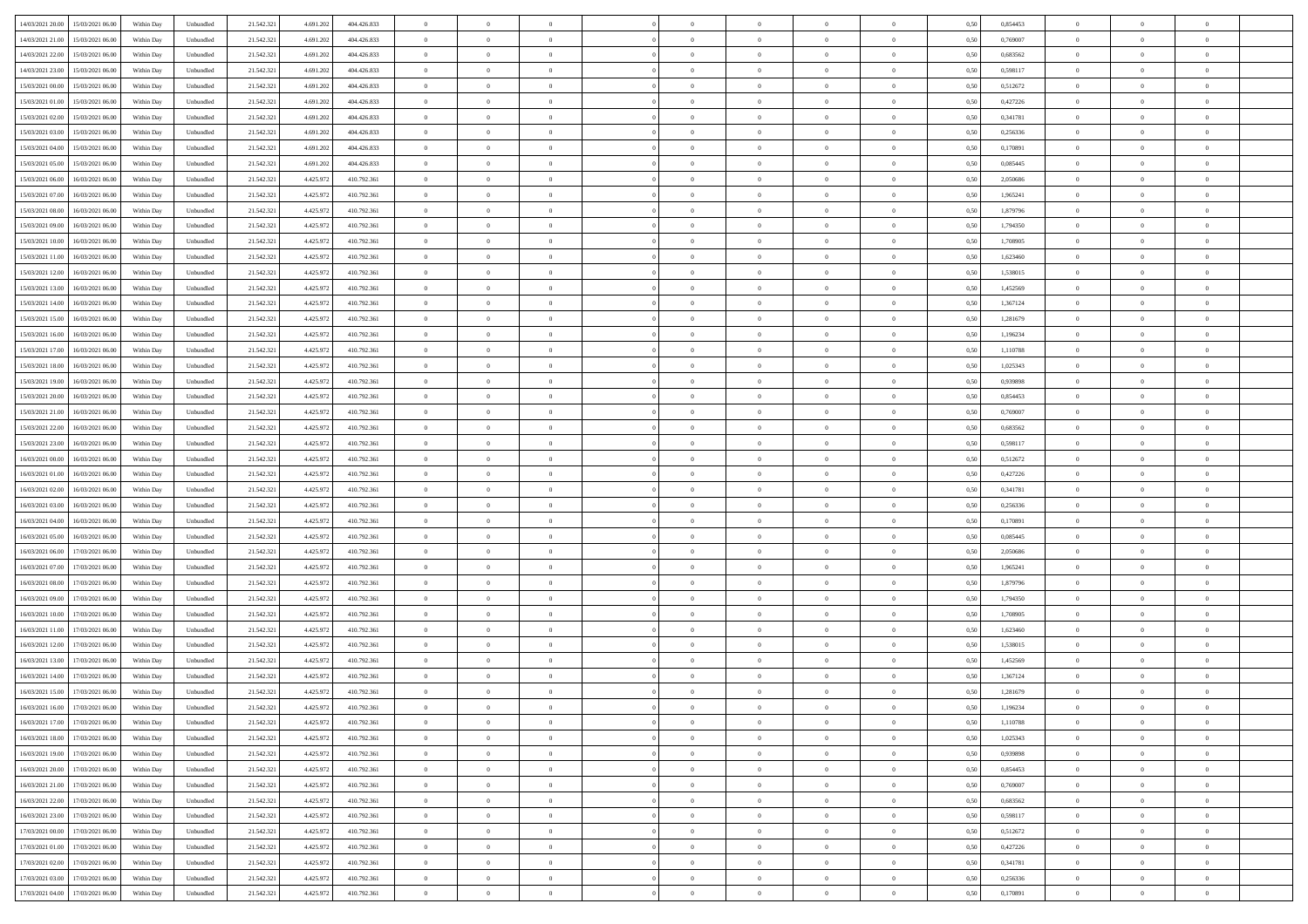| 14/03/2021 20:00 | 15/03/2021 06:00                  | Within Day | Unbundled | 21.542.321 | 4.691.202 | 404.426.833 | $\overline{0}$ | $\theta$       |                | $\overline{0}$ | $\bf{0}$       | $\overline{0}$ | $\theta$       | 0,50 | 0,854453 | $\theta$       | $\theta$       | $\overline{0}$           |  |
|------------------|-----------------------------------|------------|-----------|------------|-----------|-------------|----------------|----------------|----------------|----------------|----------------|----------------|----------------|------|----------|----------------|----------------|--------------------------|--|
|                  |                                   |            |           |            |           |             | $\overline{0}$ | $\theta$       | $\overline{0}$ | $\overline{0}$ | $\,$ 0         |                |                |      |          | $\,$ 0 $\,$    | $\overline{0}$ | $\overline{0}$           |  |
| 14/03/2021 21:00 | 15/03/2021 06.00                  | Within Day | Unbundled | 21.542.321 | 4.691.202 | 404.426.833 |                |                |                |                |                | $\overline{0}$ | $\bf{0}$       | 0,50 | 0,769007 |                |                |                          |  |
| 14/03/2021 22:00 | 15/03/2021 06:00                  | Within Day | Unbundled | 21.542.321 | 4.691.202 | 404.426.833 | $\overline{0}$ | $\overline{0}$ | $\overline{0}$ | $\overline{0}$ | $\bf{0}$       | $\overline{0}$ | $\mathbf{0}$   | 0.50 | 0.683562 | $\bf{0}$       | $\overline{0}$ | $\overline{0}$           |  |
| 14/03/2021 23:00 | 15/03/2021 06:00                  | Within Day | Unbundled | 21.542.321 | 4.691.202 | 404.426.833 | $\overline{0}$ | $\overline{0}$ | $\overline{0}$ | $\overline{0}$ | $\bf{0}$       | $\overline{0}$ | $\mathbf{0}$   | 0,50 | 0,598117 | $\theta$       | $\overline{0}$ | $\overline{0}$           |  |
| 15/03/2021 00:00 | 15/03/2021 06.00                  | Within Day | Unbundled | 21.542.321 | 4.691.202 | 404.426.833 | $\overline{0}$ | $\theta$       | $\overline{0}$ |                | $\overline{0}$ | $\overline{0}$ | $\bf{0}$       | 0,50 | 0,512672 | $\,$ 0 $\,$    | $\overline{0}$ | $\overline{0}$           |  |
| 15/03/2021 01:00 | 15/03/2021 06:00                  | Within Day | Unbundled | 21.542.321 | 4.691.202 | 404.426.833 | $\overline{0}$ | $\overline{0}$ | $\overline{0}$ | $\overline{0}$ | $\bf{0}$       | $\overline{0}$ | $\overline{0}$ | 0.50 | 0,427226 | $\,0\,$        | $\theta$       | $\overline{0}$           |  |
| 15/03/2021 02:00 | 15/03/2021 06:00                  | Within Day | Unbundled | 21.542.321 | 4.691.202 | 404.426.833 | $\overline{0}$ | $\theta$       | $\overline{0}$ | $\overline{0}$ | $\bf{0}$       | $\overline{0}$ | $\overline{0}$ | 0,50 | 0,341781 | $\theta$       | $\theta$       | $\overline{0}$           |  |
| 15/03/2021 03:00 | 15/03/2021 06.00                  | Within Day | Unbundled | 21.542.321 | 4.691.202 | 404.426.833 | $\overline{0}$ | $\theta$       | $\overline{0}$ | $\overline{0}$ | $\bf{0}$       | $\overline{0}$ | $\bf{0}$       | 0,50 | 0,256336 | $\,$ 0 $\,$    | $\overline{0}$ | $\overline{0}$           |  |
| 15/03/2021 04:00 | 15/03/2021 06:00                  | Within Day | Unbundled | 21.542.321 | 4.691.202 | 404.426.833 | $\overline{0}$ | $\overline{0}$ | $\overline{0}$ | $\overline{0}$ | $\bf{0}$       | $\overline{0}$ | $\bf{0}$       | 0.50 | 0.170891 | $\,0\,$        | $\theta$       | $\overline{0}$           |  |
|                  |                                   |            |           |            |           |             |                |                |                |                |                |                |                |      |          |                |                |                          |  |
| 15/03/2021 05:00 | 15/03/2021 06:00                  | Within Day | Unbundled | 21.542.321 | 4.691.202 | 404.426.833 | $\overline{0}$ | $\overline{0}$ | $\overline{0}$ | $\overline{0}$ | $\,$ 0         | $\overline{0}$ | $\bf{0}$       | 0,50 | 0,085445 | $\,$ 0 $\,$    | $\theta$       | $\overline{0}$           |  |
| 15/03/2021 06:00 | 16/03/2021 06.00                  | Within Day | Unbundled | 21.542.321 | 4.425.972 | 410.792.361 | $\overline{0}$ | $\theta$       | $\overline{0}$ | $\overline{0}$ | $\,$ 0         | $\overline{0}$ | $\bf{0}$       | 0,50 | 2,050686 | $\,$ 0 $\,$    | $\overline{0}$ | $\overline{0}$           |  |
| 15/03/2021 07:00 | 16/03/2021 06:00                  | Within Day | Unbundled | 21.542.321 | 4.425.972 | 410.792.361 | $\overline{0}$ | $\overline{0}$ | $\overline{0}$ | $\overline{0}$ | $\bf{0}$       | $\overline{0}$ | $\mathbf{0}$   | 0.50 | 1.965241 | $\bf{0}$       | $\overline{0}$ | $\overline{\phantom{a}}$ |  |
| 15/03/2021 08:00 | 16/03/2021 06:00                  | Within Day | Unbundled | 21.542.321 | 4.425.972 | 410.792.361 | $\overline{0}$ | $\theta$       | $\overline{0}$ | $\overline{0}$ | $\bf{0}$       | $\overline{0}$ | $\mathbf{0}$   | 0,50 | 1,879796 | $\,$ 0 $\,$    | $\overline{0}$ | $\overline{0}$           |  |
| 15/03/2021 09:00 | 16/03/2021 06.00                  | Within Day | Unbundled | 21.542.321 | 4.425.972 | 410.792.361 | $\overline{0}$ | $\theta$       | $\overline{0}$ | $\overline{0}$ | $\overline{0}$ | $\overline{0}$ | $\bf{0}$       | 0,50 | 1,794350 | $\,$ 0 $\,$    | $\overline{0}$ | $\overline{0}$           |  |
| 15/03/2021 10:00 | 16/03/2021 06:00                  | Within Day | Unbundled | 21.542.321 | 4.425.972 | 410.792.361 | $\overline{0}$ | $\overline{0}$ | $\overline{0}$ | $\overline{0}$ | $\,$ 0         | $\overline{0}$ | $\bf{0}$       | 0.50 | 1.708905 | $\theta$       | $\theta$       | $\overline{0}$           |  |
| 15/03/2021 11:00 | 16/03/2021 06:00                  | Within Day | Unbundled | 21.542.321 | 4.425.972 | 410.792.361 | $\overline{0}$ | $\theta$       | $\overline{0}$ | $\overline{0}$ | $\bf{0}$       | $\overline{0}$ | $\overline{0}$ | 0,50 | 1,623460 | $\theta$       | $\theta$       | $\overline{0}$           |  |
|                  |                                   |            |           |            |           |             |                |                |                |                |                |                |                |      |          |                |                |                          |  |
| 15/03/2021 12:00 | 16/03/2021 06.00                  | Within Day | Unbundled | 21.542.321 | 4.425.972 | 410.792.361 | $\overline{0}$ | $\theta$       | $\overline{0}$ |                | $\bf{0}$       | $\overline{0}$ | $\bf{0}$       | 0,50 | 1,538015 | $\,$ 0 $\,$    | $\overline{0}$ | $\overline{0}$           |  |
| 15/03/2021 13:00 | 16/03/2021 06:00                  | Within Day | Unbundled | 21.542.321 | 4.425.972 | 410.792.361 | $\overline{0}$ | $\overline{0}$ | $\overline{0}$ | $\overline{0}$ | $\bf{0}$       | $\overline{0}$ | $\bf{0}$       | 0.50 | 1.452569 | $\,0\,$        | $\overline{0}$ | $\overline{0}$           |  |
| 15/03/2021 14:00 | 16/03/2021 06:00                  | Within Day | Unbundled | 21.542.321 | 4.425.972 | 410.792.361 | $\overline{0}$ | $\overline{0}$ | $\overline{0}$ | $\overline{0}$ | $\,$ 0         | $\overline{0}$ | $\overline{0}$ | 0,50 | 1,367124 | $\,$ 0 $\,$    | $\theta$       | $\overline{0}$           |  |
| 15/03/2021 15:00 | 16/03/2021 06.00                  | Within Day | Unbundled | 21.542.321 | 4.425.972 | 410.792.361 | $\bf{0}$       | $\theta$       | $\overline{0}$ | $\overline{0}$ | $\,$ 0         | $\overline{0}$ | $\bf{0}$       | 0,50 | 1,281679 | $\,$ 0 $\,$    | $\overline{0}$ | $\overline{0}$           |  |
| 15/03/2021 16:00 | 16/03/2021 06:00                  | Within Day | Unbundled | 21.542.321 | 4.425.972 | 410.792.361 | $\overline{0}$ | $\overline{0}$ | $\overline{0}$ | $\overline{0}$ | $\bf{0}$       | $\overline{0}$ | $\mathbf{0}$   | 0.50 | 1.196234 | $\bf{0}$       | $\overline{0}$ | $\overline{0}$           |  |
| 15/03/2021 17:00 | 16/03/2021 06:00                  | Within Day | Unbundled | 21.542.321 | 4.425.972 | 410.792.361 | $\overline{0}$ | $\overline{0}$ | $\overline{0}$ | $\overline{0}$ | $\bf{0}$       | $\overline{0}$ | $\overline{0}$ | 0,50 | 1,110788 | $\theta$       | $\overline{0}$ | $\overline{0}$           |  |
| 15/03/2021 18:00 | 16/03/2021 06.00                  | Within Day | Unbundled | 21.542.321 | 4.425.972 | 410.792.361 | $\overline{0}$ | $\theta$       | $\overline{0}$ | $\overline{0}$ | $\bf{0}$       | $\overline{0}$ | $\bf{0}$       | 0,50 | 1,025343 | $\,$ 0 $\,$    | $\overline{0}$ | $\overline{0}$           |  |
| 15/03/2021 19:00 | 16/03/2021 06:00                  |            |           |            |           | 410.792.361 |                | $\overline{0}$ | $\overline{0}$ | $\overline{0}$ | $\bf{0}$       | $\theta$       | $\overline{0}$ | 0.50 | 0.939898 | $\,0\,$        | $\theta$       | $\overline{0}$           |  |
|                  |                                   | Within Day | Unbundled | 21.542.321 | 4.425.972 |             | $\overline{0}$ |                |                |                |                |                |                |      |          |                |                |                          |  |
| 15/03/2021 20:00 | 16/03/2021 06:00                  | Within Day | Unbundled | 21.542.321 | 4.425.972 | 410.792.361 | $\overline{0}$ | $\theta$       | $\overline{0}$ | $\overline{0}$ | $\bf{0}$       | $\overline{0}$ | $\overline{0}$ | 0,50 | 0,854453 | $\theta$       | $\theta$       | $\overline{0}$           |  |
| 15/03/2021 21:00 | 16/03/2021 06.00                  | Within Day | Unbundled | 21.542.321 | 4.425.972 | 410.792.361 | $\overline{0}$ | $\theta$       | $\overline{0}$ |                | $\bf{0}$       | $\overline{0}$ | $\bf{0}$       | 0,50 | 0,769007 | $\,$ 0 $\,$    | $\overline{0}$ | $\overline{0}$           |  |
| 15/03/2021 22.00 | 16/03/2021 06:00                  | Within Day | Unbundled | 21.542.321 | 4.425.97  | 410.792.361 | $\overline{0}$ | $\overline{0}$ | $\overline{0}$ | $\overline{0}$ | $\bf{0}$       | $\overline{0}$ | $\bf{0}$       | 0.50 | 0.683562 | $\,0\,$        | $\overline{0}$ | $\overline{0}$           |  |
| 15/03/2021 23:00 | 16/03/2021 06:00                  | Within Day | Unbundled | 21.542.321 | 4.425.972 | 410.792.361 | $\overline{0}$ | $\overline{0}$ | $\overline{0}$ | $\overline{0}$ | $\bf{0}$       | $\overline{0}$ | $\bf{0}$       | 0,50 | 0,598117 | $\theta$       | $\theta$       | $\overline{0}$           |  |
| 16/03/2021 00:00 | 16/03/2021 06.00                  | Within Day | Unbundled | 21.542.321 | 4.425.972 | 410.792.361 | $\bf{0}$       | $\theta$       | $\overline{0}$ | $\overline{0}$ | $\,$ 0         | $\overline{0}$ | $\bf{0}$       | 0,50 | 0,512672 | $\,$ 0 $\,$    | $\overline{0}$ | $\overline{0}$           |  |
| 16/03/2021 01:00 | 16/03/2021 06:00                  | Within Day | Unbundled | 21.542.321 | 4.425.972 | 410.792.361 | $\overline{0}$ | $\overline{0}$ | $\overline{0}$ | $\overline{0}$ | $\bf{0}$       | $\overline{0}$ | $\mathbf{0}$   | 0.50 | 0,427226 | $\bf{0}$       | $\overline{0}$ | $\overline{0}$           |  |
| 16/03/2021 02:00 | 16/03/2021 06:00                  | Within Dav | Unbundled | 21.542.321 | 4.425.972 | 410.792.361 | $\overline{0}$ | $\overline{0}$ | $\theta$       | $\Omega$       | $\bf{0}$       | $\overline{0}$ | $\overline{0}$ | 0.50 | 0,341781 | $\theta$       | $\overline{0}$ | $\overline{0}$           |  |
| 16/03/2021 03:00 | 16/03/2021 06.00                  | Within Day | Unbundled | 21.542.321 | 4.425.972 | 410.792.361 | $\overline{0}$ | $\theta$       | $\overline{0}$ | $\overline{0}$ | $\bf{0}$       | $\overline{0}$ | $\bf{0}$       | 0,50 | 0,256336 | $\,$ 0 $\,$    | $\overline{0}$ | $\overline{0}$           |  |
|                  |                                   |            |           |            |           |             |                |                |                |                |                |                |                |      |          |                |                |                          |  |
| 16/03/2021 04:00 | 16/03/2021 06:00                  | Within Day | Unbundled | 21.542.321 | 4.425.972 | 410.792.361 | $\overline{0}$ | $\overline{0}$ | $\overline{0}$ | $\overline{0}$ | $\bf{0}$       | $\overline{0}$ | $\bf{0}$       | 0.50 | 0,170891 | $\,0\,$        | $\theta$       | $\overline{0}$           |  |
| 16/03/2021 05:00 | 16/03/2021 06:00                  | Within Dav | Unbundled | 21.542.321 | 4.425.972 | 410.792.361 | $\overline{0}$ | $\theta$       | $\Omega$       | $\Omega$       | $\mathbf{0}$   | $\overline{0}$ | $\overline{0}$ | 0.50 | 0,085445 | $\theta$       | $\overline{0}$ | $\overline{0}$           |  |
| 16/03/2021 06:00 | 17/03/2021 06.00                  | Within Day | Unbundled | 21.542.321 | 4.425.972 | 410.792.361 | $\overline{0}$ | $\theta$       | $\overline{0}$ |                | $\,$ 0         | $\overline{0}$ | $\bf{0}$       | 0,50 | 2,050686 | $\,$ 0 $\,$    | $\overline{0}$ | $\overline{0}$           |  |
| 16/03/2021 07:00 | 17/03/2021 06:00                  | Within Day | Unbundled | 21.542.321 | 4.425.972 | 410.792.361 | $\overline{0}$ | $\overline{0}$ | $\overline{0}$ | $\overline{0}$ | $\bf{0}$       | $\overline{0}$ | $\bf{0}$       | 0.50 | 1.965241 | $\,0\,$        | $\overline{0}$ | $\overline{0}$           |  |
| 16/03/2021 08:00 | 17/03/2021 06:00                  | Within Dav | Unbundled | 21.542.321 | 4.425.972 | 410.792.361 | $\overline{0}$ | $\overline{0}$ | $\overline{0}$ | $\Omega$       | $\overline{0}$ | $\overline{0}$ | $\overline{0}$ | 0.50 | 1,879796 | $\theta$       | $\overline{0}$ | $\overline{0}$           |  |
| 16/03/2021 09:00 | 17/03/2021 06.00                  | Within Day | Unbundled | 21.542.321 | 4.425.972 | 410.792.361 | $\bf{0}$       | $\overline{0}$ | $\overline{0}$ | $\overline{0}$ | $\bf{0}$       | $\overline{0}$ | $\bf{0}$       | 0,50 | 1,794350 | $\,$ 0 $\,$    | $\overline{0}$ | $\overline{0}$           |  |
| 16/03/2021 10:00 | 17/03/2021 06:00                  | Within Day | Unbundled | 21.542.321 | 4.425.972 | 410.792.361 | $\overline{0}$ | $\overline{0}$ | $\overline{0}$ | $\overline{0}$ | $\bf{0}$       | $\overline{0}$ | $\mathbf{0}$   | 0.50 | 1.708905 | $\bf{0}$       | $\overline{0}$ | $\overline{0}$           |  |
| 16/03/2021 11:00 | 17/03/2021 06:00                  | Within Dav | Unbundled | 21.542.321 | 4.425.972 | 410.792.361 | $\overline{0}$ | $\overline{0}$ | $\Omega$       | $\Omega$       | $\mathbf{0}$   | $\overline{0}$ | $\overline{0}$ | 0.50 | 1,623460 | $\theta$       | $\overline{0}$ | $\overline{0}$           |  |
| 16/03/2021 12:00 | 17/03/2021 06.00                  | Within Day | Unbundled | 21.542.321 | 4.425.972 | 410.792.361 | $\overline{0}$ | $\theta$       | $\overline{0}$ | $\overline{0}$ | $\,$ 0         | $\overline{0}$ | $\bf{0}$       | 0,50 | 1,538015 | $\,$ 0 $\,$    | $\overline{0}$ | $\overline{0}$           |  |
|                  |                                   |            |           |            |           |             |                |                |                |                |                |                |                |      |          |                |                |                          |  |
| 16/03/2021 13:00 | 17/03/2021 06:00                  | Within Day | Unbundled | 21.542.321 | 4.425.972 | 410.792.361 | $\overline{0}$ | $\theta$       | $\overline{0}$ | $\overline{0}$ | $\bf{0}$       | $\Omega$       | $\overline{0}$ | 0.50 | 1.452569 | $\,0\,$        | $\theta$       | $\overline{0}$           |  |
| 16/03/2021 14:00 | 17/03/2021 06:00                  | Within Dav | Unbundled | 21.542.321 | 4.425.97  | 410.792.361 | $\overline{0}$ | $\Omega$       | $\Omega$       | $\Omega$       | $\bf{0}$       | $\overline{0}$ | $\bf{0}$       | 0.50 | 1,367124 | $\theta$       | $\overline{0}$ | $\overline{0}$           |  |
| 16/03/2021 15:00 | 17/03/2021 06:00                  | Within Day | Unbundled | 21.542.321 | 4.425.972 | 410.792.361 | $\overline{0}$ | $\,$ 0 $\,$    | $\overline{0}$ | $\overline{0}$ | $\,$ 0         | $\overline{0}$ | $\bf{0}$       | 0,50 | 1,281679 | $\,$ 0 $\,$    | $\overline{0}$ | $\overline{0}$           |  |
| 16/03/2021 16:00 | 17/03/2021 06:00                  | Within Day | Unbundled | 21.542.321 | 4.425.972 | 410.792.361 | $\bf{0}$       | $\theta$       |                |                |                |                |                | 0,50 | 1,196234 | $\bf{0}$       | $\theta$       |                          |  |
| 16/03/2021 17:00 | 17/03/2021 06:00                  | Within Day | Unbundled | 21.542.321 | 4.425.972 | 410.792.361 | $\Omega$       | $\overline{0}$ | $\Omega$       | $\Omega$       | $\mathbf{0}$   | $\overline{0}$ | $\overline{0}$ | 0.50 | 1,110788 | $\theta$       | $\theta$       | $\overline{0}$           |  |
| 16/03/2021 18:00 | 17/03/2021 06:00                  | Within Day | Unbundled | 21.542.321 | 4.425.972 | 410.792.361 | $\overline{0}$ | $\overline{0}$ | $\overline{0}$ | $\bf{0}$       | $\overline{0}$ | $\overline{0}$ | $\mathbf{0}$   | 0,50 | 1,025343 | $\bf{0}$       | $\overline{0}$ | $\bf{0}$                 |  |
| 16/03/2021 19:00 | 17/03/2021 06:00                  | Within Day | Unbundled | 21.542.321 | 4.425.972 | 410.792.361 | $\overline{0}$ | $\overline{0}$ | $\overline{0}$ | $\overline{0}$ | $\bf{0}$       | $\overline{0}$ | $\mathbf{0}$   | 0.50 | 0.939898 | $\overline{0}$ | $\bf{0}$       | $\bf{0}$                 |  |
| 16/03/2021 20:00 | 17/03/2021 06:00                  | Within Day | Unbundled | 21.542.321 | 4.425.972 | 410.792.361 | $\overline{0}$ | $\overline{0}$ | $\overline{0}$ | $\overline{0}$ | $\mathbf{0}$   | $\overline{0}$ | $\overline{0}$ | 0.50 | 0,854453 | $\overline{0}$ | $\theta$       | $\overline{0}$           |  |
|                  |                                   |            |           |            |           |             |                |                |                | $\overline{0}$ |                |                |                |      |          |                |                |                          |  |
| 16/03/2021 21:00 | 17/03/2021 06:00                  | Within Day | Unbundled | 21.542.321 | 4.425.972 | 410.792.361 | $\overline{0}$ | $\overline{0}$ | $\overline{0}$ |                | $\bf{0}$       | $\overline{0}$ | $\bf{0}$       | 0,50 | 0,769007 | $\,0\,$        | $\overline{0}$ | $\overline{0}$           |  |
| 16/03/2021 22:00 | 17/03/2021 06:00                  | Within Day | Unbundled | 21.542.321 | 4.425.972 | 410.792.361 | $\overline{0}$ | $\overline{0}$ | $\overline{0}$ | $\overline{0}$ | $\overline{0}$ | $\overline{0}$ | $\overline{0}$ | 0.50 | 0.683562 | $\,$ 0 $\,$    | $\theta$       | $\overline{0}$           |  |
| 16/03/2021 23:00 | 17/03/2021 06:00                  | Within Day | Unbundled | 21.542.321 | 4.425.972 | 410.792.361 | $\overline{0}$ | $\overline{0}$ | $\overline{0}$ | $\overline{0}$ | $\overline{0}$ | $\overline{0}$ | $\overline{0}$ | 0,50 | 0,598117 | $\overline{0}$ | $\theta$       | $\overline{0}$           |  |
| 17/03/2021 00:00 | 17/03/2021 06:00                  | Within Day | Unbundled | 21.542.321 | 4.425.972 | 410.792.361 | $\overline{0}$ | $\,$ 0         | $\overline{0}$ | $\bf{0}$       | $\overline{0}$ | $\overline{0}$ | $\bf{0}$       | 0,50 | 0,512672 | $\,$ 0 $\,$    | $\overline{0}$ | $\,$ 0                   |  |
| 17/03/2021 01:00 | 17/03/2021 06:00                  | Within Day | Unbundled | 21.542.321 | 4.425.972 | 410.792.361 | $\overline{0}$ | $\bf{0}$       | $\overline{0}$ | $\overline{0}$ | $\bf{0}$       | $\overline{0}$ | $\mathbf{0}$   | 0.50 | 0.427226 | $\mathbf{0}$   | $\,$ 0 $\,$    | $\overline{0}$           |  |
| 17/03/2021 02:00 | 17/03/2021 06:00                  | Within Day | Unbundled | 21.542.321 | 4.425.972 | 410.792.361 | $\overline{0}$ | $\overline{0}$ | $\overline{0}$ | $\overline{0}$ | $\overline{0}$ | $\overline{0}$ | $\overline{0}$ | 0,50 | 0,341781 | $\overline{0}$ | $\theta$       | $\overline{0}$           |  |
| 17/03/2021 03:00 | 17/03/2021 06:00                  | Within Day | Unbundled | 21.542.321 | 4.425.972 | 410.792.361 | $\overline{0}$ | $\overline{0}$ | $\overline{0}$ | $\overline{0}$ | $\bf{0}$       | $\overline{0}$ | $\bf{0}$       | 0,50 | 0,256336 | $\bf{0}$       | $\overline{0}$ | $\bf{0}$                 |  |
|                  | 17/03/2021 04:00 17/03/2021 06:00 | Within Day | Unbundled | 21.542.321 | 4.425.972 | 410.792.361 | $\overline{0}$ | $\overline{0}$ | $\overline{0}$ | $\overline{0}$ | $\bf{0}$       | $\overline{0}$ | $\,$ 0 $\,$    | 0,50 | 0,170891 | $\overline{0}$ | $\,$ 0 $\,$    | $\,$ 0 $\,$              |  |
|                  |                                   |            |           |            |           |             |                |                |                |                |                |                |                |      |          |                |                |                          |  |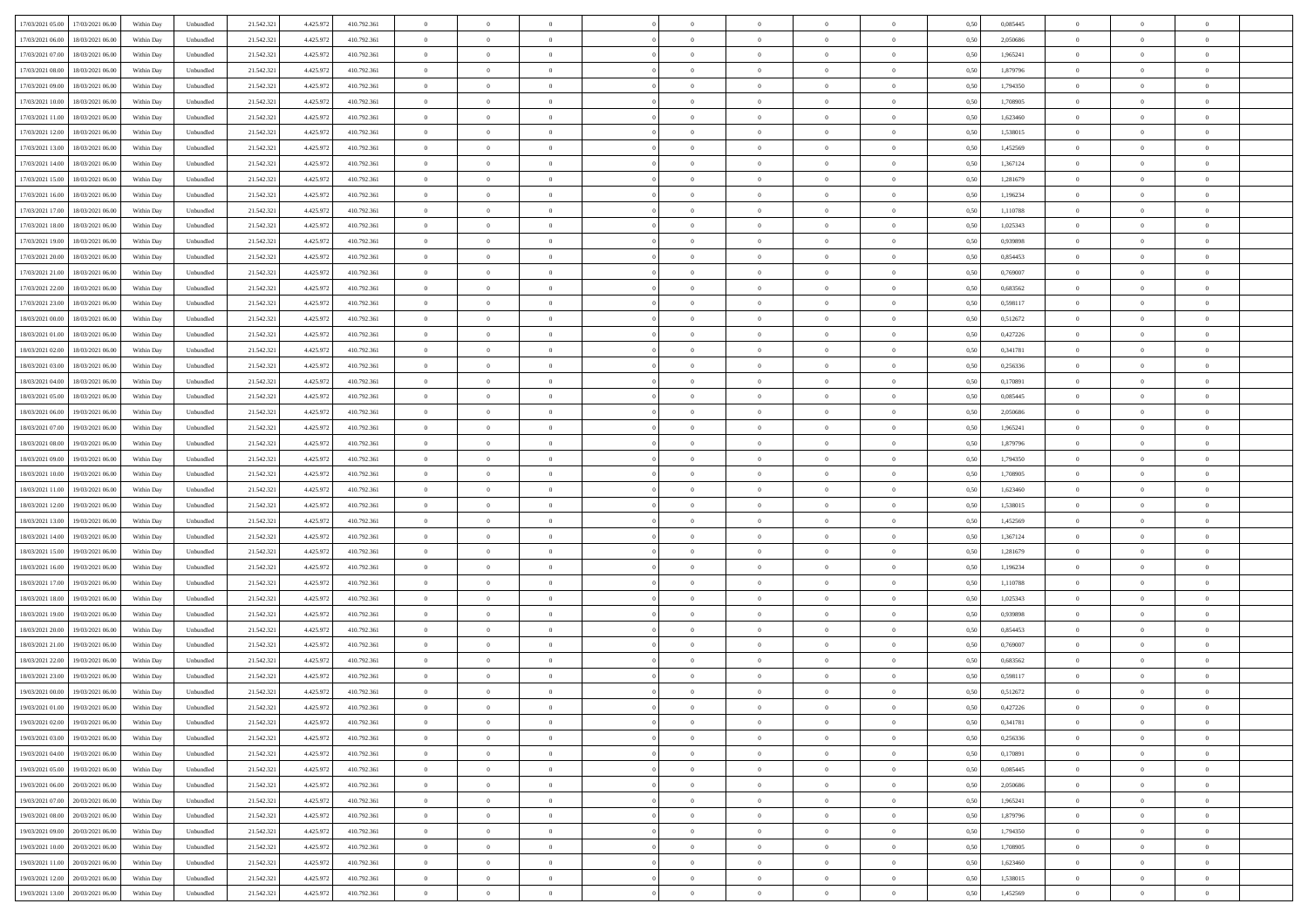| 17/03/2021 05:00<br>17/03/2021 06:00                     | Within Day               | Unbundled              | 21.542.321              | 4.425.972            | 410.792.361 | $\overline{0}$                   | $\theta$       |                | $\overline{0}$ | $\bf{0}$       |                | $\bf{0}$                   | 0,50 | 0,085445 | $\theta$             | $\theta$       | $\theta$       |  |
|----------------------------------------------------------|--------------------------|------------------------|-------------------------|----------------------|-------------|----------------------------------|----------------|----------------|----------------|----------------|----------------|----------------------------|------|----------|----------------------|----------------|----------------|--|
|                                                          |                          |                        |                         |                      |             |                                  | $\overline{0}$ |                | $\overline{0}$ | $\bf{0}$       | $\overline{0}$ |                            |      |          | $\,$ 0 $\,$          | $\bf{0}$       | $\overline{0}$ |  |
| 17/03/2021 06:00<br>18/03/2021 06:00                     | Within Day               | Unbundled              | 21.542.32               | 4.425.97             | 410.792.361 | $\bf{0}$                         |                | $\bf{0}$       |                |                |                | $\bf{0}$                   | 0,50 | 2,050686 |                      |                |                |  |
| 17/03/2021 07:00<br>18/03/2021 06:00                     | Within Day               | Unbundled              | 21.542.321              | 4.425.972            | 410.792.361 | $\overline{0}$                   | $\overline{0}$ | $\overline{0}$ | $\bf{0}$       | $\bf{0}$       | $\overline{0}$ | $\bf{0}$                   | 0.50 | 1,965241 | $\bf{0}$             | $\overline{0}$ | $\overline{0}$ |  |
| 17/03/2021 08:00<br>18/03/2021 06:00                     | Within Day               | Unbundled              | 21.542.321              | 4.425.972            | 410.792.361 | $\overline{0}$                   | $\overline{0}$ | $\overline{0}$ | $\theta$       | $\theta$       | $\overline{0}$ | $\overline{0}$             | 0,50 | 1,879796 | $\theta$             | $\theta$       | $\overline{0}$ |  |
| 17/03/2021 09:00<br>18/03/2021 06:00                     | Within Day               | Unbundled              | 21.542.32               | 4.425.97             | 410.792.361 | $\overline{0}$                   | $\theta$       | $\overline{0}$ | $\overline{0}$ | $\theta$       | $\overline{0}$ | $\bf{0}$                   | 0,50 | 1,794350 | $\bf{0}$             | $\theta$       | $\overline{0}$ |  |
| 17/03/2021 10:00<br>18/03/2021 06:00                     | Within Day               | Unbundled              | 21.542.321              | 4.425.972            | 410.792.361 | $\overline{0}$                   | $\overline{0}$ | $\overline{0}$ | $\overline{0}$ | $\overline{0}$ | $\Omega$       | $\bf{0}$                   | 0.50 | 1,708905 | $\bf{0}$             | $\theta$       | $\overline{0}$ |  |
| 17/03/2021 11:00<br>18/03/2021 06:00                     | Within Day               | Unbundled              | 21.542.32               | 4.425.972            | 410.792.361 | $\overline{0}$                   | $\overline{0}$ | $\overline{0}$ | $\overline{0}$ | $\theta$       | $\overline{0}$ | $\bf{0}$                   | 0,50 | 1,623460 | $\theta$             | $\theta$       | $\overline{0}$ |  |
| 17/03/2021 12:00<br>18/03/2021 06:00                     | Within Day               | Unbundled              | 21.542.32               | 4.425.97             | 410.792.361 | $\overline{0}$                   | $\overline{0}$ | $\overline{0}$ | $\overline{0}$ | $\theta$       | $\overline{0}$ | $\bf{0}$                   | 0,50 | 1,538015 | $\,$ 0 $\,$          | $\bf{0}$       | $\overline{0}$ |  |
| 17/03/2021 13:00<br>18/03/2021 06:00                     | Within Day               | Unbundled              | 21.542.321              | 4.425.97             | 410.792.361 | $\overline{0}$                   | $\overline{0}$ | $\overline{0}$ | $\bf{0}$       | $\overline{0}$ | $\overline{0}$ | $\bf{0}$                   | 0.50 | 1.452569 | $\bf{0}$             | $\theta$       | $\overline{0}$ |  |
| 17/03/2021 14:00<br>18/03/2021 06:00                     | Within Day               | Unbundled              | 21.542.321              | 4.425.972            | 410.792.361 | $\overline{0}$                   | $\bf{0}$       | $\overline{0}$ | $\overline{0}$ | $\theta$       | $\overline{0}$ | $\bf{0}$                   | 0,50 | 1,367124 | $\theta$             | $\theta$       | $\overline{0}$ |  |
| 17/03/2021 15:00<br>18/03/2021 06:00                     | Within Day               | Unbundled              | 21.542.32               | 4.425.97             | 410.792.361 | $\bf{0}$                         | $\overline{0}$ | $\bf{0}$       | $\overline{0}$ | $\bf{0}$       | $\overline{0}$ | $\bf{0}$                   | 0,50 | 1,281679 | $\,$ 0 $\,$          | $\bf{0}$       | $\overline{0}$ |  |
| 17/03/2021 16:00<br>18/03/2021 06:00                     | Within Day               | Unbundled              | 21.542.321              | 4.425.972            | 410.792.361 | $\overline{0}$                   | $\overline{0}$ | $\overline{0}$ | $\bf{0}$       | $\bf{0}$       | $\overline{0}$ | $\bf{0}$                   | 0.50 | 1,196234 | $\bf{0}$             | $\overline{0}$ | $\overline{0}$ |  |
| 17/03/2021 17:00<br>18/03/2021 06:00                     |                          |                        | 21.542.32               |                      |             | $\overline{0}$                   | $\overline{0}$ | $\overline{0}$ | $\overline{0}$ | $\theta$       | $\overline{0}$ | $\overline{0}$             |      | 1,110788 | $\theta$             | $\theta$       | $\overline{0}$ |  |
|                                                          | Within Day               | Unbundled              |                         | 4.425.972            | 410.792.361 |                                  |                |                |                |                |                |                            | 0,50 |          |                      |                |                |  |
| 17/03/2021 18:00<br>18/03/2021 06:00                     | Within Day               | Unbundled              | 21.542.32               | 4.425.97             | 410.792.361 | $\bf{0}$                         | $\theta$       | $\bf{0}$       | $\overline{0}$ | $\theta$       | $\overline{0}$ | $\bf{0}$                   | 0,50 | 1,025343 | $\bf{0}$             | $\bf{0}$       | $\overline{0}$ |  |
| 17/03/2021 19:00<br>18/03/2021 06:00                     | Within Day               | Unbundled              | 21.542.321              | 4.425.972            | 410.792.361 | $\overline{0}$                   | $\overline{0}$ | $\overline{0}$ | $\bf{0}$       | $\theta$       | $\theta$       | $\bf{0}$                   | 0.50 | 0.939898 | $\theta$             | $\overline{0}$ | $\overline{0}$ |  |
| 17/03/2021 20:00<br>18/03/2021 06:00                     | Within Day               | Unbundled              | 21.542.321              | 4.425.972            | 410.792.361 | $\overline{0}$                   | $\overline{0}$ | $\overline{0}$ | $\overline{0}$ | $\theta$       | $\overline{0}$ | $\bf{0}$                   | 0,50 | 0,854453 | $\theta$             | $\theta$       | $\overline{0}$ |  |
| 17/03/2021 21:00<br>18/03/2021 06:00                     | Within Day               | Unbundled              | 21.542.32               | 4.425.97             | 410.792.361 | $\overline{0}$                   | $\overline{0}$ | $\overline{0}$ | $\overline{0}$ | $\theta$       | $\overline{0}$ | $\bf{0}$                   | 0,50 | 0,769007 | $\,$ 0 $\,$          | $\theta$       | $\overline{0}$ |  |
| 17/03/2021 22:00<br>18/03/2021 06:00                     | Within Day               | Unbundled              | 21.542.321              | 4.425.97             | 410.792.361 | $\overline{0}$                   | $\overline{0}$ | $\overline{0}$ | $\bf{0}$       | $\overline{0}$ | $\overline{0}$ | $\bf{0}$                   | 0.50 | 0.683562 | $\bf{0}$             | $\overline{0}$ | $\overline{0}$ |  |
| 17/03/2021 23:00<br>18/03/2021 06:00                     | Within Day               | Unbundled              | 21.542.321              | 4.425.972            | 410.792.361 | $\overline{0}$                   | $\overline{0}$ | $\overline{0}$ | $\overline{0}$ | $\overline{0}$ | $\overline{0}$ | $\bf{0}$                   | 0,50 | 0,598117 | $\,$ 0 $\,$          | $\theta$       | $\overline{0}$ |  |
| 18/03/2021 00:00<br>18/03/2021 06:00                     | Within Day               | Unbundled              | 21.542.32               | 4.425.97             | 410.792.361 | $\bf{0}$                         | $\overline{0}$ | $\bf{0}$       | $\bf{0}$       | $\overline{0}$ | $\overline{0}$ | $\bf{0}$                   | 0,50 | 0,512672 | $\,$ 0 $\,$          | $\bf{0}$       | $\overline{0}$ |  |
| 18/03/2021 01:00<br>18/03/2021 06:00                     | Within Day               | Unbundled              | 21.542.321              | 4.425.972            | 410.792.361 | $\overline{0}$                   | $\overline{0}$ | $\overline{0}$ | $\bf{0}$       | $\bf{0}$       | $\overline{0}$ | $\bf{0}$                   | 0.50 | 0,427226 | $\bf{0}$             | $\overline{0}$ | $\overline{0}$ |  |
| 18/03/2021 02:00<br>18/03/2021 06:00                     | Within Day               | Unbundled              | 21.542.32               | 4.425.972            | 410.792.361 | $\overline{0}$                   | $\overline{0}$ | $\overline{0}$ | $\theta$       | $\theta$       | $\overline{0}$ | $\overline{0}$             | 0,50 | 0,341781 | $\theta$             | $\theta$       | $\overline{0}$ |  |
| 18/03/2021 03:00<br>18/03/2021 06:00                     | Within Day               | Unbundled              | 21.542.32               | 4.425.97             | 410.792.361 | $\bf{0}$                         | $\overline{0}$ | $\bf{0}$       | $\overline{0}$ | $\theta$       | $\overline{0}$ | $\bf{0}$                   | 0,50 | 0,256336 | $\,$ 0 $\,$          | $\bf{0}$       | $\overline{0}$ |  |
| 18/03/2021 04:00<br>18/03/2021 06:00                     | Within Day               | Unbundled              | 21.542.321              | 4.425.97             | 410.792.361 | $\overline{0}$                   | $\overline{0}$ | $\overline{0}$ | $\overline{0}$ | $\overline{0}$ | $\Omega$       | $\bf{0}$                   | 0.50 | 0,170891 | $\bf{0}$             | $\theta$       | $\overline{0}$ |  |
| 18/03/2021 05:00<br>18/03/2021 06:00                     | Within Day               | Unbundled              | 21.542.321              | 4.425.972            | 410.792.361 | $\overline{0}$                   | $\overline{0}$ | $\overline{0}$ | $\overline{0}$ | $\theta$       | $\overline{0}$ | $\bf{0}$                   | 0,50 | 0,085445 | $\theta$             | $\theta$       | $\overline{0}$ |  |
|                                                          |                          |                        |                         |                      |             |                                  | $\theta$       | $\overline{0}$ |                | $\theta$       | $\overline{0}$ |                            |      |          |                      | $\theta$       | $\overline{0}$ |  |
| 18/03/2021 06:00<br>19/03/2021 06:00                     | Within Day               | Unbundled              | 21.542.32               | 4.425.97             | 410.792.361 | $\bf{0}$                         |                |                | $\overline{0}$ |                |                | $\bf{0}$                   | 0,50 | 2,050686 | $\,$ 0 $\,$          |                |                |  |
| 18/03/2021 07:00<br>19/03/2021 06:00                     | Within Day               | Unbundled              | 21.542.321              | 4.425.97             | 410.792.361 | $\overline{0}$                   | $\bf{0}$       | $\overline{0}$ | $\bf{0}$       | $\overline{0}$ | $\overline{0}$ | $\bf{0}$                   | 0.50 | 1.965241 | $\bf{0}$             | $\theta$       | $\overline{0}$ |  |
| 18/03/2021 08:00<br>19/03/2021 06:00                     | Within Day               | Unbundled              | 21.542.321              | 4.425.972            | 410.792.361 | $\overline{0}$                   | $\overline{0}$ | $\overline{0}$ | $\overline{0}$ | $\theta$       | $\overline{0}$ | $\bf{0}$                   | 0,50 | 1,879796 | $\theta$             | $\theta$       | $\overline{0}$ |  |
| 18/03/2021 09:00<br>19/03/2021 06:00                     | Within Day               | Unbundled              | 21.542.32               | 4.425.97             | 410.792.361 | $\bf{0}$                         | $\bf{0}$       | $\bf{0}$       | $\bf{0}$       | $\overline{0}$ | $\overline{0}$ | $\bf{0}$                   | 0,50 | 1,794350 | $\,$ 0 $\,$          | $\bf{0}$       | $\overline{0}$ |  |
| 18/03/2021 10:00<br>19/03/2021 06:00                     | Within Day               | Unbundled              | 21.542.321              | 4.425.972            | 410.792.361 | $\overline{0}$                   | $\bf{0}$       | $\overline{0}$ | $\bf{0}$       | $\bf{0}$       | $\overline{0}$ | $\bf{0}$                   | 0.50 | 1,708905 | $\bf{0}$             | $\overline{0}$ | $\overline{0}$ |  |
| 18/03/2021 11:00<br>19/03/2021 06:00                     | Within Day               | Unbundled              | 21.542.32               | 4.425.97             | 410.792.361 | $\overline{0}$                   | $\overline{0}$ | $\overline{0}$ | $\overline{0}$ | $\overline{0}$ | $\overline{0}$ | $\bf{0}$                   | 0.5( | 1.623460 | $\theta$             | $\theta$       | $\overline{0}$ |  |
| 18/03/2021 12:00<br>19/03/2021 06:00                     | Within Day               | Unbundled              | 21.542.32               | 4.425.97             | 410.792.361 | $\bf{0}$                         | $\overline{0}$ | $\bf{0}$       | $\overline{0}$ | $\overline{0}$ | $\overline{0}$ | $\bf{0}$                   | 0,50 | 1,538015 | $\,$ 0 $\,$          | $\bf{0}$       | $\overline{0}$ |  |
| 18/03/2021 13:00<br>19/03/2021 06:00                     | Within Day               | Unbundled              | 21.542.321              | 4.425.972            | 410.792.361 | $\overline{0}$                   | $\overline{0}$ | $\overline{0}$ | $\bf{0}$       | $\theta$       | $\Omega$       | $\bf{0}$                   | 0.50 | 1.452569 | $\bf{0}$             | $\overline{0}$ | $\overline{0}$ |  |
| 18/03/2021 14:00<br>19/03/2021 06:00                     | Within Dav               | Unbundled              | 21.542.321              | 4.425.972            | 410.792.361 | $\overline{0}$                   | $\theta$       | $\Omega$       | $\overline{0}$ | $\theta$       | $\overline{0}$ | $\overline{0}$             | 0.5( | 1,367124 | $\theta$             | $\theta$       | $\overline{0}$ |  |
| 18/03/2021 15:00<br>19/03/2021 06:00                     | Within Day               | Unbundled              | 21.542.32               | 4.425.97             | 410.792.361 | $\bf{0}$                         | $\overline{0}$ | $\bf{0}$       | $\overline{0}$ | $\bf{0}$       | $\overline{0}$ | $\bf{0}$                   | 0,50 | 1,281679 | $\,$ 0 $\,$          | $\bf{0}$       | $\overline{0}$ |  |
| 18/03/2021 16:00<br>19/03/2021 06:00                     | Within Day               | Unbundled              | 21.542.321              | 4.425.972            | 410.792.361 | $\overline{0}$                   | $\overline{0}$ | $\overline{0}$ | $\bf{0}$       | $\overline{0}$ | $\overline{0}$ | $\bf{0}$                   | 0.50 | 1.196234 | $\bf{0}$             | $\theta$       | $\overline{0}$ |  |
| 18/03/2021 17:00<br>19/03/2021 06:00                     | Within Dav               | Unbundled              | 21.542.32               | 4.425.972            | 410.792.361 | $\overline{0}$                   | $\overline{0}$ | $\overline{0}$ | $\overline{0}$ | $\overline{0}$ | $\overline{0}$ | $\overline{0}$             | 0.50 | 1,110788 | $\theta$             | $\theta$       | $\overline{0}$ |  |
| 18/03/2021 18:00<br>19/03/2021 06:00                     | Within Day               | Unbundled              | 21.542.32               | 4.425.97             | 410.792.361 | $\bf{0}$                         | $\bf{0}$       | $\bf{0}$       | $\bf{0}$       | $\overline{0}$ | $\overline{0}$ | $\bf{0}$                   | 0,50 | 1,025343 | $\,$ 0 $\,$          | $\bf{0}$       | $\overline{0}$ |  |
| 18/03/2021 19:00<br>19/03/2021 06:00                     | Within Day               | Unbundled              | 21.542.321              | 4.425.972            | 410.792.361 | $\overline{0}$                   | $\bf{0}$       | $\overline{0}$ | $\bf{0}$       | $\bf{0}$       | $\overline{0}$ | $\bf{0}$                   | 0.50 | 0.939898 | $\bf{0}$             | $\overline{0}$ | $\overline{0}$ |  |
| 18/03/2021 20:00<br>19/03/2021 06:00                     | Within Dav               | Unbundled              | 21.542.321              | 4.425.972            | 410.792.361 | $\overline{0}$                   | $\overline{0}$ | $\Omega$       | $\overline{0}$ | $\theta$       | $\overline{0}$ | $\bf{0}$                   | 0.50 | 0,854453 | $\theta$             | $\theta$       | $\overline{0}$ |  |
| 18/03/2021 21:00<br>19/03/2021 06:00                     | Within Day               | Unbundled              | 21.542.32               | 4.425.97             | 410.792.361 | $\bf{0}$                         | $\overline{0}$ | $\bf{0}$       | $\bf{0}$       | $\overline{0}$ | $\overline{0}$ | $\bf{0}$                   | 0,50 | 0,769007 | $\,$ 0 $\,$          | $\bf{0}$       | $\overline{0}$ |  |
| 18/03/2021 22:00                                         |                          |                        |                         |                      | 410.792.361 |                                  | $\overline{0}$ | $\Omega$       | $\overline{0}$ | $\theta$       | $\theta$       |                            | 0.50 | 0.683562 |                      | $\overline{0}$ | $\overline{0}$ |  |
| 19/03/2021 06:00<br>18/03/2021 23:00<br>19/03/2021 06:00 | Within Day<br>Within Dav | Unbundled<br>Unbundled | 21.542.321<br>21.542.32 | 4.425.97<br>4.425.97 | 410.792.361 | $\overline{0}$<br>$\overline{0}$ | $\overline{0}$ | $\Omega$       |                | $\theta$       | $\Omega$       | $\bf{0}$<br>$\overline{0}$ | 0.5( | 0,598117 | $\bf{0}$<br>$\theta$ | $\theta$       | $\overline{0}$ |  |
|                                                          |                          |                        |                         |                      |             |                                  |                |                | $\overline{0}$ |                |                |                            |      |          |                      |                |                |  |
| 19/03/2021 00:00<br>19/03/2021 06:00                     | Within Day               | Unbundled              | 21.542.32               | 4.425.97             | 410.792.361 | $\bf{0}$                         | $\,$ 0 $\,$    | $\overline{0}$ | $\bf{0}$       | $\bf{0}$       | $\overline{0}$ | $\bf{0}$                   | 0,50 | 0,512672 | $\,$ 0 $\,$          | $\bf{0}$       | $\overline{0}$ |  |
| $19/03/2021\; 01.00 \qquad 19/03/2021\; 06.00$           | Within Day               | Unbundled              | 21.542.321              | 4.425.972            | 410.792.361 | $\overline{0}$                   |                |                | $\Omega$       |                |                |                            | 0,50 | 0,427226 | $\theta$             | $\overline{0}$ |                |  |
| 19/03/2021 02:00 19/03/2021 06:00                        | Within Day               | Unbundled              | 21.542.321              | 4.425.972            | 410.792.361 | $\overline{0}$                   | $\overline{0}$ | $\Omega$       | $\theta$       | $\overline{0}$ | $\overline{0}$ | $\bf{0}$                   | 0,50 | 0,341781 | $\theta$             | $\theta$       | $\overline{0}$ |  |
| 19/03/2021 03:00<br>19/03/2021 06:00                     | Within Day               | Unbundled              | 21.542.321              | 4.425.972            | 410.792.361 | $\overline{0}$                   | $\bf{0}$       | $\overline{0}$ | $\overline{0}$ | $\bf{0}$       | $\overline{0}$ | $\bf{0}$                   | 0,50 | 0,256336 | $\bf{0}$             | $\overline{0}$ | $\bf{0}$       |  |
| 19/03/2021 04:00 19/03/2021 06:00                        | Within Day               | Unbundled              | 21.542.321              | 4.425.972            | 410.792.361 | $\overline{0}$                   | $\bf{0}$       | $\overline{0}$ | $\overline{0}$ | $\mathbf{0}$   | $\overline{0}$ | $\,$ 0 $\,$                | 0.50 | 0,170891 | $\overline{0}$       | $\bf{0}$       | $\,$ 0 $\,$    |  |
| 19/03/2021 05:00 19/03/2021 06:00                        | Within Day               | Unbundled              | 21.542.321              | 4.425.972            | 410.792.361 | $\overline{0}$                   | $\overline{0}$ | $\overline{0}$ | $\overline{0}$ | $\overline{0}$ | $\overline{0}$ | $\bf{0}$                   | 0,50 | 0,085445 | $\theta$             | $\theta$       | $\overline{0}$ |  |
| 19/03/2021 06:00<br>20/03/2021 06:00                     | Within Day               | Unbundled              | 21.542.321              | 4.425.972            | 410.792.361 | $\overline{0}$                   | $\bf{0}$       | $\overline{0}$ | $\bf{0}$       | $\overline{0}$ | $\overline{0}$ | $\bf{0}$                   | 0,50 | 2,050686 | $\bf{0}$             | $\overline{0}$ | $\overline{0}$ |  |
| 19/03/2021 07:00<br>20/03/2021 06:00                     | Within Day               | Unbundled              | 21.542.321              | 4.425.972            | 410.792.361 | $\overline{0}$                   | $\bf{0}$       | $\overline{0}$ | $\overline{0}$ | $\overline{0}$ | $\overline{0}$ | $\bf{0}$                   | 0.50 | 1.965241 | $\,$ 0 $\,$          | $\theta$       | $\,$ 0         |  |
| 19/03/2021 08:00<br>20/03/2021 06:00                     | Within Dav               | Unbundled              | 21.542.321              | 4.425.972            | 410.792.361 | $\overline{0}$                   | $\overline{0}$ | $\overline{0}$ | $\overline{0}$ | $\overline{0}$ | $\overline{0}$ | $\bf{0}$                   | 0,50 | 1,879796 | $\overline{0}$       | $\theta$       | $\overline{0}$ |  |
| 19/03/2021 09:00<br>20/03/2021 06:00                     | Within Day               | Unbundled              | 21.542.32               | 4.425.972            | 410.792.361 | $\overline{0}$                   | $\overline{0}$ | $\overline{0}$ | $\overline{0}$ | $\overline{0}$ | $\overline{0}$ | $\bf{0}$                   | 0,50 | 1,794350 | $\bf{0}$             | $\overline{0}$ | $\overline{0}$ |  |
| 19/03/2021 10:00 20/03/2021 06:00                        | Within Day               | Unbundled              | 21.542.321              | 4.425.972            | 410.792.361 | $\overline{0}$                   | $\overline{0}$ | $\overline{0}$ | $\overline{0}$ | $\bf{0}$       | $\overline{0}$ | $\bf{0}$                   | 0.50 | 1,708905 | $\mathbf{0}$         | $\bf{0}$       | $\,$ 0         |  |
| 19/03/2021 11:00 20/03/2021 06:00                        | Within Dav               | Unbundled              | 21.542.321              | 4.425.972            | 410.792.361 | $\overline{0}$                   | $\overline{0}$ | $\overline{0}$ | $\overline{0}$ | $\overline{0}$ | $\overline{0}$ | $\bf{0}$                   | 0,50 | 1,623460 | $\overline{0}$       | $\theta$       | $\overline{0}$ |  |
|                                                          |                          |                        |                         |                      |             |                                  | $\bf{0}$       |                | $\bf{0}$       | $\overline{0}$ |                |                            |      |          | $\bf{0}$             | $\bf{0}$       | $\bf{0}$       |  |
| 19/03/2021 12:00<br>20/03/2021 06:00                     | Within Day               | Unbundled              | 21.542.32               | 4.425.972            | 410.792.361 | $\overline{0}$                   |                | $\overline{0}$ |                |                | $\bf{0}$       | $\bf{0}$                   | 0,50 | 1,538015 |                      |                |                |  |
| 19/03/2021 13:00 20/03/2021 06:00                        | Within Day               | Unbundled              | 21.542.321              | 4.425.972            | 410.792.361 | $\overline{0}$                   | $\bf{0}$       | $\overline{0}$ | $\overline{0}$ | $\,$ 0 $\,$    | $\overline{0}$ | $\bf{0}$                   | 0,50 | 1,452569 | $\overline{0}$       | $\,$ 0 $\,$    | $\,$ 0 $\,$    |  |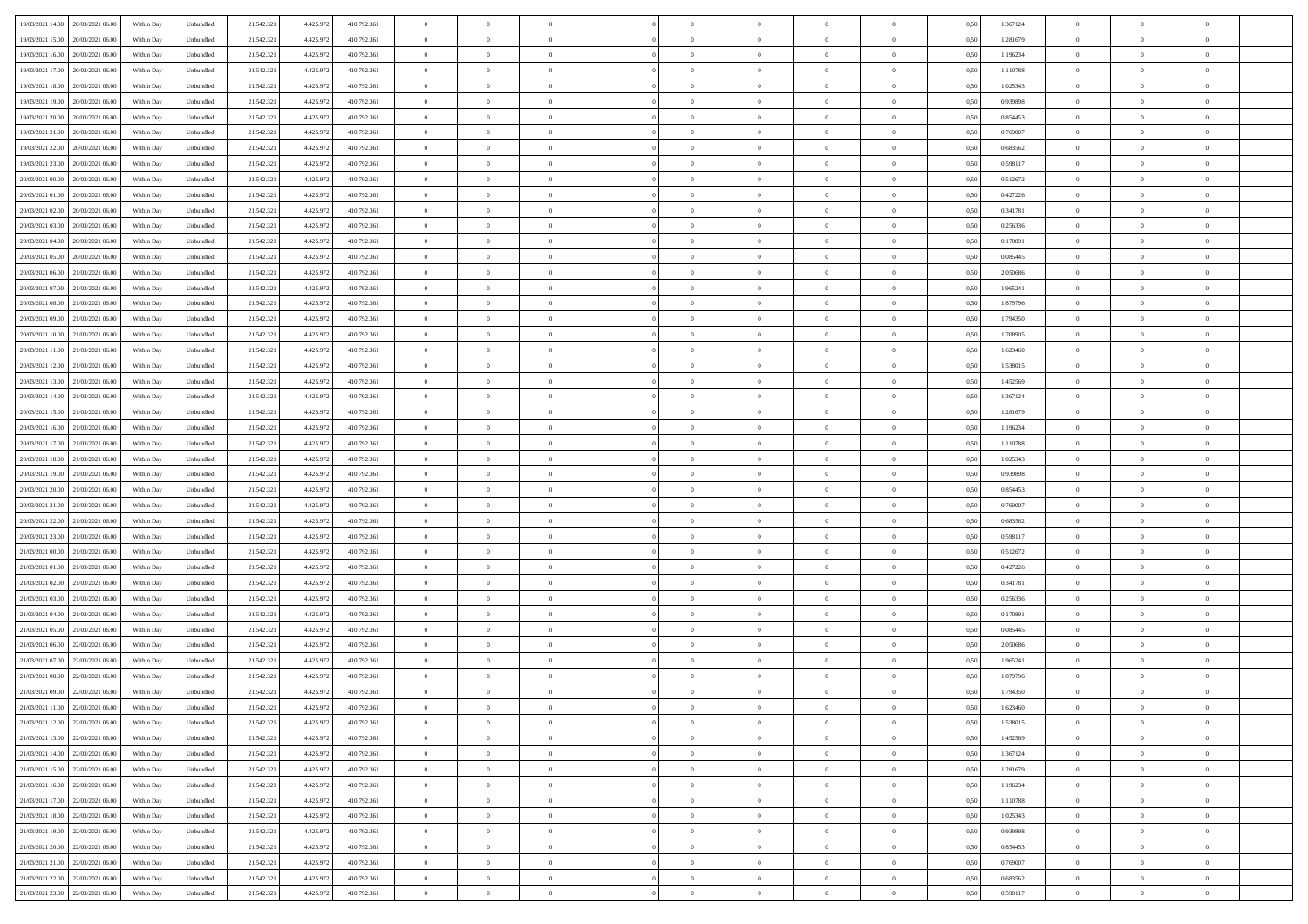| 19/03/2021 14:00 20/03/2021 06:00            | Within Day | Unbundled | 21.542.321 | 4.425.972 | 410.792.361 | $\overline{0}$ | $\theta$       |                | $\overline{0}$ | $\bf{0}$       |                | $\bf{0}$       | 0,50 | 1,367124 | $\theta$       | $\theta$       | $\overline{0}$ |  |
|----------------------------------------------|------------|-----------|------------|-----------|-------------|----------------|----------------|----------------|----------------|----------------|----------------|----------------|------|----------|----------------|----------------|----------------|--|
|                                              |            |           |            |           |             |                | $\overline{0}$ |                | $\overline{0}$ | $\overline{0}$ | $\overline{0}$ |                |      |          | $\,$ 0 $\,$    | $\bf{0}$       | $\overline{0}$ |  |
| 19/03/2021 15:00<br>20/03/2021 06:00         | Within Day | Unbundled | 21.542.32  | 4.425.97  | 410.792.361 | $\bf{0}$       |                | $\bf{0}$       |                |                |                | $\bf{0}$       | 0,50 | 1,281679 |                |                |                |  |
| 19/03/2021 16:00<br>20/03/2021 06:00         | Within Day | Unbundled | 21.542.321 | 4.425.972 | 410.792.361 | $\overline{0}$ | $\bf{0}$       | $\overline{0}$ | $\bf{0}$       | $\bf{0}$       | $\overline{0}$ | $\bf{0}$       | 0.50 | 1,196234 | $\bf{0}$       | $\overline{0}$ | $\bf{0}$       |  |
| 19/03/2021 17:00<br>20/03/2021 06:00         | Within Day | Unbundled | 21.542.321 | 4.425.972 | 410.792.361 | $\overline{0}$ | $\overline{0}$ | $\overline{0}$ | $\theta$       | $\theta$       | $\overline{0}$ | $\overline{0}$ | 0,50 | 1,110788 | $\theta$       | $\theta$       | $\overline{0}$ |  |
| 19/03/2021 18:00<br>20/03/2021 06:00         | Within Day | Unbundled | 21.542.32  | 4.425.97  | 410.792.361 | $\overline{0}$ | $\overline{0}$ | $\bf{0}$       | $\overline{0}$ | $\theta$       | $\overline{0}$ | $\bf{0}$       | 0,50 | 1,025343 | $\,$ 0 $\,$    | $\bf{0}$       | $\overline{0}$ |  |
| 19/03/2021 19:00<br>20/03/2021 06:00         | Within Day | Unbundled | 21.542.321 | 4.425.97  | 410.792.361 | $\overline{0}$ | $\overline{0}$ | $\overline{0}$ | $\bf{0}$       | $\overline{0}$ | $\theta$       | $\bf{0}$       | 0.50 | 0.939898 | $\bf{0}$       | $\theta$       | $\overline{0}$ |  |
| 19/03/2021 20:00<br>20/03/2021 06:00         | Within Day | Unbundled | 21.542.32  | 4.425.972 | 410.792.361 | $\overline{0}$ | $\overline{0}$ | $\overline{0}$ | $\overline{0}$ | $\overline{0}$ | $\overline{0}$ | $\bf{0}$       | 0,50 | 0,854453 | $\theta$       | $\theta$       | $\overline{0}$ |  |
| 19/03/2021 21:00<br>20/03/2021 06:00         | Within Day | Unbundled | 21.542.32  | 4.425.97  | 410.792.361 | $\bf{0}$       | $\overline{0}$ | $\overline{0}$ | $\overline{0}$ | $\overline{0}$ | $\overline{0}$ | $\bf{0}$       | 0,50 | 0,769007 | $\,$ 0 $\,$    | $\bf{0}$       | $\overline{0}$ |  |
| 19/03/2021 22:00<br>20/03/2021 06:00         | Within Day | Unbundled | 21.542.32  | 4.425.97  | 410.792.361 | $\overline{0}$ | $\bf{0}$       | $\overline{0}$ | $\bf{0}$       | $\overline{0}$ | $\overline{0}$ | $\bf{0}$       | 0.50 | 0.683562 | $\bf{0}$       | $\overline{0}$ | $\overline{0}$ |  |
| 19/03/2021 23:00<br>20/03/2021 06:00         | Within Day | Unbundled | 21.542.321 | 4.425.972 | 410.792.361 | $\overline{0}$ | $\bf{0}$       | $\overline{0}$ | $\overline{0}$ | $\overline{0}$ | $\overline{0}$ | $\bf{0}$       | 0,50 | 0,598117 | $\theta$       | $\theta$       | $\overline{0}$ |  |
| 20/03/2021 00:00<br>20/03/2021 06:00         | Within Day | Unbundled | 21.542.32  | 4.425.97  | 410.792.361 | $\bf{0}$       | $\overline{0}$ | $\bf{0}$       | $\overline{0}$ | $\bf{0}$       | $\overline{0}$ | $\bf{0}$       | 0,50 | 0,512672 | $\,$ 0 $\,$    | $\bf{0}$       | $\overline{0}$ |  |
| 20/03/2021 01:00<br>20/03/2021 06:00         | Within Day | Unbundled | 21.542.321 | 4.425.972 | 410.792.361 | $\overline{0}$ | $\bf{0}$       | $\overline{0}$ | $\bf{0}$       | $\bf{0}$       | $\overline{0}$ | $\bf{0}$       | 0.50 | 0,427226 | $\bf{0}$       | $\overline{0}$ | $\bf{0}$       |  |
|                                              |            |           |            |           |             | $\overline{0}$ | $\overline{0}$ | $\overline{0}$ | $\theta$       | $\theta$       | $\overline{0}$ | $\overline{0}$ |      |          | $\theta$       | $\theta$       | $\overline{0}$ |  |
| 20/03/2021 02:00<br>20/03/2021 06:00         | Within Day | Unbundled | 21.542.32  | 4.425.972 | 410.792.361 |                |                |                |                |                |                |                | 0,50 | 0,341781 |                |                |                |  |
| 20/03/2021 03:00<br>20/03/2021 06:00         | Within Day | Unbundled | 21.542.32  | 4.425.97  | 410.792.361 | $\bf{0}$       | $\overline{0}$ | $\bf{0}$       | $\overline{0}$ | $\theta$       | $\overline{0}$ | $\bf{0}$       | 0,50 | 0,256336 | $\bf{0}$       | $\bf{0}$       | $\overline{0}$ |  |
| 20/03/2021 04:00<br>20/03/2021 06:00         | Within Day | Unbundled | 21.542.321 | 4.425.972 | 410.792.361 | $\overline{0}$ | $\overline{0}$ | $\overline{0}$ | $\bf{0}$       | $\overline{0}$ | $\Omega$       | $\bf{0}$       | 0.50 | 0,170891 | $\theta$       | $\theta$       | $\overline{0}$ |  |
| 20/03/2021 05:00<br>20/03/2021 06:00         | Within Day | Unbundled | 21.542.321 | 4.425.972 | 410.792.361 | $\overline{0}$ | $\overline{0}$ | $\overline{0}$ | $\overline{0}$ | $\overline{0}$ | $\overline{0}$ | $\bf{0}$       | 0,50 | 0,085445 | $\theta$       | $\theta$       | $\overline{0}$ |  |
| 20/03/2021 06:00<br>21/03/2021 06.00         | Within Day | Unbundled | 21.542.32  | 4.425.97  | 410.792.361 | $\bf{0}$       | $\overline{0}$ | $\bf{0}$       | $\overline{0}$ | $\theta$       | $\overline{0}$ | $\bf{0}$       | 0,50 | 2,050686 | $\,$ 0 $\,$    | $\bf{0}$       | $\overline{0}$ |  |
| 20/03/2021 07:00<br>21/03/2021 06:00         | Within Day | Unbundled | 21.542.32  | 4.425.972 | 410.792.361 | $\overline{0}$ | $\bf{0}$       | $\overline{0}$ | $\bf{0}$       | $\overline{0}$ | $\overline{0}$ | $\bf{0}$       | 0.50 | 1.965241 | $\bf{0}$       | $\overline{0}$ | $\bf{0}$       |  |
| 20/03/2021 08:00<br>21/03/2021 06:00         | Within Day | Unbundled | 21.542.321 | 4.425.972 | 410.792.361 | $\overline{0}$ | $\overline{0}$ | $\overline{0}$ | $\overline{0}$ | $\overline{0}$ | $\overline{0}$ | $\bf{0}$       | 0,50 | 1,879796 | $\,$ 0 $\,$    | $\theta$       | $\overline{0}$ |  |
| 20/03/2021 09:00<br>21/03/2021 06.00         | Within Day | Unbundled | 21.542.32  | 4.425.97  | 410.792.361 | $\bf{0}$       | $\bf{0}$       | $\bf{0}$       | $\bf{0}$       | $\overline{0}$ | $\overline{0}$ | $\bf{0}$       | 0,50 | 1,794350 | $\,$ 0 $\,$    | $\bf{0}$       | $\overline{0}$ |  |
| 20/03/2021 10:00<br>21/03/2021 06:00         | Within Day | Unbundled | 21.542.321 | 4.425.972 | 410.792.361 | $\overline{0}$ | $\bf{0}$       | $\overline{0}$ | $\bf{0}$       | $\bf{0}$       | $\overline{0}$ | $\bf{0}$       | 0.50 | 1,708905 | $\bf{0}$       | $\overline{0}$ | $\bf{0}$       |  |
| 20/03/2021 11:00<br>21/03/2021 06:00         | Within Day | Unbundled | 21.542.32  | 4.425.972 | 410.792.361 | $\overline{0}$ | $\overline{0}$ | $\overline{0}$ | $\theta$       | $\theta$       | $\overline{0}$ | $\bf{0}$       | 0.5( | 1,623460 | $\theta$       | $\theta$       | $\overline{0}$ |  |
| 20/03/2021 12:00<br>21/03/2021 06.00         | Within Day | Unbundled | 21.542.32  | 4.425.97  | 410.792.361 | $\bf{0}$       | $\overline{0}$ | $\bf{0}$       | $\overline{0}$ | $\overline{0}$ | $\overline{0}$ | $\bf{0}$       | 0,50 | 1,538015 | $\,$ 0 $\,$    | $\bf{0}$       | $\overline{0}$ |  |
| 20/03/2021 13:00<br>21/03/2021 06:00         | Within Day | Unbundled | 21.542.321 | 4.425.97  | 410.792.361 | $\overline{0}$ | $\overline{0}$ | $\overline{0}$ | $\overline{0}$ | $\overline{0}$ | $\theta$       | $\bf{0}$       | 0.50 | 1.452569 | $\,$ 0 $\,$    | $\theta$       | $\overline{0}$ |  |
| 20/03/2021 14:00<br>21/03/2021 06:00         |            |           | 21.542.321 |           |             | $\overline{0}$ | $\overline{0}$ | $\overline{0}$ | $\overline{0}$ | $\theta$       | $\overline{0}$ |                |      |          | $\theta$       | $\theta$       | $\overline{0}$ |  |
|                                              | Within Day | Unbundled |            | 4.425.972 | 410.792.361 |                |                |                |                |                |                | $\bf{0}$       | 0,50 | 1,367124 |                |                |                |  |
| 20/03/2021 15:00<br>21/03/2021 06.00         | Within Day | Unbundled | 21.542.32  | 4.425.97  | 410.792.361 | $\bf{0}$       | $\overline{0}$ | $\bf{0}$       | $\overline{0}$ | $\theta$       | $\overline{0}$ | $\bf{0}$       | 0,50 | 1,281679 | $\,$ 0 $\,$    | $\bf{0}$       | $\overline{0}$ |  |
| 20/03/2021 16:00<br>21/03/2021 06:00         | Within Day | Unbundled | 21.542.32  | 4.425.97  | 410.792.361 | $\overline{0}$ | $\bf{0}$       | $\overline{0}$ | $\bf{0}$       | $\overline{0}$ | $\overline{0}$ | $\bf{0}$       | 0.50 | 1.196234 | $\bf{0}$       | $\overline{0}$ | $\overline{0}$ |  |
| 20/03/2021 17:00<br>21/03/2021 06:00         | Within Day | Unbundled | 21.542.321 | 4.425.972 | 410.792.361 | $\overline{0}$ | $\overline{0}$ | $\overline{0}$ | $\overline{0}$ | $\overline{0}$ | $\overline{0}$ | $\bf{0}$       | 0,50 | 1,110788 | $\theta$       | $\theta$       | $\overline{0}$ |  |
| 20/03/2021 18:00<br>21/03/2021 06.00         | Within Day | Unbundled | 21.542.32  | 4.425.97  | 410.792.361 | $\bf{0}$       | $\bf{0}$       | $\bf{0}$       | $\bf{0}$       | $\overline{0}$ | $\overline{0}$ | $\bf{0}$       | 0,50 | 1,025343 | $\,$ 0 $\,$    | $\bf{0}$       | $\overline{0}$ |  |
| 20/03/2021 19:00<br>21/03/2021 06:00         | Within Day | Unbundled | 21.542.321 | 4.425.972 | 410.792.361 | $\overline{0}$ | $\bf{0}$       | $\overline{0}$ | $\bf{0}$       | $\bf{0}$       | $\overline{0}$ | $\bf{0}$       | 0.50 | 0.939898 | $\bf{0}$       | $\overline{0}$ | $\bf{0}$       |  |
| 20/03/2021 20:00<br>21/03/2021 06:00         | Within Day | Unbundled | 21.542.32  | 4.425.97  | 410.792.361 | $\overline{0}$ | $\overline{0}$ | $\overline{0}$ | $\overline{0}$ | $\overline{0}$ | $\overline{0}$ | $\bf{0}$       | 0.5( | 0,854453 | $\theta$       | $\theta$       | $\overline{0}$ |  |
| 20/03/2021 21:00<br>21/03/2021 06.00         | Within Day | Unbundled | 21.542.32  | 4.425.97  | 410.792.361 | $\bf{0}$       | $\overline{0}$ | $\bf{0}$       | $\bf{0}$       | $\overline{0}$ | $\overline{0}$ | $\bf{0}$       | 0,50 | 0,769007 | $\,$ 0 $\,$    | $\bf{0}$       | $\overline{0}$ |  |
| 20/03/2021 22:00<br>21/03/2021 06:00         | Within Day | Unbundled | 21.542.321 | 4.425.972 | 410.792.361 | $\overline{0}$ | $\overline{0}$ | $\overline{0}$ | $\bf{0}$       | $\overline{0}$ | $\Omega$       | $\bf{0}$       | 0.50 | 0.683562 | $\,$ 0 $\,$    | $\theta$       | $\overline{0}$ |  |
| 20/03/2021 23:00<br>21/03/2021 06:00         | Within Dav | Unbundled | 21.542.321 | 4.425.972 | 410.792.361 | $\overline{0}$ | $\overline{0}$ | $\overline{0}$ | $\overline{0}$ | $\overline{0}$ | $\overline{0}$ | $\overline{0}$ | 0.5( | 0,598117 | $\theta$       | $\theta$       | $\overline{0}$ |  |
| 21/03/2021 00:00<br>21/03/2021 06:00         | Within Day | Unbundled | 21.542.32  | 4.425.97  | 410.792.361 | $\bf{0}$       | $\overline{0}$ | $\bf{0}$       | $\overline{0}$ | $\bf{0}$       | $\overline{0}$ | $\bf{0}$       | 0,50 | 0,512672 | $\,$ 0 $\,$    | $\bf{0}$       | $\overline{0}$ |  |
| 21/03/2021 01:00<br>21/03/2021 06:00         | Within Day | Unbundled | 21.542.32  | 4.425.972 | 410.792.361 | $\overline{0}$ | $\bf{0}$       | $\overline{0}$ | $\bf{0}$       | $\overline{0}$ | $\overline{0}$ | $\bf{0}$       | 0.50 | 0.427226 | $\bf{0}$       | $\overline{0}$ | $\overline{0}$ |  |
| 21/03/2021 02:00<br>21/03/2021 06:00         | Within Dav | Unbundled | 21.542.32  | 4.425.972 | 410.792.361 | $\overline{0}$ | $\overline{0}$ | $\overline{0}$ | $\overline{0}$ | $\overline{0}$ | $\overline{0}$ | $\overline{0}$ | 0.50 | 0,341781 | $\theta$       | $\theta$       | $\overline{0}$ |  |
| 21/03/2021 03:00<br>21/03/2021 06.00         | Within Day | Unbundled | 21.542.32  | 4.425.97  | 410.792.361 | $\bf{0}$       | $\bf{0}$       | $\bf{0}$       | $\bf{0}$       | $\overline{0}$ | $\overline{0}$ | $\bf{0}$       | 0,50 | 0,256336 | $\,$ 0 $\,$    | $\bf{0}$       | $\overline{0}$ |  |
| 21/03/2021 04:00<br>21/03/2021 06:00         |            | Unbundled |            |           |             |                | $\bf{0}$       | $\overline{0}$ |                | $\bf{0}$       | $\overline{0}$ |                | 0.50 |          | $\bf{0}$       | $\overline{0}$ | $\bf{0}$       |  |
|                                              | Within Day |           | 21.542.321 | 4.425.972 | 410.792.361 | $\overline{0}$ |                |                | $\bf{0}$       |                |                | $\bf{0}$       |      | 0,170891 |                |                |                |  |
| 21/03/2021 05:00<br>21/03/2021 06:00         | Within Dav | Unbundled | 21.542.321 | 4.425.972 | 410.792.361 | $\overline{0}$ | $\overline{0}$ | $\overline{0}$ | $\overline{0}$ | $\theta$       | $\overline{0}$ | $\bf{0}$       | 0.50 | 0.085445 | $\theta$       | $\theta$       | $\overline{0}$ |  |
| 21/03/2021 06:00<br>22/03/2021 06.00         | Within Day | Unbundled | 21.542.32  | 4.425.97  | 410.792.361 | $\bf{0}$       | $\overline{0}$ | $\bf{0}$       | $\bf{0}$       | $\overline{0}$ | $\overline{0}$ | $\bf{0}$       | 0,50 | 2,050686 | $\,$ 0 $\,$    | $\bf{0}$       | $\overline{0}$ |  |
| 21/03/2021 07:00<br>22/03/2021 06:00         | Within Day | Unbundled | 21.542.321 | 4.425.97  | 410.792.361 | $\overline{0}$ | $\overline{0}$ | $\Omega$       | $\overline{0}$ | $\overline{0}$ | $\Omega$       | $\bf{0}$       | 0.50 | 1.965241 | $\bf{0}$       | $\theta$       | $\overline{0}$ |  |
| 21/03/2021 08:00<br>22/03/2021 06:00         | Within Dav | Unbundled | 21.542.32  | 4.425.97  | 410.792.361 | $\overline{0}$ | $\overline{0}$ | $\Omega$       | $\overline{0}$ | $\theta$       | $\Omega$       | $\overline{0}$ | 0.5( | 1,879796 | $\theta$       | $\theta$       | $\overline{0}$ |  |
| 21/03/2021 09:00<br>22/03/2021 06:00         | Within Day | Unbundled | 21.542.32  | 4.425.97  | 410.792.361 | $\bf{0}$       | $\bf{0}$       | $\overline{0}$ | $\bf{0}$       | $\bf{0}$       | $\overline{0}$ | $\bf{0}$       | 0,50 | 1,794350 | $\,$ 0 $\,$    | $\bf{0}$       | $\overline{0}$ |  |
| $21/03/2021\;11.00\;\; \; 22/03/2021\;06.00$ | Within Day | Unbundled | 21.542.321 | 4.425.972 | 410.792.361 | $\bf{0}$       | $\Omega$       |                | $\Omega$       |                |                |                | 0,50 | 1,623460 | $\bf{0}$       | $\overline{0}$ |                |  |
| 21/03/2021 12:00 22/03/2021 06:00            | Within Day | Unbundled | 21.542.321 | 4.425.972 | 410.792.361 | $\overline{0}$ | $\overline{0}$ | $\Omega$       | $\theta$       | $\overline{0}$ | $\overline{0}$ | $\bf{0}$       | 0,50 | 1,538015 | $\theta$       | $\theta$       | $\overline{0}$ |  |
| 21/03/2021 13:00<br>22/03/2021 06:00         | Within Day | Unbundled | 21.542.321 | 4.425.972 | 410.792.361 | $\overline{0}$ | $\bf{0}$       | $\overline{0}$ | $\overline{0}$ | $\bf{0}$       | $\overline{0}$ | $\bf{0}$       | 0,50 | 1,452569 | $\bf{0}$       | $\overline{0}$ | $\bf{0}$       |  |
| 21/03/2021 14:00 22/03/2021 06:00            | Within Day | Unbundled | 21.542.321 | 4.425.972 | 410.792.361 | $\overline{0}$ | $\bf{0}$       | $\overline{0}$ | $\overline{0}$ | $\mathbf{0}$   | $\overline{0}$ | $\,$ 0 $\,$    | 0.50 | 1,367124 | $\overline{0}$ | $\bf{0}$       | $\,$ 0 $\,$    |  |
| 21/03/2021 15:00 22/03/2021 06:00            | Within Day | Unbundled | 21.542.321 | 4.425.972 | 410.792.361 | $\overline{0}$ | $\overline{0}$ | $\overline{0}$ | $\overline{0}$ | $\overline{0}$ | $\overline{0}$ | $\bf{0}$       | 0,50 | 1,281679 | $\overline{0}$ | $\theta$       | $\overline{0}$ |  |
| 21/03/2021 16:00<br>22/03/2021 06:00         | Within Day | Unbundled | 21.542.321 | 4.425.972 | 410.792.361 | $\overline{0}$ | $\bf{0}$       | $\overline{0}$ | $\bf{0}$       | $\overline{0}$ | $\bf{0}$       | $\bf{0}$       | 0,50 | 1,196234 | $\bf{0}$       | $\overline{0}$ | $\overline{0}$ |  |
| 21/03/2021 17:00 22/03/2021 06:00            | Within Day | Unbundled | 21.542.321 | 4.425.972 | 410.792.361 | $\overline{0}$ | $\bf{0}$       | $\overline{0}$ | $\overline{0}$ | $\overline{0}$ | $\overline{0}$ | $\bf{0}$       | 0.50 | 1.110788 | $\,$ 0 $\,$    | $\theta$       | $\,$ 0         |  |
| 21/03/2021 18:00 22/03/2021 06:00            | Within Dav | Unbundled | 21.542.321 | 4.425.972 | 410.792.361 | $\overline{0}$ | $\overline{0}$ | $\overline{0}$ | $\overline{0}$ | $\overline{0}$ | $\overline{0}$ | $\bf{0}$       | 0,50 | 1,025343 | $\overline{0}$ | $\theta$       | $\overline{0}$ |  |
|                                              |            |           |            |           |             |                | $\overline{0}$ |                |                | $\overline{0}$ |                |                |      |          | $\bf{0}$       | $\overline{0}$ | $\overline{0}$ |  |
| 22/03/2021 06:00<br>21/03/2021 19:00         | Within Day | Unbundled | 21.542.32  | 4.425.972 | 410.792.361 | $\overline{0}$ |                | $\overline{0}$ | $\overline{0}$ |                | $\overline{0}$ | $\bf{0}$       | 0,50 | 0,939898 |                |                |                |  |
| 21/03/2021 20.00 22/03/2021 06:00            | Within Day | Unbundled | 21.542.321 | 4.425.972 | 410.792.361 | $\overline{0}$ | $\overline{0}$ | $\overline{0}$ | $\overline{0}$ | $\bf{0}$       | $\overline{0}$ | $\bf{0}$       | 0.50 | 0.854453 | $\overline{0}$ | $\bf{0}$       | $\,$ 0         |  |
| 21/03/2021 21:00 22/03/2021 06:00            | Within Dav | Unbundled | 21.542.321 | 4.425.972 | 410.792.361 | $\overline{0}$ | $\overline{0}$ | $\overline{0}$ | $\overline{0}$ | $\overline{0}$ | $\overline{0}$ | $\bf{0}$       | 0,50 | 0,769007 | $\overline{0}$ | $\theta$       | $\overline{0}$ |  |
| 21/03/2021 22:00<br>22/03/2021 06:00         | Within Day | Unbundled | 21.542.32  | 4.425.972 | 410.792.361 | $\overline{0}$ | $\bf{0}$       | $\overline{0}$ | $\bf{0}$       | $\overline{0}$ | $\overline{0}$ | $\bf{0}$       | 0,50 | 0,683562 | $\bf{0}$       | $\bf{0}$       | $\overline{0}$ |  |
| 21/03/2021 23:00 22/03/2021 06:00            | Within Day | Unbundled | 21.542.321 | 4.425.972 | 410.792.361 | $\overline{0}$ | $\bf{0}$       | $\overline{0}$ | $\overline{0}$ | $\,$ 0 $\,$    | $\overline{0}$ | $\bf{0}$       | 0,50 | 0,598117 | $\overline{0}$ | $\,$ 0 $\,$    | $\,$ 0 $\,$    |  |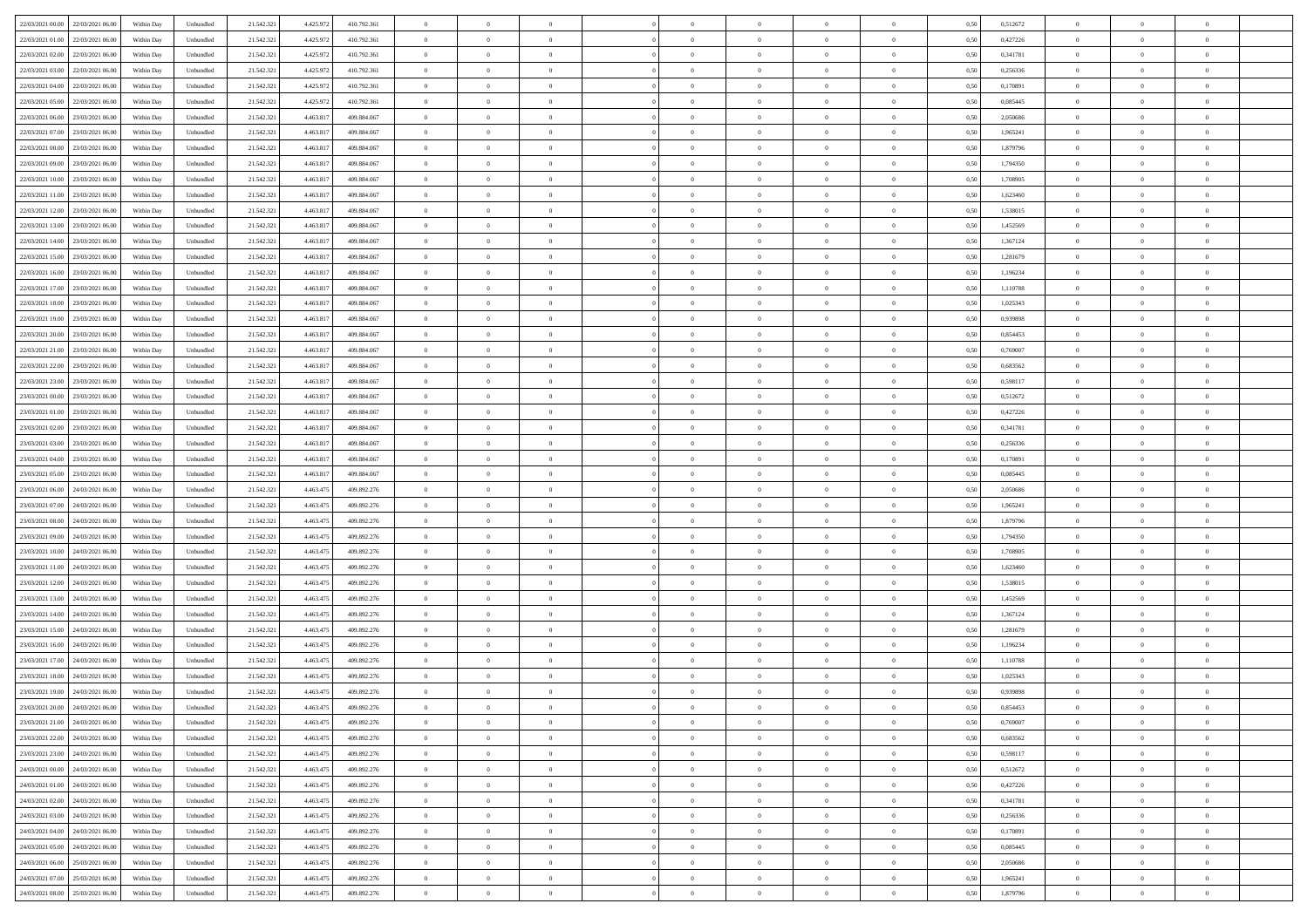| 22/03/2021 00:00 22/03/2021 06:00            | Within Day | Unbundled | 21.542.321 | 4.425.972 | 410.792.361 | $\overline{0}$ | $\theta$       |                | $\overline{0}$ | $\theta$       |                | $\theta$       | 0,50 | 0,512672 | $\theta$       | $\theta$       | $\theta$       |  |
|----------------------------------------------|------------|-----------|------------|-----------|-------------|----------------|----------------|----------------|----------------|----------------|----------------|----------------|------|----------|----------------|----------------|----------------|--|
|                                              |            |           |            |           |             |                |                |                |                |                |                |                |      |          |                |                |                |  |
| 22/03/2021 01:00<br>22/03/2021 06.00         | Within Day | Unbundled | 21.542.32  | 4.425.97  | 410.792.361 | $\bf{0}$       | $\overline{0}$ | $\bf{0}$       | $\overline{0}$ | $\bf{0}$       | $\overline{0}$ | $\bf{0}$       | 0,50 | 0,427226 | $\,$ 0 $\,$    | $\bf{0}$       | $\overline{0}$ |  |
| 22/03/2021 02:00<br>22/03/2021 06:00         | Within Day | Unbundled | 21.542.321 | 4.425.972 | 410.792.361 | $\overline{0}$ | $\bf{0}$       | $\overline{0}$ | $\bf{0}$       | $\bf{0}$       | $\overline{0}$ | $\bf{0}$       | 0.50 | 0.341781 | $\bf{0}$       | $\overline{0}$ | $\overline{0}$ |  |
| 22/03/2021 03:00<br>22/03/2021 06:00         | Within Day | Unbundled | 21.542.321 | 4.425.972 | 410.792.361 | $\overline{0}$ | $\overline{0}$ | $\overline{0}$ | $\theta$       | $\theta$       | $\overline{0}$ | $\overline{0}$ | 0,50 | 0,256336 | $\theta$       | $\theta$       | $\overline{0}$ |  |
| 22/03/2021 04:00<br>22/03/2021 06.00         | Within Day | Unbundled | 21.542.32  | 4.425.97  | 410.792.361 | $\overline{0}$ | $\overline{0}$ | $\overline{0}$ | $\overline{0}$ | $\theta$       | $\overline{0}$ | $\bf{0}$       | 0,50 | 0,170891 | $\,$ 0 $\,$    | $\bf{0}$       | $\overline{0}$ |  |
| 22/03/2021 05:00<br>22/03/2021 06:00         | Within Day | Unbundled | 21.542.321 | 4.425.97  | 410.792.361 | $\overline{0}$ | $\overline{0}$ | $\overline{0}$ | $\overline{0}$ | $\overline{0}$ | $\theta$       | $\bf{0}$       | 0.50 | 0.085445 | $\,$ 0 $\,$    | $\theta$       | $\overline{0}$ |  |
|                                              |            |           |            |           |             | $\overline{0}$ | $\overline{0}$ | $\overline{0}$ | $\overline{0}$ | $\theta$       | $\overline{0}$ |                |      |          | $\theta$       | $\theta$       | $\overline{0}$ |  |
| 22/03/2021 06:00<br>23/03/2021 06:00         | Within Day | Unbundled | 21.542.32  | 4.463.817 | 409.884.067 |                |                |                |                |                |                | $\bf{0}$       | 0,50 | 2,050686 |                |                |                |  |
| 22/03/2021 07:00<br>23/03/2021 06.00         | Within Day | Unbundled | 21.542.32  | 4.463.81  | 409.884.067 | $\overline{0}$ | $\overline{0}$ | $\overline{0}$ | $\overline{0}$ | $\theta$       | $\overline{0}$ | $\bf{0}$       | 0,50 | 1,965241 | $\,$ 0 $\,$    | $\bf{0}$       | $\overline{0}$ |  |
| 22/03/2021 08:00<br>23/03/2021 06:00         | Within Day | Unbundled | 21.542.321 | 4.463.81  | 409.884.067 | $\overline{0}$ | $\bf{0}$       | $\overline{0}$ | $\bf{0}$       | $\overline{0}$ | $\overline{0}$ | $\bf{0}$       | 0.50 | 1.879796 | $\bf{0}$       | $\overline{0}$ | $\overline{0}$ |  |
| 22/03/2021 09:00<br>23/03/2021 06:00         | Within Day | Unbundled | 21.542.321 | 4.463.817 | 409.884.067 | $\overline{0}$ | $\bf{0}$       | $\overline{0}$ | $\overline{0}$ | $\overline{0}$ | $\overline{0}$ | $\bf{0}$       | 0,50 | 1,794350 | $\,$ 0 $\,$    | $\theta$       | $\overline{0}$ |  |
| 22/03/2021 10:00<br>23/03/2021 06.00         | Within Day | Unbundled | 21.542.32  | 4.463.81  | 409.884.067 | $\bf{0}$       | $\overline{0}$ | $\bf{0}$       | $\overline{0}$ | $\bf{0}$       | $\overline{0}$ | $\bf{0}$       | 0,50 | 1,708905 | $\,$ 0 $\,$    | $\bf{0}$       | $\overline{0}$ |  |
| 22/03/2021 11:00<br>23/03/2021 06:00         | Within Day | Unbundled | 21.542.321 | 4.463.81  | 409.884.067 | $\overline{0}$ | $\bf{0}$       | $\overline{0}$ | $\bf{0}$       | $\bf{0}$       | $\overline{0}$ | $\bf{0}$       | 0.50 | 1.623460 | $\bf{0}$       | $\overline{0}$ | $\bf{0}$       |  |
| 22/03/2021 12:00<br>23/03/2021 06:00         | Within Day | Unbundled | 21.542.32  | 4.463.817 | 409.884.067 | $\overline{0}$ | $\overline{0}$ | $\overline{0}$ | $\overline{0}$ | $\theta$       | $\overline{0}$ | $\overline{0}$ | 0,50 | 1,538015 | $\,$ 0 $\,$    | $\theta$       | $\overline{0}$ |  |
|                                              |            |           |            |           |             |                | $\theta$       |                | $\overline{0}$ | $\theta$       | $\overline{0}$ |                |      |          | $\,$ 0 $\,$    | $\bf{0}$       | $\overline{0}$ |  |
| 22/03/2021 13:00<br>23/03/2021 06.00         | Within Day | Unbundled | 21.542.32  | 4.463.81  | 409.884.067 | $\bf{0}$       |                | $\bf{0}$       |                |                |                | $\bf{0}$       | 0,50 | 1,452569 |                |                |                |  |
| 22/03/2021 14:00<br>23/03/2021 06:00         | Within Day | Unbundled | 21.542.321 | 4.463.81  | 409.884.067 | $\overline{0}$ | $\overline{0}$ | $\overline{0}$ | $\bf{0}$       | $\theta$       | $\Omega$       | $\bf{0}$       | 0.50 | 1.367124 | $\theta$       | $\theta$       | $\overline{0}$ |  |
| 22/03/2021 15:00<br>23/03/2021 06:00         | Within Day | Unbundled | 21.542.321 | 4.463.817 | 409.884.067 | $\overline{0}$ | $\overline{0}$ | $\overline{0}$ | $\overline{0}$ | $\overline{0}$ | $\overline{0}$ | $\bf{0}$       | 0,50 | 1,281679 | $\theta$       | $\theta$       | $\overline{0}$ |  |
| 22/03/2021 16:00<br>23/03/2021 06.00         | Within Day | Unbundled | 21.542.32  | 4.463.81  | 409.884.067 | $\bf{0}$       | $\overline{0}$ | $\overline{0}$ | $\overline{0}$ | $\theta$       | $\overline{0}$ | $\bf{0}$       | 0,50 | 1,196234 | $\,$ 0 $\,$    | $\bf{0}$       | $\overline{0}$ |  |
| 22/03/2021 17:00<br>23/03/2021 06:00         | Within Day | Unbundled | 21.542.32  | 4.463.81  | 409.884.067 | $\overline{0}$ | $\bf{0}$       | $\overline{0}$ | $\bf{0}$       | $\overline{0}$ | $\overline{0}$ | $\bf{0}$       | 0.50 | 1.110788 | $\bf{0}$       | $\overline{0}$ | $\overline{0}$ |  |
| 22/03/2021 18:00<br>23/03/2021 06:00         | Within Day | Unbundled | 21.542.321 | 4.463.817 | 409.884.067 | $\overline{0}$ | $\overline{0}$ | $\overline{0}$ | $\overline{0}$ | $\overline{0}$ | $\overline{0}$ | $\bf{0}$       | 0,50 | 1,025343 | $\,$ 0 $\,$    | $\theta$       | $\overline{0}$ |  |
| 22/03/2021 19:00<br>23/03/2021 06.00         | Within Day | Unbundled | 21.542.32  | 4.463.81  | 409.884.067 | $\bf{0}$       | $\overline{0}$ | $\bf{0}$       | $\bf{0}$       | $\overline{0}$ | $\overline{0}$ | $\bf{0}$       | 0,50 | 0,939898 | $\,$ 0 $\,$    | $\bf{0}$       | $\overline{0}$ |  |
| 22/03/2021 20:00<br>23/03/2021 06:00         | Within Day | Unbundled | 21.542.321 | 4.463.81  | 409.884.067 | $\overline{0}$ | $\bf{0}$       | $\overline{0}$ | $\bf{0}$       | $\bf{0}$       | $\overline{0}$ | $\bf{0}$       | 0.50 | 0.854453 | $\bf{0}$       | $\overline{0}$ | $\bf{0}$       |  |
|                                              |            |           |            |           |             |                |                |                |                |                |                |                |      |          |                |                |                |  |
| 22/03/2021 21:00<br>23/03/2021 06:00         | Within Day | Unbundled | 21.542.32  | 4.463.817 | 409.884.067 | $\overline{0}$ | $\overline{0}$ | $\overline{0}$ | $\theta$       | $\theta$       | $\overline{0}$ | $\bf{0}$       | 0,50 | 0,769007 | $\theta$       | $\theta$       | $\overline{0}$ |  |
| 22/03/2021 22:00<br>23/03/2021 06.00         | Within Day | Unbundled | 21.542.32  | 4.463.81  | 409.884.067 | $\bf{0}$       | $\overline{0}$ | $\bf{0}$       | $\bf{0}$       | $\theta$       | $\overline{0}$ | $\bf{0}$       | 0,50 | 0,683562 | $\,$ 0 $\,$    | $\bf{0}$       | $\overline{0}$ |  |
| 22/03/2021 23:00<br>23/03/2021 06:00         | Within Day | Unbundled | 21.542.321 | 4.463.81  | 409.884.067 | $\overline{0}$ | $\overline{0}$ | $\overline{0}$ | $\overline{0}$ | $\overline{0}$ | $\Omega$       | $\bf{0}$       | 0.50 | 0.598117 | $\,$ 0 $\,$    | $\theta$       | $\overline{0}$ |  |
| 23/03/2021 00:00<br>23/03/2021 06:00         | Within Day | Unbundled | 21.542.32  | 4.463.817 | 409.884.067 | $\overline{0}$ | $\overline{0}$ | $\overline{0}$ | $\overline{0}$ | $\overline{0}$ | $\overline{0}$ | $\bf{0}$       | 0,50 | 0,512672 | $\theta$       | $\theta$       | $\overline{0}$ |  |
| 23/03/2021 01:00<br>23/03/2021 06.00         | Within Day | Unbundled | 21.542.32  | 4.463.81  | 409.884.067 | $\bf{0}$       | $\theta$       | $\bf{0}$       | $\overline{0}$ | $\theta$       | $\overline{0}$ | $\bf{0}$       | 0,50 | 0,427226 | $\,$ 0 $\,$    | $\bf{0}$       | $\overline{0}$ |  |
| 23/03/2021 02:00<br>23/03/2021 06:00         | Within Day | Unbundled | 21.542.32  | 4.463.81  | 409.884.067 | $\overline{0}$ | $\bf{0}$       | $\overline{0}$ | $\bf{0}$       | $\overline{0}$ | $\overline{0}$ | $\bf{0}$       | 0.50 | 0.341781 | $\bf{0}$       | $\overline{0}$ | $\overline{0}$ |  |
| 23/03/2021 03:00<br>23/03/2021 06:00         | Within Day | Unbundled | 21.542.321 | 4.463.817 | 409.884.067 | $\overline{0}$ | $\overline{0}$ | $\overline{0}$ | $\overline{0}$ | $\overline{0}$ | $\overline{0}$ | $\bf{0}$       | 0,50 | 0,256336 | $\theta$       | $\theta$       | $\overline{0}$ |  |
| 23/03/2021 04:00<br>23/03/2021 06.00         | Within Day | Unbundled | 21.542.32  | 4.463.81  | 409.884.067 | $\bf{0}$       | $\bf{0}$       | $\bf{0}$       | $\bf{0}$       | $\overline{0}$ | $\overline{0}$ | $\bf{0}$       | 0,50 | 0,170891 | $\,$ 0 $\,$    | $\bf{0}$       | $\overline{0}$ |  |
|                                              |            |           |            |           |             |                |                |                |                |                |                |                |      |          |                |                |                |  |
| 23/03/2021 05:00<br>23/03/2021 06:00         | Within Day | Unbundled | 21.542.321 | 4.463.81  | 409.884.067 | $\overline{0}$ | $\bf{0}$       | $\overline{0}$ | $\bf{0}$       | $\bf{0}$       | $\overline{0}$ | $\bf{0}$       | 0.50 | 0.085445 | $\bf{0}$       | $\overline{0}$ | $\bf{0}$       |  |
| 23/03/2021 06:00<br>24/03/2021 06:00         | Within Day | Unbundled | 21.542.32  | 4.463.475 | 409.892.276 | $\overline{0}$ | $\overline{0}$ | $\overline{0}$ | $\overline{0}$ | $\overline{0}$ | $\overline{0}$ | $\bf{0}$       | 0.5( | 2.050686 | $\theta$       | $\theta$       | $\overline{0}$ |  |
| 23/03/2021 07:00<br>24/03/2021 06.00         | Within Day | Unbundled | 21.542.32  | 4,463.47  | 409.892.276 | $\bf{0}$       | $\overline{0}$ | $\bf{0}$       | $\overline{0}$ | $\overline{0}$ | $\overline{0}$ | $\bf{0}$       | 0,50 | 1,965241 | $\,$ 0 $\,$    | $\bf{0}$       | $\overline{0}$ |  |
| 23/03/2021 08:00<br>24/03/2021 06:00         | Within Day | Unbundled | 21.542.321 | 4.463.47  | 409.892.276 | $\overline{0}$ | $\overline{0}$ | $\overline{0}$ | $\bf{0}$       | $\bf{0}$       | $\Omega$       | $\bf{0}$       | 0.50 | 1.879796 | $\,$ 0 $\,$    | $\theta$       | $\overline{0}$ |  |
| 23/03/2021 09:00<br>24/03/2021 06:00         | Within Dav | Unbundled | 21.542.321 | 4.463.475 | 409.892.276 | $\overline{0}$ | $\overline{0}$ | $\overline{0}$ | $\overline{0}$ | $\overline{0}$ | $\overline{0}$ | $\overline{0}$ | 0.5( | 1,794350 | $\theta$       | $\theta$       | $\overline{0}$ |  |
| 23/03/2021 10:00<br>24/03/2021 06.00         | Within Day | Unbundled | 21.542.32  | 4.463.475 | 409.892.276 | $\bf{0}$       | $\overline{0}$ | $\bf{0}$       | $\bf{0}$       | $\bf{0}$       | $\overline{0}$ | $\bf{0}$       | 0,50 | 1,708905 | $\,$ 0 $\,$    | $\bf{0}$       | $\overline{0}$ |  |
| 23/03/2021 11:00<br>24/03/2021 06:00         | Within Day | Unbundled | 21.542.321 | 4.463.47  | 409.892.276 | $\overline{0}$ | $\bf{0}$       | $\overline{0}$ | $\bf{0}$       | $\overline{0}$ | $\overline{0}$ | $\bf{0}$       | 0.50 | 1.623460 | $\bf{0}$       | $\overline{0}$ | $\overline{0}$ |  |
| 23/03/2021 12:00<br>24/03/2021 06:00         | Within Dav | Unbundled | 21.542.32  | 4.463.475 | 409.892.276 | $\overline{0}$ | $\overline{0}$ | $\overline{0}$ | $\overline{0}$ | $\overline{0}$ | $\overline{0}$ | $\overline{0}$ | 0.50 | 1,538015 | $\theta$       | $\theta$       | $\overline{0}$ |  |
| 24/03/2021 06.00                             | Within Day | Unbundled | 21.542.32  | 4,463.47  | 409.892.276 | $\bf{0}$       | $\bf{0}$       | $\bf{0}$       | $\bf{0}$       | $\overline{0}$ | $\overline{0}$ | $\bf{0}$       | 0,50 | 1,452569 | $\,$ 0 $\,$    | $\bf{0}$       | $\overline{0}$ |  |
| 23/03/2021 13:00                             |            |           |            |           |             |                |                |                |                |                |                |                |      |          |                |                |                |  |
| 23/03/2021 14:00<br>24/03/2021 06:00         | Within Day | Unbundled | 21.542.321 | 4.463.475 | 409.892.276 | $\overline{0}$ | $\bf{0}$       | $\overline{0}$ | $\bf{0}$       | $\bf{0}$       | $\overline{0}$ | $\bf{0}$       | 0.50 | 1.367124 | $\bf{0}$       | $\overline{0}$ | $\overline{0}$ |  |
| 23/03/2021 15:00<br>24/03/2021 06:00         | Within Dav | Unbundled | 21.542.321 | 4.463.475 | 409.892.276 | $\overline{0}$ | $\overline{0}$ | $\Omega$       | $\overline{0}$ | $\overline{0}$ | $\overline{0}$ | $\bf{0}$       | 0.5( | 1,281679 | $\theta$       | $\theta$       | $\overline{0}$ |  |
| 23/03/2021 16:00<br>24/03/2021 06.00         | Within Day | Unbundled | 21.542.32  | 4.463.475 | 409.892.276 | $\bf{0}$       | $\overline{0}$ | $\bf{0}$       | $\overline{0}$ | $\,$ 0 $\,$    | $\overline{0}$ | $\bf{0}$       | 0,50 | 1,196234 | $\,$ 0 $\,$    | $\bf{0}$       | $\overline{0}$ |  |
| 23/03/2021 17:00<br>24/03/2021 06:00         | Within Day | Unbundled | 21.542.321 | 4.463.47  | 409.892.276 | $\overline{0}$ | $\overline{0}$ | $\Omega$       | $\overline{0}$ | $\overline{0}$ | $\Omega$       | $\bf{0}$       | 0.50 | 1,110788 | $\bf{0}$       | $\theta$       | $\overline{0}$ |  |
| 23/03/2021 18:00<br>24/03/2021 06:00         | Within Dav | Unbundled | 21.542.32  | 4.463.475 | 409.892.276 | $\overline{0}$ | $\overline{0}$ | $\Omega$       | $\overline{0}$ | $\theta$       | $\Omega$       | $\overline{0}$ | 0.5( | 1,025343 | $\theta$       | $\theta$       | $\overline{0}$ |  |
| 23/03/2021 19:00<br>24/03/2021 06:00         | Within Day | Unbundled | 21.542.32  | 4.463.475 | 409.892.276 | $\bf{0}$       | $\bf{0}$       | $\overline{0}$ | $\bf{0}$       | $\bf{0}$       | $\overline{0}$ | $\bf{0}$       | 0,50 | 0,939898 | $\,$ 0 $\,$    | $\bf{0}$       | $\overline{0}$ |  |
| $23/03/2021\ 20.00 \qquad 24/03/2021\ 06.00$ | Within Day | Unbundled | 21.542.321 | 4.463.475 | 409.892.276 | $\bf{0}$       | $\Omega$       |                | $\overline{0}$ |                |                |                | 0,50 | 0,854453 | $\theta$       | $\overline{0}$ |                |  |
| 23/03/2021 21:00 24/03/2021 06:00            | Within Day | Unbundled | 21.542.321 | 4.463.475 | 409.892.276 | $\overline{0}$ | $\theta$       | $\Omega$       | $\theta$       | $\overline{0}$ | $\overline{0}$ | $\bf{0}$       | 0,50 | 0,769007 | $\theta$       | $\theta$       | $\overline{0}$ |  |
|                                              |            |           |            |           |             |                |                |                |                |                |                |                |      |          |                |                |                |  |
| 23/03/2021 22:00<br>24/03/2021 06:00         | Within Day | Unbundled | 21.542.321 | 4.463.475 | 409.892.276 | $\overline{0}$ | $\bf{0}$       | $\overline{0}$ | $\overline{0}$ | $\bf{0}$       | $\overline{0}$ | $\bf{0}$       | 0,50 | 0,683562 | $\bf{0}$       | $\overline{0}$ | $\bf{0}$       |  |
| 23/03/2021 23:00 24/03/2021 06:00            | Within Day | Unbundled | 21.542.321 | 4.463.475 | 409.892.276 | $\overline{0}$ | $\bf{0}$       | $\overline{0}$ | $\overline{0}$ | $\mathbf{0}$   | $\overline{0}$ | $\,$ 0 $\,$    | 0.50 | 0.598117 | $\overline{0}$ | $\bf{0}$       | $\,$ 0 $\,$    |  |
| 24/03/2021 00:00 24/03/2021 06:00            | Within Day | Unbundled | 21.542.321 | 4.463.475 | 409.892.276 | $\overline{0}$ | $\overline{0}$ | $\overline{0}$ | $\overline{0}$ | $\overline{0}$ | $\overline{0}$ | $\bf{0}$       | 0,50 | 0,512672 | $\overline{0}$ | $\theta$       | $\overline{0}$ |  |
| 24/03/2021 01:00<br>24/03/2021 06:00         | Within Day | Unbundled | 21.542.321 | 4.463.475 | 409.892.276 | $\overline{0}$ | $\bf{0}$       | $\overline{0}$ | $\bf{0}$       | $\overline{0}$ | $\bf{0}$       | $\bf{0}$       | 0,50 | 0,427226 | $\bf{0}$       | $\bf{0}$       | $\overline{0}$ |  |
| 24/03/2021 02:00<br>24/03/2021 06:00         | Within Day | Unbundled | 21.542.321 | 4.463.475 | 409.892.276 | $\overline{0}$ | $\bf{0}$       | $\overline{0}$ | $\overline{0}$ | $\overline{0}$ | $\overline{0}$ | $\bf{0}$       | 0.50 | 0.341781 | $\,$ 0 $\,$    | $\theta$       | $\,$ 0         |  |
| 24/03/2021 03:00 24/03/2021 06:00            | Within Dav | Unbundled | 21.542.321 | 4.463.475 | 409.892.276 | $\overline{0}$ | $\overline{0}$ | $\overline{0}$ | $\overline{0}$ | $\overline{0}$ | $\overline{0}$ | $\bf{0}$       | 0.50 | 0,256336 | $\overline{0}$ | $\theta$       | $\overline{0}$ |  |
| 24/03/2021 04:00<br>24/03/2021 06:00         | Within Day | Unbundled | 21.542.32  | 4.463.475 | 409.892.276 | $\overline{0}$ | $\overline{0}$ | $\overline{0}$ | $\overline{0}$ | $\overline{0}$ | $\overline{0}$ | $\bf{0}$       | 0,50 | 0,170891 | $\bf{0}$       | $\overline{0}$ | $\overline{0}$ |  |
|                                              |            |           |            |           |             |                |                |                |                |                |                |                |      |          |                |                |                |  |
| 24/03/2021 05:00 24/03/2021 06:00            | Within Day | Unbundled | 21.542.321 | 4.463.475 | 409.892.276 | $\overline{0}$ | $\overline{0}$ | $\overline{0}$ | $\overline{0}$ | $\bf{0}$       | $\overline{0}$ | $\bf{0}$       | 0.50 | 0.085445 | $\overline{0}$ | $\bf{0}$       | $\,$ 0         |  |
| 24/03/2021 06:00 25/03/2021 06:00            | Within Dav | Unbundled | 21.542.321 | 4.463.475 | 409.892.276 | $\overline{0}$ | $\overline{0}$ | $\overline{0}$ | $\overline{0}$ | $\overline{0}$ | $\overline{0}$ | $\bf{0}$       | 0,50 | 2,050686 | $\overline{0}$ | $\theta$       | $\overline{0}$ |  |
| 24/03/2021 07:00<br>25/03/2021 06.00         | Within Day | Unbundled | 21.542.32  | 4.463.475 | 409.892.276 | $\overline{0}$ | $\bf{0}$       | $\overline{0}$ | $\bf{0}$       | $\overline{0}$ | $\bf{0}$       | $\bf{0}$       | 0,50 | 1,965241 | $\bf{0}$       | $\bf{0}$       | $\overline{0}$ |  |
| 24/03/2021 08:00 25/03/2021 06:00            | Within Day | Unbundled | 21.542.321 | 4.463.475 | 409.892.276 | $\overline{0}$ | $\bf{0}$       | $\overline{0}$ | $\overline{0}$ | $\,$ 0 $\,$    | $\overline{0}$ | $\bf{0}$       | 0,50 | 1,879796 | $\overline{0}$ | $\,$ 0 $\,$    | $\,$ 0 $\,$    |  |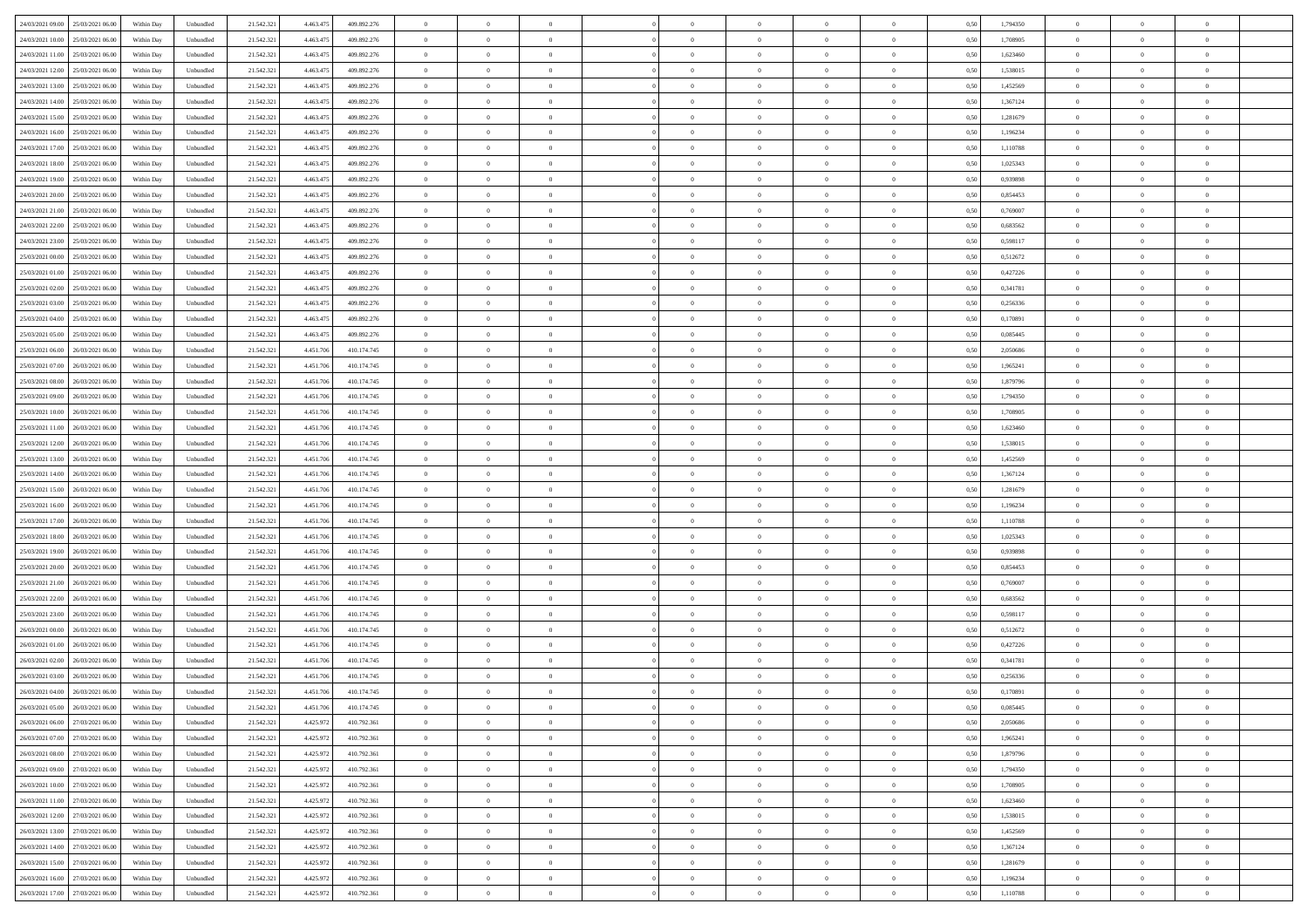| 24/03/2021 09:00 25/03/2021 06:00            | Within Day | Unbundled                   | 21.542.321 | 4.463.475 | 409.892.276 | $\overline{0}$ | $\theta$       |                | $\overline{0}$ | $\theta$       |                | $\bf{0}$       | 0,50 | 1,794350 | $\theta$       | $\theta$       | $\theta$       |  |
|----------------------------------------------|------------|-----------------------------|------------|-----------|-------------|----------------|----------------|----------------|----------------|----------------|----------------|----------------|------|----------|----------------|----------------|----------------|--|
|                                              |            |                             |            |           |             |                | $\overline{0}$ |                | $\overline{0}$ | $\bf{0}$       | $\overline{0}$ |                |      |          | $\,$ 0 $\,$    | $\bf{0}$       | $\overline{0}$ |  |
| 24/03/2021 10:00<br>25/03/2021 06.00         | Within Day | Unbundled                   | 21.542.32  | 4,463.47  | 409.892.276 | $\bf{0}$       |                | $\bf{0}$       |                |                |                | $\bf{0}$       | 0,50 | 1,708905 |                |                |                |  |
| 24/03/2021 11:00<br>25/03/2021 06:00         | Within Day | Unbundled                   | 21.542.321 | 4.463.475 | 409.892.276 | $\overline{0}$ | $\bf{0}$       | $\overline{0}$ | $\bf{0}$       | $\bf{0}$       | $\overline{0}$ | $\bf{0}$       | 0.50 | 1,623460 | $\bf{0}$       | $\overline{0}$ | $\overline{0}$ |  |
| 24/03/2021 12:00<br>25/03/2021 06:00         | Within Day | Unbundled                   | 21.542.32  | 4.463.475 | 409.892.276 | $\overline{0}$ | $\overline{0}$ | $\overline{0}$ | $\theta$       | $\theta$       | $\overline{0}$ | $\bf{0}$       | 0,50 | 1,538015 | $\theta$       | $\theta$       | $\overline{0}$ |  |
| 24/03/2021 13:00<br>25/03/2021 06.00         | Within Day | Unbundled                   | 21.542.32  | 4.463.475 | 409.892.276 | $\bf{0}$       | $\overline{0}$ | $\bf{0}$       | $\overline{0}$ | $\theta$       | $\overline{0}$ | $\bf{0}$       | 0,50 | 1,452569 | $\,$ 0 $\,$    | $\bf{0}$       | $\overline{0}$ |  |
| 24/03/2021 14:00<br>25/03/2021 06:00         | Within Day | Unbundled                   | 21.542.321 | 4.463.47  | 409.892.276 | $\overline{0}$ | $\overline{0}$ | $\overline{0}$ | $\bf{0}$       | $\overline{0}$ | $\theta$       | $\bf{0}$       | 0.50 | 1.367124 | $\,$ 0 $\,$    | $\theta$       | $\overline{0}$ |  |
| 24/03/2021 15:00<br>25/03/2021 06:00         | Within Day | Unbundled                   | 21.542.32  | 4.463.475 | 409.892.276 | $\overline{0}$ | $\overline{0}$ | $\overline{0}$ | $\overline{0}$ | $\theta$       | $\overline{0}$ | $\bf{0}$       | 0,50 | 1,281679 | $\theta$       | $\theta$       | $\overline{0}$ |  |
| 24/03/2021 16:00<br>25/03/2021 06.00         | Within Day | Unbundled                   | 21.542.32  | 4,463.47  | 409.892.276 | $\bf{0}$       | $\overline{0}$ | $\overline{0}$ | $\overline{0}$ | $\theta$       | $\overline{0}$ | $\bf{0}$       | 0,50 | 1,196234 | $\,$ 0 $\,$    | $\bf{0}$       | $\overline{0}$ |  |
| 24/03/2021 17:00<br>25/03/2021 06:00         | Within Day | Unbundled                   | 21.542.32  | 4.463.47  | 409.892.276 | $\overline{0}$ | $\bf{0}$       | $\overline{0}$ | $\bf{0}$       | $\overline{0}$ | $\overline{0}$ | $\bf{0}$       | 0.50 | 1.110788 | $\bf{0}$       | $\theta$       | $\overline{0}$ |  |
| 24/03/2021 18:00<br>25/03/2021 06:00         | Within Day | Unbundled                   | 21.542.321 | 4.463.475 | 409.892.276 | $\overline{0}$ | $\bf{0}$       | $\overline{0}$ | $\overline{0}$ | $\overline{0}$ | $\overline{0}$ | $\bf{0}$       | 0,50 | 1,025343 | $\,$ 0 $\,$    | $\theta$       | $\overline{0}$ |  |
| 24/03/2021 19:00<br>25/03/2021 06.00         | Within Day | Unbundled                   | 21.542.32  | 4.463.475 | 409.892.276 | $\bf{0}$       | $\overline{0}$ | $\bf{0}$       | $\overline{0}$ | $\bf{0}$       | $\overline{0}$ | $\bf{0}$       | 0,50 | 0,939898 | $\,$ 0 $\,$    | $\bf{0}$       | $\overline{0}$ |  |
| 24/03/2021 20:00<br>25/03/2021 06:00         | Within Day | Unbundled                   | 21.542.321 | 4.463.475 | 409.892.276 | $\overline{0}$ | $\bf{0}$       | $\overline{0}$ | $\bf{0}$       | $\bf{0}$       | $\overline{0}$ | $\bf{0}$       | 0.50 | 0.854453 | $\bf{0}$       | $\overline{0}$ | $\overline{0}$ |  |
| 24/03/2021 21:00<br>25/03/2021 06:00         |            |                             | 21.542.32  |           |             | $\overline{0}$ | $\overline{0}$ | $\overline{0}$ | $\overline{0}$ | $\theta$       | $\overline{0}$ | $\overline{0}$ |      | 0,769007 | $\theta$       | $\theta$       | $\overline{0}$ |  |
|                                              | Within Day | Unbundled                   |            | 4.463.475 | 409.892.276 |                |                |                |                |                |                |                | 0,50 |          |                |                |                |  |
| 24/03/2021 22.00<br>25/03/2021 06.00         | Within Day | Unbundled                   | 21.542.32  | 4,463.47  | 409.892.276 | $\bf{0}$       | $\theta$       | $\bf{0}$       | $\overline{0}$ | $\theta$       | $\overline{0}$ | $\bf{0}$       | 0,50 | 0,683562 | $\bf{0}$       | $\bf{0}$       | $\overline{0}$ |  |
| 24/03/2021 23:00<br>25/03/2021 06:00         | Within Day | Unbundled                   | 21.542.321 | 4.463.47  | 409.892.276 | $\overline{0}$ | $\overline{0}$ | $\overline{0}$ | $\bf{0}$       | $\bf{0}$       | $\Omega$       | $\bf{0}$       | 0.50 | 0.598117 | $\,$ 0 $\,$    | $\theta$       | $\overline{0}$ |  |
| 25/03/2021 00:00<br>25/03/2021 06:00         | Within Day | Unbundled                   | 21.542.321 | 4.463.475 | 409.892.276 | $\overline{0}$ | $\overline{0}$ | $\overline{0}$ | $\overline{0}$ | $\overline{0}$ | $\overline{0}$ | $\bf{0}$       | 0,50 | 0,512672 | $\theta$       | $\theta$       | $\overline{0}$ |  |
| 25/03/2021 01:00<br>25/03/2021 06.00         | Within Day | Unbundled                   | 21.542.32  | 4.463.475 | 409.892.276 | $\bf{0}$       | $\overline{0}$ | $\overline{0}$ | $\overline{0}$ | $\bf{0}$       | $\overline{0}$ | $\bf{0}$       | 0,50 | 0,427226 | $\,$ 0 $\,$    | $\bf{0}$       | $\overline{0}$ |  |
| 25/03/2021 02:00<br>25/03/2021 06:00         | Within Day | Unbundled                   | 21.542.32  | 4.463.47  | 409.892.276 | $\overline{0}$ | $\bf{0}$       | $\overline{0}$ | $\bf{0}$       | $\overline{0}$ | $\overline{0}$ | $\bf{0}$       | 0.50 | 0.341781 | $\bf{0}$       | $\overline{0}$ | $\overline{0}$ |  |
| 25/03/2021 03:00<br>25/03/2021 06:00         | Within Day | Unbundled                   | 21.542.321 | 4.463.475 | 409.892.276 | $\overline{0}$ | $\overline{0}$ | $\overline{0}$ | $\overline{0}$ | $\overline{0}$ | $\overline{0}$ | $\bf{0}$       | 0,50 | 0,256336 | $\,$ 0 $\,$    | $\theta$       | $\overline{0}$ |  |
| 25/03/2021 04:00<br>25/03/2021 06.00         | Within Day | Unbundled                   | 21.542.32  | 4,463.47  | 409.892.276 | $\bf{0}$       | $\overline{0}$ | $\bf{0}$       | $\bf{0}$       | $\overline{0}$ | $\overline{0}$ | $\bf{0}$       | 0,50 | 0,170891 | $\,$ 0 $\,$    | $\bf{0}$       | $\overline{0}$ |  |
| 25/03/2021 05:00<br>25/03/2021 06:00         | Within Day | Unbundled                   | 21.542.321 | 4.463.475 | 409.892.276 | $\overline{0}$ | $\bf{0}$       | $\overline{0}$ | $\bf{0}$       | $\bf{0}$       | $\overline{0}$ | $\bf{0}$       | 0.50 | 0.085445 | $\bf{0}$       | $\overline{0}$ | $\overline{0}$ |  |
| 25/03/2021 06:00<br>26/03/2021 06:00         | Within Day | Unbundled                   | 21.542.32  | 4.451.706 | 410.174.745 | $\overline{0}$ | $\overline{0}$ | $\overline{0}$ | $\theta$       | $\theta$       | $\overline{0}$ | $\bf{0}$       | 0,50 | 2,050686 | $\theta$       | $\theta$       | $\overline{0}$ |  |
| 25/03/2021 07:00<br>26/03/2021 06.00         | Within Day | Unbundled                   | 21.542.32  | 4.451.70  | 410.174.745 | $\bf{0}$       | $\overline{0}$ | $\bf{0}$       | $\overline{0}$ | $\bf{0}$       | $\overline{0}$ | $\bf{0}$       | 0,50 | 1,965241 | $\,$ 0 $\,$    | $\bf{0}$       | $\overline{0}$ |  |
| 25/03/2021 08:00<br>26/03/2021 06:00         | Within Day | Unbundled                   | 21.542.321 | 4.451.70  | 410.174.745 | $\overline{0}$ | $\overline{0}$ | $\overline{0}$ | $\overline{0}$ | $\overline{0}$ | $\Omega$       | $\bf{0}$       | 0.50 | 1.879796 | $\,$ 0 $\,$    | $\theta$       | $\overline{0}$ |  |
| 25/03/2021 09:00<br>26/03/2021 06:00         | Within Day | Unbundled                   | 21.542.321 | 4.451.706 | 410.174.745 | $\overline{0}$ | $\overline{0}$ | $\overline{0}$ | $\overline{0}$ | $\theta$       | $\overline{0}$ | $\bf{0}$       | 0,50 | 1,794350 | $\theta$       | $\theta$       | $\overline{0}$ |  |
|                                              |            |                             |            |           |             |                |                |                |                |                |                |                |      |          |                |                |                |  |
| 25/03/2021 10:00<br>26/03/2021 06.00         | Within Day | Unbundled                   | 21.542.32  | 4.451.70  | 410.174.745 | $\bf{0}$       | $\theta$       | $\bf{0}$       | $\overline{0}$ | $\theta$       | $\overline{0}$ | $\bf{0}$       | 0,50 | 1,708905 | $\,$ 0 $\,$    | $\bf{0}$       | $\overline{0}$ |  |
| 25/03/2021 11:00<br>26/03/2021 06:00         | Within Day | Unbundled                   | 21.542.321 | 4.451.706 | 410.174.745 | $\overline{0}$ | $\bf{0}$       | $\overline{0}$ | $\bf{0}$       | $\overline{0}$ | $\overline{0}$ | $\bf{0}$       | 0.50 | 1.623460 | $\bf{0}$       | $\overline{0}$ | $\overline{0}$ |  |
| 25/03/2021 12:00<br>26/03/2021 06:00         | Within Day | Unbundled                   | 21.542.321 | 4.451.706 | 410.174.745 | $\overline{0}$ | $\overline{0}$ | $\overline{0}$ | $\overline{0}$ | $\overline{0}$ | $\overline{0}$ | $\bf{0}$       | 0,50 | 1,538015 | $\theta$       | $\theta$       | $\overline{0}$ |  |
| 25/03/2021 13:00<br>26/03/2021 06.00         | Within Day | Unbundled                   | 21.542.32  | 4.451.70  | 410.174.745 | $\bf{0}$       | $\bf{0}$       | $\bf{0}$       | $\bf{0}$       | $\overline{0}$ | $\overline{0}$ | $\bf{0}$       | 0,50 | 1,452569 | $\,$ 0 $\,$    | $\bf{0}$       | $\overline{0}$ |  |
| 25/03/2021 14:00<br>26/03/2021 06:00         | Within Day | Unbundled                   | 21.542.321 | 4.451.706 | 410.174.745 | $\overline{0}$ | $\bf{0}$       | $\overline{0}$ | $\bf{0}$       | $\bf{0}$       | $\overline{0}$ | $\bf{0}$       | 0.50 | 1.367124 | $\bf{0}$       | $\overline{0}$ | $\overline{0}$ |  |
| 25/03/2021 15:00<br>26/03/2021 06:00         | Within Day | Unbundled                   | 21.542.32  | 4.451.70  | 410.174.745 | $\overline{0}$ | $\overline{0}$ | $\overline{0}$ | $\overline{0}$ | $\overline{0}$ | $\overline{0}$ | $\bf{0}$       | 0.5( | 1,281679 | $\theta$       | $\theta$       | $\overline{0}$ |  |
| 25/03/2021 16:00<br>26/03/2021 06.00         | Within Day | Unbundled                   | 21.542.32  | 4.451.70  | 410.174.745 | $\bf{0}$       | $\overline{0}$ | $\bf{0}$       | $\overline{0}$ | $\overline{0}$ | $\overline{0}$ | $\bf{0}$       | 0,50 | 1,196234 | $\,$ 0 $\,$    | $\bf{0}$       | $\overline{0}$ |  |
| 25/03/2021 17:00<br>26/03/2021 06:00         | Within Day | Unbundled                   | 21.542.321 | 4.451.706 | 410.174.745 | $\overline{0}$ | $\overline{0}$ | $\overline{0}$ | $\bf{0}$       | $\bf{0}$       | $\Omega$       | $\bf{0}$       | 0.50 | 1.110788 | $\,$ 0 $\,$    | $\theta$       | $\overline{0}$ |  |
| 25/03/2021 18:00<br>26/03/2021 06:00         | Within Dav | Unbundled                   | 21.542.321 | 4.451.706 | 410.174.745 | $\overline{0}$ | $\overline{0}$ | $\overline{0}$ | $\overline{0}$ | $\theta$       | $\overline{0}$ | $\overline{0}$ | 0.5( | 1,025343 | $\theta$       | $\theta$       | $\overline{0}$ |  |
| 25/03/2021 19:00<br>26/03/2021 06.00         | Within Day | Unbundled                   | 21.542.32  | 4.451.70  | 410.174.745 | $\bf{0}$       | $\overline{0}$ | $\bf{0}$       | $\overline{0}$ | $\bf{0}$       | $\overline{0}$ | $\bf{0}$       | 0,50 | 0,939898 | $\,$ 0 $\,$    | $\bf{0}$       | $\overline{0}$ |  |
| 25/03/2021 20:00<br>26/03/2021 06:00         | Within Day | Unbundled                   | 21.542.321 | 4.451.70  | 410.174.745 | $\overline{0}$ | $\bf{0}$       | $\overline{0}$ | $\bf{0}$       | $\overline{0}$ | $\overline{0}$ | $\bf{0}$       | 0.50 | 0.854453 | $\bf{0}$       | $\overline{0}$ | $\overline{0}$ |  |
| 25/03/2021 21:00<br>26/03/2021 06:00         | Within Dav | Unbundled                   | 21.542.32  | 4.451.70  | 410.174.745 | $\overline{0}$ | $\overline{0}$ | $\overline{0}$ | $\overline{0}$ | $\overline{0}$ | $\overline{0}$ | $\overline{0}$ | 0.50 | 0,769007 | $\theta$       | $\theta$       | $\overline{0}$ |  |
| 25/03/2021 22:00<br>26/03/2021 06.00         | Within Day | Unbundled                   | 21.542.32  | 4.451.70  | 410.174.745 | $\bf{0}$       | $\bf{0}$       | $\bf{0}$       | $\bf{0}$       | $\overline{0}$ | $\overline{0}$ | $\bf{0}$       | 0,50 | 0,683562 | $\,$ 0 $\,$    | $\bf{0}$       | $\overline{0}$ |  |
| 25/03/2021 23:00<br>26/03/2021 06:00         | Within Day | Unbundled                   | 21.542.321 | 4.451.706 | 410.174.745 | $\overline{0}$ | $\bf{0}$       | $\overline{0}$ | $\bf{0}$       | $\bf{0}$       | $\overline{0}$ | $\bf{0}$       | 0.50 | 0.598117 | $\bf{0}$       | $\overline{0}$ | $\overline{0}$ |  |
| 26/03/2021 00:00<br>26/03/2021 06:00         | Within Dav | Unbundled                   | 21.542.321 | 4.451.706 | 410.174.745 | $\overline{0}$ | $\overline{0}$ | $\overline{0}$ | $\overline{0}$ | $\theta$       | $\overline{0}$ | $\bf{0}$       | 0.5( | 0,512672 | $\theta$       | $\theta$       | $\overline{0}$ |  |
|                                              |            |                             |            |           |             |                |                |                |                |                |                |                |      |          |                |                |                |  |
| 26/03/2021 01:00<br>26/03/2021 06.00         | Within Day | Unbundled                   | 21.542.32  | 4.451.70  | 410.174.745 | $\bf{0}$       | $\overline{0}$ | $\bf{0}$       | $\bf{0}$       | $\overline{0}$ | $\overline{0}$ | $\bf{0}$       | 0,50 | 0,427226 | $\,$ 0 $\,$    | $\bf{0}$       | $\overline{0}$ |  |
| 26/03/2021 02:00<br>26/03/2021 06:00         | Within Day | Unbundled                   | 21.542.321 | 4.451.70  | 410.174.745 | $\overline{0}$ | $\overline{0}$ | $\Omega$       | $\overline{0}$ | $\bf{0}$       | $\theta$       | $\bf{0}$       | 0.50 | 0.341781 | $\bf{0}$       | $\theta$       | $\overline{0}$ |  |
| 26/03/2021 03:00<br>26/03/2021 06:00         | Within Dav | Unbundled                   | 21.542.32  | 4.451.70  | 410.174.745 | $\overline{0}$ | $\overline{0}$ | $\Omega$       | $\overline{0}$ | $\theta$       | $\Omega$       | $\overline{0}$ | 0.5( | 0,256336 | $\theta$       | $\theta$       | $\overline{0}$ |  |
| 26/03/2021 04:00<br>26/03/2021 06.00         | Within Day | Unbundled                   | 21.542.32  | 4.451.70  | 410.174.745 | $\bf{0}$       | $\bf{0}$       | $\overline{0}$ | $\bf{0}$       | $\bf{0}$       | $\overline{0}$ | $\bf{0}$       | 0,50 | 0,170891 | $\,$ 0 $\,$    | $\bf{0}$       | $\overline{0}$ |  |
| $26/03/2021\ 05.00 \qquad 26/03/2021\ 06.00$ | Within Day | $\ensuremath{\mathsf{Unb}}$ | 21.542.321 | 4.451.706 | 410.174.745 | $\bf{0}$       | $\Omega$       |                | $\Omega$       |                |                |                | 0,50 | 0.085445 | $\theta$       | $\overline{0}$ |                |  |
| 26/03/2021 06:00 27/03/2021 06:00            | Within Day | Unbundled                   | 21.542.321 | 4.425.972 | 410.792.361 | $\overline{0}$ | $\overline{0}$ | $\Omega$       | $\theta$       | $\overline{0}$ | $\overline{0}$ | $\bf{0}$       | 0,50 | 2,050686 | $\theta$       | $\theta$       | $\overline{0}$ |  |
| 26/03/2021 07:00<br>27/03/2021 06:00         | Within Day | Unbundled                   | 21.542.321 | 4.425.972 | 410.792.361 | $\overline{0}$ | $\bf{0}$       | $\overline{0}$ | $\overline{0}$ | $\bf{0}$       | $\overline{0}$ | $\bf{0}$       | 0,50 | 1,965241 | $\bf{0}$       | $\overline{0}$ | $\bf{0}$       |  |
| 26/03/2021 08:00 27/03/2021 06:00            | Within Day | Unbundled                   | 21.542.321 | 4.425.972 | 410.792.361 | $\overline{0}$ | $\bf{0}$       | $\overline{0}$ | $\overline{0}$ | $\mathbf{0}$   | $\overline{0}$ | $\,$ 0 $\,$    | 0.50 | 1.879796 | $\overline{0}$ | $\bf{0}$       | $\,$ 0 $\,$    |  |
| 26/03/2021 09:00 27/03/2021 06:00            | Within Day | Unbundled                   | 21.542.321 | 4.425.972 | 410.792.361 | $\overline{0}$ | $\overline{0}$ | $\overline{0}$ | $\overline{0}$ | $\overline{0}$ | $\overline{0}$ | $\bf{0}$       | 0,50 | 1,794350 | $\theta$       | $\theta$       | $\overline{0}$ |  |
| 26/03/2021 10:00<br>27/03/2021 06:00         | Within Day | Unbundled                   | 21.542.321 | 4.425.972 | 410.792.361 | $\overline{0}$ | $\bf{0}$       | $\overline{0}$ | $\bf{0}$       | $\overline{0}$ | $\bf{0}$       | $\bf{0}$       | 0,50 | 1,708905 | $\bf{0}$       | $\overline{0}$ | $\overline{0}$ |  |
| 26/03/2021 11:00 27/03/2021 06:00            | Within Day | Unbundled                   | 21.542.321 | 4.425.972 | 410.792.361 | $\overline{0}$ | $\bf{0}$       | $\overline{0}$ | $\overline{0}$ | $\overline{0}$ | $\overline{0}$ | $\bf{0}$       | 0.50 | 1.623460 | $\,$ 0 $\,$    | $\theta$       | $\,$ 0         |  |
| 26/03/2021 12:00<br>27/03/2021 06:00         | Within Dav | Unbundled                   | 21.542.321 | 4.425.972 | 410.792.361 | $\overline{0}$ | $\overline{0}$ | $\overline{0}$ | $\overline{0}$ | $\overline{0}$ | $\overline{0}$ | $\bf{0}$       | 0,50 | 1,538015 | $\overline{0}$ | $\theta$       | $\overline{0}$ |  |
| 27/03/2021 06:00<br>26/03/2021 13:00         | Within Day | Unbundled                   | 21.542.32  | 4.425.972 | 410.792.361 | $\overline{0}$ | $\overline{0}$ | $\overline{0}$ | $\overline{0}$ | $\overline{0}$ | $\overline{0}$ | $\bf{0}$       | 0,50 | 1,452569 | $\bf{0}$       | $\overline{0}$ | $\overline{0}$ |  |
| 26/03/2021 14:00 27/03/2021 06:00            | Within Day | Unbundled                   | 21.542.321 | 4.425.972 | 410.792.361 | $\overline{0}$ | $\overline{0}$ | $\overline{0}$ | $\overline{0}$ | $\bf{0}$       | $\overline{0}$ | $\bf{0}$       | 0.50 | 1.367124 | $\mathbf{0}$   | $\bf{0}$       | $\,$ 0         |  |
|                                              |            |                             |            |           |             |                |                |                |                |                |                |                |      |          |                |                |                |  |
| 26/03/2021 15:00 27/03/2021 06:00            | Within Dav | Unbundled                   | 21.542.321 | 4.425.972 | 410.792.361 | $\overline{0}$ | $\overline{0}$ | $\overline{0}$ | $\overline{0}$ | $\overline{0}$ | $\overline{0}$ | $\bf{0}$       | 0,50 | 1,281679 | $\overline{0}$ | $\theta$       | $\overline{0}$ |  |
| 26/03/2021 16:00<br>27/03/2021 06:00         | Within Day | Unbundled                   | 21.542.32  | 4.425.972 | 410.792.361 | $\overline{0}$ | $\bf{0}$       | $\overline{0}$ | $\bf{0}$       | $\overline{0}$ | $\overline{0}$ | $\bf{0}$       | 0,50 | 1,196234 | $\bf{0}$       | $\bf{0}$       | $\overline{0}$ |  |
| 26/03/2021 17:00 27/03/2021 06:00            | Within Day | Unbundled                   | 21.542.321 | 4.425.972 | 410.792.361 | $\overline{0}$ | $\bf{0}$       | $\overline{0}$ | $\overline{0}$ | $\,$ 0 $\,$    | $\overline{0}$ | $\bf{0}$       | 0,50 | 1,110788 | $\overline{0}$ | $\,$ 0 $\,$    | $\,$ 0 $\,$    |  |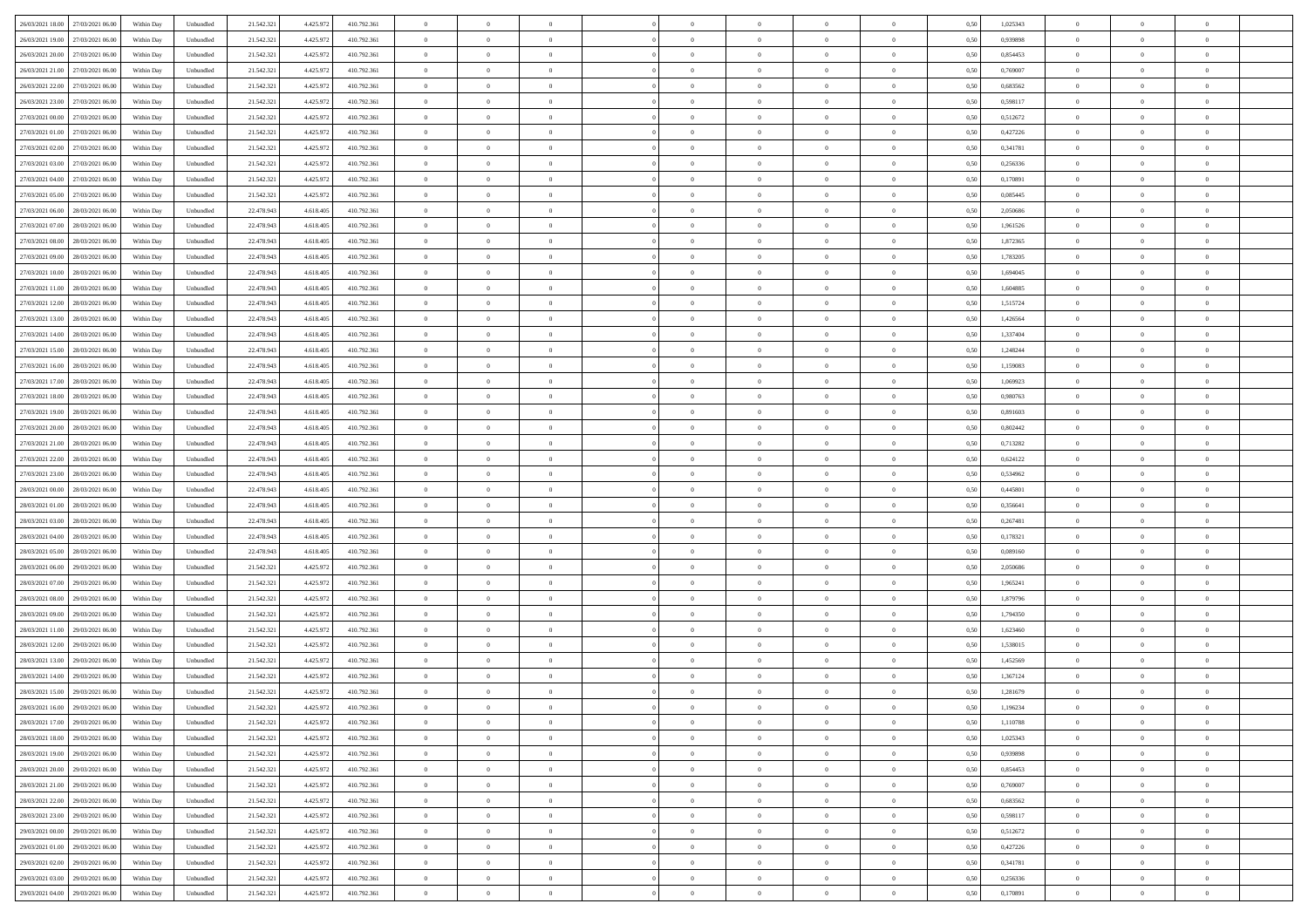| 26/03/2021 18:00 27/03/2021 06:00    | Within Day | Unbundled                   | 21.542.321 | 4.425.972 | 410.792.361 | $\overline{0}$ | $\theta$       |                | $\overline{0}$ | $\bf{0}$       |                | $\bf{0}$       | 0,50 | 1,025343 | $\theta$       | $\theta$       | $\theta$       |  |
|--------------------------------------|------------|-----------------------------|------------|-----------|-------------|----------------|----------------|----------------|----------------|----------------|----------------|----------------|------|----------|----------------|----------------|----------------|--|
|                                      |            |                             |            |           |             |                |                |                |                |                |                |                |      |          |                |                |                |  |
| 26/03/2021 19:00<br>27/03/2021 06.00 | Within Day | Unbundled                   | 21.542.32  | 4.425.97  | 410.792.361 | $\bf{0}$       | $\overline{0}$ | $\bf{0}$       | $\overline{0}$ | $\overline{0}$ | $\overline{0}$ | $\bf{0}$       | 0,50 | 0,939898 | $\,$ 0 $\,$    | $\bf{0}$       | $\overline{0}$ |  |
| 26/03/2021 20:00<br>27/03/2021 06:00 | Within Day | Unbundled                   | 21.542.321 | 4.425.972 | 410.792.361 | $\overline{0}$ | $\bf{0}$       | $\overline{0}$ | $\bf{0}$       | $\bf{0}$       | $\overline{0}$ | $\bf{0}$       | 0.50 | 0.854453 | $\bf{0}$       | $\overline{0}$ | $\overline{0}$ |  |
| 26/03/2021 21:00<br>27/03/2021 06:00 | Within Day | Unbundled                   | 21.542.321 | 4.425.972 | 410.792.361 | $\overline{0}$ | $\overline{0}$ | $\overline{0}$ | $\theta$       | $\theta$       | $\overline{0}$ | $\bf{0}$       | 0,50 | 0,769007 | $\theta$       | $\theta$       | $\overline{0}$ |  |
| 26/03/2021 22.00<br>27/03/2021 06.00 | Within Day | Unbundled                   | 21.542.32  | 4.425.97  | 410.792.361 | $\overline{0}$ | $\theta$       | $\bf{0}$       | $\overline{0}$ | $\theta$       | $\overline{0}$ | $\bf{0}$       | 0,50 | 0,683562 | $\bf{0}$       | $\bf{0}$       | $\overline{0}$ |  |
| 26/03/2021 23:00<br>27/03/2021 06:00 | Within Day | Unbundled                   | 21.542.321 | 4.425.972 | 410.792.361 | $\overline{0}$ | $\overline{0}$ | $\overline{0}$ | $\bf{0}$       | $\overline{0}$ | $\theta$       | $\bf{0}$       | 0.50 | 0.598117 | $\bf{0}$       | $\theta$       | $\overline{0}$ |  |
|                                      |            |                             |            |           |             | $\overline{0}$ | $\overline{0}$ | $\overline{0}$ | $\overline{0}$ | $\overline{0}$ | $\overline{0}$ |                |      |          | $\theta$       | $\theta$       | $\overline{0}$ |  |
| 27/03/2021 00:00<br>27/03/2021 06:00 | Within Day | Unbundled                   | 21.542.32  | 4.425.972 | 410.792.361 |                |                |                |                |                |                | $\bf{0}$       | 0,50 | 0,512672 |                |                |                |  |
| 27/03/2021 01:00<br>27/03/2021 06.00 | Within Day | Unbundled                   | 21.542.32  | 4.425.97  | 410.792.361 | $\bf{0}$       | $\overline{0}$ | $\bf{0}$       | $\overline{0}$ | $\theta$       | $\overline{0}$ | $\bf{0}$       | 0,50 | 0,427226 | $\,$ 0 $\,$    | $\bf{0}$       | $\overline{0}$ |  |
| 27/03/2021 02:00<br>27/03/2021 06:00 | Within Day | Unbundled                   | 21.542.321 | 4.425.97  | 410.792.361 | $\overline{0}$ | $\bf{0}$       | $\overline{0}$ | $\bf{0}$       | $\overline{0}$ | $\overline{0}$ | $\bf{0}$       | 0.50 | 0.341781 | $\bf{0}$       | $\overline{0}$ | $\overline{0}$ |  |
| 27/03/2021 03:00<br>27/03/2021 06:00 | Within Day | Unbundled                   | 21.542.321 | 4.425.972 | 410.792.361 | $\overline{0}$ | $\bf{0}$       | $\overline{0}$ | $\overline{0}$ | $\overline{0}$ | $\overline{0}$ | $\bf{0}$       | 0,50 | 0,256336 | $\,$ 0 $\,$    | $\theta$       | $\overline{0}$ |  |
| 27/03/2021 04:00<br>27/03/2021 06.00 | Within Day | Unbundled                   | 21.542.32  | 4.425.97  | 410.792.361 | $\bf{0}$       | $\overline{0}$ | $\bf{0}$       | $\overline{0}$ | $\bf{0}$       | $\overline{0}$ | $\bf{0}$       | 0,50 | 0,170891 | $\,$ 0 $\,$    | $\bf{0}$       | $\overline{0}$ |  |
| 27/03/2021 05:00<br>27/03/2021 06:00 | Within Day | Unbundled                   | 21.542.321 | 4.425.972 | 410.792.361 | $\overline{0}$ | $\bf{0}$       | $\overline{0}$ | $\bf{0}$       | $\bf{0}$       | $\overline{0}$ | $\bf{0}$       | 0.50 | 0.085445 | $\bf{0}$       | $\overline{0}$ | $\bf{0}$       |  |
| 27/03/2021 06:00<br>28/03/2021 06:00 | Within Day | Unbundled                   | 22.478.943 | 4.618.405 | 410.792.361 | $\overline{0}$ | $\overline{0}$ | $\overline{0}$ | $\theta$       | $\theta$       | $\overline{0}$ | $\bf{0}$       | 0,50 | 2,050686 | $\theta$       | $\theta$       | $\overline{0}$ |  |
|                                      |            |                             |            |           |             |                | $\theta$       |                | $\overline{0}$ | $\theta$       | $\overline{0}$ |                |      |          | $\,$ 0 $\,$    | $\bf{0}$       | $\overline{0}$ |  |
| 27/03/2021 07:00<br>28/03/2021 06:00 | Within Day | Unbundled                   | 22.478.94  | 4.618.40  | 410.792.361 | $\bf{0}$       |                | $\bf{0}$       |                |                |                | $\bf{0}$       | 0,50 | 1,961526 |                |                |                |  |
| 27/03/2021 08:00<br>28/03/2021 06:00 | Within Day | Unbundled                   | 22.478.943 | 4.618.405 | 410.792.361 | $\overline{0}$ | $\overline{0}$ | $\overline{0}$ | $\bf{0}$       | $\overline{0}$ | $\Omega$       | $\bf{0}$       | 0.50 | 1.872365 | $\,$ 0 $\,$    | $\theta$       | $\overline{0}$ |  |
| 27/03/2021 09:00<br>28/03/2021 06:00 | Within Day | Unbundled                   | 22.478.943 | 4.618.405 | 410.792.361 | $\overline{0}$ | $\overline{0}$ | $\overline{0}$ | $\overline{0}$ | $\overline{0}$ | $\overline{0}$ | $\bf{0}$       | 0,50 | 1,783205 | $\theta$       | $\theta$       | $\overline{0}$ |  |
| 27/03/2021 10:00<br>28/03/2021 06:00 | Within Day | Unbundled                   | 22.478.94  | 4.618.405 | 410.792.361 | $\bf{0}$       | $\overline{0}$ | $\bf{0}$       | $\overline{0}$ | $\theta$       | $\overline{0}$ | $\bf{0}$       | 0,50 | 1,694045 | $\,$ 0 $\,$    | $\bf{0}$       | $\overline{0}$ |  |
| 27/03/2021 11:00<br>28/03/2021 06:00 | Within Day | Unbundled                   | 22.478.943 | 4.618.405 | 410.792.361 | $\overline{0}$ | $\bf{0}$       | $\overline{0}$ | $\bf{0}$       | $\overline{0}$ | $\overline{0}$ | $\bf{0}$       | 0.50 | 1.604885 | $\bf{0}$       | $\overline{0}$ | $\overline{0}$ |  |
| 27/03/2021 12:00<br>28/03/2021 06:00 | Within Day | Unbundled                   | 22.478.943 | 4.618.405 | 410.792.361 | $\overline{0}$ | $\overline{0}$ | $\overline{0}$ | $\overline{0}$ | $\overline{0}$ | $\overline{0}$ | $\bf{0}$       | 0,50 | 1,515724 | $\,$ 0 $\,$    | $\theta$       | $\overline{0}$ |  |
| 27/03/2021 13:00<br>28/03/2021 06:00 | Within Day | Unbundled                   | 22.478.94  | 4.618.405 | 410.792.361 | $\bf{0}$       | $\overline{0}$ | $\bf{0}$       | $\bf{0}$       | $\overline{0}$ | $\overline{0}$ | $\bf{0}$       | 0,50 | 1,426564 | $\,$ 0 $\,$    | $\bf{0}$       | $\overline{0}$ |  |
| 27/03/2021 14:00<br>28/03/2021 06:00 | Within Day | Unbundled                   | 22.478.943 | 4.618.405 | 410.792.361 | $\overline{0}$ | $\bf{0}$       | $\overline{0}$ | $\bf{0}$       | $\bf{0}$       | $\overline{0}$ | $\bf{0}$       | 0.50 | 1.337404 | $\bf{0}$       | $\overline{0}$ | $\bf{0}$       |  |
|                                      |            |                             |            |           |             |                |                |                |                |                |                |                |      |          |                |                |                |  |
| 27/03/2021 15:00<br>28/03/2021 06:00 | Within Day | Unbundled                   | 22.478.943 | 4.618.405 | 410.792.361 | $\overline{0}$ | $\overline{0}$ | $\overline{0}$ | $\theta$       | $\theta$       | $\overline{0}$ | $\bf{0}$       | 0,50 | 1,248244 | $\theta$       | $\theta$       | $\overline{0}$ |  |
| 27/03/2021 16:00<br>28/03/2021 06:00 | Within Day | Unbundled                   | 22.478.94  | 4.618.405 | 410.792.361 | $\bf{0}$       | $\overline{0}$ | $\bf{0}$       | $\overline{0}$ | $\theta$       | $\overline{0}$ | $\bf{0}$       | 0,50 | 1,159083 | $\,$ 0 $\,$    | $\bf{0}$       | $\overline{0}$ |  |
| 27/03/2021 17:00<br>28/03/2021 06:00 | Within Day | Unbundled                   | 22.478.943 | 4.618.405 | 410.792.361 | $\overline{0}$ | $\overline{0}$ | $\overline{0}$ | $\overline{0}$ | $\overline{0}$ | $\theta$       | $\bf{0}$       | 0.50 | 1.069923 | $\bf{0}$       | $\theta$       | $\overline{0}$ |  |
| 27/03/2021 18:00<br>28/03/2021 06:00 | Within Day | Unbundled                   | 22.478.943 | 4.618.405 | 410.792.361 | $\overline{0}$ | $\overline{0}$ | $\overline{0}$ | $\overline{0}$ | $\theta$       | $\overline{0}$ | $\bf{0}$       | 0,50 | 0,980763 | $\theta$       | $\theta$       | $\overline{0}$ |  |
| 27/03/2021 19:00<br>28/03/2021 06:00 | Within Day | Unbundled                   | 22.478.94  | 4.618.405 | 410.792.361 | $\bf{0}$       | $\theta$       | $\bf{0}$       | $\overline{0}$ | $\theta$       | $\overline{0}$ | $\bf{0}$       | 0,50 | 0,891603 | $\,$ 0 $\,$    | $\bf{0}$       | $\overline{0}$ |  |
| 27/03/2021 20:00<br>28/03/2021 06:00 | Within Day | Unbundled                   | 22.478.943 | 4.618.405 | 410.792.361 | $\overline{0}$ | $\bf{0}$       | $\overline{0}$ | $\bf{0}$       | $\overline{0}$ | $\overline{0}$ | $\bf{0}$       | 0.50 | 0.802442 | $\bf{0}$       | $\overline{0}$ | $\overline{0}$ |  |
| 27/03/2021 21:00<br>28/03/2021 06:00 | Within Day | Unbundled                   | 22.478.943 | 4.618.405 | 410.792.361 | $\overline{0}$ | $\overline{0}$ | $\overline{0}$ | $\theta$       | $\overline{0}$ | $\overline{0}$ | $\bf{0}$       | 0,50 | 0,713282 | $\theta$       | $\theta$       | $\overline{0}$ |  |
| 27/03/2021 22:00<br>28/03/2021 06:00 | Within Day | Unbundled                   | 22.478.94  | 4.618.405 | 410.792.361 | $\bf{0}$       | $\bf{0}$       | $\bf{0}$       | $\bf{0}$       | $\overline{0}$ | $\overline{0}$ | $\bf{0}$       | 0,50 | 0,624122 | $\,$ 0 $\,$    | $\bf{0}$       | $\overline{0}$ |  |
|                                      |            |                             |            |           |             |                |                |                |                |                |                |                |      |          |                |                |                |  |
| 27/03/2021 23:00<br>28/03/2021 06:00 | Within Day | Unbundled                   | 22.478.943 | 4.618.405 | 410.792.361 | $\overline{0}$ | $\bf{0}$       | $\overline{0}$ | $\bf{0}$       | $\bf{0}$       | $\overline{0}$ | $\bf{0}$       | 0.50 | 0.534962 | $\bf{0}$       | $\overline{0}$ | $\bf{0}$       |  |
| 28/03/2021 00:00<br>28/03/2021 06:00 | Within Day | Unbundled                   | 22.478.943 | 4.618.405 | 410.792.361 | $\overline{0}$ | $\overline{0}$ | $\overline{0}$ | $\overline{0}$ | $\overline{0}$ | $\overline{0}$ | $\bf{0}$       | 0.5( | 0,445801 | $\theta$       | $\theta$       | $\overline{0}$ |  |
| 28/03/2021 01:00<br>28/03/2021 06:00 | Within Day | Unbundled                   | 22.478.94  | 4.618.405 | 410.792.361 | $\bf{0}$       | $\overline{0}$ | $\bf{0}$       | $\overline{0}$ | $\overline{0}$ | $\overline{0}$ | $\bf{0}$       | 0,50 | 0,356641 | $\,$ 0 $\,$    | $\bf{0}$       | $\overline{0}$ |  |
| 28/03/2021 03:00<br>28/03/2021 06:00 | Within Day | Unbundled                   | 22.478.943 | 4.618.405 | 410.792.361 | $\overline{0}$ | $\overline{0}$ | $\overline{0}$ | $\bf{0}$       | $\overline{0}$ | $\Omega$       | $\bf{0}$       | 0.50 | 0.267481 | $\,$ 0 $\,$    | $\theta$       | $\overline{0}$ |  |
| 28/03/2021 04:00<br>28/03/2021 06:00 | Within Dav | Unbundled                   | 22.478.943 | 4.618.405 | 410.792.361 | $\overline{0}$ | $\overline{0}$ | $\overline{0}$ | $\overline{0}$ | $\overline{0}$ | $\overline{0}$ | $\overline{0}$ | 0.5( | 0,178321 | $\theta$       | $\theta$       | $\overline{0}$ |  |
| 28/03/2021 05:00<br>28/03/2021 06:00 | Within Day | Unbundled                   | 22.478.94  | 4.618.405 | 410.792.361 | $\bf{0}$       | $\overline{0}$ | $\bf{0}$       | $\overline{0}$ | $\bf{0}$       | $\overline{0}$ | $\bf{0}$       | 0,50 | 0,089160 | $\,$ 0 $\,$    | $\bf{0}$       | $\overline{0}$ |  |
| 28/03/2021 06:00<br>29/03/2021 06:00 | Within Day | Unbundled                   | 21.542.32  | 4.425.972 | 410.792.361 | $\overline{0}$ | $\bf{0}$       | $\overline{0}$ | $\bf{0}$       | $\overline{0}$ | $\overline{0}$ | $\bf{0}$       | 0.50 | 2.050686 | $\bf{0}$       | $\overline{0}$ | $\overline{0}$ |  |
| 28/03/2021 07:00<br>29/03/2021 06:00 | Within Dav | Unbundled                   | 21.542.32  | 4.425.972 | 410.792.361 | $\overline{0}$ | $\overline{0}$ | $\overline{0}$ | $\overline{0}$ | $\overline{0}$ | $\overline{0}$ | $\overline{0}$ | 0.50 | 1,965241 | $\theta$       | $\theta$       | $\overline{0}$ |  |
| 29/03/2021 06.00                     | Within Day | Unbundled                   | 21.542.32  | 4.425.97  | 410.792.361 | $\bf{0}$       | $\bf{0}$       | $\bf{0}$       | $\bf{0}$       | $\overline{0}$ | $\overline{0}$ | $\bf{0}$       | 0,50 | 1,879796 | $\,$ 0 $\,$    | $\bf{0}$       | $\overline{0}$ |  |
| 28/03/2021 08:00                     |            |                             |            |           |             |                |                |                |                |                |                |                |      |          |                |                |                |  |
| 28/03/2021 09:00<br>29/03/2021 06:00 | Within Day | Unbundled                   | 21.542.321 | 4.425.972 | 410.792.361 | $\overline{0}$ | $\bf{0}$       | $\overline{0}$ | $\bf{0}$       | $\bf{0}$       | $\overline{0}$ | $\bf{0}$       | 0.50 | 1,794350 | $\bf{0}$       | $\overline{0}$ | $\overline{0}$ |  |
| 28/03/2021 11:00<br>29/03/2021 06:00 | Within Dav | Unbundled                   | 21.542.321 | 4.425.972 | 410.792.361 | $\overline{0}$ | $\overline{0}$ | $\overline{0}$ | $\overline{0}$ | $\theta$       | $\overline{0}$ | $\bf{0}$       | 0.5( | 1,623460 | $\theta$       | $\theta$       | $\overline{0}$ |  |
| 28/03/2021 12:00<br>29/03/2021 06.00 | Within Day | Unbundled                   | 21.542.32  | 4.425.97  | 410.792.361 | $\bf{0}$       | $\overline{0}$ | $\bf{0}$       | $\bf{0}$       | $\overline{0}$ | $\overline{0}$ | $\bf{0}$       | 0,50 | 1,538015 | $\,$ 0 $\,$    | $\bf{0}$       | $\overline{0}$ |  |
| 28/03/2021 13:00<br>29/03/2021 06.00 | Within Day | Unbundled                   | 21.542.321 | 4.425.97  | 410.792.361 | $\overline{0}$ | $\overline{0}$ | $\overline{0}$ | $\overline{0}$ | $\bf{0}$       | $\Omega$       | $\bf{0}$       | 0.50 | 1.452569 | $\bf{0}$       | $\theta$       | $\overline{0}$ |  |
| 28/03/2021 14:00<br>29/03/2021 06:00 | Within Dav | Unbundled                   | 21.542.32  | 4.425.97  | 410.792.361 | $\overline{0}$ | $\overline{0}$ | $\Omega$       | $\overline{0}$ | $\theta$       | $\Omega$       | $\overline{0}$ | 0.5( | 1,367124 | $\theta$       | $\theta$       | $\overline{0}$ |  |
| 28/03/2021 15:00<br>29/03/2021 06:00 | Within Day | Unbundled                   | 21.542.32  | 4.425.97  | 410.792.361 | $\bf{0}$       | $\bf{0}$       | $\overline{0}$ | $\bf{0}$       | $\bf{0}$       | $\overline{0}$ | $\bf{0}$       | 0,50 | 1,281679 | $\,$ 0 $\,$    | $\bf{0}$       | $\overline{0}$ |  |
| 28/03/2021 16:00 29/03/2021 06:00    | Within Day | $\ensuremath{\mathsf{Unb}}$ | 21.542.321 | 4.425.972 | 410.792.361 | $\bf{0}$       | $\Omega$       |                | $\Omega$       |                |                |                | 0,50 | 1,196234 | $\theta$       | $\overline{0}$ |                |  |
| 28/03/2021 17:00 29/03/2021 06:00    | Within Day | Unbundled                   | 21.542.321 | 4.425.972 | 410.792.361 | $\overline{0}$ | $\overline{0}$ | $\Omega$       | $\theta$       | $\overline{0}$ | $\overline{0}$ | $\bf{0}$       | 0,50 | 1,110788 | $\theta$       | $\theta$       | $\overline{0}$ |  |
|                                      |            |                             |            |           |             |                |                |                |                |                |                |                |      |          |                |                |                |  |
| 28/03/2021 18:00<br>29/03/2021 06:00 | Within Day | Unbundled                   | 21.542.321 | 4.425.972 | 410.792.361 | $\overline{0}$ | $\bf{0}$       | $\overline{0}$ | $\overline{0}$ | $\bf{0}$       | $\overline{0}$ | $\bf{0}$       | 0,50 | 1,025343 | $\bf{0}$       | $\overline{0}$ | $\bf{0}$       |  |
| 28/03/2021 19:00 29/03/2021 06:00    | Within Day | Unbundled                   | 21.542.321 | 4.425.972 | 410.792.361 | $\overline{0}$ | $\bf{0}$       | $\overline{0}$ | $\overline{0}$ | $\mathbf{0}$   | $\overline{0}$ | $\,$ 0 $\,$    | 0.50 | 0.939898 | $\overline{0}$ | $\bf{0}$       | $\,$ 0 $\,$    |  |
| 28/03/2021 20:00 29/03/2021 06:00    | Within Day | Unbundled                   | 21.542.321 | 4.425.972 | 410.792.361 | $\overline{0}$ | $\overline{0}$ | $\overline{0}$ | $\overline{0}$ | $\overline{0}$ | $\overline{0}$ | $\bf{0}$       | 0,50 | 0,854453 | $\theta$       | $\theta$       | $\overline{0}$ |  |
| 28/03/2021 21:00<br>29/03/2021 06:00 | Within Day | Unbundled                   | 21.542.321 | 4.425.972 | 410.792.361 | $\overline{0}$ | $\bf{0}$       | $\overline{0}$ | $\bf{0}$       | $\overline{0}$ | $\bf{0}$       | $\bf{0}$       | 0,50 | 0,769007 | $\bf{0}$       | $\bf{0}$       | $\overline{0}$ |  |
| 28/03/2021 22:00<br>29/03/2021 06:00 | Within Day | Unbundled                   | 21.542.321 | 4.425.972 | 410.792.361 | $\overline{0}$ | $\bf{0}$       | $\overline{0}$ | $\overline{0}$ | $\overline{0}$ | $\overline{0}$ | $\bf{0}$       | 0.50 | 0.683562 | $\,$ 0 $\,$    | $\theta$       | $\,$ 0         |  |
| 28/03/2021 23:00<br>29/03/2021 06:00 | Within Dav | Unbundled                   | 21.542.321 | 4.425.972 | 410.792.361 | $\overline{0}$ | $\overline{0}$ | $\overline{0}$ | $\overline{0}$ | $\overline{0}$ | $\overline{0}$ | $\bf{0}$       | 0,50 | 0,598117 | $\overline{0}$ | $\theta$       | $\overline{0}$ |  |
| 29/03/2021 00:00<br>29/03/2021 06.00 | Within Day | Unbundled                   | 21.542.32  | 4.425.972 | 410.792.361 | $\overline{0}$ | $\overline{0}$ | $\overline{0}$ | $\overline{0}$ | $\overline{0}$ | $\overline{0}$ | $\bf{0}$       | 0,50 | 0,512672 | $\bf{0}$       | $\overline{0}$ | $\overline{0}$ |  |
|                                      |            |                             |            |           |             |                |                |                |                |                |                |                |      |          |                |                |                |  |
| 29/03/2021 01:00<br>29/03/2021 06:00 | Within Day | Unbundled                   | 21.542.321 | 4.425.972 | 410.792.361 | $\overline{0}$ | $\overline{0}$ | $\overline{0}$ | $\overline{0}$ | $\bf{0}$       | $\overline{0}$ | $\bf{0}$       | 0.50 | 0.427226 | $\mathbf{0}$   | $\bf{0}$       | $\,$ 0         |  |
| 29/03/2021 02:00 29/03/2021 06:00    | Within Dav | Unbundled                   | 21.542.321 | 4.425.972 | 410.792.361 | $\overline{0}$ | $\overline{0}$ | $\overline{0}$ | $\overline{0}$ | $\overline{0}$ | $\overline{0}$ | $\bf{0}$       | 0,50 | 0,341781 | $\overline{0}$ | $\theta$       | $\overline{0}$ |  |
| 29/03/2021 03:00<br>29/03/2021 06.00 | Within Day | Unbundled                   | 21.542.32  | 4.425.972 | 410.792.361 | $\overline{0}$ | $\bf{0}$       | $\overline{0}$ | $\bf{0}$       | $\overline{0}$ | $\bf{0}$       | $\bf{0}$       | 0,50 | 0,256336 | $\bf{0}$       | $\bf{0}$       | $\overline{0}$ |  |
| 29/03/2021 04:00 29/03/2021 06:00    | Within Day | Unbundled                   | 21.542.321 | 4.425.972 | 410.792.361 | $\overline{0}$ | $\bf{0}$       | $\overline{0}$ | $\overline{0}$ | $\,$ 0 $\,$    | $\overline{0}$ | $\bf{0}$       | 0,50 | 0,170891 | $\overline{0}$ | $\,$ 0 $\,$    | $\,$ 0 $\,$    |  |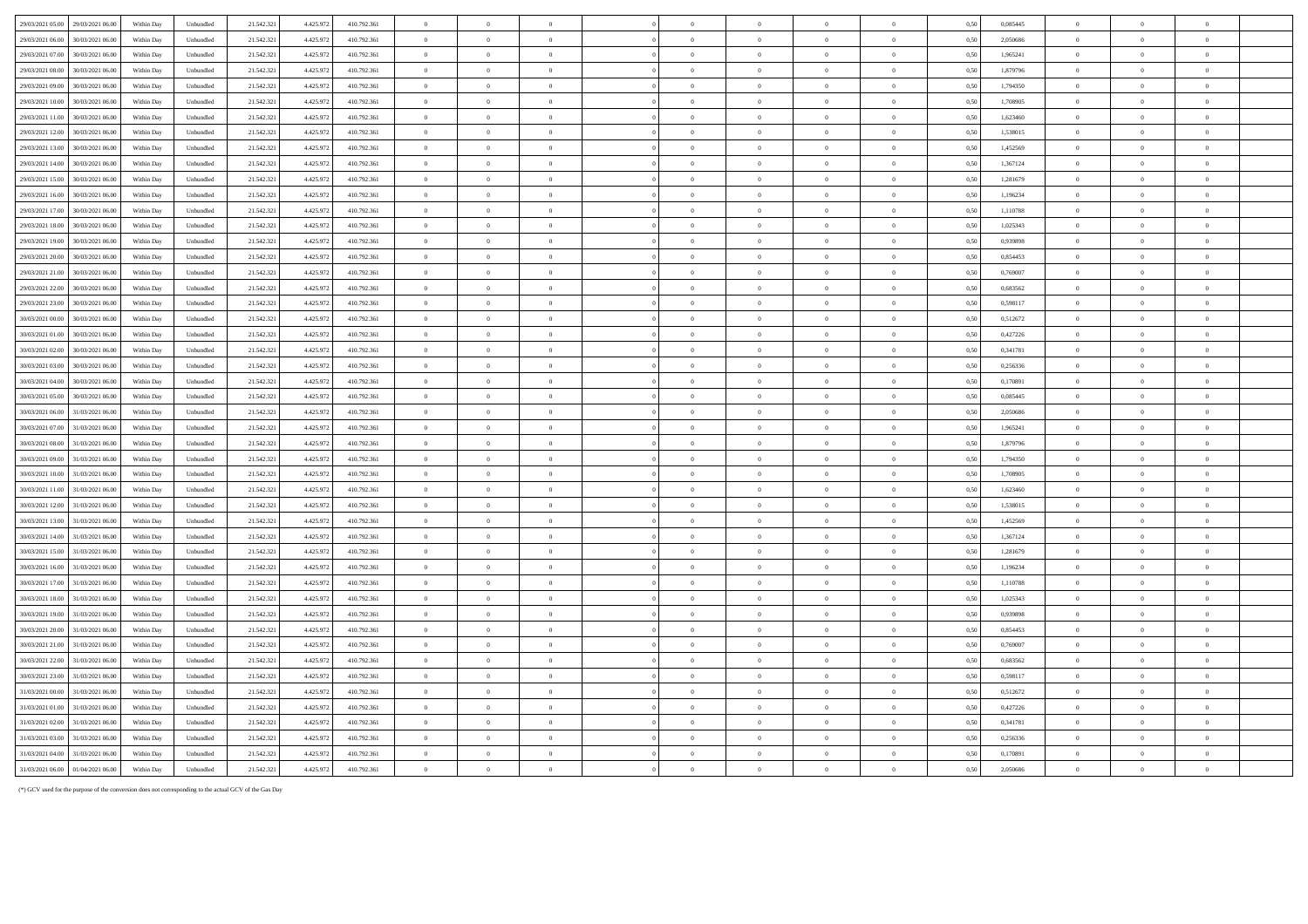| 29/03/2021 05:00                     | 29/03/2021 06:00                     | Within Day               | Unbundled              | 21.542.321               | 4.425.972              | 410.792.361                | $\overline{0}$             | $\Omega$                         | $\Omega$                         |                            |                                  |                                  | $\Omega$                      | 0.50         | 0,085445             | $\overline{0}$                   |                                  |                |  |
|--------------------------------------|--------------------------------------|--------------------------|------------------------|--------------------------|------------------------|----------------------------|----------------------------|----------------------------------|----------------------------------|----------------------------|----------------------------------|----------------------------------|-------------------------------|--------------|----------------------|----------------------------------|----------------------------------|----------------|--|
| 29/03/2021 06:00                     | 30/03/2021 06:00                     | Within Dav               | Unbundled              | 21.542.321               | 4.425.973              | 410.792.361                | $\overline{0}$             | $\overline{0}$                   | $\overline{0}$                   | $\overline{0}$             | $\bf{0}$                         | $\overline{0}$                   | $\overline{0}$                | 0.50         | 2.050686             | $\overline{0}$                   | $\Omega$                         | $\theta$       |  |
| 29/03/2021 07:00                     | 30/03/2021 06:00                     | Within Day               | Unbundled              | 21.542.32                | 4 4 2 5 9 7            | 410 792 361                | $\theta$                   | $\Omega$                         | $\theta$                         | $\Omega$                   | $\theta$                         | $\Omega$                         | $\theta$                      | 0.50         | 1.965241             | $\Omega$                         | $\theta$                         | $\theta$       |  |
| 29/03/2021 08:00                     | 30/03/2021 06:00                     | Within Day               | Unbundled              | 21.542.32                | 4 4 2 5 9 7            | 410 792 361                | $\overline{0}$             | $\Omega$                         | $\overline{0}$                   | $\overline{0}$             | $\mathbf{0}$                     | $\Omega$                         | $\theta$                      | 0.50         | 1.879796             | $\overline{0}$                   | $\theta$                         | $\theta$       |  |
| 29/03/2021 09:00                     | 30/03/2021 06:00                     | Within Day               | Unbundled              | 21.542.32                | 4.425.97               | 410.792.361                | $\overline{0}$             | $\theta$                         | $\overline{0}$                   | $\overline{0}$             | $\theta$                         | $\Omega$                         | $\overline{0}$                | 0.50         | 1.794350             | $\overline{0}$                   | $\theta$                         | $\theta$       |  |
| 29/03/2021 10:00                     | 30/03/2021 06:00                     | Within Day               | Unbundled              | 21.542.321               | 4.425.972              | 410.792.361                | $\overline{0}$             | $\overline{0}$                   | $\overline{0}$                   | $\overline{0}$             | $\overline{0}$                   | $\overline{0}$                   | $\overline{0}$                | 0.50         | 1.708905             | $\overline{0}$                   | $\theta$                         | $\overline{0}$ |  |
| 29/03/2021 11:00                     | 30/03/2021 06:00                     | Within Day               | Unbundled              | 21.542.321               | 4.425.972              | 410.792.361                | $\overline{0}$             | $\overline{0}$                   | $\overline{0}$                   | $\overline{0}$             | $\bf{0}$                         | $\overline{0}$                   | $\overline{0}$                | 0.50         | 1.623460             | $\bf{0}$                         | $\theta$                         | $\overline{0}$ |  |
| 29/03/2021 12:00                     | 30/03/2021 06:00                     | Within Day               | Unbundled              | 21.542.321               | 4.425.972              | 410.792.361                | $\overline{0}$             | $\overline{0}$                   | $\overline{0}$                   | $\overline{0}$             | $\mathbf{0}$                     | $\overline{0}$                   | $\mathbf{0}$                  | 0,50         | 1,538015             | $\overline{0}$                   | $\overline{0}$                   | $\overline{0}$ |  |
| 29/03/2021 13:00                     | 30/03/2021 06:00                     | Within Day               | Unbundled              | 21.542.321               | 4.425.973              | 410.792.361                | $\overline{0}$             | $\overline{0}$                   | $\overline{0}$                   | $\overline{0}$             | $\mathbf{0}$                     | $\overline{0}$                   | $\overline{0}$                | 0.50         | 1,452569             | $\overline{0}$                   | $\overline{0}$                   | $\overline{0}$ |  |
| 29/03/2021 14:00                     | 30/03/2021 06:00                     | Within Day               | Unbundled              | 21.542.321               | 4.425.972              | 410.792.361                | $\overline{0}$             | $\overline{0}$                   | $\overline{0}$                   | $\overline{0}$             | $\mathbf{0}$                     | $\theta$                         | $\overline{0}$                | 0,50         | 1,367124             | $\overline{0}$                   | $\overline{0}$                   | $\overline{0}$ |  |
| 29/03/2021 15:00                     | 30/03/2021 06:00                     | Within Day               | Unbundled              | 21.542.321               | 4.425.972              | 410.792.361                | $\,$ 0 $\,$                | $\,$ 0 $\,$                      | $\overline{0}$                   | $\overline{0}$             | $\overline{0}$                   | $\overline{0}$                   | $\overline{0}$                | 0,50         | 1,281679             | $\overline{0}$                   | $\overline{0}$                   | $\overline{0}$ |  |
| 29/03/2021 16:00                     | 30/03/2021 06:00                     | Within Day               | Unbundled              | 21.542.321               | 4.425.972              | 410.792.361                | $\overline{0}$             | $\theta$                         | $\overline{0}$                   | $\overline{0}$             | $\mathbf{0}$                     | $\theta$                         | $\overline{0}$                | 0.50         | 1,196234             | $\overline{0}$                   | $\Omega$                         | $\overline{0}$ |  |
| 29/03/2021 17:00                     | 30/03/2021 06:00                     | Within Dav               | Unbundled              | 21.542.321               | 4.425.97               | 410.792.361                | $\overline{0}$             | $\theta$                         | $\overline{0}$                   | $\overline{0}$             | $\mathbf{0}$                     | $\overline{0}$                   | $\overline{0}$                | 0.50         | 1,110788             | $\overline{0}$                   | $\Omega$                         | $\overline{0}$ |  |
| 29/03/2021 18:00                     | 30/03/2021 06:00                     | Within Dav               | Unbundled              | 21.542.32                | 4.425.973              | 410.792.361                | $\overline{0}$             | $\overline{0}$                   | $\overline{0}$                   | $\overline{0}$             | $\bf{0}$                         | $\overline{0}$                   | $\overline{0}$                | 0.50         | 1.025343             | $\overline{0}$                   | $\overline{0}$                   | $\overline{0}$ |  |
| 29/03/2021 19:00                     | 30/03/2021 06:00                     | Within Dav               | Unbundled              | 21.542.32                | 4.425.97               | 410 792 361                | $\overline{0}$             | $\theta$                         | $\theta$                         | $\Omega$                   | $\Omega$                         | $\Omega$                         | $\theta$                      | 0.50         | 0.939898             | $\Omega$                         | $\theta$                         | $\theta$       |  |
| 29/03/2021 20:00                     | 30/03/2021 06:00                     | Within Day               | Unbundled              | 21.542.321               | 4 4 2 5 9 7            | 410 792 361                | $\overline{0}$             | $\Omega$                         | $\overline{0}$                   | $\overline{0}$             | $\theta$                         | $\Omega$                         | $\theta$                      | 0.50         | 0.854453             | $\overline{0}$                   | $\theta$                         | $\theta$       |  |
| 29/03/2021 21:00                     | 30/03/2021 06:0                      | Within Day               | Unbundled              | 21.542.32                | 4.425.97               | 410.792.361                | $\overline{0}$             | $\theta$                         | $\theta$                         | $\Omega$                   | $\theta$                         | $\Omega$                         | $\overline{0}$                | 0.50         | 0.769007             | $\Omega$                         | $\Omega$                         | $\sqrt{2}$     |  |
| 29/03/2021 22.00                     | 30/03/2021 06.00                     | Within Day               | Unbundled              | 21.542.321               | 4.425.97               | 410.792.361                | $\overline{0}$             | $\,$ 0 $\,$                      | $\,$ 0 $\,$                      | $\overline{0}$             | $\bf{0}$                         | $\overline{0}$                   | $\overline{0}$                | 0,50         | 0,683562             | $\overline{0}$                   | $\overline{0}$                   | $\overline{0}$ |  |
| 29/03/2021 23:00                     | 30/03/2021 06.00                     | Within Day               | Unbundled              | 21.542.321               | 4.425.97               | 410.792.361                | $\overline{0}$             | $\,$ 0 $\,$                      | $\overline{0}$                   | $\overline{0}$             | $\theta$                         | $\overline{0}$                   | $\overline{0}$                | 0,50         | 0,598117             | $\overline{0}$                   | $\overline{0}$                   | $\theta$       |  |
| 30/03/2021 00:00                     | 30/03/2021 06.0                      | Within Day               | Unbundled              | 21.542.321               | 4.425.97               | 410.792.361                | $\overline{0}$             | $\overline{0}$                   | $\theta$                         | $\overline{0}$             | $\overline{0}$                   | $\overline{0}$                   | $\overline{0}$                | 0,50         | 0,512672             | $\overline{0}$                   | $\overline{0}$                   | $\overline{0}$ |  |
| 30/03/2021 01:00                     | 30/03/2021 06.00                     | Within Day               | Unbundled              | 21.542.321               | 4.425.972              | 410.792.361                | $\,$ 0 $\,$                | $\overline{0}$                   | $\,$ 0 $\,$                      | $\theta$                   | $\overline{0}$                   | $\overline{0}$                   | $\,$ 0 $\,$                   | 0,50         | 0,427226             | $\overline{0}$                   | $\overline{0}$                   |                |  |
| 30/03/2021 02:00                     | 30/03/2021 06.00                     | Within Day               | Unbundled              | 21.542.321               | 4.425.972              | 410.792.361                | $\theta$                   | $\overline{0}$                   | $\theta$                         | $\theta$                   | $\overline{0}$                   | $\overline{0}$                   | $\overline{0}$                | 0,50         | 0,341781             | $\overline{0}$                   |                                  | $\bf{0}$       |  |
| 30/03/2021 03:00                     | 30/03/2021 06:00                     | Within Day               | Unbundled              | 21.542.321               | 4.425.972              | 410.792.361                | $\,$ 0 $\,$                | $\theta$                         | $\overline{0}$                   | $\Omega$                   | $\Omega$                         | $\overline{0}$                   | $\mathbf{0}$                  | 0.50         | 0,256336             | $\overline{0}$                   | $\Omega$                         | $\Omega$       |  |
| 30/03/2021 04:00                     | 30/03/2021 06:00                     | Within Dav               | Unbundled              | 21.542.321               | 4.425.972              | 410.792.361                | $\overline{0}$             | $\overline{0}$                   | $\overline{0}$                   | $\overline{0}$             | $\bf{0}$                         | $\overline{0}$                   | $\overline{0}$                | 0.50         | 0.170891             | $\overline{0}$                   | $\overline{0}$                   | $\bf{0}$       |  |
| 30/03/2021 05:00                     | 30/03/2021 06:00                     | Within Dav               | Unbundled              | 21.542.321               | 4.425.973              | 410.792.361                | $\overline{0}$             | $\overline{0}$                   | $\overline{0}$                   | $\overline{0}$             | $\bf{0}$                         | $\overline{0}$                   | $\overline{0}$                | 0.50         | 0,085445             | $\overline{0}$                   | $\overline{0}$                   | $\overline{0}$ |  |
| 30/03/2021 06:00                     | 31/03/2021 06:00                     | Within Day               | Unbundled              | 21.542.32                | 4 4 2 5 9 7            | 410 792 361                | $\overline{0}$             | $\Omega$                         | $\Omega$                         | $\Omega$                   | $\theta$                         | $\Omega$                         | $\theta$                      | 0.50         | 2.050686             | $\Omega$                         | $\Omega$                         | $\theta$       |  |
| 30/03/2021 07:00                     | 31/03/2021 06:00                     | Within Day               | Unbundled              | 21.542.32                | 4.425.97               | 410.792.361                | $\overline{0}$             | $\overline{0}$                   | $\overline{0}$                   | $\overline{0}$             | $\bf{0}$                         | $\overline{0}$                   | $\overline{0}$                | 0.50         | 1.965241             | $\overline{0}$                   | $\theta$                         | $\overline{0}$ |  |
| 30/03/2021 08:00                     | 31/03/2021 06:00                     | Within Day               | Unbundled              | 21.542.321               | 4.425.972              | 410.792.361                | $\overline{0}$             | $\theta$                         | $\theta$                         | $\overline{0}$             | $\Omega$                         | $\Omega$                         | $\theta$                      | 0.50         | 1.879796             | $\overline{0}$                   | $\theta$                         | $\theta$       |  |
| 30/03/2021 09:00                     | 31/03/2021 06:00                     | Within Dav               | Unbundled              | 21.542.321               | 4.425.973              | 410.792.361                | $\overline{0}$             | $\overline{0}$                   | $\overline{0}$                   | $\,$ 0 $\,$                | $\overline{0}$                   | $\,$ 0 $\,$                      | $\,$ 0 $\,$                   | 0.50         | 1.794350             | $\overline{0}$                   | $\Omega$                         | $\overline{0}$ |  |
| 30/03/2021 10:00                     | 31/03/2021 06:00                     | Within Day               | Unbundled              | 21.542.321               | 4.425.972              | 410.792.361                | $\overline{0}$             | $\,$ 0 $\,$                      | $\overline{0}$                   | $\overline{0}$             | $\,$ 0 $\,$                      | $\overline{0}$                   | $\,$ 0 $\,$                   | 0,50         | 1,708905             | $\overline{0}$                   | $\overline{0}$                   | $\overline{0}$ |  |
| 30/03/2021 11:00                     | 31/03/2021 06:00                     | Within Day               | Unbundled              | 21.542.321               | 4.425.972              | 410.792.361                | $\,$ 0 $\,$                | $\theta$                         | $\,$ 0 $\,$                      | $\overline{0}$             | $\mathbf{0}$                     | $\,$ 0 $\,$                      | $\overline{0}$                | 0,50         | 1,623460             | $\overline{0}$                   | $\overline{0}$                   | $\overline{0}$ |  |
| 30/03/2021 12:00                     | 31/03/2021 06:00                     | Within Day               | Unbundled              | 21.542.321               | 4.425.973              | 410.792.361                | $\overline{0}$             | $\overline{0}$                   | $\overline{0}$                   | $\overline{0}$             | $\mathbf{0}$                     | $\overline{0}$                   | $\overline{0}$                | 0.50         | 1,538015             | $\overline{0}$                   | $\overline{0}$                   | $\overline{0}$ |  |
| 30/03/2021 13:00                     | 31/03/2021 06:00                     | Within Day               | Unbundled              | 21.542.321               | 4.425.972              | 410.792.361                | $\,$ 0 $\,$                | $\overline{0}$                   | $\,$ 0 $\,$                      | $\overline{0}$             | $\mathbf{0}$                     | $\,$ 0 $\,$                      | $\,$ 0 $\,$                   | 0,50         | 1,452569             | $\overline{0}$                   | $\overline{0}$                   | $\overline{0}$ |  |
| 30/03/2021 14:00                     | 31/03/2021 06:00                     | Within Dav               | Unbundled              | 21.542.32                | 4.425.97               | 410.792.361                | $\overline{0}$             | $\overline{0}$                   | $\overline{0}$                   | $\overline{0}$             | $\overline{0}$                   | $\overline{0}$                   | $\overline{0}$                | 0.50         | 1,367124             | $\overline{0}$                   | $\Omega$                         | $\overline{0}$ |  |
| 30/03/2021 15:00                     | 31/03/2021 06:00                     | Within Day               | Unbundled              | 21.542.321               | 4.425.972              | 410.792.361                | $\overline{0}$             | $\overline{0}$                   | $\overline{0}$                   | $\overline{0}$             | $\overline{0}$                   | $\overline{0}$                   | $\overline{0}$                | 0.50         | 1,281679             | $\overline{0}$                   | $\overline{0}$                   | $\overline{0}$ |  |
| 30/03/2021 16:00                     | 31/03/2021 06:00                     | Within Day               | Unbundled              | 21 542 32                | 4 4 2 5 9 7            | 410 792 361                | $\overline{0}$             | $\theta$                         | $\overline{0}$                   | $\Omega$                   | $\theta$                         | $\Omega$                         | $\overline{0}$                | 0.50         | 1.196234             | $\Omega$                         | $\theta$                         | $\sqrt{2}$     |  |
| 30/03/2021 17:00                     | 31/03/2021 06:00                     | Within Dav               | Unbundled              | 21.542.321               | 4.425.97               | 410.792.361                | $\overline{0}$             | $\Omega$                         | $\overline{0}$                   | $\theta$                   | $\Omega$                         | $\overline{0}$                   | $\overline{0}$                | 0.50         | 1.110788             | $\overline{0}$                   | $\Omega$                         | $\theta$       |  |
| 30/03/2021 18:00                     | 31/03/2021 06:00                     | Within Day               | Unbundled              | 21.542.32                | 4.425.97               | 410.792.361                | $\theta$                   | $\Omega$                         | $\Omega$                         | $\theta$                   | $\Omega$                         | $\theta$                         | $\theta$                      | 0.50         | 1,025343             | $\theta$                         | $\Omega$                         | $\theta$       |  |
| 30/03/2021 19:00                     | 31/03/2021 06:00                     | Within Dav               | Unbundled              | 21.542.321               | 4.425.97               | 410.792.361                | $\,$ 0 $\,$                | $\overline{0}$                   | $\overline{0}$                   | $\overline{0}$             | $\Omega$                         | $\overline{0}$                   | $\bf{0}$                      | 0.50         | 0.939898             | $\overline{0}$                   | $\overline{0}$                   | $\overline{0}$ |  |
| 30/03/2021 20:00                     | 31/03/2021 06.00                     | Within Day               | Unbundled              | 21.542.321               | 4.425.97               | 410.792.361                | $\overline{0}$             | $\,$ 0 $\,$                      | $\overline{0}$                   | $\overline{0}$             | $\theta$                         | $\overline{0}$                   | $\overline{0}$                | 0,50         | 0,854453             | $\overline{0}$                   | $\overline{0}$                   | $\overline{0}$ |  |
| 30/03/2021 21:00                     | 31/03/2021 06.00                     | Within Day               | Unbundled              | 21.542.321               | 4.425.97               | 410.792.361                | $\overline{0}$             | $\,$ 0 $\,$                      | $\,$ 0 $\,$                      | $\overline{0}$             | $\theta$                         | $\overline{0}$                   | $\overline{0}$                | 0,50         | 0,769007             | $\overline{0}$                   | $\overline{0}$                   | $\overline{0}$ |  |
| 30/03/2021 22.00                     | 31/03/2021 06.0                      | Within Day               | Unbundled              | 21.542.321               | 4.425.97               | 410.792.361                | $\overline{0}$             | $\theta$                         | $\overline{0}$                   | $\overline{0}$             | $\overline{0}$                   | $\overline{0}$                   | $\overline{0}$                | 0,50         | 0,683562             | $\overline{0}$                   | $\overline{0}$                   | $\overline{0}$ |  |
| 30/03/2021 23.00<br>31/03/2021 00:00 | 31/03/2021 06.00<br>31/03/2021 06.00 | Within Day               | Unbundled              | 21.542.321<br>21.542.321 | 4.425.972<br>4.425.972 | 410.792.361<br>410.792.361 | $\overline{0}$<br>$\theta$ | $\overline{0}$<br>$\overline{0}$ | $\overline{0}$<br>$\overline{0}$ | $\overline{0}$<br>$\theta$ | $\overline{0}$<br>$\overline{0}$ | $\overline{0}$<br>$\overline{0}$ | $\overline{0}$<br>$\,$ 0 $\,$ | 0,50         | 0,598117<br>0,512672 | $\overline{0}$<br>$\overline{0}$ | $\overline{0}$<br>$\overline{0}$ | $\overline{0}$ |  |
| 31/03/2021 01:00                     | 31/03/2021 06:00                     | Within Day<br>Within Day | Unbundled<br>Unbundled | 21.542.321               | 4.425.972              | 410.792.361                | $\overline{0}$             | $\theta$                         | $\overline{0}$                   | $\overline{0}$             | $\bf{0}$                         | $\overline{0}$                   | $\overline{0}$                | 0,50<br>0.50 | 0,427226             | $\overline{0}$                   | $\Omega$                         | $\theta$       |  |
| 31/03/2021 02:00                     | 31/03/2021 06:00                     | Within Dav               | Unbundled              | 21.542.32                | 4.425.972              | 410.792.361                | $\overline{0}$             | $\overline{0}$                   | $\overline{0}$                   | $\theta$                   | $\bf{0}$                         | $\overline{0}$                   | $\overline{0}$                | 0.50         | 0.341781             | $\overline{0}$                   | $\Omega$                         | $\Omega$       |  |
| 31/03/2021 03:00                     | 31/03/2021 06:00                     | Within Dav               | Unbundled              | 21.542.32                | 4.425.973              | 410.792.361                | $\overline{0}$             | $\overline{0}$                   | $\theta$                         | $\theta$                   | $\theta$                         | $\overline{0}$                   | $\overline{0}$                | 0.50         | 0.256336             | $\overline{0}$                   | $\Omega$                         | $\theta$       |  |
| 31/03/2021 04:00                     | 31/03/2021 06:00                     | Within Day               | Unbundled              | 21.542.32                | 4 4 2 5 9 7            | 410 792 361                | $\overline{0}$             | $\Omega$                         | $\Omega$                         | $\Omega$                   | $\theta$                         | $\Omega$                         | $\theta$                      | 0.50         | 0.170891             | $\Omega$                         | $\Omega$                         | $\theta$       |  |
| 31/03/2021 06:00                     | 01/04/2021 06:00                     |                          | Unbundled              | 21.542.321               |                        | 410.792.361                | $\overline{0}$             | $\overline{0}$                   | $\theta$                         | $\overline{0}$             | $\Omega$                         | $\Omega$                         | $\Omega$                      |              | 2.050686             | $\overline{0}$                   | $\theta$                         | $\overline{0}$ |  |
|                                      |                                      | Within Day               |                        |                          | 4.425.972              |                            |                            |                                  |                                  |                            |                                  |                                  |                               | 0,50         |                      |                                  |                                  |                |  |

(\*) GCV used for the purpose of the conversion does not corresponding to the actual GCV of the Gas Day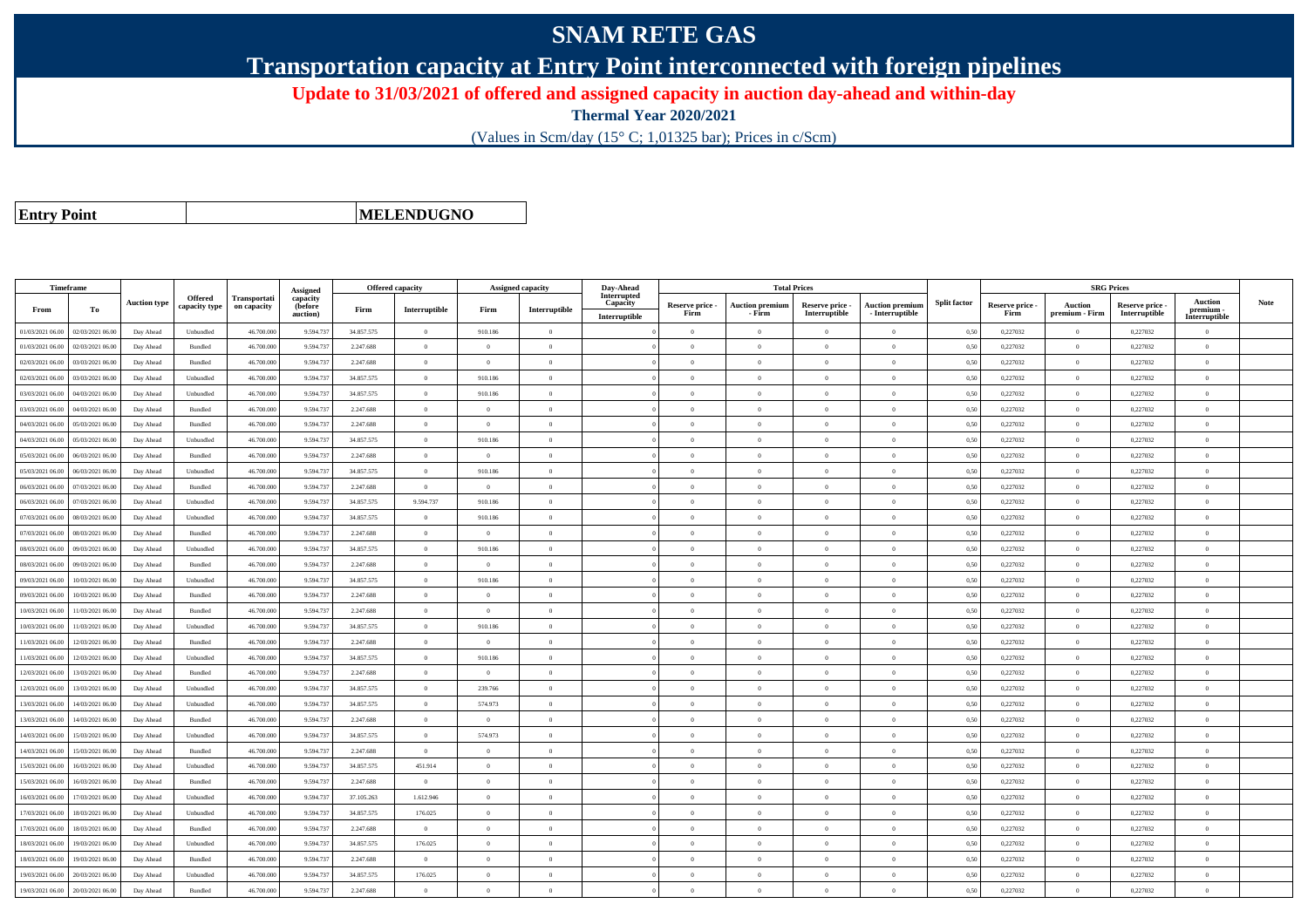## **SNAM RETE GAS**

**Transportation capacity at Entry Point interconnected with foreign pipelines**

**Update to 31/03/2021 of offered and assigned capacity in auction day-ahead and within-day**

**Thermal Year 2020/2021**

(Values in Scm/day (15° C; 1,01325 bar); Prices in c/Scm)

**Entry Point**

**MELENDUGNO**

|                  | Timeframe        |                     |                                 |                             | Assigned                        | <b>Offered capacity</b> |                |                | <b>Assigned capacity</b> | Day-Ahead                                |                         | <b>Total Prices</b>              |                                  |                                           |                     |                         | <b>SRG Prices</b>                |                                  |                                              |             |
|------------------|------------------|---------------------|---------------------------------|-----------------------------|---------------------------------|-------------------------|----------------|----------------|--------------------------|------------------------------------------|-------------------------|----------------------------------|----------------------------------|-------------------------------------------|---------------------|-------------------------|----------------------------------|----------------------------------|----------------------------------------------|-------------|
| From             | To               | <b>Auction type</b> | <b>Offered</b><br>capacity type | Transportati<br>on capacity | capacity<br>(before<br>auction) | Firm                    | Interruptible  | Firm           | Interruptible            | Interrupted<br>Capacity<br>Interruptible | Reserve price -<br>Firm | <b>Auction premium</b><br>- Firm | Reserve price -<br>Interruptible | <b>Auction premium</b><br>- Interruptible | <b>Split factor</b> | Reserve price -<br>Firm | <b>Auction</b><br>premium - Firm | Reserve price -<br>Interruptible | <b>Auction</b><br>premium -<br>Interruptible | <b>Note</b> |
| 01/03/2021 06:00 | 02/03/2021 06:00 | Day Ahead           | Unbundled                       | 46.700.00                   | 9.594.73                        | 34.857.575              | $\overline{0}$ | 910.186        | $\overline{0}$           |                                          | $\Omega$                | $\Omega$                         | $\Omega$                         | $\theta$                                  | 0,50                | 0,227032                |                                  | 0,227032                         | $\theta$                                     |             |
| 01/03/2021 06:00 | 02/03/2021 06:00 | Day Ahead           | Bundled                         | 46.700.000                  | 9.594.73                        | 2.247.688               | $\overline{0}$ | $\overline{0}$ | $\overline{0}$           |                                          | $\overline{0}$          | $\theta$                         | $\overline{0}$                   | $\bf{0}$                                  | 0,50                | 0,227032                | $\overline{0}$                   | 0,227032                         | $\bf{0}$                                     |             |
| 02/03/2021 06:00 | 03/03/2021 06:00 | Day Ahead           | Bundled                         | 46.700.000                  | 9.594.73                        | 2.247.688               | $\overline{0}$ | $\Omega$       | $\overline{0}$           |                                          | $\theta$                | $\theta$                         | $\overline{0}$                   | $\bf{0}$                                  | 0,50                | 0,227032                | $\overline{0}$                   | 0,227032                         | $\theta$                                     |             |
| 02/03/2021 06:00 | 03/03/2021 06:00 | Day Ahead           | Unbundled                       | 46,700,000                  | 9.594.73                        | 34.857.575              | $\overline{0}$ | 910.186        | $\overline{0}$           |                                          | $\theta$                | $\Omega$                         | $\theta$                         | $\bf{0}$                                  | 0.50                | 0,227032                | $\overline{0}$                   | 0,227032                         | $\theta$                                     |             |
| 03/03/2021 06:00 | 04/03/2021 06.0  | Day Ahead           | Unbundled                       | 46.700.000                  | 9.594.73                        | 34.857.575              | $\overline{0}$ | 910.186        | $\overline{0}$           |                                          | $\overline{0}$          | $\Omega$                         | $\overline{0}$                   | $\overline{0}$                            | 0,50                | 0,227032                | $\overline{0}$                   | 0,227032                         | $\Omega$                                     |             |
| 03/03/2021 06:00 | 04/03/2021 06:00 | Day Ahead           | Bundled                         | 46,700,000                  | 9.594.73                        | 2.247.688               | $\overline{0}$ | $\Omega$       | $\Omega$                 |                                          | $\theta$                | $\theta$                         | $\theta$                         | $\overline{0}$                            | 0.50                | 0,227032                | $\theta$                         | 0.227032                         | $\theta$                                     |             |
| 04/03/2021 06:00 | 05/03/2021 06:00 | Day Ahead           | Bundled                         | 46,700,000                  | 9.594.73                        | 2.247.688               | $\overline{0}$ | $\theta$       | $\overline{0}$           |                                          | $\overline{0}$          | $\theta$                         | $\Omega$                         | $\overline{0}$                            | 0.50                | 0,227032                | $\overline{0}$                   | 0.227032                         | $\overline{0}$                               |             |
| 04/03/2021 06.00 | 05/03/2021 06.0  | Day Ahead           | Unbundled                       | 46.700.00                   | 9.594.73                        | 34.857.575              | $\overline{0}$ | 910.186        | $\overline{0}$           |                                          | $\overline{0}$          |                                  | $\overline{0}$                   | $\overline{0}$                            | 0,50                | 0,227032                | $\overline{0}$                   | 0,227032                         | $\overline{0}$                               |             |
| 05/03/2021 06:00 | 06/03/2021 06:00 | Day Ahead           | Bundled                         | 46.700.000                  | 9.594.73                        | 2.247.688               | $\overline{0}$ | $\overline{0}$ | $\overline{0}$           |                                          | $\overline{0}$          | $\theta$                         | $\Omega$                         | $\bf{0}$                                  | 0,50                | 0,227032                | $\overline{0}$                   | 0,227032                         | $\overline{0}$                               |             |
| 05/03/2021 06:00 | 06/03/2021 06.0  | Day Ahead           | Unbundled                       | 46.700.000                  | 9.594.73                        | 34.857.575              | $\overline{0}$ | 910.186        | $\overline{0}$           |                                          | $\overline{0}$          | $\bf{0}$                         | $\overline{0}$                   | $\overline{0}$                            | 0,50                | 0,227032                | $\overline{0}$                   | 0,227032                         | $\overline{0}$                               |             |
| 06/03/2021 06:00 | 07/03/2021 06.00 | Day Ahead           | Bundled                         | 46.700.000                  | 9.594.73                        | 2.247.688               | $\overline{0}$ | $\Omega$       | $\overline{0}$           |                                          | $\overline{0}$          | $\Omega$                         | $\overline{0}$                   | $\overline{0}$                            | 0,50                | 0,227032                | $\overline{0}$                   | 0,227032                         | $\Omega$                                     |             |
| 06/03/2021 06:00 | 07/03/2021 06.00 | Day Ahead           | Unbundled                       | 46.700.000                  | 9.594.73                        | 34.857.575              | 9.594.737      | 910.186        | $\overline{0}$           |                                          | $\overline{0}$          | $\theta$                         | $\overline{0}$                   | $\overline{0}$                            | 0,50                | 0,227032                | $\overline{0}$                   | 0,227032                         | $\overline{0}$                               |             |
| 07/03/2021 06:00 | 08/03/2021 06:00 | Day Ahead           | Unbundled                       | 46.700.000                  | 9.594.73                        | 34.857.575              | $\overline{0}$ | 910.186        | $\overline{0}$           |                                          | $\theta$                | $\Omega$                         | $\overline{0}$                   | $\overline{0}$                            | 0,50                | 0,227032                | $\overline{0}$                   | 0,227032                         | $\theta$                                     |             |
| 07/03/2021 06:00 | 08/03/2021 06:00 | Day Ahead           | Bundled                         | 46,700,000                  | 9.594.737                       | 2.247.688               | $\overline{0}$ | $\Omega$       | $\overline{0}$           |                                          | $\theta$                | $\Omega$                         | $\theta$                         | $\overline{0}$                            | 0.50                | 0,227032                | $\overline{0}$                   | 0,227032                         | $\theta$                                     |             |
| 08/03/2021 06:00 | 09/03/2021 06.0  | Day Ahead           | Unbundled                       | 46.700.00                   | 9.594.73                        | 34.857.575              | $\overline{0}$ | 910.186        | $\overline{0}$           |                                          | $\overline{0}$          | $\Omega$                         | $\overline{0}$                   | $\bf{0}$                                  | 0,50                | 0,227032                | $\theta$                         | 0,227032                         | $\overline{0}$                               |             |
| 08/03/2021 06:00 | 09/03/2021 06:00 | Day Ahead           | Bundled                         | 46,700,000                  | 9.594.73                        | 2.247.688               | $\overline{0}$ | $\Omega$       | $\overline{0}$           |                                          | $\theta$                | $\theta$                         | $\theta$                         | $\bf{0}$                                  | 0,50                | 0,227032                | $\overline{0}$                   | 0,227032                         | $\theta$                                     |             |
| 09/03/2021 06:00 | 10/03/2021 06:00 | Day Ahead           | Unbundled                       | 46,700,000                  | 9.594.73                        | 34.857.575              | $\overline{0}$ | 910.186        | $\overline{0}$           |                                          | $\overline{0}$          | $\Omega$                         | $\overline{0}$                   | $\bf{0}$                                  | 0.50                | 0,227032                | $\overline{0}$                   | 0,227032                         | $\overline{0}$                               |             |
| 09/03/2021 06.0  | 10/03/2021 06.0  | Day Ahead           | Bundled                         | 46.700.00                   | 9.594.73                        | 2.247.688               | $\overline{0}$ | $\overline{0}$ | $\overline{0}$           |                                          | $\overline{0}$          |                                  | $\overline{0}$                   | $\overline{0}$                            | 0.5(                | 0,227032                | $\overline{0}$                   | 0,227032                         | $\bf{0}$                                     |             |
| 10/03/2021 06:00 | 11/03/2021 06.00 | Day Ahead           | Bundled                         | 46,700,000                  | 9.594.73                        | 2.247.688               | $\overline{0}$ | $\overline{0}$ | $\overline{0}$           |                                          | $\overline{0}$          | $\Omega$                         | $\overline{0}$                   | $\bf{0}$                                  | 0.50                | 0,227032                | $\overline{0}$                   | 0,227032                         | $\overline{0}$                               |             |
| 10/03/2021 06:00 | 11/03/2021 06:00 | Day Ahead           | Unbundled                       | 46.700.000                  | 9.594.737                       | 34.857.575              | $\overline{0}$ | 910.186        | $\overline{0}$           |                                          | $\overline{0}$          | $\theta$                         | $\overline{0}$                   | $\overline{0}$                            | 0,50                | 0,227032                | $\overline{0}$                   | 0,227032                         | $\overline{0}$                               |             |
| 11/03/2021 06.00 | 12/03/2021 06:00 | Day Ahead           | Bundled                         | 46.700.00                   | 9.594.73                        | 2.247.688               | $\overline{0}$ | $\Omega$       | $\theta$                 |                                          | $\Omega$                |                                  | $\Omega$                         | $\overline{0}$                            | 0,50                | 0,227032                | $\Omega$                         | 0,227032                         | $\Omega$                                     |             |
| 11/03/2021 06:00 | 12/03/2021 06:00 | Day Ahead           | Unbundled                       | 46.700.000                  | 9.594.73                        | 34.857.575              | $\overline{0}$ | 910.186        | $\overline{0}$           |                                          | $\theta$                | $\Omega$                         | $\overline{0}$                   | $\bf{0}$                                  | 0,50                | 0,227032                | $\overline{0}$                   | 0,227032                         | $\overline{0}$                               |             |
| 12/03/2021 06:00 | 13/03/2021 06.00 | Day Ahead           | Bundled                         | 46.700.000                  | 9.594.73                        | 2.247.688               | $\overline{0}$ | $\overline{0}$ | $\overline{0}$           |                                          | $\overline{0}$          | $\theta$                         | $\overline{0}$                   | $\overline{0}$                            | 0,50                | 0,227032                | $\overline{0}$                   | 0,227032                         | $\overline{0}$                               |             |
| 12/03/2021 06:00 | 13/03/2021 06:00 | Day Ahead           | Unbundled                       | 46,700,000                  | 9.594.73                        | 34.857.575              | $\overline{0}$ | 239,766        | $\overline{0}$           |                                          | $\overline{0}$          | $\theta$                         | $\Omega$                         | $\bf{0}$                                  | 0.50                | 0,227032                | $\overline{0}$                   | 0.227032                         | $\overline{0}$                               |             |
| 13/03/2021 06.0  | 14/03/2021 06.0  | Day Ahead           | Unbundled                       | 46.700.00                   | 9.594.73                        | 34.857.575              | $\overline{0}$ | 574.973        | $\overline{0}$           |                                          | $\overline{0}$          | $\theta$                         | $\overline{0}$                   | $\overline{0}$                            | 0,50                | 0,227032                | $\overline{0}$                   | 0,227032                         | $\overline{0}$                               |             |
| 13/03/2021 06:00 | 14/03/2021 06:00 | Day Ahead           | Bundled                         | 46.700.000                  | 9.594.73                        | 2.247.688               | $\overline{0}$ | $\Omega$       | $\theta$                 |                                          | $\theta$                | $\Omega$                         | $\Omega$                         | $\theta$                                  | 0,50                | 0,227032                | $\overline{0}$                   | 0,227032                         | $\theta$                                     |             |
| 14/03/2021 06:00 | 15/03/2021 06:00 | Day Ahead           | Unbundled                       | 46,700,000                  | 9.594.737                       | 34.857.575              | $\overline{0}$ | 574.973        | $\Omega$                 |                                          | $\Omega$                | $\Omega$                         | $\Omega$                         | $\overline{0}$                            | 0.50                | 0,227032                | $\overline{0}$                   | 0,227032                         | $\Omega$                                     |             |
| 14/03/2021 06:00 | 15/03/2021 06:00 | Day Ahead           | Bundled                         | 46.700.00                   | 9.594.73                        | 2.247.688               | $\theta$       | $\Omega$       | $\Omega$                 |                                          | $\theta$                |                                  | $\theta$                         | $\theta$                                  | 0.50                | 0,227032                | $\theta$                         | 0,227032                         | $\theta$                                     |             |
| 15/03/2021 06:00 | 16/03/2021 06:00 | Day Ahead           | Unbundled                       | 46,700,000                  | 9,594,737                       | 34.857.575              | 451.914        | $\overline{0}$ | $\overline{0}$           |                                          | $\overline{0}$          | $\overline{0}$                   | $\overline{0}$                   | $\overline{0}$                            | 0.50                | 0,227032                | $\overline{0}$                   | 0,227032                         | $\overline{0}$                               |             |
| 15/03/2021 06:00 | 16/03/2021 06:00 | Day Ahead           | Bundled                         | 46.700.000                  | 9.594.73                        | 2.247.688               | $\overline{0}$ | $\bf{0}$       | $\overline{0}$           |                                          | $\overline{0}$          | $\bf{0}$                         | $\overline{0}$                   | $\bf{0}$                                  | 0.50                | 0,227032                | $\overline{0}$                   | 0,227032                         | $\overline{0}$                               |             |
| 16/03/2021 06:00 | 17/03/2021 06.00 | Day Ahead           | Unbundled                       | 46.700.000                  | 9.594.73                        | 37.105.263              | 1.612.946      | $\overline{0}$ | $\overline{0}$           |                                          | $\theta$                |                                  | $\overline{0}$                   | $\overline{0}$                            | 0,50                | 0,227032                | $\overline{0}$                   | 0,227032                         | $\Omega$                                     |             |
| 17/03/2021 06:00 | 18/03/2021 06:00 | Day Ahead           | Unbundled                       | 46.700.000                  | 9.594.73                        | 34.857.575              | 176.025        | $\overline{0}$ | $\overline{0}$           |                                          | $\overline{0}$          | $\Omega$                         | $\overline{0}$                   | $\overline{0}$                            | 0,50                | 0,227032                | $\overline{0}$                   | 0,227032                         | $\overline{0}$                               |             |
| 17/03/2021 06.00 | 18/03/2021 06:00 | Day Ahead           | Bundled                         | 46.700.000                  | 9.594.73                        | 2.247.688               | $\overline{0}$ | $\overline{0}$ | $\overline{0}$           |                                          | $\overline{0}$          | $\theta$                         | $\overline{0}$                   | $\overline{0}$                            | 0,50                | 0,227032                | $\overline{0}$                   | 0,227032                         | $\overline{0}$                               |             |
| 18/03/2021 06:00 | 19/03/2021 06:00 | Day Ahead           | Unbundled                       | 46,700,000                  | 9.594.73                        | 34.857.575              | 176.025        | $\Omega$       | $\theta$                 |                                          | $\theta$                | $\theta$                         | $\Omega$                         | $\overline{0}$                            | 0.50                | 0,227032                | $\Omega$                         | 0,227032                         | $\theta$                                     |             |
| 18/03/2021 06:00 | 19/03/2021 06:00 | Day Ahead           | Bundled                         | 46.700.000                  | 9.594.73                        | 2.247.688               | $\overline{0}$ | $\theta$       | $\overline{0}$           |                                          | $\theta$                | $\Omega$                         | $\theta$                         | $\bf{0}$                                  | 0,50                | 0,227032                | $\overline{0}$                   | 0,227032                         | $\theta$                                     |             |
| 19/03/2021 06:00 | 20/03/2021 06:00 | Day Ahead           | Unbundled                       | 46.700.000                  | 9.594.737                       | 34.857.575              | 176.025        | $\Omega$       | $\Omega$                 |                                          | $\Omega$                |                                  | $\overline{0}$                   | $\overline{0}$                            | 0,50                | 0,227032                | $\overline{0}$                   | 0,227032                         | $\theta$                                     |             |
| 19/03/2021 06:00 | 20/03/2021 06:00 | Day Ahead           | Bundled                         | 46,700,000                  | 9.594.737                       | 2.247.688               | $\overline{0}$ | $\theta$       | $\theta$                 |                                          | $\Omega$                |                                  | $\Omega$                         | $\sqrt{2}$                                | 0,50                | 0,227032                | $\overline{0}$                   | 0,227032                         | $\overline{0}$                               |             |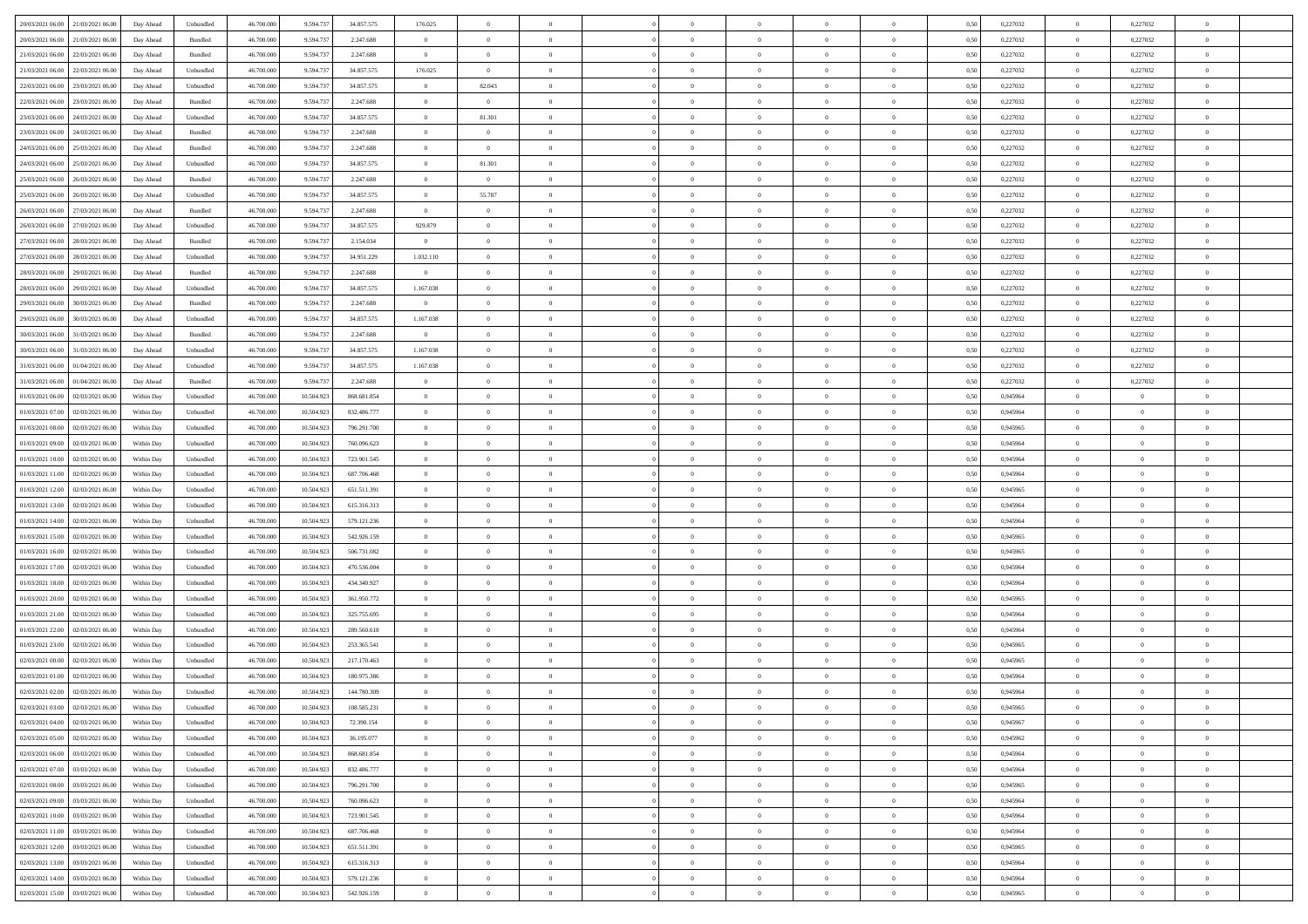| 20/03/2021 06:00 21/03/2021 06:00            | Day Ahead  | Unbundled         | 46.700.000 | 9.594.737  | 34.857.575  | 176.025        | $\overline{0}$ |                | $\overline{0}$ | $\theta$       |                | $\theta$       | 0,50 | 0,227032 | $\theta$       | 0,227032       | $\overline{0}$ |  |
|----------------------------------------------|------------|-------------------|------------|------------|-------------|----------------|----------------|----------------|----------------|----------------|----------------|----------------|------|----------|----------------|----------------|----------------|--|
| 20/03/2021 06:00<br>21/03/2021 06:00         | Day Ahead  | Bundled           | 46.700.00  | 9.594.73   | 2.247.688   | $\bf{0}$       | $\bf{0}$       | $\bf{0}$       | $\overline{0}$ | $\overline{0}$ | $\overline{0}$ | $\bf{0}$       | 0,50 | 0,227032 | $\,$ 0 $\,$    | 0,227032       | $\overline{0}$ |  |
| 21/03/2021 06:00<br>22/03/2021 06:00         | Day Ahead  | Bundled           | 46,700,000 | 9.594.73   | 2.247.688   | $\overline{0}$ | $\bf{0}$       | $\overline{0}$ | $\bf{0}$       | $\bf{0}$       | $\overline{0}$ | $\bf{0}$       | 0.50 | 0,227032 | $\overline{0}$ | 0,227032       | $\overline{0}$ |  |
| 21/03/2021 06:00<br>22/03/2021 06:00         | Day Ahead  | Unbundled         | 46.700.000 | 9.594.737  | 34.857.575  | 176.025        | $\overline{0}$ | $\overline{0}$ | $\theta$       | $\theta$       | $\overline{0}$ | $\overline{0}$ | 0,50 | 0,227032 | $\,$ 0 $\,$    | 0,227032       | $\overline{0}$ |  |
| 22/03/2021 06:00<br>23/03/2021 06.00         | Day Ahead  | Unbundled         | 46.700.00  | 9.594.73   | 34.857.575  | $\overline{0}$ | 82.043         | $\overline{0}$ | $\overline{0}$ | $\theta$       | $\overline{0}$ | $\bf{0}$       | 0,50 | 0,227032 | $\,$ 0 $\,$    | 0,227032       | $\overline{0}$ |  |
| 22/03/2021 06:00<br>23/03/2021 06:00         | Day Ahead  | Bundled           | 46 700 000 | 9.594.73   | 2.247.688   | $\overline{0}$ | $\overline{0}$ | $\overline{0}$ | $\bf{0}$       | $\overline{0}$ | $\theta$       | $\bf{0}$       | 0.50 | 0,227032 | $\bf{0}$       | 0,227032       | $\overline{0}$ |  |
| 23/03/2021 06:00<br>24/03/2021 06:00         | Day Ahead  | Unbundled         | 46.700.000 | 9.594.737  | 34.857.575  | $\overline{0}$ | 81.301         | $\overline{0}$ | $\overline{0}$ | $\overline{0}$ | $\overline{0}$ | $\bf{0}$       | 0,50 | 0,227032 | $\,$ 0 $\,$    | 0,227032       | $\overline{0}$ |  |
| 24/03/2021 06.00                             | Day Ahead  | Bundled           | 46.700.00  | 9.594.73   | 2.247.688   | $\bf{0}$       | $\overline{0}$ | $\bf{0}$       | $\overline{0}$ | $\theta$       | $\overline{0}$ | $\bf{0}$       | 0,50 | 0,227032 | $\,$ 0 $\,$    | 0,227032       | $\overline{0}$ |  |
| 23/03/2021 06:00                             |            |                   |            |            |             |                |                |                |                |                |                |                |      |          |                |                |                |  |
| 24/03/2021 06:00<br>25/03/2021 06:00         | Day Ahead  | Bundled           | 46 700 000 | 9.594.73   | 2.247.688   | $\overline{0}$ | $\bf{0}$       | $\overline{0}$ | $\bf{0}$       | $\overline{0}$ | $\overline{0}$ | $\bf{0}$       | 0.50 | 0,227032 | $\bf{0}$       | 0.227032       | $\overline{0}$ |  |
| 24/03/2021 06:00<br>25/03/2021 06:00         | Day Ahead  | Unbundled         | 46.700.000 | 9.594.737  | 34.857.575  | $\overline{0}$ | 81.301         | $\overline{0}$ | $\overline{0}$ | $\overline{0}$ | $\overline{0}$ | $\bf{0}$       | 0,50 | 0,227032 | $\bf{0}$       | 0,227032       | $\overline{0}$ |  |
| 25/03/2021 06:00<br>26/03/2021 06.00         | Day Ahead  | Bundled           | 46.700.00  | 9.594.73   | 2.247.688   | $\bf{0}$       | $\bf{0}$       | $\bf{0}$       | $\overline{0}$ | $\bf{0}$       | $\overline{0}$ | $\bf{0}$       | 0,50 | 0,227032 | $\,$ 0 $\,$    | 0,227032       | $\overline{0}$ |  |
| 25/03/2021 06:00<br>26/03/2021 06:00         | Day Ahead  | Unbundled         | 46,700,000 | 9.594.73   | 34,857,575  | $\overline{0}$ | 55.787         | $\overline{0}$ | $\bf{0}$       | $\bf{0}$       | $\overline{0}$ | $\bf{0}$       | 0.50 | 0,227032 | $\overline{0}$ | 0,227032       | $\overline{0}$ |  |
| 26/03/2021 06:00<br>27/03/2021 06:00         | Day Ahead  | Bundled           | 46.700.000 | 9.594.737  | 2.247.688   | $\overline{0}$ | $\overline{0}$ | $\overline{0}$ | $\overline{0}$ | $\theta$       | $\overline{0}$ | $\overline{0}$ | 0,50 | 0,227032 | $\,$ 0 $\,$    | 0,227032       | $\overline{0}$ |  |
| 26/03/2021 06:00<br>27/03/2021 06.00         | Day Ahead  | Unbundled         | 46.700.00  | 9.594.73   | 34.857.575  | 929.879        | $\theta$       | $\bf{0}$       | $\overline{0}$ | $\theta$       | $\overline{0}$ | $\bf{0}$       | 0,50 | 0,227032 | $\,$ 0 $\,$    | 0,227032       | $\overline{0}$ |  |
| 27/03/2021 06:00<br>28/03/2021 06:00         | Day Ahead  | Bundled           | 46,700,000 | 9.594.73   | 2.154.034   | $\overline{0}$ | $\bf{0}$       | $\overline{0}$ | $\bf{0}$       | $\bf{0}$       | $\theta$       | $\bf{0}$       | 0.50 | 0,227032 | $\bf{0}$       | 0,227032       | $\overline{0}$ |  |
| 27/03/2021 06:00<br>28/03/2021 06:00         | Day Ahead  | Unbundled         | 46.700.000 | 9.594.737  | 34.951.229  | 1.032.110      | $\overline{0}$ | $\overline{0}$ | $\overline{0}$ | $\overline{0}$ | $\overline{0}$ | $\bf{0}$       | 0,50 | 0,227032 | $\,$ 0 $\,$    | 0,227032       | $\overline{0}$ |  |
| 28/03/2021 06:00<br>29/03/2021 06.00         | Day Ahead  | Bundled           | 46.700.00  | 9.594.73   | 2.247.688   | $\bf{0}$       | $\overline{0}$ | $\overline{0}$ | $\overline{0}$ | $\bf{0}$       | $\overline{0}$ | $\bf{0}$       | 0,50 | 0,227032 | $\,$ 0 $\,$    | 0,227032       | $\overline{0}$ |  |
| 28/03/2021 06:00<br>29/03/2021 06:00         | Day Ahead  | Unbundled         | 46 700 000 | 9.594.73   | 34,857,575  | 1.167.038      | $\bf{0}$       | $\overline{0}$ | $\bf{0}$       | $\overline{0}$ | $\overline{0}$ | $\bf{0}$       | 0.50 | 0.227032 | $\bf{0}$       | 0.227032       | $\overline{0}$ |  |
| 29/03/2021 06:00<br>30/03/2021 06:00         | Day Ahead  | Bundled           | 46.700.000 | 9.594.737  | 2.247.688   | $\overline{0}$ | $\overline{0}$ | $\overline{0}$ | $\overline{0}$ | $\overline{0}$ | $\overline{0}$ | $\bf{0}$       | 0,50 | 0,227032 | $\,$ 0 $\,$    | 0,227032       | $\overline{0}$ |  |
|                                              |            |                   |            |            |             |                |                |                |                |                |                |                |      |          |                |                |                |  |
| 29/03/2021 06:00<br>30/03/2021 06:00         | Day Ahead  | Unbundled         | 46.700.00  | 9.594.73   | 34.857.575  | 1.167.038      | $\bf{0}$       | $\bf{0}$       | $\bf{0}$       | $\overline{0}$ | $\overline{0}$ | $\bf{0}$       | 0,50 | 0,227032 | $\,$ 0 $\,$    | 0,227032       | $\overline{0}$ |  |
| 30/03/2021 06:00<br>31/03/2021 06:00         | Day Ahead  | Bundled           | 46,700,000 | 9.594.73   | 2.247.688   | $\overline{0}$ | $\bf{0}$       | $\overline{0}$ | $\overline{0}$ | $\bf{0}$       | $\overline{0}$ | $\bf{0}$       | 0.50 | 0,227032 | $\overline{0}$ | 0,227032       | $\overline{0}$ |  |
| 30/03/2021 06:00<br>31/03/2021 06:00         | Day Ahead  | Unbundled         | 46.700.000 | 9.594.737  | 34.857.575  | 1.167.038      | $\overline{0}$ | $\overline{0}$ | $\theta$       | $\theta$       | $\overline{0}$ | $\bf{0}$       | 0,50 | 0,227032 | $\,$ 0 $\,$    | 0,227032       | $\overline{0}$ |  |
| 31/03/2021 06:00<br>01/04/2021 06.00         | Day Ahead  | Unbundled         | 46.700.00  | 9.594.73   | 34.857.575  | 1.167.038      | $\overline{0}$ | $\bf{0}$       | $\overline{0}$ | $\bf{0}$       | $\overline{0}$ | $\bf{0}$       | 0,50 | 0,227032 | $\,$ 0 $\,$    | 0,227032       | $\overline{0}$ |  |
| 31/03/2021 06:00<br>01/04/2021 06:00         | Day Ahead  | Bundled           | 46,700,000 | 9.594.73   | 2.247.688   | $\overline{0}$ | $\overline{0}$ | $\overline{0}$ | $\overline{0}$ | $\overline{0}$ | $\theta$       | $\bf{0}$       | 0.50 | 0,227032 | $\bf{0}$       | 0,227032       | $\overline{0}$ |  |
| 01/03/2021 06:00<br>02/03/2021 06:00         | Within Day | Unbundled         | 46.700.000 | 10.504.923 | 868.681.854 | $\overline{0}$ | $\overline{0}$ | $\overline{0}$ | $\overline{0}$ | $\theta$       | $\overline{0}$ | $\bf{0}$       | 0,50 | 0,945964 | $\theta$       | $\theta$       | $\overline{0}$ |  |
| 01/03/2021 07:00<br>02/03/2021 06.00         | Within Day | Unbundled         | 46.700.00  | 10.504.92  | 832.486.777 | $\bf{0}$       | $\overline{0}$ | $\bf{0}$       | $\overline{0}$ | $\theta$       | $\overline{0}$ | $\bf{0}$       | 0,50 | 0,945964 | $\,$ 0 $\,$    | $\bf{0}$       | $\overline{0}$ |  |
| 01/03/2021 08:00<br>02/03/2021 06:00         | Within Day | Unbundled         | 46,700,000 | 10.504.923 | 796.291.700 | $\overline{0}$ | $\bf{0}$       | $\overline{0}$ | $\bf{0}$       | $\overline{0}$ | $\overline{0}$ | $\bf{0}$       | 0.50 | 0.945965 | $\bf{0}$       | $\overline{0}$ | $\overline{0}$ |  |
| 01/03/2021 09:00<br>02/03/2021 06:00         | Within Day | Unbundled         | 46.700.000 | 10.504.923 | 760.096.623 | $\overline{0}$ | $\overline{0}$ | $\overline{0}$ | $\overline{0}$ | $\overline{0}$ | $\overline{0}$ | $\bf{0}$       | 0,50 | 0,945964 | $\theta$       | $\theta$       | $\overline{0}$ |  |
| 01/03/2021 10:00<br>02/03/2021 06.00         | Within Day | Unbundled         | 46.700.00  | 10.504.923 | 723.901.545 | $\bf{0}$       | $\bf{0}$       | $\bf{0}$       | $\bf{0}$       | $\overline{0}$ | $\overline{0}$ | $\bf{0}$       | 0,50 | 0,945964 | $\,$ 0 $\,$    | $\bf{0}$       | $\overline{0}$ |  |
| 01/03/2021 11:00<br>02/03/2021 06:00         | Within Day | Unbundled         | 46,700,000 | 10.504.92  | 687.706.468 | $\overline{0}$ | $\bf{0}$       | $\overline{0}$ | $\bf{0}$       | $\bf{0}$       | $\overline{0}$ | $\bf{0}$       | 0.50 | 0.945964 | $\bf{0}$       | $\overline{0}$ | $\bf{0}$       |  |
| 01/03/2021 12:00<br>02/03/2021 06:00         | Within Day | Unbundled         | 46.700.000 | 10.504.92  | 651.511.391 | $\overline{0}$ | $\overline{0}$ | $\overline{0}$ | $\overline{0}$ | $\overline{0}$ | $\overline{0}$ | $\bf{0}$       | 0.50 | 0.945965 | $\theta$       | $\theta$       | $\overline{0}$ |  |
|                                              |            |                   |            |            |             | $\bf{0}$       | $\overline{0}$ |                | $\overline{0}$ | $\overline{0}$ | $\overline{0}$ |                |      |          | $\,$ 0 $\,$    | $\bf{0}$       | $\overline{0}$ |  |
| 01/03/2021 13:00<br>02/03/2021 06.00         | Within Day | Unbundled         | 46.700.00  | 10.504.923 | 615.316.313 |                |                | $\bf{0}$       |                |                |                | $\bf{0}$       | 0,50 | 0,945964 |                |                |                |  |
| 01/03/2021 14:00<br>02/03/2021 06:00         | Within Day | Unbundled         | 46,700,000 | 10.504.923 | 579.121.236 | $\overline{0}$ | $\bf{0}$       | $\overline{0}$ | $\bf{0}$       | $\overline{0}$ | $\Omega$       | $\bf{0}$       | 0.50 | 0.945964 | $\,$ 0 $\,$    | $\theta$       | $\overline{0}$ |  |
| 01/03/2021 15:00<br>02/03/2021 06:00         | Within Day | Unbundled         | 46.700.000 | 10.504.923 | 542.926.159 | $\overline{0}$ | $\overline{0}$ | $\overline{0}$ | $\overline{0}$ | $\overline{0}$ | $\overline{0}$ | $\bf{0}$       | 0.50 | 0,945965 | $\theta$       | $\theta$       | $\overline{0}$ |  |
| 01/03/2021 16:00<br>02/03/2021 06.00         | Within Day | Unbundled         | 46.700.00  | 10.504.923 | 506.731.082 | $\bf{0}$       | $\overline{0}$ | $\bf{0}$       | $\overline{0}$ | $\bf{0}$       | $\overline{0}$ | $\bf{0}$       | 0,50 | 0,945965 | $\,$ 0 $\,$    | $\bf{0}$       | $\overline{0}$ |  |
| 01/03/2021 17:00<br>02/03/2021 06:00         | Within Day | Unbundled         | 46,700,000 | 10.504.92  | 470.536.004 | $\overline{0}$ | $\bf{0}$       | $\overline{0}$ | $\bf{0}$       | $\overline{0}$ | $\overline{0}$ | $\bf{0}$       | 0.50 | 0.945964 | $\bf{0}$       | $\overline{0}$ | $\overline{0}$ |  |
| 01/03/2021 18:00<br>02/03/2021 06:00         | Within Day | Unbundled         | 46.700.000 | 10.504.923 | 434.340.927 | $\overline{0}$ | $\overline{0}$ | $\overline{0}$ | $\overline{0}$ | $\overline{0}$ | $\overline{0}$ | $\bf{0}$       | 0.50 | 0,945964 | $\theta$       | $\theta$       | $\overline{0}$ |  |
| 01/03/2021 20:00<br>02/03/2021 06.00         | Within Day | Unbundled         | 46.700.00  | 10.504.923 | 361.950.772 | $\bf{0}$       | $\bf{0}$       | $\bf{0}$       | $\bf{0}$       | $\overline{0}$ | $\overline{0}$ | $\bf{0}$       | 0,50 | 0,945965 | $\,$ 0 $\,$    | $\bf{0}$       | $\overline{0}$ |  |
| 01/03/2021 21:00<br>02/03/2021 06:00         | Within Day | Unbundled         | 46,700,000 | 10.504.923 | 325.755.695 | $\overline{0}$ | $\bf{0}$       | $\overline{0}$ | $\bf{0}$       | $\bf{0}$       | $\overline{0}$ | $\bf{0}$       | 0.50 | 0.945964 | $\bf{0}$       | $\overline{0}$ | $\overline{0}$ |  |
| 01/03/2021 22:00<br>02/03/2021 06:00         | Within Day | Unbundled         | 46.700.000 | 10.504.923 | 289.560.618 | $\overline{0}$ | $\overline{0}$ | $\overline{0}$ | $\overline{0}$ | $\overline{0}$ | $\overline{0}$ | $\bf{0}$       | 0.50 | 0.945964 | $\theta$       | $\theta$       | $\overline{0}$ |  |
| 01/03/2021 23:00<br>02/03/2021 06.00         | Within Day | Unbundled         | 46.700.00  | 10.504.923 | 253.365.541 | $\bf{0}$       | $\overline{0}$ | $\bf{0}$       | $\overline{0}$ | $\overline{0}$ | $\overline{0}$ | $\bf{0}$       | 0,50 | 0,945965 | $\,$ 0 $\,$    | $\bf{0}$       | $\overline{0}$ |  |
| 02/03/2021 00:00<br>02/03/2021 06:00         | Within Day | Unbundled         | 46,700,000 | 10.504.92  | 217.170.463 | $\overline{0}$ | $\overline{0}$ | $\overline{0}$ | $\bf{0}$       | $\overline{0}$ | $\Omega$       | $\bf{0}$       | 0.50 | 0.945965 | $\bf{0}$       | $\theta$       | $\overline{0}$ |  |
| 02/03/2021 01:00<br>02/03/2021 06:00         | Within Dav | Unbundled         | 46.700.000 | 10.504.92  | 180.975.386 | $\overline{0}$ | $\overline{0}$ | $\Omega$       | $\overline{0}$ | $\theta$       | $\Omega$       | $\overline{0}$ | 0.5( | 0,945964 | $\theta$       | $\theta$       | $\overline{0}$ |  |
| 02/03/2021 02:00<br>02/03/2021 06:00         | Within Day | Unbundled         | 46.700.000 | 10.504.923 | 144.780.309 | $\bf{0}$       | $\bf{0}$       | $\bf{0}$       | $\bf{0}$       | $\bf{0}$       | $\overline{0}$ | $\bf{0}$       | 0,50 | 0,945964 | $\,$ 0 $\,$    | $\bf{0}$       | $\overline{0}$ |  |
| $02/03/2021\ 03.00 \qquad 02/03/2021\ 06.00$ | Within Day | ${\sf Unbundred}$ | 46.700.000 | 10.504.923 | 108.585.231 | $\bf{0}$       | $\theta$       |                | $\overline{0}$ |                |                |                | 0,50 | 0.945965 | $\theta$       | $\overline{0}$ |                |  |
|                                              |            |                   |            |            |             |                |                |                |                |                |                |                |      |          |                |                |                |  |
| 02/03/2021 04:00 02/03/2021 06:00            | Within Day | Unbundled         | 46.700.000 | 10.504.923 | 72.390.154  | $\overline{0}$ | $\theta$       | $\Omega$       | $\theta$       | $\overline{0}$ | $\overline{0}$ | $\bf{0}$       | 0,50 | 0,945967 | $\theta$       | $\theta$       | $\overline{0}$ |  |
| 02/03/2021 05:00<br>02/03/2021 06:00         | Within Day | Unbundled         | 46.700.00  | 10.504.923 | 36.195.077  | $\overline{0}$ | $\bf{0}$       | $\overline{0}$ | $\overline{0}$ | $\bf{0}$       | $\overline{0}$ | $\bf{0}$       | 0,50 | 0,945962 | $\bf{0}$       | $\overline{0}$ | $\bf{0}$       |  |
| 02/03/2021 06:00 03/03/2021 06:00            | Within Day | Unbundled         | 46,700,000 | 10.504.923 | 868,681,854 | $\overline{0}$ | $\bf{0}$       | $\overline{0}$ | $\overline{0}$ | $\overline{0}$ | $\overline{0}$ | $\bf{0}$       | 0.50 | 0.945964 | $\mathbf{0}$   | $\bf{0}$       | $\,$ 0 $\,$    |  |
| 02/03/2021 07:00 03/03/2021 06:00            | Within Dav | Unbundled         | 46.700.000 | 10.504.923 | 832.486.777 | $\overline{0}$ | $\overline{0}$ | $\overline{0}$ | $\overline{0}$ | $\overline{0}$ | $\overline{0}$ | $\bf{0}$       | 0,50 | 0,945964 | $\theta$       | $\theta$       | $\overline{0}$ |  |
| 02/03/2021 08:00<br>03/03/2021 06:00         | Within Day | Unbundled         | 46.700.000 | 10.504.923 | 796.291.700 | $\overline{0}$ | $\bf{0}$       | $\overline{0}$ | $\bf{0}$       | $\overline{0}$ | $\bf{0}$       | $\bf{0}$       | 0,50 | 0,945965 | $\overline{0}$ | $\bf{0}$       | $\overline{0}$ |  |
| 03/03/2021 06:00<br>02/03/2021 09:00         | Within Day | Unbundled         | 46,700,000 | 10.504.923 | 760.096.623 | $\overline{0}$ | $\bf{0}$       | $\overline{0}$ | $\overline{0}$ | $\overline{0}$ | $\overline{0}$ | $\bf{0}$       | 0.50 | 0.945964 | $\,$ 0 $\,$    | $\theta$       | $\overline{0}$ |  |
| 02/03/2021 10:00<br>03/03/2021 06:00         | Within Dav | Unbundled         | 46.700.000 | 10.504.923 | 723.901.545 | $\overline{0}$ | $\overline{0}$ | $\overline{0}$ | $\overline{0}$ | $\overline{0}$ | $\overline{0}$ | $\overline{0}$ | 0.50 | 0,945964 | $\overline{0}$ | $\theta$       | $\overline{0}$ |  |
| 02/03/2021 11:00<br>03/03/2021 06:00         | Within Day | Unbundled         | 46.700.00  | 10.504.923 | 687.706.468 | $\overline{0}$ | $\bf{0}$       | $\overline{0}$ | $\overline{0}$ | $\bf{0}$       | $\overline{0}$ | $\bf{0}$       | 0,50 | 0,945964 | $\bf{0}$       | $\overline{0}$ | $\overline{0}$ |  |
| 02/03/2021 12:00 03/03/2021 06:00            | Within Day | Unbundled         | 46,700,000 | 10.504.923 | 651.511.391 | $\overline{0}$ | $\overline{0}$ | $\overline{0}$ | $\overline{0}$ | $\bf{0}$       | $\overline{0}$ | $\bf{0}$       | 0.50 | 0.945965 | $\overline{0}$ | $\,$ 0 $\,$    | $\,$ 0         |  |
| 02/03/2021 13:00 03/03/2021 06:00            | Within Dav | Unbundled         | 46.700.000 | 10.504.923 | 615.316.313 | $\overline{0}$ | $\overline{0}$ | $\overline{0}$ | $\overline{0}$ | $\overline{0}$ | $\overline{0}$ | $\bf{0}$       | 0,50 | 0,945964 | $\theta$       | $\theta$       | $\overline{0}$ |  |
| 02/03/2021 14:00<br>03/03/2021 06:00         | Within Day | Unbundled         | 46.700.00  | 10.504.923 | 579.121.236 | $\overline{0}$ | $\bf{0}$       | $\overline{0}$ | $\bf{0}$       | $\overline{0}$ | $\overline{0}$ | $\bf{0}$       | 0,50 | 0,945964 | $\bf{0}$       | $\bf{0}$       | $\overline{0}$ |  |
|                                              |            |                   |            |            |             |                |                |                |                |                |                |                |      |          |                |                |                |  |
| 02/03/2021 15:00 03/03/2021 06:00            | Within Day | Unbundled         | 46.700.000 | 10.504.923 | 542.926.159 | $\overline{0}$ | $\bf{0}$       | $\overline{0}$ | $\overline{0}$ | $\,$ 0 $\,$    | $\overline{0}$ | $\bf{0}$       | 0,50 | 0,945965 | $\overline{0}$ | $\,$ 0 $\,$    | $\,$ 0 $\,$    |  |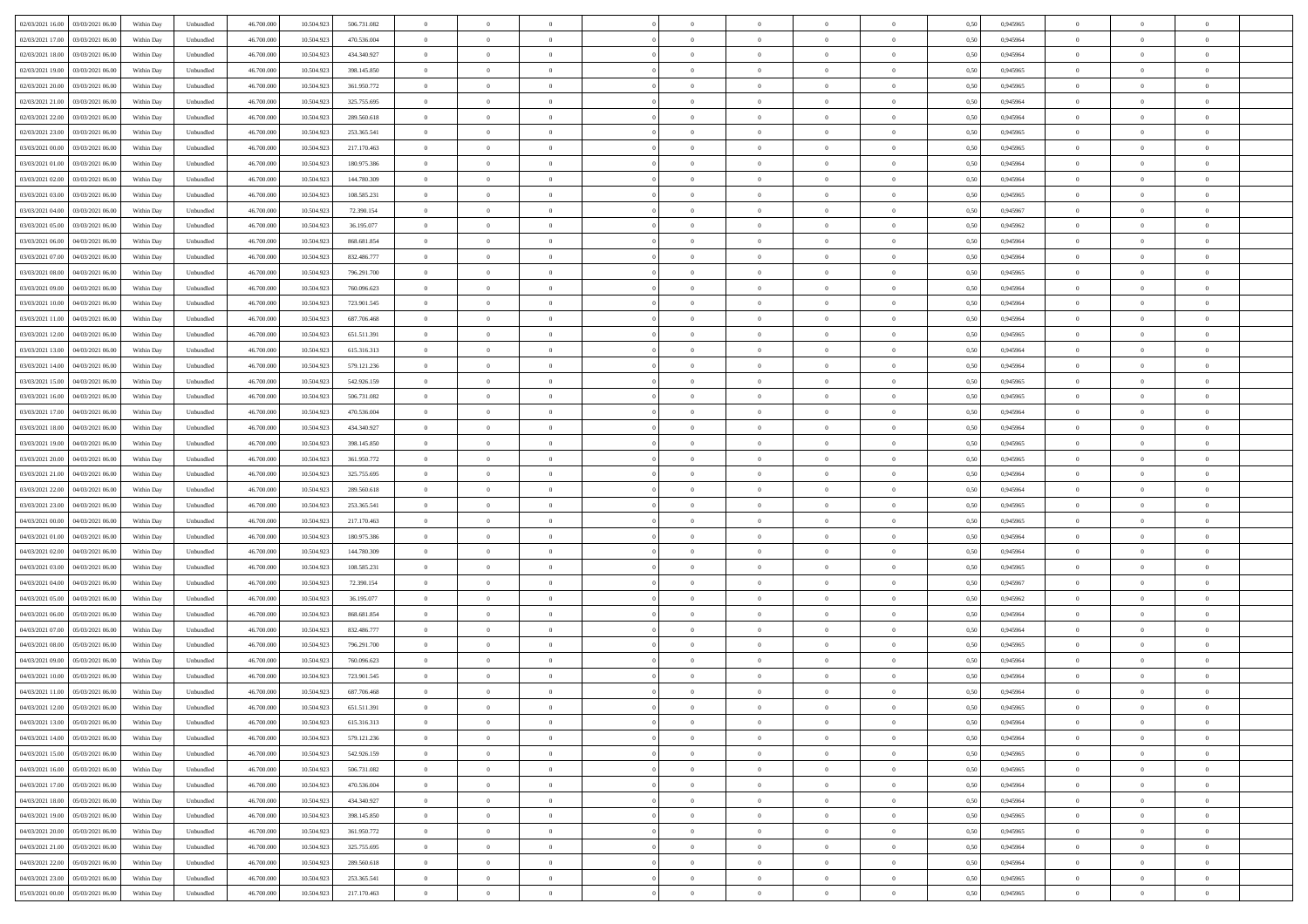| 02/03/2021 16:00 03/03/2021 06:00            | Within Day | Unbundled         | 46.700.000 | 10.504.923 | 506.731.082 | $\overline{0}$ | $\overline{0}$ |                | $\overline{0}$ | $\theta$       |                | $\theta$       | 0,50 | 0,945965 | $\theta$       | $\theta$       | $\overline{0}$ |  |
|----------------------------------------------|------------|-------------------|------------|------------|-------------|----------------|----------------|----------------|----------------|----------------|----------------|----------------|------|----------|----------------|----------------|----------------|--|
| 02/03/2021 17:00<br>03/03/2021 06:00         | Within Day | Unbundled         | 46.700.00  | 10.504.92  | 470.536.004 | $\bf{0}$       | $\overline{0}$ | $\bf{0}$       | $\overline{0}$ | $\bf{0}$       | $\overline{0}$ | $\bf{0}$       | 0,50 | 0,945964 | $\,$ 0 $\,$    | $\bf{0}$       | $\overline{0}$ |  |
| 02/03/2021 18:00<br>03/03/2021 06:00         | Within Day | Unbundled         | 46,700,000 | 10.504.923 | 434.340.927 | $\overline{0}$ | $\bf{0}$       | $\overline{0}$ | $\bf{0}$       | $\bf{0}$       | $\overline{0}$ | $\bf{0}$       | 0.50 | 0.945964 | $\bf{0}$       | $\overline{0}$ | $\overline{0}$ |  |
| 02/03/2021 19:00<br>03/03/2021 06:00         | Within Day | Unbundled         | 46.700.000 | 10.504.923 | 398.145.850 | $\overline{0}$ | $\overline{0}$ | $\overline{0}$ | $\theta$       | $\theta$       | $\overline{0}$ | $\bf{0}$       | 0,50 | 0,945965 | $\theta$       | $\theta$       | $\overline{0}$ |  |
| 02/03/2021 20:00<br>03/03/2021 06.00         | Within Day | Unbundled         | 46.700.00  | 10.504.923 | 361.950.772 | $\bf{0}$       | $\overline{0}$ | $\bf{0}$       | $\overline{0}$ | $\theta$       | $\overline{0}$ | $\bf{0}$       | 0,50 | 0,945965 | $\,$ 0 $\,$    | $\bf{0}$       | $\overline{0}$ |  |
|                                              |            |                   |            |            |             |                |                |                |                |                |                |                |      |          |                |                |                |  |
| 02/03/2021 21:00<br>03/03/2021 06:00         | Within Day | Unbundled         | 46,700,000 | 10.504.92  | 325.755.695 | $\overline{0}$ | $\overline{0}$ | $\overline{0}$ | $\bf{0}$       | $\overline{0}$ | $\theta$       | $\bf{0}$       | 0.50 | 0.945964 | $\bf{0}$       | $\theta$       | $\overline{0}$ |  |
| 02/03/2021 22:00<br>03/03/2021 06:00         | Within Day | Unbundled         | 46.700.000 | 10.504.923 | 289.560.618 | $\overline{0}$ | $\overline{0}$ | $\overline{0}$ | $\overline{0}$ | $\overline{0}$ | $\overline{0}$ | $\bf{0}$       | 0,50 | 0,945964 | $\theta$       | $\theta$       | $\overline{0}$ |  |
| 02/03/2021 23:00<br>03/03/2021 06.00         | Within Day | Unbundled         | 46.700.00  | 10.504.92  | 253.365.541 | $\bf{0}$       | $\overline{0}$ | $\bf{0}$       | $\overline{0}$ | $\bf{0}$       | $\overline{0}$ | $\bf{0}$       | 0,50 | 0,945965 | $\,$ 0 $\,$    | $\bf{0}$       | $\overline{0}$ |  |
| 03/03/2021 00:00<br>03/03/2021 06:00         | Within Day | Unbundled         | 46,700,000 | 10.504.92  | 217.170.463 | $\overline{0}$ | $\bf{0}$       | $\overline{0}$ | $\bf{0}$       | $\overline{0}$ | $\overline{0}$ | $\bf{0}$       | 0.50 | 0.945965 | $\bf{0}$       | $\overline{0}$ | $\overline{0}$ |  |
| 03/03/2021 01:00<br>03/03/2021 06:00         | Within Day | Unbundled         | 46.700.000 | 10.504.923 | 180.975.386 | $\bf{0}$       | $\bf{0}$       | $\overline{0}$ | $\overline{0}$ | $\overline{0}$ | $\overline{0}$ | $\bf{0}$       | 0,50 | 0,945964 | $\,$ 0 $\,$    | $\bf{0}$       | $\overline{0}$ |  |
| 03/03/2021 02:00<br>03/03/2021 06.00         | Within Day | Unbundled         | 46.700.00  | 10.504.923 | 144.780.309 | $\bf{0}$       | $\overline{0}$ | $\bf{0}$       | $\bf{0}$       | $\bf{0}$       | $\overline{0}$ | $\bf{0}$       | 0,50 | 0,945964 | $\,$ 0 $\,$    | $\bf{0}$       | $\overline{0}$ |  |
| 03/03/2021 03:00<br>03/03/2021 06:00         | Within Day | Unbundled         | 46,700,000 | 10.504.92  | 108.585.231 | $\overline{0}$ | $\bf{0}$       | $\overline{0}$ | $\bf{0}$       | $\bf{0}$       | $\overline{0}$ | $\bf{0}$       | 0.50 | 0.945965 | $\bf{0}$       | $\overline{0}$ | $\bf{0}$       |  |
|                                              |            |                   |            |            |             | $\overline{0}$ | $\overline{0}$ | $\overline{0}$ | $\overline{0}$ | $\theta$       | $\overline{0}$ | $\overline{0}$ |      |          | $\theta$       | $\theta$       | $\overline{0}$ |  |
| 03/03/2021 04:00<br>03/03/2021 06:00         | Within Day | Unbundled         | 46.700.000 | 10.504.923 | 72.390.154  |                |                |                |                |                |                |                | 0,50 | 0,945967 |                |                |                |  |
| 03/03/2021 05:00<br>03/03/2021 06.00         | Within Day | Unbundled         | 46.700.00  | 10.504.92  | 36.195.077  | $\bf{0}$       | $\overline{0}$ | $\bf{0}$       | $\overline{0}$ | $\theta$       | $\overline{0}$ | $\bf{0}$       | 0,50 | 0,945962 | $\bf{0}$       | $\bf{0}$       | $\overline{0}$ |  |
| 03/03/2021 06:00<br>04/03/2021 06:00         | Within Day | Unbundled         | 46,700,000 | 10.504.923 | 868.681.854 | $\overline{0}$ | $\overline{0}$ | $\overline{0}$ | $\bf{0}$       | $\overline{0}$ | $\Omega$       | $\bf{0}$       | 0.50 | 0.945964 | $\theta$       | $\theta$       | $\overline{0}$ |  |
| 03/03/2021 07:00<br>04/03/2021 06:00         | Within Day | Unbundled         | 46.700.000 | 10.504.923 | 832.486.777 | $\overline{0}$ | $\overline{0}$ | $\overline{0}$ | $\overline{0}$ | $\overline{0}$ | $\overline{0}$ | $\bf{0}$       | 0,50 | 0,945964 | $\theta$       | $\theta$       | $\overline{0}$ |  |
| 03/03/2021 08:00<br>04/03/2021 06.00         | Within Day | Unbundled         | 46.700.00  | 10.504.92  | 796.291.700 | $\bf{0}$       | $\overline{0}$ | $\bf{0}$       | $\overline{0}$ | $\bf{0}$       | $\overline{0}$ | $\bf{0}$       | 0,50 | 0,945965 | $\,$ 0 $\,$    | $\bf{0}$       | $\overline{0}$ |  |
| 03/03/2021 09:00<br>04/03/2021 06:00         | Within Day | Unbundled         | 46,700,000 | 10.504.92  | 760.096.623 | $\overline{0}$ | $\bf{0}$       | $\overline{0}$ | $\bf{0}$       | $\overline{0}$ | $\overline{0}$ | $\bf{0}$       | 0.50 | 0.945964 | $\bf{0}$       | $\overline{0}$ | $\overline{0}$ |  |
| 03/03/2021 10:00<br>04/03/2021 06:00         | Within Day | Unbundled         | 46.700.000 | 10.504.923 | 723.901.545 | $\overline{0}$ | $\bf{0}$       | $\overline{0}$ | $\overline{0}$ | $\overline{0}$ | $\overline{0}$ | $\bf{0}$       | 0,50 | 0,945964 | $\,$ 0 $\,$    | $\bf{0}$       | $\overline{0}$ |  |
| 03/03/2021 11:00<br>04/03/2021 06.00         | Within Day | Unbundled         | 46.700.00  | 10.504.92  | 687.706.468 | $\bf{0}$       | $\bf{0}$       | $\bf{0}$       | $\bf{0}$       | $\overline{0}$ | $\overline{0}$ | $\bf{0}$       | 0,50 | 0,945964 | $\,$ 0 $\,$    | $\bf{0}$       | $\overline{0}$ |  |
|                                              |            |                   |            |            |             |                |                |                |                |                |                |                |      |          |                |                |                |  |
| 03/03/2021 12:00<br>04/03/2021 06:00         | Within Day | Unbundled         | 46,700,000 | 10.504.92  | 651.511.391 | $\overline{0}$ | $\bf{0}$       | $\overline{0}$ | $\bf{0}$       | $\bf{0}$       | $\overline{0}$ | $\bf{0}$       | 0.50 | 0.945965 | $\bf{0}$       | $\overline{0}$ | $\bf{0}$       |  |
| 03/03/2021 13:00<br>04/03/2021 06:00         | Within Day | Unbundled         | 46.700.000 | 10.504.923 | 615.316.313 | $\overline{0}$ | $\overline{0}$ | $\overline{0}$ | $\theta$       | $\theta$       | $\overline{0}$ | $\bf{0}$       | 0,50 | 0,945964 | $\theta$       | $\theta$       | $\overline{0}$ |  |
| 03/03/2021 14:00<br>04/03/2021 06.00         | Within Day | Unbundled         | 46.700.00  | 10.504.92  | 579.121.236 | $\bf{0}$       | $\overline{0}$ | $\bf{0}$       | $\bf{0}$       | $\bf{0}$       | $\overline{0}$ | $\bf{0}$       | 0,50 | 0,945964 | $\,$ 0 $\,$    | $\bf{0}$       | $\overline{0}$ |  |
| 03/03/2021 15:00<br>04/03/2021 06:00         | Within Day | Unbundled         | 46,700,000 | 10.504.92  | 542.926.159 | $\overline{0}$ | $\overline{0}$ | $\overline{0}$ | $\overline{0}$ | $\overline{0}$ | $\theta$       | $\bf{0}$       | 0.50 | 0.945965 | $\bf{0}$       | $\theta$       | $\overline{0}$ |  |
| 03/03/2021 16:00<br>04/03/2021 06.00         | Within Day | Unbundled         | 46.700.000 | 10.504.923 | 506.731.082 | $\overline{0}$ | $\overline{0}$ | $\overline{0}$ | $\overline{0}$ | $\overline{0}$ | $\overline{0}$ | $\bf{0}$       | 0,50 | 0,945965 | $\theta$       | $\theta$       | $\overline{0}$ |  |
| 03/03/2021 17:00<br>04/03/2021 06.00         | Within Day | Unbundled         | 46.700.00  | 10.504.92  | 470.536.004 | $\bf{0}$       | $\overline{0}$ | $\bf{0}$       | $\overline{0}$ | $\bf{0}$       | $\overline{0}$ | $\bf{0}$       | 0,50 | 0,945964 | $\,$ 0 $\,$    | $\bf{0}$       | $\overline{0}$ |  |
| 03/03/2021 18:00<br>04/03/2021 06:00         | Within Day | Unbundled         | 46,700,000 | 10.504.92  | 434.340.927 | $\overline{0}$ | $\bf{0}$       | $\overline{0}$ | $\bf{0}$       | $\overline{0}$ | $\overline{0}$ | $\bf{0}$       | 0.50 | 0.945964 | $\bf{0}$       | $\overline{0}$ | $\overline{0}$ |  |
| 03/03/2021 19:00<br>04/03/2021 06:00         | Within Day | Unbundled         | 46.700.000 | 10.504.923 | 398.145.850 | $\overline{0}$ | $\bf{0}$       | $\overline{0}$ | $\overline{0}$ | $\overline{0}$ | $\overline{0}$ | $\bf{0}$       | 0,50 | 0,945965 | $\theta$       | $\theta$       | $\overline{0}$ |  |
|                                              |            |                   |            |            |             |                |                |                |                |                |                |                |      |          |                |                |                |  |
| 03/03/2021 20:00<br>04/03/2021 06.00         | Within Day | Unbundled         | 46.700.00  | 10.504.923 | 361.950.772 | $\bf{0}$       | $\bf{0}$       | $\bf{0}$       | $\bf{0}$       | $\overline{0}$ | $\overline{0}$ | $\bf{0}$       | 0,50 | 0,945965 | $\,$ 0 $\,$    | $\bf{0}$       | $\overline{0}$ |  |
| 03/03/2021 21:00<br>04/03/2021 06:00         | Within Day | Unbundled         | 46,700,000 | 10.504.92  | 325.755.695 | $\overline{0}$ | $\bf{0}$       | $\overline{0}$ | $\bf{0}$       | $\bf{0}$       | $\overline{0}$ | $\bf{0}$       | 0.50 | 0.945964 | $\bf{0}$       | $\overline{0}$ | $\bf{0}$       |  |
| 03/03/2021 22:00<br>04/03/2021 06:00         | Within Day | Unbundled         | 46.700.000 | 10.504.92  | 289.560.618 | $\overline{0}$ | $\overline{0}$ | $\overline{0}$ | $\overline{0}$ | $\overline{0}$ | $\overline{0}$ | $\bf{0}$       | 0.5( | 0.945964 | $\theta$       | $\theta$       | $\overline{0}$ |  |
| 03/03/2021 23:00<br>04/03/2021 06.00         | Within Day | Unbundled         | 46.700.00  | 10.504.92  | 253.365.541 | $\bf{0}$       | $\overline{0}$ | $\bf{0}$       | $\bf{0}$       | $\,$ 0 $\,$    | $\overline{0}$ | $\bf{0}$       | 0,50 | 0,945965 | $\,$ 0 $\,$    | $\bf{0}$       | $\overline{0}$ |  |
| 04/03/2021 00:00<br>04/03/2021 06:00         | Within Day | Unbundled         | 46,700,000 | 10.504.923 | 217.170.463 | $\overline{0}$ | $\overline{0}$ | $\overline{0}$ | $\bf{0}$       | $\overline{0}$ | $\overline{0}$ | $\bf{0}$       | 0.50 | 0.945965 | $\,$ 0 $\,$    | $\theta$       | $\overline{0}$ |  |
| 04/03/2021 01:00<br>04/03/2021 06:00         | Within Dav | Unbundled         | 46.700.000 | 10.504.923 | 180.975.386 | $\overline{0}$ | $\overline{0}$ | $\overline{0}$ | $\overline{0}$ | $\overline{0}$ | $\overline{0}$ | $\overline{0}$ | 0.50 | 0,945964 | $\theta$       | $\theta$       | $\overline{0}$ |  |
| 04/03/2021 02:00<br>04/03/2021 06.00         | Within Day | Unbundled         | 46.700.00  | 10.504.92  | 144.780.309 | $\bf{0}$       | $\bf{0}$       | $\bf{0}$       | $\bf{0}$       | $\bf{0}$       | $\overline{0}$ | $\bf{0}$       | 0,50 | 0,945964 | $\,$ 0 $\,$    | $\bf{0}$       | $\overline{0}$ |  |
| 04/03/2021 03:00<br>04/03/2021 06:00         | Within Day | Unbundled         | 46,700,000 | 10.504.92  | 108.585.231 | $\overline{0}$ | $\bf{0}$       | $\overline{0}$ | $\bf{0}$       | $\overline{0}$ | $\overline{0}$ | $\bf{0}$       | 0.50 | 0.945965 | $\bf{0}$       | $\overline{0}$ | $\overline{0}$ |  |
|                                              |            |                   |            |            |             |                |                |                |                |                |                |                |      |          |                |                |                |  |
| 04/03/2021 04:00<br>04/03/2021 06:00         | Within Day | Unbundled         | 46.700.000 | 10.504.923 | 72.390.154  | $\overline{0}$ | $\overline{0}$ | $\overline{0}$ | $\overline{0}$ | $\overline{0}$ | $\overline{0}$ | $\overline{0}$ | 0.50 | 0,945967 | $\theta$       | $\theta$       | $\overline{0}$ |  |
| 04/03/2021 05:00<br>04/03/2021 06.00         | Within Day | Unbundled         | 46.700.00  | 10.504.923 | 36.195.077  | $\bf{0}$       | $\bf{0}$       | $\bf{0}$       | $\bf{0}$       | $\overline{0}$ | $\overline{0}$ | $\bf{0}$       | 0,50 | 0,945962 | $\,$ 0 $\,$    | $\bf{0}$       | $\overline{0}$ |  |
| 04/03/2021 06:00<br>05/03/2021 06:00         | Within Day | Unbundled         | 46,700,000 | 10.504.923 | 868,681,854 | $\overline{0}$ | $\bf{0}$       | $\overline{0}$ | $\bf{0}$       | $\bf{0}$       | $\overline{0}$ | $\bf{0}$       | 0.50 | 0.945964 | $\bf{0}$       | $\overline{0}$ | $\bf{0}$       |  |
| 04/03/2021 07:00<br>05/03/2021 06:00         | Within Day | Unbundled         | 46.700.000 | 10.504.923 | 832.486.777 | $\overline{0}$ | $\overline{0}$ | $\overline{0}$ | $\overline{0}$ | $\overline{0}$ | $\overline{0}$ | $\bf{0}$       | 0.50 | 0.945964 | $\theta$       | $\theta$       | $\overline{0}$ |  |
| 04/03/2021 08:00<br>05/03/2021 06.00         | Within Day | Unbundled         | 46.700.00  | 10.504.923 | 796.291.700 | $\bf{0}$       | $\bf{0}$       | $\bf{0}$       | $\bf{0}$       | $\overline{0}$ | $\overline{0}$ | $\bf{0}$       | 0,50 | 0,945965 | $\,$ 0 $\,$    | $\bf{0}$       | $\overline{0}$ |  |
| 04/03/2021 09:00<br>05/03/2021 06:00         | Within Day | Unbundled         | 46,700,000 | 10.504.92  | 760.096.623 | $\overline{0}$ | $\overline{0}$ | $\overline{0}$ | $\bf{0}$       | $\overline{0}$ | $\Omega$       | $\bf{0}$       | 0.50 | 0.945964 | $\bf{0}$       | $\theta$       | $\overline{0}$ |  |
| 04/03/2021 10:00<br>05/03/2021 06:00         | Within Day | Unbundled         | 46.700.000 | 10.504.92  | 723.901.545 | $\overline{0}$ | $\overline{0}$ | $\Omega$       | $\overline{0}$ | $\theta$       | $\Omega$       | $\overline{0}$ | 0.5( | 0,945964 | $\theta$       | $\theta$       | $\overline{0}$ |  |
| 04/03/2021 11:00<br>05/03/2021 06:00         | Within Day | Unbundled         | 46.700.000 | 10.504.92  | 687.706.468 | $\bf{0}$       | $\bf{0}$       | $\bf{0}$       | $\bf{0}$       | $\bf{0}$       | $\overline{0}$ | $\bf{0}$       | 0,50 | 0,945964 | $\,$ 0 $\,$    | $\bf{0}$       | $\overline{0}$ |  |
| $04/03/2021\ 12.00 \qquad 05/03/2021\ 06.00$ | Within Day | ${\sf Unbundred}$ | 46.700.000 | 10.504.923 | 651.511.391 | $\bf{0}$       | $\theta$       |                | $\overline{0}$ |                |                |                | 0,50 | 0.945965 | $\bf{0}$       | $\bf{0}$       |                |  |
|                                              |            |                   |            |            |             |                |                |                |                |                |                |                |      |          |                |                |                |  |
| 04/03/2021 13:00 05/03/2021 06:00            | Within Day | Unbundled         | 46.700.000 | 10.504.923 | 615.316.313 | $\overline{0}$ | $\theta$       | $\Omega$       | $\theta$       | $\overline{0}$ | $\overline{0}$ | $\bf{0}$       | 0,50 | 0,945964 | $\theta$       | $\theta$       | $\overline{0}$ |  |
| 04/03/2021 14:00<br>05/03/2021 06:00         | Within Day | Unbundled         | 46.700.00  | 10.504.923 | 579.121.236 | $\overline{0}$ | $\bf{0}$       | $\overline{0}$ | $\overline{0}$ | $\bf{0}$       | $\overline{0}$ | $\bf{0}$       | 0,50 | 0,945964 | $\bf{0}$       | $\overline{0}$ | $\bf{0}$       |  |
| 04/03/2021 15:00  05/03/2021 06:00           | Within Day | Unbundled         | 46,700,000 | 10.504.923 | 542.926.159 | $\overline{0}$ | $\bf{0}$       | $\overline{0}$ | $\overline{0}$ | $\overline{0}$ | $\overline{0}$ | $\bf{0}$       | 0.50 | 0.945965 | $\mathbf{0}$   | $\bf{0}$       | $\,$ 0 $\,$    |  |
| 04/03/2021 16:00  05/03/2021 06:00           | Within Day | Unbundled         | 46.700.000 | 10.504.923 | 506.731.082 | $\overline{0}$ | $\overline{0}$ | $\overline{0}$ | $\overline{0}$ | $\overline{0}$ | $\overline{0}$ | $\bf{0}$       | 0,50 | 0,945965 | $\theta$       | $\theta$       | $\overline{0}$ |  |
| 04/03/2021 17:00<br>05/03/2021 06:00         | Within Day | Unbundled         | 46.700.000 | 10.504.923 | 470.536.004 | $\overline{0}$ | $\bf{0}$       | $\overline{0}$ | $\bf{0}$       | $\overline{0}$ | $\overline{0}$ | $\bf{0}$       | 0,50 | 0,945964 | $\overline{0}$ | $\bf{0}$       | $\overline{0}$ |  |
| 05/03/2021 06:00<br>04/03/2021 18:00         | Within Day | Unbundled         | 46,700,000 | 10.504.923 | 434.340.927 | $\overline{0}$ | $\bf{0}$       | $\overline{0}$ | $\overline{0}$ | $\overline{0}$ | $\overline{0}$ | $\bf{0}$       | 0.50 | 0.945964 | $\,$ 0 $\,$    | $\theta$       | $\overline{0}$ |  |
| 04/03/2021 19:00<br>05/03/2021 06:00         | Within Dav | Unbundled         | 46.700.000 | 10.504.923 | 398.145.850 | $\overline{0}$ | $\overline{0}$ | $\overline{0}$ | $\overline{0}$ | $\overline{0}$ | $\overline{0}$ | $\bf{0}$       | 0.50 | 0,945965 | $\overline{0}$ | $\theta$       | $\overline{0}$ |  |
|                                              |            |                   |            |            |             |                |                |                |                |                |                |                |      |          |                |                |                |  |
| 04/03/2021 20:00<br>05/03/2021 06:00         | Within Day | Unbundled         | 46.700.00  | 10.504.923 | 361.950.772 | $\overline{0}$ | $\overline{0}$ | $\overline{0}$ | $\overline{0}$ | $\bf{0}$       | $\overline{0}$ | $\bf{0}$       | 0,50 | 0,945965 | $\bf{0}$       | $\overline{0}$ | $\overline{0}$ |  |
| 04/03/2021 21:00  05/03/2021 06:00           | Within Day | Unbundled         | 46,700,000 | 10.504.923 | 325.755.695 | $\overline{0}$ | $\overline{0}$ | $\overline{0}$ | $\overline{0}$ | $\bf{0}$       | $\overline{0}$ | $\bf{0}$       | 0.50 | 0.945964 | $\overline{0}$ | $\,$ 0 $\,$    | $\,$ 0         |  |
| 04/03/2021 22:00 05/03/2021 06:00            | Within Dav | Unbundled         | 46.700.000 | 10.504.923 | 289.560.618 | $\overline{0}$ | $\overline{0}$ | $\overline{0}$ | $\overline{0}$ | $\overline{0}$ | $\overline{0}$ | $\bf{0}$       | 0,50 | 0,945964 | $\theta$       | $\theta$       | $\overline{0}$ |  |
| 04/03/2021 23:00<br>05/03/2021 06:00         | Within Day | Unbundled         | 46.700.00  | 10.504.923 | 253.365.541 | $\overline{0}$ | $\bf{0}$       | $\overline{0}$ | $\bf{0}$       | $\overline{0}$ | $\bf{0}$       | $\bf{0}$       | 0,50 | 0,945965 | $\bf{0}$       | $\bf{0}$       | $\overline{0}$ |  |
| 05/03/2021 00:00 05/03/2021 06:00            | Within Day | Unbundled         | 46.700.000 | 10.504.923 | 217.170.463 | $\overline{0}$ | $\bf{0}$       | $\overline{0}$ | $\overline{0}$ | $\,$ 0 $\,$    | $\overline{0}$ | $\bf{0}$       | 0,50 | 0,945965 | $\overline{0}$ | $\,$ 0 $\,$    | $\,$ 0 $\,$    |  |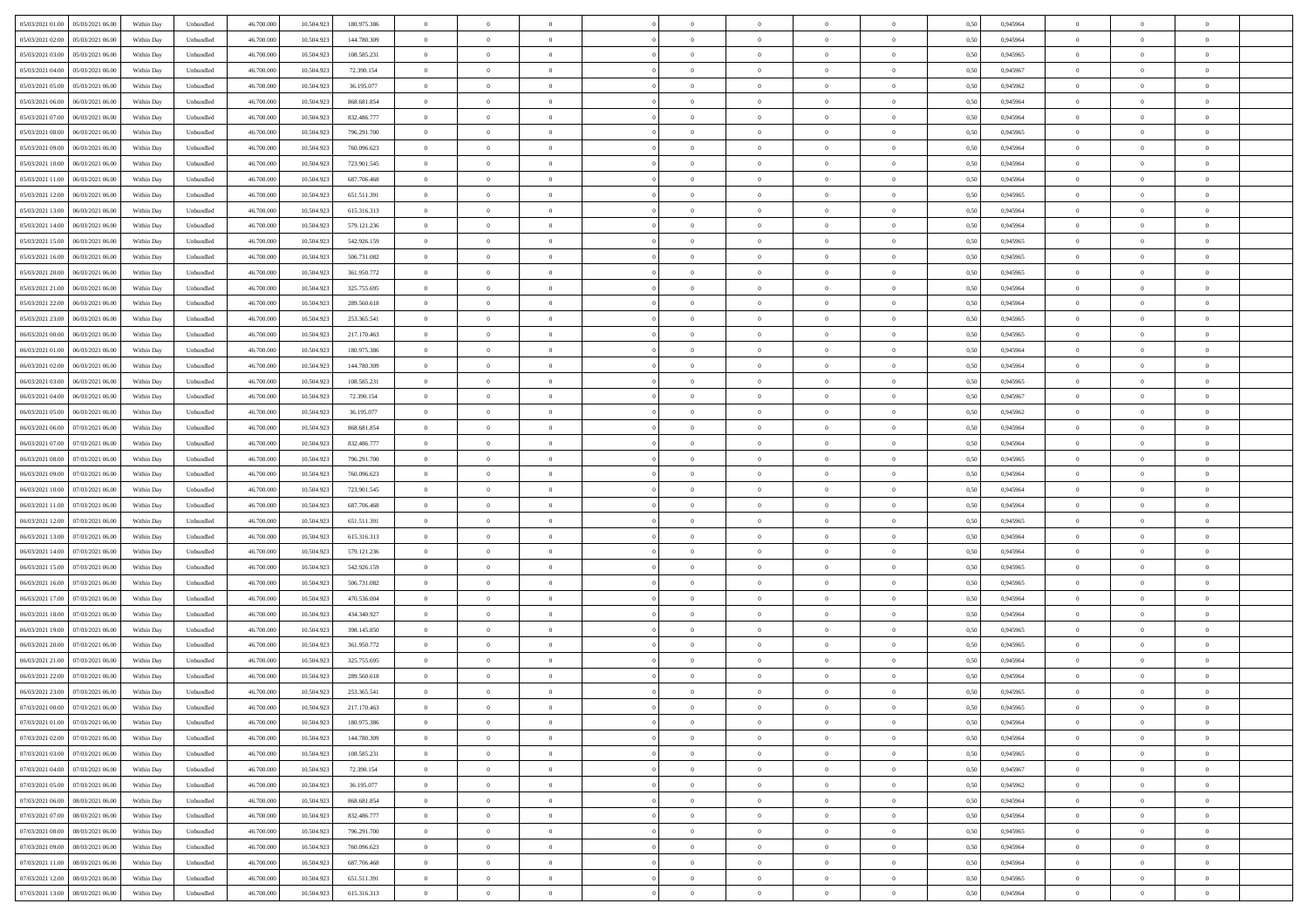| 05/03/2021 01:00 05/03/2021 06:00            | Within Day | Unbundled                   | 46.700.000 | 10.504.923 | 180.975.386 | $\overline{0}$ | $\overline{0}$ |                | $\overline{0}$ | $\theta$       |                | $\bf{0}$       | 0,50 | 0,945964 | $\theta$       | $\theta$       | $\overline{0}$ |  |
|----------------------------------------------|------------|-----------------------------|------------|------------|-------------|----------------|----------------|----------------|----------------|----------------|----------------|----------------|------|----------|----------------|----------------|----------------|--|
| 05/03/2021 02:00<br>05/03/2021 06:00         | Within Day | Unbundled                   | 46.700.00  | 10.504.92  | 144.780.309 | $\bf{0}$       | $\overline{0}$ | $\overline{0}$ | $\overline{0}$ | $\theta$       | $\overline{0}$ | $\bf{0}$       | 0,50 | 0,945964 | $\,$ 0 $\,$    | $\bf{0}$       | $\overline{0}$ |  |
| 05/03/2021 03:00<br>05/03/2021 06:00         | Within Day | Unbundled                   | 46,700,000 | 10.504.92  | 108.585.231 | $\overline{0}$ | $\overline{0}$ | $\overline{0}$ | $\bf{0}$       | $\bf{0}$       | $\overline{0}$ | $\bf{0}$       | 0.50 | 0.945965 | $\bf{0}$       | $\overline{0}$ | $\overline{0}$ |  |
| 05/03/2021 04:00<br>05/03/2021 06:00         | Within Day | Unbundled                   | 46.700.000 | 10.504.923 | 72.390.154  | $\overline{0}$ | $\overline{0}$ | $\overline{0}$ | $\theta$       | $\theta$       | $\overline{0}$ | $\overline{0}$ | 0,50 | 0,945967 | $\theta$       | $\theta$       | $\overline{0}$ |  |
| 05/03/2021 05:00<br>05/03/2021 06.00         | Within Day | Unbundled                   | 46.700.00  | 10.504.923 | 36.195.077  | $\overline{0}$ | $\theta$       | $\overline{0}$ | $\overline{0}$ | $\theta$       | $\overline{0}$ | $\bf{0}$       | 0,50 | 0,945962 | $\,$ 0 $\,$    | $\bf{0}$       | $\overline{0}$ |  |
|                                              |            |                             |            |            |             |                |                |                |                |                |                |                |      |          |                |                |                |  |
| 05/03/2021 06:00<br>06/03/2021 06:00         | Within Day | Unbundled                   | 46,700,000 | 10.504.92  | 868.681.854 | $\overline{0}$ | $\overline{0}$ | $\overline{0}$ | $\overline{0}$ | $\overline{0}$ | $\Omega$       | $\bf{0}$       | 0.50 | 0.945964 | $\bf{0}$       | $\theta$       | $\overline{0}$ |  |
| 05/03/2021 07:00<br>06/03/2021 06:00         | Within Day | Unbundled                   | 46.700.000 | 10.504.923 | 832.486.777 | $\overline{0}$ | $\overline{0}$ | $\overline{0}$ | $\overline{0}$ | $\overline{0}$ | $\overline{0}$ | $\bf{0}$       | 0,50 | 0,945964 | $\theta$       | $\theta$       | $\overline{0}$ |  |
| 05/03/2021 08:00<br>06/03/2021 06.00         | Within Day | Unbundled                   | 46.700.00  | 10.504.92  | 796.291.700 | $\overline{0}$ | $\overline{0}$ | $\overline{0}$ | $\overline{0}$ | $\theta$       | $\overline{0}$ | $\bf{0}$       | 0,50 | 0,945965 | $\,$ 0 $\,$    | $\bf{0}$       | $\overline{0}$ |  |
| 05/03/2021 09:00<br>06/03/2021 06:00         | Within Day | Unbundled                   | 46,700,000 | 10.504.92  | 760.096.623 | $\overline{0}$ | $\overline{0}$ | $\overline{0}$ | $\bf{0}$       | $\overline{0}$ | $\overline{0}$ | $\bf{0}$       | 0.50 | 0.945964 | $\,$ 0 $\,$    | $\theta$       | $\overline{0}$ |  |
| 05/03/2021 10:00<br>06/03/2021 06:00         | Within Day | Unbundled                   | 46.700.000 | 10.504.923 | 723.901.545 | $\overline{0}$ | $\bf{0}$       | $\overline{0}$ | $\overline{0}$ | $\theta$       | $\overline{0}$ | $\bf{0}$       | 0,50 | 0,945964 | $\,$ 0 $\,$    | $\theta$       | $\overline{0}$ |  |
| 05/03/2021 11:00<br>06/03/2021 06.00         | Within Day | Unbundled                   | 46.700.00  | 10.504.923 | 687.706.468 | $\bf{0}$       | $\overline{0}$ | $\bf{0}$       | $\overline{0}$ | $\bf{0}$       | $\overline{0}$ | $\bf{0}$       | 0,50 | 0,945964 | $\,$ 0 $\,$    | $\bf{0}$       | $\overline{0}$ |  |
| 05/03/2021 12:00<br>06/03/2021 06:00         | Within Day | Unbundled                   | 46,700,000 | 10.504.92  | 651.511.391 | $\overline{0}$ | $\overline{0}$ | $\overline{0}$ | $\bf{0}$       | $\bf{0}$       | $\overline{0}$ | $\bf{0}$       | 0.50 | 0.945965 | $\bf{0}$       | $\overline{0}$ | $\overline{0}$ |  |
| 05/03/2021 13:00<br>06/03/2021 06:00         | Within Day | Unbundled                   | 46.700.000 | 10.504.923 | 615.316.313 | $\overline{0}$ | $\overline{0}$ | $\overline{0}$ | $\overline{0}$ | $\theta$       | $\overline{0}$ | $\overline{0}$ | 0,50 | 0,945964 | $\theta$       | $\theta$       | $\overline{0}$ |  |
|                                              |            |                             |            |            |             |                |                |                |                |                |                |                |      |          |                |                |                |  |
| 05/03/2021 14:00<br>06/03/2021 06.00         | Within Day | Unbundled                   | 46.700.00  | 10.504.92  | 579.121.236 | $\bf{0}$       | $\theta$       | $\bf{0}$       | $\overline{0}$ | $\theta$       | $\overline{0}$ | $\bf{0}$       | 0,50 | 0,945964 | $\,$ 0 $\,$    | $\bf{0}$       | $\overline{0}$ |  |
| 05/03/2021 15:00<br>06/03/2021 06:00         | Within Day | Unbundled                   | 46,700,000 | 10.504.92  | 542.926.159 | $\overline{0}$ | $\overline{0}$ | $\overline{0}$ | $\bf{0}$       | $\theta$       | $\theta$       | $\bf{0}$       | 0.50 | 0.945965 | $\theta$       | $\overline{0}$ | $\overline{0}$ |  |
| 05/03/2021 16:00<br>06/03/2021 06:00         | Within Day | Unbundled                   | 46.700.000 | 10.504.923 | 506.731.082 | $\overline{0}$ | $\overline{0}$ | $\overline{0}$ | $\overline{0}$ | $\overline{0}$ | $\overline{0}$ | $\bf{0}$       | 0,50 | 0,945965 | $\theta$       | $\theta$       | $\overline{0}$ |  |
| 05/03/2021 20:00<br>06/03/2021 06.00         | Within Day | Unbundled                   | 46.700.00  | 10.504.92  | 361.950.772 | $\bf{0}$       | $\overline{0}$ | $\overline{0}$ | $\overline{0}$ | $\theta$       | $\overline{0}$ | $\bf{0}$       | 0,50 | 0,945965 | $\,$ 0 $\,$    | $\bf{0}$       | $\overline{0}$ |  |
| 05/03/2021 21:00<br>06/03/2021 06:00         | Within Day | Unbundled                   | 46,700,00  | 10.504.92  | 325,755,695 | $\overline{0}$ | $\overline{0}$ | $\overline{0}$ | $\bf{0}$       | $\overline{0}$ | $\overline{0}$ | $\bf{0}$       | 0.50 | 0.945964 | $\bf{0}$       | $\overline{0}$ | $\overline{0}$ |  |
| 05/03/2021 22:00<br>06/03/2021 06:00         | Within Day | Unbundled                   | 46.700.000 | 10.504.923 | 289.560.618 | $\bf{0}$       | $\overline{0}$ | $\overline{0}$ | $\overline{0}$ | $\theta$       | $\overline{0}$ | $\bf{0}$       | 0,50 | 0,945964 | $\,$ 0 $\,$    | $\theta$       | $\overline{0}$ |  |
| 05/03/2021 23:00<br>06/03/2021 06.00         | Within Day | Unbundled                   | 46.700.00  | 10.504.92  | 253.365.541 | $\bf{0}$       | $\overline{0}$ | $\bf{0}$       | $\bf{0}$       | $\overline{0}$ | $\overline{0}$ | $\bf{0}$       | 0,50 | 0,945965 | $\,$ 0 $\,$    | $\bf{0}$       | $\overline{0}$ |  |
|                                              |            |                             |            |            |             |                |                |                |                |                |                |                |      |          |                |                |                |  |
| 06/03/2021 00:00<br>06/03/2021 06:00         | Within Day | Unbundled                   | 46,700,000 | 10.504.923 | 217.170.463 | $\overline{0}$ | $\bf{0}$       | $\overline{0}$ | $\bf{0}$       | $\overline{0}$ | $\overline{0}$ | $\bf{0}$       | 0.50 | 0.945965 | $\bf{0}$       | $\overline{0}$ | $\overline{0}$ |  |
| 06/03/2021 01:00<br>06/03/2021 06:00         | Within Day | Unbundled                   | 46.700.000 | 10.504.923 | 180.975.386 | $\overline{0}$ | $\overline{0}$ | $\overline{0}$ | $\overline{0}$ | $\theta$       | $\overline{0}$ | $\bf{0}$       | 0,50 | 0,945964 | $\theta$       | $\theta$       | $\overline{0}$ |  |
| 06/03/2021 02:00<br>06/03/2021 06.00         | Within Day | Unbundled                   | 46.700.00  | 10.504.923 | 144.780.309 | $\bf{0}$       | $\overline{0}$ | $\bf{0}$       | $\overline{0}$ | $\theta$       | $\overline{0}$ | $\bf{0}$       | 0,50 | 0,945964 | $\,$ 0 $\,$    | $\bf{0}$       | $\overline{0}$ |  |
| 06/03/2021 03:00<br>06/03/2021 06:00         | Within Day | Unbundled                   | 46,700,000 | 10.504.92  | 108.585.231 | $\overline{0}$ | $\overline{0}$ | $\overline{0}$ | $\overline{0}$ | $\overline{0}$ | $\Omega$       | $\bf{0}$       | 0.50 | 0.945965 | $\bf{0}$       | $\theta$       | $\overline{0}$ |  |
| 06/03/2021 04:00<br>06/03/2021 06:00         | Within Day | Unbundled                   | 46.700.000 | 10.504.923 | 72.390.154  | $\overline{0}$ | $\overline{0}$ | $\overline{0}$ | $\overline{0}$ | $\overline{0}$ | $\overline{0}$ | $\bf{0}$       | 0,50 | 0,945967 | $\theta$       | $\theta$       | $\overline{0}$ |  |
| 06/03/2021 05:00<br>06/03/2021 06.00         | Within Day | Unbundled                   | 46.700.00  | 10.504.92  | 36.195.077  | $\bf{0}$       | $\overline{0}$ | $\overline{0}$ | $\overline{0}$ | $\theta$       | $\overline{0}$ | $\bf{0}$       | 0,50 | 0,945962 | $\,$ 0 $\,$    | $\bf{0}$       | $\overline{0}$ |  |
| 06/03/2021 06:00<br>07/03/2021 06:00         | Within Day | Unbundled                   | 46,700,000 | 10.504.92  | 868.681.854 | $\overline{0}$ | $\bf{0}$       | $\overline{0}$ | $\bf{0}$       | $\overline{0}$ | $\overline{0}$ | $\bf{0}$       | 0.50 | 0.945964 | $\bf{0}$       | $\theta$       | $\overline{0}$ |  |
| 06/03/2021 07:00<br>07/03/2021 06:00         | Within Day | Unbundled                   | 46.700.000 | 10.504.923 | 832.486.777 | $\overline{0}$ | $\overline{0}$ | $\overline{0}$ | $\overline{0}$ | $\theta$       | $\overline{0}$ | $\bf{0}$       | 0,50 | 0,945964 | $\theta$       | $\theta$       | $\overline{0}$ |  |
|                                              |            |                             |            |            |             |                |                |                |                |                |                |                |      |          |                |                |                |  |
| 06/03/2021 08:00<br>07/03/2021 06.00         | Within Day | Unbundled                   | 46.700.00  | 10.504.923 | 796.291.700 | $\bf{0}$       | $\bf{0}$       | $\bf{0}$       | $\bf{0}$       | $\overline{0}$ | $\overline{0}$ | $\bf{0}$       | 0,50 | 0,945965 | $\,$ 0 $\,$    | $\bf{0}$       | $\overline{0}$ |  |
| 06/03/2021 09:00<br>07/03/2021 06:00         | Within Day | Unbundled                   | 46,700,000 | 10.504.92  | 760.096.623 | $\overline{0}$ | $\bf{0}$       | $\overline{0}$ | $\bf{0}$       | $\bf{0}$       | $\overline{0}$ | $\bf{0}$       | 0.50 | 0.945964 | $\bf{0}$       | $\overline{0}$ | $\overline{0}$ |  |
| 06/03/2021 10:00<br>07/03/2021 06:00         | Within Day | Unbundled                   | 46.700.000 | 10.504.92  | 723.901.545 | $\overline{0}$ | $\overline{0}$ | $\overline{0}$ | $\overline{0}$ | $\theta$       | $\overline{0}$ | $\bf{0}$       | 0.5( | 0.945964 | $\theta$       | $\theta$       | $\overline{0}$ |  |
| 06/03/2021 11:00<br>07/03/2021 06.00         | Within Day | Unbundled                   | 46.700.00  | 10.504.92  | 687.706.468 | $\bf{0}$       | $\overline{0}$ | $\bf{0}$       | $\overline{0}$ | $\overline{0}$ | $\overline{0}$ | $\bf{0}$       | 0,50 | 0,945964 | $\,$ 0 $\,$    | $\bf{0}$       | $\overline{0}$ |  |
| 06/03/2021 12:00<br>07/03/2021 06:00         | Within Day | Unbundled                   | 46,700,000 | 10.504.923 | 651.511.391 | $\overline{0}$ | $\overline{0}$ | $\overline{0}$ | $\bf{0}$       | $\theta$       | $\theta$       | $\bf{0}$       | 0.50 | 0.945965 | $\,$ 0 $\,$    | $\overline{0}$ | $\overline{0}$ |  |
| 06/03/2021 13:00<br>07/03/2021 06:00         | Within Dav | Unbundled                   | 46.700.000 | 10.504.923 | 615.316.313 | $\overline{0}$ | $\overline{0}$ | $\Omega$       | $\overline{0}$ | $\theta$       | $\overline{0}$ | $\overline{0}$ | 0.5( | 0,945964 | $\theta$       | $\theta$       | $\overline{0}$ |  |
| 06/03/2021 14:00<br>07/03/2021 06.00         | Within Day | Unbundled                   | 46.700.00  | 10.504.92  | 579.121.236 | $\bf{0}$       | $\overline{0}$ | $\bf{0}$       | $\overline{0}$ | $\bf{0}$       | $\overline{0}$ | $\bf{0}$       | 0,50 | 0,945964 | $\,$ 0 $\,$    | $\bf{0}$       | $\overline{0}$ |  |
| 06/03/2021 15:00<br>07/03/2021 06:00         | Within Day | Unbundled                   | 46,700,000 | 10.504.92  | 542.926.159 | $\overline{0}$ | $\overline{0}$ | $\overline{0}$ | $\bf{0}$       | $\overline{0}$ | $\overline{0}$ | $\bf{0}$       | 0.50 | 0.945965 | $\bf{0}$       | $\theta$       | $\overline{0}$ |  |
|                                              |            |                             |            |            |             |                |                |                |                |                |                |                |      |          |                |                |                |  |
| 06/03/2021 16:00<br>07/03/2021 06:00         | Within Day | Unbundled                   | 46.700.000 | 10.504.923 | 506.731.082 | $\overline{0}$ | $\overline{0}$ | $\overline{0}$ | $\overline{0}$ | $\overline{0}$ | $\overline{0}$ | $\overline{0}$ | 0.50 | 0,945965 | $\theta$       | $\theta$       | $\overline{0}$ |  |
| 06/03/2021 17:00<br>07/03/2021 06.00         | Within Day | Unbundled                   | 46.700.00  | 10.504.92  | 470.536.004 | $\bf{0}$       | $\bf{0}$       | $\bf{0}$       | $\bf{0}$       | $\overline{0}$ | $\overline{0}$ | $\bf{0}$       | 0,50 | 0,945964 | $\,$ 0 $\,$    | $\bf{0}$       | $\overline{0}$ |  |
| 06/03/2021 18:00<br>07/03/2021 06:00         | Within Day | Unbundled                   | 46,700,000 | 10.504.923 | 434.340.927 | $\overline{0}$ | $\bf{0}$       | $\overline{0}$ | $\bf{0}$       | $\bf{0}$       | $\overline{0}$ | $\bf{0}$       | 0.50 | 0.945964 | $\bf{0}$       | $\overline{0}$ | $\overline{0}$ |  |
| 06/03/2021 19:00<br>07/03/2021 06:00         | Within Dav | Unbundled                   | 46.700.000 | 10.504.923 | 398,145,850 | $\overline{0}$ | $\overline{0}$ | $\Omega$       | $\overline{0}$ | $\overline{0}$ | $\overline{0}$ | $\bf{0}$       | 0.50 | 0,945965 | $\theta$       | $\theta$       | $\overline{0}$ |  |
| 06/03/2021 20:00<br>07/03/2021 06.00         | Within Day | Unbundled                   | 46.700.00  | 10.504.923 | 361.950.772 | $\bf{0}$       | $\overline{0}$ | $\bf{0}$       | $\overline{0}$ | $\,$ 0 $\,$    | $\overline{0}$ | $\bf{0}$       | 0,50 | 0,945965 | $\,$ 0 $\,$    | $\bf{0}$       | $\overline{0}$ |  |
| 06/03/2021 21:00<br>07/03/2021 06:00         | Within Day | Unbundled                   | 46,700,00  | 10.504.92  | 325.755.695 | $\overline{0}$ | $\overline{0}$ | $\Omega$       | $\overline{0}$ | $\theta$       | $\theta$       | $\bf{0}$       | 0.50 | 0.945964 | $\,$ 0 $\,$    | $\overline{0}$ | $\overline{0}$ |  |
| 06/03/2021 22:00<br>07/03/2021 06:00         | Within Dav | Unbundled                   | 46.700.000 | 10.504.92  | 289.560.618 | $\overline{0}$ | $\overline{0}$ | $\Omega$       | $\overline{0}$ | $\theta$       | $\Omega$       | $\overline{0}$ | 0.5( | 0,945964 | $\theta$       | $\theta$       | $\overline{0}$ |  |
| 06/03/2021 23:00<br>07/03/2021 06:00         | Within Day | Unbundled                   | 46.700.000 | 10.504.92  | 253.365.541 | $\bf{0}$       | $\bf{0}$       | $\overline{0}$ | $\bf{0}$       | $\bf{0}$       | $\overline{0}$ | $\bf{0}$       | 0,50 | 0,945965 | $\,$ 0 $\,$    | $\bf{0}$       | $\overline{0}$ |  |
| $07/03/2021\ 00.00 \qquad 07/03/2021\ 06.00$ | Within Day | $\ensuremath{\mathsf{Unb}}$ | 46.700.000 | 10.504.923 | 217.170.463 | $\bf{0}$       | $\Omega$       |                | $\overline{0}$ |                |                |                | 0,50 | 0.945965 | $\theta$       | $\overline{0}$ |                |  |
|                                              |            |                             |            |            |             |                |                |                |                |                |                |                |      |          |                |                |                |  |
| 07/03/2021 01:00 07/03/2021 06:00            | Within Day | Unbundled                   | 46.700.000 | 10.504.923 | 180.975.386 | $\overline{0}$ | $\overline{0}$ | $\Omega$       | $\theta$       | $\overline{0}$ | $\overline{0}$ | $\bf{0}$       | 0,50 | 0,945964 | $\theta$       | $\theta$       | $\overline{0}$ |  |
| 07/03/2021 02:00<br>07/03/2021 06:00         | Within Day | Unbundled                   | 46.700.00  | 10.504.923 | 144.780.309 | $\overline{0}$ | $\bf{0}$       | $\overline{0}$ | $\overline{0}$ | $\bf{0}$       | $\overline{0}$ | $\bf{0}$       | 0,50 | 0,945964 | $\bf{0}$       | $\overline{0}$ | $\bf{0}$       |  |
| 07/03/2021 03:00 07/03/2021 06:00            | Within Day | Unbundled                   | 46,700,000 | 10.504.923 | 108.585.231 | $\overline{0}$ | $\bf{0}$       | $\overline{0}$ | $\overline{0}$ | $\mathbf{0}$   | $\overline{0}$ | $\bf{0}$       | 0.50 | 0.945965 | $\overline{0}$ | $\bf{0}$       | $\,$ 0 $\,$    |  |
| 07/03/2021 04:00 07/03/2021 06:00            | Within Day | Unbundled                   | 46.700.000 | 10.504.923 | 72.390.154  | $\overline{0}$ | $\overline{0}$ | $\overline{0}$ | $\overline{0}$ | $\overline{0}$ | $\overline{0}$ | $\bf{0}$       | 0,50 | 0,945967 | $\theta$       | $\theta$       | $\overline{0}$ |  |
| 07/03/2021 05:00<br>07/03/2021 06:00         | Within Day | Unbundled                   | 46.700.000 | 10.504.923 | 36.195.077  | $\overline{0}$ | $\bf{0}$       | $\overline{0}$ | $\overline{0}$ | $\overline{0}$ | $\overline{0}$ | $\bf{0}$       | 0,50 | 0,945962 | $\bf{0}$       | $\overline{0}$ | $\overline{0}$ |  |
| 07/03/2021 06:00<br>08/03/2021 06:00         | Within Day | Unbundled                   | 46,700,000 | 10.504.923 | 868,681,854 | $\overline{0}$ | $\bf{0}$       | $\overline{0}$ | $\overline{0}$ | $\overline{0}$ | $\overline{0}$ | $\bf{0}$       | 0.50 | 0.945964 | $\,$ 0 $\,$    | $\theta$       | $\overline{0}$ |  |
| 07/03/2021 07:00<br>08/03/2021 06:00         | Within Dav | Unbundled                   | 46.700.000 | 10.504.923 | 832.486.777 | $\overline{0}$ | $\overline{0}$ | $\overline{0}$ | $\overline{0}$ | $\overline{0}$ | $\overline{0}$ | $\bf{0}$       | 0.50 | 0,945964 | $\overline{0}$ | $\theta$       | $\overline{0}$ |  |
|                                              |            |                             |            |            |             |                |                |                |                |                |                |                |      |          |                |                |                |  |
| 07/03/2021 08:00<br>08/03/2021 06:00         | Within Day | Unbundled                   | 46.700.000 | 10.504.923 | 796.291.700 | $\overline{0}$ | $\overline{0}$ | $\overline{0}$ | $\overline{0}$ | $\bf{0}$       | $\overline{0}$ | $\bf{0}$       | 0,50 | 0,945965 | $\bf{0}$       | $\overline{0}$ | $\overline{0}$ |  |
| 07/03/2021 09:00<br>08/03/2021 06:00         | Within Day | Unbundled                   | 46,700,000 | 10.504.923 | 760.096.623 | $\overline{0}$ | $\overline{0}$ | $\overline{0}$ | $\overline{0}$ | $\overline{0}$ | $\overline{0}$ | $\bf{0}$       | 0.50 | 0.945964 | $\overline{0}$ | $\bf{0}$       | $\,$ 0         |  |
| 07/03/2021 11:00  08/03/2021 06:00           | Within Dav | Unbundled                   | 46.700.000 | 10.504.923 | 687.706.468 | $\overline{0}$ | $\overline{0}$ | $\overline{0}$ | $\overline{0}$ | $\overline{0}$ | $\overline{0}$ | $\bf{0}$       | 0,50 | 0,945964 | $\overline{0}$ | $\theta$       | $\overline{0}$ |  |
| 07/03/2021 12:00<br>08/03/2021 06:00         | Within Day | Unbundled                   | 46.700.00  | 10.504.923 | 651.511.391 | $\overline{0}$ | $\bf{0}$       | $\overline{0}$ | $\bf{0}$       | $\overline{0}$ | $\overline{0}$ | $\bf{0}$       | 0,50 | 0,945965 | $\bf{0}$       | $\bf{0}$       | $\bf{0}$       |  |
| 07/03/2021 13:00 08/03/2021 06:00            | Within Day | Unbundled                   | 46.700.000 | 10.504.923 | 615.316.313 | $\overline{0}$ | $\bf{0}$       | $\overline{0}$ | $\overline{0}$ | $\,$ 0 $\,$    | $\overline{0}$ | $\bf{0}$       | 0,50 | 0,945964 | $\overline{0}$ | $\,$ 0 $\,$    | $\,$ 0 $\,$    |  |
|                                              |            |                             |            |            |             |                |                |                |                |                |                |                |      |          |                |                |                |  |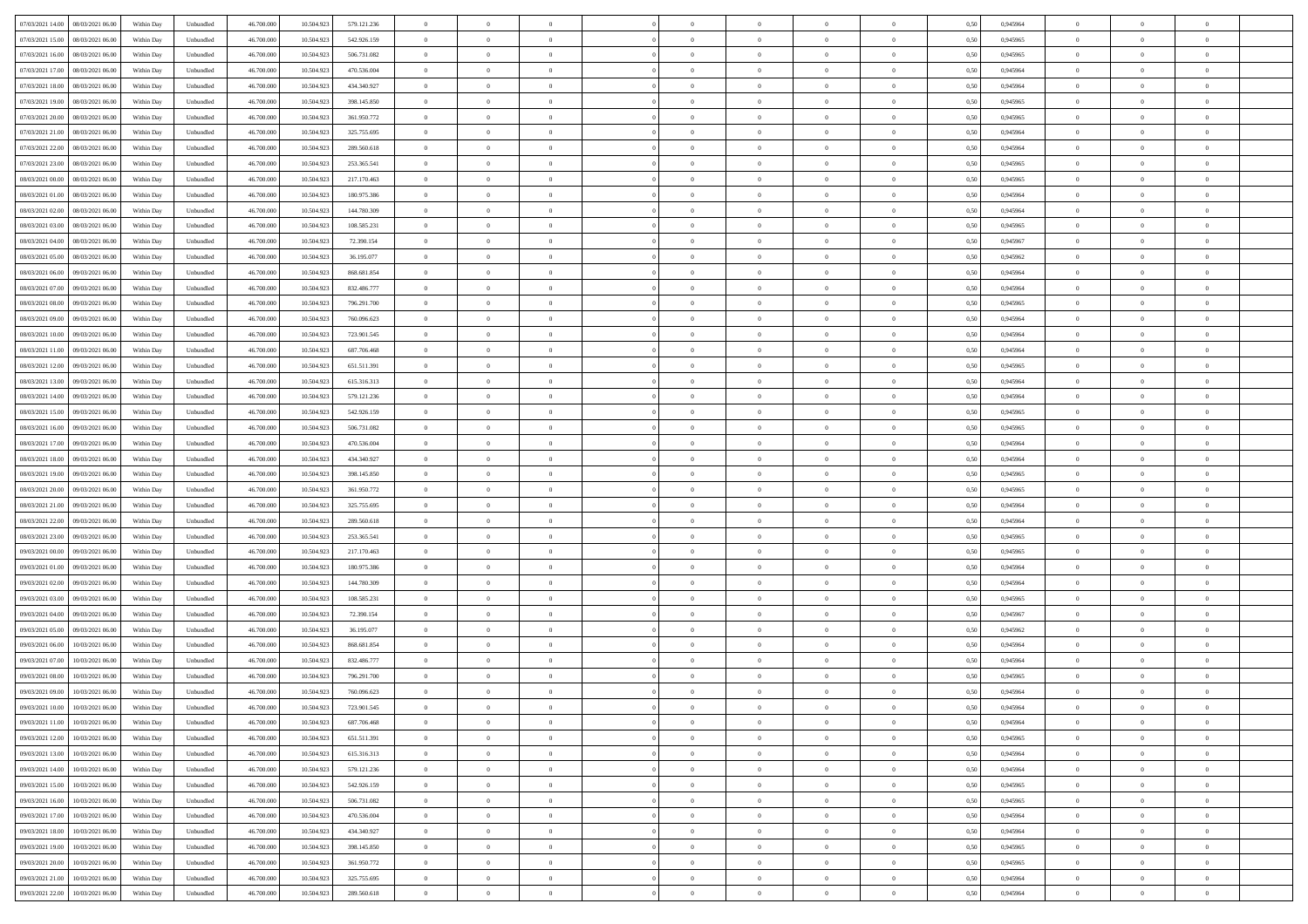| 07/03/2021 14:00  08/03/2021 06:00           | Within Day | Unbundled         | 46.700.000 | 10.504.923 | 579.121.236 | $\overline{0}$ | $\overline{0}$ |                | $\overline{0}$ | $\theta$       |                | $\theta$       | 0,50 | 0,945964 | $\theta$       | $\theta$       | $\overline{0}$ |  |
|----------------------------------------------|------------|-------------------|------------|------------|-------------|----------------|----------------|----------------|----------------|----------------|----------------|----------------|------|----------|----------------|----------------|----------------|--|
|                                              |            |                   |            |            |             |                |                |                |                |                |                |                |      |          |                |                |                |  |
| 07/03/2021 15:00<br>08/03/2021 06:00         | Within Day | Unbundled         | 46.700.00  | 10.504.92  | 542.926.159 | $\bf{0}$       | $\overline{0}$ | $\overline{0}$ | $\overline{0}$ | $\bf{0}$       | $\overline{0}$ | $\bf{0}$       | 0,50 | 0,945965 | $\,$ 0 $\,$    | $\bf{0}$       | $\overline{0}$ |  |
| 07/03/2021 16:00<br>08/03/2021 06:00         | Within Day | Unbundled         | 46,700,000 | 10.504.923 | 506.731.082 | $\overline{0}$ | $\bf{0}$       | $\overline{0}$ | $\bf{0}$       | $\bf{0}$       | $\overline{0}$ | $\bf{0}$       | 0.50 | 0.945965 | $\bf{0}$       | $\overline{0}$ | $\overline{0}$ |  |
| 07/03/2021 17:00<br>08/03/2021 06:00         | Within Day | Unbundled         | 46.700.000 | 10.504.923 | 470.536.004 | $\overline{0}$ | $\overline{0}$ | $\overline{0}$ | $\theta$       | $\theta$       | $\overline{0}$ | $\overline{0}$ | 0,50 | 0,945964 | $\theta$       | $\theta$       | $\overline{0}$ |  |
|                                              |            |                   |            |            |             |                |                |                |                |                |                |                |      |          |                |                |                |  |
| 07/03/2021 18:00<br>08/03/2021 06:00         | Within Day | Unbundled         | 46.700.00  | 10.504.92  | 434.340.927 | $\bf{0}$       | $\overline{0}$ | $\overline{0}$ | $\overline{0}$ | $\theta$       | $\overline{0}$ | $\bf{0}$       | 0,50 | 0,945964 | $\,$ 0 $\,$    | $\bf{0}$       | $\overline{0}$ |  |
| 07/03/2021 19:00<br>08/03/2021 06:00         | Within Day | Unbundled         | 46,700,000 | 10.504.92  | 398.145.850 | $\overline{0}$ | $\overline{0}$ | $\overline{0}$ | $\overline{0}$ | $\overline{0}$ | $\Omega$       | $\bf{0}$       | 0.50 | 0.945965 | $\bf{0}$       | $\theta$       | $\overline{0}$ |  |
| 07/03/2021 20:00<br>08/03/2021 06:00         | Within Day | Unbundled         | 46.700.000 | 10.504.923 | 361.950.772 | $\overline{0}$ | $\overline{0}$ | $\overline{0}$ | $\overline{0}$ | $\overline{0}$ | $\overline{0}$ | $\bf{0}$       | 0,50 | 0,945965 | $\theta$       | $\theta$       | $\overline{0}$ |  |
| 07/03/2021 21:00<br>08/03/2021 06:00         | Within Day | Unbundled         | 46.700.00  | 10.504.92  | 325.755.695 | $\bf{0}$       | $\overline{0}$ | $\overline{0}$ | $\overline{0}$ | $\theta$       | $\overline{0}$ | $\bf{0}$       | 0,50 | 0,945964 | $\,$ 0 $\,$    | $\bf{0}$       | $\overline{0}$ |  |
| 07/03/2021 22.00<br>08/03/2021 06:00         | Within Day | Unbundled         | 46,700,000 | 10.504.92  | 289,560,618 | $\overline{0}$ | $\bf{0}$       | $\overline{0}$ | $\bf{0}$       | $\overline{0}$ | $\overline{0}$ | $\bf{0}$       | 0.50 | 0.945964 | $\bf{0}$       | $\theta$       | $\overline{0}$ |  |
|                                              |            |                   |            |            |             |                |                |                |                |                |                |                |      |          |                |                |                |  |
| 07/03/2021 23:00<br>08/03/2021 06:00         | Within Day | Unbundled         | 46.700.000 | 10.504.923 | 253.365.541 | $\overline{0}$ | $\bf{0}$       | $\overline{0}$ | $\overline{0}$ | $\theta$       | $\overline{0}$ | $\bf{0}$       | 0,50 | 0,945965 | $\,$ 0 $\,$    | $\theta$       | $\overline{0}$ |  |
| 08/03/2021 00:00<br>08/03/2021 06:00         | Within Day | Unbundled         | 46.700.00  | 10.504.923 | 217.170.463 | $\bf{0}$       | $\overline{0}$ | $\bf{0}$       | $\bf{0}$       | $\bf{0}$       | $\overline{0}$ | $\bf{0}$       | 0,50 | 0,945965 | $\,$ 0 $\,$    | $\bf{0}$       | $\overline{0}$ |  |
| 08/03/2021 01:00<br>08/03/2021 06:00         | Within Day | Unbundled         | 46,700,000 | 10.504.92  | 180.975.386 | $\overline{0}$ | $\bf{0}$       | $\overline{0}$ | $\bf{0}$       | $\bf{0}$       | $\overline{0}$ | $\bf{0}$       | 0.50 | 0.945964 | $\bf{0}$       | $\overline{0}$ | $\overline{0}$ |  |
| 08/03/2021 02:00<br>08/03/2021 06:00         | Within Day | Unbundled         | 46.700.000 | 10.504.923 | 144.780.309 | $\overline{0}$ | $\overline{0}$ | $\overline{0}$ | $\overline{0}$ | $\theta$       | $\overline{0}$ | $\overline{0}$ | 0,50 | 0,945964 | $\,$ 0 $\,$    | $\theta$       | $\overline{0}$ |  |
|                                              |            |                   |            |            |             |                | $\theta$       |                | $\overline{0}$ | $\theta$       | $\overline{0}$ | $\bf{0}$       |      |          |                | $\bf{0}$       | $\overline{0}$ |  |
| 08/03/2021 03:00<br>08/03/2021 06:00         | Within Day | Unbundled         | 46.700.00  | 10.504.92  | 108.585.231 | $\bf{0}$       |                | $\bf{0}$       |                |                |                |                | 0,50 | 0,945965 | $\bf{0}$       |                |                |  |
| 08/03/2021 04:00<br>08/03/2021 06:00         | Within Day | Unbundled         | 46,700,000 | 10.504.92  | 72.390.154  | $\overline{0}$ | $\overline{0}$ | $\overline{0}$ | $\bf{0}$       | $\theta$       | $\theta$       | $\bf{0}$       | 0.50 | 0.945967 | $\theta$       | $\theta$       | $\overline{0}$ |  |
| 08/03/2021 05:00<br>08/03/2021 06:00         | Within Day | Unbundled         | 46.700.000 | 10.504.923 | 36.195.077  | $\overline{0}$ | $\overline{0}$ | $\overline{0}$ | $\overline{0}$ | $\overline{0}$ | $\overline{0}$ | $\bf{0}$       | 0,50 | 0,945962 | $\theta$       | $\theta$       | $\overline{0}$ |  |
| 08/03/2021 06:00<br>09/03/2021 06.00         | Within Day | Unbundled         | 46.700.00  | 10.504.92  | 868.681.854 | $\bf{0}$       | $\overline{0}$ | $\overline{0}$ | $\overline{0}$ | $\theta$       | $\overline{0}$ | $\bf{0}$       | 0,50 | 0,945964 | $\,$ 0 $\,$    | $\bf{0}$       | $\overline{0}$ |  |
| 08/03/2021 07:00<br>09/03/2021 06:00         | Within Day | Unbundled         | 46,700,00  | 10.504.92  | 832.486.777 | $\overline{0}$ | $\bf{0}$       | $\overline{0}$ | $\bf{0}$       | $\overline{0}$ | $\overline{0}$ | $\bf{0}$       | 0.50 | 0.945964 | $\bf{0}$       | $\overline{0}$ | $\overline{0}$ |  |
|                                              |            |                   |            |            |             |                |                |                |                |                |                |                |      |          |                |                |                |  |
| 08/03/2021 08:00<br>09/03/2021 06:00         | Within Day | Unbundled         | 46.700.000 | 10.504.923 | 796.291.700 | $\overline{0}$ | $\overline{0}$ | $\overline{0}$ | $\overline{0}$ | $\theta$       | $\overline{0}$ | $\bf{0}$       | 0,50 | 0,945965 | $\,$ 0 $\,$    | $\theta$       | $\overline{0}$ |  |
| 08/03/2021 09:00<br>09/03/2021 06.00         | Within Day | Unbundled         | 46.700.00  | 10.504.92  | 760.096.623 | $\bf{0}$       | $\overline{0}$ | $\bf{0}$       | $\bf{0}$       | $\overline{0}$ | $\overline{0}$ | $\bf{0}$       | 0,50 | 0,945964 | $\,$ 0 $\,$    | $\bf{0}$       | $\overline{0}$ |  |
| 08/03/2021 10:00<br>09/03/2021 06:00         | Within Day | Unbundled         | 46,700,000 | 10.504.923 | 723.901.545 | $\overline{0}$ | $\bf{0}$       | $\overline{0}$ | $\bf{0}$       | $\overline{0}$ | $\overline{0}$ | $\bf{0}$       | 0.50 | 0.945964 | $\bf{0}$       | $\overline{0}$ | $\overline{0}$ |  |
| 08/03/2021 11:00<br>09/03/2021 06:00         | Within Day | Unbundled         | 46.700.000 | 10.504.923 | 687.706.468 | $\overline{0}$ | $\overline{0}$ | $\overline{0}$ | $\theta$       | $\theta$       | $\overline{0}$ | $\bf{0}$       | 0,50 | 0,945964 | $\theta$       | $\theta$       | $\overline{0}$ |  |
| 08/03/2021 12:00<br>09/03/2021 06.00         | Within Day | Unbundled         | 46.700.00  | 10.504.923 | 651.511.391 | $\bf{0}$       | $\overline{0}$ | $\bf{0}$       | $\bf{0}$       | $\bf{0}$       | $\overline{0}$ | $\bf{0}$       | 0,50 | 0,945965 | $\,$ 0 $\,$    | $\bf{0}$       | $\overline{0}$ |  |
|                                              |            |                   |            |            |             |                |                |                |                |                |                |                |      |          |                |                |                |  |
| 08/03/2021 13:00<br>09/03/2021 06:00         | Within Day | Unbundled         | 46,700,000 | 10.504.92  | 615.316.313 | $\overline{0}$ | $\overline{0}$ | $\overline{0}$ | $\overline{0}$ | $\overline{0}$ | $\Omega$       | $\bf{0}$       | 0.50 | 0.945964 | $\bf{0}$       | $\theta$       | $\overline{0}$ |  |
| 08/03/2021 14:00<br>09/03/2021 06:00         | Within Day | Unbundled         | 46.700.000 | 10.504.923 | 579.121.236 | $\overline{0}$ | $\overline{0}$ | $\overline{0}$ | $\overline{0}$ | $\overline{0}$ | $\overline{0}$ | $\bf{0}$       | 0,50 | 0,945964 | $\theta$       | $\theta$       | $\overline{0}$ |  |
| 08/03/2021 15:00<br>09/03/2021 06.00         | Within Day | Unbundled         | 46.700.00  | 10.504.92  | 542.926.159 | $\bf{0}$       | $\overline{0}$ | $\bf{0}$       | $\overline{0}$ | $\theta$       | $\overline{0}$ | $\bf{0}$       | 0,50 | 0,945965 | $\,$ 0 $\,$    | $\bf{0}$       | $\overline{0}$ |  |
| 08/03/2021 16:00<br>09/03/2021 06:00         | Within Day | Unbundled         | 46,700,000 | 10.504.92  | 506.731.082 | $\overline{0}$ | $\bf{0}$       | $\overline{0}$ | $\bf{0}$       | $\overline{0}$ | $\overline{0}$ | $\bf{0}$       | 0.50 | 0.945965 | $\bf{0}$       | $\overline{0}$ | $\overline{0}$ |  |
| 08/03/2021 17:00<br>09/03/2021 06:00         | Within Day | Unbundled         | 46.700.000 | 10.504.923 | 470.536.004 | $\overline{0}$ | $\overline{0}$ | $\overline{0}$ | $\overline{0}$ | $\theta$       | $\overline{0}$ | $\bf{0}$       | 0,50 | 0,945964 | $\theta$       | $\theta$       | $\overline{0}$ |  |
| 08/03/2021 18:00<br>09/03/2021 06.00         | Within Day | Unbundled         | 46.700.00  | 10.504.923 | 434.340.927 | $\bf{0}$       | $\bf{0}$       | $\bf{0}$       | $\bf{0}$       | $\overline{0}$ | $\overline{0}$ | $\bf{0}$       | 0,50 | 0,945964 | $\,$ 0 $\,$    | $\bf{0}$       | $\overline{0}$ |  |
|                                              |            |                   |            |            |             |                |                |                |                |                |                |                |      |          |                |                |                |  |
| 08/03/2021 19:00<br>09/03/2021 06:00         | Within Day | Unbundled         | 46,700,000 | 10.504.92  | 398,145,850 | $\overline{0}$ | $\bf{0}$       | $\overline{0}$ | $\bf{0}$       | $\bf{0}$       | $\overline{0}$ | $\bf{0}$       | 0.50 | 0.945965 | $\bf{0}$       | $\overline{0}$ | $\overline{0}$ |  |
| 08/03/2021 20:00<br>09/03/2021 06:00         | Within Day | Unbundled         | 46.700.000 | 10.504.92  | 361.950.772 | $\overline{0}$ | $\overline{0}$ | $\overline{0}$ | $\overline{0}$ | $\theta$       | $\overline{0}$ | $\bf{0}$       | 0.5( | 0.945965 | $\theta$       | $\theta$       | $\overline{0}$ |  |
| 08/03/2021 21:00<br>09/03/2021 06.00         | Within Day | Unbundled         | 46.700.00  | 10.504.92  | 325.755.695 | $\bf{0}$       | $\overline{0}$ | $\bf{0}$       | $\overline{0}$ | $\overline{0}$ | $\overline{0}$ | $\bf{0}$       | 0,50 | 0,945964 | $\,$ 0 $\,$    | $\bf{0}$       | $\overline{0}$ |  |
| 08/03/2021 22:00<br>09/03/2021 06:00         | Within Day | Unbundled         | 46,700,000 | 10.504.92  | 289,560,618 | $\overline{0}$ | $\overline{0}$ | $\overline{0}$ | $\bf{0}$       | $\bf{0}$       | $\Omega$       | $\bf{0}$       | 0.50 | 0.945964 | $\,$ 0 $\,$    | $\theta$       | $\overline{0}$ |  |
| 08/03/2021 23:00<br>09/03/2021 06:00         | Within Dav | Unbundled         | 46.700.000 | 10.504.923 | 253.365.541 | $\overline{0}$ | $\overline{0}$ | $\overline{0}$ | $\overline{0}$ | $\overline{0}$ | $\overline{0}$ | $\overline{0}$ | 0.50 | 0,945965 | $\theta$       | $\theta$       | $\overline{0}$ |  |
| 09/03/2021 00:00<br>09/03/2021 06.00         | Within Day | Unbundled         | 46.700.00  | 10.504.92  | 217.170.463 | $\bf{0}$       | $\overline{0}$ | $\bf{0}$       | $\bf{0}$       | $\bf{0}$       | $\overline{0}$ | $\bf{0}$       | 0,50 | 0,945965 | $\,$ 0 $\,$    | $\bf{0}$       | $\overline{0}$ |  |
|                                              |            |                   |            |            |             |                |                |                |                |                |                |                |      |          |                |                |                |  |
| 09/03/2021 01:00<br>09/03/2021 06:00         | Within Day | Unbundled         | 46,700,00  | 10.504.92  | 180.975.386 | $\overline{0}$ | $\bf{0}$       | $\overline{0}$ | $\bf{0}$       | $\overline{0}$ | $\overline{0}$ | $\bf{0}$       | 0.50 | 0.945964 | $\bf{0}$       | $\overline{0}$ | $\overline{0}$ |  |
| 09/03/2021 02:00<br>09/03/2021 06:00         | Within Day | Unbundled         | 46.700.000 | 10.504.923 | 144.780.309 | $\overline{0}$ | $\overline{0}$ | $\overline{0}$ | $\overline{0}$ | $\overline{0}$ | $\overline{0}$ | $\overline{0}$ | 0.50 | 0,945964 | $\theta$       | $\theta$       | $\overline{0}$ |  |
| 09/03/2021 03:00<br>09/03/2021 06.00         | Within Day | Unbundled         | 46.700.00  | 10.504.92  | 108.585.231 | $\bf{0}$       | $\bf{0}$       | $\bf{0}$       | $\bf{0}$       | $\overline{0}$ | $\overline{0}$ | $\bf{0}$       | 0,50 | 0,945965 | $\,$ 0 $\,$    | $\bf{0}$       | $\overline{0}$ |  |
| 09/03/2021 04:00<br>09/03/2021 06:00         | Within Day | Unbundled         | 46,700,000 | 10.504.92  | 72.390.154  | $\overline{0}$ | $\bf{0}$       | $\overline{0}$ | $\bf{0}$       | $\bf{0}$       | $\overline{0}$ | $\bf{0}$       | 0.50 | 0.945967 | $\bf{0}$       | $\overline{0}$ | $\overline{0}$ |  |
| 09/03/2021 05:00<br>09/03/2021 06:00         | Within Day | Unbundled         | 46.700.000 | 10.504.923 | 36.195.077  | $\overline{0}$ | $\overline{0}$ | $\overline{0}$ | $\overline{0}$ | $\overline{0}$ | $\overline{0}$ | $\bf{0}$       | 0.50 | 0.945962 | $\theta$       | $\theta$       | $\overline{0}$ |  |
|                                              |            |                   |            |            |             |                | $\overline{0}$ |                |                | $\,$ 0 $\,$    | $\overline{0}$ |                |      |          |                |                | $\overline{0}$ |  |
| 09/03/2021 06:00<br>10/03/2021 06:00         | Within Day | Unbundled         | 46.700.00  | 10.504.923 | 868.681.854 | $\bf{0}$       |                | $\bf{0}$       | $\overline{0}$ |                |                | $\bf{0}$       | 0,50 | 0,945964 | $\,$ 0 $\,$    | $\bf{0}$       |                |  |
| 09/03/2021 07:00<br>10/03/2021 06:00         | Within Day | Unbundled         | 46,700,000 | 10.504.92  | 832.486.777 | $\overline{0}$ | $\overline{0}$ | $\Omega$       | $\overline{0}$ | $\overline{0}$ | $\theta$       | $\bf{0}$       | 0.50 | 0.945964 | $\,$ 0 $\,$    | $\theta$       | $\overline{0}$ |  |
| 09/03/2021 08:00<br>10/03/2021 06:00         | Within Dav | Unbundled         | 46.700.000 | 10.504.92  | 796.291.700 | $\overline{0}$ | $\overline{0}$ | $\Omega$       | $\overline{0}$ | $\theta$       | $\Omega$       | $\overline{0}$ | 0.5( | 0,945965 | $\theta$       | $\theta$       | $\overline{0}$ |  |
| 09/03/2021 09:00<br>10/03/2021 06:00         | Within Day | Unbundled         | 46.700.000 | 10.504.923 | 760.096.623 | $\bf{0}$       | $\bf{0}$       | $\bf{0}$       | $\bf{0}$       | $\bf{0}$       | $\overline{0}$ | $\bf{0}$       | 0,50 | 0,945964 | $\,$ 0 $\,$    | $\bf{0}$       | $\overline{0}$ |  |
| $09/03/2021\ 10.00 \qquad 10/03/2021\ 06.00$ | Within Day | ${\sf Unbundred}$ | 46.700.000 | 10.504.923 | 723.901.545 | $\bf{0}$       | $\theta$       |                | $\overline{0}$ |                |                |                | 0,50 | 0.945964 | $\theta$       | $\overline{0}$ |                |  |
| 09/03/2021 11:00 10/03/2021 06:00            | Within Day | Unbundled         | 46.700.000 | 10.504.923 | 687.706.468 | $\overline{0}$ | $\theta$       | $\overline{0}$ | $\theta$       | $\overline{0}$ | $\overline{0}$ | $\bf{0}$       | 0,50 | 0,945964 | $\theta$       | $\theta$       | $\overline{0}$ |  |
|                                              |            |                   |            |            |             |                |                |                |                |                |                |                |      |          |                |                |                |  |
| 09/03/2021 12:00<br>10/03/2021 06:00         | Within Day | Unbundled         | 46.700.00  | 10.504.923 | 651.511.391 | $\overline{0}$ | $\bf{0}$       | $\overline{0}$ | $\overline{0}$ | $\bf{0}$       | $\overline{0}$ | $\bf{0}$       | 0,50 | 0,945965 | $\bf{0}$       | $\overline{0}$ | $\bf{0}$       |  |
| 09/03/2021 13:00 10/03/2021 06:00            | Within Day | Unbundled         | 46,700,000 | 10.504.923 | 615.316.313 | $\overline{0}$ | $\bf{0}$       | $\overline{0}$ | $\overline{0}$ | $\overline{0}$ | $\overline{0}$ | $\bf{0}$       | 0.50 | 0.945964 | $\mathbf{0}$   | $\bf{0}$       | $\,$ 0 $\,$    |  |
| 09/03/2021 14:00<br>10/03/2021 06:00         | Within Day | Unbundled         | 46.700.000 | 10.504.923 | 579.121.236 | $\overline{0}$ | $\overline{0}$ | $\overline{0}$ | $\overline{0}$ | $\overline{0}$ | $\overline{0}$ | $\bf{0}$       | 0,50 | 0,945964 | $\theta$       | $\theta$       | $\overline{0}$ |  |
| 09/03/2021 15:00<br>10/03/2021 06:00         | Within Day | Unbundled         | 46.700.000 | 10.504.923 | 542.926.159 | $\overline{0}$ | $\bf{0}$       | $\overline{0}$ | $\bf{0}$       | $\overline{0}$ | $\bf{0}$       | $\bf{0}$       | 0,50 | 0,945965 | $\overline{0}$ | $\bf{0}$       | $\overline{0}$ |  |
| 10/03/2021 06:00<br>09/03/2021 16:00         | Within Day | Unbundled         | 46,700,000 | 10.504.923 | 506.731.082 | $\overline{0}$ | $\bf{0}$       | $\overline{0}$ | $\overline{0}$ | $\overline{0}$ | $\overline{0}$ | $\bf{0}$       | 0.50 | 0.945965 | $\,$ 0 $\,$    | $\theta$       | $\overline{0}$ |  |
|                                              |            |                   |            |            |             |                |                |                |                |                |                |                |      |          |                |                |                |  |
| 09/03/2021 17:00<br>10/03/2021 06:00         | Within Dav | Unbundled         | 46.700.000 | 10.504.923 | 470.536.004 | $\overline{0}$ | $\overline{0}$ | $\overline{0}$ | $\overline{0}$ | $\overline{0}$ | $\overline{0}$ | $\bf{0}$       | 0.50 | 0,945964 | $\overline{0}$ | $\theta$       | $\overline{0}$ |  |
| 09/03/2021 18:00<br>10/03/2021 06:00         | Within Day | Unbundled         | 46.700.00  | 10.504.923 | 434.340.927 | $\overline{0}$ | $\overline{0}$ | $\overline{0}$ | $\overline{0}$ | $\bf{0}$       | $\overline{0}$ | $\bf{0}$       | 0,50 | 0,945964 | $\bf{0}$       | $\overline{0}$ | $\overline{0}$ |  |
| 10/03/2021 06:00<br>09/03/2021 19:00         | Within Day | Unbundled         | 46,700,000 | 10.504.923 | 398,145,850 | $\overline{0}$ | $\overline{0}$ | $\overline{0}$ | $\overline{0}$ | $\bf{0}$       | $\overline{0}$ | $\bf{0}$       | 0.50 | 0.945965 | $\overline{0}$ | $\,$ 0 $\,$    | $\,$ 0         |  |
| 09/03/2021 20:00<br>10/03/2021 06:00         | Within Dav | Unbundled         | 46.700.000 | 10.504.923 | 361.950.772 | $\overline{0}$ | $\overline{0}$ | $\overline{0}$ | $\overline{0}$ | $\overline{0}$ | $\overline{0}$ | $\bf{0}$       | 0,50 | 0,945965 | $\theta$       | $\theta$       | $\overline{0}$ |  |
| 09/03/2021 21:00<br>10/03/2021 06:00         | Within Day | Unbundled         | 46.700.00  | 10.504.923 | 325.755.695 | $\overline{0}$ | $\bf{0}$       | $\overline{0}$ | $\bf{0}$       | $\overline{0}$ | $\bf{0}$       | $\bf{0}$       | 0,50 | 0,945964 | $\bf{0}$       | $\bf{0}$       | $\overline{0}$ |  |
|                                              |            |                   |            |            |             |                |                |                |                |                |                |                |      |          |                |                |                |  |
| 09/03/2021 22:00 10/03/2021 06:00            | Within Day | Unbundled         | 46.700.000 | 10.504.923 | 289.560.618 | $\overline{0}$ | $\bf{0}$       | $\overline{0}$ | $\overline{0}$ | $\,$ 0 $\,$    | $\overline{0}$ | $\bf{0}$       | 0,50 | 0,945964 | $\overline{0}$ | $\,$ 0 $\,$    | $\,$ 0 $\,$    |  |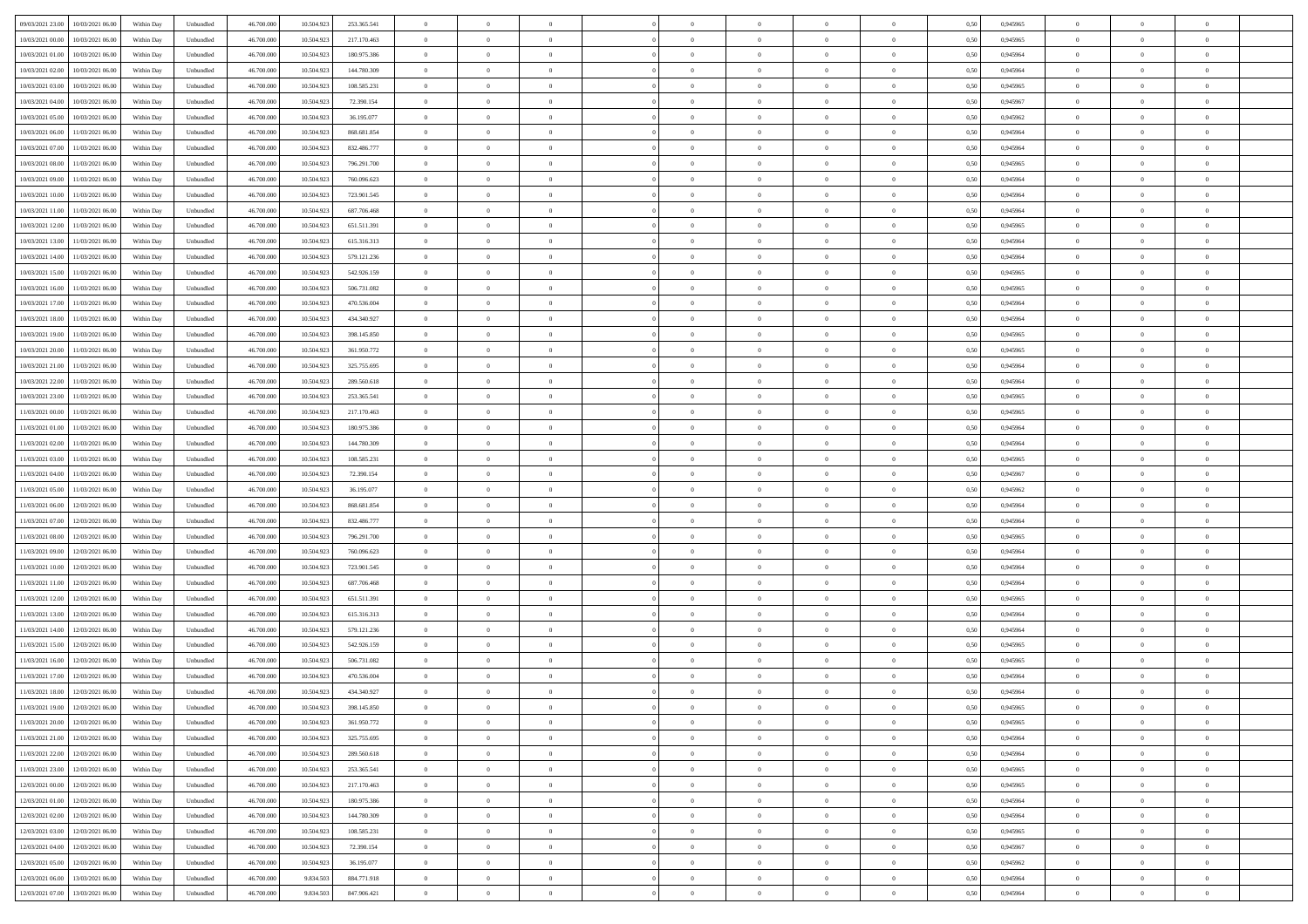| 09/03/2021 23:00<br>10/03/2021 06:00         | Within Day | Unbundled         | 46.700.000 | 10.504.923 | 253.365.541 | $\overline{0}$ | $\theta$       |                | $\overline{0}$ | $\theta$       |                | $\theta$       | 0,50 | 0,945965 | $\theta$       | $\theta$       | $\overline{0}$ |  |
|----------------------------------------------|------------|-------------------|------------|------------|-------------|----------------|----------------|----------------|----------------|----------------|----------------|----------------|------|----------|----------------|----------------|----------------|--|
| 10/03/2021 00:00<br>10/03/2021 06:00         | Within Day | Unbundled         | 46.700.00  | 10.504.92  | 217.170.463 | $\bf{0}$       | $\overline{0}$ | $\bf{0}$       | $\overline{0}$ | $\bf{0}$       | $\overline{0}$ | $\bf{0}$       | 0,50 | 0,945965 | $\,$ 0 $\,$    | $\bf{0}$       | $\overline{0}$ |  |
| 10/03/2021 01:00<br>10/03/2021 06:00         | Within Day | Unbundled         | 46,700,000 | 10.504.923 | 180.975.386 | $\overline{0}$ | $\bf{0}$       | $\overline{0}$ | $\bf{0}$       | $\bf{0}$       | $\overline{0}$ | $\bf{0}$       | 0.50 | 0.945964 | $\bf{0}$       | $\overline{0}$ | $\overline{0}$ |  |
| 10/03/2021 02:00<br>10/03/2021 06:00         | Within Day | Unbundled         | 46.700.000 | 10.504.923 | 144.780.309 | $\overline{0}$ | $\overline{0}$ | $\overline{0}$ | $\theta$       | $\theta$       | $\overline{0}$ | $\bf{0}$       | 0,50 | 0,945964 | $\theta$       | $\theta$       | $\overline{0}$ |  |
| 10/03/2021 03:00<br>10/03/2021 06:00         | Within Day | Unbundled         | 46.700.00  | 10.504.92  | 108.585.231 | $\bf{0}$       | $\overline{0}$ | $\bf{0}$       | $\overline{0}$ | $\theta$       | $\overline{0}$ | $\bf{0}$       | 0,50 | 0,945965 | $\bf{0}$       | $\bf{0}$       | $\overline{0}$ |  |
|                                              |            |                   |            |            |             |                |                |                |                |                |                |                |      |          |                |                |                |  |
| 10/03/2021 04:00<br>10/03/2021 06:00         | Within Day | Unbundled         | 46,700,000 | 10.504.92  | 72.390.154  | $\overline{0}$ | $\overline{0}$ | $\overline{0}$ | $\bf{0}$       | $\overline{0}$ | $\theta$       | $\bf{0}$       | 0.50 | 0.945967 | $\bf{0}$       | $\theta$       | $\overline{0}$ |  |
| 10/03/2021 05:00<br>10/03/2021 06:00         | Within Day | Unbundled         | 46.700.000 | 10.504.923 | 36.195.077  | $\overline{0}$ | $\overline{0}$ | $\overline{0}$ | $\overline{0}$ | $\overline{0}$ | $\overline{0}$ | $\bf{0}$       | 0,50 | 0,945962 | $\theta$       | $\theta$       | $\overline{0}$ |  |
| 10/03/2021 06:00<br>11/03/2021 06:00         | Within Day | Unbundled         | 46.700.00  | 10.504.92  | 868.681.854 | $\bf{0}$       | $\overline{0}$ | $\overline{0}$ | $\overline{0}$ | $\bf{0}$       | $\overline{0}$ | $\bf{0}$       | 0,50 | 0,945964 | $\,$ 0 $\,$    | $\bf{0}$       | $\overline{0}$ |  |
| 10/03/2021 07:00<br>11/03/2021 06:00         | Within Day | Unbundled         | 46,700,000 | 10.504.92  | 832.486.777 | $\overline{0}$ | $\bf{0}$       | $\overline{0}$ | $\bf{0}$       | $\overline{0}$ | $\overline{0}$ | $\bf{0}$       | 0.50 | 0.945964 | $\bf{0}$       | $\overline{0}$ | $\overline{0}$ |  |
| 10/03/2021 08:00<br>11/03/2021 06:00         | Within Day | Unbundled         | 46.700.000 | 10.504.923 | 796.291.700 | $\bf{0}$       | $\bf{0}$       | $\overline{0}$ | $\overline{0}$ | $\overline{0}$ | $\overline{0}$ | $\bf{0}$       | 0,50 | 0,945965 | $\,$ 0 $\,$    | $\bf{0}$       | $\overline{0}$ |  |
| 10/03/2021 09:00<br>11/03/2021 06:00         | Within Day | Unbundled         | 46.700.00  | 10.504.923 | 760.096.623 | $\bf{0}$       | $\overline{0}$ | $\bf{0}$       | $\bf{0}$       | $\bf{0}$       | $\overline{0}$ | $\bf{0}$       | 0,50 | 0,945964 | $\,$ 0 $\,$    | $\bf{0}$       | $\overline{0}$ |  |
| 10/03/2021 10:00<br>11/03/2021 06:00         | Within Day | Unbundled         | 46,700,000 | 10.504.92  | 723.901.545 | $\overline{0}$ | $\bf{0}$       | $\overline{0}$ | $\bf{0}$       | $\bf{0}$       | $\overline{0}$ | $\bf{0}$       | 0.50 | 0.945964 | $\bf{0}$       | $\overline{0}$ | $\bf{0}$       |  |
|                                              |            |                   |            |            |             | $\overline{0}$ | $\overline{0}$ | $\overline{0}$ | $\overline{0}$ | $\theta$       | $\overline{0}$ |                |      |          | $\,$ 0 $\,$    | $\theta$       | $\overline{0}$ |  |
| 10/03/2021 11:00<br>11/03/2021 06:00         | Within Day | Unbundled         | 46.700.000 | 10.504.923 | 687.706.468 |                |                |                |                |                |                | $\bf{0}$       | 0,50 | 0,945964 |                |                |                |  |
| 10/03/2021 12:00<br>11/03/2021 06:00         | Within Day | Unbundled         | 46.700.00  | 10.504.92  | 651.511.391 | $\bf{0}$       | $\overline{0}$ | $\bf{0}$       | $\overline{0}$ | $\theta$       | $\overline{0}$ | $\bf{0}$       | 0,50 | 0,945965 | $\bf{0}$       | $\bf{0}$       | $\overline{0}$ |  |
| 10/03/2021 13:00<br>11/03/2021 06:00         | Within Day | Unbundled         | 46,700,000 | 10.504.92  | 615.316.313 | $\overline{0}$ | $\overline{0}$ | $\overline{0}$ | $\bf{0}$       | $\overline{0}$ | $\Omega$       | $\bf{0}$       | 0.50 | 0.945964 | $\bf{0}$       | $\theta$       | $\overline{0}$ |  |
| 10/03/2021 14:00<br>11/03/2021 06:00         | Within Day | Unbundled         | 46.700.000 | 10.504.923 | 579.121.236 | $\overline{0}$ | $\overline{0}$ | $\overline{0}$ | $\overline{0}$ | $\overline{0}$ | $\overline{0}$ | $\bf{0}$       | 0,50 | 0,945964 | $\theta$       | $\theta$       | $\overline{0}$ |  |
| 10/03/2021 15:00<br>11/03/2021 06:00         | Within Day | Unbundled         | 46.700.00  | 10.504.92  | 542.926.159 | $\bf{0}$       | $\overline{0}$ | $\overline{0}$ | $\overline{0}$ | $\bf{0}$       | $\overline{0}$ | $\bf{0}$       | 0,50 | 0,945965 | $\,$ 0 $\,$    | $\bf{0}$       | $\overline{0}$ |  |
| 10/03/2021 16:00<br>11/03/2021 06:00         | Within Day | Unbundled         | 46,700,000 | 10.504.92  | 506.731.082 | $\overline{0}$ | $\bf{0}$       | $\overline{0}$ | $\bf{0}$       | $\overline{0}$ | $\overline{0}$ | $\bf{0}$       | 0.50 | 0.945965 | $\bf{0}$       | $\overline{0}$ | $\overline{0}$ |  |
| 10/03/2021 17:00<br>11/03/2021 06:00         | Within Day | Unbundled         | 46.700.000 | 10.504.923 | 470.536.004 | $\bf{0}$       | $\bf{0}$       | $\overline{0}$ | $\overline{0}$ | $\overline{0}$ | $\overline{0}$ | $\bf{0}$       | 0,50 | 0,945964 | $\,$ 0 $\,$    | $\bf{0}$       | $\overline{0}$ |  |
| 10/03/2021 18:00<br>11/03/2021 06:00         | Within Day | Unbundled         | 46.700.00  | 10.504.92  | 434.340.927 | $\bf{0}$       | $\overline{0}$ | $\bf{0}$       | $\bf{0}$       | $\overline{0}$ | $\overline{0}$ | $\bf{0}$       | 0,50 | 0,945964 | $\,$ 0 $\,$    | $\bf{0}$       | $\overline{0}$ |  |
|                                              |            |                   |            |            |             |                |                |                |                |                |                |                |      |          |                |                |                |  |
| 10/03/2021 19:00<br>11/03/2021 06:00         | Within Day | Unbundled         | 46,700,000 | 10.504.923 | 398.145.850 | $\overline{0}$ | $\bf{0}$       | $\overline{0}$ | $\bf{0}$       | $\bf{0}$       | $\overline{0}$ | $\bf{0}$       | 0.50 | 0.945965 | $\bf{0}$       | $\overline{0}$ | $\bf{0}$       |  |
| 10/03/2021 20:00<br>11/03/2021 06:00         | Within Day | Unbundled         | 46.700.000 | 10.504.923 | 361.950.772 | $\overline{0}$ | $\overline{0}$ | $\overline{0}$ | $\theta$       | $\theta$       | $\overline{0}$ | $\bf{0}$       | 0,50 | 0,945965 | $\theta$       | $\theta$       | $\overline{0}$ |  |
| 10/03/2021 21:00<br>11/03/2021 06:00         | Within Day | Unbundled         | 46.700.00  | 10.504.923 | 325.755.695 | $\bf{0}$       | $\overline{0}$ | $\bf{0}$       | $\bf{0}$       | $\bf{0}$       | $\overline{0}$ | $\bf{0}$       | 0,50 | 0,945964 | $\,$ 0 $\,$    | $\bf{0}$       | $\overline{0}$ |  |
| 10/03/2021 22:00<br>11/03/2021 06:00         | Within Day | Unbundled         | 46,700,000 | 10.504.92  | 289,560,618 | $\overline{0}$ | $\overline{0}$ | $\overline{0}$ | $\overline{0}$ | $\overline{0}$ | $\theta$       | $\bf{0}$       | 0.50 | 0.945964 | $\bf{0}$       | $\theta$       | $\overline{0}$ |  |
| 10/03/2021 23:00<br>11/03/2021 06:00         | Within Day | Unbundled         | 46.700.000 | 10.504.923 | 253.365.541 | $\overline{0}$ | $\overline{0}$ | $\overline{0}$ | $\overline{0}$ | $\overline{0}$ | $\overline{0}$ | $\bf{0}$       | 0,50 | 0,945965 | $\theta$       | $\theta$       | $\overline{0}$ |  |
| 11/03/2021 00:00<br>11/03/2021 06:00         | Within Day | Unbundled         | 46.700.00  | 10.504.92  | 217.170.463 | $\bf{0}$       | $\theta$       | $\bf{0}$       | $\overline{0}$ | $\bf{0}$       | $\overline{0}$ | $\bf{0}$       | 0,50 | 0,945965 | $\,$ 0 $\,$    | $\bf{0}$       | $\overline{0}$ |  |
| 11/03/2021 01:00<br>11/03/2021 06:00         | Within Day | Unbundled         | 46,700,000 | 10.504.92  | 180.975.386 | $\overline{0}$ | $\bf{0}$       | $\overline{0}$ | $\bf{0}$       | $\overline{0}$ | $\overline{0}$ | $\bf{0}$       | 0.50 | 0.945964 | $\bf{0}$       | $\overline{0}$ | $\overline{0}$ |  |
| 11/03/2021 02:00<br>11/03/2021 06:00         | Within Day | Unbundled         | 46.700.000 | 10.504.923 | 144.780.309 | $\overline{0}$ | $\overline{0}$ | $\overline{0}$ | $\overline{0}$ | $\overline{0}$ | $\overline{0}$ | $\bf{0}$       | 0,50 | 0,945964 | $\theta$       | $\theta$       | $\overline{0}$ |  |
| 11/03/2021 06:00                             | Within Day | Unbundled         | 46.700.00  | 10.504.923 | 108.585.231 | $\bf{0}$       | $\bf{0}$       | $\bf{0}$       | $\bf{0}$       | $\overline{0}$ | $\overline{0}$ | $\bf{0}$       | 0,50 | 0,945965 | $\,$ 0 $\,$    | $\bf{0}$       | $\overline{0}$ |  |
| 11/03/2021 03:00                             |            |                   |            |            |             |                |                |                |                |                |                |                |      |          |                |                |                |  |
| 11/03/2021 04:00<br>11/03/2021 06:00         | Within Day | Unbundled         | 46,700,000 | 10.504.92  | 72.390.154  | $\overline{0}$ | $\bf{0}$       | $\overline{0}$ | $\bf{0}$       | $\bf{0}$       | $\overline{0}$ | $\bf{0}$       | 0.50 | 0.945967 | $\bf{0}$       | $\overline{0}$ | $\bf{0}$       |  |
| 11/03/2021 05:00<br>11/03/2021 06:00         | Within Day | Unbundled         | 46.700.000 | 10.504.92  | 36.195.077  | $\overline{0}$ | $\overline{0}$ | $\overline{0}$ | $\overline{0}$ | $\overline{0}$ | $\overline{0}$ | $\bf{0}$       | 0.5( | 0.945962 | $\theta$       | $\theta$       | $\overline{0}$ |  |
| 11/03/2021 06:00<br>12/03/2021 06:00         | Within Day | Unbundled         | 46.700.00  | 10.504.92  | 868.681.854 | $\bf{0}$       | $\overline{0}$ | $\bf{0}$       | $\bf{0}$       | $\,$ 0 $\,$    | $\overline{0}$ | $\bf{0}$       | 0,50 | 0,945964 | $\,$ 0 $\,$    | $\bf{0}$       | $\overline{0}$ |  |
| 11/03/2021 07:00<br>12/03/2021 06:00         | Within Day | Unbundled         | 46,700,000 | 10.504.92  | 832.486.777 | $\overline{0}$ | $\overline{0}$ | $\overline{0}$ | $\bf{0}$       | $\overline{0}$ | $\Omega$       | $\bf{0}$       | 0.50 | 0.945964 | $\,$ 0 $\,$    | $\theta$       | $\overline{0}$ |  |
| 11/03/2021 08:00<br>12/03/2021 06:00         | Within Dav | Unbundled         | 46.700.000 | 10.504.923 | 796.291.700 | $\overline{0}$ | $\overline{0}$ | $\overline{0}$ | $\overline{0}$ | $\overline{0}$ | $\overline{0}$ | $\overline{0}$ | 0.50 | 0,945965 | $\theta$       | $\theta$       | $\overline{0}$ |  |
| 11/03/2021 09:00<br>12/03/2021 06:00         | Within Day | Unbundled         | 46.700.00  | 10.504.92  | 760.096.623 | $\bf{0}$       | $\overline{0}$ | $\bf{0}$       | $\bf{0}$       | $\bf{0}$       | $\overline{0}$ | $\bf{0}$       | 0,50 | 0,945964 | $\,$ 0 $\,$    | $\bf{0}$       | $\overline{0}$ |  |
| 11/03/2021 10:00<br>12/03/2021 06:00         | Within Day | Unbundled         | 46,700,000 | 10.504.92  | 723.901.545 | $\overline{0}$ | $\bf{0}$       | $\overline{0}$ | $\bf{0}$       | $\overline{0}$ | $\overline{0}$ | $\bf{0}$       | 0.50 | 0.945964 | $\bf{0}$       | $\overline{0}$ | $\overline{0}$ |  |
| 11/03/2021 11:00<br>12/03/2021 06:00         | Within Dav | Unbundled         | 46.700.000 | 10.504.92  | 687.706.468 | $\overline{0}$ | $\overline{0}$ | $\overline{0}$ | $\overline{0}$ | $\overline{0}$ | $\overline{0}$ | $\overline{0}$ | 0.50 | 0,945964 | $\theta$       | $\theta$       | $\overline{0}$ |  |
|                                              |            |                   |            |            |             |                |                |                |                |                |                |                |      |          |                |                |                |  |
| 11/03/2021 12:00<br>12/03/2021 06:00         | Within Day | Unbundled         | 46.700.00  | 10.504.92  | 651.511.391 | $\bf{0}$       | $\bf{0}$       | $\bf{0}$       | $\bf{0}$       | $\overline{0}$ | $\overline{0}$ | $\bf{0}$       | 0,50 | 0,945965 | $\,$ 0 $\,$    | $\bf{0}$       | $\overline{0}$ |  |
| 11/03/2021 13:00<br>12/03/2021 06:00         | Within Day | Unbundled         | 46,700,000 | 10.504.92  | 615.316.313 | $\overline{0}$ | $\bf{0}$       | $\overline{0}$ | $\bf{0}$       | $\bf{0}$       | $\overline{0}$ | $\bf{0}$       | 0.50 | 0.945964 | $\bf{0}$       | $\overline{0}$ | $\overline{0}$ |  |
| 11/03/2021 14:00<br>12/03/2021 06:00         | Within Dav | Unbundled         | 46.700.000 | 10.504.923 | 579.121.236 | $\overline{0}$ | $\overline{0}$ | $\overline{0}$ | $\overline{0}$ | $\overline{0}$ | $\overline{0}$ | $\bf{0}$       | 0.50 | 0.945964 | $\theta$       | $\theta$       | $\overline{0}$ |  |
| 11/03/2021 15:00<br>12/03/2021 06:00         | Within Day | Unbundled         | 46.700.00  | 10.504.923 | 542.926.159 | $\bf{0}$       | $\bf{0}$       | $\bf{0}$       | $\bf{0}$       | $\overline{0}$ | $\overline{0}$ | $\bf{0}$       | 0,50 | 0,945965 | $\,$ 0 $\,$    | $\bf{0}$       | $\overline{0}$ |  |
| 11/03/2021 16:00<br>12/03/2021 06:00         | Within Day | Unbundled         | 46,700,000 | 10.504.92  | 506.731.082 | $\overline{0}$ | $\overline{0}$ | $\Omega$       | $\bf{0}$       | $\bf{0}$       | $\Omega$       | $\bf{0}$       | 0.50 | 0.945965 | $\bf{0}$       | $\theta$       | $\overline{0}$ |  |
| 11/03/2021 17:00<br>12/03/2021 06:00         | Within Dav | Unbundled         | 46.700.000 | 10.504.92  | 470.536.004 | $\overline{0}$ | $\overline{0}$ | $\Omega$       | $\overline{0}$ | $\theta$       | $\overline{0}$ | $\overline{0}$ | 0.5( | 0,945964 | $\theta$       | $\theta$       | $\overline{0}$ |  |
| 11/03/2021 18:00<br>12/03/2021 06:00         | Within Day | Unbundled         | 46.700.000 | 10.504.92  | 434.340.927 | $\bf{0}$       | $\bf{0}$       | $\bf{0}$       | $\bf{0}$       | $\bf{0}$       | $\overline{0}$ | $\bf{0}$       | 0,50 | 0,945964 | $\,$ 0 $\,$    | $\bf{0}$       | $\overline{0}$ |  |
| $11/03/2021\ 19.00 \qquad 12/03/2021\ 06.00$ | Within Day | ${\sf Unbundred}$ | 46.700.000 | 10.504.923 | 398.145.850 | $\bf{0}$       | $\theta$       |                | $\overline{0}$ |                |                |                | 0,50 | 0.945965 | $\theta$       | $\overline{0}$ |                |  |
| 11/03/2021 20:00 12/03/2021 06:00            | Within Day | Unbundled         | 46.700.000 | 10.504.923 | 361.950.772 | $\overline{0}$ | $\theta$       | $\overline{0}$ | $\theta$       | $\overline{0}$ | $\overline{0}$ | $\bf{0}$       | 0,50 | 0,945965 | $\theta$       | $\theta$       | $\overline{0}$ |  |
|                                              |            |                   |            |            |             |                |                |                |                |                |                |                |      |          |                |                |                |  |
| 11/03/2021 21:00<br>12/03/2021 06:00         | Within Day | Unbundled         | 46.700.00  | 10.504.923 | 325.755.695 | $\overline{0}$ | $\bf{0}$       | $\overline{0}$ | $\overline{0}$ | $\bf{0}$       | $\overline{0}$ | $\bf{0}$       | 0,50 | 0,945964 | $\bf{0}$       | $\overline{0}$ | $\bf{0}$       |  |
| 11/03/2021 22:00 12/03/2021 06:00            | Within Day | Unbundled         | 46,700,000 | 10.504.923 | 289.560.618 | $\overline{0}$ | $\bf{0}$       | $\overline{0}$ | $\overline{0}$ | $\overline{0}$ | $\overline{0}$ | $\bf{0}$       | 0.50 | 0.945964 | $\overline{0}$ | $\bf{0}$       | $\,$ 0 $\,$    |  |
| 11/03/2021 23:00 12/03/2021 06:00            | Within Day | Unbundled         | 46.700.000 | 10.504.923 | 253.365.541 | $\overline{0}$ | $\overline{0}$ | $\overline{0}$ | $\overline{0}$ | $\overline{0}$ | $\overline{0}$ | $\bf{0}$       | 0,50 | 0,945965 | $\theta$       | $\theta$       | $\overline{0}$ |  |
| 12/03/2021 00:00<br>12/03/2021 06:00         | Within Day | Unbundled         | 46.700.000 | 10.504.923 | 217.170.463 | $\overline{0}$ | $\bf{0}$       | $\overline{0}$ | $\bf{0}$       | $\overline{0}$ | $\overline{0}$ | $\bf{0}$       | 0,50 | 0,945965 | $\bf{0}$       | $\overline{0}$ | $\overline{0}$ |  |
| 12/03/2021 01:00<br>12/03/2021 06:00         | Within Day | Unbundled         | 46,700,000 | 10.504.923 | 180.975.386 | $\overline{0}$ | $\bf{0}$       | $\overline{0}$ | $\overline{0}$ | $\overline{0}$ | $\overline{0}$ | $\bf{0}$       | 0.50 | 0.945964 | $\,$ 0 $\,$    | $\theta$       | $\overline{0}$ |  |
| 12/03/2021 02:00<br>12/03/2021 06:00         | Within Dav | Unbundled         | 46.700.000 | 10.504.923 | 144.780.309 | $\overline{0}$ | $\overline{0}$ | $\overline{0}$ | $\overline{0}$ | $\overline{0}$ | $\overline{0}$ | $\bf{0}$       | 0.50 | 0,945964 | $\overline{0}$ | $\theta$       | $\overline{0}$ |  |
| 12/03/2021 03:00<br>12/03/2021 06:00         | Within Day | Unbundled         | 46.700.00  | 10.504.923 | 108.585.231 | $\overline{0}$ | $\overline{0}$ | $\overline{0}$ | $\overline{0}$ | $\overline{0}$ | $\overline{0}$ | $\bf{0}$       | 0,50 | 0,945965 | $\bf{0}$       | $\overline{0}$ | $\overline{0}$ |  |
|                                              |            |                   |            |            |             |                |                |                |                |                |                |                |      |          |                |                |                |  |
| 12/03/2021 04:00<br>12/03/2021 06:00         | Within Day | Unbundled         | 46,700,000 | 10.504.923 | 72.390.154  | $\overline{0}$ | $\overline{0}$ | $\overline{0}$ | $\overline{0}$ | $\bf{0}$       | $\overline{0}$ | $\bf{0}$       | 0.50 | 0.945967 | $\overline{0}$ | $\bf{0}$       | $\,$ 0         |  |
| 12/03/2021 05:00 12/03/2021 06:00            | Within Dav | Unbundled         | 46.700.000 | 10.504.923 | 36.195.077  | $\overline{0}$ | $\overline{0}$ | $\overline{0}$ | $\overline{0}$ | $\overline{0}$ | $\overline{0}$ | $\bf{0}$       | 0,50 | 0,945962 | $\overline{0}$ | $\theta$       | $\overline{0}$ |  |
| 12/03/2021 06:00<br>13/03/2021 06:00         | Within Day | Unbundled         | 46.700.00  | 9.834.503  | 884.771.918 | $\overline{0}$ | $\bf{0}$       | $\overline{0}$ | $\bf{0}$       | $\overline{0}$ | $\overline{0}$ | $\bf{0}$       | 0,50 | 0,945964 | $\bf{0}$       | $\bf{0}$       | $\bf{0}$       |  |
| 12/03/2021 07:00 13/03/2021 06:00            | Within Day | Unbundled         | 46.700.000 | 9.834.503  | 847.906.421 | $\overline{0}$ | $\bf{0}$       | $\overline{0}$ | $\overline{0}$ | $\,$ 0 $\,$    | $\overline{0}$ | $\bf{0}$       | 0,50 | 0,945964 | $\overline{0}$ | $\,$ 0 $\,$    | $\,$ 0 $\,$    |  |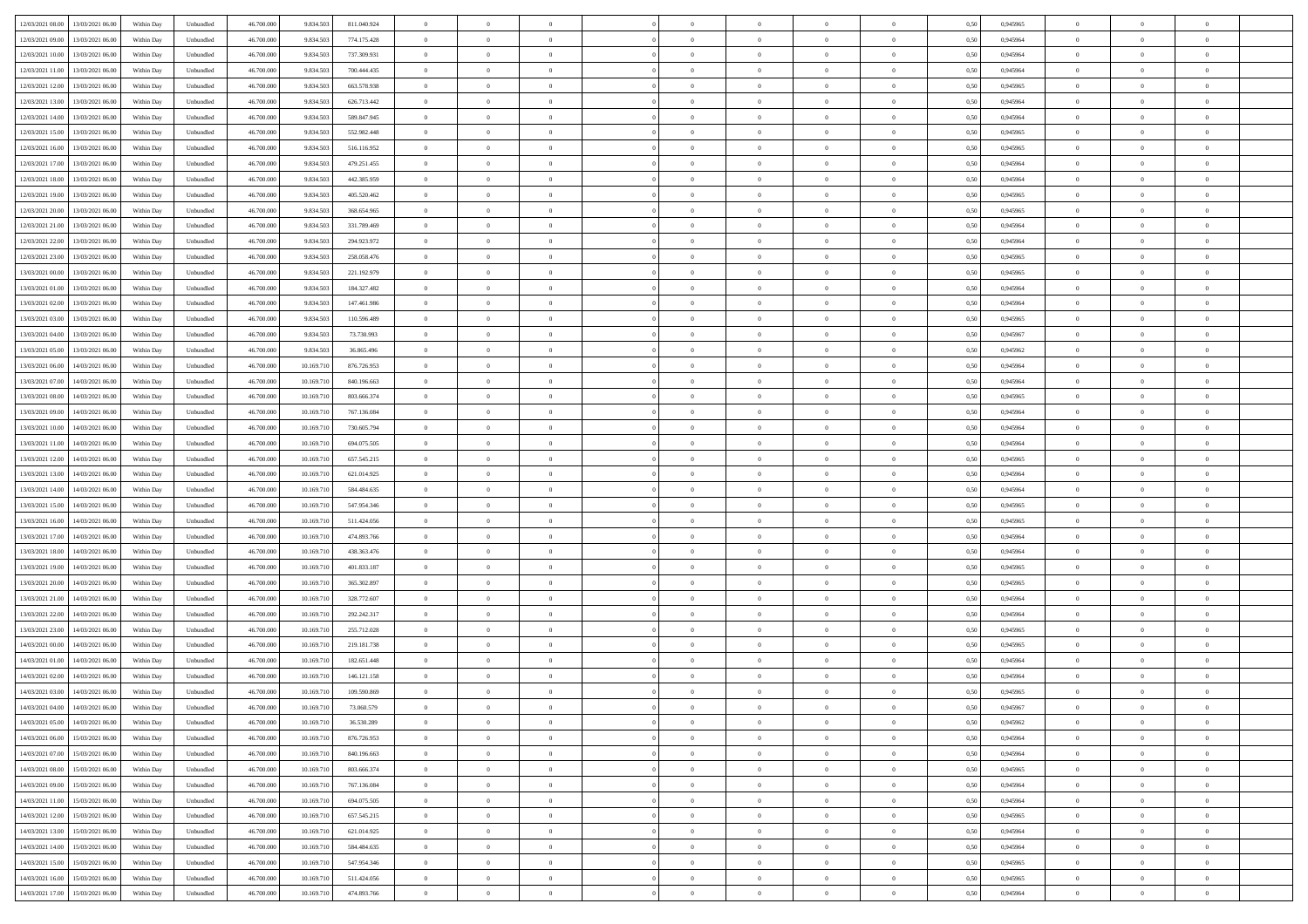| 12/03/2021 08:00<br>13/03/2021 06:00         |            |                   | 46.700.000 |            |             | $\overline{0}$ | $\theta$       |                | $\overline{0}$ | $\theta$       |                | $\theta$       |      | 0,945965 | $\theta$       | $\theta$       | $\overline{0}$ |  |
|----------------------------------------------|------------|-------------------|------------|------------|-------------|----------------|----------------|----------------|----------------|----------------|----------------|----------------|------|----------|----------------|----------------|----------------|--|
|                                              | Within Day | Unbundled         |            | 9.834.503  | 811.040.924 |                |                |                |                |                |                |                | 0,50 |          |                |                |                |  |
| 12/03/2021 09:00<br>13/03/2021 06:00         | Within Day | Unbundled         | 46.700.00  | 9.834.50   | 774.175.428 | $\bf{0}$       | $\overline{0}$ | $\bf{0}$       | $\overline{0}$ | $\bf{0}$       | $\overline{0}$ | $\bf{0}$       | 0,50 | 0,945964 | $\,$ 0 $\,$    | $\bf{0}$       | $\overline{0}$ |  |
| 12/03/2021 10:00<br>13/03/2021 06:00         | Within Day | Unbundled         | 46,700,000 | 9.834.503  | 737.309.931 | $\overline{0}$ | $\bf{0}$       | $\overline{0}$ | $\bf{0}$       | $\bf{0}$       | $\overline{0}$ | $\bf{0}$       | 0.50 | 0.945964 | $\bf{0}$       | $\overline{0}$ | $\overline{0}$ |  |
| 12/03/2021 11:00<br>13/03/2021 06:00         | Within Day | Unbundled         | 46.700.000 | 9.834.503  | 700.444.435 | $\overline{0}$ | $\overline{0}$ | $\overline{0}$ | $\theta$       | $\theta$       | $\overline{0}$ | $\bf{0}$       | 0,50 | 0,945964 | $\theta$       | $\theta$       | $\overline{0}$ |  |
|                                              |            |                   |            |            |             |                |                |                |                |                |                |                |      |          |                |                |                |  |
| 12/03/2021 12:00<br>13/03/2021 06:00         | Within Day | Unbundled         | 46.700.00  | 9.834.50   | 663.578.938 | $\bf{0}$       | $\overline{0}$ | $\bf{0}$       | $\overline{0}$ | $\theta$       | $\overline{0}$ | $\bf{0}$       | 0,50 | 0,945965 | $\bf{0}$       | $\bf{0}$       | $\overline{0}$ |  |
| 12/03/2021 13:00<br>13/03/2021 06:00         | Within Day | Unbundled         | 46,700,000 | 9.834.50   | 626.713.442 | $\overline{0}$ | $\overline{0}$ | $\overline{0}$ | $\bf{0}$       | $\overline{0}$ | $\theta$       | $\bf{0}$       | 0.50 | 0.945964 | $\bf{0}$       | $\theta$       | $\overline{0}$ |  |
| 12/03/2021 14:00<br>13/03/2021 06:00         | Within Day | Unbundled         | 46.700.000 | 9.834.503  | 589.847.945 | $\overline{0}$ | $\overline{0}$ | $\overline{0}$ | $\overline{0}$ | $\overline{0}$ | $\overline{0}$ | $\bf{0}$       | 0,50 | 0,945964 | $\theta$       | $\theta$       | $\overline{0}$ |  |
| 12/03/2021 15:00<br>13/03/2021 06:00         | Within Day | Unbundled         | 46.700.00  | 9.834.50   | 552.982.448 | $\bf{0}$       | $\overline{0}$ | $\bf{0}$       | $\overline{0}$ | $\bf{0}$       | $\overline{0}$ | $\bf{0}$       | 0,50 | 0,945965 | $\,$ 0 $\,$    | $\bf{0}$       | $\overline{0}$ |  |
| 12/03/2021 16:00<br>13/03/2021 06:00         | Within Day | Unbundled         | 46,700,000 | 9.834.50   | 516.116.952 | $\overline{0}$ | $\bf{0}$       | $\overline{0}$ | $\bf{0}$       | $\overline{0}$ | $\overline{0}$ | $\bf{0}$       | 0.50 | 0.945965 | $\bf{0}$       | $\overline{0}$ | $\overline{0}$ |  |
|                                              |            |                   |            |            |             |                |                |                |                |                |                |                |      |          |                |                |                |  |
| 12/03/2021 17:00<br>13/03/2021 06:00         | Within Day | Unbundled         | 46.700.000 | 9.834.503  | 479.251.455 | $\bf{0}$       | $\bf{0}$       | $\overline{0}$ | $\overline{0}$ | $\overline{0}$ | $\overline{0}$ | $\bf{0}$       | 0,50 | 0,945964 | $\,$ 0 $\,$    | $\bf{0}$       | $\overline{0}$ |  |
| 12/03/2021 18:00<br>13/03/2021 06:00         | Within Day | Unbundled         | 46.700.00  | 9.834.50   | 442.385.959 | $\bf{0}$       | $\overline{0}$ | $\bf{0}$       | $\bf{0}$       | $\bf{0}$       | $\overline{0}$ | $\bf{0}$       | 0,50 | 0,945964 | $\,$ 0 $\,$    | $\bf{0}$       | $\overline{0}$ |  |
| 12/03/2021 19:00<br>13/03/2021 06:00         | Within Day | Unbundled         | 46,700,000 | 9.834.503  | 405.520.462 | $\overline{0}$ | $\bf{0}$       | $\overline{0}$ | $\bf{0}$       | $\bf{0}$       | $\overline{0}$ | $\bf{0}$       | 0.50 | 0.945965 | $\bf{0}$       | $\overline{0}$ | $\bf{0}$       |  |
| 12/03/2021 20:00<br>13/03/2021 06:00         | Within Day | Unbundled         | 46.700.000 | 9.834.503  | 368.654.965 | $\overline{0}$ | $\overline{0}$ | $\overline{0}$ | $\overline{0}$ | $\theta$       | $\overline{0}$ | $\bf{0}$       | 0,50 | 0,945965 | $\,$ 0 $\,$    | $\theta$       | $\overline{0}$ |  |
|                                              |            |                   |            |            |             |                | $\theta$       |                | $\overline{0}$ |                | $\overline{0}$ |                |      |          | $\,$ 0 $\,$    | $\bf{0}$       | $\overline{0}$ |  |
| 12/03/2021 21:00<br>13/03/2021 06:00         | Within Day | Unbundled         | 46.700.00  | 9.834.50   | 331.789.469 | $\bf{0}$       |                | $\bf{0}$       |                | $\bf{0}$       |                | $\bf{0}$       | 0,50 | 0,945964 |                |                |                |  |
| 12/03/2021 22:00<br>13/03/2021 06:00         | Within Day | Unbundled         | 46,700,000 | 9.834.503  | 294.923.972 | $\overline{0}$ | $\overline{0}$ | $\overline{0}$ | $\bf{0}$       | $\bf{0}$       | $\Omega$       | $\bf{0}$       | 0.50 | 0.945964 | $\bf{0}$       | $\theta$       | $\overline{0}$ |  |
| 12/03/2021 23:00<br>13/03/2021 06:00         | Within Day | Unbundled         | 46.700.000 | 9.834.503  | 258.058.476 | $\overline{0}$ | $\overline{0}$ | $\overline{0}$ | $\overline{0}$ | $\overline{0}$ | $\overline{0}$ | $\bf{0}$       | 0,50 | 0,945965 | $\theta$       | $\theta$       | $\overline{0}$ |  |
| 13/03/2021 00:00<br>13/03/2021 06:00         | Within Day | Unbundled         | 46.700.00  | 9.834.50   | 221.192.979 | $\bf{0}$       | $\overline{0}$ | $\overline{0}$ | $\overline{0}$ | $\bf{0}$       | $\overline{0}$ | $\bf{0}$       | 0,50 | 0,945965 | $\,$ 0 $\,$    | $\bf{0}$       | $\overline{0}$ |  |
| 13/03/2021 01:00<br>13/03/2021 06:00         | Within Day | Unbundled         | 46,700,000 | 9.834.50   | 184.327.482 | $\overline{0}$ | $\bf{0}$       | $\overline{0}$ | $\bf{0}$       | $\overline{0}$ | $\overline{0}$ | $\bf{0}$       | 0.50 | 0.945964 | $\bf{0}$       | $\overline{0}$ | $\overline{0}$ |  |
| 13/03/2021 02:00<br>13/03/2021 06:00         |            |                   | 46.700.000 |            |             | $\bf{0}$       | $\bf{0}$       | $\overline{0}$ | $\overline{0}$ | $\overline{0}$ | $\overline{0}$ |                |      |          | $\,$ 0 $\,$    | $\bf{0}$       | $\overline{0}$ |  |
|                                              | Within Day | Unbundled         |            | 9.834.503  | 147.461.986 |                |                |                |                |                |                | $\bf{0}$       | 0,50 | 0,945964 |                |                |                |  |
| 13/03/2021 03:00<br>13/03/2021 06:00         | Within Day | Unbundled         | 46.700.00  | 9.834.50   | 110.596.489 | $\bf{0}$       | $\bf{0}$       | $\bf{0}$       | $\bf{0}$       | $\overline{0}$ | $\overline{0}$ | $\bf{0}$       | 0,50 | 0,945965 | $\,$ 0 $\,$    | $\bf{0}$       | $\overline{0}$ |  |
| 13/03/2021 04:00<br>13/03/2021 06:00         | Within Day | Unbundled         | 46,700,000 | 9.834.503  | 73.730.993  | $\overline{0}$ | $\bf{0}$       | $\overline{0}$ | $\bf{0}$       | $\bf{0}$       | $\overline{0}$ | $\bf{0}$       | 0.50 | 0.945967 | $\bf{0}$       | $\overline{0}$ | $\overline{0}$ |  |
| 13/03/2021 05:00<br>13/03/2021 06:00         | Within Day | Unbundled         | 46.700.000 | 9.834.503  | 36.865.496  | $\overline{0}$ | $\overline{0}$ | $\overline{0}$ | $\theta$       | $\theta$       | $\overline{0}$ | $\bf{0}$       | 0,50 | 0,945962 | $\theta$       | $\theta$       | $\overline{0}$ |  |
| 13/03/2021 06:00<br>14/03/2021 06:00         | Within Day | Unbundled         | 46.700.00  | 10.169.71  | 876.726.953 | $\bf{0}$       | $\overline{0}$ | $\bf{0}$       | $\bf{0}$       | $\bf{0}$       | $\overline{0}$ | $\bf{0}$       | 0,50 | 0,945964 | $\,$ 0 $\,$    | $\bf{0}$       | $\overline{0}$ |  |
| 13/03/2021 07:00<br>14/03/2021 06:00         | Within Day | Unbundled         | 46,700,000 | 10.169.71  | 840.196.663 | $\overline{0}$ | $\overline{0}$ | $\overline{0}$ | $\overline{0}$ | $\overline{0}$ | $\Omega$       | $\bf{0}$       | 0.50 | 0.945964 | $\bf{0}$       | $\theta$       | $\overline{0}$ |  |
|                                              |            |                   |            |            |             |                |                |                |                |                |                |                |      |          |                |                |                |  |
| 13/03/2021 08:00<br>14/03/2021 06:00         | Within Day | Unbundled         | 46.700.000 | 10.169.710 | 803.666.374 | $\overline{0}$ | $\overline{0}$ | $\overline{0}$ | $\overline{0}$ | $\overline{0}$ | $\overline{0}$ | $\bf{0}$       | 0,50 | 0,945965 | $\,$ 0 $\,$    | $\theta$       | $\overline{0}$ |  |
| 13/03/2021 09:00<br>14/03/2021 06.00         | Within Day | Unbundled         | 46.700.00  | 10.169.71  | 767.136.084 | $\bf{0}$       | $\theta$       | $\bf{0}$       | $\overline{0}$ | $\bf{0}$       | $\overline{0}$ | $\bf{0}$       | 0,50 | 0,945964 | $\,$ 0 $\,$    | $\bf{0}$       | $\overline{0}$ |  |
| 13/03/2021 10:00<br>14/03/2021 06:00         | Within Day | Unbundled         | 46,700,000 | 10.169.710 | 730.605.794 | $\overline{0}$ | $\bf{0}$       | $\overline{0}$ | $\bf{0}$       | $\overline{0}$ | $\overline{0}$ | $\bf{0}$       | 0.50 | 0.945964 | $\bf{0}$       | $\overline{0}$ | $\overline{0}$ |  |
| 13/03/2021 11:00<br>14/03/2021 06:00         | Within Day | Unbundled         | 46.700.000 | 10.169.710 | 694.075.505 | $\overline{0}$ | $\overline{0}$ | $\overline{0}$ | $\overline{0}$ | $\overline{0}$ | $\overline{0}$ | $\bf{0}$       | 0,50 | 0,945964 | $\theta$       | $\theta$       | $\overline{0}$ |  |
| 13/03/2021 12:00<br>14/03/2021 06:00         | Within Day | Unbundled         | 46.700.00  | 10.169.71  | 657.545.215 | $\bf{0}$       | $\bf{0}$       | $\bf{0}$       | $\bf{0}$       | $\overline{0}$ | $\overline{0}$ | $\bf{0}$       | 0,50 | 0,945965 | $\,$ 0 $\,$    | $\bf{0}$       | $\overline{0}$ |  |
| 13/03/2021 13:00<br>14/03/2021 06:00         | Within Day | Unbundled         | 46,700,000 | 10.169.710 | 621.014.925 | $\overline{0}$ | $\bf{0}$       | $\overline{0}$ | $\bf{0}$       | $\bf{0}$       | $\overline{0}$ | $\bf{0}$       | 0.50 | 0.945964 | $\bf{0}$       | $\overline{0}$ | $\bf{0}$       |  |
| 13/03/2021 14:00<br>14/03/2021 06:00         | Within Day | Unbundled         | 46.700.000 | 10.169.710 | 584.484.635 | $\overline{0}$ | $\overline{0}$ | $\overline{0}$ | $\overline{0}$ | $\overline{0}$ | $\overline{0}$ | $\bf{0}$       | 0.5( | 0.945964 | $\theta$       | $\theta$       | $\overline{0}$ |  |
|                                              |            |                   |            |            |             |                |                |                |                |                |                |                |      |          |                |                |                |  |
| 13/03/2021 15:00<br>14/03/2021 06.00         | Within Day | Unbundled         | 46.700.00  | 10.169.71  | 547.954.346 | $\bf{0}$       | $\overline{0}$ | $\bf{0}$       | $\bf{0}$       | $\overline{0}$ | $\overline{0}$ | $\bf{0}$       | 0,50 | 0,945965 | $\,$ 0 $\,$    | $\bf{0}$       | $\overline{0}$ |  |
| 13/03/2021 16:00<br>14/03/2021 06:00         | Within Day | Unbundled         | 46,700,000 | 10.169.710 | 511.424.056 | $\overline{0}$ | $\overline{0}$ | $\overline{0}$ | $\bf{0}$       | $\bf{0}$       | $\overline{0}$ | $\bf{0}$       | 0.50 | 0.945965 | $\,$ 0 $\,$    | $\theta$       | $\overline{0}$ |  |
| 13/03/2021 17:00<br>14/03/2021 06:00         | Within Dav | Unbundled         | 46.700.000 | 10.169.710 | 474.893.766 | $\overline{0}$ | $\overline{0}$ | $\overline{0}$ | $\overline{0}$ | $\overline{0}$ | $\overline{0}$ | $\overline{0}$ | 0.50 | 0,945964 | $\theta$       | $\theta$       | $\overline{0}$ |  |
| 13/03/2021 18:00<br>14/03/2021 06.00         | Within Day | Unbundled         | 46.700.00  | 10.169.71  | 438.363.476 | $\bf{0}$       | $\overline{0}$ | $\bf{0}$       | $\bf{0}$       | $\bf{0}$       | $\overline{0}$ | $\bf{0}$       | 0,50 | 0,945964 | $\,$ 0 $\,$    | $\bf{0}$       | $\overline{0}$ |  |
| 13/03/2021 19:00<br>14/03/2021 06:00         | Within Day | Unbundled         | 46,700,00  | 10.169.71  | 401.833.187 | $\overline{0}$ | $\bf{0}$       | $\overline{0}$ | $\bf{0}$       | $\overline{0}$ | $\overline{0}$ | $\bf{0}$       | 0.50 | 0.945965 | $\bf{0}$       | $\overline{0}$ | $\overline{0}$ |  |
| 13/03/2021 20:00<br>14/03/2021 06:00         | Within Day | Unbundled         | 46.700.000 | 10.169.710 | 365.302.897 | $\overline{0}$ | $\overline{0}$ | $\overline{0}$ | $\overline{0}$ | $\overline{0}$ | $\overline{0}$ | $\overline{0}$ | 0.50 | 0,945965 | $\theta$       | $\theta$       | $\overline{0}$ |  |
|                                              |            |                   |            |            |             |                |                |                |                |                |                |                |      |          |                |                |                |  |
| 13/03/2021 21:00<br>14/03/2021 06.00         | Within Day | Unbundled         | 46.700.00  | 10.169.71  | 328.772.607 | $\bf{0}$       | $\bf{0}$       | $\bf{0}$       | $\bf{0}$       | $\overline{0}$ | $\overline{0}$ | $\bf{0}$       | 0,50 | 0,945964 | $\,$ 0 $\,$    | $\bf{0}$       | $\overline{0}$ |  |
| 13/03/2021 22:00<br>14/03/2021 06:00         | Within Day | Unbundled         | 46,700,000 | 10.169.710 | 292.242.317 | $\overline{0}$ | $\bf{0}$       | $\overline{0}$ | $\bf{0}$       | $\bf{0}$       | $\overline{0}$ | $\bf{0}$       | 0.50 | 0.945964 | $\bf{0}$       | $\overline{0}$ | $\overline{0}$ |  |
| 13/03/2021 23:00<br>14/03/2021 06:00         | Within Day | Unbundled         | 46.700.000 | 10.169.710 | 255.712.028 | $\overline{0}$ | $\overline{0}$ | $\overline{0}$ | $\overline{0}$ | $\overline{0}$ | $\overline{0}$ | $\bf{0}$       | 0.50 | 0.945965 | $\theta$       | $\theta$       | $\overline{0}$ |  |
| 14/03/2021 00:00<br>14/03/2021 06:00         | Within Day | Unbundled         | 46.700.00  | 10.169.71  | 219.181.738 | $\bf{0}$       | $\overline{0}$ | $\bf{0}$       | $\bf{0}$       | $\overline{0}$ | $\overline{0}$ | $\bf{0}$       | 0,50 | 0,945965 | $\,$ 0 $\,$    | $\bf{0}$       | $\overline{0}$ |  |
| 14/03/2021 01:00<br>14/03/2021 06:00         | Within Day | Unbundled         | 46,700,000 | 10.169.71  | 182.651.448 | $\overline{0}$ | $\overline{0}$ | $\Omega$       | $\overline{0}$ | $\overline{0}$ | $\Omega$       | $\bf{0}$       | 0.50 | 0.945964 | $\,$ 0 $\,$    | $\theta$       | $\overline{0}$ |  |
| 14/03/2021 02:00<br>14/03/2021 06:00         | Within Dav | Unbundled         | 46.700.000 | 10.169.71  | 146.121.158 | $\overline{0}$ | $\overline{0}$ | $\Omega$       | $\overline{0}$ | $\theta$       | $\overline{0}$ | $\overline{0}$ | 0.5( | 0,945964 | $\theta$       | $\theta$       | $\overline{0}$ |  |
|                                              |            |                   |            |            |             |                |                |                |                |                |                |                |      |          |                |                |                |  |
| 14/03/2021 03:00<br>14/03/2021 06:00         | Within Day | Unbundled         | 46.700.000 | 10.169.71  | 109.590.869 | $\bf{0}$       | $\bf{0}$       | $\bf{0}$       | $\bf{0}$       | $\bf{0}$       | $\overline{0}$ | $\bf{0}$       | 0,50 | 0,945965 | $\,$ 0 $\,$    | $\bf{0}$       | $\overline{0}$ |  |
| $14/03/2021\ 04.00 \qquad 14/03/2021\ 06.00$ | Within Day | ${\sf Unbundred}$ | 46.700.000 | 10.169.710 | 73.060.579  | $\bf{0}$       | $\theta$       |                | $\Omega$       |                |                |                | 0,50 | 0.945967 | $\bf{0}$       | $\bf{0}$       |                |  |
| 14/03/2021 05:00 14/03/2021 06:00            | Within Day | Unbundled         | 46.700.000 | 10.169.710 | 36.530.289  | $\overline{0}$ | $\theta$       | $\Omega$       | $\overline{0}$ | $\overline{0}$ | $\overline{0}$ | $\bf{0}$       | 0,50 | 0,945962 | $\theta$       | $\theta$       | $\overline{0}$ |  |
| 14/03/2021 06:00<br>15/03/2021 06:00         | Within Day | Unbundled         | 46.700.00  | 10.169.71  | 876.726.953 | $\overline{0}$ | $\bf{0}$       | $\overline{0}$ | $\overline{0}$ | $\bf{0}$       | $\overline{0}$ | $\bf{0}$       | 0,50 | 0,945964 | $\bf{0}$       | $\overline{0}$ | $\bf{0}$       |  |
| 14/03/2021 07:00 15/03/2021 06:00            | Within Day | Unbundled         | 46,700,000 | 10.169.710 | 840.196.663 | $\overline{0}$ | $\bf{0}$       | $\overline{0}$ | $\overline{0}$ | $\overline{0}$ | $\overline{0}$ | $\bf{0}$       | 0.50 | 0.945964 | $\overline{0}$ | $\bf{0}$       | $\,$ 0 $\,$    |  |
| 14/03/2021 08:00 15/03/2021 06:00            | Within Day | Unbundled         | 46.700.000 | 10.169.710 | 803.666.374 | $\overline{0}$ | $\overline{0}$ | $\overline{0}$ | $\overline{0}$ | $\overline{0}$ | $\overline{0}$ | $\bf{0}$       | 0,50 | 0,945965 | $\theta$       | $\theta$       | $\overline{0}$ |  |
|                                              |            |                   |            |            |             |                |                |                |                |                |                |                |      |          |                |                |                |  |
| 14/03/2021 09:00<br>15/03/2021 06:00         | Within Day | Unbundled         | 46.700.000 | 10.169.710 | 767.136.084 | $\overline{0}$ | $\bf{0}$       | $\overline{0}$ | $\bf{0}$       | $\overline{0}$ | $\bf{0}$       | $\bf{0}$       | 0,50 | 0,945964 | $\overline{0}$ | $\bf{0}$       | $\overline{0}$ |  |
| 14/03/2021 11:00<br>15/03/2021 06:00         | Within Day | Unbundled         | 46,700,000 | 10.169.710 | 694.075.505 | $\overline{0}$ | $\bf{0}$       | $\overline{0}$ | $\overline{0}$ | $\overline{0}$ | $\overline{0}$ | $\bf{0}$       | 0.50 | 0.945964 | $\,$ 0 $\,$    | $\theta$       | $\overline{0}$ |  |
| 14/03/2021 12:00<br>15/03/2021 06:00         | Within Dav | Unbundled         | 46.700.000 | 10.169.710 | 657.545.215 | $\overline{0}$ | $\overline{0}$ | $\overline{0}$ | $\overline{0}$ | $\overline{0}$ | $\overline{0}$ | $\bf{0}$       | 0.50 | 0,945965 | $\overline{0}$ | $\theta$       | $\overline{0}$ |  |
| 14/03/2021 13:00<br>15/03/2021 06:00         | Within Day | Unbundled         | 46.700.00  | 10.169.710 | 621.014.925 | $\overline{0}$ | $\overline{0}$ | $\overline{0}$ | $\overline{0}$ | $\bf{0}$       | $\overline{0}$ | $\bf{0}$       | 0,50 | 0,945964 | $\bf{0}$       | $\bf{0}$       | $\overline{0}$ |  |
| 14/03/2021 14:00<br>15/03/2021 06:00         | Within Day | Unbundled         | 46,700,000 | 10.169.710 | 584.484.635 | $\overline{0}$ | $\overline{0}$ | $\overline{0}$ | $\overline{0}$ | $\bf{0}$       | $\overline{0}$ | $\bf{0}$       | 0.50 | 0.945964 | $\overline{0}$ | $\,$ 0 $\,$    | $\,$ 0         |  |
|                                              |            |                   |            |            |             |                |                |                |                |                |                |                |      |          |                |                |                |  |
| 14/03/2021 15:00 15/03/2021 06:00            | Within Dav | Unbundled         | 46.700.000 | 10.169.710 | 547.954.346 | $\overline{0}$ | $\overline{0}$ | $\overline{0}$ | $\overline{0}$ | $\overline{0}$ | $\overline{0}$ | $\bf{0}$       | 0,50 | 0,945965 | $\theta$       | $\theta$       | $\overline{0}$ |  |
| 14/03/2021 16:00<br>15/03/2021 06:00         | Within Day | Unbundled         | 46.700.00  | 10.169.710 | 511.424.056 | $\overline{0}$ | $\bf{0}$       | $\overline{0}$ | $\bf{0}$       | $\overline{0}$ | $\bf{0}$       | $\bf{0}$       | 0,50 | 0,945965 | $\bf{0}$       | $\bf{0}$       | $\overline{0}$ |  |
| 14/03/2021 17:00 15/03/2021 06:00            | Within Day | Unbundled         | 46.700.000 | 10.169.710 | 474.893.766 | $\overline{0}$ | $\bf{0}$       | $\overline{0}$ | $\overline{0}$ | $\,$ 0 $\,$    | $\overline{0}$ | $\bf{0}$       | 0,50 | 0,945964 | $\overline{0}$ | $\,$ 0 $\,$    | $\,$ 0 $\,$    |  |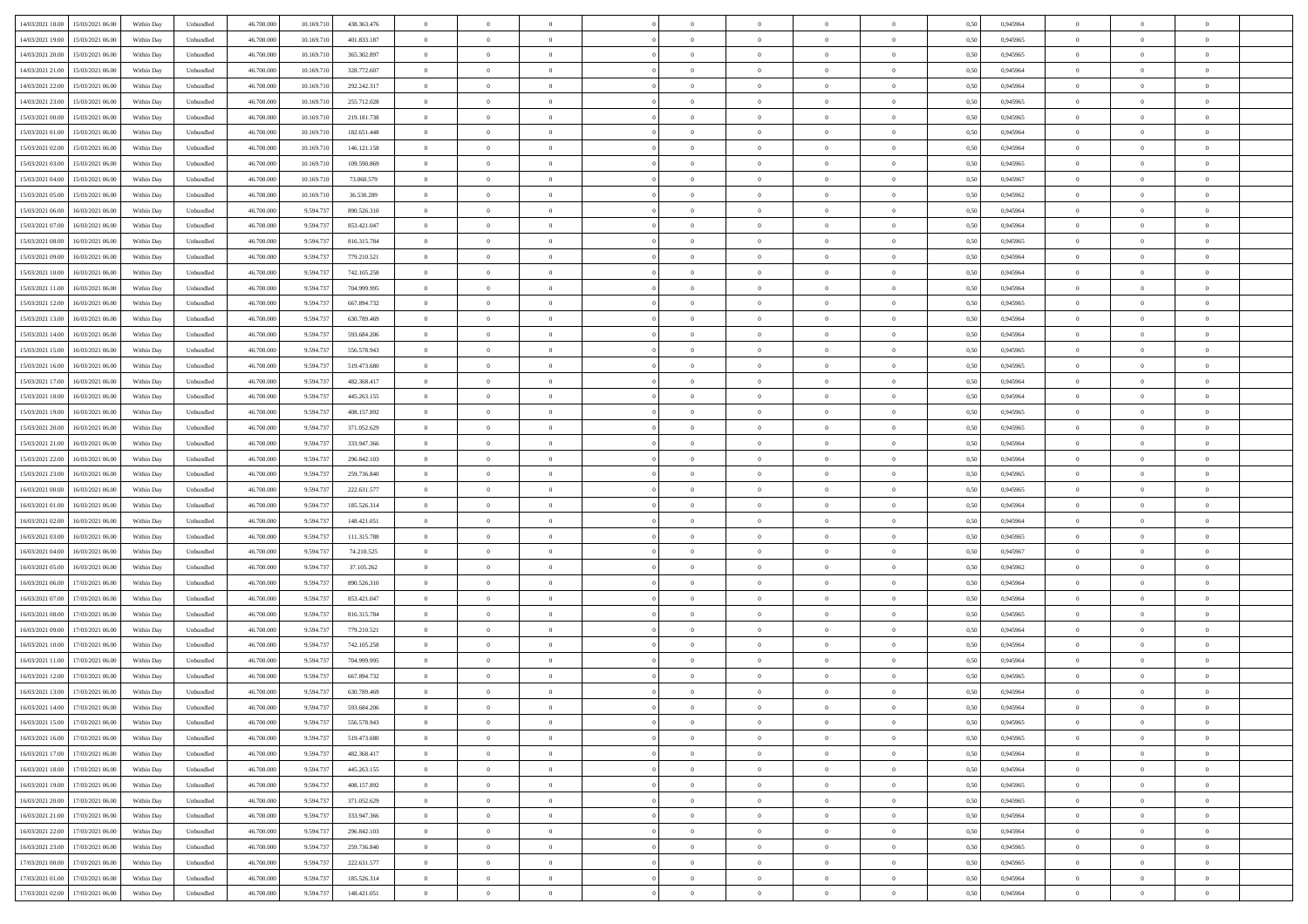| 14/03/2021 18:00 15/03/2021 06:00            |            |                   | 46.700.000 |            |             | $\overline{0}$ | $\theta$       |                | $\overline{0}$ | $\theta$       |                | $\theta$       |      | 0,945964 | $\theta$       | $\theta$       | $\overline{0}$ |  |
|----------------------------------------------|------------|-------------------|------------|------------|-------------|----------------|----------------|----------------|----------------|----------------|----------------|----------------|------|----------|----------------|----------------|----------------|--|
|                                              | Within Day | Unbundled         |            | 10.169.710 | 438.363.476 |                |                |                |                |                |                |                | 0,50 |          |                |                |                |  |
| 14/03/2021 19:00<br>15/03/2021 06:00         | Within Day | Unbundled         | 46.700.00  | 10.169.71  | 401.833.187 | $\bf{0}$       | $\overline{0}$ | $\bf{0}$       | $\overline{0}$ | $\bf{0}$       | $\overline{0}$ | $\bf{0}$       | 0,50 | 0,945965 | $\,$ 0 $\,$    | $\bf{0}$       | $\overline{0}$ |  |
| 14/03/2021 20:00<br>15/03/2021 06:00         | Within Day | Unbundled         | 46,700,000 | 10.169.710 | 365.302.897 | $\overline{0}$ | $\bf{0}$       | $\overline{0}$ | $\bf{0}$       | $\bf{0}$       | $\overline{0}$ | $\bf{0}$       | 0.50 | 0.945965 | $\bf{0}$       | $\overline{0}$ | $\overline{0}$ |  |
| 14/03/2021 21:00<br>15/03/2021 06:00         | Within Day | Unbundled         | 46.700.000 | 10.169.710 | 328.772.607 | $\overline{0}$ | $\overline{0}$ | $\overline{0}$ | $\theta$       | $\theta$       | $\overline{0}$ | $\bf{0}$       | 0,50 | 0,945964 | $\theta$       | $\theta$       | $\overline{0}$ |  |
| 14/03/2021 22:00<br>15/03/2021 06:00         | Within Day | Unbundled         | 46.700.00  | 10.169.71  | 292.242.317 | $\bf{0}$       | $\theta$       | $\bf{0}$       | $\overline{0}$ | $\theta$       | $\overline{0}$ | $\bf{0}$       | 0,50 | 0,945964 | $\bf{0}$       | $\bf{0}$       | $\overline{0}$ |  |
| 14/03/2021 23:00<br>15/03/2021 06:00         |            | Unbundled         | 46,700,000 | 10.169.71  | 255.712.028 | $\overline{0}$ | $\overline{0}$ | $\overline{0}$ | $\bf{0}$       | $\overline{0}$ | $\theta$       | $\bf{0}$       | 0.50 | 0.945965 | $\bf{0}$       | $\theta$       | $\overline{0}$ |  |
|                                              | Within Day |                   |            |            |             |                |                |                |                |                |                |                |      |          |                |                |                |  |
| 15/03/2021 00:00<br>15/03/2021 06:00         | Within Day | Unbundled         | 46.700.000 | 10.169.710 | 219.181.738 | $\overline{0}$ | $\overline{0}$ | $\overline{0}$ | $\overline{0}$ | $\theta$       | $\overline{0}$ | $\bf{0}$       | 0,50 | 0,945965 | $\theta$       | $\theta$       | $\overline{0}$ |  |
| 15/03/2021 01:00<br>15/03/2021 06:00         | Within Day | Unbundled         | 46.700.00  | 10.169.71  | 182.651.448 | $\bf{0}$       | $\overline{0}$ | $\overline{0}$ | $\overline{0}$ | $\theta$       | $\overline{0}$ | $\bf{0}$       | 0,50 | 0,945964 | $\,$ 0 $\,$    | $\bf{0}$       | $\overline{0}$ |  |
| 15/03/2021 02:00<br>15/03/2021 06:00         | Within Day | Unbundled         | 46,700,000 | 10.169.710 | 146.121.158 | $\overline{0}$ | $\bf{0}$       | $\overline{0}$ | $\bf{0}$       | $\overline{0}$ | $\overline{0}$ | $\bf{0}$       | 0.50 | 0.945964 | $\bf{0}$       | $\overline{0}$ | $\overline{0}$ |  |
| 15/03/2021 03:00<br>15/03/2021 06:00         | Within Day | Unbundled         | 46.700.000 | 10.169.710 | 109.590.869 | $\bf{0}$       | $\bf{0}$       | $\overline{0}$ | $\overline{0}$ | $\overline{0}$ | $\overline{0}$ | $\bf{0}$       | 0,50 | 0,945965 | $\,$ 0 $\,$    | $\bf{0}$       | $\overline{0}$ |  |
| 15/03/2021 04:00<br>15/03/2021 06:00         | Within Day | Unbundled         | 46.700.00  | 10.169.710 | 73.060.579  | $\bf{0}$       | $\overline{0}$ | $\bf{0}$       | $\bf{0}$       | $\bf{0}$       | $\overline{0}$ | $\bf{0}$       | 0,50 | 0,945967 | $\,$ 0 $\,$    | $\bf{0}$       | $\overline{0}$ |  |
| 15/03/2021 05:00<br>15/03/2021 06:00         | Within Day | Unbundled         | 46,700,000 | 10.169.710 | 36.530.289  | $\overline{0}$ | $\bf{0}$       | $\overline{0}$ | $\bf{0}$       | $\bf{0}$       | $\overline{0}$ | $\bf{0}$       | 0.50 | 0.945962 | $\bf{0}$       | $\overline{0}$ | $\bf{0}$       |  |
| 15/03/2021 06:00<br>16/03/2021 06:00         | Within Day | Unbundled         | 46.700.000 | 9.594.737  | 890.526.310 | $\overline{0}$ | $\overline{0}$ | $\overline{0}$ | $\overline{0}$ | $\theta$       | $\overline{0}$ | $\bf{0}$       | 0,50 | 0,945964 | $\,$ 0 $\,$    | $\theta$       | $\overline{0}$ |  |
|                                              |            |                   |            |            |             |                |                |                |                |                |                |                |      |          |                |                |                |  |
| 15/03/2021 07:00<br>16/03/2021 06:00         | Within Day | Unbundled         | 46.700.00  | 9.594.73   | 853.421.047 | $\bf{0}$       | $\theta$       | $\bf{0}$       | $\overline{0}$ | $\theta$       | $\overline{0}$ | $\bf{0}$       | 0,50 | 0,945964 | $\bf{0}$       | $\bf{0}$       | $\overline{0}$ |  |
| 15/03/2021 08:00<br>16/03/2021 06:00         | Within Day | Unbundled         | 46,700,000 | 9.594.73   | 816.315.784 | $\overline{0}$ | $\overline{0}$ | $\overline{0}$ | $\bf{0}$       | $\bf{0}$       | $\Omega$       | $\bf{0}$       | 0.50 | 0.945965 | $\theta$       | $\theta$       | $\overline{0}$ |  |
| 15/03/2021 09:00<br>16/03/2021 06:00         | Within Day | Unbundled         | 46.700.000 | 9.594.737  | 779.210.521 | $\overline{0}$ | $\overline{0}$ | $\overline{0}$ | $\overline{0}$ | $\overline{0}$ | $\overline{0}$ | $\bf{0}$       | 0,50 | 0,945964 | $\theta$       | $\theta$       | $\overline{0}$ |  |
| 15/03/2021 10:00<br>16/03/2021 06:00         | Within Day | Unbundled         | 46.700.00  | 9.594.73   | 742.105.258 | $\bf{0}$       | $\overline{0}$ | $\overline{0}$ | $\overline{0}$ | $\bf{0}$       | $\overline{0}$ | $\bf{0}$       | 0,50 | 0,945964 | $\,$ 0 $\,$    | $\bf{0}$       | $\overline{0}$ |  |
| 15/03/2021 11:00<br>16/03/2021 06:00         | Within Day | Unbundled         | 46,700,000 | 9.594.73   | 704.999.995 | $\overline{0}$ | $\bf{0}$       | $\overline{0}$ | $\bf{0}$       | $\overline{0}$ | $\overline{0}$ | $\bf{0}$       | 0.50 | 0.945964 | $\bf{0}$       | $\overline{0}$ | $\overline{0}$ |  |
| 15/03/2021 12:00<br>16/03/2021 06:00         | Within Day | Unbundled         | 46.700.000 | 9.594.737  | 667.894.732 | $\bf{0}$       | $\bf{0}$       | $\overline{0}$ | $\overline{0}$ | $\overline{0}$ | $\overline{0}$ | $\bf{0}$       | 0,50 | 0,945965 | $\,$ 0 $\,$    | $\bf{0}$       | $\overline{0}$ |  |
| 15/03/2021 13:00<br>16/03/2021 06:00         | Within Day | Unbundled         | 46.700.00  | 9.594.73   | 630.789.469 | $\bf{0}$       | $\overline{0}$ | $\bf{0}$       | $\bf{0}$       | $\overline{0}$ | $\overline{0}$ | $\bf{0}$       | 0,50 | 0,945964 | $\,$ 0 $\,$    | $\bf{0}$       | $\overline{0}$ |  |
|                                              |            |                   | 46,700,000 |            | 593.684.206 |                |                |                |                |                | $\overline{0}$ |                |      | 0.945964 |                |                |                |  |
| 15/03/2021 14:00<br>16/03/2021 06:00         | Within Day | Unbundled         |            | 9.594.73   |             | $\overline{0}$ | $\bf{0}$       | $\overline{0}$ | $\bf{0}$       | $\bf{0}$       |                | $\bf{0}$       | 0.50 |          | $\bf{0}$       | $\overline{0}$ | $\overline{0}$ |  |
| 15/03/2021 15:00<br>16/03/2021 06:00         | Within Day | Unbundled         | 46.700.000 | 9.594.737  | 556.578.943 | $\overline{0}$ | $\overline{0}$ | $\overline{0}$ | $\theta$       | $\theta$       | $\overline{0}$ | $\bf{0}$       | 0,50 | 0,945965 | $\theta$       | $\theta$       | $\overline{0}$ |  |
| 15/03/2021 16:00<br>16/03/2021 06:00         | Within Day | Unbundled         | 46.700.00  | 9.594.73   | 519.473.680 | $\bf{0}$       | $\overline{0}$ | $\bf{0}$       | $\bf{0}$       | $\bf{0}$       | $\overline{0}$ | $\bf{0}$       | 0,50 | 0,945965 | $\,$ 0 $\,$    | $\bf{0}$       | $\overline{0}$ |  |
| 15/03/2021 17:00<br>16/03/2021 06:00         | Within Day | Unbundled         | 46,700,000 | 9.594.73   | 482.368.417 | $\overline{0}$ | $\overline{0}$ | $\overline{0}$ | $\overline{0}$ | $\overline{0}$ | $\Omega$       | $\bf{0}$       | 0.50 | 0.945964 | $\bf{0}$       | $\theta$       | $\overline{0}$ |  |
| 15/03/2021 18:00<br>16/03/2021 06:00         | Within Day | Unbundled         | 46.700.000 | 9.594.737  | 445.263.155 | $\overline{0}$ | $\overline{0}$ | $\overline{0}$ | $\overline{0}$ | $\overline{0}$ | $\overline{0}$ | $\bf{0}$       | 0,50 | 0,945964 | $\theta$       | $\theta$       | $\overline{0}$ |  |
| 15/03/2021 19:00<br>16/03/2021 06:00         | Within Day | Unbundled         | 46.700.00  | 9.594.73   | 408.157.892 | $\bf{0}$       | $\theta$       | $\bf{0}$       | $\overline{0}$ | $\theta$       | $\overline{0}$ | $\bf{0}$       | 0,50 | 0,945965 | $\,$ 0 $\,$    | $\bf{0}$       | $\overline{0}$ |  |
| 15/03/2021 20:00<br>16/03/2021 06:00         | Within Day | Unbundled         | 46,700,000 | 9.594.73   | 371.052.629 | $\overline{0}$ | $\bf{0}$       | $\overline{0}$ | $\bf{0}$       | $\overline{0}$ | $\overline{0}$ | $\bf{0}$       | 0.50 | 0.945965 | $\bf{0}$       | $\overline{0}$ | $\overline{0}$ |  |
| 15/03/2021 21:00<br>16/03/2021 06:00         | Within Day | Unbundled         | 46.700.000 | 9.594.737  | 333.947.366 | $\overline{0}$ | $\overline{0}$ | $\overline{0}$ | $\overline{0}$ | $\overline{0}$ | $\overline{0}$ | $\bf{0}$       | 0,50 | 0,945964 | $\theta$       | $\theta$       | $\overline{0}$ |  |
| 16/03/2021 06:00                             | Within Day | Unbundled         | 46.700.00  | 9.594.73   | 296.842.103 | $\bf{0}$       | $\bf{0}$       | $\bf{0}$       | $\bf{0}$       | $\overline{0}$ | $\overline{0}$ | $\bf{0}$       | 0,50 | 0,945964 | $\,$ 0 $\,$    | $\bf{0}$       | $\overline{0}$ |  |
| 15/03/2021 22:00                             |            |                   |            |            |             |                |                |                |                |                |                |                |      |          |                |                |                |  |
| 15/03/2021 23:00<br>16/03/2021 06:00         | Within Day | Unbundled         | 46,700,000 | 9.594.73   | 259.736.840 | $\overline{0}$ | $\bf{0}$       | $\overline{0}$ | $\bf{0}$       | $\bf{0}$       | $\overline{0}$ | $\bf{0}$       | 0.50 | 0.945965 | $\bf{0}$       | $\overline{0}$ | $\overline{0}$ |  |
| 16/03/2021 00:00<br>16/03/2021 06:00         | Within Day | Unbundled         | 46.700.000 | 9,594.73   | 222.631.577 | $\overline{0}$ | $\overline{0}$ | $\overline{0}$ | $\overline{0}$ | $\overline{0}$ | $\overline{0}$ | $\bf{0}$       | 0.5( | 0.945965 | $\theta$       | $\theta$       | $\overline{0}$ |  |
| 16/03/2021 01:00<br>16/03/2021 06:00         | Within Day | Unbundled         | 46.700.00  | 9.594.73   | 185.526.314 | $\bf{0}$       | $\overline{0}$ | $\bf{0}$       | $\bf{0}$       | $\overline{0}$ | $\overline{0}$ | $\bf{0}$       | 0,50 | 0,945964 | $\,$ 0 $\,$    | $\bf{0}$       | $\overline{0}$ |  |
| 16/03/2021 02:00<br>16/03/2021 06:00         | Within Day | Unbundled         | 46,700,000 | 9.594.73   | 148.421.051 | $\overline{0}$ | $\overline{0}$ | $\overline{0}$ | $\bf{0}$       | $\bf{0}$       | $\Omega$       | $\bf{0}$       | 0.50 | 0.945964 | $\bf{0}$       | $\overline{0}$ | $\overline{0}$ |  |
| 16/03/2021 03:00<br>16/03/2021 06:00         | Within Dav | Unbundled         | 46.700.000 | 9.594.73   | 111.315.788 | $\overline{0}$ | $\overline{0}$ | $\overline{0}$ | $\overline{0}$ | $\overline{0}$ | $\overline{0}$ | $\overline{0}$ | 0.50 | 0,945965 | $\theta$       | $\theta$       | $\overline{0}$ |  |
| 16/03/2021 04:00<br>16/03/2021 06:00         | Within Day | Unbundled         | 46.700.00  | 9.594.73   | 74.210.525  | $\bf{0}$       | $\overline{0}$ | $\bf{0}$       | $\overline{0}$ | $\bf{0}$       | $\overline{0}$ | $\bf{0}$       | 0,50 | 0,945967 | $\,$ 0 $\,$    | $\bf{0}$       | $\overline{0}$ |  |
| 16/03/2021 05:00<br>16/03/2021 06:00         | Within Day | Unbundled         | 46,700,000 | 9.594.73   | 37.105.262  | $\overline{0}$ | $\bf{0}$       | $\overline{0}$ | $\bf{0}$       | $\overline{0}$ | $\overline{0}$ | $\bf{0}$       | 0.50 | 0.945962 | $\bf{0}$       | $\overline{0}$ | $\overline{0}$ |  |
| 16/03/2021 06:00<br>17/03/2021 06:00         | Within Day | Unbundled         | 46.700.000 | 9.594.73   | 890.526.310 | $\overline{0}$ | $\overline{0}$ | $\overline{0}$ | $\overline{0}$ | $\overline{0}$ | $\overline{0}$ | $\overline{0}$ | 0.50 | 0,945964 | $\theta$       | $\theta$       | $\overline{0}$ |  |
|                                              |            |                   |            |            |             |                |                |                |                |                |                |                |      |          |                |                |                |  |
| 16/03/2021 07:00<br>17/03/2021 06:00         | Within Day | Unbundled         | 46.700.00  | 9.594.73   | 853.421.047 | $\bf{0}$       | $\bf{0}$       | $\bf{0}$       | $\bf{0}$       | $\overline{0}$ | $\overline{0}$ | $\bf{0}$       | 0,50 | 0,945964 | $\,$ 0 $\,$    | $\bf{0}$       | $\overline{0}$ |  |
| 16/03/2021 08:00<br>17/03/2021 06:00         | Within Day | Unbundled         | 46,700,000 | 9.594.737  | 816.315.784 | $\overline{0}$ | $\bf{0}$       | $\overline{0}$ | $\bf{0}$       | $\bf{0}$       | $\overline{0}$ | $\bf{0}$       | 0.50 | 0.945965 | $\bf{0}$       | $\overline{0}$ | $\overline{0}$ |  |
| 16/03/2021 09:00<br>17/03/2021 06:00         | Within Day | Unbundled         | 46.700.000 | 9.594.73   | 779.210.521 | $\overline{0}$ | $\overline{0}$ | $\overline{0}$ | $\overline{0}$ | $\overline{0}$ | $\overline{0}$ | $\bf{0}$       | 0.50 | 0.945964 | $\theta$       | $\theta$       | $\overline{0}$ |  |
| 16/03/2021 10:00<br>17/03/2021 06:00         | Within Day | Unbundled         | 46.700.00  | 9.594.73   | 742.105.258 | $\bf{0}$       | $\overline{0}$ | $\bf{0}$       | $\bf{0}$       | $\,$ 0 $\,$    | $\overline{0}$ | $\bf{0}$       | 0,50 | 0,945964 | $\,$ 0 $\,$    | $\bf{0}$       | $\overline{0}$ |  |
| 16/03/2021 11:00<br>17/03/2021 06:00         | Within Day | Unbundled         | 46,700,000 | 9.594.73   | 704.999.995 | $\overline{0}$ | $\overline{0}$ | $\overline{0}$ | $\bf{0}$       | $\bf{0}$       | $\Omega$       | $\bf{0}$       | 0.50 | 0.945964 | $\,$ 0 $\,$    | $\theta$       | $\overline{0}$ |  |
| 16/03/2021 12:00<br>17/03/2021 06:00         | Within Dav | Unbundled         | 46.700.000 | 9,594.73   | 667.894.732 | $\overline{0}$ | $\overline{0}$ | $\Omega$       | $\overline{0}$ | $\theta$       | $\overline{0}$ | $\overline{0}$ | 0.5( | 0,945965 | $\theta$       | $\theta$       | $\overline{0}$ |  |
| 16/03/2021 13:00<br>17/03/2021 06:00         | Within Day | Unbundled         | 46.700.000 | 9.594.73   | 630.789.469 | $\bf{0}$       | $\bf{0}$       | $\bf{0}$       | $\bf{0}$       | $\bf{0}$       | $\overline{0}$ | $\bf{0}$       | 0,50 | 0,945964 | $\,$ 0 $\,$    | $\bf{0}$       | $\overline{0}$ |  |
| $16/03/2021\ 14.00 \qquad 17/03/2021\ 06.00$ | Within Day | ${\sf Unbundred}$ | 46.700.000 | 9.594.737  | 593.684.206 | $\bf{0}$       | $\theta$       |                | $\overline{0}$ |                |                |                | 0,50 | 0.945964 | $\bf{0}$       | $\overline{0}$ |                |  |
| 16/03/2021 15:00 17/03/2021 06:00            | Within Day | Unbundled         | 46.700.000 | 9.594.737  | 556.578.943 | $\overline{0}$ | $\theta$       | $\overline{0}$ | $\theta$       | $\overline{0}$ | $\overline{0}$ | $\bf{0}$       | 0,50 | 0,945965 | $\theta$       | $\theta$       | $\overline{0}$ |  |
|                                              |            |                   |            |            |             |                |                |                |                |                |                |                |      |          |                |                |                |  |
| 16/03/2021 16:00<br>17/03/2021 06:00         | Within Day | Unbundled         | 46.700.00  | 9.594.73   | 519.473.680 | $\overline{0}$ | $\bf{0}$       | $\overline{0}$ | $\overline{0}$ | $\bf{0}$       | $\overline{0}$ | $\bf{0}$       | 0,50 | 0,945965 | $\bf{0}$       | $\overline{0}$ | $\bf{0}$       |  |
| 16/03/2021 17:00 17/03/2021 06:00            | Within Day | Unbundled         | 46.700.000 | 9.594.737  | 482.368.417 | $\overline{0}$ | $\bf{0}$       | $\overline{0}$ | $\overline{0}$ | $\overline{0}$ | $\overline{0}$ | $\bf{0}$       | 0.50 | 0.945964 | $\overline{0}$ | $\bf{0}$       | $\,$ 0 $\,$    |  |
| 16/03/2021 18:00 17/03/2021 06:00            | Within Day | Unbundled         | 46.700.000 | 9.594.737  | 445.263.155 | $\overline{0}$ | $\overline{0}$ | $\overline{0}$ | $\overline{0}$ | $\overline{0}$ | $\overline{0}$ | $\bf{0}$       | 0,50 | 0,945964 | $\theta$       | $\theta$       | $\overline{0}$ |  |
| 16/03/2021 19:00<br>17/03/2021 06:00         | Within Day | Unbundled         | 46.700.000 | 9.594.73   | 408.157.892 | $\overline{0}$ | $\bf{0}$       | $\overline{0}$ | $\bf{0}$       | $\overline{0}$ | $\overline{0}$ | $\bf{0}$       | 0,50 | 0,945965 | $\overline{0}$ | $\bf{0}$       | $\overline{0}$ |  |
| 16/03/2021 20:00<br>17/03/2021 06:00         | Within Day | Unbundled         | 46,700,000 | 9.594.737  | 371.052.629 | $\overline{0}$ | $\bf{0}$       | $\overline{0}$ | $\overline{0}$ | $\overline{0}$ | $\overline{0}$ | $\bf{0}$       | 0.50 | 0.945965 | $\,$ 0 $\,$    | $\theta$       | $\overline{0}$ |  |
| 16/03/2021 21:00<br>17/03/2021 06:00         | Within Dav | Unbundled         | 46.700.000 | 9.594.737  | 333.947.366 | $\overline{0}$ | $\overline{0}$ | $\overline{0}$ | $\overline{0}$ | $\overline{0}$ | $\overline{0}$ | $\bf{0}$       | 0.50 | 0,945964 | $\overline{0}$ | $\theta$       | $\overline{0}$ |  |
| 16/03/2021 22:00<br>17/03/2021 06:00         | Within Day | Unbundled         | 46.700.000 | 9.594.73   | 296.842.103 | $\overline{0}$ | $\overline{0}$ | $\overline{0}$ | $\overline{0}$ | $\bf{0}$       | $\overline{0}$ | $\bf{0}$       | 0,50 | 0,945964 | $\bf{0}$       | $\overline{0}$ | $\overline{0}$ |  |
|                                              |            |                   |            |            |             |                |                |                |                |                |                |                |      |          |                |                |                |  |
| 16/03/2021 23:00<br>17/03/2021 06:00         | Within Day | Unbundled         | 46,700,000 | 9.594.73   | 259.736.840 | $\overline{0}$ | $\overline{0}$ | $\overline{0}$ | $\overline{0}$ | $\bf{0}$       | $\overline{0}$ | $\bf{0}$       | 0.50 | 0.945965 | $\overline{0}$ | $\,$ 0 $\,$    | $\,$ 0         |  |
| 17/03/2021 00:00<br>17/03/2021 06:00         | Within Dav | Unbundled         | 46.700.000 | 9.594.737  | 222.631.577 | $\overline{0}$ | $\overline{0}$ | $\overline{0}$ | $\overline{0}$ | $\overline{0}$ | $\overline{0}$ | $\bf{0}$       | 0,50 | 0,945965 | $\overline{0}$ | $\theta$       | $\overline{0}$ |  |
| 17/03/2021 01:00<br>17/03/2021 06:00         | Within Day | Unbundled         | 46.700.00  | 9.594.73   | 185.526.314 | $\overline{0}$ | $\bf{0}$       | $\overline{0}$ | $\bf{0}$       | $\overline{0}$ | $\overline{0}$ | $\bf{0}$       | 0,50 | 0,945964 | $\bf{0}$       | $\bf{0}$       | $\bf{0}$       |  |
| 17/03/2021 02:00 17/03/2021 06:00            | Within Day | Unbundled         | 46.700.000 | 9.594.737  | 148.421.051 | $\overline{0}$ | $\bf{0}$       | $\overline{0}$ | $\overline{0}$ | $\,$ 0 $\,$    | $\overline{0}$ | $\bf{0}$       | 0,50 | 0,945964 | $\overline{0}$ | $\,$ 0 $\,$    | $\,$ 0 $\,$    |  |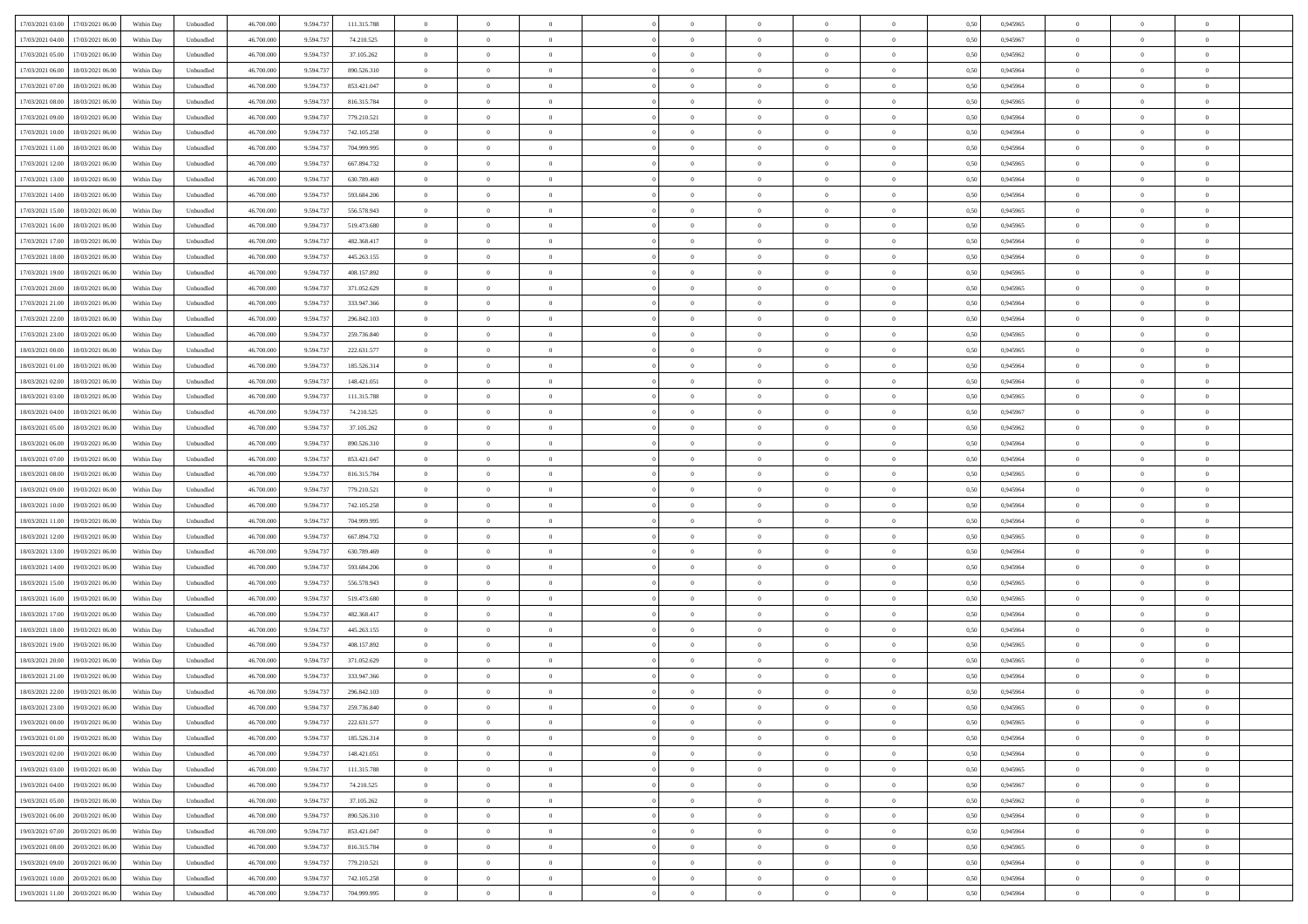| 17/03/2021 03:00<br>17/03/2021 06:00 | Within Day | Unbundled                   | 46.700.000 | 9.594.737 | 111.315.788   | $\overline{0}$ | $\theta$       |                | $\overline{0}$ | $\theta$       |                | $\theta$       | 0,50 | 0,945965 | $\theta$       | $\theta$       | $\overline{0}$ |  |
|--------------------------------------|------------|-----------------------------|------------|-----------|---------------|----------------|----------------|----------------|----------------|----------------|----------------|----------------|------|----------|----------------|----------------|----------------|--|
|                                      |            |                             |            |           |               |                |                |                |                |                |                |                |      |          |                |                |                |  |
| 17/03/2021 04:00<br>17/03/2021 06:00 | Within Day | Unbundled                   | 46.700.00  | 9.594.73  | 74.210.525    | $\bf{0}$       | $\overline{0}$ | $\bf{0}$       | $\overline{0}$ | $\bf{0}$       | $\overline{0}$ | $\bf{0}$       | 0,50 | 0,945967 | $\,$ 0 $\,$    | $\bf{0}$       | $\overline{0}$ |  |
| 17/03/2021 05:00<br>17/03/2021 06:00 | Within Day | Unbundled                   | 46,700,000 | 9.594.73  | 37.105.262    | $\overline{0}$ | $\bf{0}$       | $\overline{0}$ | $\bf{0}$       | $\bf{0}$       | $\overline{0}$ | $\bf{0}$       | 0.50 | 0.945962 | $\bf{0}$       | $\overline{0}$ | $\overline{0}$ |  |
| 17/03/2021 06:00<br>18/03/2021 06:00 | Within Day | Unbundled                   | 46.700.000 | 9.594.737 | 890.526.310   | $\overline{0}$ | $\overline{0}$ | $\overline{0}$ | $\theta$       | $\theta$       | $\overline{0}$ | $\bf{0}$       | 0,50 | 0,945964 | $\theta$       | $\theta$       | $\overline{0}$ |  |
| 17/03/2021 07:00<br>18/03/2021 06:00 | Within Day | Unbundled                   | 46.700.00  | 9.594.73  | 853.421.047   | $\overline{0}$ | $\theta$       | $\overline{0}$ | $\overline{0}$ | $\theta$       | $\overline{0}$ | $\bf{0}$       | 0,50 | 0,945964 | $\bf{0}$       | $\bf{0}$       | $\overline{0}$ |  |
| 17/03/2021 08:00<br>18/03/2021 06:00 | Within Day | Unbundled                   | 46,700,000 | 9.594.73  | 816.315.784   | $\overline{0}$ | $\overline{0}$ | $\overline{0}$ | $\overline{0}$ | $\overline{0}$ | $\Omega$       | $\bf{0}$       | 0.50 | 0.945965 | $\bf{0}$       | $\theta$       | $\overline{0}$ |  |
| 17/03/2021 09:00<br>18/03/2021 06:00 |            |                             | 46.700.000 |           |               | $\overline{0}$ | $\overline{0}$ | $\overline{0}$ | $\overline{0}$ | $\theta$       | $\overline{0}$ |                |      |          | $\theta$       | $\theta$       | $\overline{0}$ |  |
|                                      | Within Day | Unbundled                   |            | 9.594.737 | 779.210.521   |                |                |                |                |                |                | $\bf{0}$       | 0,50 | 0,945964 |                |                |                |  |
| 17/03/2021 10:00<br>18/03/2021 06:00 | Within Day | Unbundled                   | 46.700.00  | 9.594.73  | 742.105.258   | $\bf{0}$       | $\overline{0}$ | $\overline{0}$ | $\overline{0}$ | $\theta$       | $\overline{0}$ | $\bf{0}$       | 0,50 | 0,945964 | $\,$ 0 $\,$    | $\bf{0}$       | $\overline{0}$ |  |
| 17/03/2021 11:00<br>18/03/2021 06:00 | Within Day | Unbundled                   | 46,700,000 | 9.594.73  | 704.999.995   | $\overline{0}$ | $\bf{0}$       | $\overline{0}$ | $\bf{0}$       | $\overline{0}$ | $\overline{0}$ | $\bf{0}$       | 0.50 | 0.945964 | $\bf{0}$       | $\theta$       | $\overline{0}$ |  |
| 17/03/2021 12:00<br>18/03/2021 06:00 | Within Day | Unbundled                   | 46.700.000 | 9.594.737 | 667.894.732   | $\bf{0}$       | $\bf{0}$       | $\overline{0}$ | $\overline{0}$ | $\theta$       | $\overline{0}$ | $\bf{0}$       | 0,50 | 0,945965 | $\,$ 0 $\,$    | $\bf{0}$       | $\overline{0}$ |  |
| 17/03/2021 13:00<br>18/03/2021 06:00 | Within Day | Unbundled                   | 46.700.00  | 9.594.73  | 630.789.469   | $\bf{0}$       | $\overline{0}$ | $\bf{0}$       | $\overline{0}$ | $\bf{0}$       | $\overline{0}$ | $\bf{0}$       | 0,50 | 0,945964 | $\,$ 0 $\,$    | $\bf{0}$       | $\overline{0}$ |  |
| 17/03/2021 14:00<br>18/03/2021 06:00 | Within Day | Unbundled                   | 46,700,000 | 9.594.73  | 593.684.206   | $\overline{0}$ | $\overline{0}$ | $\overline{0}$ | $\bf{0}$       | $\bf{0}$       | $\overline{0}$ | $\bf{0}$       | 0.50 | 0.945964 | $\bf{0}$       | $\overline{0}$ | $\overline{0}$ |  |
| 17/03/2021 15:00<br>18/03/2021 06:00 | Within Day | Unbundled                   | 46.700.000 | 9.594.737 | 556.578.943   | $\overline{0}$ | $\overline{0}$ | $\overline{0}$ | $\overline{0}$ | $\theta$       | $\overline{0}$ | $\overline{0}$ | 0,50 | 0,945965 | $\,$ 0 $\,$    | $\theta$       | $\overline{0}$ |  |
|                                      |            |                             |            |           |               |                | $\theta$       |                | $\overline{0}$ | $\theta$       | $\overline{0}$ | $\bf{0}$       |      |          |                | $\bf{0}$       | $\overline{0}$ |  |
| 17/03/2021 16:00<br>18/03/2021 06:00 | Within Day | Unbundled                   | 46.700.00  | 9.594.73  | 519.473.680   | $\bf{0}$       |                | $\bf{0}$       |                |                |                |                | 0,50 | 0,945965 | $\bf{0}$       |                |                |  |
| 17/03/2021 17:00<br>18/03/2021 06:00 | Within Day | Unbundled                   | 46,700,000 | 9.594.73  | 482.368.417   | $\overline{0}$ | $\overline{0}$ | $\overline{0}$ | $\bf{0}$       | $\theta$       | $\theta$       | $\bf{0}$       | 0.50 | 0.945964 | $\theta$       | $\overline{0}$ | $\overline{0}$ |  |
| 17/03/2021 18:00<br>18/03/2021 06:00 | Within Day | Unbundled                   | 46.700.000 | 9.594.737 | 445.263.155   | $\overline{0}$ | $\overline{0}$ | $\overline{0}$ | $\overline{0}$ | $\overline{0}$ | $\overline{0}$ | $\bf{0}$       | 0,50 | 0,945964 | $\theta$       | $\theta$       | $\overline{0}$ |  |
| 17/03/2021 19:00<br>18/03/2021 06:00 | Within Day | Unbundled                   | 46.700.00  | 9.594.73  | 408.157.892   | $\bf{0}$       | $\overline{0}$ | $\overline{0}$ | $\overline{0}$ | $\theta$       | $\overline{0}$ | $\bf{0}$       | 0,50 | 0,945965 | $\,$ 0 $\,$    | $\bf{0}$       | $\overline{0}$ |  |
| 17/03/2021 20:00<br>18/03/2021 06:00 | Within Day | Unbundled                   | 46,700,000 | 9.594.73  | 371.052.629   | $\overline{0}$ | $\overline{0}$ | $\overline{0}$ | $\bf{0}$       | $\overline{0}$ | $\overline{0}$ | $\bf{0}$       | 0.50 | 0.945965 | $\bf{0}$       | $\overline{0}$ | $\overline{0}$ |  |
| 17/03/2021 21:00<br>18/03/2021 06:00 | Within Day | Unbundled                   | 46.700.000 | 9.594.737 | 333.947.366   | $\overline{0}$ | $\overline{0}$ | $\overline{0}$ | $\overline{0}$ | $\theta$       | $\overline{0}$ | $\bf{0}$       | 0,50 | 0,945964 | $\,$ 0 $\,$    | $\theta$       | $\overline{0}$ |  |
| 17/03/2021 22:00<br>18/03/2021 06:00 | Within Day | Unbundled                   | 46.700.00  | 9.594.73  | 296.842.103   | $\bf{0}$       | $\overline{0}$ | $\bf{0}$       | $\bf{0}$       | $\overline{0}$ | $\overline{0}$ | $\bf{0}$       | 0,50 | 0,945964 | $\,$ 0 $\,$    | $\bf{0}$       | $\overline{0}$ |  |
| 17/03/2021 23:00<br>18/03/2021 06:00 | Within Day | Unbundled                   | 46,700,000 | 9.594.73  | 259.736.840   | $\overline{0}$ | $\bf{0}$       | $\overline{0}$ | $\bf{0}$       | $\bf{0}$       | $\overline{0}$ | $\bf{0}$       | 0.50 | 0.945965 | $\bf{0}$       | $\overline{0}$ | $\overline{0}$ |  |
|                                      |            |                             |            |           |               | $\overline{0}$ | $\overline{0}$ | $\overline{0}$ | $\theta$       | $\theta$       | $\overline{0}$ |                |      |          | $\theta$       | $\theta$       | $\overline{0}$ |  |
| 18/03/2021 00:00<br>18/03/2021 06:00 | Within Day | Unbundled                   | 46.700.000 | 9.594.737 | 222.631.577   |                |                |                |                |                |                | $\bf{0}$       | 0,50 | 0,945965 |                |                |                |  |
| 18/03/2021 01:00<br>18/03/2021 06:00 | Within Day | Unbundled                   | 46.700.00  | 9.594.73  | 185.526.314   | $\bf{0}$       | $\overline{0}$ | $\bf{0}$       | $\bf{0}$       | $\theta$       | $\overline{0}$ | $\bf{0}$       | 0,50 | 0,945964 | $\,$ 0 $\,$    | $\bf{0}$       | $\overline{0}$ |  |
| 18/03/2021 02:00<br>18/03/2021 06:00 | Within Day | Unbundled                   | 46,700,000 | 9.594.73  | 148.421.051   | $\overline{0}$ | $\overline{0}$ | $\overline{0}$ | $\overline{0}$ | $\overline{0}$ | $\Omega$       | $\bf{0}$       | 0.50 | 0.945964 | $\bf{0}$       | $\theta$       | $\overline{0}$ |  |
| 18/03/2021 03:00<br>18/03/2021 06:00 | Within Day | Unbundled                   | 46.700.000 | 9.594.737 | 111.315.788   | $\overline{0}$ | $\overline{0}$ | $\overline{0}$ | $\overline{0}$ | $\theta$       | $\overline{0}$ | $\bf{0}$       | 0,50 | 0,945965 | $\theta$       | $\theta$       | $\overline{0}$ |  |
| 18/03/2021 04:00<br>18/03/2021 06:00 | Within Day | Unbundled                   | 46.700.00  | 9.594.73  | 74.210.525    | $\bf{0}$       | $\theta$       | $\bf{0}$       | $\overline{0}$ | $\theta$       | $\overline{0}$ | $\bf{0}$       | 0,50 | 0,945967 | $\,$ 0 $\,$    | $\bf{0}$       | $\overline{0}$ |  |
| 18/03/2021 05:00<br>18/03/2021 06:00 | Within Day | Unbundled                   | 46,700,000 | 9.594.73  | 37.105.262    | $\overline{0}$ | $\overline{0}$ | $\overline{0}$ | $\bf{0}$       | $\overline{0}$ | $\overline{0}$ | $\bf{0}$       | 0.50 | 0.945962 | $\bf{0}$       | $\theta$       | $\overline{0}$ |  |
| 18/03/2021 06:00<br>19/03/2021 06:00 | Within Day | Unbundled                   | 46.700.000 | 9.594.737 | 890.526.310   | $\overline{0}$ | $\overline{0}$ | $\overline{0}$ | $\overline{0}$ | $\theta$       | $\overline{0}$ | $\bf{0}$       | 0,50 | 0,945964 | $\theta$       | $\theta$       | $\overline{0}$ |  |
| 18/03/2021 07:00<br>19/03/2021 06:00 | Within Day | Unbundled                   | 46.700.00  | 9.594.73  | 853.421.047   | $\bf{0}$       | $\bf{0}$       | $\bf{0}$       | $\bf{0}$       | $\overline{0}$ | $\overline{0}$ | $\bf{0}$       | 0,50 | 0,945964 | $\,$ 0 $\,$    | $\bf{0}$       | $\overline{0}$ |  |
|                                      |            |                             |            |           |               |                |                |                |                |                |                |                |      |          |                |                |                |  |
| 18/03/2021 08:00<br>19/03/2021 06:00 | Within Day | Unbundled                   | 46,700,000 | 9.594.73  | 816.315.784   | $\overline{0}$ | $\bf{0}$       | $\overline{0}$ | $\bf{0}$       | $\bf{0}$       | $\overline{0}$ | $\bf{0}$       | 0.50 | 0.945965 | $\bf{0}$       | $\overline{0}$ | $\overline{0}$ |  |
| 18/03/2021 09:00<br>19/03/2021 06:00 | Within Day | Unbundled                   | 46.700.000 | 9,594.73  | 779.210.521   | $\overline{0}$ | $\overline{0}$ | $\overline{0}$ | $\overline{0}$ | $\theta$       | $\overline{0}$ | $\bf{0}$       | 0.5( | 0.945964 | $\theta$       | $\theta$       | $\overline{0}$ |  |
| 18/03/2021 10:00<br>19/03/2021 06:00 | Within Day | Unbundled                   | 46.700.00  | 9.594.73  | 742.105.258   | $\bf{0}$       | $\overline{0}$ | $\bf{0}$       | $\overline{0}$ | $\overline{0}$ | $\overline{0}$ | $\bf{0}$       | 0,50 | 0,945964 | $\,$ 0 $\,$    | $\bf{0}$       | $\overline{0}$ |  |
| 18/03/2021 11:00<br>19/03/2021 06:00 | Within Day | Unbundled                   | 46,700,000 | 9.594.73  | 704.999.995   | $\overline{0}$ | $\overline{0}$ | $\overline{0}$ | $\bf{0}$       | $\bf{0}$       | $\Omega$       | $\bf{0}$       | 0.50 | 0.945964 | $\bf{0}$       | $\overline{0}$ | $\overline{0}$ |  |
| 18/03/2021 12:00<br>19/03/2021 06:00 | Within Dav | Unbundled                   | 46.700.000 | 9.594.737 | 667.894.732   | $\overline{0}$ | $\theta$       | $\overline{0}$ | $\overline{0}$ | $\overline{0}$ | $\overline{0}$ | $\overline{0}$ | 0.50 | 0.945965 | $\theta$       | $\theta$       | $\overline{0}$ |  |
| 18/03/2021 13:00<br>19/03/2021 06:00 | Within Day | Unbundled                   | 46.700.00  | 9.594.73  | 630.789.469   | $\bf{0}$       | $\overline{0}$ | $\bf{0}$       | $\overline{0}$ | $\bf{0}$       | $\overline{0}$ | $\bf{0}$       | 0,50 | 0,945964 | $\,$ 0 $\,$    | $\bf{0}$       | $\overline{0}$ |  |
| 18/03/2021 14:00<br>19/03/2021 06:00 | Within Day | Unbundled                   | 46,700,000 | 9.594.73  | 593.684.206   | $\overline{0}$ | $\overline{0}$ | $\overline{0}$ | $\bf{0}$       | $\overline{0}$ | $\overline{0}$ | $\bf{0}$       | 0.50 | 0.945964 | $\bf{0}$       | $\overline{0}$ | $\overline{0}$ |  |
| 18/03/2021 15:00<br>19/03/2021 06:00 | Within Dav | Unbundled                   | 46.700.000 | 9,594.73  | 556.578.943   | $\overline{0}$ | $\overline{0}$ | $\overline{0}$ | $\overline{0}$ | $\overline{0}$ | $\overline{0}$ | $\overline{0}$ | 0.50 | 0,945965 | $\theta$       | $\theta$       | $\overline{0}$ |  |
| 19/03/2021 06:00                     | Within Day | Unbundled                   | 46.700.00  | 9.594.73  | 519.473.680   | $\bf{0}$       | $\bf{0}$       | $\bf{0}$       | $\bf{0}$       | $\overline{0}$ | $\overline{0}$ | $\bf{0}$       | 0,50 | 0,945965 | $\,$ 0 $\,$    | $\bf{0}$       | $\overline{0}$ |  |
| 18/03/2021 16:00                     |            |                             |            |           |               |                |                |                |                |                |                |                |      |          |                |                |                |  |
| 18/03/2021 17:00<br>19/03/2021 06:00 | Within Day | Unbundled                   | 46,700,000 | 9.594.73  | 482.368.417   | $\overline{0}$ | $\bf{0}$       | $\overline{0}$ | $\bf{0}$       | $\bf{0}$       | $\overline{0}$ | $\bf{0}$       | 0.50 | 0.945964 | $\bf{0}$       | $\overline{0}$ | $\overline{0}$ |  |
| 18/03/2021 18:00<br>19/03/2021 06:00 | Within Dav | Unbundled                   | 46.700.000 | 9.594.73  | 445.263.155   | $\overline{0}$ | $\overline{0}$ | $\overline{0}$ | $\overline{0}$ | $\theta$       | $\overline{0}$ | $\bf{0}$       | 0.50 | 0.945964 | $\theta$       | $\theta$       | $\overline{0}$ |  |
| 18/03/2021 19:00<br>19/03/2021 06:00 | Within Day | Unbundled                   | 46.700.00  | 9.594.73  | 408.157.892   | $\bf{0}$       | $\overline{0}$ | $\bf{0}$       | $\bf{0}$       | $\overline{0}$ | $\overline{0}$ | $\bf{0}$       | 0,50 | 0,945965 | $\,$ 0 $\,$    | $\bf{0}$       | $\overline{0}$ |  |
| 18/03/2021 20:00<br>19/03/2021 06:00 | Within Day | Unbundled                   | 46,700,000 | 9.594.73  | 371.052.629   | $\overline{0}$ | $\overline{0}$ | $\Omega$       | $\overline{0}$ | $\theta$       | $\theta$       | $\bf{0}$       | 0.50 | 0.945965 | $\bf{0}$       | $\overline{0}$ | $\overline{0}$ |  |
| 18/03/2021 21:00<br>19/03/2021 06:00 | Within Dav | Unbundled                   | 46.700.000 | 9,594.73  | 333.947.366   | $\overline{0}$ | $\overline{0}$ | $\Omega$       | $\overline{0}$ | $\theta$       | $\Omega$       | $\overline{0}$ | 0.5( | 0,945964 | $\theta$       | $\theta$       | $\overline{0}$ |  |
| 18/03/2021 22:00<br>19/03/2021 06:00 | Within Day | Unbundled                   | 46.700.000 | 9.594.73  | 296.842.103   | $\bf{0}$       | $\bf{0}$       | $\overline{0}$ | $\bf{0}$       | $\bf{0}$       | $\overline{0}$ | $\bf{0}$       | 0,50 | 0,945964 | $\,$ 0 $\,$    | $\bf{0}$       | $\overline{0}$ |  |
| 18/03/2021 23:00 19/03/2021 06:00    | Within Day | $\ensuremath{\mathsf{Unb}}$ | 46.700.000 | 9.594.737 | 259 736 840   | $\overline{0}$ | $\Omega$       |                | $\Omega$       |                |                |                | 0,50 | 0.945965 | $\theta$       | $\overline{0}$ |                |  |
| 19/03/2021 00:00 19/03/2021 06:00    | Within Day | Unbundled                   | 46.700.000 | 9.594.737 | 222.631.577   | $\overline{0}$ | $\theta$       | $\overline{0}$ | $\theta$       | $\overline{0}$ | $\overline{0}$ | $\bf{0}$       | 0,50 | 0,945965 | $\theta$       | $\theta$       | $\overline{0}$ |  |
|                                      |            |                             |            |           |               |                |                |                |                |                |                |                |      |          |                |                |                |  |
| 19/03/2021 01:00<br>19/03/2021 06:00 | Within Day | Unbundled                   | 46.700.00  | 9.594.73  | 185.526.314   | $\overline{0}$ | $\bf{0}$       | $\overline{0}$ | $\overline{0}$ | $\bf{0}$       | $\overline{0}$ | $\bf{0}$       | 0,50 | 0,945964 | $\bf{0}$       | $\overline{0}$ | $\bf{0}$       |  |
| 19/03/2021 02:00 19/03/2021 06:00    | Within Day | Unbundled                   | 46.700.000 | 9.594.737 | 148.421.051   | $\overline{0}$ | $\bf{0}$       | $\overline{0}$ | $\overline{0}$ | $\overline{0}$ | $\overline{0}$ | $\bf{0}$       | 0.50 | 0.945964 | $\overline{0}$ | $\bf{0}$       | $\,$ 0 $\,$    |  |
| 19/03/2021 03:00 19/03/2021 06:00    | Within Day | Unbundled                   | 46.700.000 | 9.594.737 | 111.315.788   | $\overline{0}$ | $\overline{0}$ | $\overline{0}$ | $\overline{0}$ | $\overline{0}$ | $\overline{0}$ | $\bf{0}$       | 0,50 | 0,945965 | $\theta$       | $\theta$       | $\overline{0}$ |  |
| 19/03/2021 04:00<br>19/03/2021 06:00 | Within Day | Unbundled                   | 46.700.000 | 9.594.73  | 74.210.525    | $\overline{0}$ | $\bf{0}$       | $\overline{0}$ | $\bf{0}$       | $\overline{0}$ | $\bf{0}$       | $\bf{0}$       | 0,50 | 0,945967 | $\overline{0}$ | $\bf{0}$       | $\overline{0}$ |  |
| 19/03/2021 05:00<br>19/03/2021 06:00 | Within Day | Unbundled                   | 46,700,000 | 9.594.737 | 37.105.262    | $\overline{0}$ | $\bf{0}$       | $\overline{0}$ | $\overline{0}$ | $\overline{0}$ | $\overline{0}$ | $\bf{0}$       | 0.50 | 0.945962 | $\,$ 0 $\,$    | $\theta$       | $\overline{0}$ |  |
| 19/03/2021 06:00<br>20/03/2021 06:00 | Within Dav | Unbundled                   | 46.700.000 | 9.594.737 | 890.526.310   | $\overline{0}$ | $\overline{0}$ | $\overline{0}$ | $\overline{0}$ | $\overline{0}$ | $\overline{0}$ | $\bf{0}$       | 0.50 | 0,945964 | $\overline{0}$ | $\theta$       | $\overline{0}$ |  |
| 19/03/2021 07:00<br>20/03/2021 06:00 | Within Day | Unbundled                   | 46.700.000 | 9.594.73  | 853.421.047   | $\overline{0}$ | $\overline{0}$ | $\overline{0}$ | $\overline{0}$ | $\bf{0}$       | $\overline{0}$ | $\bf{0}$       | 0,50 | 0,945964 | $\bf{0}$       | $\overline{0}$ | $\overline{0}$ |  |
|                                      |            |                             |            |           |               |                |                |                |                |                |                |                |      |          |                |                |                |  |
| 19/03/2021 08:00<br>20/03/2021 06:00 | Within Day | Unbundled                   | 46,700,000 | 9.594.73  | 816, 315, 784 | $\overline{0}$ | $\overline{0}$ | $\overline{0}$ | $\overline{0}$ | $\bf{0}$       | $\overline{0}$ | $\bf{0}$       | 0.50 | 0.945965 | $\overline{0}$ | $\,$ 0 $\,$    | $\,$ 0         |  |
| 19/03/2021 09:00 20/03/2021 06:00    | Within Dav | Unbundled                   | 46.700.000 | 9.594.737 | 779.210.521   | $\overline{0}$ | $\overline{0}$ | $\overline{0}$ | $\overline{0}$ | $\overline{0}$ | $\overline{0}$ | $\bf{0}$       | 0,50 | 0,945964 | $\theta$       | $\theta$       | $\overline{0}$ |  |
| 19/03/2021 10:00<br>20/03/2021 06:00 | Within Day | Unbundled                   | 46.700.00  | 9.594.73  | 742.105.258   | $\overline{0}$ | $\bf{0}$       | $\overline{0}$ | $\bf{0}$       | $\overline{0}$ | $\bf{0}$       | $\bf{0}$       | 0,50 | 0,945964 | $\bf{0}$       | $\bf{0}$       | $\overline{0}$ |  |
| 19/03/2021 11:00 20/03/2021 06:00    | Within Day | Unbundled                   | 46.700.000 | 9.594.737 | 704.999.995   | $\overline{0}$ | $\bf{0}$       | $\overline{0}$ | $\overline{0}$ | $\,$ 0 $\,$    | $\overline{0}$ | $\bf{0}$       | 0,50 | 0,945964 | $\overline{0}$ | $\,$ 0 $\,$    | $\,$ 0 $\,$    |  |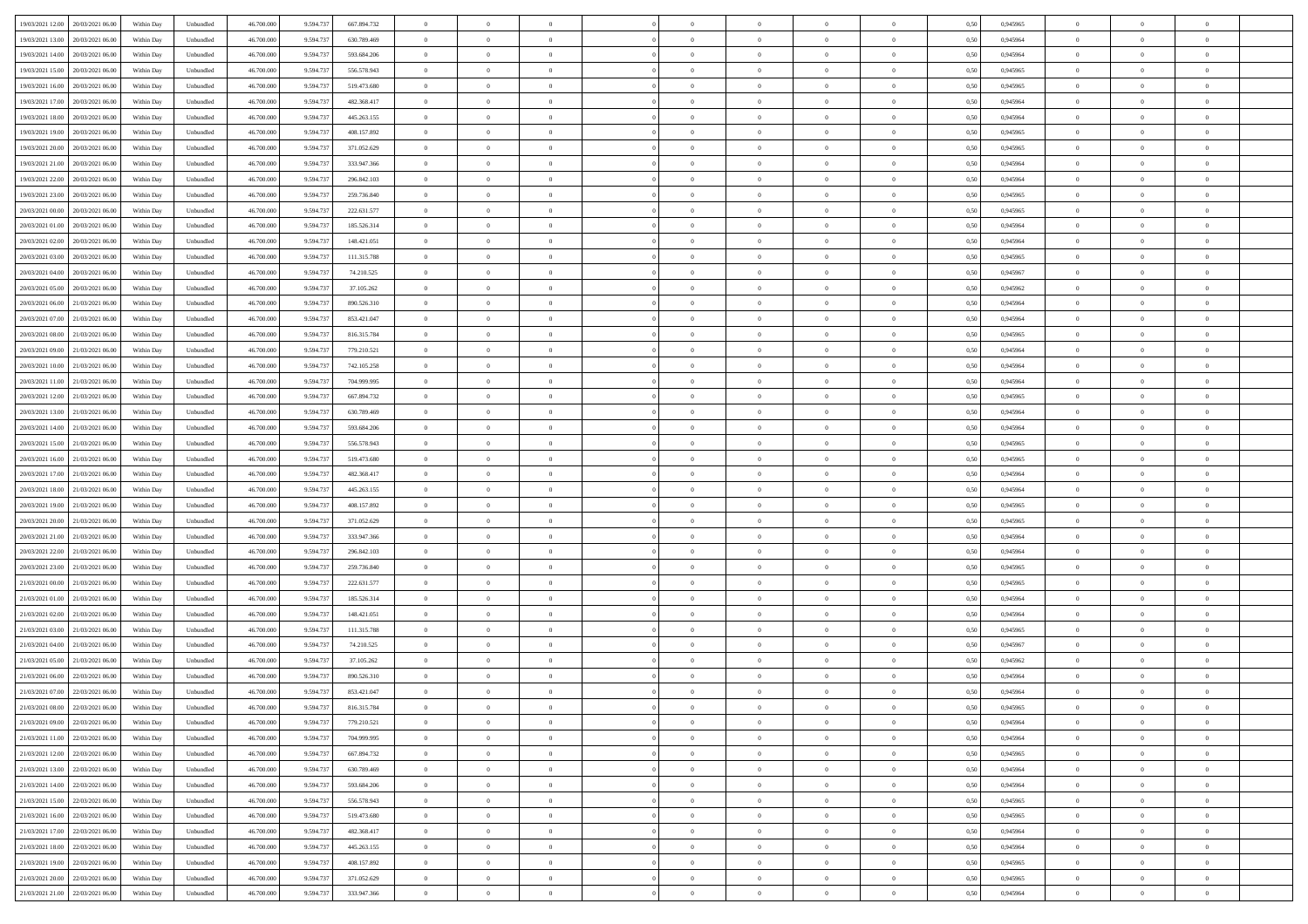| 19/03/2021 12:00 20/03/2021 06:00          | Within Day | Unbundled         | 46.700.000 | 9.594.737 | 667.894.732 | $\overline{0}$ | $\theta$       |                | $\overline{0}$ | $\theta$       |                | $\bf{0}$       | 0,50 | 0,945965 | $\theta$       | $\theta$       | $\overline{0}$ |  |
|--------------------------------------------|------------|-------------------|------------|-----------|-------------|----------------|----------------|----------------|----------------|----------------|----------------|----------------|------|----------|----------------|----------------|----------------|--|
|                                            |            |                   |            |           |             |                |                |                |                |                |                |                |      |          |                |                |                |  |
| 19/03/2021 13:00<br>20/03/2021 06:00       | Within Day | Unbundled         | 46.700.00  | 9.594.73  | 630.789.469 | $\bf{0}$       | $\overline{0}$ | $\bf{0}$       | $\overline{0}$ | $\bf{0}$       | $\overline{0}$ | $\bf{0}$       | 0,50 | 0,945964 | $\,$ 0 $\,$    | $\bf{0}$       | $\overline{0}$ |  |
| 19/03/2021 14:00<br>20/03/2021 06:00       | Within Day | Unbundled         | 46,700,000 | 9.594.73  | 593.684.206 | $\overline{0}$ | $\bf{0}$       | $\overline{0}$ | $\bf{0}$       | $\bf{0}$       | $\overline{0}$ | $\bf{0}$       | 0.50 | 0.945964 | $\bf{0}$       | $\overline{0}$ | $\overline{0}$ |  |
| 19/03/2021 15:00<br>20/03/2021 06:00       | Within Day | Unbundled         | 46.700.000 | 9.594.737 | 556.578.943 | $\overline{0}$ | $\overline{0}$ | $\overline{0}$ | $\theta$       | $\theta$       | $\overline{0}$ | $\bf{0}$       | 0,50 | 0,945965 | $\theta$       | $\theta$       | $\overline{0}$ |  |
| 19/03/2021 16:00<br>20/03/2021 06:00       | Within Day | Unbundled         | 46.700.00  | 9.594.73  | 519.473.680 | $\bf{0}$       | $\theta$       | $\bf{0}$       | $\overline{0}$ | $\theta$       | $\overline{0}$ | $\bf{0}$       | 0,50 | 0,945965 | $\bf{0}$       | $\bf{0}$       | $\overline{0}$ |  |
| 19/03/2021 17:00<br>20/03/2021 06:00       |            | Unbundled         | 46,700,000 | 9.594.73  | 482.368.417 | $\overline{0}$ | $\overline{0}$ | $\overline{0}$ | $\overline{0}$ | $\overline{0}$ | $\Omega$       | $\bf{0}$       | 0.50 | 0.945964 | $\bf{0}$       | $\theta$       | $\overline{0}$ |  |
|                                            | Within Day |                   |            |           |             |                |                |                |                |                |                |                |      |          |                |                |                |  |
| 19/03/2021 18:00<br>20/03/2021 06:00       | Within Day | Unbundled         | 46.700.000 | 9.594.737 | 445.263.155 | $\overline{0}$ | $\overline{0}$ | $\overline{0}$ | $\overline{0}$ | $\overline{0}$ | $\overline{0}$ | $\bf{0}$       | 0,50 | 0,945964 | $\theta$       | $\theta$       | $\overline{0}$ |  |
| 19/03/2021 19:00<br>20/03/2021 06:00       | Within Day | Unbundled         | 46.700.00  | 9.594.73  | 408.157.892 | $\bf{0}$       | $\overline{0}$ | $\overline{0}$ | $\overline{0}$ | $\theta$       | $\overline{0}$ | $\bf{0}$       | 0,50 | 0,945965 | $\,$ 0 $\,$    | $\bf{0}$       | $\overline{0}$ |  |
| 19/03/2021 20:00<br>20/03/2021 06:00       | Within Day | Unbundled         | 46,700,000 | 9.594.73  | 371.052.629 | $\overline{0}$ | $\bf{0}$       | $\overline{0}$ | $\bf{0}$       | $\overline{0}$ | $\overline{0}$ | $\bf{0}$       | 0.50 | 0.945965 | $\bf{0}$       | $\overline{0}$ | $\overline{0}$ |  |
| 19/03/2021 21:00<br>20/03/2021 06:00       | Within Day | Unbundled         | 46.700.000 | 9.594.737 | 333.947.366 | $\bf{0}$       | $\bf{0}$       | $\overline{0}$ | $\overline{0}$ | $\overline{0}$ | $\overline{0}$ | $\bf{0}$       | 0,50 | 0,945964 | $\,$ 0 $\,$    | $\bf{0}$       | $\overline{0}$ |  |
| 19/03/2021 22:00<br>20/03/2021 06:00       | Within Day | Unbundled         | 46.700.00  | 9.594.73  | 296.842.103 | $\bf{0}$       | $\overline{0}$ | $\bf{0}$       | $\overline{0}$ | $\bf{0}$       | $\overline{0}$ | $\bf{0}$       | 0,50 | 0,945964 | $\,$ 0 $\,$    | $\bf{0}$       | $\overline{0}$ |  |
| 19/03/2021 23:00<br>20/03/2021 06:00       | Within Day | Unbundled         | 46,700,000 | 9.594.73  | 259.736.840 | $\overline{0}$ | $\bf{0}$       | $\overline{0}$ | $\bf{0}$       | $\bf{0}$       | $\overline{0}$ | $\bf{0}$       | 0.50 | 0.945965 | $\bf{0}$       | $\overline{0}$ | $\bf{0}$       |  |
| 20/03/2021 00:00<br>20/03/2021 06:00       | Within Day | Unbundled         | 46.700.000 | 9.594.737 | 222.631.577 | $\overline{0}$ | $\overline{0}$ | $\overline{0}$ | $\overline{0}$ | $\theta$       | $\overline{0}$ | $\overline{0}$ | 0,50 | 0,945965 | $\theta$       | $\theta$       | $\overline{0}$ |  |
|                                            |            |                   |            |           |             |                |                |                |                |                |                |                |      |          |                |                |                |  |
| 20/03/2021 01:00<br>20/03/2021 06:00       | Within Day | Unbundled         | 46.700.00  | 9.594.73  | 185.526.314 | $\bf{0}$       | $\theta$       | $\bf{0}$       | $\overline{0}$ | $\theta$       | $\overline{0}$ | $\bf{0}$       | 0,50 | 0,945964 | $\bf{0}$       | $\bf{0}$       | $\overline{0}$ |  |
| 20/03/2021 02:00<br>20/03/2021 06:00       | Within Day | Unbundled         | 46,700,000 | 9.594.73  | 148.421.051 | $\overline{0}$ | $\overline{0}$ | $\overline{0}$ | $\bf{0}$       | $\theta$       | $\Omega$       | $\bf{0}$       | 0.50 | 0.945964 | $\theta$       | $\theta$       | $\overline{0}$ |  |
| 20/03/2021 03:00<br>20/03/2021 06:00       | Within Day | Unbundled         | 46.700.000 | 9.594.737 | 111.315.788 | $\overline{0}$ | $\overline{0}$ | $\overline{0}$ | $\overline{0}$ | $\overline{0}$ | $\overline{0}$ | $\bf{0}$       | 0,50 | 0,945965 | $\theta$       | $\theta$       | $\overline{0}$ |  |
| 20/03/2021 04:00<br>20/03/2021 06:00       | Within Day | Unbundled         | 46.700.00  | 9.594.73  | 74.210.525  | $\bf{0}$       | $\overline{0}$ | $\overline{0}$ | $\overline{0}$ | $\theta$       | $\overline{0}$ | $\bf{0}$       | 0,50 | 0,945967 | $\,$ 0 $\,$    | $\bf{0}$       | $\overline{0}$ |  |
| 20/03/2021 05:00<br>20/03/2021 06:00       | Within Day | Unbundled         | 46,700,000 | 9.594.73  | 37.105.262  | $\overline{0}$ | $\bf{0}$       | $\overline{0}$ | $\bf{0}$       | $\overline{0}$ | $\overline{0}$ | $\bf{0}$       | 0.50 | 0.945962 | $\bf{0}$       | $\overline{0}$ | $\overline{0}$ |  |
| 20/03/2021 06:00<br>21/03/2021 06:00       | Within Day | Unbundled         | 46.700.000 | 9.594.737 | 890.526.310 | $\bf{0}$       | $\overline{0}$ | $\overline{0}$ | $\overline{0}$ | $\overline{0}$ | $\overline{0}$ | $\bf{0}$       | 0,50 | 0,945964 | $\,$ 0 $\,$    | $\theta$       | $\overline{0}$ |  |
| 20/03/2021 07:00<br>21/03/2021 06.00       | Within Day | Unbundled         | 46.700.00  | 9.594.73  | 853.421.047 | $\bf{0}$       | $\overline{0}$ | $\bf{0}$       | $\bf{0}$       | $\overline{0}$ | $\overline{0}$ | $\bf{0}$       | 0,50 | 0,945964 | $\,$ 0 $\,$    | $\bf{0}$       | $\overline{0}$ |  |
| 20/03/2021 08:00<br>21/03/2021 06:00       | Within Day | Unbundled         | 46,700,000 | 9.594.73  | 816.315.784 | $\overline{0}$ | $\bf{0}$       | $\overline{0}$ | $\bf{0}$       | $\bf{0}$       | $\overline{0}$ | $\bf{0}$       | 0.50 | 0.945965 | $\bf{0}$       | $\overline{0}$ | $\overline{0}$ |  |
|                                            |            |                   |            |           |             |                |                |                |                |                |                |                |      |          |                |                |                |  |
| 20/03/2021 09:00<br>21/03/2021 06:00       | Within Day | Unbundled         | 46.700.000 | 9.594.737 | 779.210.521 | $\overline{0}$ | $\overline{0}$ | $\overline{0}$ | $\theta$       | $\theta$       | $\overline{0}$ | $\bf{0}$       | 0,50 | 0,945964 | $\theta$       | $\theta$       | $\overline{0}$ |  |
| 20/03/2021 10:00<br>21/03/2021 06.00       | Within Day | Unbundled         | 46.700.00  | 9.594.73  | 742.105.258 | $\bf{0}$       | $\overline{0}$ | $\bf{0}$       | $\bf{0}$       | $\bf{0}$       | $\overline{0}$ | $\bf{0}$       | 0,50 | 0,945964 | $\,$ 0 $\,$    | $\bf{0}$       | $\overline{0}$ |  |
| 20/03/2021 11:00<br>21/03/2021 06:00       | Within Day | Unbundled         | 46,700,000 | 9.594.73  | 704.999.995 | $\overline{0}$ | $\overline{0}$ | $\overline{0}$ | $\overline{0}$ | $\overline{0}$ | $\Omega$       | $\bf{0}$       | 0.50 | 0.945964 | $\bf{0}$       | $\theta$       | $\overline{0}$ |  |
| 20/03/2021 12:00<br>21/03/2021 06:00       | Within Day | Unbundled         | 46.700.000 | 9.594.737 | 667.894.732 | $\overline{0}$ | $\overline{0}$ | $\overline{0}$ | $\overline{0}$ | $\overline{0}$ | $\overline{0}$ | $\bf{0}$       | 0,50 | 0,945965 | $\theta$       | $\theta$       | $\overline{0}$ |  |
| 20/03/2021 13:00<br>21/03/2021 06.00       | Within Day | Unbundled         | 46.700.00  | 9.594.73  | 630.789.469 | $\bf{0}$       | $\theta$       | $\bf{0}$       | $\overline{0}$ | $\theta$       | $\overline{0}$ | $\bf{0}$       | 0,50 | 0,945964 | $\,$ 0 $\,$    | $\bf{0}$       | $\overline{0}$ |  |
| 20/03/2021 14:00<br>21/03/2021 06:00       | Within Day | Unbundled         | 46,700,000 | 9.594.73  | 593.684.206 | $\overline{0}$ | $\bf{0}$       | $\overline{0}$ | $\bf{0}$       | $\overline{0}$ | $\overline{0}$ | $\bf{0}$       | 0.50 | 0.945964 | $\bf{0}$       | $\overline{0}$ | $\overline{0}$ |  |
| 20/03/2021 15:00<br>21/03/2021 06:00       | Within Day | Unbundled         | 46.700.000 | 9.594.737 | 556.578.943 | $\overline{0}$ | $\overline{0}$ | $\overline{0}$ | $\overline{0}$ | $\overline{0}$ | $\overline{0}$ | $\bf{0}$       | 0,50 | 0,945965 | $\theta$       | $\theta$       | $\overline{0}$ |  |
| 20/03/2021 16:00<br>21/03/2021 06.00       | Within Day | Unbundled         | 46.700.00  | 9.594.73  | 519.473.680 | $\bf{0}$       | $\bf{0}$       | $\bf{0}$       | $\bf{0}$       | $\overline{0}$ | $\overline{0}$ | $\bf{0}$       | 0,50 | 0,945965 | $\,$ 0 $\,$    | $\bf{0}$       | $\overline{0}$ |  |
|                                            |            |                   |            |           |             |                |                |                |                |                |                |                |      |          |                |                |                |  |
| 20/03/2021 17:00<br>21/03/2021 06:00       | Within Day | Unbundled         | 46,700,000 | 9.594.73  | 482.368.417 | $\overline{0}$ | $\bf{0}$       | $\overline{0}$ | $\bf{0}$       | $\bf{0}$       | $\overline{0}$ | $\bf{0}$       | 0.50 | 0.945964 | $\bf{0}$       | $\overline{0}$ | $\overline{0}$ |  |
| 20/03/2021 18:00<br>21/03/2021 06:00       | Within Day | Unbundled         | 46.700.000 | 9,594.73  | 445.263.155 | $\overline{0}$ | $\overline{0}$ | $\overline{0}$ | $\overline{0}$ | $\overline{0}$ | $\overline{0}$ | $\bf{0}$       | 0.5( | 0.945964 | $\theta$       | $\theta$       | $\overline{0}$ |  |
| 20/03/2021 19:00<br>21/03/2021 06.00       | Within Day | Unbundled         | 46.700.00  | 9.594.73  | 408.157.892 | $\bf{0}$       | $\overline{0}$ | $\bf{0}$       | $\bf{0}$       | $\overline{0}$ | $\overline{0}$ | $\bf{0}$       | 0,50 | 0,945965 | $\,$ 0 $\,$    | $\bf{0}$       | $\overline{0}$ |  |
| 20/03/2021 20:00<br>21/03/2021 06:00       | Within Day | Unbundled         | 46,700,000 | 9.594.73  | 371.052.629 | $\overline{0}$ | $\overline{0}$ | $\overline{0}$ | $\bf{0}$       | $\bf{0}$       | $\Omega$       | $\bf{0}$       | 0.50 | 0.945965 | $\,$ 0 $\,$    | $\theta$       | $\overline{0}$ |  |
| 20/03/2021 21:00<br>21/03/2021 06:00       | Within Dav | Unbundled         | 46.700.000 | 9.594.737 | 333.947.366 | $\overline{0}$ | $\overline{0}$ | $\overline{0}$ | $\overline{0}$ | $\overline{0}$ | $\overline{0}$ | $\overline{0}$ | 0.50 | 0,945964 | $\theta$       | $\theta$       | $\overline{0}$ |  |
| 20/03/2021 22:00<br>21/03/2021 06.00       | Within Day | Unbundled         | 46.700.00  | 9.594.73  | 296.842.103 | $\bf{0}$       | $\overline{0}$ | $\bf{0}$       | $\bf{0}$       | $\bf{0}$       | $\overline{0}$ | $\bf{0}$       | 0,50 | 0,945964 | $\,$ 0 $\,$    | $\bf{0}$       | $\overline{0}$ |  |
| 20/03/2021 23:00<br>21/03/2021 06:00       | Within Day | Unbundled         | 46,700,000 | 9.594.73  | 259,736,840 | $\overline{0}$ | $\bf{0}$       | $\overline{0}$ | $\bf{0}$       | $\overline{0}$ | $\overline{0}$ | $\bf{0}$       | 0.50 | 0.945965 | $\bf{0}$       | $\overline{0}$ | $\overline{0}$ |  |
| 21/03/2021 00:00<br>21/03/2021 06:00       | Within Dav | Unbundled         | 46.700.000 | 9,594.73  | 222.631.577 | $\overline{0}$ | $\overline{0}$ | $\overline{0}$ | $\overline{0}$ | $\overline{0}$ | $\overline{0}$ | $\overline{0}$ | 0.50 | 0,945965 | $\theta$       | $\theta$       | $\overline{0}$ |  |
| 21/03/2021 01:00<br>21/03/2021 06.00       | Within Day | Unbundled         | 46.700.00  | 9.594.73  | 185.526.314 | $\bf{0}$       | $\bf{0}$       | $\bf{0}$       | $\bf{0}$       | $\overline{0}$ | $\overline{0}$ | $\bf{0}$       | 0,50 | 0,945964 | $\,$ 0 $\,$    | $\bf{0}$       | $\overline{0}$ |  |
|                                            |            |                   |            |           |             |                |                |                |                |                |                |                |      |          |                |                |                |  |
| 21/03/2021 02:00<br>21/03/2021 06:00       | Within Day | Unbundled         | 46,700,000 | 9.594.73  | 148.421.051 | $\overline{0}$ | $\bf{0}$       | $\overline{0}$ | $\bf{0}$       | $\bf{0}$       | $\overline{0}$ | $\bf{0}$       | 0.50 | 0.945964 | $\bf{0}$       | $\overline{0}$ | $\overline{0}$ |  |
| 21/03/2021 03:00<br>21/03/2021 06:00       | Within Dav | Unbundled         | 46.700.000 | 9.594.73  | 111.315.788 | $\overline{0}$ | $\overline{0}$ | $\overline{0}$ | $\overline{0}$ | $\overline{0}$ | $\overline{0}$ | $\bf{0}$       | 0.50 | 0.945965 | $\theta$       | $\theta$       | $\overline{0}$ |  |
| 21/03/2021 04:00<br>21/03/2021 06.00       | Within Day | Unbundled         | 46.700.00  | 9.594.73  | 74.210.525  | $\bf{0}$       | $\overline{0}$ | $\bf{0}$       | $\bf{0}$       | $\,$ 0 $\,$    | $\overline{0}$ | $\bf{0}$       | 0,50 | 0,945967 | $\,$ 0 $\,$    | $\bf{0}$       | $\overline{0}$ |  |
| 21/03/2021 05:00<br>21/03/2021 06:00       | Within Day | Unbundled         | 46,700,000 | 9.594.73  | 37.105.262  | $\overline{0}$ | $\overline{0}$ | $\Omega$       | $\overline{0}$ | $\overline{0}$ | $\theta$       | $\bf{0}$       | 0.50 | 0.945962 | $\bf{0}$       | $\theta$       | $\overline{0}$ |  |
| 21/03/2021 06:00<br>22/03/2021 06:00       | Within Dav | Unbundled         | 46.700.000 | 9,594.73  | 890.526.310 | $\overline{0}$ | $\overline{0}$ | $\Omega$       | $\overline{0}$ | $\theta$       | $\Omega$       | $\overline{0}$ | 0.5( | 0,945964 | $\theta$       | $\theta$       | $\overline{0}$ |  |
| 21/03/2021 07:00<br>22/03/2021 06:00       | Within Day | Unbundled         | 46.700.000 | 9.594.73  | 853.421.047 | $\bf{0}$       | $\bf{0}$       | $\overline{0}$ | $\bf{0}$       | $\bf{0}$       | $\overline{0}$ | $\bf{0}$       | 0,50 | 0,945964 | $\,$ 0 $\,$    | $\bf{0}$       | $\overline{0}$ |  |
| $21/03/2021~08.00 \qquad 22/03/2021~06.00$ | Within Day | ${\sf Unbundred}$ | 46.700.000 | 9.594.737 | 816.315.784 | $\bf{0}$       | $\Omega$       |                | $\overline{0}$ |                |                |                | 0,50 | 0.945965 | $\theta$       | $\overline{0}$ |                |  |
| 21/03/2021 09:00 22/03/2021 06:00          | Within Day | Unbundled         | 46.700.000 | 9.594.737 | 779.210.521 | $\overline{0}$ | $\overline{0}$ | $\overline{0}$ | $\theta$       | $\overline{0}$ | $\overline{0}$ | $\bf{0}$       | 0,50 | 0,945964 | $\theta$       | $\theta$       | $\overline{0}$ |  |
|                                            |            |                   |            |           |             |                |                |                |                |                |                |                |      |          |                |                |                |  |
| 21/03/2021 11:00<br>22/03/2021 06:00       | Within Day | Unbundled         | 46.700.00  | 9.594.73  | 704.999.995 | $\overline{0}$ | $\bf{0}$       | $\overline{0}$ | $\overline{0}$ | $\bf{0}$       | $\overline{0}$ | $\bf{0}$       | 0,50 | 0,945964 | $\bf{0}$       | $\overline{0}$ | $\bf{0}$       |  |
| 21/03/2021 12:00 22/03/2021 06:00          | Within Day | Unbundled         | 46.700.000 | 9.594.737 | 667.894.732 | $\overline{0}$ | $\bf{0}$       | $\overline{0}$ | $\overline{0}$ | $\overline{0}$ | $\overline{0}$ | $\bf{0}$       | 0.50 | 0.945965 | $\mathbf{0}$   | $\bf{0}$       | $\,$ 0 $\,$    |  |
| 21/03/2021 13:00 22/03/2021 06:00          | Within Day | Unbundled         | 46.700.000 | 9.594.737 | 630.789.469 | $\overline{0}$ | $\overline{0}$ | $\overline{0}$ | $\overline{0}$ | $\overline{0}$ | $\overline{0}$ | $\bf{0}$       | 0,50 | 0,945964 | $\theta$       | $\theta$       | $\overline{0}$ |  |
| 21/03/2021 14:00<br>22/03/2021 06:00       | Within Day | Unbundled         | 46.700.000 | 9.594.73  | 593.684.206 | $\overline{0}$ | $\bf{0}$       | $\overline{0}$ | $\bf{0}$       | $\overline{0}$ | $\bf{0}$       | $\bf{0}$       | 0,50 | 0,945964 | $\overline{0}$ | $\overline{0}$ | $\overline{0}$ |  |
| 21/03/2021 15:00<br>22/03/2021 06:00       | Within Day | Unbundled         | 46,700,000 | 9.594.737 | 556,578,943 | $\overline{0}$ | $\bf{0}$       | $\overline{0}$ | $\overline{0}$ | $\overline{0}$ | $\overline{0}$ | $\bf{0}$       | 0.50 | 0.945965 | $\,$ 0 $\,$    | $\theta$       | $\,$ 0         |  |
| 21/03/2021 16:00 22/03/2021 06:00          | Within Dav | Unbundled         | 46.700.000 | 9.594.737 | 519.473.680 | $\overline{0}$ | $\overline{0}$ | $\overline{0}$ | $\overline{0}$ | $\overline{0}$ | $\overline{0}$ | $\bf{0}$       | 0.50 | 0,945965 | $\overline{0}$ | $\theta$       | $\overline{0}$ |  |
| 22/03/2021 06:00<br>21/03/2021 17:00       | Within Day | Unbundled         | 46.700.000 | 9.594.73  | 482.368.417 | $\overline{0}$ | $\overline{0}$ | $\overline{0}$ | $\overline{0}$ | $\bf{0}$       | $\overline{0}$ | $\bf{0}$       | 0,50 | 0,945964 | $\bf{0}$       | $\overline{0}$ | $\overline{0}$ |  |
| 21/03/2021 18:00 22/03/2021 06:00          | Within Day | Unbundled         | 46,700,000 | 9.594.737 | 445.263.155 | $\overline{0}$ | $\overline{0}$ | $\overline{0}$ | $\overline{0}$ | $\overline{0}$ | $\overline{0}$ | $\bf{0}$       | 0.50 | 0.945964 | $\overline{0}$ | $\bf{0}$       | $\,$ 0         |  |
|                                            |            |                   |            |           |             |                |                |                |                |                |                |                |      |          |                |                |                |  |
| 21/03/2021 19:00 22/03/2021 06:00          | Within Dav | Unbundled         | 46.700.000 | 9.594.737 | 408.157.892 | $\overline{0}$ | $\overline{0}$ | $\overline{0}$ | $\overline{0}$ | $\overline{0}$ | $\overline{0}$ | $\bf{0}$       | 0,50 | 0,945965 | $\overline{0}$ | $\theta$       | $\overline{0}$ |  |
| 21/03/2021 20:00<br>22/03/2021 06:00       | Within Day | Unbundled         | 46.700.00  | 9.594.73  | 371.052.629 | $\overline{0}$ | $\bf{0}$       | $\overline{0}$ | $\bf{0}$       | $\overline{0}$ | $\bf{0}$       | $\bf{0}$       | 0,50 | 0,945965 | $\bf{0}$       | $\bf{0}$       | $\overline{0}$ |  |
| 21/03/2021 21:00 22/03/2021 06:00          | Within Day | Unbundled         | 46.700.000 | 9.594.737 | 333.947.366 | $\overline{0}$ | $\bf{0}$       | $\overline{0}$ | $\overline{0}$ | $\,$ 0 $\,$    | $\overline{0}$ | $\bf{0}$       | 0,50 | 0,945964 | $\overline{0}$ | $\,$ 0 $\,$    | $\,$ 0 $\,$    |  |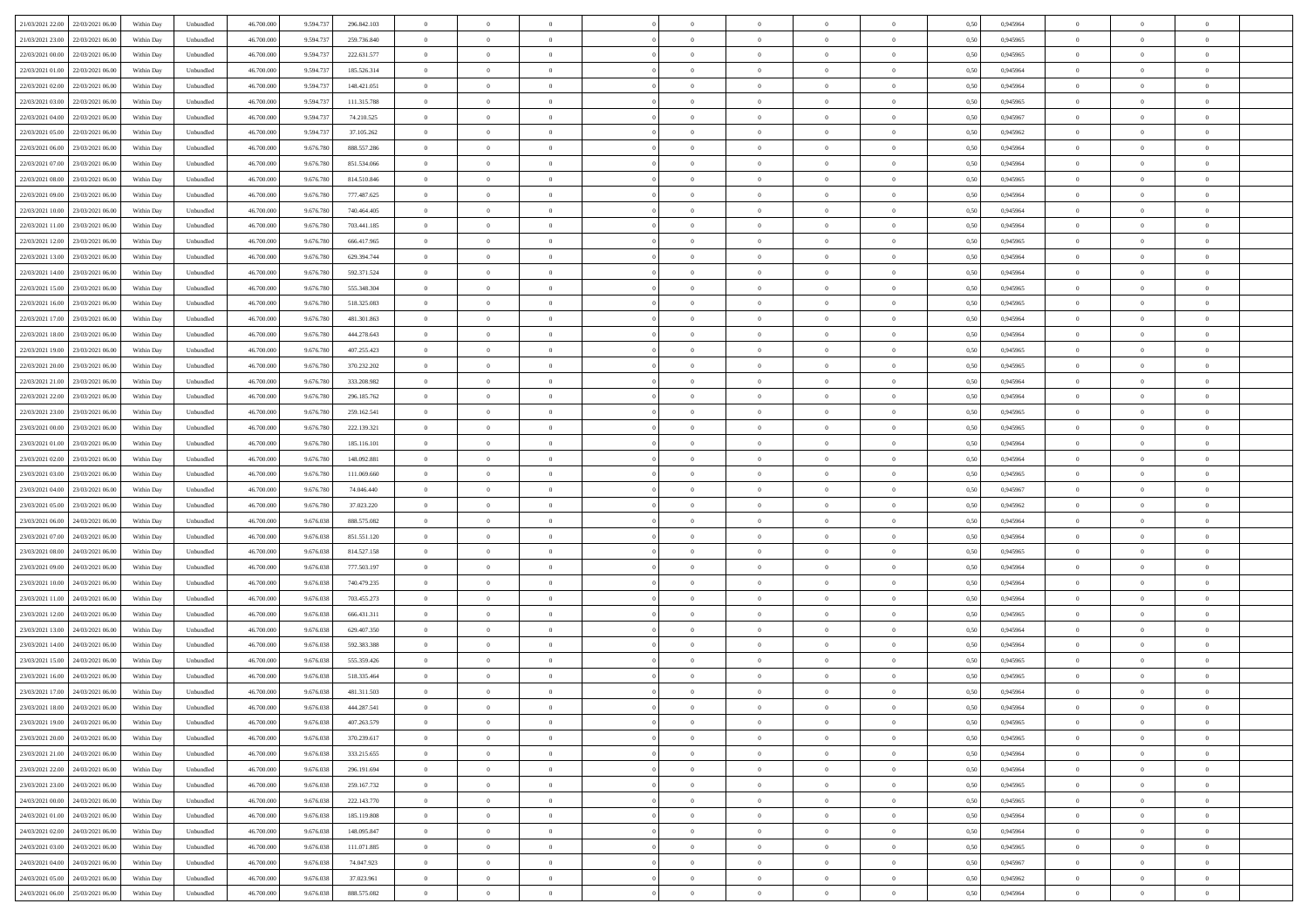|                                              |            |                   |            |           |             | $\overline{0}$ | $\theta$       |                | $\overline{0}$ | $\theta$       |                | $\theta$       |      |          | $\theta$       | $\theta$       | $\overline{0}$ |  |
|----------------------------------------------|------------|-------------------|------------|-----------|-------------|----------------|----------------|----------------|----------------|----------------|----------------|----------------|------|----------|----------------|----------------|----------------|--|
| 21/03/2021 22:00 22/03/2021 06:00            | Within Day | Unbundled         | 46.700.000 | 9.594.737 | 296.842.103 |                |                |                |                |                |                |                | 0,50 | 0,945964 |                |                |                |  |
| 21/03/2021 23:00<br>22/03/2021 06.00         | Within Day | Unbundled         | 46.700.00  | 9.594.73  | 259.736.840 | $\bf{0}$       | $\overline{0}$ | $\bf{0}$       | $\overline{0}$ | $\bf{0}$       | $\overline{0}$ | $\bf{0}$       | 0,50 | 0,945965 | $\,$ 0 $\,$    | $\bf{0}$       | $\overline{0}$ |  |
| 22/03/2021 00:00<br>22/03/2021 06:00         | Within Day | Unbundled         | 46,700,000 | 9.594.73  | 222.631.577 | $\overline{0}$ | $\bf{0}$       | $\overline{0}$ | $\bf{0}$       | $\bf{0}$       | $\overline{0}$ | $\bf{0}$       | 0.50 | 0.945965 | $\bf{0}$       | $\overline{0}$ | $\overline{0}$ |  |
| 22/03/2021 01:00<br>22/03/2021 06:00         | Within Day | Unbundled         | 46.700.000 | 9.594.737 | 185.526.314 | $\overline{0}$ | $\overline{0}$ | $\overline{0}$ | $\theta$       | $\theta$       | $\overline{0}$ | $\bf{0}$       | 0,50 | 0,945964 | $\theta$       | $\theta$       | $\overline{0}$ |  |
| 22/03/2021 02:00<br>22/03/2021 06.00         | Within Day | Unbundled         | 46.700.00  | 9.594.73  | 148.421.051 | $\bf{0}$       | $\overline{0}$ | $\bf{0}$       | $\overline{0}$ | $\theta$       | $\overline{0}$ | $\bf{0}$       | 0,50 | 0,945964 | $\,$ 0 $\,$    | $\bf{0}$       | $\overline{0}$ |  |
|                                              |            |                   |            |           |             |                |                |                |                |                |                |                |      |          |                |                |                |  |
| 22/03/2021 03:00<br>22/03/2021 06:00         | Within Day | Unbundled         | 46,700,000 | 9.594.73  | 111.315.788 | $\overline{0}$ | $\overline{0}$ | $\overline{0}$ | $\bf{0}$       | $\overline{0}$ | $\theta$       | $\bf{0}$       | 0.50 | 0.945965 | $\bf{0}$       | $\theta$       | $\overline{0}$ |  |
| 22/03/2021 04:00<br>22/03/2021 06:00         | Within Day | Unbundled         | 46.700.000 | 9.594.737 | 74.210.525  | $\overline{0}$ | $\overline{0}$ | $\overline{0}$ | $\overline{0}$ | $\overline{0}$ | $\overline{0}$ | $\bf{0}$       | 0,50 | 0,945967 | $\theta$       | $\theta$       | $\overline{0}$ |  |
| 22/03/2021 05:00<br>22/03/2021 06.00         | Within Day | Unbundled         | 46.700.00  | 9.594.73  | 37.105.262  | $\bf{0}$       | $\overline{0}$ | $\overline{0}$ | $\overline{0}$ | $\overline{0}$ | $\overline{0}$ | $\bf{0}$       | 0,50 | 0,945962 | $\,$ 0 $\,$    | $\bf{0}$       | $\overline{0}$ |  |
| 22/03/2021 06:00<br>23/03/2021 06:00         | Within Day | Unbundled         | 46,700,000 | 9.676.780 | 888,557,286 | $\overline{0}$ | $\bf{0}$       | $\overline{0}$ | $\bf{0}$       | $\overline{0}$ | $\overline{0}$ | $\bf{0}$       | 0.50 | 0.945964 | $\bf{0}$       | $\overline{0}$ | $\overline{0}$ |  |
| 22/03/2021 07:00<br>23/03/2021 06:00         | Within Day | Unbundled         | 46.700.000 | 9.676.780 | 851.534.066 | $\bf{0}$       | $\bf{0}$       | $\overline{0}$ | $\overline{0}$ | $\overline{0}$ | $\overline{0}$ | $\bf{0}$       | 0,50 | 0,945964 | $\,$ 0 $\,$    | $\bf{0}$       | $\overline{0}$ |  |
| 22/03/2021 08:00<br>23/03/2021 06.00         | Within Day | Unbundled         | 46.700.00  | 9.676.78  | 814.510.846 | $\bf{0}$       | $\overline{0}$ | $\bf{0}$       | $\bf{0}$       | $\bf{0}$       | $\overline{0}$ | $\bf{0}$       | 0,50 | 0,945965 | $\,$ 0 $\,$    | $\bf{0}$       | $\overline{0}$ |  |
| 22/03/2021 09:00<br>23/03/2021 06:00         | Within Day | Unbundled         | 46,700,000 | 9.676.780 | 777.487.625 | $\overline{0}$ | $\bf{0}$       | $\overline{0}$ | $\bf{0}$       | $\bf{0}$       | $\overline{0}$ | $\bf{0}$       | 0.50 | 0.945964 | $\bf{0}$       | $\overline{0}$ | $\bf{0}$       |  |
|                                              |            |                   |            |           |             |                |                |                |                |                |                |                |      |          |                |                |                |  |
| 22/03/2021 10:00<br>23/03/2021 06:00         | Within Day | Unbundled         | 46.700.000 | 9.676.780 | 740.464.405 | $\overline{0}$ | $\overline{0}$ | $\overline{0}$ | $\overline{0}$ | $\theta$       | $\overline{0}$ | $\bf{0}$       | 0,50 | 0,945964 | $\,$ 0 $\,$    | $\theta$       | $\overline{0}$ |  |
| 22/03/2021 11:00<br>23/03/2021 06:00         | Within Day | Unbundled         | 46.700.00  | 9.676.78  | 703.441.185 | $\bf{0}$       | $\theta$       | $\bf{0}$       | $\bf{0}$       | $\bf{0}$       | $\overline{0}$ | $\bf{0}$       | 0,50 | 0,945964 | $\,$ 0 $\,$    | $\bf{0}$       | $\overline{0}$ |  |
| 22/03/2021 12:00<br>23/03/2021 06:00         | Within Day | Unbundled         | 46,700,000 | 9.676.780 | 666.417.965 | $\overline{0}$ | $\overline{0}$ | $\overline{0}$ | $\bf{0}$       | $\bf{0}$       | $\Omega$       | $\bf{0}$       | 0.50 | 0.945965 | $\,$ 0 $\,$    | $\theta$       | $\overline{0}$ |  |
| 22/03/2021 13:00<br>23/03/2021 06:00         | Within Day | Unbundled         | 46.700.000 | 9.676.780 | 629.394.744 | $\overline{0}$ | $\overline{0}$ | $\overline{0}$ | $\overline{0}$ | $\overline{0}$ | $\overline{0}$ | $\bf{0}$       | 0,50 | 0,945964 | $\theta$       | $\theta$       | $\overline{0}$ |  |
| 22/03/2021 14:00<br>23/03/2021 06.00         | Within Day | Unbundled         | 46.700.00  | 9.676.78  | 592.371.524 | $\bf{0}$       | $\overline{0}$ | $\overline{0}$ | $\overline{0}$ | $\bf{0}$       | $\overline{0}$ | $\bf{0}$       | 0,50 | 0,945964 | $\,$ 0 $\,$    | $\bf{0}$       | $\overline{0}$ |  |
| 22/03/2021 15:00<br>23/03/2021 06:00         | Within Day | Unbundled         | 46,700,000 | 9.676.78  | 555.348.304 | $\overline{0}$ | $\bf{0}$       | $\overline{0}$ | $\bf{0}$       | $\overline{0}$ | $\overline{0}$ | $\bf{0}$       | 0.50 | 0.945965 | $\bf{0}$       | $\overline{0}$ | $\overline{0}$ |  |
| 22/03/2021 16:00<br>23/03/2021 06:00         | Within Day | Unbundled         | 46.700.000 | 9.676.780 | 518.325.083 | $\bf{0}$       | $\overline{0}$ | $\overline{0}$ | $\overline{0}$ | $\overline{0}$ | $\overline{0}$ | $\bf{0}$       | 0,50 | 0,945965 | $\,$ 0 $\,$    | $\bf{0}$       | $\overline{0}$ |  |
|                                              |            |                   |            |           |             |                |                |                |                |                |                |                |      |          |                |                |                |  |
| 22/03/2021 17:00<br>23/03/2021 06.00         | Within Day | Unbundled         | 46.700.00  | 9.676.78  | 481.301.863 | $\bf{0}$       | $\overline{0}$ | $\bf{0}$       | $\bf{0}$       | $\overline{0}$ | $\overline{0}$ | $\bf{0}$       | 0,50 | 0,945964 | $\,$ 0 $\,$    | $\bf{0}$       | $\overline{0}$ |  |
| 22/03/2021 18:00<br>23/03/2021 06:00         | Within Day | Unbundled         | 46,700,000 | 9.676.780 | 444.278.643 | $\overline{0}$ | $\bf{0}$       | $\overline{0}$ | $\bf{0}$       | $\bf{0}$       | $\overline{0}$ | $\bf{0}$       | 0.50 | 0.945964 | $\bf{0}$       | $\overline{0}$ | $\bf{0}$       |  |
| 22/03/2021 19:00<br>23/03/2021 06:00         | Within Day | Unbundled         | 46.700.000 | 9.676.780 | 407.255.423 | $\overline{0}$ | $\overline{0}$ | $\overline{0}$ | $\theta$       | $\theta$       | $\overline{0}$ | $\bf{0}$       | 0,50 | 0,945965 | $\theta$       | $\theta$       | $\overline{0}$ |  |
| 22/03/2021 20:00<br>23/03/2021 06.00         | Within Day | Unbundled         | 46.700.00  | 9.676.78  | 370.232.202 | $\bf{0}$       | $\overline{0}$ | $\bf{0}$       | $\bf{0}$       | $\bf{0}$       | $\overline{0}$ | $\bf{0}$       | 0,50 | 0,945965 | $\,$ 0 $\,$    | $\bf{0}$       | $\overline{0}$ |  |
| 22/03/2021 21:00<br>23/03/2021 06:00         | Within Day | Unbundled         | 46,700,000 | 9.676.78  | 333.208.982 | $\overline{0}$ | $\overline{0}$ | $\overline{0}$ | $\overline{0}$ | $\overline{0}$ | $\Omega$       | $\bf{0}$       | 0.50 | 0.945964 | $\bf{0}$       | $\theta$       | $\overline{0}$ |  |
| 22/03/2021 22:00<br>23/03/2021 06:00         | Within Day | Unbundled         | 46.700.000 | 9.676.780 | 296.185.762 | $\overline{0}$ | $\overline{0}$ | $\overline{0}$ | $\overline{0}$ | $\overline{0}$ | $\overline{0}$ | $\bf{0}$       | 0,50 | 0,945964 | $\theta$       | $\theta$       | $\overline{0}$ |  |
| 22/03/2021 23:00<br>23/03/2021 06.00         | Within Day | Unbundled         | 46.700.00  | 9.676.78  | 259.162.541 | $\bf{0}$       | $\theta$       | $\bf{0}$       | $\overline{0}$ | $\bf{0}$       | $\overline{0}$ | $\bf{0}$       | 0,50 | 0,945965 | $\,$ 0 $\,$    | $\bf{0}$       | $\overline{0}$ |  |
| 23/03/2021 00:00<br>23/03/2021 06:00         | Within Day | Unbundled         | 46,700,000 | 9.676.78  | 222.139.321 | $\overline{0}$ | $\bf{0}$       | $\overline{0}$ | $\bf{0}$       | $\overline{0}$ | $\overline{0}$ | $\bf{0}$       | 0.50 | 0.945965 | $\bf{0}$       | $\overline{0}$ | $\overline{0}$ |  |
| 23/03/2021 01:00<br>23/03/2021 06:00         | Within Day | Unbundled         | 46.700.000 | 9.676.780 | 185.116.101 | $\overline{0}$ | $\overline{0}$ | $\overline{0}$ | $\overline{0}$ | $\overline{0}$ | $\overline{0}$ | $\bf{0}$       | 0,50 | 0,945964 | $\theta$       | $\theta$       | $\overline{0}$ |  |
|                                              |            |                   |            |           |             |                |                |                |                |                |                |                |      |          |                |                |                |  |
| 23/03/2021 02:00<br>23/03/2021 06.00         | Within Day | Unbundled         | 46.700.00  | 9.676.78  | 148.092.881 | $\bf{0}$       | $\bf{0}$       | $\bf{0}$       | $\bf{0}$       | $\overline{0}$ | $\overline{0}$ | $\bf{0}$       | 0,50 | 0,945964 | $\,$ 0 $\,$    | $\bf{0}$       | $\overline{0}$ |  |
| 23/03/2021 03:00<br>23/03/2021 06:00         | Within Day | Unbundled         | 46,700,000 | 9.676.780 | 111.069.660 | $\overline{0}$ | $\bf{0}$       | $\overline{0}$ | $\bf{0}$       | $\bf{0}$       | $\overline{0}$ | $\bf{0}$       | 0.50 | 0.945965 | $\bf{0}$       | $\overline{0}$ | $\overline{0}$ |  |
| 23/03/2021 04:00<br>23/03/2021 06:00         | Within Day | Unbundled         | 46.700.000 | 9.676.78  | 74,046,440  | $\overline{0}$ | $\overline{0}$ | $\overline{0}$ | $\overline{0}$ | $\overline{0}$ | $\overline{0}$ | $\bf{0}$       | 0.5( | 0.945967 | $\theta$       | $\theta$       | $\overline{0}$ |  |
| 23/03/2021 05:00<br>23/03/2021 06.00         | Within Day | Unbundled         | 46.700.00  | 9.676.78  | 37.023.220  | $\bf{0}$       | $\overline{0}$ | $\bf{0}$       | $\bf{0}$       | $\,$ 0 $\,$    | $\overline{0}$ | $\bf{0}$       | 0,50 | 0,945962 | $\,$ 0 $\,$    | $\bf{0}$       | $\overline{0}$ |  |
| 23/03/2021 06:00<br>24/03/2021 06:00         | Within Day | Unbundled         | 46,700,000 | 9.676.038 | 888.575.082 | $\overline{0}$ | $\overline{0}$ | $\overline{0}$ | $\bf{0}$       | $\overline{0}$ | $\overline{0}$ | $\bf{0}$       | 0.50 | 0.945964 | $\,$ 0 $\,$    | $\theta$       | $\overline{0}$ |  |
| 23/03/2021 07:00<br>24/03/2021 06:00         | Within Dav | Unbundled         | 46.700.000 | 9.676.038 | 851.551.120 | $\overline{0}$ | $\overline{0}$ | $\overline{0}$ | $\overline{0}$ | $\overline{0}$ | $\overline{0}$ | $\overline{0}$ | 0.50 | 0,945964 | $\theta$       | $\theta$       | $\overline{0}$ |  |
| 23/03/2021 08:00<br>24/03/2021 06.00         | Within Day | Unbundled         | 46.700.00  | 9.676.038 | 814.527.158 | $\bf{0}$       | $\overline{0}$ | $\bf{0}$       | $\bf{0}$       | $\bf{0}$       | $\overline{0}$ | $\bf{0}$       | 0,50 | 0,945965 | $\,$ 0 $\,$    | $\bf{0}$       | $\overline{0}$ |  |
| 23/03/2021 09:00<br>24/03/2021 06:00         | Within Day | Unbundled         | 46,700,000 | 9.676.038 | 777.503.197 | $\overline{0}$ | $\bf{0}$       | $\overline{0}$ | $\bf{0}$       | $\overline{0}$ | $\overline{0}$ | $\bf{0}$       | 0.50 | 0.945964 | $\bf{0}$       | $\overline{0}$ | $\overline{0}$ |  |
|                                              |            |                   |            |           |             |                |                |                |                |                |                |                |      |          |                |                |                |  |
| 23/03/2021 10:00<br>24/03/2021 06:00         | Within Day | Unbundled         | 46.700.000 | 9.676.038 | 740.479.235 | $\overline{0}$ | $\overline{0}$ | $\overline{0}$ | $\overline{0}$ | $\overline{0}$ | $\overline{0}$ | $\overline{0}$ | 0.50 | 0,945964 | $\theta$       | $\theta$       | $\overline{0}$ |  |
| 23/03/2021 11:00<br>24/03/2021 06.00         | Within Day | Unbundled         | 46.700.00  | 9.676.038 | 703.455.273 | $\bf{0}$       | $\bf{0}$       | $\bf{0}$       | $\bf{0}$       | $\overline{0}$ | $\overline{0}$ | $\bf{0}$       | 0,50 | 0,945964 | $\,$ 0 $\,$    | $\bf{0}$       | $\overline{0}$ |  |
| 23/03/2021 12:00<br>24/03/2021 06:00         | Within Day | Unbundled         | 46,700,000 | 9.676.038 | 666.431.311 | $\overline{0}$ | $\bf{0}$       | $\overline{0}$ | $\bf{0}$       | $\bf{0}$       | $\overline{0}$ | $\bf{0}$       | 0.50 | 0.945965 | $\bf{0}$       | $\overline{0}$ | $\overline{0}$ |  |
| 23/03/2021 13:00<br>24/03/2021 06:00         | Within Day | Unbundled         | 46.700.000 | 9.676.038 | 629.407.350 | $\overline{0}$ | $\overline{0}$ | $\overline{0}$ | $\overline{0}$ | $\overline{0}$ | $\overline{0}$ | $\bf{0}$       | 0.50 | 0.945964 | $\theta$       | $\theta$       | $\overline{0}$ |  |
| 23/03/2021 14:00<br>24/03/2021 06.00         | Within Day | Unbundled         | 46.700.00  | 9.676.038 | 592.383.388 | $\bf{0}$       | $\overline{0}$ | $\bf{0}$       | $\bf{0}$       | $\overline{0}$ | $\overline{0}$ | $\bf{0}$       | 0,50 | 0,945964 | $\,$ 0 $\,$    | $\bf{0}$       | $\overline{0}$ |  |
| 23/03/2021 15:00<br>24/03/2021 06:00         | Within Day | Unbundled         | 46,700,000 | 9.676.038 | 555.359.426 | $\overline{0}$ | $\overline{0}$ | $\Omega$       | $\overline{0}$ | $\overline{0}$ | $\Omega$       | $\bf{0}$       | 0.50 | 0.945965 | $\bf{0}$       | $\theta$       | $\overline{0}$ |  |
| 23/03/2021 16:00<br>24/03/2021 06:00         | Within Dav | Unbundled         | 46.700.000 | 9.676.038 | 518.335.464 | $\overline{0}$ | $\overline{0}$ | $\Omega$       | $\overline{0}$ | $\theta$       | $\Omega$       | $\overline{0}$ | 0.5( | 0,945965 | $\theta$       | $\theta$       | $\overline{0}$ |  |
| 23/03/2021 17:00<br>24/03/2021 06:00         | Within Day | Unbundled         | 46.700.000 | 9.676.038 | 481.311.503 | $\bf{0}$       | $\bf{0}$       | $\overline{0}$ | $\bf{0}$       | $\bf{0}$       | $\overline{0}$ | $\bf{0}$       | 0,50 | 0,945964 | $\,$ 0 $\,$    | $\bf{0}$       | $\overline{0}$ |  |
| $23/03/2021\ 18.00 \qquad 24/03/2021\ 06.00$ | Within Day | ${\sf Unbundred}$ | 46.700.000 | 9.676.038 | 444.287.541 | $\bf{0}$       | $\theta$       |                | $\overline{0}$ |                |                |                | 0,50 | 0.945964 | $\bf{0}$       | $\bf{0}$       |                |  |
|                                              |            |                   |            |           |             |                |                |                |                |                |                |                |      |          |                |                |                |  |
| 23/03/2021 19:00 24/03/2021 06:00            | Within Day | Unbundled         | 46.700.000 | 9.676.038 | 407.263.579 | $\overline{0}$ | $\theta$       | $\Omega$       | $\theta$       | $\overline{0}$ | $\overline{0}$ | $\bf{0}$       | 0,50 | 0,945965 | $\theta$       | $\theta$       | $\overline{0}$ |  |
| 23/03/2021 20:00<br>24/03/2021 06:00         | Within Day | Unbundled         | 46.700.00  | 9.676.038 | 370.239.617 | $\overline{0}$ | $\bf{0}$       | $\overline{0}$ | $\overline{0}$ | $\bf{0}$       | $\overline{0}$ | $\bf{0}$       | 0,50 | 0,945965 | $\bf{0}$       | $\overline{0}$ | $\bf{0}$       |  |
| 23/03/2021 21:00 24/03/2021 06:00            | Within Day | Unbundled         | 46.700.000 | 9.676.038 | 333.215.655 | $\overline{0}$ | $\bf{0}$       | $\overline{0}$ | $\overline{0}$ | $\overline{0}$ | $\overline{0}$ | $\bf{0}$       | 0.50 | 0.945964 | $\overline{0}$ | $\bf{0}$       | $\,$ 0 $\,$    |  |
| 23/03/2021 22:00 24/03/2021 06:00            | Within Day | Unbundled         | 46.700.000 | 9.676.038 | 296.191.694 | $\overline{0}$ | $\overline{0}$ | $\overline{0}$ | $\overline{0}$ | $\overline{0}$ | $\overline{0}$ | $\bf{0}$       | 0,50 | 0,945964 | $\theta$       | $\theta$       | $\overline{0}$ |  |
| 23/03/2021 23:00<br>24/03/2021 06:00         | Within Day | Unbundled         | 46.700.000 | 9.676.038 | 259.167.732 | $\overline{0}$ | $\bf{0}$       | $\overline{0}$ | $\bf{0}$       | $\overline{0}$ | $\bf{0}$       | $\bf{0}$       | 0,50 | 0,945965 | $\overline{0}$ | $\bf{0}$       | $\overline{0}$ |  |
| 24/03/2021 00:00<br>24/03/2021 06:00         | Within Day | Unbundled         | 46,700,000 | 9.676.038 | 222.143.770 | $\overline{0}$ | $\bf{0}$       | $\overline{0}$ | $\overline{0}$ | $\overline{0}$ | $\overline{0}$ | $\bf{0}$       | 0.50 | 0.945965 | $\,$ 0 $\,$    | $\theta$       | $\,$ 0         |  |
| 24/03/2021 01:00<br>24/03/2021 06:00         | Within Dav | Unbundled         | 46.700.000 | 9.676.038 | 185.119.808 | $\overline{0}$ | $\overline{0}$ | $\overline{0}$ | $\overline{0}$ | $\overline{0}$ | $\overline{0}$ | $\bf{0}$       | 0.50 | 0,945964 | $\overline{0}$ | $\theta$       | $\overline{0}$ |  |
|                                              |            |                   |            |           |             |                |                |                |                |                |                |                |      |          |                |                |                |  |
| 24/03/2021 02:00<br>24/03/2021 06:00         | Within Day | Unbundled         | 46.700.000 | 9.676.038 | 148.095.847 | $\overline{0}$ | $\overline{0}$ | $\overline{0}$ | $\overline{0}$ | $\overline{0}$ | $\overline{0}$ | $\bf{0}$       | 0,50 | 0,945964 | $\bf{0}$       | $\overline{0}$ | $\overline{0}$ |  |
| 24/03/2021 03:00 24/03/2021 06:00            | Within Day | Unbundled         | 46,700,000 | 9.676.038 | 111.071.885 | $\overline{0}$ | $\overline{0}$ | $\overline{0}$ | $\overline{0}$ | $\bf{0}$       | $\overline{0}$ | $\bf{0}$       | 0.50 | 0.945965 | $\overline{0}$ | $\,$ 0 $\,$    | $\,$ 0         |  |
| 24/03/2021 04:00 24/03/2021 06:00            | Within Dav | Unbundled         | 46.700.000 | 9.676.038 | 74.047.923  | $\overline{0}$ | $\overline{0}$ | $\overline{0}$ | $\overline{0}$ | $\overline{0}$ | $\overline{0}$ | $\bf{0}$       | 0,50 | 0,945967 | $\overline{0}$ | $\theta$       | $\overline{0}$ |  |
| 24/03/2021 05:00<br>24/03/2021 06.00         | Within Day | Unbundled         | 46.700.00  | 9.676.038 | 37.023.961  | $\overline{0}$ | $\bf{0}$       | $\overline{0}$ | $\bf{0}$       | $\overline{0}$ | $\bf{0}$       | $\bf{0}$       | 0,50 | 0,945962 | $\bf{0}$       | $\bf{0}$       | $\overline{0}$ |  |
| 24/03/2021 06:00 25/03/2021 06:00            | Within Day | Unbundled         | 46.700.000 | 9.676.038 | 888.575.082 | $\overline{0}$ | $\bf{0}$       | $\overline{0}$ | $\overline{0}$ | $\,$ 0 $\,$    | $\overline{0}$ | $\bf{0}$       | 0,50 | 0,945964 | $\overline{0}$ | $\,$ 0 $\,$    | $\,$ 0 $\,$    |  |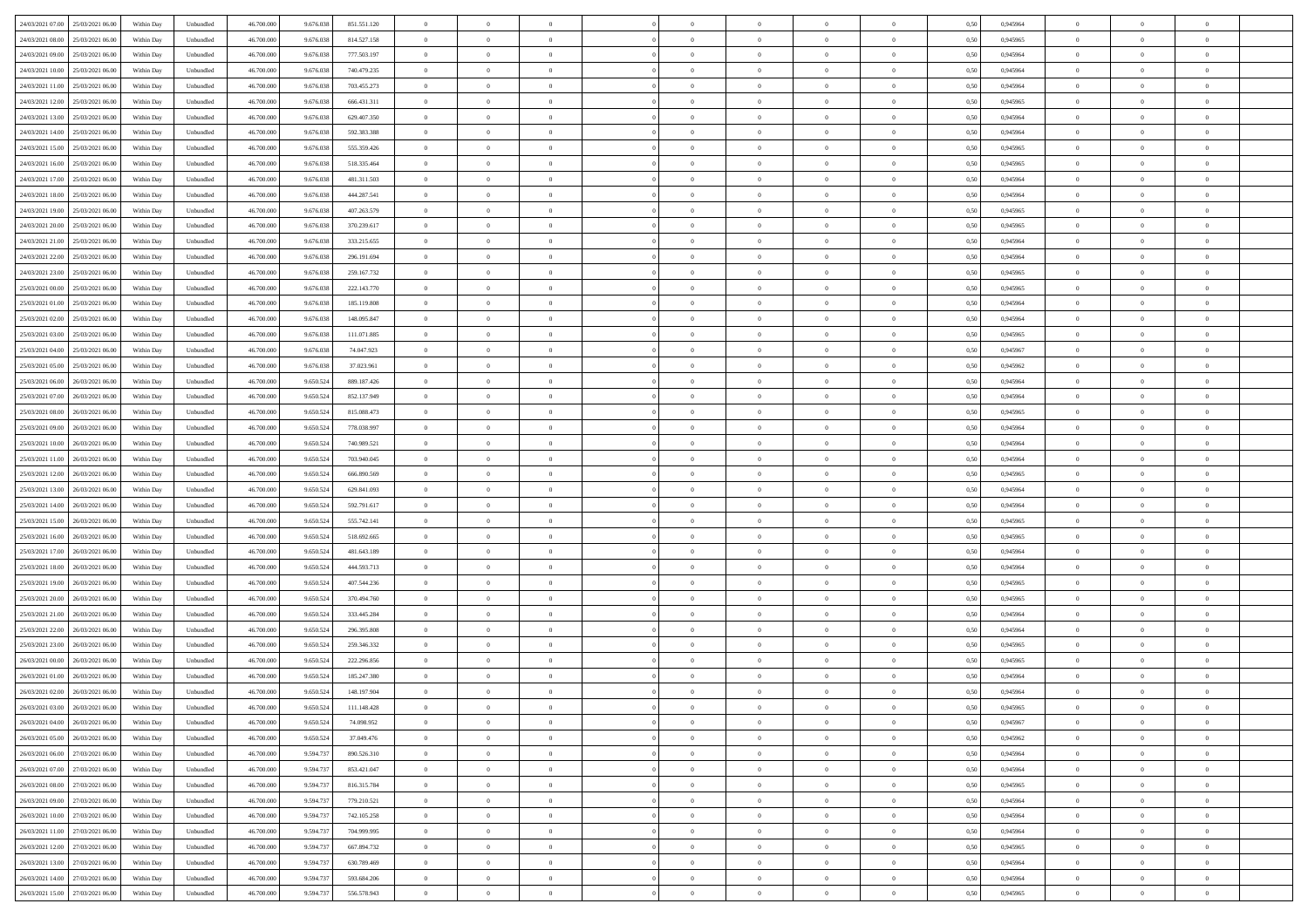| 24/03/2021 07:00 25/03/2021 06:00            | Within Day | Unbundled                   | 46.700.000 | 9.676.038 | 851.551.120 | $\overline{0}$ | $\theta$       |                | $\overline{0}$ | $\theta$       |                | $\theta$       | 0,50 | 0,945964 | $\theta$       | $\theta$       | $\overline{0}$ |  |
|----------------------------------------------|------------|-----------------------------|------------|-----------|-------------|----------------|----------------|----------------|----------------|----------------|----------------|----------------|------|----------|----------------|----------------|----------------|--|
|                                              |            |                             |            |           |             |                |                |                |                |                |                |                |      |          |                |                |                |  |
| 24/03/2021 08:00<br>25/03/2021 06.00         | Within Day | Unbundled                   | 46.700.00  | 9.676.03  | 814.527.158 | $\bf{0}$       | $\overline{0}$ | $\bf{0}$       | $\overline{0}$ | $\bf{0}$       | $\overline{0}$ | $\bf{0}$       | 0,50 | 0,945965 | $\,$ 0 $\,$    | $\bf{0}$       | $\overline{0}$ |  |
| 24/03/2021 09:00<br>25/03/2021 06:00         | Within Day | Unbundled                   | 46,700,000 | 9.676.038 | 777.503.197 | $\overline{0}$ | $\overline{0}$ | $\overline{0}$ | $\bf{0}$       | $\bf{0}$       | $\overline{0}$ | $\bf{0}$       | 0.50 | 0.945964 | $\bf{0}$       | $\overline{0}$ | $\overline{0}$ |  |
| 24/03/2021 10:00<br>25/03/2021 06:00         | Within Day | Unbundled                   | 46.700.000 | 9.676.038 | 740.479.235 | $\overline{0}$ | $\overline{0}$ | $\overline{0}$ | $\theta$       | $\theta$       | $\overline{0}$ | $\bf{0}$       | 0,50 | 0,945964 | $\theta$       | $\theta$       | $\overline{0}$ |  |
|                                              |            |                             |            |           |             |                |                |                |                |                |                |                |      |          |                |                |                |  |
| 24/03/2021 11:00<br>25/03/2021 06.00         | Within Day | Unbundled                   | 46.700.00  | 9.676.038 | 703.455.273 | $\overline{0}$ | $\overline{0}$ | $\overline{0}$ | $\overline{0}$ | $\theta$       | $\overline{0}$ | $\bf{0}$       | 0,50 | 0,945964 | $\,$ 0 $\,$    | $\bf{0}$       | $\overline{0}$ |  |
| 24/03/2021 12:00<br>25/03/2021 06:00         | Within Day | Unbundled                   | 46,700,000 | 9.676.038 | 666,431,311 | $\overline{0}$ | $\overline{0}$ | $\overline{0}$ | $\overline{0}$ | $\overline{0}$ | $\Omega$       | $\bf{0}$       | 0.50 | 0.945965 | $\bf{0}$       | $\theta$       | $\overline{0}$ |  |
| 24/03/2021 13:00<br>25/03/2021 06:00         | Within Day | Unbundled                   | 46.700.000 | 9.676.038 | 629.407.350 | $\overline{0}$ | $\overline{0}$ | $\overline{0}$ | $\overline{0}$ | $\overline{0}$ | $\overline{0}$ | $\bf{0}$       | 0,50 | 0,945964 | $\theta$       | $\theta$       | $\overline{0}$ |  |
| 24/03/2021 14:00<br>25/03/2021 06.00         | Within Day | Unbundled                   | 46.700.00  | 9.676.038 | 592.383.388 | $\bf{0}$       | $\overline{0}$ | $\overline{0}$ | $\overline{0}$ | $\theta$       | $\overline{0}$ | $\bf{0}$       | 0,50 | 0,945964 | $\,$ 0 $\,$    | $\bf{0}$       | $\overline{0}$ |  |
| 24/03/2021 15:00<br>25/03/2021 06:00         |            | Unbundled                   | 46 700 000 | 9.676.038 | 555.359.426 | $\overline{0}$ | $\overline{0}$ | $\overline{0}$ |                | $\overline{0}$ | $\overline{0}$ |                | 0.50 | 0.945965 | $\bf{0}$       | $\theta$       | $\overline{0}$ |  |
|                                              | Within Day |                             |            |           |             |                |                |                | $\bf{0}$       |                |                | $\bf{0}$       |      |          |                |                |                |  |
| 24/03/2021 16:00<br>25/03/2021 06:00         | Within Day | Unbundled                   | 46.700.000 | 9.676.038 | 518.335.464 | $\overline{0}$ | $\bf{0}$       | $\overline{0}$ | $\overline{0}$ | $\theta$       | $\overline{0}$ | $\bf{0}$       | 0,50 | 0,945965 | $\,$ 0 $\,$    | $\theta$       | $\overline{0}$ |  |
| 24/03/2021 17:00<br>25/03/2021 06.00         | Within Day | Unbundled                   | 46.700.00  | 9.676.038 | 481.311.503 | $\bf{0}$       | $\overline{0}$ | $\bf{0}$       | $\bf{0}$       | $\bf{0}$       | $\overline{0}$ | $\bf{0}$       | 0,50 | 0,945964 | $\,$ 0 $\,$    | $\bf{0}$       | $\overline{0}$ |  |
| 24/03/2021 18:00<br>25/03/2021 06:00         | Within Day | Unbundled                   | 46,700,000 | 9.676.038 | 444.287.541 | $\overline{0}$ | $\overline{0}$ | $\overline{0}$ | $\bf{0}$       | $\bf{0}$       | $\overline{0}$ | $\bf{0}$       | 0.50 | 0.945964 | $\bf{0}$       | $\overline{0}$ | $\overline{0}$ |  |
| 24/03/2021 19:00<br>25/03/2021 06:00         | Within Day | Unbundled                   | 46.700.000 | 9.676.038 | 407.263.579 | $\overline{0}$ | $\overline{0}$ | $\overline{0}$ | $\overline{0}$ | $\theta$       | $\overline{0}$ | $\overline{0}$ | 0,50 | 0,945965 | $\theta$       | $\theta$       | $\overline{0}$ |  |
|                                              |            |                             |            |           |             |                | $\theta$       |                | $\overline{0}$ | $\theta$       | $\overline{0}$ | $\bf{0}$       |      |          | $\,$ 0 $\,$    | $\bf{0}$       | $\overline{0}$ |  |
| 24/03/2021 20:00<br>25/03/2021 06.00         | Within Day | Unbundled                   | 46.700.00  | 9.676.03  | 370.239.617 | $\bf{0}$       |                | $\bf{0}$       |                |                |                |                | 0,50 | 0,945965 |                |                |                |  |
| 24/03/2021 21:00<br>25/03/2021 06:00         | Within Day | Unbundled                   | 46,700,000 | 9.676.038 | 333.215.655 | $\overline{0}$ | $\overline{0}$ | $\overline{0}$ | $\bf{0}$       | $\theta$       | $\theta$       | $\bf{0}$       | 0.50 | 0.945964 | $\theta$       | $\theta$       | $\overline{0}$ |  |
| 24/03/2021 22:00<br>25/03/2021 06:00         | Within Day | Unbundled                   | 46.700.000 | 9.676.038 | 296.191.694 | $\overline{0}$ | $\overline{0}$ | $\overline{0}$ | $\overline{0}$ | $\overline{0}$ | $\overline{0}$ | $\bf{0}$       | 0,50 | 0,945964 | $\theta$       | $\theta$       | $\overline{0}$ |  |
| 24/03/2021 23:00<br>25/03/2021 06.00         | Within Day | Unbundled                   | 46.700.00  | 9.676.038 | 259.167.732 | $\bf{0}$       | $\overline{0}$ | $\overline{0}$ | $\overline{0}$ | $\theta$       | $\overline{0}$ | $\bf{0}$       | 0,50 | 0,945965 | $\,$ 0 $\,$    | $\bf{0}$       | $\overline{0}$ |  |
| 25/03/2021 00:00<br>25/03/2021 06:00         | Within Day | Unbundled                   | 46 700 000 | 9.676.038 | 222.143.770 | $\overline{0}$ | $\overline{0}$ | $\overline{0}$ | $\bf{0}$       | $\overline{0}$ | $\overline{0}$ | $\bf{0}$       | 0.50 | 0.945965 | $\bf{0}$       | $\overline{0}$ | $\overline{0}$ |  |
|                                              |            |                             |            |           |             | $\overline{0}$ | $\overline{0}$ | $\overline{0}$ | $\overline{0}$ | $\overline{0}$ | $\overline{0}$ |                |      |          | $\,$ 0 $\,$    | $\theta$       | $\overline{0}$ |  |
| 25/03/2021 01:00<br>25/03/2021 06:00         | Within Day | Unbundled                   | 46.700.000 | 9.676.038 | 185.119.808 |                |                |                |                |                |                | $\bf{0}$       | 0,50 | 0,945964 |                |                |                |  |
| 25/03/2021 02:00<br>25/03/2021 06.00         | Within Day | Unbundled                   | 46.700.00  | 9.676.038 | 148.095.847 | $\bf{0}$       | $\overline{0}$ | $\bf{0}$       | $\bf{0}$       | $\overline{0}$ | $\overline{0}$ | $\bf{0}$       | 0,50 | 0,945964 | $\,$ 0 $\,$    | $\bf{0}$       | $\overline{0}$ |  |
| 25/03/2021 03:00<br>25/03/2021 06:00         | Within Day | Unbundled                   | 46,700,000 | 9.676.038 | 111.071.885 | $\overline{0}$ | $\bf{0}$       | $\overline{0}$ | $\bf{0}$       | $\bf{0}$       | $\overline{0}$ | $\bf{0}$       | 0.50 | 0.945965 | $\bf{0}$       | $\overline{0}$ | $\overline{0}$ |  |
| 25/03/2021 04:00<br>25/03/2021 06:00         | Within Day | Unbundled                   | 46.700.000 | 9.676.038 | 74.047.923  | $\overline{0}$ | $\overline{0}$ | $\overline{0}$ | $\theta$       | $\theta$       | $\overline{0}$ | $\bf{0}$       | 0,50 | 0,945967 | $\theta$       | $\theta$       | $\overline{0}$ |  |
| 25/03/2021 05:00<br>25/03/2021 06.00         | Within Day | Unbundled                   | 46.700.00  | 9.676.038 | 37.023.961  | $\bf{0}$       | $\overline{0}$ | $\bf{0}$       | $\bf{0}$       | $\theta$       | $\overline{0}$ | $\bf{0}$       | 0,50 | 0,945962 | $\,$ 0 $\,$    | $\bf{0}$       | $\overline{0}$ |  |
| 25/03/2021 06:00<br>26/03/2021 06:00         | Within Day | Unbundled                   | 46,700,000 | 9.650.52  | 889.187.426 | $\overline{0}$ | $\overline{0}$ | $\overline{0}$ | $\overline{0}$ | $\overline{0}$ | $\Omega$       | $\bf{0}$       | 0.50 | 0.945964 | $\bf{0}$       | $\theta$       | $\overline{0}$ |  |
|                                              |            |                             |            |           |             | $\overline{0}$ | $\overline{0}$ | $\overline{0}$ | $\overline{0}$ | $\overline{0}$ | $\overline{0}$ |                |      |          | $\theta$       | $\theta$       | $\overline{0}$ |  |
| 25/03/2021 07:00<br>26/03/2021 06:00         | Within Day | Unbundled                   | 46.700.000 | 9.650.524 | 852.137.949 |                |                |                |                |                |                | $\bf{0}$       | 0,50 | 0,945964 |                |                |                |  |
| 25/03/2021 08:00<br>26/03/2021 06.00         | Within Day | Unbundled                   | 46.700.00  | 9.650.52  | 815.088.473 | $\bf{0}$       | $\overline{0}$ | $\overline{0}$ | $\overline{0}$ | $\theta$       | $\overline{0}$ | $\bf{0}$       | 0,50 | 0,945965 | $\,$ 0 $\,$    | $\bf{0}$       | $\overline{0}$ |  |
| 25/03/2021 09:00<br>26/03/2021 06:00         | Within Day | Unbundled                   | 46,700,000 | 9.650.52  | 778.038.997 | $\overline{0}$ | $\bf{0}$       | $\overline{0}$ | $\bf{0}$       | $\overline{0}$ | $\overline{0}$ | $\bf{0}$       | 0.50 | 0.945964 | $\bf{0}$       | $\theta$       | $\overline{0}$ |  |
| 25/03/2021 10:00<br>26/03/2021 06:00         | Within Day | Unbundled                   | 46.700.000 | 9.650.524 | 740.989.521 | $\overline{0}$ | $\overline{0}$ | $\overline{0}$ | $\overline{0}$ | $\overline{0}$ | $\overline{0}$ | $\bf{0}$       | 0,50 | 0,945964 | $\theta$       | $\theta$       | $\overline{0}$ |  |
| 25/03/2021 11:00<br>26/03/2021 06.00         | Within Day | Unbundled                   | 46.700.00  | 9.650.524 | 703.940.045 | $\bf{0}$       | $\bf{0}$       | $\bf{0}$       | $\bf{0}$       | $\overline{0}$ | $\overline{0}$ | $\bf{0}$       | 0,50 | 0,945964 | $\,$ 0 $\,$    | $\bf{0}$       | $\overline{0}$ |  |
| 25/03/2021 12:00<br>26/03/2021 06:00         | Within Day | Unbundled                   | 46,700,000 | 9.650.52  | 666,890,569 | $\overline{0}$ | $\bf{0}$       | $\overline{0}$ | $\bf{0}$       | $\bf{0}$       | $\overline{0}$ | $\bf{0}$       | 0.50 | 0.945965 | $\bf{0}$       | $\overline{0}$ | $\overline{0}$ |  |
| 25/03/2021 13:00<br>26/03/2021 06:00         | Within Day | Unbundled                   | 46.700.000 | 9.650.52  | 629.841.093 | $\overline{0}$ | $\overline{0}$ | $\overline{0}$ | $\overline{0}$ | $\overline{0}$ | $\overline{0}$ | $\bf{0}$       | 0.5( | 0.945964 | $\theta$       | $\theta$       | $\overline{0}$ |  |
|                                              |            |                             |            |           |             |                |                |                |                |                |                |                |      |          |                |                |                |  |
| 25/03/2021 14:00<br>26/03/2021 06.00         | Within Day | Unbundled                   | 46.700.00  | 9.650.524 | 592.791.617 | $\bf{0}$       | $\overline{0}$ | $\bf{0}$       | $\overline{0}$ | $\overline{0}$ | $\overline{0}$ | $\bf{0}$       | 0,50 | 0,945964 | $\,$ 0 $\,$    | $\bf{0}$       | $\overline{0}$ |  |
| 25/03/2021 15:00<br>26/03/2021 06:00         | Within Day | Unbundled                   | 46,700,000 | 9.650.52  | 555.742.141 | $\overline{0}$ | $\overline{0}$ | $\overline{0}$ | $\bf{0}$       | $\theta$       | $\Omega$       | $\bf{0}$       | 0.50 | 0.945965 | $\,$ 0 $\,$    | $\overline{0}$ | $\overline{0}$ |  |
| 25/03/2021 16:00<br>26/03/2021 06:00         | Within Dav | Unbundled                   | 46.700.000 | 9.650.524 | 518.692.665 | $\overline{0}$ | $\overline{0}$ | $\Omega$       | $\overline{0}$ | $\theta$       | $\overline{0}$ | $\overline{0}$ | 0.5( | 0,945965 | $\theta$       | $\theta$       | $\overline{0}$ |  |
| 25/03/2021 17:00<br>26/03/2021 06.00         | Within Day | Unbundled                   | 46.700.00  | 9.650.524 | 481.643.189 | $\bf{0}$       | $\overline{0}$ | $\bf{0}$       | $\bf{0}$       | $\bf{0}$       | $\overline{0}$ | $\bf{0}$       | 0,50 | 0,945964 | $\,$ 0 $\,$    | $\bf{0}$       | $\overline{0}$ |  |
| 25/03/2021 18:00<br>26/03/2021 06:00         | Within Day | Unbundled                   | 46,700,000 | 9.650.52  | 444.593.713 | $\overline{0}$ | $\bf{0}$       | $\overline{0}$ | $\bf{0}$       | $\overline{0}$ | $\overline{0}$ | $\bf{0}$       | 0.50 | 0.945964 | $\bf{0}$       | $\overline{0}$ | $\overline{0}$ |  |
| 25/03/2021 19:00<br>26/03/2021 06:00         | Within Dav | Unbundled                   | 46.700.000 | 9.650.52  | 407.544.236 | $\overline{0}$ | $\overline{0}$ | $\overline{0}$ | $\overline{0}$ | $\overline{0}$ | $\overline{0}$ | $\overline{0}$ | 0.50 | 0,945965 | $\theta$       | $\theta$       | $\overline{0}$ |  |
|                                              |            |                             |            |           |             |                |                |                |                |                |                |                |      |          |                |                |                |  |
| 25/03/2021 20:00<br>26/03/2021 06.00         | Within Day | Unbundled                   | 46.700.00  | 9.650.524 | 370.494.760 | $\bf{0}$       | $\bf{0}$       | $\bf{0}$       | $\bf{0}$       | $\overline{0}$ | $\overline{0}$ | $\bf{0}$       | 0,50 | 0,945965 | $\,$ 0 $\,$    | $\bf{0}$       | $\overline{0}$ |  |
| 25/03/2021 21:00<br>26/03/2021 06:00         | Within Day | Unbundled                   | 46,700,000 | 9.650.524 | 333.445.284 | $\overline{0}$ | $\bf{0}$       | $\overline{0}$ | $\bf{0}$       | $\bf{0}$       | $\overline{0}$ | $\bf{0}$       | 0.50 | 0.945964 | $\bf{0}$       | $\overline{0}$ | $\overline{0}$ |  |
| 25/03/2021 22:00<br>26/03/2021 06:00         | Within Dav | Unbundled                   | 46.700.000 | 9.650.524 | 296.395.808 | $\overline{0}$ | $\overline{0}$ | $\Omega$       | $\overline{0}$ | $\overline{0}$ | $\overline{0}$ | $\overline{0}$ | 0.50 | 0,945964 | $\theta$       | $\theta$       | $\overline{0}$ |  |
| 25/03/2021 23:00<br>26/03/2021 06.00         | Within Day | Unbundled                   | 46.700.00  | 9.650.524 | 259.346.332 | $\bf{0}$       | $\overline{0}$ | $\bf{0}$       | $\overline{0}$ | $\,$ 0 $\,$    | $\overline{0}$ | $\bf{0}$       | 0,50 | 0,945965 | $\,$ 0 $\,$    | $\bf{0}$       | $\overline{0}$ |  |
| 26/03/2021 00:00<br>26/03/2021 06:00         | Within Day | Unbundled                   | 46,700,000 | 9.650.52  | 222.296.856 | $\overline{0}$ | $\overline{0}$ | $\Omega$       | $\overline{0}$ | $\theta$       | $\theta$       | $\bf{0}$       | 0.50 | 0.945965 | $\,$ 0 $\,$    | $\overline{0}$ | $\overline{0}$ |  |
| 26/03/2021 01:00<br>26/03/2021 06:00         | Within Dav | Unbundled                   | 46.700.000 | 9.650.52  | 185.247.380 | $\overline{0}$ | $\overline{0}$ | $\Omega$       | $\overline{0}$ | $\theta$       | $\Omega$       | $\overline{0}$ | 0.5( | 0,945964 | $\theta$       | $\theta$       | $\overline{0}$ |  |
|                                              |            |                             |            |           |             |                |                |                |                |                |                |                |      |          |                |                |                |  |
| 26/03/2021 02:00<br>26/03/2021 06:00         | Within Day | Unbundled                   | 46.700.000 | 9.650.524 | 148.197.904 | $\bf{0}$       | $\bf{0}$       | $\overline{0}$ | $\bf{0}$       | $\bf{0}$       | $\overline{0}$ | $\bf{0}$       | 0,50 | 0,945964 | $\,$ 0 $\,$    | $\bf{0}$       | $\overline{0}$ |  |
| $26/03/2021\ 03.00 \qquad 26/03/2021\ 06.00$ | Within Day | $\ensuremath{\mathsf{Unb}}$ | 46.700.000 | 9.650.524 | 111.148.428 | $\overline{0}$ | $\Omega$       |                | $\overline{0}$ |                |                |                | 0,50 | 0.945965 | $\theta$       | $\overline{0}$ |                |  |
| 26/03/2021 04:00 26/03/2021 06:00            | Within Day | Unbundled                   | 46.700.000 | 9.650.524 | 74.098.952  | $\overline{0}$ | $\theta$       | $\overline{0}$ | $\theta$       | $\overline{0}$ | $\overline{0}$ | $\bf{0}$       | 0,50 | 0,945967 | $\theta$       | $\theta$       | $\overline{0}$ |  |
| 26/03/2021 05:00<br>26/03/2021 06.00         | Within Day | Unbundled                   | 46.700.00  | 9.650.524 | 37.049.476  | $\overline{0}$ | $\bf{0}$       | $\overline{0}$ | $\overline{0}$ | $\bf{0}$       | $\overline{0}$ | $\bf{0}$       | 0,50 | 0,945962 | $\bf{0}$       | $\overline{0}$ | $\bf{0}$       |  |
| 26/03/2021 06:00 27/03/2021 06:00            | Within Day | Unbundled                   | 46.700.000 | 9.594.737 | 890.526.310 | $\overline{0}$ | $\bf{0}$       | $\overline{0}$ | $\overline{0}$ | $\overline{0}$ | $\overline{0}$ | $\bf{0}$       | 0.50 | 0.945964 | $\overline{0}$ | $\bf{0}$       | $\,$ 0 $\,$    |  |
|                                              |            |                             |            |           |             |                |                |                |                |                |                |                |      |          |                |                |                |  |
| 26/03/2021 07:00 27/03/2021 06:00            | Within Dav | Unbundled                   | 46.700.000 | 9.594.737 | 853.421.047 | $\overline{0}$ | $\overline{0}$ | $\overline{0}$ | $\overline{0}$ | $\overline{0}$ | $\overline{0}$ | $\bf{0}$       | 0,50 | 0,945964 | $\theta$       | $\theta$       | $\overline{0}$ |  |
| 26/03/2021 08:00<br>27/03/2021 06:00         | Within Day | Unbundled                   | 46.700.000 | 9.594.73  | 816.315.784 | $\overline{0}$ | $\bf{0}$       | $\overline{0}$ | $\bf{0}$       | $\overline{0}$ | $\bf{0}$       | $\bf{0}$       | 0,50 | 0,945965 | $\overline{0}$ | $\bf{0}$       | $\overline{0}$ |  |
| 27/03/2021 06:00<br>26/03/2021 09:00         | Within Day | Unbundled                   | 46,700,000 | 9.594.737 | 779.210.521 | $\overline{0}$ | $\bf{0}$       | $\overline{0}$ | $\overline{0}$ | $\overline{0}$ | $\overline{0}$ | $\bf{0}$       | 0.50 | 0.945964 | $\,$ 0 $\,$    | $\theta$       | $\overline{0}$ |  |
| 26/03/2021 10:00<br>27/03/2021 06:00         | Within Dav | Unbundled                   | 46.700.000 | 9.594.737 | 742.105.258 | $\overline{0}$ | $\overline{0}$ | $\overline{0}$ | $\overline{0}$ | $\overline{0}$ | $\overline{0}$ | $\bf{0}$       | 0.50 | 0,945964 | $\overline{0}$ | $\theta$       | $\overline{0}$ |  |
| 26/03/2021 11:00<br>27/03/2021 06:00         | Within Day | Unbundled                   | 46.700.000 | 9.594.73  | 704.999.995 | $\overline{0}$ | $\overline{0}$ | $\overline{0}$ | $\overline{0}$ | $\bf{0}$       | $\overline{0}$ | $\bf{0}$       | 0,50 | 0,945964 | $\bf{0}$       | $\overline{0}$ | $\overline{0}$ |  |
| 26/03/2021 12:00 27/03/2021 06:00            | Within Day | Unbundled                   | 46,700,000 | 9.594.73  | 667.894.732 | $\overline{0}$ | $\overline{0}$ | $\overline{0}$ | $\overline{0}$ | $\bf{0}$       | $\overline{0}$ | $\bf{0}$       | 0.50 | 0.945965 | $\overline{0}$ | $\,$ 0 $\,$    | $\,$ 0         |  |
|                                              |            |                             |            |           |             |                |                |                |                |                |                |                |      |          |                |                |                |  |
| 26/03/2021 13:00 27/03/2021 06:00            | Within Dav | Unbundled                   | 46.700.000 | 9.594.737 | 630.789.469 | $\overline{0}$ | $\overline{0}$ | $\overline{0}$ | $\overline{0}$ | $\overline{0}$ | $\overline{0}$ | $\bf{0}$       | 0,50 | 0,945964 | $\overline{0}$ | $\theta$       | $\overline{0}$ |  |
| 26/03/2021 14:00<br>27/03/2021 06:00         | Within Day | Unbundled                   | 46.700.00  | 9.594.73  | 593.684.206 | $\overline{0}$ | $\bf{0}$       | $\overline{0}$ | $\bf{0}$       | $\overline{0}$ | $\bf{0}$       | $\bf{0}$       | 0,50 | 0,945964 | $\bf{0}$       | $\bf{0}$       | $\overline{0}$ |  |
| 26/03/2021 15:00 27/03/2021 06:00            | Within Day | Unbundled                   | 46.700.000 | 9.594.737 | 556.578.943 | $\overline{0}$ | $\bf{0}$       | $\overline{0}$ | $\overline{0}$ | $\,$ 0 $\,$    | $\overline{0}$ | $\bf{0}$       | 0,50 | 0,945965 | $\overline{0}$ | $\,$ 0 $\,$    | $\,$ 0 $\,$    |  |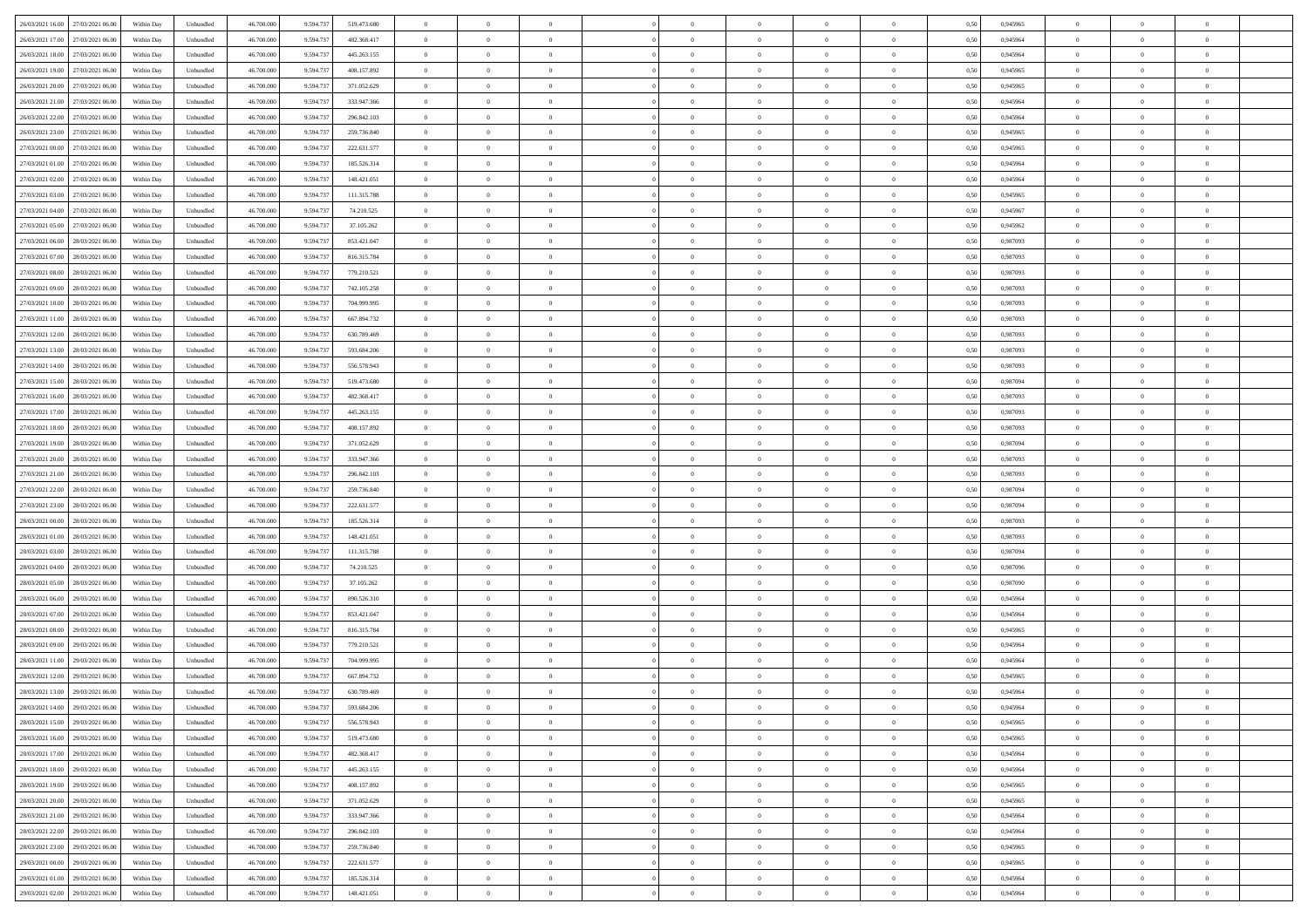|                                      |            |                   |            |           |             | $\overline{0}$ | $\overline{0}$ |                | $\overline{0}$ | $\theta$       |                | $\theta$       |      |          | $\theta$       | $\theta$       | $\overline{0}$ |  |
|--------------------------------------|------------|-------------------|------------|-----------|-------------|----------------|----------------|----------------|----------------|----------------|----------------|----------------|------|----------|----------------|----------------|----------------|--|
| 26/03/2021 16:00 27/03/2021 06:00    | Within Day | Unbundled         | 46.700.000 | 9.594.737 | 519.473.680 |                |                |                |                |                |                |                | 0,50 | 0,945965 |                |                |                |  |
| 26/03/2021 17:00<br>27/03/2021 06.00 | Within Day | Unbundled         | 46.700.00  | 9.594.73  | 482.368.417 | $\bf{0}$       | $\overline{0}$ | $\bf{0}$       | $\overline{0}$ | $\bf{0}$       | $\overline{0}$ | $\bf{0}$       | 0,50 | 0,945964 | $\,$ 0 $\,$    | $\bf{0}$       | $\overline{0}$ |  |
| 26/03/2021 18:00<br>27/03/2021 06:00 | Within Day | Unbundled         | 46,700,000 | 9.594.73  | 445.263.155 | $\overline{0}$ | $\bf{0}$       | $\overline{0}$ | $\bf{0}$       | $\bf{0}$       | $\overline{0}$ | $\bf{0}$       | 0.50 | 0.945964 | $\bf{0}$       | $\overline{0}$ | $\overline{0}$ |  |
| 26/03/2021 19:00<br>27/03/2021 06:00 | Within Day | Unbundled         | 46.700.000 | 9.594.737 | 408.157.892 | $\overline{0}$ | $\overline{0}$ | $\overline{0}$ | $\theta$       | $\theta$       | $\overline{0}$ | $\bf{0}$       | 0,50 | 0,945965 | $\theta$       | $\theta$       | $\overline{0}$ |  |
| 26/03/2021 20:00<br>27/03/2021 06.00 | Within Day | Unbundled         | 46.700.00  | 9.594.73  | 371.052.629 | $\bf{0}$       | $\overline{0}$ | $\bf{0}$       | $\overline{0}$ | $\theta$       | $\overline{0}$ | $\bf{0}$       | 0,50 | 0,945965 | $\,$ 0 $\,$    | $\bf{0}$       | $\overline{0}$ |  |
|                                      |            |                   |            |           |             |                |                |                |                |                |                |                |      |          |                |                |                |  |
| 26/03/2021 21:00<br>27/03/2021 06:00 | Within Day | Unbundled         | 46,700,000 | 9.594.73  | 333.947.366 | $\overline{0}$ | $\overline{0}$ | $\overline{0}$ | $\bf{0}$       | $\overline{0}$ | $\theta$       | $\bf{0}$       | 0.50 | 0.945964 | $\bf{0}$       | $\theta$       | $\overline{0}$ |  |
| 26/03/2021 22:00<br>27/03/2021 06:00 | Within Day | Unbundled         | 46.700.000 | 9.594.737 | 296.842.103 | $\overline{0}$ | $\overline{0}$ | $\overline{0}$ | $\overline{0}$ | $\overline{0}$ | $\overline{0}$ | $\bf{0}$       | 0,50 | 0,945964 | $\theta$       | $\theta$       | $\overline{0}$ |  |
| 26/03/2021 23:00<br>27/03/2021 06.00 | Within Day | Unbundled         | 46.700.00  | 9.594.73  | 259.736.840 | $\bf{0}$       | $\overline{0}$ | $\overline{0}$ | $\overline{0}$ | $\theta$       | $\overline{0}$ | $\bf{0}$       | 0,50 | 0,945965 | $\,$ 0 $\,$    | $\bf{0}$       | $\overline{0}$ |  |
| 27/03/2021 00:00<br>27/03/2021 06:00 | Within Day | Unbundled         | 46,700,000 | 9.594.73  | 222.631.577 | $\overline{0}$ | $\bf{0}$       | $\overline{0}$ | $\bf{0}$       | $\overline{0}$ | $\overline{0}$ | $\bf{0}$       | 0.50 | 0.945965 | $\bf{0}$       | $\overline{0}$ | $\overline{0}$ |  |
| 27/03/2021 01:00<br>27/03/2021 06:00 | Within Day | Unbundled         | 46.700.000 | 9.594.737 | 185.526.314 | $\bf{0}$       | $\bf{0}$       | $\overline{0}$ | $\overline{0}$ | $\overline{0}$ | $\overline{0}$ | $\bf{0}$       | 0,50 | 0,945964 | $\,$ 0 $\,$    | $\bf{0}$       | $\overline{0}$ |  |
| 27/03/2021 02:00<br>27/03/2021 06.00 | Within Day | Unbundled         | 46.700.00  | 9.594.73  | 148.421.051 | $\bf{0}$       | $\overline{0}$ | $\bf{0}$       | $\bf{0}$       | $\bf{0}$       | $\overline{0}$ | $\bf{0}$       | 0,50 | 0,945964 | $\,$ 0 $\,$    | $\bf{0}$       | $\overline{0}$ |  |
| 27/03/2021 03:00<br>27/03/2021 06:00 | Within Day | Unbundled         | 46,700,000 | 9.594.73  | 111.315.788 | $\overline{0}$ | $\bf{0}$       | $\overline{0}$ | $\bf{0}$       | $\bf{0}$       | $\overline{0}$ | $\bf{0}$       | 0.50 | 0.945965 | $\bf{0}$       | $\overline{0}$ | $\bf{0}$       |  |
|                                      |            |                   |            |           |             |                |                |                |                |                |                |                |      |          |                |                |                |  |
| 27/03/2021 04:00<br>27/03/2021 06:00 | Within Day | Unbundled         | 46.700.000 | 9.594.737 | 74.210.525  | $\overline{0}$ | $\overline{0}$ | $\overline{0}$ | $\overline{0}$ | $\theta$       | $\overline{0}$ | $\overline{0}$ | 0,50 | 0,945967 | $\,$ 0 $\,$    | $\theta$       | $\overline{0}$ |  |
| 27/03/2021 05:00<br>27/03/2021 06.00 | Within Day | Unbundled         | 46.700.00  | 9.594.73  | 37.105.262  | $\bf{0}$       | $\overline{0}$ | $\bf{0}$       | $\overline{0}$ | $\theta$       | $\overline{0}$ | $\bf{0}$       | 0,50 | 0,945962 | $\,$ 0 $\,$    | $\bf{0}$       | $\overline{0}$ |  |
| 27/03/2021 06:00<br>28/03/2021 06:00 | Within Day | Unbundled         | 46,700,000 | 9.594.73  | 853.421.047 | $\overline{0}$ | $\overline{0}$ | $\overline{0}$ | $\bf{0}$       | $\bf{0}$       | $\Omega$       | $\bf{0}$       | 0.50 | 0.987093 | $\bf{0}$       | $\theta$       | $\overline{0}$ |  |
| 27/03/2021 07:00<br>28/03/2021 06:00 | Within Day | Unbundled         | 46.700.000 | 9.594.737 | 816.315.784 | $\overline{0}$ | $\overline{0}$ | $\overline{0}$ | $\overline{0}$ | $\overline{0}$ | $\overline{0}$ | $\bf{0}$       | 0,50 | 0,987093 | $\theta$       | $\theta$       | $\overline{0}$ |  |
| 27/03/2021 08:00<br>28/03/2021 06:00 | Within Day | Unbundled         | 46.700.00  | 9.594.73  | 779.210.521 | $\bf{0}$       | $\overline{0}$ | $\overline{0}$ | $\overline{0}$ | $\bf{0}$       | $\overline{0}$ | $\bf{0}$       | 0,50 | 0,987093 | $\,$ 0 $\,$    | $\bf{0}$       | $\overline{0}$ |  |
| 27/03/2021 09:00<br>28/03/2021 06:00 | Within Day | Unbundled         | 46,700,000 | 9.594.73  | 742.105.258 | $\overline{0}$ | $\bf{0}$       | $\overline{0}$ | $\bf{0}$       | $\overline{0}$ | $\overline{0}$ | $\bf{0}$       | 0.50 | 0.987093 | $\bf{0}$       | $\overline{0}$ | $\overline{0}$ |  |
| 27/03/2021 10:00<br>28/03/2021 06:00 | Within Day | Unbundled         | 46.700.000 | 9.594.737 | 704.999.995 | $\overline{0}$ | $\overline{0}$ | $\overline{0}$ | $\overline{0}$ | $\overline{0}$ | $\overline{0}$ | $\bf{0}$       | 0,50 | 0,987093 | $\,$ 0 $\,$    | $\bf{0}$       | $\overline{0}$ |  |
|                                      |            |                   |            |           |             |                |                |                |                |                |                |                |      |          |                |                |                |  |
| 27/03/2021 11:00<br>28/03/2021 06:00 | Within Day | Unbundled         | 46.700.00  | 9.594.73  | 667.894.732 | $\bf{0}$       | $\overline{0}$ | $\bf{0}$       | $\bf{0}$       | $\overline{0}$ | $\overline{0}$ | $\bf{0}$       | 0,50 | 0,987093 | $\,$ 0 $\,$    | $\bf{0}$       | $\overline{0}$ |  |
| 27/03/2021 12:00<br>28/03/2021 06:00 | Within Day | Unbundled         | 46,700,000 | 9.594.73  | 630.789.469 | $\overline{0}$ | $\bf{0}$       | $\overline{0}$ | $\bf{0}$       | $\bf{0}$       | $\overline{0}$ | $\bf{0}$       | 0.50 | 0.987093 | $\bf{0}$       | $\overline{0}$ | $\overline{0}$ |  |
| 27/03/2021 13:00<br>28/03/2021 06:00 | Within Day | Unbundled         | 46.700.000 | 9.594.737 | 593.684.206 | $\overline{0}$ | $\overline{0}$ | $\overline{0}$ | $\theta$       | $\theta$       | $\overline{0}$ | $\bf{0}$       | 0,50 | 0,987093 | $\theta$       | $\theta$       | $\overline{0}$ |  |
| 27/03/2021 14:00<br>28/03/2021 06:00 | Within Day | Unbundled         | 46.700.00  | 9.594.73  | 556.578.943 | $\bf{0}$       | $\overline{0}$ | $\bf{0}$       | $\bf{0}$       | $\bf{0}$       | $\overline{0}$ | $\bf{0}$       | 0,50 | 0,987093 | $\,$ 0 $\,$    | $\bf{0}$       | $\overline{0}$ |  |
| 27/03/2021 15:00<br>28/03/2021 06:00 | Within Day | Unbundled         | 46,700,000 | 9.594.73  | 519.473.680 | $\overline{0}$ | $\overline{0}$ | $\overline{0}$ | $\overline{0}$ | $\overline{0}$ | $\Omega$       | $\bf{0}$       | 0.50 | 0.987094 | $\bf{0}$       | $\theta$       | $\overline{0}$ |  |
| 27/03/2021 16:00<br>28/03/2021 06:00 | Within Day | Unbundled         | 46.700.000 | 9.594.737 | 482.368.417 | $\overline{0}$ | $\overline{0}$ | $\overline{0}$ | $\overline{0}$ | $\overline{0}$ | $\overline{0}$ | $\bf{0}$       | 0,50 | 0,987093 | $\theta$       | $\theta$       | $\overline{0}$ |  |
| 27/03/2021 17:00<br>28/03/2021 06:00 | Within Day | Unbundled         | 46.700.00  | 9.594.73  | 445.263.155 | $\bf{0}$       | $\overline{0}$ | $\bf{0}$       | $\overline{0}$ | $\theta$       | $\overline{0}$ | $\bf{0}$       | 0,50 | 0,987093 | $\,$ 0 $\,$    | $\bf{0}$       | $\overline{0}$ |  |
| 27/03/2021 18:00<br>28/03/2021 06:00 | Within Day | Unbundled         | 46,700,000 | 9.594.73  | 408.157.892 | $\overline{0}$ | $\bf{0}$       | $\overline{0}$ | $\bf{0}$       | $\overline{0}$ | $\overline{0}$ | $\bf{0}$       | 0.50 | 0.987093 | $\bf{0}$       | $\overline{0}$ | $\overline{0}$ |  |
| 27/03/2021 19:00<br>28/03/2021 06:00 | Within Day | Unbundled         | 46.700.000 | 9.594.737 | 371.052.629 | $\overline{0}$ | $\overline{0}$ | $\overline{0}$ | $\overline{0}$ | $\overline{0}$ | $\overline{0}$ | $\bf{0}$       | 0,50 | 0,987094 | $\theta$       | $\theta$       | $\overline{0}$ |  |
|                                      |            |                   |            |           |             |                |                |                |                |                |                |                |      |          |                |                |                |  |
| 27/03/2021 20:00<br>28/03/2021 06:00 | Within Day | Unbundled         | 46.700.00  | 9.594.73  | 333.947.366 | $\bf{0}$       | $\bf{0}$       | $\bf{0}$       | $\bf{0}$       | $\overline{0}$ | $\overline{0}$ | $\bf{0}$       | 0,50 | 0,987093 | $\,$ 0 $\,$    | $\bf{0}$       | $\overline{0}$ |  |
| 27/03/2021 21:00<br>28/03/2021 06:00 | Within Day | Unbundled         | 46,700,000 | 9.594.73  | 296.842.103 | $\overline{0}$ | $\bf{0}$       | $\overline{0}$ | $\bf{0}$       | $\bf{0}$       | $\overline{0}$ | $\bf{0}$       | 0.50 | 0.987093 | $\bf{0}$       | $\overline{0}$ | $\overline{0}$ |  |
| 27/03/2021 22:00<br>28/03/2021 06:00 | Within Day | Unbundled         | 46.700.000 | 9,594.73  | 259.736.840 | $\overline{0}$ | $\overline{0}$ | $\overline{0}$ | $\overline{0}$ | $\overline{0}$ | $\overline{0}$ | $\bf{0}$       | 0.5( | 0,987094 | $\theta$       | $\theta$       | $\overline{0}$ |  |
| 27/03/2021 23:00<br>28/03/2021 06:00 | Within Day | Unbundled         | 46.700.00  | 9.594.73  | 222.631.577 | $\bf{0}$       | $\overline{0}$ | $\bf{0}$       | $\bf{0}$       | $\overline{0}$ | $\overline{0}$ | $\bf{0}$       | 0,50 | 0,987094 | $\,$ 0 $\,$    | $\bf{0}$       | $\overline{0}$ |  |
| 28/03/2021 00:00<br>28/03/2021 06:00 | Within Day | Unbundled         | 46,700,000 | 9.594.73  | 185.526.314 | $\overline{0}$ | $\overline{0}$ | $\overline{0}$ | $\bf{0}$       | $\overline{0}$ | $\Omega$       | $\bf{0}$       | 0.50 | 0.987093 | $\,$ 0 $\,$    | $\theta$       | $\overline{0}$ |  |
| 28/03/2021 01:00<br>28/03/2021 06:00 | Within Dav | Unbundled         | 46.700.000 | 9.594.737 | 148.421.051 | $\overline{0}$ | $\overline{0}$ | $\overline{0}$ | $\overline{0}$ | $\overline{0}$ | $\overline{0}$ | $\overline{0}$ | 0.5( | 0,987093 | $\theta$       | $\theta$       | $\overline{0}$ |  |
| 28/03/2021 03:00<br>28/03/2021 06:00 | Within Day | Unbundled         | 46.700.00  | 9.594.73  | 111.315.788 | $\bf{0}$       | $\overline{0}$ | $\bf{0}$       | $\bf{0}$       | $\bf{0}$       | $\overline{0}$ | $\bf{0}$       | 0,50 | 0,987094 | $\,$ 0 $\,$    | $\bf{0}$       | $\overline{0}$ |  |
| 28/03/2021 04:00<br>28/03/2021 06:00 | Within Day | Unbundled         | 46,700,000 | 9.594.73  | 74.210.525  | $\overline{0}$ | $\bf{0}$       | $\overline{0}$ | $\bf{0}$       | $\overline{0}$ | $\overline{0}$ | $\bf{0}$       | 0.50 | 0.987096 | $\bf{0}$       | $\overline{0}$ | $\overline{0}$ |  |
|                                      |            |                   |            |           |             |                |                |                |                |                |                |                |      |          |                |                |                |  |
| 28/03/2021 05:00<br>28/03/2021 06:00 | Within Day | Unbundled         | 46.700.000 | 9.594.73  | 37.105.262  | $\overline{0}$ | $\overline{0}$ | $\overline{0}$ | $\overline{0}$ | $\overline{0}$ | $\overline{0}$ | $\overline{0}$ | 0.50 | 0,987090 | $\theta$       | $\theta$       | $\overline{0}$ |  |
| 28/03/2021 06:00<br>29/03/2021 06.00 | Within Day | Unbundled         | 46.700.00  | 9.594.73  | 890.526.310 | $\bf{0}$       | $\bf{0}$       | $\bf{0}$       | $\bf{0}$       | $\overline{0}$ | $\overline{0}$ | $\bf{0}$       | 0,50 | 0,945964 | $\,$ 0 $\,$    | $\bf{0}$       | $\overline{0}$ |  |
| 28/03/2021 07:00<br>29/03/2021 06:00 | Within Day | Unbundled         | 46,700,000 | 9.594.73  | 853.421.047 | $\overline{0}$ | $\bf{0}$       | $\overline{0}$ | $\bf{0}$       | $\bf{0}$       | $\overline{0}$ | $\bf{0}$       | 0.50 | 0.945964 | $\bf{0}$       | $\overline{0}$ | $\overline{0}$ |  |
| 28/03/2021 08:00<br>29/03/2021 06:00 | Within Dav | Unbundled         | 46.700.000 | 9.594.73  | 816.315.784 | $\overline{0}$ | $\overline{0}$ | $\overline{0}$ | $\overline{0}$ | $\overline{0}$ | $\overline{0}$ | $\bf{0}$       | 0.50 | 0.945965 | $\theta$       | $\theta$       | $\overline{0}$ |  |
| 28/03/2021 09:00<br>29/03/2021 06.00 | Within Day | Unbundled         | 46.700.00  | 9.594.73  | 779.210.521 | $\bf{0}$       | $\overline{0}$ | $\bf{0}$       | $\bf{0}$       | $\overline{0}$ | $\overline{0}$ | $\bf{0}$       | 0,50 | 0,945964 | $\,$ 0 $\,$    | $\bf{0}$       | $\overline{0}$ |  |
| 28/03/2021 11:00<br>29/03/2021 06:00 | Within Day | Unbundled         | 46,700,000 | 9.594.73  | 704.999.995 | $\overline{0}$ | $\overline{0}$ | $\Omega$       | $\overline{0}$ | $\bf{0}$       | $\Omega$       | $\bf{0}$       | 0.50 | 0.945964 | $\bf{0}$       | $\theta$       | $\overline{0}$ |  |
| 28/03/2021 12:00<br>29/03/2021 06:00 | Within Dav | Unbundled         | 46.700.000 | 9,594.73  | 667.894.732 | $\overline{0}$ | $\overline{0}$ | $\Omega$       | $\overline{0}$ | $\theta$       | $\Omega$       | $\overline{0}$ | 0.5( | 0,945965 | $\theta$       | $\theta$       | $\overline{0}$ |  |
| 28/03/2021 13:00<br>29/03/2021 06:00 | Within Day | Unbundled         | 46.700.000 | 9.594.73  | 630.789.469 | $\bf{0}$       | $\bf{0}$       | $\bf{0}$       | $\bf{0}$       | $\bf{0}$       | $\overline{0}$ | $\bf{0}$       | 0,50 | 0,945964 | $\,$ 0 $\,$    | $\bf{0}$       | $\overline{0}$ |  |
| 28/03/2021 14:00 29/03/2021 06:00    | Within Day | ${\sf Unbundred}$ | 46.700.000 | 9.594.737 | 593.684.206 | $\bf{0}$       | $\theta$       |                | $\overline{0}$ |                |                |                | 0,50 | 0.945964 | $\bf{0}$       | $\bf{0}$       |                |  |
|                                      |            |                   |            |           |             |                |                |                |                |                |                |                |      |          |                |                |                |  |
| 28/03/2021 15:00 29/03/2021 06:00    | Within Day | Unbundled         | 46.700.000 | 9.594.737 | 556.578.943 | $\overline{0}$ | $\theta$       | $\overline{0}$ | $\theta$       | $\overline{0}$ | $\overline{0}$ | $\bf{0}$       | 0,50 | 0,945965 | $\theta$       | $\theta$       | $\overline{0}$ |  |
| 28/03/2021 16:00<br>29/03/2021 06:00 | Within Day | Unbundled         | 46.700.000 | 9.594.73  | 519.473.680 | $\overline{0}$ | $\bf{0}$       | $\overline{0}$ | $\overline{0}$ | $\bf{0}$       | $\overline{0}$ | $\bf{0}$       | 0,50 | 0,945965 | $\bf{0}$       | $\overline{0}$ | $\bf{0}$       |  |
| 28/03/2021 17:00 29/03/2021 06:00    | Within Day | Unbundled         | 46.700.000 | 9.594.737 | 482.368.417 | $\overline{0}$ | $\bf{0}$       | $\overline{0}$ | $\overline{0}$ | $\overline{0}$ | $\overline{0}$ | $\bf{0}$       | 0.50 | 0.945964 | $\overline{0}$ | $\bf{0}$       | $\,$ 0 $\,$    |  |
| 28/03/2021 18:00 29/03/2021 06:00    | Within Day | Unbundled         | 46.700.000 | 9.594.737 | 445.263.155 | $\overline{0}$ | $\overline{0}$ | $\overline{0}$ | $\overline{0}$ | $\overline{0}$ | $\overline{0}$ | $\bf{0}$       | 0,50 | 0,945964 | $\theta$       | $\theta$       | $\overline{0}$ |  |
| 28/03/2021 19:00<br>29/03/2021 06:00 | Within Day | Unbundled         | 46.700.000 | 9.594.73  | 408.157.892 | $\overline{0}$ | $\bf{0}$       | $\overline{0}$ | $\bf{0}$       | $\overline{0}$ | $\bf{0}$       | $\bf{0}$       | 0,50 | 0,945965 | $\overline{0}$ | $\bf{0}$       | $\overline{0}$ |  |
| 29/03/2021 06:00<br>28/03/2021 20:00 | Within Day | Unbundled         | 46,700,000 | 9.594.737 | 371.052.629 | $\overline{0}$ | $\bf{0}$       | $\overline{0}$ | $\overline{0}$ | $\overline{0}$ | $\overline{0}$ | $\bf{0}$       | 0.50 | 0.945965 | $\,$ 0 $\,$    | $\theta$       | $\,$ 0         |  |
| 28/03/2021 21:00<br>29/03/2021 06:00 | Within Dav | Unbundled         | 46.700.000 | 9.594.737 | 333.947.366 | $\overline{0}$ | $\overline{0}$ | $\overline{0}$ | $\overline{0}$ | $\overline{0}$ | $\overline{0}$ | $\bf{0}$       | 0.50 | 0,945964 | $\overline{0}$ | $\theta$       | $\overline{0}$ |  |
|                                      |            |                   |            |           |             |                |                |                |                |                |                |                |      |          |                |                |                |  |
| 28/03/2021 22:00<br>29/03/2021 06:00 | Within Day | Unbundled         | 46.700.000 | 9.594.73  | 296.842.103 | $\overline{0}$ | $\overline{0}$ | $\overline{0}$ | $\overline{0}$ | $\bf{0}$       | $\overline{0}$ | $\bf{0}$       | 0,50 | 0,945964 | $\bf{0}$       | $\overline{0}$ | $\overline{0}$ |  |
| 28/03/2021 23:00<br>29/03/2021 06:00 | Within Day | Unbundled         | 46,700,000 | 9.594.73  | 259.736.840 | $\overline{0}$ | $\overline{0}$ | $\overline{0}$ | $\overline{0}$ | $\bf{0}$       | $\overline{0}$ | $\bf{0}$       | 0.50 | 0.945965 | $\overline{0}$ | $\,$ 0 $\,$    | $\,$ 0         |  |
| 29/03/2021 00:00 29/03/2021 06:00    | Within Dav | Unbundled         | 46.700.000 | 9.594.737 | 222.631.577 | $\overline{0}$ | $\overline{0}$ | $\overline{0}$ | $\overline{0}$ | $\overline{0}$ | $\overline{0}$ | $\bf{0}$       | 0,50 | 0,945965 | $\theta$       | $\theta$       | $\overline{0}$ |  |
| 29/03/2021 01:00<br>29/03/2021 06:00 | Within Day | Unbundled         | 46.700.00  | 9.594.73  | 185.526.314 | $\overline{0}$ | $\bf{0}$       | $\overline{0}$ | $\bf{0}$       | $\overline{0}$ | $\bf{0}$       | $\bf{0}$       | 0,50 | 0,945964 | $\bf{0}$       | $\bf{0}$       | $\overline{0}$ |  |
| 29/03/2021 02:00 29/03/2021 06:00    | Within Day | Unbundled         | 46.700.000 | 9.594.737 | 148.421.051 | $\overline{0}$ | $\bf{0}$       | $\overline{0}$ | $\overline{0}$ | $\,$ 0 $\,$    | $\overline{0}$ | $\bf{0}$       | 0,50 | 0,945964 | $\overline{0}$ | $\,$ 0 $\,$    | $\,$ 0 $\,$    |  |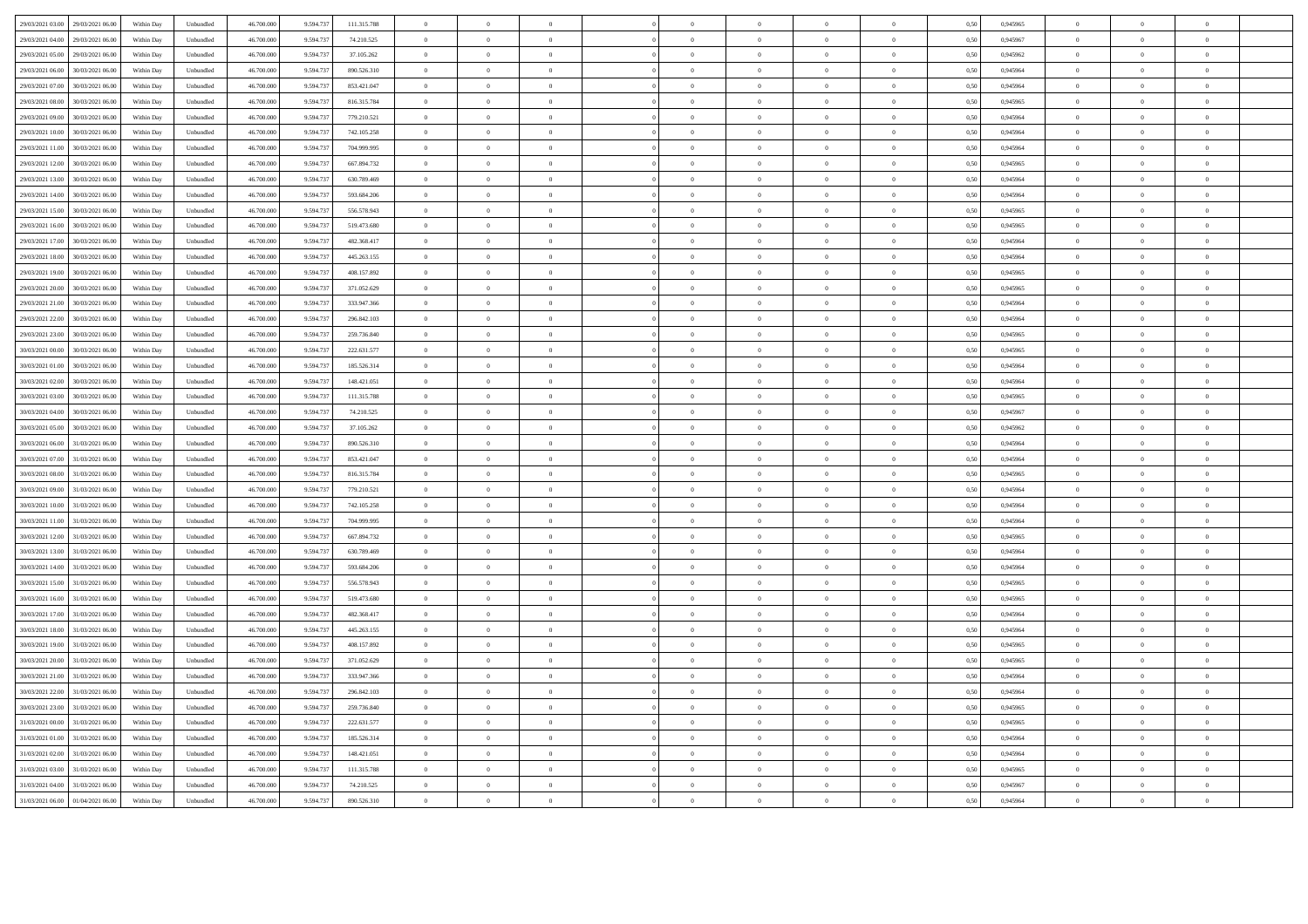| 29/03/2021 03:00<br>29/03/2021 06:00                     | Within Day               | Unbundled                   | 46 700 00  | 9.594.73               | 111.315.788                | $\Omega$                         | $\Omega$       |                |                | $\theta$       |                    |                | 0.50 | 0.945965 | $\Omega$                         | $\Omega$       |                |  |
|----------------------------------------------------------|--------------------------|-----------------------------|------------|------------------------|----------------------------|----------------------------------|----------------|----------------|----------------|----------------|--------------------|----------------|------|----------|----------------------------------|----------------|----------------|--|
| 29/03/2021 04:00<br>29/03/2021 06:00                     | Within Day               | Unbundled                   | 46 700 000 | 9.594.73               | 74 210 525                 | $\theta$                         | $\overline{0}$ | $\Omega$       | $\Omega$       | $\theta$       | $\Omega$           | $\theta$       | 0.50 | 0.945967 | $\Omega$                         | $\theta$       | $\theta$       |  |
| 29/03/2021 05:00<br>29/03/2021 06:00                     | Within Day               | Unbundled                   | 46 700 000 | 9.594.73               | 37 105 262                 | $\overline{0}$                   | $\overline{0}$ | $\overline{0}$ | $\overline{0}$ | $\Omega$       | $\overline{0}$     | $\overline{0}$ | 0.50 | 0.945962 | $\theta$                         | $\Omega$       | $\theta$       |  |
| 29/03/2021 06:00<br>30/03/2021 06:00                     | Within Day               | Unbundled                   | 46.700.000 | 9.594.737              | 890.526.310                | $\overline{0}$                   | $\overline{0}$ | $\overline{0}$ | $\overline{0}$ | $\,$ 0 $\,$    | $\theta$           | $\overline{0}$ | 0,50 | 0,945964 | $\overline{0}$                   | $\overline{0}$ | $\overline{0}$ |  |
| 29/03/2021 07:00<br>30/03/2021 06:00                     | Within Day               | Unbundled                   | 46.700.000 | 9.594.73               | 853.421.047                | $\,$ 0 $\,$                      | $\,$ 0 $\,$    | $\overline{0}$ | $\overline{0}$ | $\,$ 0 $\,$    | $\hspace{0.1cm}0$  | $\overline{0}$ | 0,50 | 0,945964 | $\,$ 0 $\,$                      | $\overline{0}$ | $\overline{0}$ |  |
| 29/03/2021 08:00<br>30/03/2021 06:00                     | Within Day               | Unbundled                   | 46.700.000 | 9.594.73               | 816, 315, 784              | $\overline{0}$                   | $\overline{0}$ | $\overline{0}$ | $\overline{0}$ | $\overline{0}$ | $\overline{0}$     | $\overline{0}$ | 0.50 | 0,945965 | $\overline{0}$                   | $\overline{0}$ | $\overline{0}$ |  |
| 29/03/2021 09:00<br>30/03/2021 06:00                     | Within Day               | $\ensuremath{\mathsf{Unb}}$ | 46,700,000 | 9.594.737              | 779.210.521                | $\overline{0}$                   | $\bf{0}$       | $\overline{0}$ | $\overline{0}$ | $\,$ 0 $\,$    | $\hspace{0.1cm} 0$ | $\mathbf{0}$   | 0.50 | 0.945964 | $\overline{0}$                   | $\overline{0}$ | $\,$ 0 $\,$    |  |
| 29/03/2021 10:00<br>30/03/2021 06:00                     | Within Day               | Unbundled                   | 46 700 000 | 9.594.737              | 742.105.258                | $\overline{0}$                   | $\overline{0}$ | $\theta$       | $\Omega$       | $\,$ 0         | $\Omega$           | $\Omega$       | 0.50 | 0.945964 | $\overline{0}$                   | $\Omega$       | $\theta$       |  |
| 29/03/2021 11:00                                         |                          |                             | 46 700 000 |                        |                            |                                  |                | $\theta$       |                |                |                    |                | 0.50 | 0.945964 |                                  | $\theta$       | $\theta$       |  |
| 30/03/2021 06:00<br>29/03/2021 12:00<br>30/03/2021 06:00 | Within Day<br>Within Day | Unbundled                   | 46.700.000 | 9.594.737<br>9.594.737 | 704.999.995<br>667.894.732 | $\overline{0}$<br>$\overline{0}$ | $\overline{0}$ |                | $\overline{0}$ | $\overline{0}$ | $\overline{0}$     | $\overline{0}$ | 0.50 | 0,945965 | $\overline{0}$<br>$\overline{0}$ |                |                |  |
|                                                          |                          | Unbundled                   |            |                        |                            |                                  | $\overline{0}$ | $\overline{0}$ | $\Omega$       | $\overline{0}$ | $\overline{0}$     | $\theta$       |      |          |                                  | $\overline{0}$ | $\theta$       |  |
| 29/03/2021 13:00<br>30/03/2021 06:00                     | Within Dav               | Unbundled                   | 46.700.000 | 9.594.73               | 630.789.469                | $\overline{0}$                   | $\overline{0}$ | $\theta$       | $\Omega$       | $\overline{0}$ | $\theta$           | $\theta$       | 0.50 | 0.945964 | $\overline{0}$                   | $\Omega$       |                |  |
| 29/03/2021 14:00<br>30/03/2021 06:00                     | Within Dav               | Unbundled                   | 46.700.000 | 9.594.737              | 593.684.206                | $\overline{0}$                   | $\overline{0}$ | $\Omega$       | $\Omega$       | $\overline{0}$ | $\overline{0}$     | $\theta$       | 0.50 | 0,945964 | $\overline{0}$                   | $\overline{0}$ | $\theta$       |  |
| 29/03/2021 15:00<br>30/03/2021 06:00                     | Within Day               | ${\sf Unbundred}$           | 46.700.00  | 9.594.73               | 556.578.943                | $\,$ 0 $\,$                      | $\theta$       | $\overline{0}$ |                | $\overline{0}$ | $\bf{0}$           | $\,$ 0 $\,$    | 0,50 | 0,945965 | $\,$ 0 $\,$                      | $\,$ 0 $\,$    |                |  |
| 29/03/2021 16:00<br>30/03/2021 06:00                     | Within Day               | Unbundled                   | 46.700.00  | 9.594.737              | 519.473.680                | $\overline{0}$                   | $\overline{0}$ | $\overline{0}$ | $\overline{0}$ | $\bf{0}$       | $\bf{0}$           | $\bf{0}$       | 0,50 | 0,945965 | $\,$ 0 $\,$                      | $\bf{0}$       | $\bf{0}$       |  |
| 29/03/2021 17:00<br>30/03/2021 06:00                     | Within Day               | Unbundled                   | 46.700.00  | 9.594.73               | 482.368.417                | $\overline{0}$                   | $\overline{0}$ | $\Omega$       |                | $\overline{0}$ | $\overline{0}$     | $\theta$       | 0,50 | 0,945964 | $\overline{0}$                   | $\overline{0}$ |                |  |
| 29/03/2021 18:00<br>30/03/2021 06:00                     | Within Day               | Unbundled                   | 46 700 00  | 9 5 9 4 7 3            | 445 263 155                | $\theta$                         | $\overline{0}$ | $\mathbf{0}$   | $\Omega$       | $\theta$       | $\overline{0}$     | $\overline{0}$ | 0.50 | 0.945964 | $\overline{0}$                   | $\theta$       | $\theta$       |  |
| 29/03/2021 19:00<br>30/03/2021 06:00                     | Within Day               | Unbundled                   | 46 700 000 | 9.594.73               | 408 157 892                | $\overline{0}$                   | $\overline{0}$ | $\overline{0}$ | $\Omega$       | $\theta$       | $\Omega$           | $\theta$       | 0.50 | 0.945965 | $\theta$                         | $\Omega$       | $\theta$       |  |
| 29/03/2021 20:00<br>30/03/2021 06:00                     | Within Day               | Unbundled                   | 46 700 000 | 9.594.73               | 371 052 629                | $\overline{0}$                   | $\overline{0}$ | $\overline{0}$ | $\overline{0}$ | $\theta$       | $\overline{0}$     | $\overline{0}$ | 0.50 | 0.945965 | $\theta$                         | $\Omega$       | $\theta$       |  |
| 29/03/2021 21:00<br>30/03/2021 06:00                     | Within Day               | Unbundled                   | 46.700.000 | 9.594.737              | 333.947.366                | $\overline{0}$                   | $\overline{0}$ | $\overline{0}$ | $\overline{0}$ | $\theta$       | $\theta$           | $\overline{0}$ | 0,50 | 0,945964 | $\overline{0}$                   | $\overline{0}$ | $\overline{0}$ |  |
| 30/03/2021 06:00<br>29/03/2021 22:00                     | Within Day               | Unbundled                   | 46.700.000 | 9.594.73               | 296.842.103                | $\overline{0}$                   | $\,$ 0 $\,$    | $\overline{0}$ | $\overline{0}$ | $\,$ 0 $\,$    | $\hspace{0.1cm} 0$ | $\overline{0}$ | 0,50 | 0,945964 | $\overline{0}$                   | $\overline{0}$ | $\overline{0}$ |  |
| 29/03/2021 23:00<br>30/03/2021 06:00                     | Within Day               | Unbundled                   | 46.700.000 | 9.594.73               | 259.736.840                | $\overline{0}$                   | $\overline{0}$ | $\Omega$       | $\overline{0}$ | $\overline{0}$ | $\theta$           |                | 0.50 | 0,945965 | $\overline{0}$                   | $\overline{0}$ | $\overline{0}$ |  |
| 30/03/2021 00:00<br>30/03/2021 06:00                     | Within Day               | ${\sf Unbundred}$           | 46,700,000 | 9.594.737              | 222.631.577                | $\overline{0}$                   | $\bf{0}$       | $\overline{0}$ | $\overline{0}$ | $\,$ 0 $\,$    | $\overline{0}$     | $\mathbf{0}$   | 0.50 | 0.945965 | $\overline{0}$                   | $\overline{0}$ | $\,$ 0 $\,$    |  |
| 30/03/2021 01:00<br>30/03/2021 06:00                     | Within Day               | Unbundled                   | 46 700 000 | 9.594.737              | 185 526 314                | $\overline{0}$                   | $\Omega$       | $\sqrt{2}$     | $\Omega$       | $\theta$       | $\Omega$           | $\theta$       | 0.50 | 0.945964 | $\overline{0}$                   | $\Omega$       | $\theta$       |  |
| 30/03/2021 02:00<br>30/03/2021 06:00                     | Within Day               | Unbundled                   | 46 700 000 | 9.594.737              | 148.421.051                | $\overline{0}$                   | $\Omega$       | $\theta$       | $\theta$       | $\overline{0}$ | $\overline{0}$     | $\theta$       | 0.50 | 0.945964 | $\overline{0}$                   | $\Omega$       | $\theta$       |  |
| 30/03/2021 03:00<br>30/03/2021 06:00                     | Within Day               | Unbundled                   | 46.700.000 | 9.594.737              | 111.315.788                | $\overline{0}$                   | $\overline{0}$ | $\Omega$       | $\Omega$       | $\overline{0}$ | $\overline{0}$     | $\theta$       | 0.50 | 0,945965 | $\overline{0}$                   | $\overline{0}$ | $\theta$       |  |
| 30/03/2021 04:00<br>30/03/2021 06:00                     | Within Dav               | Unbundled                   | 46.700.000 | 9.594.737              | 74.210.525                 | $\overline{0}$                   | $\overline{0}$ | $\Omega$       | $\Omega$       | $\overline{0}$ | $\theta$           | $\theta$       | 0.50 | 0,945967 | $\overline{0}$                   | $\Omega$       |                |  |
| 30/03/2021 05:00<br>30/03/2021 06:00                     | Within Dav               | Unbundled                   | 46.700.000 | 9.594.737              | 37.105.262                 | $\overline{0}$                   | $\overline{0}$ | $\Omega$       | $^{\circ}$     | $\overline{0}$ | $\overline{0}$     | $\theta$       | 0.50 | 0,945962 | $\overline{0}$                   | $\Omega$       | $\theta$       |  |
| 30/03/2021 06:00<br>31/03/2021 06:00                     | Within Day               | $\label{thm:undl} Unbundle$ | 46.700.00  | 9.594.73               | 890.526.310                | $\,$ 0 $\,$                      | $\theta$       | $\overline{0}$ |                | $\overline{0}$ | $\bf{0}$           | $\,$ 0 $\,$    | 0,50 | 0,945964 | $\,$ 0 $\,$                      | $\,$ 0 $\,$    |                |  |
| 30/03/2021 07:00<br>31/03/2021 06:00                     | Within Day               | Unbundled                   | 46.700.00  | 9.594.73               | 853.421.047                | $\overline{0}$                   | $\overline{0}$ | $\overline{0}$ | $\overline{0}$ | $\,$ 0         | $\,$ 0 $\,$        | $\bf{0}$       | 0,50 | 0,945964 | $\overline{0}$                   | $\,$ 0 $\,$    | $\bf{0}$       |  |
| 30/03/2021 08:00<br>31/03/2021 06.00                     | Within Day               | Unbundled                   | 46,700.00  | 9.594.73               | 816.315.784                | $\overline{0}$                   | $\overline{0}$ | $\Omega$       |                | $\overline{0}$ | $\overline{0}$     | $\theta$       | 0,50 | 0.945965 | $\overline{0}$                   | $\Omega$       |                |  |
| 30/03/2021 09:00<br>31/03/2021 06:00                     | Within Day               | Unbundled                   | 46,700.00  | 9,594.73               | 779.210.521                | $\overline{0}$                   | $\overline{0}$ | $\Omega$       | $\Omega$       | $\overline{0}$ | $\overline{0}$     | $\theta$       | 0.50 | 0.945964 | $\overline{0}$                   | $\Omega$       | $\Omega$       |  |
| 30/03/2021 10:00<br>31/03/2021 06:00                     | Within Day               | Unbundled                   | 46 700 000 | 9.594.73               | 742 105 258                | $\overline{0}$                   | $\overline{0}$ | $\overline{0}$ | $\Omega$       | $\theta$       | $\Omega$           | $\overline{0}$ | 0.50 | 0.945964 | $\overline{0}$                   | $\Omega$       | $\Omega$       |  |
| 30/03/2021 11:00<br>31/03/2021 06:00                     | Within Day               | Unbundled                   | 46,700,000 | 9.594.73               | 704.999.995                | $\overline{0}$                   | $\overline{0}$ | $\overline{0}$ | $\overline{0}$ | $\theta$       | $\overline{0}$     | $\overline{0}$ | 0.50 | 0.945964 | $\overline{0}$                   | $\overline{0}$ | $\overline{0}$ |  |
| 30/03/2021 12:00<br>31/03/2021 06:00                     | Within Day               | Unbundled                   | 46,700,000 | 9.594.73               | 667.894.732                | $\overline{0}$                   | $\overline{0}$ | $\theta$       | $\Omega$       | $\overline{0}$ | $\Omega$           | $\theta$       | 0.50 | 0.945965 | $\overline{0}$                   | $\Omega$       | $\theta$       |  |
| 30/03/2021 13:00<br>31/03/2021 06:00                     | Within Day               | Unbundled                   | 46.700.000 | 9.594.73               | 630.789.469                | $\overline{0}$                   | $\,$ 0 $\,$    | $\overline{0}$ | $\overline{0}$ | $\,$ 0 $\,$    | $\hspace{0.1cm}0$  | $\overline{0}$ | 0,50 | 0,945964 | $\overline{0}$                   | $\overline{0}$ | $\overline{0}$ |  |
| 30/03/2021 14:00<br>31/03/2021 06:00                     | Within Day               | Unbundled                   | 46.700.000 | 9.594.737              | 593.684.206                | $\overline{0}$                   | $\overline{0}$ | $\Omega$       | $\Omega$       | $\overline{0}$ | $\theta$           |                | 0,50 | 0,945964 | $\overline{0}$                   | $\overline{0}$ | $\overline{0}$ |  |
| 30/03/2021 15:00<br>31/03/2021 06:00                     | Within Day               | $\label{thm:undl} Unbundle$ | 46.700.000 | 9.594.737              | 556.578.943                | $\overline{0}$                   | $\overline{0}$ | $\overline{0}$ | $\overline{0}$ | $\,0\,$        | $\,$ 0 $\,$        | $\,$ 0 $\,$    | 0,50 | 0,945965 | $\,$ 0 $\,$                      | $\overline{0}$ | $\,$ 0 $\,$    |  |
| 30/03/2021 16:00<br>31/03/2021 06:00                     | Within Day               | Unbundled                   | 46.700.000 | 9.594.73               | 519.473.680                | $\overline{0}$                   | $\overline{0}$ | $\sqrt{2}$     | $\sqrt{2}$     | $\overline{0}$ | $\Omega$           | $\theta$       | 0.50 | 0.945965 | $\overline{0}$                   | $\Omega$       | $\theta$       |  |
| 30/03/2021 17:00<br>31/03/2021 06:00                     | Within Dav               | Unbundled                   | 46 700 000 | 9.594.737              | 482 368 417                | $\overline{0}$                   | $\Omega$       | $\theta$       | $\theta$       | $\overline{0}$ | $\overline{0}$     | $\theta$       | 0.50 | 0.945964 | $\overline{0}$                   | $\Omega$       | $\theta$       |  |
| 30/03/2021 18:00<br>31/03/2021 06:00                     | Within Day               | Unbundled                   | 46.700.000 | 9 5 9 4 7 37           | 445 263 155                | $\Omega$                         | $\theta$       | $\Omega$       | $\theta$       | $\theta$       | $\Omega$           | $\theta$       | 0.50 | 0.945964 | $\Omega$                         | $\Omega$       | $\theta$       |  |
| 30/03/2021 19:00<br>31/03/2021 06:00                     | Within Dav               | Unbundled                   | 46.700.000 | 9.594.737              | 408.157.892                | $\overline{0}$                   | $\overline{0}$ | $\Omega$       | $\Omega$       | $\overline{0}$ | $\overline{0}$     | $\theta$       | 0.50 | 0,945965 | $\overline{0}$                   | $\Omega$       |                |  |
| 30/03/2021 20:00<br>31/03/2021 06:00                     | Within Day               | Unbundled                   | 46.700.000 | 9.594.737              | 371.052.629                | $\Omega$                         | $\bf{0}$       | $\Omega$       | $\theta$       | $\overline{0}$ | $\,$ 0 $\,$        | $\theta$       | 0,50 | 0,945965 | $\overline{0}$                   | $\Omega$       | $\theta$       |  |
| 30/03/2021 21:00<br>31/03/2021 06:00                     | Within Day               | $\label{thm:undl} Unbundle$ | 46.700.000 | 9.594.737              | 333.947.366                | $\overline{0}$                   | $\overline{0}$ | $\overline{0}$ |                | $\overline{0}$ | $\theta$           | $\overline{0}$ | 0,50 | 0,945964 | $\overline{0}$                   | $\overline{0}$ |                |  |
| 30/03/2021 22:00<br>31/03/2021 06:00                     | Within Day               | Unbundled                   | 46.700.00  | 9.594.73               | 296.842.103                | $\overline{0}$                   | $\overline{0}$ | $\overline{0}$ | $\overline{0}$ | $\,$ 0         | $\,$ 0 $\,$        | $\,$ 0 $\,$    | 0,50 | 0,945964 | $\overline{0}$                   | $\,$ 0 $\,$    | $\overline{0}$ |  |
| 30/03/2021 23:00<br>31/03/2021 06:00                     | Within Day               | Unbundled                   | 46,700.00  | 9.594.73               | 259.736.840                | $\overline{0}$                   | $\theta$       | $\Omega$       |                | $\overline{0}$ | $\overline{0}$     | $\theta$       | 0.5( | 0.945965 | $\overline{0}$                   | $\Omega$       |                |  |
| 31/03/2021 00:00<br>31/03/2021 06:00                     | Within Day               | Unbundled                   | 46 700 00  | 9,594.73               | 222.631.577                | $\theta$                         | $\theta$       | $\Omega$       | $\Omega$       | $\theta$       | $\overline{0}$     | $\theta$       | 0.50 | 0.945965 | $\overline{0}$                   | $\Omega$       | $\Omega$       |  |
| 31/03/2021 01:00<br>31/03/2021 06:00                     | Within Day               | Unbundled                   | 46 700 000 | 9.594.73               | 185 526 314                | $\overline{0}$                   | $\overline{0}$ | $\overline{0}$ | $\Omega$       | $\theta$       | $\Omega$           | $\theta$       | 0.50 | 0.945964 | $\overline{0}$                   | $\theta$       | $\Omega$       |  |
| 31/03/2021 06:00<br>31/03/2021 02:00                     | Within Day               | Unbundled                   | 46,700,000 | 9.594.73               | 148.421.051                | $\overline{0}$                   | $\overline{0}$ | $\overline{0}$ | $\overline{0}$ | $\theta$       | $\overline{0}$     | $\overline{0}$ | 0.50 | 0.945964 | $\overline{0}$                   | $\overline{0}$ | $\overline{0}$ |  |
| 31/03/2021 03:00<br>31/03/2021 06:00                     | Within Day               |                             | 46,700,000 | 9.594.73               | 111.315.788                | $\overline{0}$                   | $\Omega$       | $\theta$       | $\Omega$       | $\overline{0}$ | $\Omega$           | $\theta$       | 0.50 | 0.945965 | $\overline{0}$                   | $\Omega$       | $\theta$       |  |
| 31/03/2021 04:00<br>31/03/2021 06:00                     | Within Day               | Unbundled<br>Unbundled      | 46.700.000 | 9.594.73               | 74.210.525                 | $\overline{0}$                   | $\overline{0}$ | $\overline{0}$ | $\overline{0}$ | $\,$ 0 $\,$    | $\overline{0}$     | $\overline{0}$ |      | 0.945967 | $\overline{0}$                   | $\overline{0}$ | $\overline{0}$ |  |
|                                                          |                          |                             |            |                        |                            |                                  |                |                |                |                |                    |                | 0,50 |          |                                  |                |                |  |
| 31/03/2021 06:00 01/04/2021 06:00                        | Within Day               | $\label{thm:undl} Unbundle$ | 46.700.000 | 9.594.737              | 890.526.310                | $\overline{0}$                   | $\overline{0}$ |                | $\Omega$       | $\theta$       | $\theta$           |                | 0,50 | 0,945964 | $\overline{0}$                   | $\overline{0}$ | $\overline{0}$ |  |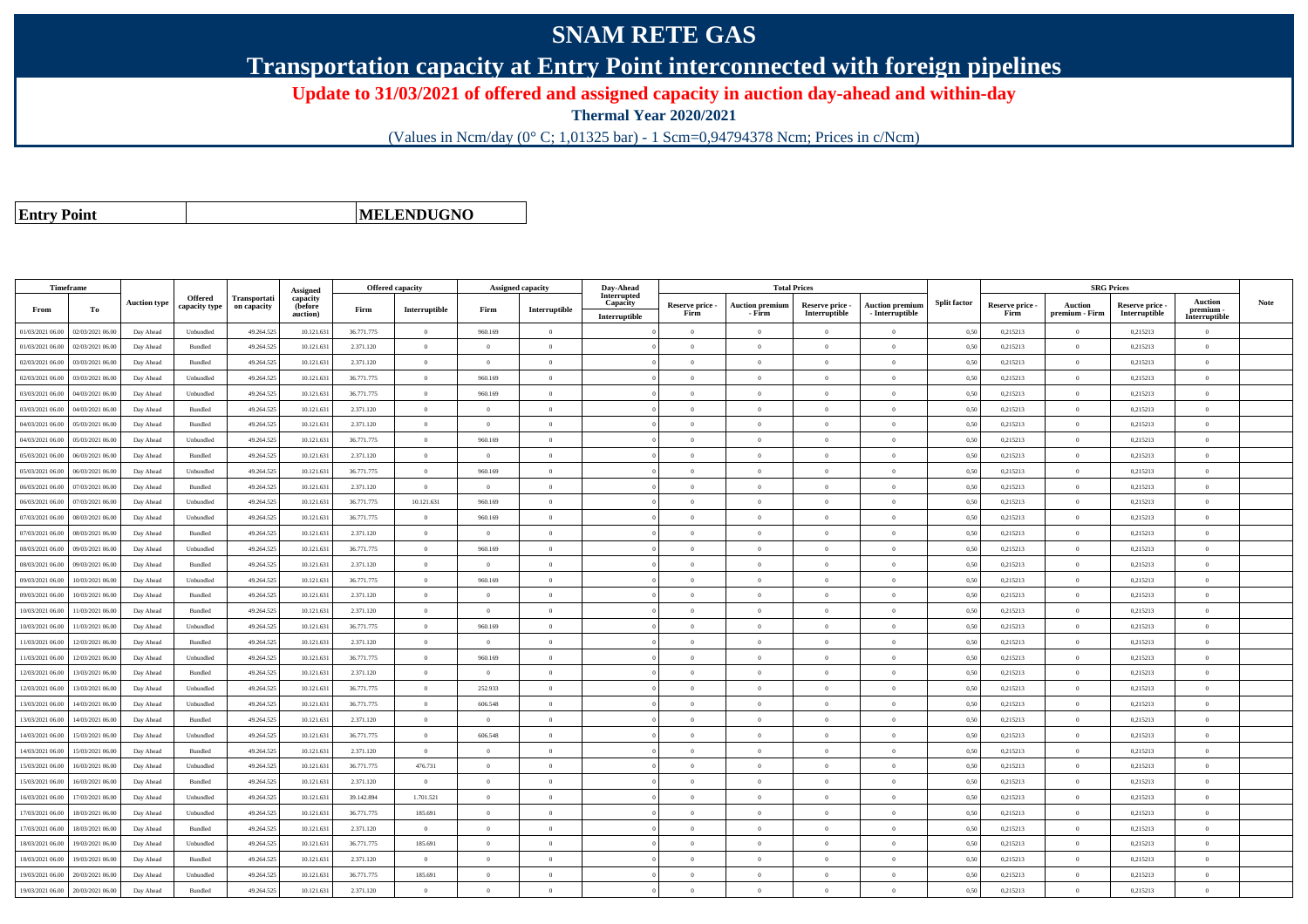## **SNAM RETE GAS**

**Transportation capacity at Entry Point interconnected with foreign pipelines**

**Update to 31/03/2021 of offered and assigned capacity in auction day-ahead and within-day**

**Thermal Year 2020/2021**

(Values in Ncm/day (0° C; 1,01325 bar) - 1 Scm=0,94794378 Ncm; Prices in c/Ncm)

**Entry Point**

**MELENDUGNO**

| Timeframe        |                  |                     |                                 |                                    | Assigned                        | Offered capacity |                |                | Assigned capacity | Day-Ahead                                |                         |                                  | <b>Total Prices</b>              |                                           |                     |                         | <b>SRG Prices</b>         |                                  |                                       |      |
|------------------|------------------|---------------------|---------------------------------|------------------------------------|---------------------------------|------------------|----------------|----------------|-------------------|------------------------------------------|-------------------------|----------------------------------|----------------------------------|-------------------------------------------|---------------------|-------------------------|---------------------------|----------------------------------|---------------------------------------|------|
| From             | To               | <b>Auction type</b> | <b>Offered</b><br>capacity type | <b>Transportati</b><br>on capacity | capacity<br>(before<br>auction) | Firm             | Interruptible  | Firm           | Interruptible     | Interrupted<br>Capacity<br>Interruptible | Reserve price -<br>Firm | <b>Auction premium</b><br>- Firm | Reserve price -<br>Interruptible | <b>Auction premium</b><br>- Interruptible | <b>Split factor</b> | Reserve price -<br>Firm | Auction<br>premium - Firm | Reserve price -<br>Interruptible | Auction<br>premium -<br>Interruptible | Note |
| 01/03/2021 06:00 | 02/03/2021 06:00 | Day Ahead           | Unbundled                       | 49.264.525                         | 10.121.631                      | 36.771.775       | $\overline{0}$ | 960.169        | $\overline{0}$    |                                          | $\overline{0}$          | $\theta$                         | $\Omega$                         | $\theta$                                  | 0,50                | 0,215213                | $\theta$                  | 0,215213                         | $\overline{0}$                        |      |
| 01/03/2021 06:00 | 02/03/2021 06.00 | Day Ahead           | Bundled                         | 49.264.525                         | 10.121.63                       | 2.371.120        | $\theta$       | $\Omega$       | $\theta$          |                                          | $\Omega$                |                                  | $\Omega$                         | $\theta$                                  | 0,50                | 0,215213                | $\theta$                  | 0,215213                         | $\theta$                              |      |
| 02/03/2021 06:00 | 03/03/2021 06:00 | Day Ahead           | Bundled                         | 49.264.525                         | 10.121.631                      | 2.371.120        | $\overline{0}$ | $\Omega$       | $\overline{0}$    |                                          | $\Omega$                | $\theta$                         | $\theta$                         | $\overline{0}$                            | 0,50                | 0,215213                | $\overline{0}$            | 0,215213                         | $\overline{0}$                        |      |
| 02/03/2021 06:00 | 03/03/2021 06:00 | Day Ahead           | Unbundled                       | 49.264.525                         | 10.121.631                      | 36.771.775       | $\overline{0}$ | 960.169        | $\overline{0}$    |                                          | $\overline{0}$          | $\Omega$                         | $\overline{0}$                   | $\overline{0}$                            | 0,50                | 0,215213                | $\overline{0}$            | 0,215213                         | $\overline{0}$                        |      |
| 03/03/2021 06:00 | 04/03/2021 06:00 | Day Ahead           | Unbundled                       | 49.264.525                         | 10.121.631                      | 36,771,775       | $\overline{0}$ | 960.169        | $\overline{0}$    |                                          | $\overline{0}$          | $\Omega$                         | $\overline{0}$                   | $\overline{0}$                            | 0.50                | 0.215213                | $\overline{0}$            | 0.215213                         | $\overline{0}$                        |      |
| 03/03/2021 06:00 | 04/03/2021 06.0  | Day Ahead           | Bundled                         | 49.264.525                         | 10.121.63                       | 2.371.120        | $\overline{0}$ | $\bf{0}$       | $\overline{0}$    |                                          | $\overline{0}$          | $\theta$                         | $\overline{0}$                   | $\overline{0}$                            | 0.50                | 0,215213                | $\overline{0}$            | 0,215213                         | $\overline{0}$                        |      |
| 04/03/2021 06:00 | 05/03/2021 06.00 | Day Ahead           | Bundled                         | 49.264.525                         | 10.121.631                      | 2.371.120        | $\overline{0}$ | $\overline{0}$ | $\overline{0}$    |                                          | $\overline{0}$          | $\theta$                         | $\overline{0}$                   | $\overline{0}$                            | 0,50                | 0,215213                | $\overline{0}$            | 0,215213                         | $\overline{0}$                        |      |
| 04/03/2021 06:00 | 05/03/2021 06:00 | Day Ahead           | Unbundled                       | 49.264.525                         | 10.121.631                      | 36.771.775       | $\overline{0}$ | 960.169        | $\Omega$          |                                          | $\Omega$                | $\Omega$                         | $\Omega$                         | $\overline{0}$                            | 0,50                | 0,215213                | $\theta$                  | 0,215213                         | $\theta$                              |      |
| 05/03/2021 06:00 | 06/03/2021 06:00 | Day Ahead           | Bundled                         | 49.264.525                         | 10.121.63                       | 2.371.120        | $\overline{0}$ | $\overline{0}$ | $\overline{0}$    |                                          | $\overline{0}$          | $\Omega$                         | $\overline{0}$                   | $\overline{0}$                            | 0,50                | 0,215213                | $\Omega$                  | 0,215213                         | $\overline{0}$                        |      |
| 05/03/2021 06:00 | 06/03/2021 06:00 | Day Ahead           | Unbundled                       | 49.264.525                         | 10.121.631                      | 36.771.775       | $\overline{0}$ | 960.169        | $\overline{0}$    |                                          | $\theta$                | $\Omega$                         | $\theta$                         | $\overline{0}$                            | 0.50                | 0,215213                | $\overline{0}$            | 0,215213                         | $\theta$                              |      |
| 06/03/2021 06:00 | 07/03/2021 06:00 | Day Ahead           | Bundled                         | 49.264.525                         | 10.121.631                      | 2.371.120        | $\overline{0}$ | $\theta$       | $\overline{0}$    |                                          | $\overline{0}$          | $\mathbf{0}$                     | $\overline{0}$                   | $\overline{0}$                            | 0.50                | 0.215213                | $\overline{0}$            | 0.215213                         | $\overline{0}$                        |      |
| 06/03/2021 06.0  | 07/03/2021 06.0  | Day Ahead           | Unbundled                       | 49.264.52                          | 10.121.63                       | 36,771,775       | 10.121.631     | 960.169        | $\overline{0}$    |                                          | $\overline{0}$          | $\overline{0}$                   | $\overline{0}$                   | $\overline{0}$                            | 0.50                | 0,215213                | $\overline{0}$            | 0,215213                         | $\bf{0}$                              |      |
| 07/03/2021 06:00 | 08/03/2021 06:00 | Day Ahead           | Unbundled                       | 49.264.52                          | 10.121.631                      | 36.771.775       | $\overline{0}$ | 960.169        | $\overline{0}$    |                                          | $\theta$                | $\theta$                         | $\theta$                         | $\overline{0}$                            | 0,50                | 0,215213                | $\overline{0}$            | 0,215213                         | $\theta$                              |      |
| 07/03/2021 06:00 | 08/03/2021 06:00 | Day Ahead           | Bundled                         | 49.264.525                         | 10.121.631                      | 2.371.120        | $\overline{0}$ | $\Omega$       | $\overline{0}$    |                                          | $\overline{0}$          | $\Omega$                         | $\Omega$                         | $\overline{0}$                            | 0,50                | 0,215213                | $\overline{0}$            | 0,215213                         | $\overline{0}$                        |      |
| 08/03/2021 06:00 | 09/03/2021 06.00 | Day Ahead           | Unbundled                       | 49.264.525                         | 10.121.631                      | 36.771.775       | $\overline{0}$ | 960.169        | $\Omega$          |                                          | $\theta$                |                                  | $\Omega$                         | $\theta$                                  | 0,50                | 0,215213                | $\theta$                  | 0,215213                         | $\theta$                              |      |
| 08/03/2021 06:00 | 09/03/2021 06:00 | Day Ahead           | $\mathbf B$ undled              | 49.264.525                         | 10.121.631                      | 2.371.120        | $\overline{0}$ | $\overline{0}$ | $\overline{0}$    |                                          | $\overline{0}$          | $\Omega$                         | $\overline{0}$                   | $\,$ 0 $\,$                               | 0,50                | 0,215213                | $\overline{0}$            | 0,215213                         | $\bf{0}$                              |      |
| 09/03/2021 06:00 | 10/03/2021 06:00 | Day Ahead           | Unbundled                       | 49.264.525                         | 10.121.631                      | 36.771.775       | $\overline{0}$ | 960.169        | $\overline{0}$    |                                          | $\overline{0}$          | $\Omega$                         | $\overline{0}$                   | $\bf{0}$                                  | 0,50                | 0,215213                | $\overline{0}$            | 0,215213                         | $\overline{0}$                        |      |
| 09/03/2021 06:00 | 10/03/2021 06:00 | Day Ahead           | Bundled                         | 49.264.525                         | 10.121.631                      | 2.371.120        | $\overline{0}$ | $\Omega$       | $\Omega$          |                                          | $\theta$                | $\theta$                         | $\theta$                         | $\overline{0}$                            | 0.50                | 0.215213                | $\overline{0}$            | 0.215213                         | $\theta$                              |      |
| 10/03/2021 06:00 | 11/03/2021 06.0  | Day Ahead           | Bundled                         | 49.264.525                         | 10.121.63                       | 2.371.120        | $\overline{0}$ | $\overline{0}$ | $\overline{0}$    |                                          | $\overline{0}$          | $\Omega$                         | $\overline{0}$                   | $\overline{0}$                            | 0.50                | 0,215213                | $\overline{0}$            | 0,215213                         | $\theta$                              |      |
| 10/03/2021 06:00 | 11/03/2021 06:00 | Day Ahead           | Unbundled                       | 49.264.525                         | 10.121.631                      | 36.771.775       | $\overline{0}$ | 960.169        | $\overline{0}$    |                                          | $\overline{0}$          | $\bf{0}$                         | $\overline{0}$                   | $\overline{0}$                            | 0,50                | 0,215213                | $\overline{0}$            | 0,215213                         | $\overline{0}$                        |      |
| 11/03/2021 06:00 | 12/03/2021 06:00 | Day Ahead           | Bundled                         | 49.264.525                         | 10.121.631                      | 2.371.120        | $\overline{0}$ | $\Omega$       | $\Omega$          |                                          | $\theta$                | $\Omega$                         | $\Omega$                         | $\overline{0}$                            | 0,50                | 0,215213                | $\Omega$                  | 0,215213                         | $\theta$                              |      |
| 11/03/2021 06.00 | 12/03/2021 06.0  | Day Ahead           | Unbundled                       | 49.264.52                          | 10.121.63                       | 36.771.775       | $\overline{0}$ | 960.169        | $\theta$          |                                          | $\theta$                |                                  | $\overline{0}$                   | $\overline{0}$                            | 0,50                | 0,215213                | $\Omega$                  | 0,215213                         | $\overline{0}$                        |      |
| 12/03/2021 06:00 | 13/03/2021 06:00 | Day Ahead           | Bundled                         | 49.264.525                         | 10.121.631                      | 2.371.120        | $\overline{0}$ | $\Omega$       | $\overline{0}$    |                                          | $\theta$                | $\Omega$                         | $\overline{0}$                   | $\bf{0}$                                  | 0,50                | 0,215213                | $\overline{0}$            | 0,215213                         | $\theta$                              |      |
| 12/03/2021 06:00 | 13/03/2021 06:00 | Day Ahead           | Unbundled                       | 49.264.525                         | 10.121.631                      | 36.771.775       | $\overline{0}$ | 252.933        | $\overline{0}$    |                                          | $\overline{0}$          | $\theta$                         | $\overline{0}$                   | $\overline{0}$                            | 0.50                | 0,215213                | $\overline{0}$            | 0,215213                         | $\overline{0}$                        |      |
| 13/03/2021 06:00 | 14/03/2021 06.0  | Day Ahead           | Unbundled                       | 49.264.525                         | 10.121.63                       | 36.771.775       | $\overline{0}$ | 606.548        | $\overline{0}$    |                                          | $\theta$                | $\Omega$                         | $\theta$                         | $\bf{0}$                                  | 0.50                | 0,215213                | $\overline{0}$            | 0,215213                         | $\theta$                              |      |
| 13/03/2021 06:00 | 14/03/2021 06:00 | Day Ahead           | Bundled                         | 49.264.525                         | 10.121.631                      | 2.371.120        | $\overline{0}$ | $\overline{0}$ | $\overline{0}$    |                                          | $\overline{0}$          | $\Omega$                         | $\overline{0}$                   | $\overline{0}$                            | 0,50                | 0,215213                | $\overline{0}$            | 0,215213                         | $\overline{0}$                        |      |
| 14/03/2021 06:00 | 15/03/2021 06:00 | Day Ahead           | Unbundled                       | 49.264.525                         | 10.121.631                      | 36.771.775       | $\overline{0}$ | 606.548        | $\overline{0}$    |                                          | $\overline{0}$          | $\theta$                         | $\overline{0}$                   | $\overline{0}$                            | 0,50                | 0,215213                | $\overline{0}$            | 0,215213                         | $\overline{0}$                        |      |
| 14/03/2021 06:00 | 15/03/2021 06:00 | Day Ahead           | Bundled                         | 49.264.525                         | 10.121.631                      | 2.371.120        | $\overline{0}$ | $\Omega$       | $\theta$          |                                          | $\Omega$                |                                  | $\Omega$                         | $\theta$                                  | 0,50                | 0,215213                | $\Omega$                  | 0,215213                         | $\theta$                              |      |
| 15/03/2021 06:00 | 16/03/2021 06:00 | Day Ahead           | Unbundled                       | 49.264.525                         | 10.121.631                      | 36.771.775       | 476.731        | $\Omega$       | $\overline{0}$    |                                          | $\Omega$                | $\theta$                         | $\overline{0}$                   | $\overline{0}$                            | 0,50                | 0,215213                | $\overline{0}$            | 0,215213                         | $\overline{0}$                        |      |
| 15/03/2021 06:00 | 16/03/2021 06:00 | Day Ahead           | Bundled                         | 49.264.525                         | 10.121.631                      | 2.371.120        | $\overline{0}$ | $\overline{0}$ | $\overline{0}$    |                                          | $\overline{0}$          | $\Omega$                         | $\overline{0}$                   | $\bf{0}$                                  | 0,50                | 0,215213                | $\overline{0}$            | 0,215213                         | $\overline{0}$                        |      |
| 16/03/2021 06:00 | 17/03/2021 06:00 | Day Ahead           | Unbundled                       | 49.264.525                         | 10.121.631                      | 39.142.894       | 1.701.521      | $\Omega$       | $\Omega$          |                                          | $\Omega$                | $\Omega$                         | $\theta$                         | $\overline{0}$                            | 0.50                | 0.215213                | $\overline{0}$            | 0.215213                         | $\theta$                              |      |
| 17/03/2021 06:00 | 18/03/2021 06:00 | Day Ahead           | Unbundled                       | 49.264.525                         | 10.121.63                       | 36.771.775       | 185.691        | $\overline{0}$ | $\overline{0}$    |                                          | $\overline{0}$          | $\Omega$                         | $\overline{0}$                   | $\overline{0}$                            | 0.50                | 0,215213                | $\overline{0}$            | 0,215213                         | $\overline{0}$                        |      |
| 17/03/2021 06:00 | 18/03/2021 06:00 | Day Ahead           | Bundled                         | 49.264.525                         | 10.121.631                      | 2.371.120        | $\overline{0}$ | $\overline{0}$ | $\overline{0}$    |                                          | $\overline{0}$          | $\bf{0}$                         | $\overline{0}$                   | $\overline{0}$                            | 0,50                | 0,215213                | $\overline{0}$            | 0,215213                         | $\overline{0}$                        |      |
| 18/03/2021 06:00 | 19/03/2021 06:00 | Day Ahead           | Unbundled                       | 49.264.525                         | 10.121.631                      | 36.771.775       | 185.691        | $\theta$       | $\theta$          |                                          | $\theta$                | $\theta$                         | $\Omega$                         | $\overline{0}$                            | 0,50                | 0,215213                | $\Omega$                  | 0,215213                         | $\overline{0}$                        |      |
| 18/03/2021 06:00 | 19/03/2021 06.00 | Day Ahead           | Bundled                         | 49.264.525                         | 10.121.631                      | 2.371.120        | $\overline{0}$ | $\overline{0}$ | $\overline{0}$    |                                          | $\Omega$                | $\Omega$                         | $\theta$                         | $\overline{0}$                            | 0,50                | 0,215213                | $\theta$                  | 0,215213                         | $\theta$                              |      |
| 19/03/2021 06:00 | 20/03/2021 06:00 | Day Ahead           | Unbundled                       | 49.264.525                         | 10.121.631                      | 36.771.775       | 185.691        | $\Omega$       | $\overline{0}$    |                                          | $\Omega$                |                                  | $\overline{0}$                   | $\overline{0}$                            | 0,50                | 0,215213                | $\overline{0}$            | 0,215213                         | $\theta$                              |      |
| 19/03/2021 06:00 | 20/03/2021 06:00 | Day Ahead           | Bundled                         | 49.264.525                         | 10.121.631                      | 2.371.120        | $\overline{0}$ | $\theta$       | $\theta$          |                                          | $\Omega$                |                                  | $\Omega$                         | $\theta$                                  | 0,50                | 0,215213                | $\overline{0}$            | 0,215213                         | $\overline{0}$                        |      |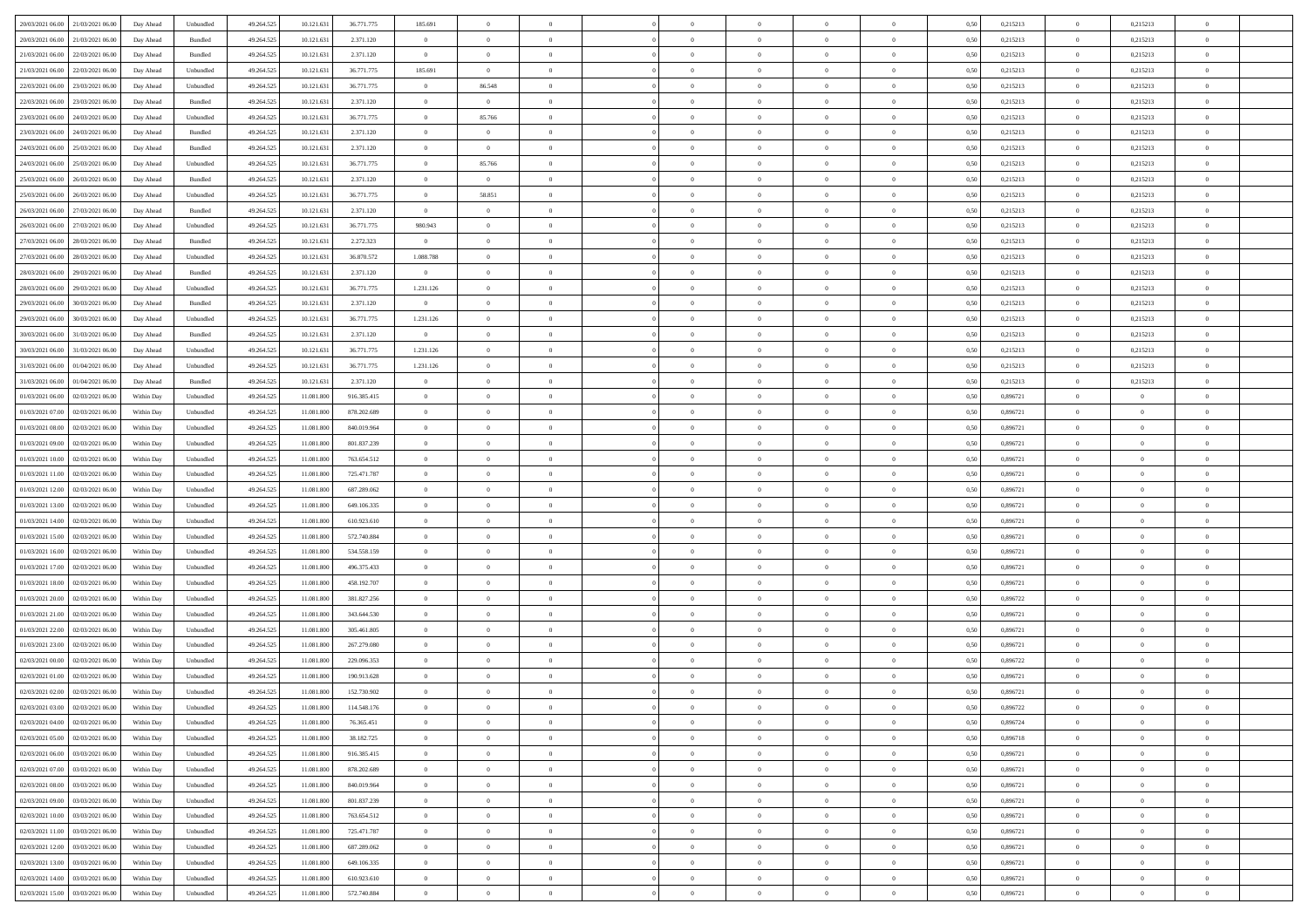| 20/03/2021 06:00                  | 21/03/2021 06:00 | Day Ahead  | Unbundled | 49.264.525 | 10.121.631 | 36.771.775  | 185.691        | $\overline{0}$ |                |                | $\overline{0}$ | $\overline{0}$ | $\overline{0}$ | 0,50 | 0,215213 | $\bf{0}$       | 0,215213       | $\overline{0}$ |  |
|-----------------------------------|------------------|------------|-----------|------------|------------|-------------|----------------|----------------|----------------|----------------|----------------|----------------|----------------|------|----------|----------------|----------------|----------------|--|
|                                   |                  |            |           |            |            |             | $\overline{0}$ | $\overline{0}$ | $\overline{0}$ | $\overline{0}$ | $\bf{0}$       |                | $\bf{0}$       |      |          | $\bf{0}$       |                | $\,$ 0         |  |
| 20/03/2021 06:00                  | 21/03/2021 06.00 | Day Ahead  | Bundled   | 49.264.525 | 10.121.631 | 2.371.120   |                |                |                |                |                | $\overline{0}$ |                | 0,50 | 0,215213 |                | 0,215213       |                |  |
| 21/03/2021 06:00                  | 22/03/2021 06:00 | Day Ahead  | Bundled   | 49.264.525 | 10.121.631 | 2.371.120   | $\overline{0}$ | $\overline{0}$ | $\overline{0}$ | $\overline{0}$ | $\bf{0}$       | $\overline{0}$ | $\mathbf{0}$   | 0.50 | 0,215213 | $\overline{0}$ | 0,215213       | $\bf{0}$       |  |
| 21/03/2021 06:00                  | 22/03/2021 06:00 | Day Ahead  | Unbundled | 49.264.525 | 10.121.631 | 36.771.775  | 185.691        | $\overline{0}$ | $\overline{0}$ | $\overline{0}$ | $\bf{0}$       | $\overline{0}$ | $\theta$       | 0,50 | 0,215213 | $\,0\,$        | 0,215213       | $\overline{0}$ |  |
| 22/03/2021 06.00                  | 23/03/2021 06.00 | Day Ahead  | Unbundled | 49.264.525 | 10.121.631 | 36.771.775  | $\overline{0}$ | 86.548         | $\overline{0}$ |                | $\bf{0}$       | $\overline{0}$ | $\bf{0}$       | 0,50 | 0,215213 | $\bf{0}$       | 0,215213       | $\bf{0}$       |  |
| 22/03/2021 06:00                  | 23/03/2021 06:00 | Day Ahead  | Bundled   | 49.264.525 | 10.121.631 | 2.371.120   | $\overline{0}$ | $\overline{0}$ | $\overline{0}$ | $\Omega$       | $\overline{0}$ | $\overline{0}$ | $\bf{0}$       | 0.50 | 0,215213 | $\,$ 0         | 0.215213       | $\bf{0}$       |  |
| 23/03/2021 06:00                  | 24/03/2021 06:00 | Day Ahead  | Unbundled | 49.264.525 | 10.121.631 | 36.771.775  | $\overline{0}$ | 85.766         | $\overline{0}$ | $\overline{0}$ | $\bf{0}$       | $\overline{0}$ | $\overline{0}$ | 0,50 | 0,215213 | $\,$ 0 $\,$    | 0,215213       | $\overline{0}$ |  |
| 23/03/2021 06:00                  | 24/03/2021 06.00 | Day Ahead  | Bundled   | 49.264.525 | 10.121.63  | 2.371.120   | $\overline{0}$ | $\bf{0}$       | $\overline{0}$ |                | $\bf{0}$       | $\overline{0}$ | $\bf{0}$       | 0,50 | 0,215213 | $\bf{0}$       | 0,215213       | $\,$ 0         |  |
| 24/03/2021 06:00                  | 25/03/2021 06:00 | Day Ahead  | Bundled   | 49.264.525 | 10.121.63  | 2.371.120   | $\overline{0}$ | $\overline{0}$ | $\overline{0}$ | $\overline{0}$ | $\bf{0}$       | $\overline{0}$ | $\bf{0}$       | 0.50 | 0,215213 | $\,0\,$        | 0.215213       | $\bf{0}$       |  |
| 24/03/2021 06:00                  | 25/03/2021 06.00 | Day Ahead  | Unbundled | 49.264.525 | 10.121.631 | 36.771.775  | $\overline{0}$ | 85.766         | $\overline{0}$ | $\overline{0}$ | $\bf{0}$       | $\overline{0}$ | $\overline{0}$ | 0,50 | 0,215213 | $\bf{0}$       | 0,215213       | $\overline{0}$ |  |
|                                   |                  |            |           |            |            |             |                |                |                |                |                |                |                |      |          |                |                |                |  |
| 25/03/2021 06:00                  | 26/03/2021 06.00 | Day Ahead  | Bundled   | 49.264.525 | 10.121.631 | 2.371.120   | $\overline{0}$ | $\overline{0}$ | $\overline{0}$ |                | $\bf{0}$       | $\overline{0}$ | $\bf{0}$       | 0,50 | 0,215213 | $\bf{0}$       | 0,215213       | $\bf{0}$       |  |
| 25/03/2021 06:00                  | 26/03/2021 06:00 | Day Ahead  | Unbundled | 49.264.525 | 10.121.631 | 36.771.775  | $\overline{0}$ | 58.851         | $\overline{0}$ | $\overline{0}$ | $\,$ 0         | $\overline{0}$ | $\overline{0}$ | 0.50 | 0,215213 | $\,$ 0 $\,$    | 0,215213       | $\bf{0}$       |  |
| 26/03/2021 06:00                  | 27/03/2021 06:00 | Day Ahead  | Bundled   | 49.264.525 | 10.121.631 | 2.371.120   | $\overline{0}$ | $\overline{0}$ | $\overline{0}$ | $\overline{0}$ | $\bf{0}$       | $\overline{0}$ | $\theta$       | 0,50 | 0,215213 | $\,$ 0 $\,$    | 0,215213       | $\overline{0}$ |  |
| 26/03/2021 06.00                  | 27/03/2021 06.00 | Day Ahead  | Unbundled | 49.264.525 | 10.121.631 | 36.771.775  | 980.943        | $\overline{0}$ | $\overline{0}$ |                | $\bf{0}$       | $\overline{0}$ | $\bf{0}$       | 0,50 | 0,215213 | $\bf{0}$       | 0,215213       | $\overline{0}$ |  |
| 27/03/2021 06:00                  | 28/03/2021 06:00 | Day Ahead  | Bundled   | 49.264.525 | 10.121.631 | 2.272.323   | $\overline{0}$ | $\overline{0}$ | $\overline{0}$ | $\Omega$       | $\bf{0}$       | $\overline{0}$ | $\bf{0}$       | 0.50 | 0,215213 | $\bf{0}$       | 0.215213       | $\bf{0}$       |  |
| 27/03/2021 06:00                  | 28/03/2021 06:00 | Day Ahead  | Unbundled | 49.264.525 | 10.121.631 | 36.870.572  | 1.088.788      | $\overline{0}$ | $\overline{0}$ | $\overline{0}$ | $\bf{0}$       | $\overline{0}$ | $\overline{0}$ | 0,50 | 0,215213 | $\overline{0}$ | 0,215213       | $\overline{0}$ |  |
| 28/03/2021 06:00                  | 29/03/2021 06.00 | Day Ahead  | Bundled   | 49.264.525 | 10.121.631 | 2.371.120   | $\overline{0}$ | $\bf{0}$       | $\overline{0}$ |                | $\bf{0}$       | $\overline{0}$ | $\bf{0}$       | 0,50 | 0,215213 | $\bf{0}$       | 0,215213       | $\,$ 0         |  |
| 28/03/2021 06:00                  | 29/03/2021 06:00 | Day Ahead  | Unbundled | 49.264.525 | 10.121.63  | 36.771.775  | 1.231.126      | $\overline{0}$ | $\overline{0}$ | $\overline{0}$ | $\bf{0}$       | $\overline{0}$ | $\bf{0}$       | 0.50 | 0,215213 | $\bf{0}$       | 0.215213       | $\bf{0}$       |  |
| 29/03/2021 06:00                  | 30/03/2021 06:00 | Day Ahead  | Bundled   | 49.264.525 | 10.121.631 | 2.371.120   | $\overline{0}$ | $\overline{0}$ | $\overline{0}$ | $\overline{0}$ | $\bf{0}$       | $\overline{0}$ | $\overline{0}$ | 0,50 | 0,215213 | $\,$ 0 $\,$    | 0,215213       | $\overline{0}$ |  |
|                                   |                  |            |           |            |            |             |                |                |                |                |                |                |                |      |          |                |                |                |  |
| 29/03/2021 06.00                  | 30/03/2021 06.00 | Day Ahead  | Unbundled | 49.264.525 | 10.121.631 | 36.771.775  | 1.231.126      | $\overline{0}$ | $\overline{0}$ |                | $\bf{0}$       | $\overline{0}$ | $\bf{0}$       | 0,50 | 0,215213 | $\bf{0}$       | 0,215213       | $\bf{0}$       |  |
| 30/03/2021 06:00                  | 31/03/2021 06:00 | Day Ahead  | Bundled   | 49.264.525 | 10.121.631 | 2.371.120   | $\overline{0}$ | $\overline{0}$ | $\overline{0}$ | $\overline{0}$ | $\,$ 0         | $\overline{0}$ | $\mathbf{0}$   | 0.50 | 0,215213 | $\,$ 0 $\,$    | 0,215213       | $\bf{0}$       |  |
| 30/03/2021 06:00                  | 31/03/2021 06:00 | Day Ahead  | Unbundled | 49.264.525 | 10.121.631 | 36.771.775  | 1.231.126      | $\overline{0}$ | $\overline{0}$ | $\overline{0}$ | $\bf{0}$       | $\overline{0}$ | $\theta$       | 0,50 | 0,215213 | $\,$ 0 $\,$    | 0,215213       | $\overline{0}$ |  |
| 31/03/2021 06.00                  | 01/04/2021 06.00 | Day Ahead  | Unbundled | 49.264.525 | 10.121.631 | 36.771.775  | 1.231.126      | $\overline{0}$ | $\overline{0}$ |                | $\bf{0}$       | $\overline{0}$ | $\bf{0}$       | 0,50 | 0,215213 | $\bf{0}$       | 0,215213       | $\bf{0}$       |  |
| 31/03/2021 06:00                  | 01/04/2021 06:00 | Day Ahead  | Bundled   | 49.264.525 | 10.121.63  | 2.371.120   | $\overline{0}$ | $\overline{0}$ | $\overline{0}$ | $\Omega$       | $\bf{0}$       | $\overline{0}$ | $\bf{0}$       | 0.50 | 0,215213 | $\bf{0}$       | 0,215213       | $\bf{0}$       |  |
| 01/03/2021 06:00                  | 02/03/2021 06:00 | Within Day | Unbundled | 49.264.525 | 11.081.800 | 916.385.415 | $\overline{0}$ | $\overline{0}$ | $\overline{0}$ | $\overline{0}$ | $\bf{0}$       | $\overline{0}$ | $\overline{0}$ | 0,50 | 0,896721 | $\,$ 0 $\,$    | $\overline{0}$ | $\overline{0}$ |  |
| 01/03/2021 07:00                  | 02/03/2021 06.00 | Within Day | Unbundled | 49.264.525 | 11.081.800 | 878.202.689 | $\overline{0}$ | $\bf{0}$       | $\overline{0}$ |                | $\bf{0}$       | $\overline{0}$ | $\bf{0}$       | 0,50 | 0,896721 | $\bf{0}$       | $\overline{0}$ | $\,$ 0         |  |
| 01/03/2021 08:00                  | 02/03/2021 06:00 | Within Day | Unbundled | 49.264.525 | 11.081.800 | 840 019 964 | $\overline{0}$ | $\overline{0}$ | $\overline{0}$ | $\overline{0}$ | $\bf{0}$       | $\overline{0}$ | $\bf{0}$       | 0.50 | 0.896721 | $\bf{0}$       | $\bf{0}$       | $\bf{0}$       |  |
| 01/03/2021 09:00                  | 02/03/2021 06:00 | Within Day | Unbundled | 49.264.525 | 11.081.800 | 801.837.239 | $\overline{0}$ | $\overline{0}$ | $\overline{0}$ | $\overline{0}$ | $\bf{0}$       | $\overline{0}$ | $\overline{0}$ | 0,50 | 0,896721 | $\,$ 0 $\,$    | $\overline{0}$ | $\overline{0}$ |  |
|                                   |                  |            |           |            |            |             |                |                |                |                |                |                |                |      |          |                |                |                |  |
| 01/03/2021 10:00                  | 02/03/2021 06.00 | Within Day | Unbundled | 49.264.525 | 11.081.800 | 763.654.512 | $\overline{0}$ | $\overline{0}$ | $\overline{0}$ | $\overline{0}$ | $\bf{0}$       | $\overline{0}$ | $\bf{0}$       | 0,50 | 0,896721 | $\bf{0}$       | $\bf{0}$       | $\bf{0}$       |  |
| 01/03/2021 11:00                  | 02/03/2021 06:00 | Within Day | Unbundled | 49.264.525 | 11.081.800 | 725.471.787 | $\overline{0}$ | $\overline{0}$ | $\overline{0}$ | $\overline{0}$ | $\,$ 0         | $\overline{0}$ | $\overline{0}$ | 0.50 | 0.896721 | $\,$ 0 $\,$    | $\bf{0}$       | $\bf{0}$       |  |
| 01/03/2021 12:00                  | 02/03/2021 06:00 | Within Dav | Unbundled | 49.264.525 | 11.081.800 | 687.289.062 | $\overline{0}$ | $\overline{0}$ | $\overline{0}$ | $\Omega$       | $\theta$       | $\overline{0}$ | $\overline{0}$ | 0,50 | 0,896721 | $\mathbf{0}$   | $\overline{0}$ | $\overline{0}$ |  |
| 01/03/2021 13:00                  | 02/03/2021 06.00 | Within Day | Unbundled | 49.264.525 | 11.081.800 | 649.106.335 | $\overline{0}$ | $\bf{0}$       | $\overline{0}$ |                | $\bf{0}$       | $\overline{0}$ | $\bf{0}$       | 0,50 | 0,896721 | $\bf{0}$       | $\overline{0}$ | $\,$ 0         |  |
| 01/03/2021 14:00                  | 02/03/2021 06:00 | Within Day | Unbundled | 49.264.525 | 11.081.800 | 610.923.610 | $\overline{0}$ | $\overline{0}$ | $\overline{0}$ | $\Omega$       | $\bf{0}$       | $\overline{0}$ | $\bf{0}$       | 0.50 | 0,896721 | $\bf{0}$       | $\overline{0}$ | $\bf{0}$       |  |
| 01/03/2021 15:00                  | 02/03/2021 06:00 | Within Dav | Unbundled | 49.264.525 | 11.081.800 | 572.740.884 | $\overline{0}$ | $\overline{0}$ | $\theta$       | $\Omega$       | $\theta$       | $\overline{0}$ | $\overline{0}$ | 0,50 | 0,896721 | $\mathbf{0}$   | $\theta$       | $\overline{0}$ |  |
| 01/03/2021 16:00                  | 02/03/2021 06.00 | Within Day | Unbundled | 49.264.525 | 11.081.800 | 534.558.159 | $\overline{0}$ | $\bf{0}$       | $\overline{0}$ |                | $\bf{0}$       | $\overline{0}$ | $\bf{0}$       | 0,50 | 0,896721 | $\bf{0}$       | $\overline{0}$ | $\bf{0}$       |  |
| 01/03/2021 17:00                  | 02/03/2021 06:00 | Within Day | Unbundled | 49.264.525 | 11.081.800 | 496.375.433 | $\overline{0}$ | $\overline{0}$ | $\overline{0}$ | $\overline{0}$ | $\bf{0}$       | $\overline{0}$ | $\bf{0}$       | 0.50 | 0.896721 | $\bf{0}$       | $\bf{0}$       | $\bf{0}$       |  |
| 01/03/2021 18:00                  | 02/03/2021 06:00 | Within Dav | Unbundled | 49.264.525 | 11.081.800 | 458.192.707 | $\overline{0}$ | $\overline{0}$ | $\overline{0}$ | $\Omega$       | $\overline{0}$ | $\overline{0}$ | $\bf{0}$       | 0,50 | 0,896721 | $\mathbf{0}$   | $\overline{0}$ | $\overline{0}$ |  |
| 01/03/2021 20.00                  | 02/03/2021 06.00 | Within Day | Unbundled | 49.264.525 | 11.081.800 | 381.827.256 | $\overline{0}$ | $\overline{0}$ | $\overline{0}$ | $\overline{0}$ | $\overline{0}$ | $\overline{0}$ | $\bf{0}$       | 0,50 | 0,896722 | $\bf{0}$       | $\overline{0}$ | $\bf{0}$       |  |
| 01/03/2021 21:00                  | 02/03/2021 06:00 | Within Day | Unbundled | 49.264.525 | 11.081.800 | 343.644.530 | $\overline{0}$ | $\overline{0}$ | $\overline{0}$ | $\overline{0}$ | $\,$ 0         | $\overline{0}$ | $\mathbf{0}$   | 0.50 | 0.896721 | $\,0\,$        | $\bf{0}$       | $\bf{0}$       |  |
|                                   |                  |            |           |            |            |             |                |                |                |                |                |                |                |      |          |                |                |                |  |
| 01/03/2021 22:00                  | 02/03/2021 06:00 | Within Dav | Unbundled | 49.264.525 | 11.081.800 | 305.461.805 | $\overline{0}$ | $\overline{0}$ | $\Omega$       | $\Omega$       | $\theta$       | $\overline{0}$ | $\bf{0}$       | 0,50 | 0,896721 | $\mathbf{0}$   | $\theta$       | $\overline{0}$ |  |
| 01/03/2021 23.00                  | 02/03/2021 06.00 | Within Day | Unbundled | 49.264.525 | 11.081.800 | 267.279.080 | $\overline{0}$ | $\overline{0}$ | $\overline{0}$ | $\Omega$       | $\bf{0}$       | $\overline{0}$ | $\bf{0}$       | 0,50 | 0,896721 | $\bf{0}$       | $\overline{0}$ | $\bf{0}$       |  |
| 02/03/2021 00:00                  | 02/03/2021 06:00 | Within Day | Unbundled | 49.264.525 | 11.081.800 | 229.096.353 | $\overline{0}$ | $\overline{0}$ | $\overline{0}$ | $\Omega$       | $\bf{0}$       | $\overline{0}$ | $\bf{0}$       | 0.50 | 0,896722 | $\bf{0}$       | $\overline{0}$ | $\bf{0}$       |  |
| 02/03/2021 01:00                  | 02/03/2021 06:00 | Within Dav | Unbundled | 49.264.525 | 11.081.800 | 190.913.628 | $\overline{0}$ | $\overline{0}$ | $\theta$       | $\Omega$       | $\overline{0}$ | $\overline{0}$ | $\theta$       | 0.50 | 0,896721 | $\mathbf{0}$   | $\overline{0}$ | $\overline{0}$ |  |
| 02/03/2021 02:00                  | 02/03/2021 06:00 | Within Day | Unbundled | 49.264.525 | 11.081.800 | 152.730.902 | $\overline{0}$ | $\bf{0}$       | $\overline{0}$ |                | $\bf{0}$       | $\overline{0}$ | $\bf{0}$       | 0,50 | 0,896721 | $\bf{0}$       | $\overline{0}$ | $\bf{0}$       |  |
| 02/03/2021 03:00                  | 02/03/2021 06:00 | Within Day | Unbundled | 49.264.525 | 11.081.800 | 114.548.176 | $\bf{0}$       | $\bf{0}$       |                |                |                |                |                | 0,50 | 0,896722 | $\Omega$       | $\Omega$       |                |  |
| 02/03/2021 04:00                  | 02/03/2021 06:00 | Within Day | Unbundled | 49.264.525 | 11.081.800 | 76.365.451  | $\theta$       | $\overline{0}$ | $\overline{0}$ | $\Omega$       | $\theta$       | $\overline{0}$ | $\mathbf{0}$   | 0,50 | 0,896724 | $\mathbf{0}$   | $\theta$       | $\bf{0}$       |  |
| 02/03/2021 05:00                  | 02/03/2021 06:00 | Within Day | Unbundled | 49.264.525 | 11.081.800 | 38.182.725  | $\overline{0}$ | $\overline{0}$ | $\overline{0}$ | $\overline{0}$ | $\bf{0}$       | $\overline{0}$ | $\bf{0}$       | 0,50 | 0,896718 | $\bf{0}$       | $\bf{0}$       | $\bf{0}$       |  |
| 02/03/2021 06:00                  | 03/03/2021 06:00 | Within Day | Unbundled | 49.264.525 | 11.081.800 | 916.385.415 | $\overline{0}$ | $\overline{0}$ | $\overline{0}$ | $\overline{0}$ | $\,$ 0 $\,$    | $\overline{0}$ | $\bf{0}$       | 0.50 | 0,896721 | $\overline{0}$ | $\overline{0}$ | $\,$ 0 $\,$    |  |
| 02/03/2021 07:00                  | 03/03/2021 06:00 | Within Day | Unbundled | 49.264.525 | 11.081.800 | 878.202.689 | $\overline{0}$ | $\overline{0}$ | $\overline{0}$ | $\Omega$       | $\theta$       | $\overline{0}$ | $\bf{0}$       | 0,50 | 0,896721 | $\overline{0}$ | $\theta$       | $\bf{0}$       |  |
| 02/03/2021 08:00                  | 03/03/2021 06:00 | Within Day | Unbundled | 49.264.525 | 11.081.800 | 840.019.964 | $\overline{0}$ | $\overline{0}$ | $\overline{0}$ | $\overline{0}$ | $\overline{0}$ | $\overline{0}$ | $\bf{0}$       | 0,50 | 0,896721 | $\,$ 0 $\,$    | $\bf{0}$       | $\bf{0}$       |  |
|                                   |                  |            |           |            |            |             |                |                |                |                |                |                |                |      |          |                |                |                |  |
| 02/03/2021 09:00                  | 03/03/2021 06:00 | Within Day | Unbundled | 49.264.525 | 11.081.800 | 801.837.239 | $\overline{0}$ | $\overline{0}$ | $\overline{0}$ | $\overline{0}$ | $\overline{0}$ | $\overline{0}$ | $\mathbf{0}$   | 0.50 | 0,896721 | $\,0\,$        | $\overline{0}$ | $\bf{0}$       |  |
| 02/03/2021 10:00                  | 03/03/2021 06:00 | Within Day | Unbundled | 49.264.525 | 11.081.800 | 763.654.512 | $\overline{0}$ | $\overline{0}$ | $\overline{0}$ | $\overline{0}$ | $\overline{0}$ | $\overline{0}$ | $\bf{0}$       | 0,50 | 0,896721 | $\overline{0}$ | $\theta$       | $\bf{0}$       |  |
| 02/03/2021 11:00                  | 03/03/2021 06:00 | Within Day | Unbundled | 49.264.525 | 11.081.800 | 725.471.787 | $\overline{0}$ | $\,$ 0 $\,$    | $\overline{0}$ | $\overline{0}$ | $\,$ 0         | $\overline{0}$ | $\bf{0}$       | 0,50 | 0,896721 | $\,0\,$        | $\overline{0}$ | $\bf{0}$       |  |
| 02/03/2021 12:00                  | 03/03/2021 06:00 | Within Day | Unbundled | 49.264.525 | 11.081.800 | 687.289.062 | $\overline{0}$ | $\overline{0}$ | $\overline{0}$ | $\overline{0}$ | $\,$ 0 $\,$    | $\overline{0}$ | $\mathbf{0}$   | 0.50 | 0.896721 | $\overline{0}$ | $\bf{0}$       | $\bf{0}$       |  |
| 02/03/2021 13:00                  | 03/03/2021 06:00 | Within Day | Unbundled | 49.264.525 | 11.081.800 | 649.106.335 | $\overline{0}$ | $\overline{0}$ | $\overline{0}$ | $\Omega$       | $\overline{0}$ | $\overline{0}$ | $\bf{0}$       | 0,50 | 0,896721 | $\overline{0}$ | $\theta$       | $\bf{0}$       |  |
| 02/03/2021 14:00                  | 03/03/2021 06.00 | Within Day | Unbundled | 49.264.525 | 11.081.800 | 610.923.610 | $\overline{0}$ | $\bf{0}$       | $\overline{0}$ | $\overline{0}$ | $\bf{0}$       | $\overline{0}$ | $\bf{0}$       | 0,50 | 0,896721 | $\bf{0}$       | $\bf{0}$       | $\bf{0}$       |  |
| 02/03/2021 15:00 03/03/2021 06:00 |                  | Within Day | Unbundled | 49.264.525 | 11.081.800 | 572.740.884 | $\overline{0}$ | $\overline{0}$ | $\overline{0}$ | $\overline{0}$ | $\,$ 0 $\,$    | $\overline{0}$ | $\mathbf{0}$   | 0,50 | 0,896721 | $\,$ 0 $\,$    | $\,$ 0 $\,$    | $\bf{0}$       |  |
|                                   |                  |            |           |            |            |             |                |                |                |                |                |                |                |      |          |                |                |                |  |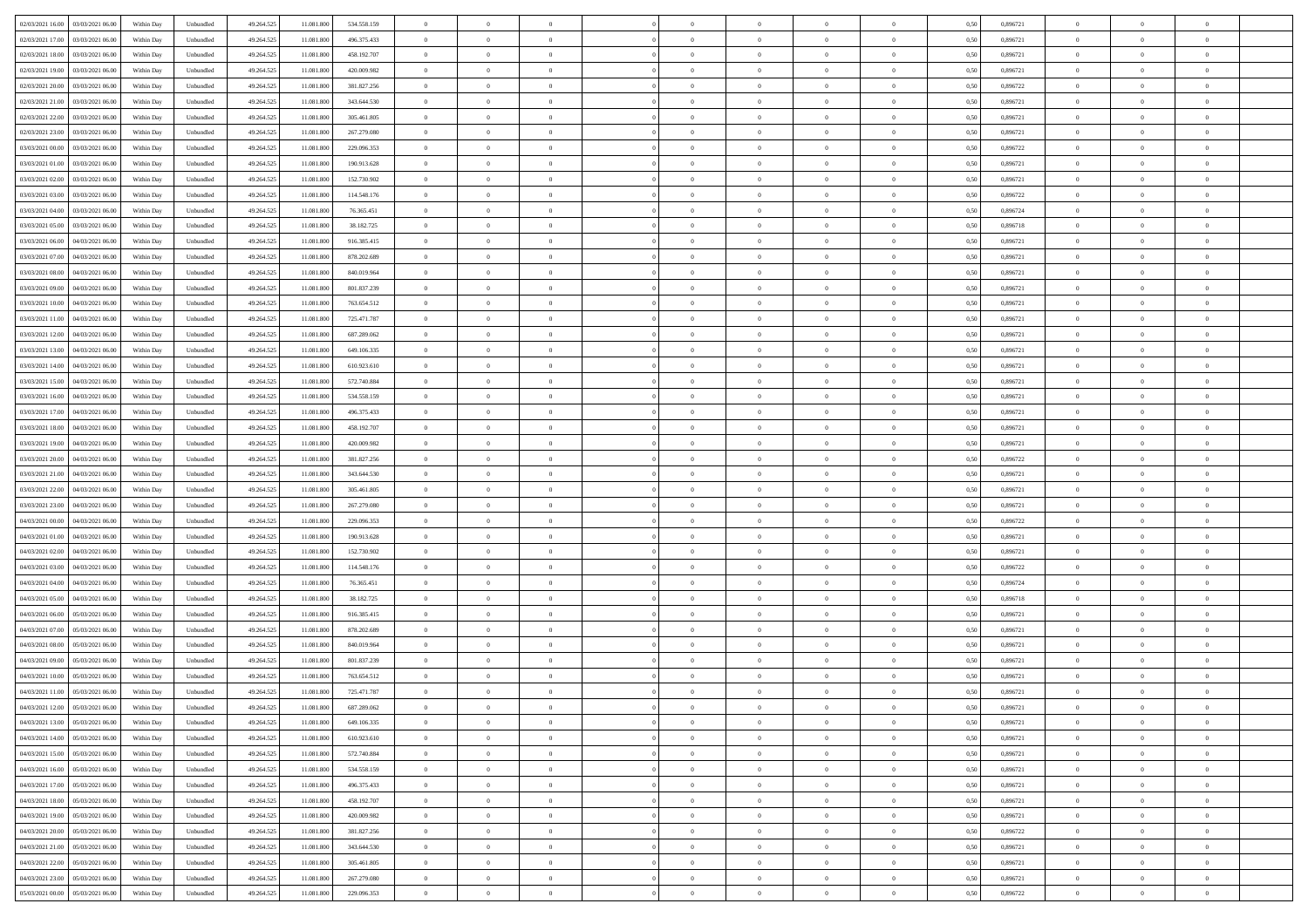| 02/03/2021 16:00 03/03/2021 06:00            | Within Day | Unbundled         | 49.264.525 | 11.081.800 | 534.558.159 | $\overline{0}$ | $\overline{0}$ |                | $\overline{0}$ | $\theta$       |                | $\theta$       | 0,50 | 0,896721 | $\theta$       | $\theta$       | $\overline{0}$ |  |
|----------------------------------------------|------------|-------------------|------------|------------|-------------|----------------|----------------|----------------|----------------|----------------|----------------|----------------|------|----------|----------------|----------------|----------------|--|
| 02/03/2021 17:00<br>03/03/2021 06:00         | Within Day | Unbundled         | 49.264.52  | 11.081.80  | 496.375.433 | $\bf{0}$       | $\overline{0}$ | $\bf{0}$       | $\overline{0}$ | $\bf{0}$       | $\overline{0}$ | $\bf{0}$       | 0,50 | 0,896721 | $\,$ 0 $\,$    | $\bf{0}$       | $\overline{0}$ |  |
| 02/03/2021 18:00<br>03/03/2021 06:00         | Within Day | Unbundled         | 49.264.525 | 11.081.800 | 458.192.707 | $\overline{0}$ | $\bf{0}$       | $\overline{0}$ | $\bf{0}$       | $\bf{0}$       | $\overline{0}$ | $\bf{0}$       | 0.50 | 0.896721 | $\bf{0}$       | $\overline{0}$ | $\overline{0}$ |  |
| 02/03/2021 19:00<br>03/03/2021 06:00         |            |                   |            |            |             | $\overline{0}$ | $\overline{0}$ | $\overline{0}$ | $\theta$       | $\theta$       | $\overline{0}$ | $\bf{0}$       |      | 0,896721 | $\theta$       | $\theta$       | $\overline{0}$ |  |
|                                              | Within Day | Unbundled         | 49.264.52  | 11.081.800 | 420.009.982 |                |                |                |                |                |                |                | 0,50 |          |                |                |                |  |
| 02/03/2021 20:00<br>03/03/2021 06.00         | Within Day | Unbundled         | 49.264.52  | 11.081.80  | 381.827.256 | $\bf{0}$       | $\overline{0}$ | $\bf{0}$       | $\overline{0}$ | $\theta$       | $\overline{0}$ | $\bf{0}$       | 0,50 | 0,896722 | $\,$ 0 $\,$    | $\bf{0}$       | $\overline{0}$ |  |
| 02/03/2021 21:00<br>03/03/2021 06:00         | Within Day | Unbundled         | 49.264.525 | 11.081.800 | 343.644.530 | $\overline{0}$ | $\overline{0}$ | $\overline{0}$ | $\bf{0}$       | $\overline{0}$ | $\theta$       | $\bf{0}$       | 0.50 | 0,896721 | $\,$ 0 $\,$    | $\theta$       | $\overline{0}$ |  |
| 02/03/2021 22:00<br>03/03/2021 06:00         | Within Day | Unbundled         | 49.264.52  | 11.081.800 | 305.461.805 | $\overline{0}$ | $\overline{0}$ | $\overline{0}$ | $\overline{0}$ | $\overline{0}$ | $\overline{0}$ | $\bf{0}$       | 0,50 | 0,896721 | $\theta$       | $\theta$       | $\overline{0}$ |  |
|                                              |            |                   |            |            |             |                |                |                |                |                |                |                |      |          |                |                |                |  |
| 02/03/2021 23:00<br>03/03/2021 06.00         | Within Day | Unbundled         | 49.264.52  | 11.081.80  | 267.279.080 | $\bf{0}$       | $\overline{0}$ | $\overline{0}$ | $\overline{0}$ | $\theta$       | $\overline{0}$ | $\bf{0}$       | 0,50 | 0,896721 | $\,$ 0 $\,$    | $\bf{0}$       | $\overline{0}$ |  |
| 03/03/2021 00:00<br>03/03/2021 06:00         | Within Day | Unbundled         | 49.264.52  | 11.081.80  | 229.096.353 | $\overline{0}$ | $\bf{0}$       | $\overline{0}$ | $\bf{0}$       | $\overline{0}$ | $\overline{0}$ | $\bf{0}$       | 0.50 | 0.896722 | $\bf{0}$       | $\overline{0}$ | $\overline{0}$ |  |
| 03/03/2021 01:00<br>03/03/2021 06:00         | Within Day | Unbundled         | 49.264.525 | 11.081.800 | 190.913.628 | $\bf{0}$       | $\bf{0}$       | $\overline{0}$ | $\overline{0}$ | $\overline{0}$ | $\overline{0}$ | $\bf{0}$       | 0,50 | 0,896721 | $\,$ 0 $\,$    | $\bf{0}$       | $\overline{0}$ |  |
| 03/03/2021 02:00<br>03/03/2021 06.00         | Within Day | Unbundled         | 49.264.52  | 11.081.800 | 152.730.902 | $\bf{0}$       | $\overline{0}$ | $\bf{0}$       | $\overline{0}$ | $\bf{0}$       | $\overline{0}$ | $\bf{0}$       | 0,50 | 0,896721 | $\,$ 0 $\,$    | $\bf{0}$       | $\overline{0}$ |  |
|                                              |            |                   |            |            |             |                |                |                |                |                |                |                |      |          |                |                |                |  |
| 03/03/2021 03:00<br>03/03/2021 06:00         | Within Day | Unbundled         | 49.264.525 | 11.081.800 | 114.548.176 | $\overline{0}$ | $\bf{0}$       | $\overline{0}$ | $\bf{0}$       | $\bf{0}$       | $\overline{0}$ | $\bf{0}$       | 0.50 | 0.896722 | $\bf{0}$       | $\overline{0}$ | $\bf{0}$       |  |
| 03/03/2021 04:00<br>03/03/2021 06:00         | Within Day | Unbundled         | 49.264.52  | 11.081.800 | 76.365.451  | $\overline{0}$ | $\overline{0}$ | $\overline{0}$ | $\overline{0}$ | $\theta$       | $\overline{0}$ | $\overline{0}$ | 0,50 | 0,896724 | $\theta$       | $\theta$       | $\overline{0}$ |  |
| 03/03/2021 05:00<br>03/03/2021 06.00         | Within Day | Unbundled         | 49.264.52  | 11.081.800 | 38.182.725  | $\bf{0}$       | $\overline{0}$ | $\bf{0}$       | $\overline{0}$ | $\theta$       | $\overline{0}$ | $\bf{0}$       | 0,50 | 0,896718 | $\bf{0}$       | $\bf{0}$       | $\overline{0}$ |  |
|                                              |            |                   |            |            |             |                |                |                |                |                |                |                |      |          |                |                |                |  |
| 03/03/2021 06:00<br>04/03/2021 06:00         | Within Day | Unbundled         | 49.264.525 | 11.081.800 | 916.385.415 | $\overline{0}$ | $\overline{0}$ | $\overline{0}$ | $\bf{0}$       | $\overline{0}$ | $\Omega$       | $\bf{0}$       | 0.50 | 0,896721 | $\bf{0}$       | $\theta$       | $\overline{0}$ |  |
| 03/03/2021 07:00<br>04/03/2021 06:00         | Within Day | Unbundled         | 49.264.525 | 11.081.800 | 878.202.689 | $\overline{0}$ | $\overline{0}$ | $\overline{0}$ | $\overline{0}$ | $\overline{0}$ | $\overline{0}$ | $\bf{0}$       | 0,50 | 0,896721 | $\theta$       | $\theta$       | $\overline{0}$ |  |
| 03/03/2021 08:00<br>04/03/2021 06.00         | Within Day | Unbundled         | 49.264.52  | 11.081.80  | 840.019.964 | $\bf{0}$       | $\overline{0}$ | $\overline{0}$ | $\overline{0}$ | $\bf{0}$       | $\overline{0}$ | $\bf{0}$       | 0,50 | 0,896721 | $\,$ 0 $\,$    | $\bf{0}$       | $\overline{0}$ |  |
| 03/03/2021 09:00<br>04/03/2021 06:00         | Within Day | Unbundled         | 49.264.52  | 11.081.80  | 801.837.239 | $\overline{0}$ | $\bf{0}$       | $\overline{0}$ | $\bf{0}$       | $\overline{0}$ | $\overline{0}$ | $\bf{0}$       | 0.50 | 0.896721 | $\bf{0}$       | $\overline{0}$ | $\overline{0}$ |  |
| 03/03/2021 10:00<br>04/03/2021 06:00         | Within Day | Unbundled         | 49.264.525 | 11.081.800 | 763.654.512 | $\bf{0}$       | $\overline{0}$ | $\overline{0}$ | $\overline{0}$ | $\overline{0}$ | $\overline{0}$ | $\bf{0}$       | 0,50 | 0,896721 | $\,$ 0 $\,$    | $\bf{0}$       | $\overline{0}$ |  |
|                                              |            |                   |            |            |             |                |                |                |                |                |                |                |      |          |                |                |                |  |
| 03/03/2021 11:00<br>04/03/2021 06.00         | Within Day | Unbundled         | 49.264.52  | 11.081.800 | 725.471.787 | $\bf{0}$       | $\overline{0}$ | $\bf{0}$       | $\bf{0}$       | $\overline{0}$ | $\overline{0}$ | $\bf{0}$       | 0,50 | 0,896721 | $\,$ 0 $\,$    | $\bf{0}$       | $\overline{0}$ |  |
| 03/03/2021 12:00<br>04/03/2021 06:00         | Within Day | Unbundled         | 49.264.525 | 11.081.800 | 687.289.062 | $\overline{0}$ | $\bf{0}$       | $\overline{0}$ | $\bf{0}$       | $\bf{0}$       | $\overline{0}$ | $\bf{0}$       | 0.50 | 0.896721 | $\bf{0}$       | $\overline{0}$ | $\bf{0}$       |  |
| 03/03/2021 13:00<br>04/03/2021 06:00         | Within Day | Unbundled         | 49.264.52  | 11.081.800 | 649.106.335 | $\overline{0}$ | $\overline{0}$ | $\overline{0}$ | $\theta$       | $\theta$       | $\overline{0}$ | $\bf{0}$       | 0,50 | 0,896721 | $\theta$       | $\theta$       | $\overline{0}$ |  |
|                                              |            |                   |            |            |             |                | $\overline{0}$ |                |                | $\bf{0}$       | $\overline{0}$ |                |      |          | $\,$ 0 $\,$    | $\bf{0}$       | $\overline{0}$ |  |
| 03/03/2021 14:00<br>04/03/2021 06.00         | Within Day | Unbundled         | 49.264.52  | 11.081.80  | 610.923.610 | $\bf{0}$       |                | $\bf{0}$       | $\bf{0}$       |                |                | $\bf{0}$       | 0,50 | 0,896721 |                |                |                |  |
| 03/03/2021 15:00<br>04/03/2021 06:00         | Within Day | Unbundled         | 49.264.525 | 11.081.80  | 572.740.884 | $\overline{0}$ | $\overline{0}$ | $\overline{0}$ | $\overline{0}$ | $\overline{0}$ | $\Omega$       | $\bf{0}$       | 0.50 | 0.896721 | $\,$ 0 $\,$    | $\theta$       | $\overline{0}$ |  |
| 03/03/2021 16:00<br>04/03/2021 06.00         | Within Day | Unbundled         | 49.264.525 | 11.081.800 | 534.558.159 | $\overline{0}$ | $\overline{0}$ | $\overline{0}$ | $\overline{0}$ | $\overline{0}$ | $\overline{0}$ | $\bf{0}$       | 0,50 | 0,896721 | $\theta$       | $\theta$       | $\overline{0}$ |  |
| 03/03/2021 17:00<br>04/03/2021 06.00         | Within Day | Unbundled         | 49.264.52  | 11.081.80  | 496.375.433 | $\bf{0}$       | $\overline{0}$ | $\bf{0}$       | $\overline{0}$ | $\bf{0}$       | $\overline{0}$ | $\bf{0}$       | 0,50 | 0,896721 | $\,$ 0 $\,$    | $\bf{0}$       | $\overline{0}$ |  |
| 03/03/2021 18:00<br>04/03/2021 06:00         |            | Unbundled         | 49.264.525 | 11.081.800 | 458.192.707 |                | $\bf{0}$       | $\overline{0}$ |                | $\overline{0}$ | $\overline{0}$ |                | 0.50 | 0.896721 | $\bf{0}$       | $\overline{0}$ | $\overline{0}$ |  |
|                                              | Within Day |                   |            |            |             | $\overline{0}$ |                |                | $\bf{0}$       |                |                | $\bf{0}$       |      |          |                |                |                |  |
| 03/03/2021 19:00<br>04/03/2021 06:00         | Within Day | Unbundled         | 49.264.525 | 11.081.800 | 420.009.982 | $\overline{0}$ | $\overline{0}$ | $\overline{0}$ | $\overline{0}$ | $\overline{0}$ | $\overline{0}$ | $\bf{0}$       | 0,50 | 0,896721 | $\theta$       | $\theta$       | $\overline{0}$ |  |
| 03/03/2021 20:00<br>04/03/2021 06.00         | Within Day | Unbundled         | 49.264.52  | 11.081.800 | 381.827.256 | $\bf{0}$       | $\bf{0}$       | $\bf{0}$       | $\bf{0}$       | $\overline{0}$ | $\overline{0}$ | $\bf{0}$       | 0,50 | 0,896722 | $\,$ 0 $\,$    | $\bf{0}$       | $\overline{0}$ |  |
| 03/03/2021 21:00<br>04/03/2021 06:00         | Within Day | Unbundled         | 49.264.525 | 11.081.800 | 343.644.530 | $\overline{0}$ | $\bf{0}$       | $\overline{0}$ | $\bf{0}$       | $\bf{0}$       | $\overline{0}$ | $\bf{0}$       | 0.50 | 0.896721 | $\bf{0}$       | $\overline{0}$ | $\bf{0}$       |  |
| 03/03/2021 22:00<br>04/03/2021 06:00         | Within Day | Unbundled         | 49.264.52  | 11.081.800 | 305.461.805 | $\overline{0}$ | $\overline{0}$ | $\overline{0}$ | $\overline{0}$ | $\overline{0}$ | $\overline{0}$ | $\bf{0}$       | 0.5( | 0,896721 | $\theta$       | $\theta$       | $\overline{0}$ |  |
|                                              |            |                   |            |            |             |                |                |                |                |                |                |                |      |          |                |                |                |  |
| 03/03/2021 23:00<br>04/03/2021 06.00         | Within Day | Unbundled         | 49.264.52  | 11.081.80  | 267.279.080 | $\bf{0}$       | $\overline{0}$ | $\bf{0}$       | $\bf{0}$       | $\overline{0}$ | $\overline{0}$ | $\bf{0}$       | 0,50 | 0,896721 | $\,$ 0 $\,$    | $\bf{0}$       | $\overline{0}$ |  |
| 04/03/2021 00:00<br>04/03/2021 06:00         | Within Day | Unbundled         | 49.264.525 | 11.081.800 | 229.096.353 | $\overline{0}$ | $\overline{0}$ | $\overline{0}$ | $\bf{0}$       | $\overline{0}$ | $\Omega$       | $\bf{0}$       | 0.50 | 0,896722 | $\,$ 0 $\,$    | $\theta$       | $\overline{0}$ |  |
| 04/03/2021 01:00<br>04/03/2021 06:00         | Within Dav | Unbundled         | 49.264.52  | 11.081.800 | 190.913.628 | $\overline{0}$ | $\overline{0}$ | $\overline{0}$ | $\overline{0}$ | $\overline{0}$ | $\overline{0}$ | $\overline{0}$ | 0.5( | 0,896721 | $\theta$       | $\theta$       | $\overline{0}$ |  |
| 04/03/2021 02:00<br>04/03/2021 06.00         | Within Day | Unbundled         | 49.264.52  | 11.081.80  | 152.730.902 | $\bf{0}$       | $\overline{0}$ | $\bf{0}$       | $\overline{0}$ | $\bf{0}$       | $\overline{0}$ | $\bf{0}$       | 0,50 | 0,896721 | $\,$ 0 $\,$    | $\bf{0}$       | $\overline{0}$ |  |
|                                              |            |                   |            |            |             |                |                |                |                |                |                |                |      |          |                |                |                |  |
| 04/03/2021 03:00<br>04/03/2021 06:00         | Within Day | Unbundled         | 49.264.52  | 11.081.80  | 114.548.176 | $\overline{0}$ | $\bf{0}$       | $\overline{0}$ | $\bf{0}$       | $\overline{0}$ | $\overline{0}$ | $\bf{0}$       | 0.50 | 0.896722 | $\bf{0}$       | $\overline{0}$ | $\overline{0}$ |  |
| 04/03/2021 04:00<br>04/03/2021 06:00         | Within Day | Unbundled         | 49.264.52  | 11.081.800 | 76,365,451  | $\overline{0}$ | $\overline{0}$ | $\overline{0}$ | $\overline{0}$ | $\overline{0}$ | $\overline{0}$ | $\overline{0}$ | 0.50 | 0,896724 | $\theta$       | $\theta$       | $\overline{0}$ |  |
| 04/03/2021 05:00<br>04/03/2021 06.00         | Within Day | Unbundled         | 49.264.52  | 11.081.800 | 38.182.725  | $\bf{0}$       | $\bf{0}$       | $\bf{0}$       | $\bf{0}$       | $\overline{0}$ | $\overline{0}$ | $\bf{0}$       | 0,50 | 0,896718 | $\,$ 0 $\,$    | $\bf{0}$       | $\overline{0}$ |  |
| 04/03/2021 06:00<br>05/03/2021 06:00         | Within Day | Unbundled         | 49.264.525 | 11.081.800 | 916.385.415 | $\overline{0}$ | $\bf{0}$       | $\overline{0}$ | $\bf{0}$       | $\bf{0}$       | $\overline{0}$ | $\bf{0}$       | 0.50 | 0.896721 | $\bf{0}$       | $\overline{0}$ | $\overline{0}$ |  |
|                                              |            |                   |            |            |             |                |                |                |                |                |                |                |      |          |                |                |                |  |
| 04/03/2021 07:00<br>05/03/2021 06:00         | Within Day | Unbundled         | 49.264.525 | 11.081.800 | 878.202.689 | $\overline{0}$ | $\overline{0}$ | $\overline{0}$ | $\overline{0}$ | $\overline{0}$ | $\overline{0}$ | $\bf{0}$       | 0.50 | 0,896721 | $\theta$       | $\theta$       | $\overline{0}$ |  |
| 04/03/2021 08:00<br>05/03/2021 06.00         | Within Day | Unbundled         | 49.264.525 | 11.081.800 | 840.019.964 | $\bf{0}$       | $\overline{0}$ | $\bf{0}$       | $\bf{0}$       | $\overline{0}$ | $\overline{0}$ | $\bf{0}$       | 0,50 | 0,896721 | $\,$ 0 $\,$    | $\bf{0}$       | $\overline{0}$ |  |
| 04/03/2021 09:00<br>05/03/2021 06:00         | Within Day | Unbundled         | 49.264.525 | 11.081.80  | 801.837.239 | $\overline{0}$ | $\overline{0}$ | $\overline{0}$ | $\overline{0}$ | $\bf{0}$       | $\theta$       | $\bf{0}$       | 0.50 | 0,896721 | $\bf{0}$       | $\theta$       | $\overline{0}$ |  |
| 04/03/2021 10:00<br>05/03/2021 06:00         | Within Dav | Unbundled         | 49.264.52  | 11.081.800 | 763.654.512 | $\overline{0}$ | $\overline{0}$ | $\Omega$       | $\overline{0}$ | $\theta$       | $\Omega$       | $\overline{0}$ | 0.5( | 0,896721 | $\theta$       | $\theta$       | $\overline{0}$ |  |
|                                              |            |                   |            |            |             |                |                |                |                |                |                |                |      |          |                |                |                |  |
| 04/03/2021 11:00<br>05/03/2021 06:00         | Within Day | Unbundled         | 49.264.525 | 11.081.800 | 725.471.787 | $\bf{0}$       | $\bf{0}$       | $\bf{0}$       | $\bf{0}$       | $\bf{0}$       | $\overline{0}$ | $\bf{0}$       | 0,50 | 0,896721 | $\,$ 0 $\,$    | $\bf{0}$       | $\overline{0}$ |  |
| $04/03/2021\ 12.00 \qquad 05/03/2021\ 06.00$ | Within Day | ${\sf Unbundred}$ | 49.264.525 | 11.081.800 | 687.289.062 | $\overline{0}$ | $\theta$       |                | $\overline{0}$ |                |                |                | 0,50 | 0,896721 | $\bf{0}$       | $\overline{0}$ |                |  |
| 04/03/2021 13:00 05/03/2021 06:00            | Within Day | Unbundled         | 49.264.525 | 11.081.800 | 649.106.335 | $\overline{0}$ | $\theta$       | $\Omega$       | $\theta$       | $\overline{0}$ | $\overline{0}$ | $\bf{0}$       | 0,50 | 0,896721 | $\theta$       | $\theta$       | $\overline{0}$ |  |
| 04/03/2021 14:00<br>05/03/2021 06:00         | Within Day | Unbundled         | 49.264.525 | 11.081.800 | 610.923.610 | $\overline{0}$ | $\bf{0}$       | $\overline{0}$ | $\overline{0}$ | $\bf{0}$       | $\overline{0}$ | $\bf{0}$       | 0,50 | 0,896721 | $\bf{0}$       | $\overline{0}$ | $\bf{0}$       |  |
|                                              |            |                   |            |            |             |                |                |                |                |                |                |                |      |          |                |                |                |  |
| 04/03/2021 15:00  05/03/2021 06:00           | Within Day | Unbundled         | 49.264.525 | 11.081.800 | 572.740.884 | $\overline{0}$ | $\bf{0}$       | $\overline{0}$ | $\overline{0}$ | $\overline{0}$ | $\overline{0}$ | $\bf{0}$       | 0.50 | 0.896721 | $\overline{0}$ | $\bf{0}$       | $\,$ 0 $\,$    |  |
| 04/03/2021 16:00  05/03/2021 06:00           | Within Day | Unbundled         | 49.264.525 | 11.081.800 | 534.558.159 | $\overline{0}$ | $\overline{0}$ | $\overline{0}$ | $\overline{0}$ | $\overline{0}$ | $\overline{0}$ | $\bf{0}$       | 0,50 | 0,896721 | $\theta$       | $\theta$       | $\overline{0}$ |  |
| 04/03/2021 17:00<br>05/03/2021 06:00         | Within Day | Unbundled         | 49.264.525 | 11.081.800 | 496.375.433 | $\overline{0}$ | $\bf{0}$       | $\overline{0}$ | $\bf{0}$       | $\overline{0}$ | $\overline{0}$ | $\bf{0}$       | 0,50 | 0,896721 | $\overline{0}$ | $\bf{0}$       | $\overline{0}$ |  |
| 05/03/2021 06:00<br>04/03/2021 18:00         | Within Day | Unbundled         | 49.264.525 | 11.081.800 | 458.192.707 | $\overline{0}$ | $\bf{0}$       | $\overline{0}$ | $\overline{0}$ | $\overline{0}$ | $\overline{0}$ | $\bf{0}$       | 0.50 | 0.896721 | $\,$ 0 $\,$    | $\theta$       | $\overline{0}$ |  |
|                                              |            |                   |            |            |             |                |                |                |                |                |                |                |      |          |                |                |                |  |
| 04/03/2021 19:00<br>05/03/2021 06:00         | Within Dav | Unbundled         | 49.264.525 | 11.081.800 | 420.009.982 | $\overline{0}$ | $\overline{0}$ | $\overline{0}$ | $\overline{0}$ | $\overline{0}$ | $\overline{0}$ | $\bf{0}$       | 0.50 | 0,896721 | $\overline{0}$ | $\theta$       | $\overline{0}$ |  |
| 05/03/2021 06:00<br>04/03/2021 20:00         | Within Day | Unbundled         | 49.264.525 | 11.081.800 | 381.827.256 | $\overline{0}$ | $\overline{0}$ | $\overline{0}$ | $\overline{0}$ | $\bf{0}$       | $\overline{0}$ | $\bf{0}$       | 0,50 | 0,896722 | $\bf{0}$       | $\bf{0}$       | $\overline{0}$ |  |
| 04/03/2021 21:00  05/03/2021 06:00           | Within Day | Unbundled         | 49.264.525 | 11.081.800 | 343.644.530 | $\overline{0}$ | $\overline{0}$ | $\overline{0}$ | $\overline{0}$ | $\bf{0}$       | $\overline{0}$ | $\bf{0}$       | 0.50 | 0.896721 | $\overline{0}$ | $\,$ 0 $\,$    | $\,$ 0         |  |
| 04/03/2021 22:00 05/03/2021 06:00            | Within Dav | Unbundled         | 49.264.525 | 11.081.800 | 305.461.805 | $\overline{0}$ | $\overline{0}$ | $\overline{0}$ | $\overline{0}$ | $\overline{0}$ | $\overline{0}$ | $\bf{0}$       | 0,50 | 0,896721 | $\overline{0}$ | $\theta$       | $\overline{0}$ |  |
|                                              |            |                   |            |            |             |                |                |                |                |                |                |                |      |          |                |                |                |  |
| 04/03/2021 23:00<br>05/03/2021 06:00         | Within Day | Unbundled         | 49.264.525 | 11.081.800 | 267.279.080 | $\overline{0}$ | $\bf{0}$       | $\overline{0}$ | $\bf{0}$       | $\overline{0}$ | $\overline{0}$ | $\bf{0}$       | 0,50 | 0,896721 | $\bf{0}$       | $\bf{0}$       | $\overline{0}$ |  |
| 05/03/2021 00:00 05/03/2021 06:00            | Within Day | Unbundled         | 49.264.525 | 11.081.800 | 229.096.353 | $\overline{0}$ | $\bf{0}$       | $\overline{0}$ | $\overline{0}$ | $\,$ 0 $\,$    | $\overline{0}$ | $\bf{0}$       | 0,50 | 0,896722 | $\overline{0}$ | $\,$ 0 $\,$    | $\,$ 0 $\,$    |  |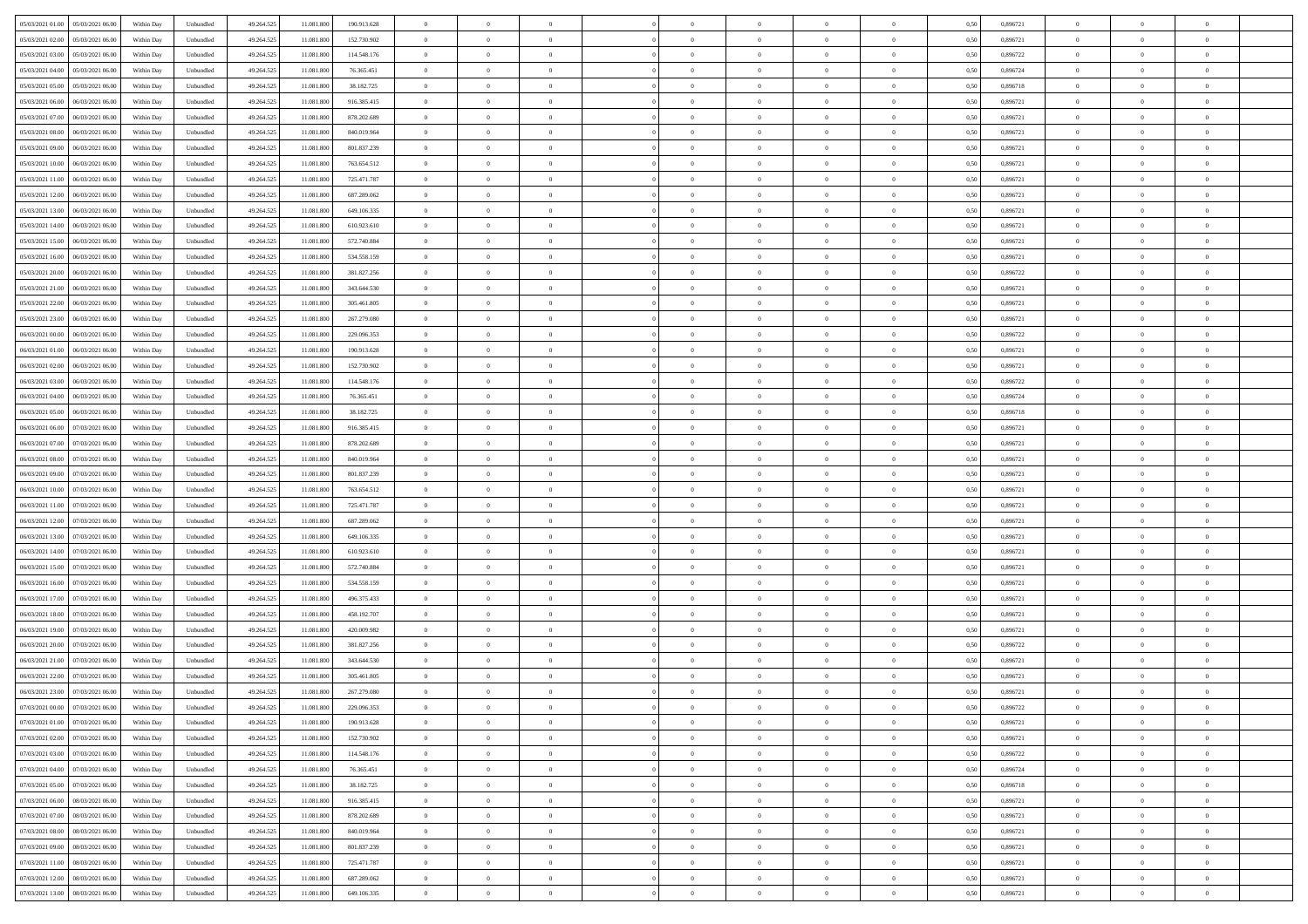| 05/03/2021 01:00 05/03/2021 06:00            | Within Day | Unbundled                   | 49.264.525 | 11.081.800 | 190.913.628 | $\overline{0}$                   | $\overline{0}$ |                | $\overline{0}$ | $\theta$       |                | $\bf{0}$       | 0,50 | 0,896721 | $\theta$             | $\theta$       | $\overline{0}$ |  |
|----------------------------------------------|------------|-----------------------------|------------|------------|-------------|----------------------------------|----------------|----------------|----------------|----------------|----------------|----------------|------|----------|----------------------|----------------|----------------|--|
| 05/03/2021 02:00<br>05/03/2021 06:00         | Within Day | Unbundled                   | 49.264.52  | 11.081.80  | 152.730.902 | $\bf{0}$                         | $\overline{0}$ | $\overline{0}$ | $\overline{0}$ | $\theta$       | $\overline{0}$ | $\bf{0}$       | 0,50 | 0,896721 | $\,$ 0 $\,$          | $\bf{0}$       | $\overline{0}$ |  |
| 05/03/2021 03:00<br>05/03/2021 06:00         | Within Day | Unbundled                   | 49.264.525 | 11.081.800 | 114.548.176 | $\overline{0}$                   | $\overline{0}$ | $\overline{0}$ | $\bf{0}$       | $\bf{0}$       | $\overline{0}$ | $\bf{0}$       | 0.50 | 0.896722 | $\bf{0}$             | $\overline{0}$ | $\overline{0}$ |  |
| 05/03/2021 04:00<br>05/03/2021 06:00         | Within Day | Unbundled                   | 49.264.52  | 11.081.800 | 76.365.451  | $\overline{0}$                   | $\overline{0}$ | $\overline{0}$ | $\theta$       | $\theta$       | $\overline{0}$ | $\overline{0}$ | 0,50 | 0,896724 | $\theta$             | $\theta$       | $\overline{0}$ |  |
| 05/03/2021 05:00<br>05/03/2021 06.00         | Within Day | Unbundled                   | 49.264.52  | 11.081.800 | 38.182.725  | $\overline{0}$                   | $\theta$       | $\overline{0}$ | $\overline{0}$ | $\theta$       | $\overline{0}$ | $\bf{0}$       | 0,50 | 0,896718 | $\,$ 0 $\,$          | $\theta$       | $\overline{0}$ |  |
| 05/03/2021 06:00<br>06/03/2021 06:00         | Within Day | Unbundled                   | 49.264.525 | 11.081.800 | 916.385.415 | $\overline{0}$                   | $\overline{0}$ | $\Omega$       | $\overline{0}$ | $\overline{0}$ | $\Omega$       | $\bf{0}$       | 0.50 | 0.896721 | $\bf{0}$             | $\overline{0}$ | $\overline{0}$ |  |
| 05/03/2021 07:00<br>06/03/2021 06:00         | Within Day | Unbundled                   | 49.264.52  | 11.081.800 | 878.202.689 | $\overline{0}$                   | $\overline{0}$ | $\overline{0}$ | $\overline{0}$ | $\overline{0}$ | $\overline{0}$ | $\bf{0}$       | 0,50 | 0,896721 | $\theta$             | $\theta$       | $\overline{0}$ |  |
| 05/03/2021 08:00<br>06/03/2021 06.00         | Within Day | Unbundled                   | 49.264.52  | 11.081.80  | 840.019.964 | $\overline{0}$                   | $\overline{0}$ | $\overline{0}$ | $\overline{0}$ | $\theta$       | $\overline{0}$ | $\bf{0}$       | 0,50 | 0,896721 | $\,$ 0 $\,$          | $\bf{0}$       | $\overline{0}$ |  |
|                                              |            |                             |            |            |             |                                  |                |                |                |                |                |                |      |          |                      |                |                |  |
| 05/03/2021 09:00<br>06/03/2021 06:00         | Within Day | Unbundled                   | 49.264.52  | 11.081.800 | 801.837.239 | $\overline{0}$                   | $\overline{0}$ | $\overline{0}$ | $\bf{0}$       | $\overline{0}$ | $\overline{0}$ | $\bf{0}$       | 0.50 | 0.896721 | $\bf{0}$             | $\theta$       | $\overline{0}$ |  |
| 05/03/2021 10:00<br>06/03/2021 06:00         | Within Day | Unbundled                   | 49.264.525 | 11.081.800 | 763.654.512 | $\overline{0}$                   | $\bf{0}$       | $\overline{0}$ | $\overline{0}$ | $\theta$       | $\overline{0}$ | $\bf{0}$       | 0,50 | 0,896721 | $\,$ 0 $\,$          | $\theta$       | $\overline{0}$ |  |
| 05/03/2021 11:00<br>06/03/2021 06.00         | Within Day | Unbundled                   | 49.264.52  | 11.081.800 | 725.471.787 | $\bf{0}$                         | $\overline{0}$ | $\bf{0}$       | $\overline{0}$ | $\bf{0}$       | $\overline{0}$ | $\bf{0}$       | 0,50 | 0,896721 | $\,$ 0 $\,$          | $\bf{0}$       | $\overline{0}$ |  |
| 05/03/2021 12:00<br>06/03/2021 06:00         | Within Day | Unbundled                   | 49.264.525 | 11.081.800 | 687.289.062 | $\overline{0}$                   | $\overline{0}$ | $\overline{0}$ | $\bf{0}$       | $\bf{0}$       | $\overline{0}$ | $\bf{0}$       | 0.50 | 0.896721 | $\bf{0}$             | $\overline{0}$ | $\overline{0}$ |  |
| 05/03/2021 13:00<br>06/03/2021 06:00         | Within Day | Unbundled                   | 49.264.52  | 11.081.800 | 649.106.335 | $\overline{0}$                   | $\overline{0}$ | $\overline{0}$ | $\overline{0}$ | $\theta$       | $\overline{0}$ | $\overline{0}$ | 0,50 | 0,896721 | $\theta$             | $\theta$       | $\overline{0}$ |  |
| 05/03/2021 14:00<br>06/03/2021 06.00         | Within Day | Unbundled                   | 49.264.52  | 11.081.80  | 610.923.610 | $\bf{0}$                         | $\theta$       | $\bf{0}$       | $\overline{0}$ | $\theta$       | $\overline{0}$ | $\bf{0}$       | 0,50 | 0,896721 | $\bf{0}$             | $\bf{0}$       | $\overline{0}$ |  |
| 05/03/2021 15:00<br>06/03/2021 06:00         | Within Day | Unbundled                   | 49.264.525 | 11.081.800 | 572.740.884 | $\overline{0}$                   | $\overline{0}$ | $\overline{0}$ | $\bf{0}$       | $\theta$       | $\theta$       | $\bf{0}$       | 0.50 | 0,896721 | $\theta$             | $\overline{0}$ | $\overline{0}$ |  |
| 05/03/2021 16:00<br>06/03/2021 06:00         | Within Day | Unbundled                   | 49.264.525 | 11.081.800 | 534.558.159 | $\overline{0}$                   | $\overline{0}$ | $\overline{0}$ | $\overline{0}$ | $\theta$       | $\overline{0}$ | $\bf{0}$       | 0,50 | 0,896721 | $\theta$             | $\theta$       | $\overline{0}$ |  |
| 05/03/2021 20:00<br>06/03/2021 06.00         | Within Day | Unbundled                   | 49.264.52  | 11.081.80  | 381.827.256 | $\bf{0}$                         | $\overline{0}$ | $\overline{0}$ | $\overline{0}$ | $\theta$       | $\overline{0}$ | $\bf{0}$       | 0,50 | 0,896722 | $\,$ 0 $\,$          | $\theta$       | $\overline{0}$ |  |
| 05/03/2021 21:00<br>06/03/2021 06:00         | Within Day | Unbundled                   | 49.264.52  | 11.081.800 | 343,644,530 | $\overline{0}$                   | $\overline{0}$ | $\overline{0}$ | $\bf{0}$       | $\overline{0}$ | $\overline{0}$ | $\bf{0}$       | 0.50 | 0.896721 | $\bf{0}$             | $\overline{0}$ | $\overline{0}$ |  |
| 05/03/2021 22:00<br>06/03/2021 06:00         | Within Day | Unbundled                   | 49.264.525 | 11.081.800 | 305.461.805 | $\overline{0}$                   | $\overline{0}$ | $\overline{0}$ | $\overline{0}$ | $\theta$       | $\overline{0}$ | $\bf{0}$       | 0,50 | 0,896721 | $\,$ 0 $\,$          | $\theta$       | $\overline{0}$ |  |
| 05/03/2021 23:00<br>06/03/2021 06.00         | Within Day | Unbundled                   | 49.264.52  | 11.081.80  | 267.279.080 | $\bf{0}$                         | $\overline{0}$ | $\bf{0}$       | $\bf{0}$       | $\overline{0}$ | $\overline{0}$ | $\bf{0}$       | 0,50 | 0,896721 | $\,$ 0 $\,$          | $\bf{0}$       | $\overline{0}$ |  |
| 06/03/2021 06:00                             |            |                             | 49.264.525 | 11.081.800 | 229.096.353 |                                  | $\overline{0}$ |                |                |                | $\overline{0}$ |                |      | 0.896722 |                      | $\overline{0}$ |                |  |
| 06/03/2021 00:00                             | Within Day | Unbundled                   |            |            |             | $\overline{0}$<br>$\overline{0}$ |                | $\overline{0}$ | $\bf{0}$       | $\overline{0}$ |                | $\bf{0}$       | 0.50 |          | $\bf{0}$<br>$\theta$ | $\theta$       | $\overline{0}$ |  |
| 06/03/2021 01:00<br>06/03/2021 06:00         | Within Day | Unbundled                   | 49.264.52  | 11.081.800 | 190.913.628 |                                  | $\overline{0}$ | $\overline{0}$ | $\overline{0}$ | $\theta$       | $\overline{0}$ | $\bf{0}$       | 0,50 | 0,896721 |                      |                | $\overline{0}$ |  |
| 06/03/2021 02:00<br>06/03/2021 06.00         | Within Day | Unbundled                   | 49.264.52  | 11.081.80  | 152.730.902 | $\bf{0}$                         | $\overline{0}$ | $\bf{0}$       | $\overline{0}$ | $\theta$       | $\overline{0}$ | $\bf{0}$       | 0,50 | 0,896721 | $\,$ 0 $\,$          | $\bf{0}$       | $\overline{0}$ |  |
| 06/03/2021 03:00<br>06/03/2021 06:00         | Within Day | Unbundled                   | 49.264.525 | 11.081.80  | 114.548.176 | $\overline{0}$                   | $\overline{0}$ | $\Omega$       | $\overline{0}$ | $\overline{0}$ | $\Omega$       | $\bf{0}$       | 0.50 | 0.896722 | $\bf{0}$             | $\theta$       | $\overline{0}$ |  |
| 06/03/2021 04:00<br>06/03/2021 06:00         | Within Day | Unbundled                   | 49.264.525 | 11.081.800 | 76.365.451  | $\overline{0}$                   | $\overline{0}$ | $\overline{0}$ | $\overline{0}$ | $\theta$       | $\overline{0}$ | $\bf{0}$       | 0,50 | 0,896724 | $\theta$             | $\theta$       | $\overline{0}$ |  |
| 06/03/2021 05:00<br>06/03/2021 06.00         | Within Day | Unbundled                   | 49.264.52  | 11.081.80  | 38.182.725  | $\bf{0}$                         | $\theta$       | $\overline{0}$ | $\overline{0}$ | $\theta$       | $\overline{0}$ | $\bf{0}$       | 0,50 | 0,896718 | $\,$ 0 $\,$          | $\bf{0}$       | $\overline{0}$ |  |
| 06/03/2021 06:00<br>07/03/2021 06:00         | Within Day | Unbundled                   | 49.264.525 | 11.081.800 | 916.385.415 | $\overline{0}$                   | $\overline{0}$ | $\overline{0}$ | $\bf{0}$       | $\overline{0}$ | $\overline{0}$ | $\bf{0}$       | 0.50 | 0.896721 | $\bf{0}$             | $\theta$       | $\overline{0}$ |  |
| 06/03/2021 07:00<br>07/03/2021 06:00         | Within Day | Unbundled                   | 49.264.525 | 11.081.800 | 878.202.689 | $\overline{0}$                   | $\overline{0}$ | $\overline{0}$ | $\overline{0}$ | $\theta$       | $\overline{0}$ | $\bf{0}$       | 0,50 | 0,896721 | $\theta$             | $\theta$       | $\overline{0}$ |  |
| 06/03/2021 08:00<br>07/03/2021 06.00         | Within Day | Unbundled                   | 49.264.52  | 11.081.800 | 840.019.964 | $\bf{0}$                         | $\bf{0}$       | $\bf{0}$       | $\bf{0}$       | $\overline{0}$ | $\overline{0}$ | $\bf{0}$       | 0,50 | 0,896721 | $\,$ 0 $\,$          | $\bf{0}$       | $\overline{0}$ |  |
| 06/03/2021 09:00<br>07/03/2021 06:00         | Within Day | Unbundled                   | 49.264.52  | 11.081.800 | 801.837.239 | $\overline{0}$                   | $\overline{0}$ | $\overline{0}$ | $\bf{0}$       | $\overline{0}$ | $\overline{0}$ | $\bf{0}$       | 0.50 | 0.896721 | $\bf{0}$             | $\overline{0}$ | $\overline{0}$ |  |
| 06/03/2021 10:00<br>07/03/2021 06:00         | Within Day | Unbundled                   | 49.264.52  | 11.081.800 | 763.654.512 | $\overline{0}$                   | $\overline{0}$ | $\overline{0}$ | $\overline{0}$ | $\theta$       | $\overline{0}$ | $\bf{0}$       | 0.5( | 0,896721 | $\theta$             | $\theta$       | $\overline{0}$ |  |
| 06/03/2021 11:00<br>07/03/2021 06.00         | Within Day | Unbundled                   | 49.264.52  | 11.081.800 | 725.471.787 | $\bf{0}$                         | $\overline{0}$ | $\bf{0}$       | $\overline{0}$ | $\theta$       | $\overline{0}$ | $\bf{0}$       | 0,50 | 0,896721 | $\,$ 0 $\,$          | $\bf{0}$       | $\overline{0}$ |  |
| 06/03/2021 12:00<br>07/03/2021 06:00         | Within Day | Unbundled                   | 49.264.525 | 11.081.800 | 687.289.062 | $\overline{0}$                   | $\overline{0}$ | $\overline{0}$ | $\bf{0}$       | $\theta$       | $\theta$       | $\bf{0}$       | 0.50 | 0,896721 | $\bf{0}$             | $\overline{0}$ | $\overline{0}$ |  |
|                                              |            |                             |            |            |             |                                  | $\theta$       | $\Omega$       |                |                |                |                |      |          | $\theta$             | $\theta$       |                |  |
| 06/03/2021 13:00<br>07/03/2021 06:00         | Within Dav | Unbundled                   | 49.264.52  | 11.081.800 | 649.106.335 | $\overline{0}$                   |                |                | $\overline{0}$ | $\theta$       | $\overline{0}$ | $\overline{0}$ | 0.5( | 0,896721 |                      |                | $\overline{0}$ |  |
| 06/03/2021 14:00<br>07/03/2021 06.00         | Within Day | Unbundled                   | 49.264.52  | 11.081.80  | 610.923.610 | $\bf{0}$                         | $\overline{0}$ | $\overline{0}$ | $\overline{0}$ | $\bf{0}$       | $\overline{0}$ | $\bf{0}$       | 0,50 | 0,896721 | $\,$ 0 $\,$          | $\bf{0}$       | $\overline{0}$ |  |
| 06/03/2021 15:00<br>07/03/2021 06:00         | Within Day | Unbundled                   | 49.264.52  | 11.081.80  | 572.740.884 | $\overline{0}$                   | $\overline{0}$ | $\overline{0}$ | $\bf{0}$       | $\overline{0}$ | $\overline{0}$ | $\bf{0}$       | 0.50 | 0.896721 | $\bf{0}$             | $\theta$       | $\overline{0}$ |  |
| 06/03/2021 16:00<br>07/03/2021 06:00         | Within Day | Unbundled                   | 49.264.52  | 11.081.800 | 534.558.159 | $\overline{0}$                   | $\overline{0}$ | $\overline{0}$ | $\overline{0}$ | $\overline{0}$ | $\overline{0}$ | $\overline{0}$ | 0.50 | 0,896721 | $\theta$             | $\theta$       | $\overline{0}$ |  |
| 06/03/2021 17:00<br>07/03/2021 06.00         | Within Day | Unbundled                   | 49.264.52  | 11.081.800 | 496.375.433 | $\bf{0}$                         | $\bf{0}$       | $\bf{0}$       | $\bf{0}$       | $\overline{0}$ | $\overline{0}$ | $\bf{0}$       | 0,50 | 0,896721 | $\,$ 0 $\,$          | $\bf{0}$       | $\overline{0}$ |  |
| 06/03/2021 18:00<br>07/03/2021 06:00         | Within Day | Unbundled                   | 49.264.525 | 11.081.800 | 458.192.707 | $\overline{0}$                   | $\bf{0}$       | $\overline{0}$ | $\bf{0}$       | $\bf{0}$       | $\overline{0}$ | $\bf{0}$       | 0.50 | 0.896721 | $\bf{0}$             | $\overline{0}$ | $\overline{0}$ |  |
| 06/03/2021 19:00<br>07/03/2021 06:00         | Within Dav | Unbundled                   | 49.264.525 | 11.081.800 | 420.009.982 | $\overline{0}$                   | $\overline{0}$ | $\Omega$       | $\overline{0}$ | $\overline{0}$ | $\overline{0}$ | $\bf{0}$       | 0.5( | 0,896721 | $\theta$             | $\theta$       | $\overline{0}$ |  |
| 06/03/2021 20:00<br>07/03/2021 06.00         | Within Day | Unbundled                   | 49.264.525 | 11.081.800 | 381.827.256 | $\bf{0}$                         | $\overline{0}$ | $\bf{0}$       | $\overline{0}$ | $\overline{0}$ | $\overline{0}$ | $\bf{0}$       | 0,50 | 0,896722 | $\,$ 0 $\,$          | $\bf{0}$       | $\overline{0}$ |  |
| 06/03/2021 21:00<br>07/03/2021 06:00         | Within Day | Unbundled                   | 49.264.525 | 11.081.80  | 343.644.530 | $\overline{0}$                   | $\overline{0}$ | $\Omega$       | $\overline{0}$ | $\theta$       | $\theta$       | $\bf{0}$       | 0.50 | 0,896721 | $\,$ 0 $\,$          | $\overline{0}$ | $\overline{0}$ |  |
| 06/03/2021 22:00<br>07/03/2021 06:00         | Within Dav | Unbundled                   | 49.264.52  | 11.081.800 | 305.461.805 | $\overline{0}$                   | $\overline{0}$ | $\Omega$       | $\overline{0}$ | $\theta$       | $\Omega$       | $\overline{0}$ | 0.5( | 0,896721 | $\theta$             | $\theta$       | $\overline{0}$ |  |
| 06/03/2021 23:00<br>07/03/2021 06:00         | Within Day | Unbundled                   | 49.264.525 | 11.081.800 | 267.279.080 | $\bf{0}$                         | $\bf{0}$       | $\overline{0}$ | $\bf{0}$       | $\bf{0}$       | $\overline{0}$ | $\bf{0}$       | 0,50 | 0,896721 | $\,$ 0 $\,$          | $\bf{0}$       | $\overline{0}$ |  |
| $07/03/2021\ 00.00 \qquad 07/03/2021\ 06.00$ | Within Day | $\ensuremath{\mathsf{Unb}}$ | 49.264.525 | 11.081.800 | 229.096.353 | $\overline{0}$                   | $\Omega$       |                | $\Omega$       |                |                |                | 0,50 | 0,896722 | $\theta$             | $\overline{0}$ |                |  |
| 07/03/2021 01:00 07/03/2021 06:00            | Within Day | Unbundled                   | 49.264.525 | 11.081.800 | 190.913.628 | $\overline{0}$                   | $\overline{0}$ | $\Omega$       | $\theta$       | $\overline{0}$ | $\overline{0}$ | $\bf{0}$       | 0,50 | 0,896721 | $\theta$             | $\theta$       | $\overline{0}$ |  |
|                                              |            |                             |            |            |             |                                  |                |                |                |                |                |                |      |          |                      |                |                |  |
| 07/03/2021 02:00<br>07/03/2021 06:00         | Within Day | Unbundled                   | 49.264.525 | 11.081.800 | 152.730.902 | $\overline{0}$                   | $\bf{0}$       | $\overline{0}$ | $\overline{0}$ | $\bf{0}$       | $\overline{0}$ | $\bf{0}$       | 0,50 | 0,896721 | $\bf{0}$             | $\overline{0}$ | $\bf{0}$       |  |
| 07/03/2021 03:00 07/03/2021 06:00            | Within Day | Unbundled                   | 49.264.525 | 11.081.800 | 114.548.176 | $\overline{0}$                   | $\bf{0}$       | $\overline{0}$ | $\overline{0}$ | $\overline{0}$ | $\overline{0}$ | $\bf{0}$       | 0.50 | 0,896722 | $\overline{0}$       | $\bf{0}$       | $\,$ 0 $\,$    |  |
| 07/03/2021 04:00 07/03/2021 06:00            | Within Day | Unbundled                   | 49.264.525 | 11.081.800 | 76.365.451  | $\overline{0}$                   | $\overline{0}$ | $\overline{0}$ | $\overline{0}$ | $\overline{0}$ | $\overline{0}$ | $\bf{0}$       | 0,50 | 0,896724 | $\theta$             | $\theta$       | $\overline{0}$ |  |
| 07/03/2021 05:00<br>07/03/2021 06:00         | Within Day | Unbundled                   | 49.264.525 | 11.081.800 | 38.182.725  | $\overline{0}$                   | $\bf{0}$       | $\overline{0}$ | $\overline{0}$ | $\overline{0}$ | $\bf{0}$       | $\bf{0}$       | 0,50 | 0,896718 | $\bf{0}$             | $\overline{0}$ | $\overline{0}$ |  |
| 07/03/2021 06:00<br>08/03/2021 06:00         | Within Day | Unbundled                   | 49.264.525 | 11.081.800 | 916.385.415 | $\overline{0}$                   | $\bf{0}$       | $\overline{0}$ | $\overline{0}$ | $\overline{0}$ | $\overline{0}$ | $\bf{0}$       | 0.50 | 0,896721 | $\,$ 0 $\,$          | $\theta$       | $\overline{0}$ |  |
| 07/03/2021 07:00<br>08/03/2021 06:00         | Within Dav | Unbundled                   | 49.264.525 | 11.081.800 | 878.202.689 | $\overline{0}$                   | $\overline{0}$ | $\overline{0}$ | $\overline{0}$ | $\overline{0}$ | $\overline{0}$ | $\bf{0}$       | 0.50 | 0,896721 | $\overline{0}$       | $\theta$       | $\overline{0}$ |  |
| 07/03/2021 08:00<br>08/03/2021 06:00         | Within Day | Unbundled                   | 49.264.525 | 11.081.800 | 840.019.964 | $\overline{0}$                   | $\overline{0}$ | $\overline{0}$ | $\overline{0}$ | $\bf{0}$       | $\overline{0}$ | $\bf{0}$       | 0,50 | 0,896721 | $\bf{0}$             | $\overline{0}$ | $\overline{0}$ |  |
| 07/03/2021 09:00<br>08/03/2021 06:00         | Within Day | Unbundled                   | 49.264.525 | 11.081.800 | 801.837.239 | $\overline{0}$                   | $\overline{0}$ | $\overline{0}$ | $\overline{0}$ | $\bf{0}$       | $\overline{0}$ | $\bf{0}$       | 0.50 | 0.896721 | $\overline{0}$       | $\bf{0}$       | $\,$ 0         |  |
| 07/03/2021 11:00  08/03/2021 06:00           | Within Dav | Unbundled                   | 49.264.525 | 11.081.800 | 725.471.787 | $\overline{0}$                   | $\overline{0}$ | $\overline{0}$ | $\overline{0}$ | $\overline{0}$ | $\overline{0}$ | $\bf{0}$       | 0,50 | 0,896721 | $\overline{0}$       | $\theta$       | $\overline{0}$ |  |
| 07/03/2021 12:00<br>08/03/2021 06:00         | Within Day | Unbundled                   | 49.264.525 | 11.081.800 | 687.289.062 | $\overline{0}$                   | $\bf{0}$       | $\overline{0}$ | $\bf{0}$       | $\overline{0}$ | $\bf{0}$       | $\bf{0}$       | 0,50 | 0,896721 | $\bf{0}$             | $\bf{0}$       | $\bf{0}$       |  |
|                                              |            |                             |            |            |             |                                  |                |                |                |                |                |                |      |          |                      |                |                |  |
| 07/03/2021 13:00 08/03/2021 06:00            | Within Day | Unbundled                   | 49.264.525 | 11.081.800 | 649.106.335 | $\overline{0}$                   | $\bf{0}$       | $\overline{0}$ | $\overline{0}$ | $\,$ 0 $\,$    | $\overline{0}$ | $\bf{0}$       | 0,50 | 0,896721 | $\overline{0}$       | $\,$ 0 $\,$    | $\,$ 0 $\,$    |  |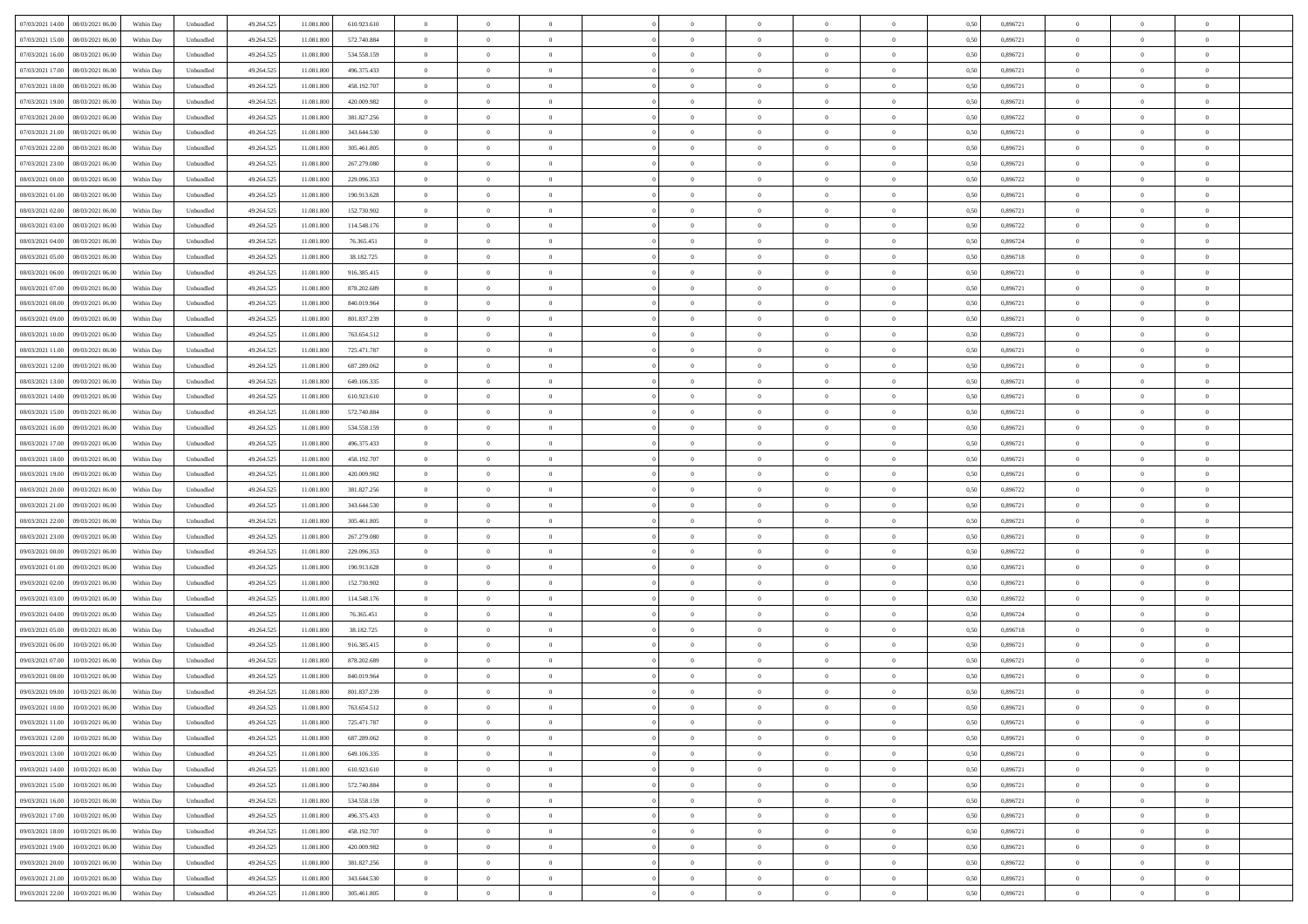| 07/03/2021 14:00<br>08/03/2021 06:00 | Within Day | Unbundled | 49.264.525 | 11.081.800 | 610.923.610   | $\overline{0}$ | $\overline{0}$   | $\overline{0}$ | $\theta$       | $\theta$       |                | $\overline{0}$ | 0,50 | 0,896721 | $\theta$       | $\theta$       | $\theta$       |  |
|--------------------------------------|------------|-----------|------------|------------|---------------|----------------|------------------|----------------|----------------|----------------|----------------|----------------|------|----------|----------------|----------------|----------------|--|
|                                      |            |           |            |            |               |                |                  |                |                |                |                |                |      |          |                |                |                |  |
| 07/03/2021 15:00<br>08/03/2021 06.00 | Within Day | Unbundled | 49.264.525 | 11.081.800 | 572.740.884   | $\overline{0}$ | $\overline{0}$   | $\overline{0}$ | $\,$ 0 $\,$    | $\bf{0}$       | $\overline{0}$ | $\bf{0}$       | 0,50 | 0,896721 | $\,$ 0 $\,$    | $\theta$       | $\overline{0}$ |  |
| 07/03/2021 16:00<br>08/03/2021 06:00 | Within Day | Unbundled | 49.264.525 | 11.081.800 | 534.558.159   | $\overline{0}$ | $\overline{0}$   | $\overline{0}$ | $\bf{0}$       | $\bf{0}$       | $\overline{0}$ | $\mathbf{0}$   | 0.50 | 0.896721 | $\bf{0}$       | $\overline{0}$ | $\overline{0}$ |  |
| 07/03/2021 17:00<br>08/03/2021 06:00 | Within Day | Unbundled | 49.264.525 | 11.081.800 | 496.375.433   | $\overline{0}$ | $\overline{0}$   | $\overline{0}$ | $\overline{0}$ | $\overline{0}$ | $\overline{0}$ | $\bf{0}$       | 0,50 | 0,896721 | $\theta$       | $\theta$       | $\overline{0}$ |  |
| 07/03/2021 18:00<br>08/03/2021 06.00 | Within Day | Unbundled | 49.264.525 | 11.081.800 | 458.192.707   | $\overline{0}$ | $\overline{0}$   | $\bf{0}$       | $\overline{0}$ | $\overline{0}$ | $\overline{0}$ | $\bf{0}$       | 0,50 | 0,896721 | $\,$ 0 $\,$    | $\theta$       | $\overline{0}$ |  |
|                                      |            |           |            |            |               |                |                  |                |                |                |                |                |      |          |                |                |                |  |
| 07/03/2021 19:00<br>08/03/2021 06:00 | Within Day | Unbundled | 49.264.525 | 11.081.800 | 420.009.982   | $\overline{0}$ | $\overline{0}$   | $\overline{0}$ | $\overline{0}$ | $\overline{0}$ | $\overline{0}$ | $\mathbf{0}$   | 0.50 | 0.896721 | $\theta$       | $\theta$       | $\overline{0}$ |  |
| 07/03/2021 20.00<br>08/03/2021 06:00 | Within Day | Unbundled | 49.264.525 | 11.081.800 | 381.827.256   | $\overline{0}$ | $\overline{0}$   | $\overline{0}$ | $\overline{0}$ | $\overline{0}$ | $\overline{0}$ | $\bf{0}$       | 0,50 | 0,896722 | $\theta$       | $\theta$       | $\overline{0}$ |  |
| 07/03/2021 21.00<br>08/03/2021 06.00 | Within Day | Unbundled | 49.264.525 | 11.081.800 | 343.644.530   | $\overline{0}$ | $\overline{0}$   | $\overline{0}$ | $\overline{0}$ | $\bf{0}$       | $\overline{0}$ | $\bf{0}$       | 0,50 | 0,896721 | $\,$ 0 $\,$    | $\bf{0}$       | $\overline{0}$ |  |
| 07/03/2021 22.00<br>08/03/2021 06:00 | Within Day | Unbundled | 49.264.525 | 11.081.800 | 305.461.805   | $\overline{0}$ | $\overline{0}$   | $\overline{0}$ | $\overline{0}$ | $\overline{0}$ | $\overline{0}$ | $\mathbf{0}$   | 0.50 | 0.896721 | $\theta$       | $\theta$       | $\overline{0}$ |  |
| 07/03/2021 23.00<br>08/03/2021 06:00 | Within Day | Unbundled | 49.264.525 | 11.081.800 | 267.279.080   | $\overline{0}$ | $\overline{0}$   | $\overline{0}$ | $\bf{0}$       | $\overline{0}$ | $\overline{0}$ | $\bf{0}$       | 0,50 | 0,896721 | $\,$ 0 $\,$    | $\theta$       | $\overline{0}$ |  |
|                                      |            |           |            |            |               |                | $\overline{0}$   |                |                |                | $\overline{0}$ | $\bf{0}$       |      |          | $\,$ 0 $\,$    | $\theta$       | $\overline{0}$ |  |
| 08/03/2021 00:00<br>08/03/2021 06.00 | Within Day | Unbundled | 49.264.525 | 11.081.800 | 229.096.353   | $\overline{0}$ |                  | $\overline{0}$ | $\bf{0}$       | $\bf{0}$       |                |                | 0,50 | 0,896722 |                |                |                |  |
| 08/03/2021 01:00<br>08/03/2021 06:00 | Within Day | Unbundled | 49.264.525 | 11.081.800 | 190.913.628   | $\overline{0}$ | $\overline{0}$   | $\overline{0}$ | $\bf{0}$       | $\bf{0}$       | $\overline{0}$ | $\mathbf{0}$   | 0.50 | 0.896721 | $\bf{0}$       | $\overline{0}$ | $\bf{0}$       |  |
| 08/03/2021 02:00<br>08/03/2021 06:00 | Within Day | Unbundled | 49.264.525 | 11.081.800 | 152.730.902   | $\overline{0}$ | $\overline{0}$   | $\overline{0}$ | $\overline{0}$ | $\overline{0}$ | $\overline{0}$ | $\bf{0}$       | 0,50 | 0,896721 | $\theta$       | $\theta$       | $\overline{0}$ |  |
| 08/03/2021 03.00<br>08/03/2021 06.00 | Within Day | Unbundled | 49.264.525 | 11.081.800 | 114.548.176   | $\overline{0}$ | $\overline{0}$   | $\overline{0}$ | $\bf{0}$       | $\overline{0}$ | $\overline{0}$ | $\bf{0}$       | 0,50 | 0,896722 | $\,$ 0 $\,$    | $\bf{0}$       | $\overline{0}$ |  |
| 08/03/2021 04:00<br>08/03/2021 06:00 | Within Day | Unbundled | 49.264.525 | 11.081.800 | 76,365,451    | $\overline{0}$ | $\overline{0}$   | $\overline{0}$ | $\overline{0}$ | $\overline{0}$ | $\Omega$       | $\overline{0}$ | 0.50 | 0.896724 | $\theta$       | $\theta$       | $\overline{0}$ |  |
| 08/03/2021 05:00<br>08/03/2021 06:00 | Within Day | Unbundled | 49.264.525 | 11.081.800 | 38.182.725    | $\overline{0}$ | $\overline{0}$   | $\overline{0}$ | $\overline{0}$ | $\overline{0}$ | $\overline{0}$ | $\bf{0}$       | 0,50 | 0,896718 | $\theta$       | $\theta$       | $\overline{0}$ |  |
|                                      |            |           |            |            |               |                |                  |                |                |                |                |                |      |          |                |                |                |  |
| 08/03/2021 06:00<br>09/03/2021 06.0  | Within Day | Unbundled | 49.264.525 | 11.081.800 | 916.385.415   | $\overline{0}$ | $\overline{0}$   | $\overline{0}$ | $\bf{0}$       | $\overline{0}$ | $\overline{0}$ | $\bf{0}$       | 0,50 | 0,896721 | $\,$ 0 $\,$    | $\theta$       | $\overline{0}$ |  |
| 08/03/2021 07:00<br>09/03/2021 06:00 | Within Day | Unbundled | 49.264.525 | 11.081.800 | 878,202,689   | $\overline{0}$ | $\overline{0}$   | $\overline{0}$ | $\overline{0}$ | $\overline{0}$ | $\overline{0}$ | $\mathbf{0}$   | 0.50 | 0.896721 | $\,$ 0 $\,$    | $\overline{0}$ | $\overline{0}$ |  |
| 08/03/2021 08:00<br>09/03/2021 06:00 | Within Day | Unbundled | 49.264.525 | 11.081.800 | 840.019.964   | $\overline{0}$ | $\overline{0}$   | $\overline{0}$ | $\overline{0}$ | $\overline{0}$ | $\overline{0}$ | $\bf{0}$       | 0,50 | 0,896721 | $\theta$       | $\theta$       | $\overline{0}$ |  |
| 08/03/2021 09:00<br>09/03/2021 06.0  | Within Day | Unbundled | 49.264.525 | 11.081.800 | 801.837.239   | $\overline{0}$ | $\overline{0}$   | $\overline{0}$ | $\bf{0}$       | $\bf{0}$       | $\overline{0}$ | $\bf{0}$       | 0,50 | 0,896721 | $\,$ 0 $\,$    | $\bf{0}$       | $\overline{0}$ |  |
| 08/03/2021 10:00<br>09/03/2021 06:00 | Within Day | Unbundled | 49.264.525 | 11.081.800 | 763.654.512   | $\overline{0}$ | $\overline{0}$   | $\overline{0}$ | $\bf{0}$       | $\bf{0}$       | $\overline{0}$ | $\mathbf{0}$   | 0.50 | 0.896721 | $\bf{0}$       | $\overline{0}$ | $\bf{0}$       |  |
| 08/03/2021 11:00<br>09/03/2021 06:00 | Within Day | Unbundled | 49.264.525 | 11.081.800 | 725.471.787   | $\overline{0}$ | $\overline{0}$   | $\overline{0}$ | $\overline{0}$ | $\overline{0}$ | $\overline{0}$ | $\,$ 0 $\,$    | 0,50 | 0,896721 | $\theta$       | $\theta$       | $\overline{0}$ |  |
|                                      |            |           |            |            |               |                |                  |                |                |                |                |                |      |          |                |                |                |  |
| 08/03/2021 12:00<br>09/03/2021 06.0  | Within Day | Unbundled | 49.264.525 | 11.081.800 | 687.289.062   | $\overline{0}$ | $\overline{0}$   | $\overline{0}$ | $\bf{0}$       | $\overline{0}$ | $\overline{0}$ | $\bf{0}$       | 0,50 | 0,896721 | $\,$ 0 $\,$    | $\bf{0}$       | $\overline{0}$ |  |
| 08/03/2021 13:00<br>09/03/2021 06:00 | Within Day | Unbundled | 49.264.525 | 11.081.800 | 649.106.335   | $\overline{0}$ | $\overline{0}$   | $\overline{0}$ | $\overline{0}$ | $\overline{0}$ | $\overline{0}$ | $\mathbf{0}$   | 0.50 | 0.896721 | $\bf{0}$       | $\theta$       | $\overline{0}$ |  |
| 08/03/2021 14:00<br>09/03/2021 06:00 | Within Day | Unbundled | 49.264.525 | 11.081.800 | 610.923.610   | $\overline{0}$ | $\overline{0}$   | $\overline{0}$ | $\overline{0}$ | $\overline{0}$ | $\overline{0}$ | $\bf{0}$       | 0,50 | 0,896721 | $\theta$       | $\theta$       | $\overline{0}$ |  |
| 08/03/2021 15:00<br>09/03/2021 06.0  | Within Day | Unbundled | 49.264.525 | 11.081.800 | 572.740.884   | $\overline{0}$ | $\overline{0}$   | $\overline{0}$ | $\overline{0}$ | $\overline{0}$ | $\overline{0}$ | $\bf{0}$       | 0,50 | 0,896721 | $\,$ 0 $\,$    | $\theta$       | $\overline{0}$ |  |
| 08/03/2021 16:00<br>09/03/2021 06:00 | Within Day | Unbundled | 49.264.525 | 11.081.800 | 534.558.159   | $\overline{0}$ | $\overline{0}$   | $\overline{0}$ | $\overline{0}$ | $\overline{0}$ | $\overline{0}$ | $\mathbf{0}$   | 0.50 | 0.896721 | $\theta$       | $\overline{0}$ | $\overline{0}$ |  |
| 08/03/2021 17:00<br>09/03/2021 06:00 | Within Day | Unbundled | 49.264.525 | 11.081.800 | 496.375.433   | $\overline{0}$ | $\overline{0}$   | $\overline{0}$ | $\overline{0}$ | $\overline{0}$ | $\overline{0}$ | $\bf{0}$       | 0,50 | 0,896721 | $\theta$       | $\theta$       | $\overline{0}$ |  |
|                                      |            |           |            |            |               |                |                  |                |                |                |                |                |      |          |                |                |                |  |
| 08/03/2021 18:00<br>09/03/2021 06.0  | Within Day | Unbundled | 49.264.525 | 11.081.800 | 458.192.707   | $\overline{0}$ | $\overline{0}$   | $\overline{0}$ | $\overline{0}$ | $\bf{0}$       | $\overline{0}$ | $\bf{0}$       | 0,50 | 0,896721 | $\,$ 0 $\,$    | $\bf{0}$       | $\overline{0}$ |  |
| 08/03/2021 19:00<br>09/03/2021 06:00 | Within Day | Unbundled | 49.264.525 | 11.081.800 | 420.009.982   | $\overline{0}$ | $\overline{0}$   | $\overline{0}$ | $\bf{0}$       | $\bf{0}$       | $\overline{0}$ | $\mathbf{0}$   | 0.50 | 0.896721 | $\bf{0}$       | $\overline{0}$ | $\bf{0}$       |  |
| 08/03/2021 20:00<br>09/03/2021 06:00 | Within Day | Unbundled | 49.264.525 | 11.081.800 | 381.827.256   | $\overline{0}$ | $\overline{0}$   | $\overline{0}$ | $\overline{0}$ | $\overline{0}$ | $\overline{0}$ | $\overline{0}$ | 0.50 | 0,896722 | $\theta$       | $\theta$       | $\overline{0}$ |  |
| 08/03/2021 21.00<br>09/03/2021 06.0  | Within Day | Unbundled | 49.264.525 | 11.081.800 | 343.644.530   | $\overline{0}$ | $\overline{0}$   | $\overline{0}$ | $\bf{0}$       | $\overline{0}$ | $\overline{0}$ | $\bf{0}$       | 0,50 | 0,896721 | $\,$ 0 $\,$    | $\bf{0}$       | $\overline{0}$ |  |
| 08/03/2021 22.00<br>09/03/2021 06:00 | Within Day | Unbundled | 49.264.525 | 11.081.800 | 305.461.805   | $\overline{0}$ | $\overline{0}$   | $\overline{0}$ | $\overline{0}$ | $\overline{0}$ | $\overline{0}$ | $\mathbf{0}$   | 0.50 | 0.896721 | $\theta$       | $\theta$       | $\overline{0}$ |  |
| 08/03/2021 23:00<br>09/03/2021 06:00 | Within Day | Unbundled | 49.264.525 | 11.081.800 | 267.279.080   | $\overline{0}$ | $\overline{0}$   | $\overline{0}$ | $\overline{0}$ | $\overline{0}$ | $\overline{0}$ | $\overline{0}$ | 0.50 | 0,896721 | $\theta$       | $\theta$       | $\overline{0}$ |  |
|                                      |            |           |            |            |               |                |                  |                |                |                |                |                |      |          |                |                |                |  |
| 09/03/2021 00:00<br>09/03/2021 06.0  | Within Day | Unbundled | 49.264.525 | 11.081.800 | 229.096.353   | $\overline{0}$ | $\overline{0}$   | $\overline{0}$ | $\bf{0}$       | $\overline{0}$ | $\overline{0}$ | $\bf{0}$       | 0,50 | 0,896722 | $\,$ 0 $\,$    | $\bf{0}$       | $\overline{0}$ |  |
| 09/03/2021 01:00<br>09/03/2021 06:00 | Within Day | Unbundled | 49.264.525 | 11.081.800 | 190.913.628   | $\overline{0}$ | $\overline{0}$   | $\overline{0}$ | $\overline{0}$ | $\bf{0}$       | $\overline{0}$ | $\mathbf{0}$   | 0.50 | 0.896721 | $\,$ 0 $\,$    | $\theta$       | $\overline{0}$ |  |
| 09/03/2021 02:00<br>09/03/2021 06:00 | Within Day | Unbundled | 49.264.525 | 11.081.800 | 152.730.902   | $\overline{0}$ | $\overline{0}$   | $\overline{0}$ | $\overline{0}$ | $\overline{0}$ | $\overline{0}$ | $\overline{0}$ | 0.50 | 0,896721 | $\theta$       | $\theta$       | $\overline{0}$ |  |
| 09/03/2021 03:00<br>09/03/2021 06.0  | Within Day | Unbundled | 49.264.525 | 11.081.800 | 114.548.176   | $\overline{0}$ | $\overline{0}$   | $\overline{0}$ | $\overline{0}$ | $\bf{0}$       | $\overline{0}$ | $\bf{0}$       | 0,50 | 0,896722 | $\,$ 0 $\,$    | $\bf{0}$       | $\overline{0}$ |  |
| 09/03/2021 04:00<br>09/03/2021 06:00 | Within Day | Unbundled | 49.264.525 | 11.081.800 | 76,365,451    | $\overline{0}$ | $\overline{0}$   | $\overline{0}$ | $\bf{0}$       | $\bf{0}$       | $\overline{0}$ | $\mathbf{0}$   | 0.50 | 0.896724 | $\bf{0}$       | $\overline{0}$ | $\bf{0}$       |  |
| 09/03/2021 05:00<br>09/03/2021 06:00 | Within Day | Unbundled | 49.264.525 | 11.081.800 | 38.182.725    | $\overline{0}$ | $\overline{0}$   | $\overline{0}$ | $\overline{0}$ | $\overline{0}$ | $\overline{0}$ | $\overline{0}$ | 0.50 | 0,896718 | $\theta$       | $\theta$       | $\overline{0}$ |  |
|                                      |            |           |            |            |               |                |                  |                |                |                |                |                |      |          |                |                |                |  |
| 09/03/2021 06.00<br>10/03/2021 06:00 | Within Day | Unbundled | 49.264.525 | 11.081.800 | 916.385.415   | $\overline{0}$ | $\overline{0}$   | $\overline{0}$ | $\bf{0}$       | $\bf{0}$       | $\overline{0}$ | $\bf{0}$       | 0,50 | 0,896721 | $\,$ 0 $\,$    | $\bf{0}$       | $\overline{0}$ |  |
| 09/03/2021 07:00<br>10/03/2021 06:00 | Within Day | Unbundled | 49.264.525 | 11.081.800 | 878.202.689   | $\overline{0}$ | $\overline{0}$   | $\overline{0}$ | $\overline{0}$ | $\overline{0}$ | $\Omega$       | $\overline{0}$ | 0.50 | 0,896721 | $\,$ 0 $\,$    | $\theta$       | $\overline{0}$ |  |
| 09/03/2021 08:00<br>10/03/2021 06:00 | Within Day | Unbundled | 49.264.525 | 11.081.800 | 840.019.964   | $\overline{0}$ | $\overline{0}$   | $\overline{0}$ | $\overline{0}$ | $\overline{0}$ | $\theta$       | $\overline{0}$ | 0.50 | 0,896721 | $\theta$       | $\theta$       | $\overline{0}$ |  |
| 09/03/2021 09:00<br>10/03/2021 06:00 | Within Day | Unbundled | 49.264.525 | 11.081.800 | 801.837.239   | $\overline{0}$ | $\overline{0}$   | $\bf{0}$       | $\overline{0}$ | $\bf{0}$       | $\overline{0}$ | $\bf{0}$       | 0,50 | 0,896721 | $\,$ 0 $\,$    | $\bf{0}$       | $\overline{0}$ |  |
| 09/03/2021 10:00 10/03/2021 06:00    | Within Day | Unbundled | 49.264.525 | 11.081.800 | 763.654.512   | $\bf{0}$       | $\boldsymbol{0}$ |                | $\bf{0}$       |                |                |                | 0,50 | 0,896721 | $\theta$       | $\overline{0}$ |                |  |
| 09/03/2021 11:00<br>10/03/2021 06:00 | Within Dav | Unbundled | 49.264.525 | 11.081.800 | 725.471.787   | $\overline{0}$ | $\overline{0}$   | $\overline{0}$ | $\overline{0}$ | $\overline{0}$ | $\overline{0}$ | $\overline{0}$ | 0,50 | 0,896721 | $\theta$       | $\theta$       | $\overline{0}$ |  |
|                                      |            |           |            |            |               |                |                  |                |                |                |                |                |      |          |                |                |                |  |
| 09/03/2021 12:00<br>10/03/2021 06:00 | Within Day | Unbundled | 49.264.525 | 11.081.800 | 687.289.062   | $\overline{0}$ | $\overline{0}$   | $\overline{0}$ | $\bf{0}$       | $\overline{0}$ | $\overline{0}$ | $\mathbf{0}$   | 0,50 | 0,896721 | $\bf{0}$       | $\overline{0}$ | $\bf{0}$       |  |
| 09/03/2021 13:00<br>10/03/2021 06:00 | Within Day | Unbundled | 49.264.525 | 11.081.800 | 649.106.335   | $\overline{0}$ | $\overline{0}$   | $\overline{0}$ | $\bf{0}$       | $\bf{0}$       | $\overline{0}$ | $\mathbf{0}$   | 0.50 | 0,896721 | $\,$ 0 $\,$    | $\bf{0}$       | $\,$ 0 $\,$    |  |
| 09/03/2021 14:00<br>10/03/2021 06:00 | Within Dav | Unbundled | 49.264.525 | 11.081.800 | 610.923.610   | $\overline{0}$ | $\overline{0}$   | $\overline{0}$ | $\overline{0}$ | $\overline{0}$ | $\overline{0}$ | $\mathbf{0}$   | 0,50 | 0,896721 | $\overline{0}$ | $\theta$       | $\overline{0}$ |  |
| 09/03/2021 15:00<br>10/03/2021 06:00 | Within Day | Unbundled | 49.264.525 | 11.081.800 | 572.740.884   | $\overline{0}$ | $\overline{0}$   | $\overline{0}$ | $\overline{0}$ | $\bf{0}$       | $\overline{0}$ | $\mathbf{0}$   | 0,50 | 0,896721 | $\overline{0}$ | $\bf{0}$       | $\overline{0}$ |  |
| 09/03/2021 16:00<br>10/03/2021 06:00 | Within Day | Unbundled | 49.264.525 | 11.081.800 | 534, 558, 159 | $\overline{0}$ | $\overline{0}$   | $\overline{0}$ | $\bf{0}$       | $\overline{0}$ | $\overline{0}$ | $\mathbf{0}$   | 0.50 | 0,896721 | $\,$ 0 $\,$    | $\theta$       | $\overline{0}$ |  |
| 09/03/2021 17:00<br>10/03/2021 06:00 | Within Day | Unbundled | 49.264.525 | 11.081.800 | 496.375.433   | $\overline{0}$ | $\overline{0}$   | $\overline{0}$ | $\overline{0}$ | $\overline{0}$ | $\overline{0}$ | $\mathbf{0}$   | 0,50 | 0,896721 | $\overline{0}$ | $\theta$       | $\overline{0}$ |  |
| 09/03/2021 18:00<br>10/03/2021 06:00 | Within Day | Unbundled | 49.264.525 | 11.081.800 | 458.192.707   | $\overline{0}$ | $\overline{0}$   | $\overline{0}$ | $\bf{0}$       | $\overline{0}$ | $\overline{0}$ | $\,$ 0 $\,$    | 0,50 | 0,896721 | $\bf{0}$       | $\bf{0}$       | $\overline{0}$ |  |
|                                      |            |           |            |            |               |                |                  |                |                |                |                |                |      |          |                |                |                |  |
| 09/03/2021 19:00<br>10/03/2021 06:00 | Within Day | Unbundled | 49.264.525 | 11.081.800 | 420.009.982   | $\overline{0}$ | $\overline{0}$   | $\overline{0}$ | $\bf{0}$       | $\bf{0}$       | $\overline{0}$ | $\,$ 0 $\,$    | 0.50 | 0.896721 | $\overline{0}$ | $\bf{0}$       | $\,$ 0         |  |
| 09/03/2021 20:00<br>10/03/2021 06:00 | Within Dav | Unbundled | 49.264.525 | 11.081.800 | 381.827.256   | $\overline{0}$ | $\overline{0}$   | $\overline{0}$ | $\overline{0}$ | $\overline{0}$ | $\overline{0}$ | $\mathbf{0}$   | 0,50 | 0,896722 | $\overline{0}$ | $\theta$       | $\overline{0}$ |  |
| 09/03/2021 21.00<br>10/03/2021 06:00 | Within Day | Unbundled | 49.264.525 | 11.081.800 | 343.644.530   | $\overline{0}$ | $\overline{0}$   | $\overline{0}$ | $\overline{0}$ | $\bf{0}$       | $\overline{0}$ | $\mathbf{0}$   | 0,50 | 0,896721 | $\bf{0}$       | $\bf{0}$       | $\overline{0}$ |  |
| 09/03/2021 22.00 10/03/2021 06:00    | Within Day | Unbundled | 49.264.525 | 11.081.800 | 305.461.805   | $\,$ 0 $\,$    | $\overline{0}$   | $\overline{0}$ | $\bf{0}$       | $\,$ 0         | $\overline{0}$ | $\,0\,$        | 0,50 | 0,896721 | $\overline{0}$ | $\,$ 0 $\,$    | $\,$ 0 $\,$    |  |
|                                      |            |           |            |            |               |                |                  |                |                |                |                |                |      |          |                |                |                |  |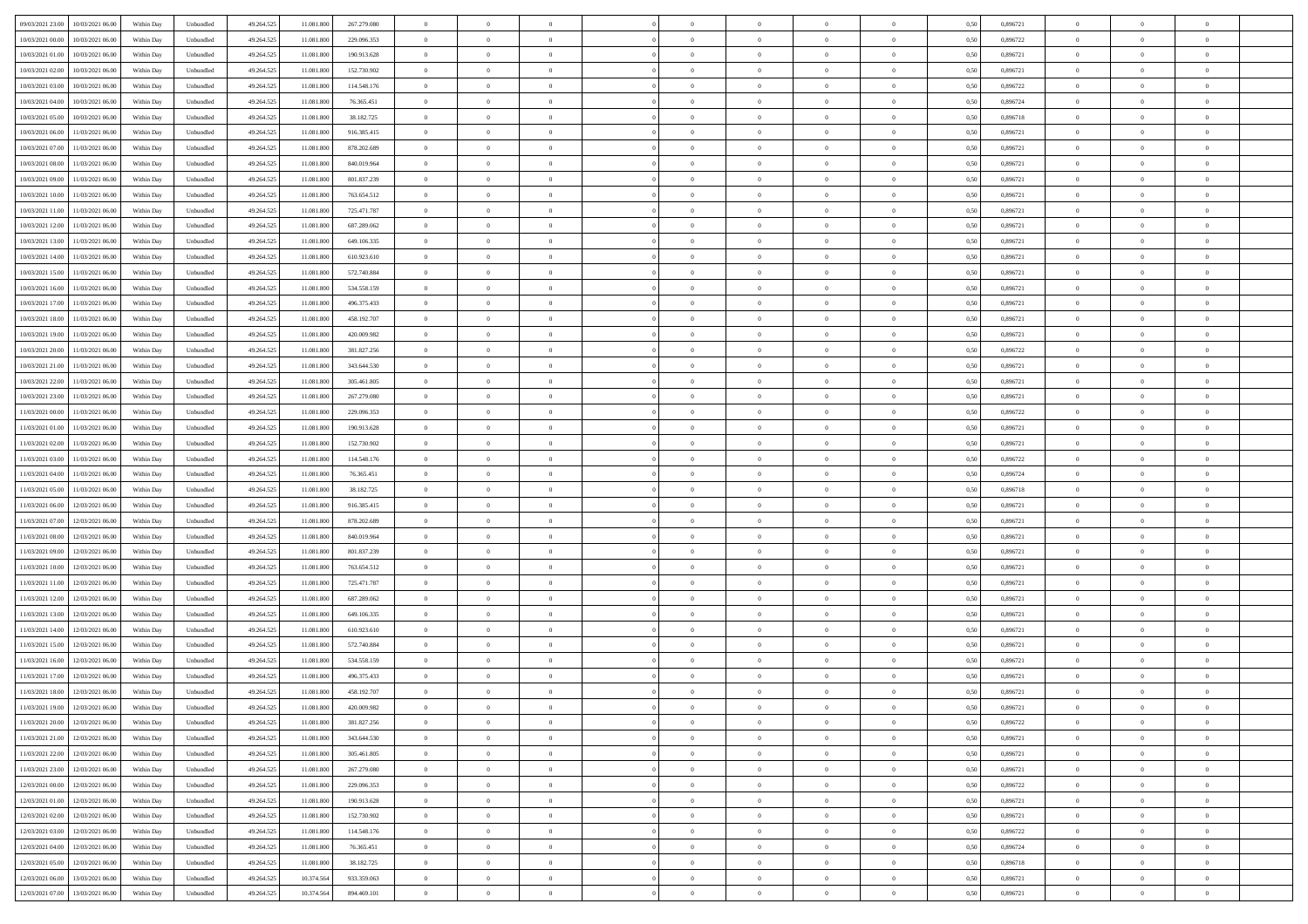| 09/03/2021 23:00<br>10/03/2021 06:00         | Within Day | Unbundled                   | 49.264.525 | 11.081.800 | 267.279.080 | $\overline{0}$ | $\theta$       |                | $\overline{0}$ | $\theta$       |                | $\theta$       | 0,50 | 0,896721 | $\theta$       | $\theta$       | $\overline{0}$ |  |
|----------------------------------------------|------------|-----------------------------|------------|------------|-------------|----------------|----------------|----------------|----------------|----------------|----------------|----------------|------|----------|----------------|----------------|----------------|--|
| 10/03/2021 00:00<br>10/03/2021 06:00         | Within Day | Unbundled                   | 49.264.52  | 11.081.80  | 229.096.353 | $\bf{0}$       | $\overline{0}$ | $\bf{0}$       | $\overline{0}$ | $\overline{0}$ | $\overline{0}$ | $\bf{0}$       | 0,50 | 0,896722 | $\,$ 0 $\,$    | $\bf{0}$       | $\overline{0}$ |  |
| 10/03/2021 01:00<br>10/03/2021 06:00         | Within Day | Unbundled                   | 49.264.525 | 11.081.800 | 190.913.628 | $\overline{0}$ | $\bf{0}$       | $\overline{0}$ | $\bf{0}$       | $\bf{0}$       | $\overline{0}$ | $\bf{0}$       | 0.50 | 0.896721 | $\bf{0}$       | $\overline{0}$ | $\overline{0}$ |  |
| 10/03/2021 02:00<br>10/03/2021 06:00         | Within Day | Unbundled                   | 49.264.52  | 11.081.800 | 152.730.902 | $\overline{0}$ | $\overline{0}$ | $\overline{0}$ | $\theta$       | $\theta$       | $\overline{0}$ | $\bf{0}$       | 0,50 | 0,896721 | $\theta$       | $\theta$       | $\overline{0}$ |  |
| 10/03/2021 03:00<br>10/03/2021 06:00         | Within Day | Unbundled                   | 49.264.52  | 11.081.80  | 114.548.176 | $\bf{0}$       | $\overline{0}$ | $\bf{0}$       | $\overline{0}$ | $\theta$       | $\overline{0}$ | $\bf{0}$       | 0,50 | 0,896722 | $\,$ 0 $\,$    | $\bf{0}$       | $\overline{0}$ |  |
|                                              |            |                             |            |            |             |                |                |                |                |                |                |                |      |          |                |                |                |  |
| 10/03/2021 04:00<br>10/03/2021 06:00         | Within Day | Unbundled                   | 49.264.525 | 11.081.80  | 76,365,451  | $\overline{0}$ | $\overline{0}$ | $\overline{0}$ | $\bf{0}$       | $\overline{0}$ | $\theta$       | $\bf{0}$       | 0.50 | 0.896724 | $\,$ 0 $\,$    | $\theta$       | $\overline{0}$ |  |
| 10/03/2021 05:00<br>10/03/2021 06:00         | Within Day | Unbundled                   | 49.264.525 | 11.081.800 | 38.182.725  | $\overline{0}$ | $\overline{0}$ | $\overline{0}$ | $\overline{0}$ | $\theta$       | $\overline{0}$ | $\bf{0}$       | 0,50 | 0,896718 | $\theta$       | $\theta$       | $\overline{0}$ |  |
| 10/03/2021 06:00<br>11/03/2021 06:00         | Within Day | Unbundled                   | 49.264.52  | 11.081.80  | 916.385.415 | $\bf{0}$       | $\overline{0}$ | $\overline{0}$ | $\overline{0}$ | $\bf{0}$       | $\overline{0}$ | $\bf{0}$       | 0,50 | 0,896721 | $\,$ 0 $\,$    | $\bf{0}$       | $\overline{0}$ |  |
| 10/03/2021 07:00<br>11/03/2021 06:00         | Within Day | Unbundled                   | 49.264.52  | 11.081.800 | 878.202.689 | $\overline{0}$ | $\bf{0}$       | $\overline{0}$ | $\bf{0}$       | $\overline{0}$ | $\overline{0}$ | $\bf{0}$       | 0.50 | 0.896721 | $\bf{0}$       | $\overline{0}$ | $\overline{0}$ |  |
| 10/03/2021 08:00<br>11/03/2021 06:00         | Within Day | Unbundled                   | 49.264.525 | 11.081.800 | 840.019.964 | $\overline{0}$ | $\bf{0}$       | $\overline{0}$ | $\overline{0}$ | $\overline{0}$ | $\overline{0}$ | $\bf{0}$       | 0,50 | 0,896721 | $\,$ 0 $\,$    | $\bf{0}$       | $\overline{0}$ |  |
| 10/03/2021 09:00<br>11/03/2021 06:00         | Within Day | Unbundled                   | 49.264.52  | 11.081.800 | 801.837.239 | $\bf{0}$       | $\overline{0}$ | $\bf{0}$       | $\bf{0}$       | $\bf{0}$       | $\overline{0}$ | $\bf{0}$       | 0,50 | 0,896721 | $\,$ 0 $\,$    | $\bf{0}$       | $\overline{0}$ |  |
| 10/03/2021 10:00<br>11/03/2021 06:00         | Within Day | Unbundled                   | 49.264.525 | 11.081.800 | 763.654.512 | $\overline{0}$ | $\bf{0}$       | $\overline{0}$ | $\bf{0}$       | $\bf{0}$       | $\overline{0}$ | $\bf{0}$       | 0.50 | 0.896721 | $\bf{0}$       | $\overline{0}$ | $\bf{0}$       |  |
|                                              |            |                             |            |            |             |                |                |                |                |                |                |                |      |          |                |                |                |  |
| 10/03/2021 11:00<br>11/03/2021 06:00         | Within Day | Unbundled                   | 49.264.52  | 11.081.800 | 725.471.787 | $\overline{0}$ | $\overline{0}$ | $\overline{0}$ | $\overline{0}$ | $\theta$       | $\overline{0}$ | $\overline{0}$ | 0,50 | 0,896721 | $\,$ 0 $\,$    | $\theta$       | $\overline{0}$ |  |
| 10/03/2021 12:00<br>11/03/2021 06:00         | Within Day | Unbundled                   | 49.264.52  | 11.081.80  | 687.289.062 | $\bf{0}$       | $\overline{0}$ | $\bf{0}$       | $\overline{0}$ | $\theta$       | $\overline{0}$ | $\bf{0}$       | 0,50 | 0,896721 | $\bf{0}$       | $\bf{0}$       | $\overline{0}$ |  |
| 10/03/2021 13:00<br>11/03/2021 06:00         | Within Day | Unbundled                   | 49.264.525 | 11.081.800 | 649.106.335 | $\overline{0}$ | $\overline{0}$ | $\overline{0}$ | $\bf{0}$       | $\overline{0}$ | $\Omega$       | $\bf{0}$       | 0.50 | 0,896721 | $\bf{0}$       | $\theta$       | $\overline{0}$ |  |
| 10/03/2021 14:00<br>11/03/2021 06:00         | Within Day | Unbundled                   | 49.264.525 | 11.081.800 | 610.923.610 | $\overline{0}$ | $\overline{0}$ | $\overline{0}$ | $\overline{0}$ | $\overline{0}$ | $\overline{0}$ | $\bf{0}$       | 0,50 | 0,896721 | $\theta$       | $\theta$       | $\overline{0}$ |  |
| 10/03/2021 15:00<br>11/03/2021 06:00         | Within Day | Unbundled                   | 49.264.52  | 11.081.80  | 572.740.884 | $\bf{0}$       | $\overline{0}$ | $\overline{0}$ | $\overline{0}$ | $\bf{0}$       | $\overline{0}$ | $\bf{0}$       | 0,50 | 0,896721 | $\,$ 0 $\,$    | $\bf{0}$       | $\overline{0}$ |  |
| 10/03/2021 16:00<br>11/03/2021 06:00         | Within Day | Unbundled                   | 49.264.52  | 11.081.80  | 534.558.159 | $\overline{0}$ | $\bf{0}$       | $\overline{0}$ | $\bf{0}$       | $\overline{0}$ | $\overline{0}$ | $\bf{0}$       | 0.50 | 0.896721 | $\bf{0}$       | $\overline{0}$ | $\overline{0}$ |  |
| 10/03/2021 17:00<br>11/03/2021 06:00         | Within Day | Unbundled                   | 49.264.525 | 11.081.800 | 496.375.433 | $\overline{0}$ | $\overline{0}$ | $\overline{0}$ | $\overline{0}$ | $\overline{0}$ | $\overline{0}$ | $\bf{0}$       | 0,50 | 0,896721 | $\,$ 0 $\,$    | $\bf{0}$       | $\overline{0}$ |  |
|                                              |            |                             |            |            |             |                |                |                |                |                |                |                |      |          |                |                |                |  |
| 10/03/2021 18:00<br>11/03/2021 06:00         | Within Day | Unbundled                   | 49.264.52  | 11.081.800 | 458.192.707 | $\bf{0}$       | $\overline{0}$ | $\bf{0}$       | $\bf{0}$       | $\overline{0}$ | $\overline{0}$ | $\bf{0}$       | 0,50 | 0,896721 | $\,$ 0 $\,$    | $\bf{0}$       | $\overline{0}$ |  |
| 10/03/2021 19:00<br>11/03/2021 06:00         | Within Day | Unbundled                   | 49.264.525 | 11.081.800 | 420.009.982 | $\overline{0}$ | $\bf{0}$       | $\overline{0}$ | $\bf{0}$       | $\bf{0}$       | $\overline{0}$ | $\bf{0}$       | 0.50 | 0.896721 | $\bf{0}$       | $\overline{0}$ | $\bf{0}$       |  |
| 10/03/2021 20:00<br>11/03/2021 06:00         | Within Day | Unbundled                   | 49.264.52  | 11.081.800 | 381.827.256 | $\overline{0}$ | $\overline{0}$ | $\overline{0}$ | $\theta$       | $\theta$       | $\overline{0}$ | $\bf{0}$       | 0,50 | 0,896722 | $\theta$       | $\theta$       | $\overline{0}$ |  |
| 10/03/2021 21:00<br>11/03/2021 06:00         | Within Day | Unbundled                   | 49.264.52  | 11.081.800 | 343.644.530 | $\bf{0}$       | $\overline{0}$ | $\bf{0}$       | $\bf{0}$       | $\bf{0}$       | $\overline{0}$ | $\bf{0}$       | 0,50 | 0,896721 | $\,$ 0 $\,$    | $\bf{0}$       | $\overline{0}$ |  |
| 10/03/2021 22:00<br>11/03/2021 06:00         | Within Day | Unbundled                   | 49.264.525 | 11.081.80  | 305.461.805 | $\overline{0}$ | $\overline{0}$ | $\overline{0}$ | $\overline{0}$ | $\overline{0}$ | $\Omega$       | $\bf{0}$       | 0.50 | 0,896721 | $\,$ 0 $\,$    | $\theta$       | $\overline{0}$ |  |
| 10/03/2021 23:00<br>11/03/2021 06:00         | Within Day | Unbundled                   | 49.264.525 | 11.081.800 | 267.279.080 | $\overline{0}$ | $\overline{0}$ | $\overline{0}$ | $\overline{0}$ | $\overline{0}$ | $\overline{0}$ | $\bf{0}$       | 0,50 | 0,896721 | $\theta$       | $\theta$       | $\overline{0}$ |  |
| 11/03/2021 00:00<br>11/03/2021 06:00         | Within Day | Unbundled                   | 49.264.52  | 11.081.80  | 229.096.353 | $\bf{0}$       | $\theta$       | $\bf{0}$       | $\overline{0}$ | $\bf{0}$       | $\overline{0}$ | $\bf{0}$       | 0,50 | 0,896722 | $\,$ 0 $\,$    | $\bf{0}$       | $\overline{0}$ |  |
| 11/03/2021 01:00<br>11/03/2021 06:00         | Within Day | Unbundled                   | 49.264.525 | 11.081.800 | 190.913.628 | $\overline{0}$ | $\bf{0}$       | $\overline{0}$ | $\bf{0}$       | $\overline{0}$ | $\overline{0}$ | $\bf{0}$       | 0.50 | 0.896721 | $\bf{0}$       | $\overline{0}$ | $\overline{0}$ |  |
| 11/03/2021 02:00<br>11/03/2021 06:00         | Within Day | Unbundled                   | 49.264.525 | 11.081.800 | 152.730.902 | $\overline{0}$ | $\overline{0}$ | $\overline{0}$ | $\theta$       | $\overline{0}$ | $\overline{0}$ | $\bf{0}$       | 0,50 | 0,896721 | $\theta$       | $\theta$       | $\overline{0}$ |  |
|                                              |            |                             |            |            |             |                |                |                |                |                |                |                |      |          |                |                |                |  |
| 11/03/2021 03:00<br>11/03/2021 06:00         | Within Day | Unbundled                   | 49.264.52  | 11.081.800 | 114.548.176 | $\bf{0}$       | $\bf{0}$       | $\bf{0}$       | $\bf{0}$       | $\overline{0}$ | $\overline{0}$ | $\bf{0}$       | 0,50 | 0,896722 | $\,$ 0 $\,$    | $\bf{0}$       | $\overline{0}$ |  |
| 11/03/2021 04:00<br>11/03/2021 06:00         | Within Day | Unbundled                   | 49.264.525 | 11.081.800 | 76,365,451  | $\overline{0}$ | $\bf{0}$       | $\overline{0}$ | $\bf{0}$       | $\bf{0}$       | $\overline{0}$ | $\bf{0}$       | 0.50 | 0.896724 | $\bf{0}$       | $\overline{0}$ | $\bf{0}$       |  |
| 11/03/2021 05:00<br>11/03/2021 06:00         | Within Day | Unbundled                   | 49.264.52  | 11.081.800 | 38.182.725  | $\overline{0}$ | $\overline{0}$ | $\overline{0}$ | $\overline{0}$ | $\overline{0}$ | $\overline{0}$ | $\bf{0}$       | 0.5( | 0,896718 | $\theta$       | $\theta$       | $\overline{0}$ |  |
| 11/03/2021 06:00<br>12/03/2021 06:00         | Within Day | Unbundled                   | 49.264.52  | 11.081.80  | 916.385.415 | $\bf{0}$       | $\overline{0}$ | $\bf{0}$       | $\bf{0}$       | $\overline{0}$ | $\overline{0}$ | $\bf{0}$       | 0,50 | 0,896721 | $\,$ 0 $\,$    | $\bf{0}$       | $\overline{0}$ |  |
| 11/03/2021 07:00<br>12/03/2021 06:00         | Within Day | Unbundled                   | 49.264.525 | 11.081.800 | 878.202.689 | $\overline{0}$ | $\overline{0}$ | $\overline{0}$ | $\bf{0}$       | $\overline{0}$ | $\Omega$       | $\bf{0}$       | 0.50 | 0,896721 | $\,$ 0 $\,$    | $\theta$       | $\overline{0}$ |  |
| 11/03/2021 08:00<br>12/03/2021 06:00         | Within Dav | Unbundled                   | 49.264.52  | 11.081.800 | 840.019.964 | $\overline{0}$ | $\overline{0}$ | $\overline{0}$ | $\overline{0}$ | $\overline{0}$ | $\overline{0}$ | $\overline{0}$ | 0.5( | 0,896721 | $\theta$       | $\theta$       | $\overline{0}$ |  |
| 11/03/2021 09:00<br>12/03/2021 06:00         | Within Day | Unbundled                   | 49.264.52  | 11.081.800 | 801.837.239 | $\bf{0}$       | $\overline{0}$ | $\bf{0}$       | $\overline{0}$ | $\bf{0}$       | $\overline{0}$ | $\bf{0}$       | 0,50 | 0,896721 | $\,$ 0 $\,$    | $\bf{0}$       | $\overline{0}$ |  |
| 11/03/2021 10:00<br>12/03/2021 06:00         | Within Day | Unbundled                   | 49.264.52  | 11.081.80  | 763.654.512 | $\overline{0}$ | $\bf{0}$       | $\overline{0}$ | $\bf{0}$       | $\overline{0}$ | $\overline{0}$ | $\bf{0}$       | 0.50 | 0.896721 | $\bf{0}$       | $\overline{0}$ | $\overline{0}$ |  |
|                                              |            |                             |            |            |             |                |                |                |                |                |                |                |      |          |                |                |                |  |
| 11/03/2021 11:00<br>12/03/2021 06:00         | Within Dav | Unbundled                   | 49.264.52  | 11.081.800 | 725.471.787 | $\overline{0}$ | $\overline{0}$ | $\overline{0}$ | $\overline{0}$ | $\overline{0}$ | $\overline{0}$ | $\overline{0}$ | 0.50 | 0,896721 | $\theta$       | $\theta$       | $\overline{0}$ |  |
| 11/03/2021 12:00<br>12/03/2021 06:00         | Within Day | Unbundled                   | 49.264.52  | 11.081.80  | 687.289.062 | $\bf{0}$       | $\bf{0}$       | $\bf{0}$       | $\bf{0}$       | $\overline{0}$ | $\overline{0}$ | $\bf{0}$       | 0,50 | 0,896721 | $\,$ 0 $\,$    | $\bf{0}$       | $\overline{0}$ |  |
| 11/03/2021 13:00<br>12/03/2021 06:00         | Within Day | Unbundled                   | 49.264.525 | 11.081.800 | 649.106.335 | $\overline{0}$ | $\bf{0}$       | $\overline{0}$ | $\bf{0}$       | $\bf{0}$       | $\overline{0}$ | $\bf{0}$       | 0.50 | 0.896721 | $\bf{0}$       | $\overline{0}$ | $\overline{0}$ |  |
| 11/03/2021 14:00<br>12/03/2021 06:00         | Within Dav | Unbundled                   | 49.264.525 | 11.081.800 | 610.923.610 | $\overline{0}$ | $\overline{0}$ | $\overline{0}$ | $\overline{0}$ | $\overline{0}$ | $\overline{0}$ | $\bf{0}$       | 0.50 | 0,896721 | $\theta$       | $\theta$       | $\overline{0}$ |  |
| 11/03/2021 15:00<br>12/03/2021 06:00         | Within Day | Unbundled                   | 49.264.525 | 11.081.80  | 572.740.884 | $\bf{0}$       | $\overline{0}$ | $\bf{0}$       | $\bf{0}$       | $\overline{0}$ | $\overline{0}$ | $\bf{0}$       | 0,50 | 0,896721 | $\,$ 0 $\,$    | $\bf{0}$       | $\overline{0}$ |  |
| 11/03/2021 16:00<br>12/03/2021 06:00         | Within Day | Unbundled                   | 49.264.525 | 11.081.80  | 534.558.159 | $\overline{0}$ | $\overline{0}$ | $\Omega$       | $\overline{0}$ | $\bf{0}$       | $\Omega$       | $\bf{0}$       | 0.50 | 0,896721 | $\bf{0}$       | $\theta$       | $\overline{0}$ |  |
| 11/03/2021 17:00<br>12/03/2021 06:00         | Within Dav | Unbundled                   | 49.264.52  | 11.081.80  | 496.375.433 | $\overline{0}$ | $\overline{0}$ | $\Omega$       | $\overline{0}$ | $\theta$       | $\Omega$       | $\overline{0}$ | 0.5( | 0,896721 | $\theta$       | $\theta$       | $\overline{0}$ |  |
| 11/03/2021 18:00<br>12/03/2021 06:00         | Within Day | Unbundled                   | 49.264.525 | 11.081.800 | 458.192.707 | $\bf{0}$       | $\bf{0}$       | $\overline{0}$ | $\bf{0}$       | $\bf{0}$       | $\overline{0}$ | $\bf{0}$       | 0,50 | 0,896721 | $\,$ 0 $\,$    | $\bf{0}$       | $\overline{0}$ |  |
| $11/03/2021\ 19.00 \qquad 12/03/2021\ 06.00$ | Within Day | $\ensuremath{\mathsf{Unb}}$ | 49.264.525 | 11.081.800 | 420.009.982 | $\bf{0}$       | $\theta$       |                | $\Omega$       |                |                |                | 0,50 | 0.896721 | $\bf{0}$       | $\bf{0}$       |                |  |
|                                              |            |                             |            |            |             |                |                |                |                |                |                |                |      |          |                |                |                |  |
| 11/03/2021 20:00 12/03/2021 06:00            | Within Day | Unbundled                   | 49.264.525 | 11.081.800 | 381.827.256 | $\overline{0}$ | $\theta$       | $\Omega$       | $\overline{0}$ | $\theta$       | $\overline{0}$ | $\bf{0}$       | 0,50 | 0,896722 | $\theta$       | $\theta$       | $\overline{0}$ |  |
| 11/03/2021 21:00<br>12/03/2021 06:00         | Within Day | Unbundled                   | 49.264.525 | 11.081.800 | 343.644.530 | $\overline{0}$ | $\bf{0}$       | $\overline{0}$ | $\overline{0}$ | $\bf{0}$       | $\overline{0}$ | $\bf{0}$       | 0,50 | 0,896721 | $\bf{0}$       | $\overline{0}$ | $\bf{0}$       |  |
| 11/03/2021 22:00 12/03/2021 06:00            | Within Day | Unbundled                   | 49.264.525 | 11.081.800 | 305.461.805 | $\overline{0}$ | $\bf{0}$       | $\overline{0}$ | $\overline{0}$ | $\overline{0}$ | $\overline{0}$ | $\bf{0}$       | 0.50 | 0.896721 | $\overline{0}$ | $\bf{0}$       | $\,$ 0 $\,$    |  |
| 11/03/2021 23:00 12/03/2021 06:00            | Within Day | Unbundled                   | 49.264.525 | 11.081.800 | 267.279.080 | $\overline{0}$ | $\overline{0}$ | $\overline{0}$ | $\overline{0}$ | $\overline{0}$ | $\overline{0}$ | $\bf{0}$       | 0,50 | 0,896721 | $\theta$       | $\theta$       | $\overline{0}$ |  |
| 12/03/2021 00:00<br>12/03/2021 06:00         | Within Day | Unbundled                   | 49.264.525 | 11.081.800 | 229.096.353 | $\overline{0}$ | $\bf{0}$       | $\overline{0}$ | $\bf{0}$       | $\overline{0}$ | $\bf{0}$       | $\bf{0}$       | 0,50 | 0,896722 | $\bf{0}$       | $\bf{0}$       | $\overline{0}$ |  |
| 12/03/2021 01:00<br>12/03/2021 06:00         | Within Day | Unbundled                   | 49.264.525 | 11.081.800 | 190.913.628 | $\overline{0}$ | $\bf{0}$       | $\overline{0}$ | $\overline{0}$ | $\overline{0}$ | $\overline{0}$ | $\bf{0}$       | 0.50 | 0,896721 | $\,$ 0 $\,$    | $\theta$       | $\overline{0}$ |  |
| 12/03/2021 02:00<br>12/03/2021 06:00         | Within Dav | Unbundled                   | 49.264.525 | 11.081.800 | 152.730.902 | $\overline{0}$ | $\overline{0}$ | $\overline{0}$ | $\overline{0}$ | $\overline{0}$ | $\overline{0}$ | $\bf{0}$       | 0.50 | 0,896721 | $\overline{0}$ | $\theta$       | $\overline{0}$ |  |
|                                              |            |                             |            |            |             |                |                |                |                |                |                |                |      |          |                |                |                |  |
| 12/03/2021 03:00<br>12/03/2021 06:00         | Within Day | Unbundled                   | 49.264.525 | 11.081.800 | 114.548.176 | $\overline{0}$ | $\overline{0}$ | $\overline{0}$ | $\overline{0}$ | $\bf{0}$       | $\overline{0}$ | $\bf{0}$       | 0,50 | 0,896722 | $\bf{0}$       | $\overline{0}$ | $\overline{0}$ |  |
| 12/03/2021 04:00<br>12/03/2021 06:00         | Within Day | Unbundled                   | 49.264.525 | 11.081.800 | 76,365,451  | $\overline{0}$ | $\overline{0}$ | $\overline{0}$ | $\overline{0}$ | $\bf{0}$       | $\overline{0}$ | $\bf{0}$       | 0.50 | 0.896724 | $\overline{0}$ | $\,$ 0 $\,$    | $\,$ 0         |  |
| 12/03/2021 05:00 12/03/2021 06:00            | Within Dav | Unbundled                   | 49.264.525 | 11.081.800 | 38.182.725  | $\overline{0}$ | $\overline{0}$ | $\overline{0}$ | $\overline{0}$ | $\overline{0}$ | $\overline{0}$ | $\bf{0}$       | 0,50 | 0,896718 | $\overline{0}$ | $\theta$       | $\overline{0}$ |  |
| 12/03/2021 06:00<br>13/03/2021 06:00         | Within Day | Unbundled                   | 49.264.525 | 10.374.564 | 933.359.063 | $\overline{0}$ | $\bf{0}$       | $\overline{0}$ | $\bf{0}$       | $\overline{0}$ | $\bf{0}$       | $\bf{0}$       | 0,50 | 0,896721 | $\bf{0}$       | $\bf{0}$       | $\bf{0}$       |  |
| 12/03/2021 07:00 13/03/2021 06:00            | Within Day | Unbundled                   | 49.264.525 | 10.374.564 | 894.469.101 | $\overline{0}$ | $\bf{0}$       | $\overline{0}$ | $\overline{0}$ | $\,$ 0 $\,$    | $\overline{0}$ | $\bf{0}$       | 0,50 | 0,896721 | $\overline{0}$ | $\,$ 0 $\,$    | $\,$ 0 $\,$    |  |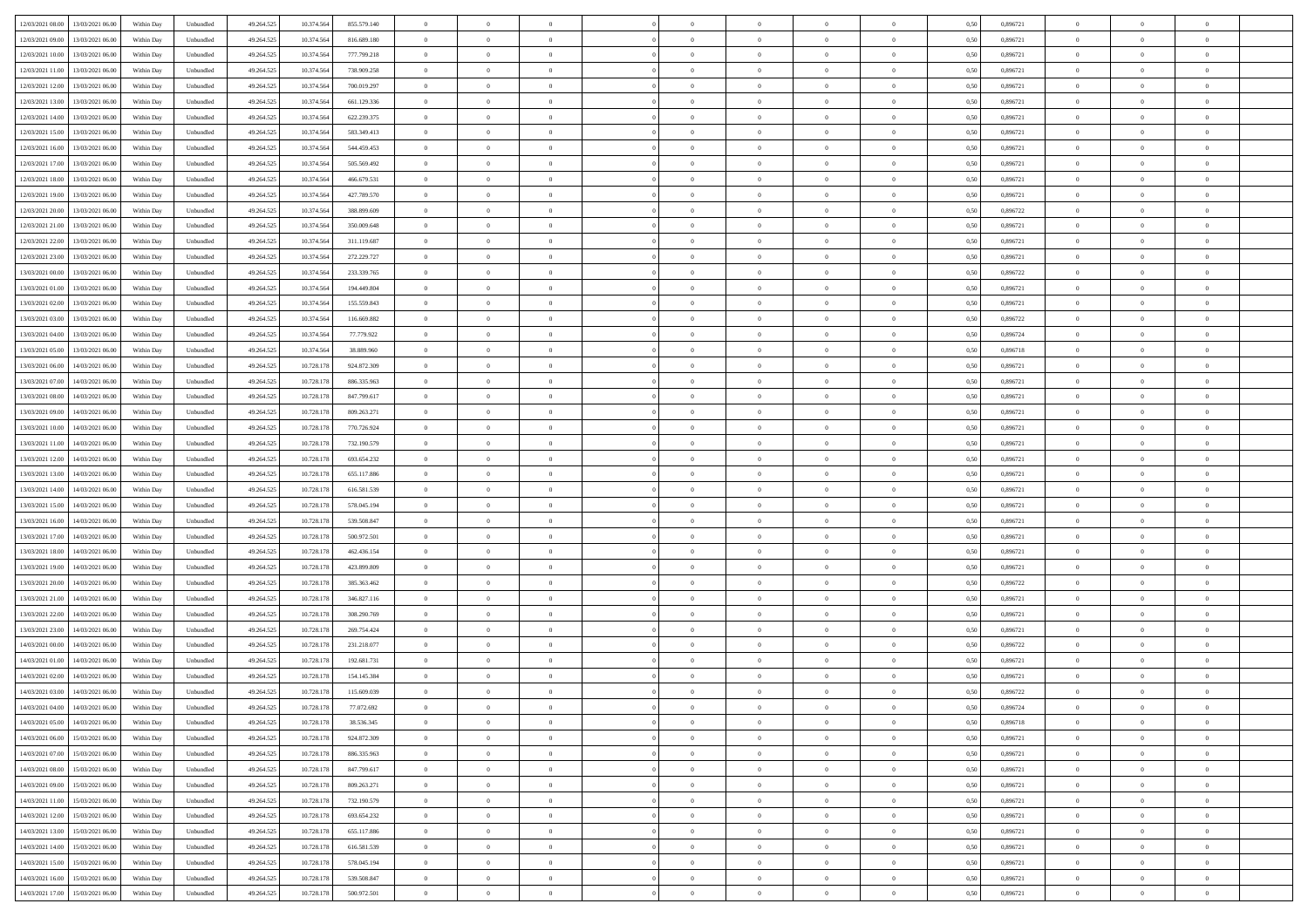| 12/03/2021 08:00<br>13/03/2021 06:00         | Within Day | Unbundled                   | 49.264.525 | 10.374.564 | 855.579.140   | $\overline{0}$ | $\theta$       |                | $\overline{0}$ | $\theta$       |                | $\theta$       | 0,50 | 0,896721 | $\theta$       | $\theta$       | $\overline{0}$ |  |
|----------------------------------------------|------------|-----------------------------|------------|------------|---------------|----------------|----------------|----------------|----------------|----------------|----------------|----------------|------|----------|----------------|----------------|----------------|--|
|                                              |            |                             |            |            |               |                |                |                |                |                |                |                |      |          |                |                |                |  |
| 12/03/2021 09:00<br>13/03/2021 06:00         | Within Day | Unbundled                   | 49.264.52  | 10.374.56  | 816.689.180   | $\bf{0}$       | $\overline{0}$ | $\bf{0}$       | $\overline{0}$ | $\bf{0}$       | $\overline{0}$ | $\bf{0}$       | 0,50 | 0,896721 | $\,$ 0 $\,$    | $\bf{0}$       | $\overline{0}$ |  |
| 12/03/2021 10:00<br>13/03/2021 06:00         | Within Day | Unbundled                   | 49.264.525 | 10.374.564 | 777.799.218   | $\overline{0}$ | $\bf{0}$       | $\overline{0}$ | $\bf{0}$       | $\bf{0}$       | $\overline{0}$ | $\bf{0}$       | 0.50 | 0.896721 | $\bf{0}$       | $\overline{0}$ | $\overline{0}$ |  |
| 12/03/2021 11:00<br>13/03/2021 06:00         | Within Day | Unbundled                   | 49.264.52  | 10.374.564 | 738.909.258   | $\overline{0}$ | $\overline{0}$ | $\overline{0}$ | $\theta$       | $\theta$       | $\overline{0}$ | $\bf{0}$       | 0,50 | 0,896721 | $\theta$       | $\theta$       | $\overline{0}$ |  |
|                                              |            |                             |            |            |               |                |                |                |                |                |                |                |      |          |                |                |                |  |
| 12/03/2021 12:00<br>13/03/2021 06:00         | Within Day | Unbundled                   | 49.264.52  | 10.374.56  | 700.019.297   | $\bf{0}$       | $\theta$       | $\bf{0}$       | $\overline{0}$ | $\theta$       | $\overline{0}$ | $\bf{0}$       | 0,50 | 0,896721 | $\,$ 0 $\,$    | $\bf{0}$       | $\overline{0}$ |  |
| 12/03/2021 13:00<br>13/03/2021 06:00         | Within Day | Unbundled                   | 49.264.525 | 10.374.564 | 661.129.336   | $\overline{0}$ | $\overline{0}$ | $\overline{0}$ | $\bf{0}$       | $\overline{0}$ | $\theta$       | $\bf{0}$       | 0.50 | 0,896721 | $\,$ 0 $\,$    | $\theta$       | $\overline{0}$ |  |
| 12/03/2021 14:00<br>13/03/2021 06:00         | Within Day | Unbundled                   | 49.264.525 | 10.374.564 | 622.239.375   | $\overline{0}$ | $\overline{0}$ | $\overline{0}$ | $\overline{0}$ | $\theta$       | $\overline{0}$ | $\bf{0}$       | 0,50 | 0,896721 | $\theta$       | $\theta$       | $\overline{0}$ |  |
| 12/03/2021 15:00<br>13/03/2021 06:00         | Within Day | Unbundled                   | 49.264.52  | 10.374.56  | 583.349.413   | $\bf{0}$       | $\overline{0}$ | $\overline{0}$ | $\overline{0}$ | $\bf{0}$       | $\overline{0}$ | $\bf{0}$       | 0,50 | 0,896721 | $\,$ 0 $\,$    | $\bf{0}$       | $\overline{0}$ |  |
| 12/03/2021 16:00<br>13/03/2021 06:00         |            | Unbundled                   | 49.264.525 | 10.374.564 | 544.459.453   | $\overline{0}$ | $\bf{0}$       | $\overline{0}$ |                | $\overline{0}$ | $\overline{0}$ |                | 0.50 | 0.896721 | $\bf{0}$       | $\overline{0}$ | $\overline{0}$ |  |
|                                              | Within Day |                             |            |            |               |                |                |                | $\bf{0}$       |                |                | $\bf{0}$       |      |          |                |                |                |  |
| 12/03/2021 17:00<br>13/03/2021 06:00         | Within Day | Unbundled                   | 49.264.525 | 10.374.564 | 505.569.492   | $\bf{0}$       | $\bf{0}$       | $\overline{0}$ | $\overline{0}$ | $\overline{0}$ | $\overline{0}$ | $\bf{0}$       | 0,50 | 0,896721 | $\,$ 0 $\,$    | $\bf{0}$       | $\overline{0}$ |  |
| 12/03/2021 18:00<br>13/03/2021 06:00         | Within Day | Unbundled                   | 49.264.52  | 10.374.564 | 466.679.531   | $\bf{0}$       | $\overline{0}$ | $\bf{0}$       | $\bf{0}$       | $\bf{0}$       | $\overline{0}$ | $\bf{0}$       | 0,50 | 0,896721 | $\,$ 0 $\,$    | $\bf{0}$       | $\overline{0}$ |  |
| 12/03/2021 19:00<br>13/03/2021 06:00         | Within Day | Unbundled                   | 49.264.525 | 10.374.564 | 427.789.570   | $\overline{0}$ | $\bf{0}$       | $\overline{0}$ | $\bf{0}$       | $\bf{0}$       | $\overline{0}$ | $\bf{0}$       | 0.50 | 0.896721 | $\bf{0}$       | $\overline{0}$ | $\bf{0}$       |  |
| 12/03/2021 20:00<br>13/03/2021 06:00         | Within Day | Unbundled                   | 49.264.52  | 10.374.564 | 388.899.609   | $\overline{0}$ | $\overline{0}$ | $\overline{0}$ | $\overline{0}$ | $\theta$       | $\overline{0}$ | $\overline{0}$ | 0,50 | 0,896722 | $\,$ 0 $\,$    | $\theta$       | $\overline{0}$ |  |
|                                              |            |                             |            |            |               |                | $\theta$       |                | $\overline{0}$ | $\theta$       | $\overline{0}$ |                |      |          |                | $\bf{0}$       | $\overline{0}$ |  |
| 12/03/2021 21:00<br>13/03/2021 06:00         | Within Day | Unbundled                   | 49.264.52  | 10.374.56  | 350.009.648   | $\bf{0}$       |                | $\bf{0}$       |                |                |                | $\bf{0}$       | 0,50 | 0,896721 | $\bf{0}$       |                |                |  |
| 12/03/2021 22:00<br>13/03/2021 06:00         | Within Day | Unbundled                   | 49.264.525 | 10.374.564 | 311.119.687   | $\overline{0}$ | $\overline{0}$ | $\overline{0}$ | $\bf{0}$       | $\bf{0}$       | $\Omega$       | $\bf{0}$       | 0.50 | 0,896721 | $\bf{0}$       | $\theta$       | $\overline{0}$ |  |
| 12/03/2021 23:00<br>13/03/2021 06:00         | Within Day | Unbundled                   | 49.264.525 | 10.374.564 | 272.229.727   | $\overline{0}$ | $\overline{0}$ | $\overline{0}$ | $\overline{0}$ | $\overline{0}$ | $\overline{0}$ | $\bf{0}$       | 0,50 | 0,896721 | $\theta$       | $\theta$       | $\overline{0}$ |  |
| 13/03/2021 00:00<br>13/03/2021 06:00         | Within Day | Unbundled                   | 49.264.52  | 10.374.56  | 233.339.765   | $\bf{0}$       | $\overline{0}$ | $\overline{0}$ | $\overline{0}$ | $\bf{0}$       | $\overline{0}$ | $\bf{0}$       | 0,50 | 0,896722 | $\,$ 0 $\,$    | $\bf{0}$       | $\overline{0}$ |  |
| 13/03/2021 01:00<br>13/03/2021 06:00         | Within Day | Unbundled                   | 49.264.525 | 10.374.56  | 194,449,804   | $\overline{0}$ | $\bf{0}$       | $\overline{0}$ | $\bf{0}$       | $\overline{0}$ | $\overline{0}$ | $\bf{0}$       | 0.50 | 0.896721 | $\bf{0}$       | $\overline{0}$ | $\overline{0}$ |  |
|                                              |            |                             |            |            |               |                |                |                |                |                |                |                |      |          |                |                |                |  |
| 13/03/2021 02:00<br>13/03/2021 06:00         | Within Day | Unbundled                   | 49.264.525 | 10.374.564 | 155.559.843   | $\overline{0}$ | $\overline{0}$ | $\overline{0}$ | $\overline{0}$ | $\overline{0}$ | $\overline{0}$ | $\bf{0}$       | 0,50 | 0,896721 | $\,$ 0 $\,$    | $\bf{0}$       | $\overline{0}$ |  |
| 13/03/2021 03:00<br>13/03/2021 06:00         | Within Day | Unbundled                   | 49.264.52  | 10.374.56  | 116.669.882   | $\bf{0}$       | $\overline{0}$ | $\bf{0}$       | $\bf{0}$       | $\overline{0}$ | $\overline{0}$ | $\bf{0}$       | 0,50 | 0,896722 | $\,$ 0 $\,$    | $\bf{0}$       | $\overline{0}$ |  |
| 13/03/2021 04:00<br>13/03/2021 06:00         | Within Day | Unbundled                   | 49.264.525 | 10.374.564 | 77.779.922    | $\overline{0}$ | $\bf{0}$       | $\overline{0}$ | $\bf{0}$       | $\bf{0}$       | $\overline{0}$ | $\bf{0}$       | 0.50 | 0.896724 | $\bf{0}$       | $\overline{0}$ | $\overline{0}$ |  |
| 13/03/2021 05:00<br>13/03/2021 06:00         | Within Day | Unbundled                   | 49.264.52  | 10.374.564 | 38.889.960    | $\overline{0}$ | $\overline{0}$ | $\overline{0}$ | $\theta$       | $\theta$       | $\overline{0}$ | $\bf{0}$       | 0,50 | 0,896718 | $\theta$       | $\theta$       | $\overline{0}$ |  |
| 13/03/2021 06:00<br>14/03/2021 06:00         | Within Day | Unbundled                   | 49.264.52  | 10.728.178 | 924.872.309   | $\bf{0}$       | $\overline{0}$ | $\bf{0}$       | $\bf{0}$       | $\bf{0}$       | $\overline{0}$ | $\bf{0}$       | 0,50 | 0,896721 | $\,$ 0 $\,$    | $\bf{0}$       | $\overline{0}$ |  |
|                                              |            |                             |            |            |               |                |                |                |                |                |                |                |      |          |                |                |                |  |
| 13/03/2021 07:00<br>14/03/2021 06:00         | Within Day | Unbundled                   | 49.264.525 | 10.728.178 | 886, 335, 963 | $\overline{0}$ | $\overline{0}$ | $\overline{0}$ | $\overline{0}$ | $\overline{0}$ | $\Omega$       | $\bf{0}$       | 0.50 | 0,896721 | $\,$ 0 $\,$    | $\theta$       | $\overline{0}$ |  |
| 13/03/2021 08:00<br>14/03/2021 06.00         | Within Day | Unbundled                   | 49.264.525 | 10.728.178 | 847.799.617   | $\overline{0}$ | $\overline{0}$ | $\overline{0}$ | $\overline{0}$ | $\theta$       | $\overline{0}$ | $\bf{0}$       | 0,50 | 0,896721 | $\theta$       | $\theta$       | $\overline{0}$ |  |
| 13/03/2021 09:00<br>14/03/2021 06.00         | Within Day | Unbundled                   | 49.264.52  | 10.728.178 | 809.263.271   | $\bf{0}$       | $\theta$       | $\bf{0}$       | $\overline{0}$ | $\bf{0}$       | $\overline{0}$ | $\bf{0}$       | 0,50 | 0,896721 | $\,$ 0 $\,$    | $\bf{0}$       | $\overline{0}$ |  |
| 13/03/2021 10:00<br>14/03/2021 06:00         | Within Day | Unbundled                   | 49.264.525 | 10.728.178 | 770.726.924   | $\overline{0}$ | $\bf{0}$       | $\overline{0}$ | $\bf{0}$       | $\overline{0}$ | $\overline{0}$ | $\bf{0}$       | 0.50 | 0.896721 | $\bf{0}$       | $\overline{0}$ | $\overline{0}$ |  |
| 13/03/2021 11:00<br>14/03/2021 06:00         | Within Day | Unbundled                   | 49.264.525 | 10.728.178 | 732.190.579   | $\overline{0}$ | $\overline{0}$ | $\overline{0}$ | $\theta$       | $\overline{0}$ | $\overline{0}$ | $\bf{0}$       | 0,50 | 0,896721 | $\theta$       | $\theta$       | $\overline{0}$ |  |
| 13/03/2021 12:00<br>14/03/2021 06:00         | Within Day | Unbundled                   | 49.264.52  | 10.728.178 | 693.654.232   | $\bf{0}$       | $\bf{0}$       | $\bf{0}$       | $\bf{0}$       | $\overline{0}$ | $\overline{0}$ | $\bf{0}$       | 0,50 | 0,896721 | $\,$ 0 $\,$    | $\bf{0}$       | $\overline{0}$ |  |
|                                              |            |                             |            |            |               |                |                |                |                |                |                |                |      |          |                |                |                |  |
| 13/03/2021 13:00<br>14/03/2021 06:00         | Within Day | Unbundled                   | 49.264.525 | 10.728.178 | 655.117.886   | $\overline{0}$ | $\bf{0}$       | $\overline{0}$ | $\bf{0}$       | $\bf{0}$       | $\overline{0}$ | $\bf{0}$       | 0.50 | 0.896721 | $\bf{0}$       | $\overline{0}$ | $\overline{0}$ |  |
| 13/03/2021 14:00<br>14/03/2021 06:00         | Within Day | Unbundled                   | 49.264.525 | 10.728.178 | 616.581.539   | $\overline{0}$ | $\overline{0}$ | $\overline{0}$ | $\overline{0}$ | $\overline{0}$ | $\overline{0}$ | $\bf{0}$       | 0.5( | 0,896721 | $\theta$       | $\theta$       | $\overline{0}$ |  |
| 13/03/2021 15:00<br>14/03/2021 06.00         | Within Day | Unbundled                   | 49.264.52  | 10.728.178 | 578.045.194   | $\bf{0}$       | $\overline{0}$ | $\bf{0}$       | $\bf{0}$       | $\,$ 0 $\,$    | $\overline{0}$ | $\bf{0}$       | 0,50 | 0,896721 | $\,$ 0 $\,$    | $\bf{0}$       | $\overline{0}$ |  |
| 13/03/2021 16:00<br>14/03/2021 06:00         | Within Day | Unbundled                   | 49.264.525 | 10.728.178 | 539.508.847   | $\overline{0}$ | $\overline{0}$ | $\overline{0}$ | $\bf{0}$       | $\bf{0}$       | $\Omega$       | $\bf{0}$       | 0.50 | 0,896721 | $\bf{0}$       | $\theta$       | $\overline{0}$ |  |
| 13/03/2021 17:00<br>14/03/2021 06:00         | Within Dav | Unbundled                   | 49.264.525 | 10.728.178 | 500.972.501   | $\overline{0}$ | $\overline{0}$ | $\overline{0}$ | $\overline{0}$ | $\theta$       | $\overline{0}$ | $\overline{0}$ | 0.5( | 0,896721 | $\theta$       | $\theta$       | $\overline{0}$ |  |
| 14/03/2021 06.00                             | Within Day | Unbundled                   | 49.264.52  | 10.728.178 | 462.436.154   | $\bf{0}$       | $\overline{0}$ | $\bf{0}$       | $\overline{0}$ | $\bf{0}$       | $\overline{0}$ | $\bf{0}$       | 0,50 | 0,896721 | $\,$ 0 $\,$    | $\bf{0}$       | $\overline{0}$ |  |
| 13/03/2021 18:00                             |            |                             |            |            |               |                |                |                |                |                |                |                |      |          |                |                |                |  |
| 13/03/2021 19:00<br>14/03/2021 06:00         | Within Day | Unbundled                   | 49.264.52  | 10.728.178 | 423.899.809   | $\overline{0}$ | $\bf{0}$       | $\overline{0}$ | $\bf{0}$       | $\overline{0}$ | $\overline{0}$ | $\bf{0}$       | 0.50 | 0.896721 | $\bf{0}$       | $\overline{0}$ | $\overline{0}$ |  |
| 13/03/2021 20:00<br>14/03/2021 06:00         | Within Dav | Unbundled                   | 49.264.52  | 10.728.178 | 385.363.462   | $\overline{0}$ | $\overline{0}$ | $\overline{0}$ | $\overline{0}$ | $\overline{0}$ | $\overline{0}$ | $\overline{0}$ | 0.50 | 0,896722 | $\theta$       | $\theta$       | $\overline{0}$ |  |
| 13/03/2021 21:00<br>14/03/2021 06.00         | Within Day | Unbundled                   | 49.264.52  | 10.728.178 | 346.827.116   | $\bf{0}$       | $\bf{0}$       | $\bf{0}$       | $\bf{0}$       | $\overline{0}$ | $\overline{0}$ | $\bf{0}$       | 0,50 | 0,896721 | $\,$ 0 $\,$    | $\bf{0}$       | $\overline{0}$ |  |
| 13/03/2021 22:00<br>14/03/2021 06.00         | Within Day | Unbundled                   | 49.264.525 | 10.728.178 | 308.290.769   | $\overline{0}$ | $\bf{0}$       | $\overline{0}$ | $\bf{0}$       | $\bf{0}$       | $\overline{0}$ | $\bf{0}$       | 0.50 | 0.896721 | $\bf{0}$       | $\overline{0}$ | $\overline{0}$ |  |
| 13/03/2021 23:00<br>14/03/2021 06:00         | Within Day | Unbundled                   | 49.264.525 | 10.728.178 | 269.754.424   | $\overline{0}$ | $\overline{0}$ | $\overline{0}$ | $\overline{0}$ | $\theta$       | $\overline{0}$ | $\bf{0}$       | 0.50 | 0,896721 | $\theta$       | $\theta$       | $\overline{0}$ |  |
|                                              |            |                             |            |            |               |                |                |                |                |                |                |                |      |          |                |                |                |  |
| 14/03/2021 00:00<br>14/03/2021 06:00         | Within Day | Unbundled                   | 49.264.525 | 10.728.178 | 231.218.077   | $\bf{0}$       | $\overline{0}$ | $\bf{0}$       | $\bf{0}$       | $\overline{0}$ | $\overline{0}$ | $\bf{0}$       | 0,50 | 0,896722 | $\,$ 0 $\,$    | $\bf{0}$       | $\overline{0}$ |  |
| 14/03/2021 01:00<br>14/03/2021 06:00         | Within Day | Unbundled                   | 49.264.525 | 10.728.178 | 192.681.731   | $\overline{0}$ | $\overline{0}$ | $\Omega$       | $\overline{0}$ | $\bf{0}$       | $\Omega$       | $\bf{0}$       | 0.50 | 0,896721 | $\bf{0}$       | $\theta$       | $\overline{0}$ |  |
| 14/03/2021 02:00<br>14/03/2021 06:00         | Within Dav | Unbundled                   | 49.264.52  | 10.728.178 | 154.145.384   | $\overline{0}$ | $\overline{0}$ | $\Omega$       | $\overline{0}$ | $\theta$       | $\overline{0}$ | $\overline{0}$ | 0.5( | 0,896721 | $\theta$       | $\theta$       | $\overline{0}$ |  |
| 14/03/2021 03:00<br>14/03/2021 06.00         | Within Day | Unbundled                   | 49.264.525 | 10.728.178 | 115.609.039   | $\bf{0}$       | $\bf{0}$       | $\overline{0}$ | $\bf{0}$       | $\bf{0}$       | $\overline{0}$ | $\bf{0}$       | 0,50 | 0,896722 | $\,$ 0 $\,$    | $\bf{0}$       | $\overline{0}$ |  |
| $14/03/2021\ 04.00 \qquad 14/03/2021\ 06.00$ | Within Day | $\ensuremath{\mathsf{Unb}}$ | 49.264.525 | 10.728.178 | 77.072.692    | $\overline{0}$ | $\theta$       |                | $\Omega$       |                |                |                | 0,50 | 0,896724 | $\theta$       | $\overline{0}$ |                |  |
| 14/03/2021 05:00 14/03/2021 06:00            | Within Day | Unbundled                   | 49.264.525 | 10.728.178 | 38.536.345    | $\overline{0}$ | $\theta$       | $\Omega$       | $\theta$       | $\overline{0}$ | $\overline{0}$ | $\bf{0}$       | 0,50 | 0,896718 | $\theta$       | $\theta$       | $\overline{0}$ |  |
|                                              |            |                             |            |            |               |                |                |                |                |                |                |                |      |          |                |                |                |  |
| 14/03/2021 06:00<br>15/03/2021 06:00         | Within Day | Unbundled                   | 49.264.525 | 10.728.178 | 924.872.309   | $\overline{0}$ | $\bf{0}$       | $\overline{0}$ | $\overline{0}$ | $\bf{0}$       | $\overline{0}$ | $\bf{0}$       | 0,50 | 0,896721 | $\bf{0}$       | $\overline{0}$ | $\bf{0}$       |  |
| 14/03/2021 07:00 15/03/2021 06:00            | Within Day | Unbundled                   | 49.264.525 | 10.728.178 | 886.335.963   | $\overline{0}$ | $\bf{0}$       | $\overline{0}$ | $\overline{0}$ | $\overline{0}$ | $\overline{0}$ | $\bf{0}$       | 0.50 | 0.896721 | $\overline{0}$ | $\bf{0}$       | $\,$ 0 $\,$    |  |
| 14/03/2021 08:00 15/03/2021 06:00            | Within Day | Unbundled                   | 49.264.525 | 10.728.178 | 847.799.617   | $\overline{0}$ | $\overline{0}$ | $\overline{0}$ | $\overline{0}$ | $\overline{0}$ | $\overline{0}$ | $\bf{0}$       | 0,50 | 0,896721 | $\theta$       | $\theta$       | $\overline{0}$ |  |
| 14/03/2021 09:00<br>15/03/2021 06:00         | Within Day | Unbundled                   | 49.264.525 | 10.728.178 | 809.263.271   | $\overline{0}$ | $\bf{0}$       | $\overline{0}$ | $\bf{0}$       | $\overline{0}$ | $\bf{0}$       | $\bf{0}$       | 0,50 | 0,896721 | $\bf{0}$       | $\bf{0}$       | $\overline{0}$ |  |
|                                              |            |                             |            |            |               |                |                |                |                |                |                |                |      |          |                |                |                |  |
| 14/03/2021 11:00<br>15/03/2021 06:00         | Within Day | Unbundled                   | 49.264.525 | 10.728.178 | 732.190.579   | $\overline{0}$ | $\bf{0}$       | $\overline{0}$ | $\overline{0}$ | $\overline{0}$ | $\overline{0}$ | $\bf{0}$       | 0.50 | 0,896721 | $\,$ 0 $\,$    | $\theta$       | $\overline{0}$ |  |
| 14/03/2021 12:00<br>15/03/2021 06:00         | Within Dav | Unbundled                   | 49.264.525 | 10.728.178 | 693.654.232   | $\overline{0}$ | $\overline{0}$ | $\overline{0}$ | $\overline{0}$ | $\overline{0}$ | $\overline{0}$ | $\bf{0}$       | 0.50 | 0,896721 | $\overline{0}$ | $\theta$       | $\overline{0}$ |  |
| 14/03/2021 13:00<br>15/03/2021 06:00         | Within Day | Unbundled                   | 49.264.525 | 10.728.178 | 655.117.886   | $\overline{0}$ | $\overline{0}$ | $\overline{0}$ | $\overline{0}$ | $\bf{0}$       | $\overline{0}$ | $\bf{0}$       | 0,50 | 0,896721 | $\bf{0}$       | $\overline{0}$ | $\overline{0}$ |  |
| 14/03/2021 14:00<br>15/03/2021 06:00         | Within Day | Unbundled                   | 49.264.525 | 10.728.178 | 616.581.539   | $\overline{0}$ | $\overline{0}$ | $\overline{0}$ | $\overline{0}$ | $\bf{0}$       | $\overline{0}$ | $\bf{0}$       | 0.50 | 0.896721 | $\overline{0}$ | $\,$ 0 $\,$    | $\,$ 0         |  |
| 14/03/2021 15:00 15/03/2021 06:00            | Within Dav | Unbundled                   | 49.264.525 | 10.728.178 | 578.045.194   | $\overline{0}$ | $\overline{0}$ | $\overline{0}$ | $\overline{0}$ | $\overline{0}$ | $\overline{0}$ | $\bf{0}$       | 0,50 | 0,896721 | $\overline{0}$ | $\theta$       | $\overline{0}$ |  |
|                                              |            |                             |            |            |               |                | $\bf{0}$       |                | $\bf{0}$       | $\overline{0}$ |                |                |      |          | $\bf{0}$       | $\bf{0}$       | $\overline{0}$ |  |
| 14/03/2021 16:00<br>15/03/2021 06:00         | Within Day | Unbundled                   | 49.264.525 | 10.728.178 | 539.508.847   | $\overline{0}$ |                | $\overline{0}$ |                |                | $\bf{0}$       | $\bf{0}$       | 0,50 | 0,896721 |                |                |                |  |
| 14/03/2021 17:00 15/03/2021 06:00            | Within Day | Unbundled                   | 49.264.525 | 10.728.178 | 500.972.501   | $\overline{0}$ | $\bf{0}$       | $\overline{0}$ | $\overline{0}$ | $\,$ 0 $\,$    | $\overline{0}$ | $\bf{0}$       | 0,50 | 0,896721 | $\overline{0}$ | $\,$ 0 $\,$    | $\,$ 0 $\,$    |  |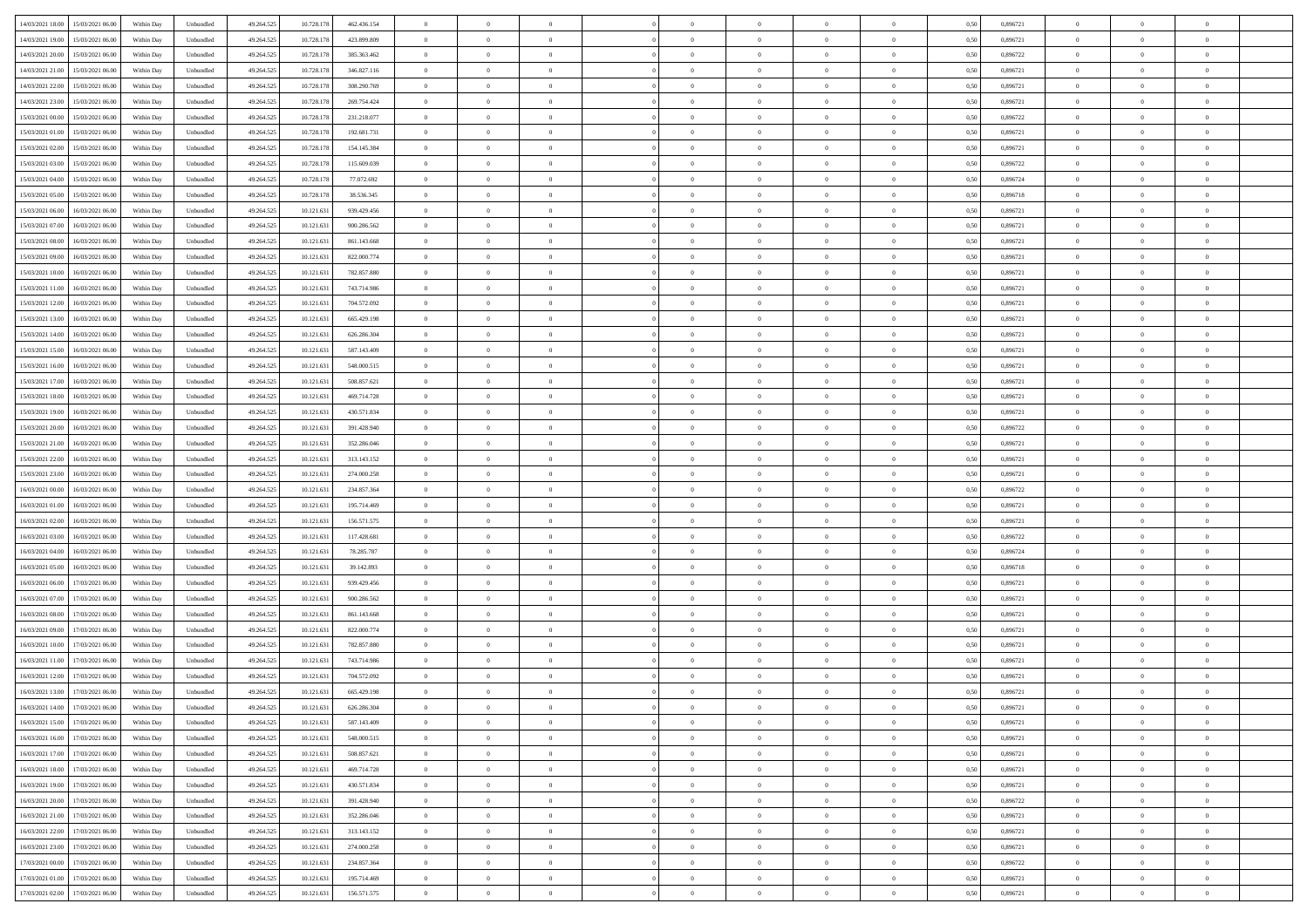| 14/03/2021 18:00 15/03/2021 06:00            | Within Day | Unbundled                   | 49.264.525 | 10.728.178 | 462.436.154 | $\overline{0}$ | $\theta$       |                | $\overline{0}$ | $\theta$       |                | $\theta$       | 0,50 | 0,896721 | $\theta$       | $\theta$       | $\overline{0}$ |  |
|----------------------------------------------|------------|-----------------------------|------------|------------|-------------|----------------|----------------|----------------|----------------|----------------|----------------|----------------|------|----------|----------------|----------------|----------------|--|
| 14/03/2021 19:00<br>15/03/2021 06:00         | Within Day | Unbundled                   | 49.264.52  | 10.728.178 | 423.899.809 | $\bf{0}$       | $\overline{0}$ | $\bf{0}$       | $\overline{0}$ | $\bf{0}$       | $\overline{0}$ | $\bf{0}$       | 0,50 | 0,896721 | $\,$ 0 $\,$    | $\bf{0}$       | $\overline{0}$ |  |
| 14/03/2021 20:00<br>15/03/2021 06:00         | Within Day | Unbundled                   | 49.264.525 | 10.728.178 | 385.363.462 | $\overline{0}$ | $\bf{0}$       | $\overline{0}$ | $\bf{0}$       | $\bf{0}$       | $\overline{0}$ | $\bf{0}$       | 0.50 | 0,896722 | $\bf{0}$       | $\overline{0}$ | $\overline{0}$ |  |
| 14/03/2021 21:00<br>15/03/2021 06:00         | Within Day | Unbundled                   | 49.264.52  | 10.728.178 | 346.827.116 | $\overline{0}$ | $\overline{0}$ | $\overline{0}$ | $\theta$       | $\theta$       | $\overline{0}$ | $\bf{0}$       | 0,50 | 0,896721 | $\theta$       | $\theta$       | $\overline{0}$ |  |
| 14/03/2021 22:00<br>15/03/2021 06:00         | Within Day | Unbundled                   | 49.264.52  | 10.728.178 | 308.290.769 | $\bf{0}$       | $\theta$       | $\bf{0}$       | $\overline{0}$ | $\theta$       | $\overline{0}$ | $\bf{0}$       | 0,50 | 0,896721 | $\,$ 0 $\,$    | $\bf{0}$       | $\overline{0}$ |  |
|                                              |            |                             |            |            |             |                |                |                |                |                |                |                |      |          |                |                |                |  |
| 14/03/2021 23:00<br>15/03/2021 06:00         | Within Day | Unbundled                   | 49.264.525 | 10.728.178 | 269.754.424 | $\overline{0}$ | $\overline{0}$ | $\overline{0}$ | $\bf{0}$       | $\overline{0}$ | $\theta$       | $\bf{0}$       | 0.50 | 0,896721 | $\,$ 0 $\,$    | $\theta$       | $\overline{0}$ |  |
| 15/03/2021 00:00<br>15/03/2021 06:00         | Within Day | Unbundled                   | 49.264.525 | 10.728.178 | 231.218.077 | $\overline{0}$ | $\overline{0}$ | $\overline{0}$ | $\overline{0}$ | $\theta$       | $\overline{0}$ | $\bf{0}$       | 0,50 | 0,896722 | $\theta$       | $\theta$       | $\overline{0}$ |  |
| 15/03/2021 01:00<br>15/03/2021 06:00         | Within Day | Unbundled                   | 49.264.52  | 10.728.178 | 192.681.731 | $\bf{0}$       | $\overline{0}$ | $\overline{0}$ | $\overline{0}$ | $\bf{0}$       | $\overline{0}$ | $\bf{0}$       | 0,50 | 0,896721 | $\,$ 0 $\,$    | $\bf{0}$       | $\overline{0}$ |  |
| 15/03/2021 02:00<br>15/03/2021 06:00         | Within Day | Unbundled                   | 49.264.525 | 10.728.178 | 154.145.384 | $\overline{0}$ | $\bf{0}$       | $\overline{0}$ | $\bf{0}$       | $\overline{0}$ | $\overline{0}$ | $\bf{0}$       | 0.50 | 0.896721 | $\bf{0}$       | $\overline{0}$ | $\overline{0}$ |  |
| 15/03/2021 03:00<br>15/03/2021 06:00         | Within Day | Unbundled                   | 49.264.525 | 10.728.178 | 115.609.039 | $\overline{0}$ | $\bf{0}$       | $\overline{0}$ | $\overline{0}$ | $\overline{0}$ | $\overline{0}$ | $\bf{0}$       | 0,50 | 0,896722 | $\,$ 0 $\,$    | $\bf{0}$       | $\overline{0}$ |  |
| 15/03/2021 04:00<br>15/03/2021 06:00         | Within Day | Unbundled                   | 49.264.52  | 10.728.178 | 77.072.692  | $\bf{0}$       | $\overline{0}$ | $\bf{0}$       | $\bf{0}$       | $\bf{0}$       | $\overline{0}$ | $\bf{0}$       | 0,50 | 0,896724 | $\,$ 0 $\,$    | $\bf{0}$       | $\overline{0}$ |  |
| 15/03/2021 05:00<br>15/03/2021 06:00         | Within Day | Unbundled                   | 49.264.525 | 10.728.178 | 38.536.345  | $\overline{0}$ | $\bf{0}$       | $\overline{0}$ | $\bf{0}$       | $\bf{0}$       | $\overline{0}$ | $\bf{0}$       | 0.50 | 0.896718 | $\bf{0}$       | $\overline{0}$ | $\bf{0}$       |  |
|                                              |            |                             |            |            |             | $\overline{0}$ | $\overline{0}$ | $\overline{0}$ | $\overline{0}$ | $\theta$       | $\overline{0}$ | $\overline{0}$ |      |          | $\,$ 0 $\,$    | $\theta$       | $\overline{0}$ |  |
| 15/03/2021 06:00<br>16/03/2021 06:00         | Within Day | Unbundled                   | 49.264.52  | 10.121.631 | 939.429.456 |                |                |                |                |                |                |                | 0,50 | 0,896721 |                |                |                |  |
| 15/03/2021 07:00<br>16/03/2021 06:00         | Within Day | Unbundled                   | 49.264.52  | 10.121.63  | 900.286.562 | $\bf{0}$       | $\theta$       | $\bf{0}$       | $\overline{0}$ | $\theta$       | $\overline{0}$ | $\bf{0}$       | 0,50 | 0,896721 | $\bf{0}$       | $\bf{0}$       | $\overline{0}$ |  |
| 15/03/2021 08:00<br>16/03/2021 06:00         | Within Day | Unbundled                   | 49.264.525 | 10.121.63  | 861.143.668 | $\overline{0}$ | $\overline{0}$ | $\overline{0}$ | $\bf{0}$       | $\bf{0}$       | $\Omega$       | $\bf{0}$       | 0.50 | 0,896721 | $\bf{0}$       | $\theta$       | $\overline{0}$ |  |
| 15/03/2021 09:00<br>16/03/2021 06:00         | Within Day | Unbundled                   | 49.264.525 | 10.121.631 | 822.000.774 | $\overline{0}$ | $\overline{0}$ | $\overline{0}$ | $\overline{0}$ | $\overline{0}$ | $\overline{0}$ | $\bf{0}$       | 0,50 | 0,896721 | $\theta$       | $\theta$       | $\overline{0}$ |  |
| 15/03/2021 10:00<br>16/03/2021 06:00         | Within Day | Unbundled                   | 49.264.52  | 10.121.63  | 782.857.880 | $\bf{0}$       | $\overline{0}$ | $\overline{0}$ | $\overline{0}$ | $\bf{0}$       | $\overline{0}$ | $\bf{0}$       | 0,50 | 0,896721 | $\,$ 0 $\,$    | $\bf{0}$       | $\overline{0}$ |  |
| 15/03/2021 11:00<br>16/03/2021 06:00         | Within Day | Unbundled                   | 49.264.525 | 10.121.63  | 743.714.986 | $\overline{0}$ | $\bf{0}$       | $\overline{0}$ | $\bf{0}$       | $\overline{0}$ | $\overline{0}$ | $\bf{0}$       | 0.50 | 0.896721 | $\bf{0}$       | $\overline{0}$ | $\overline{0}$ |  |
| 15/03/2021 12:00<br>16/03/2021 06:00         | Within Day | Unbundled                   | 49.264.525 | 10.121.631 | 704.572.092 | $\overline{0}$ | $\overline{0}$ | $\overline{0}$ | $\overline{0}$ | $\overline{0}$ | $\overline{0}$ | $\bf{0}$       | 0,50 | 0,896721 | $\,$ 0 $\,$    | $\bf{0}$       | $\overline{0}$ |  |
| 15/03/2021 13:00<br>16/03/2021 06:00         | Within Day | Unbundled                   | 49.264.52  | 10.121.63  | 665.429.198 | $\bf{0}$       | $\overline{0}$ | $\bf{0}$       | $\bf{0}$       | $\overline{0}$ | $\overline{0}$ | $\bf{0}$       | 0,50 | 0,896721 | $\,$ 0 $\,$    | $\bf{0}$       | $\overline{0}$ |  |
|                                              |            |                             |            |            |             |                |                |                |                |                |                |                |      |          |                |                |                |  |
| 15/03/2021 14:00<br>16/03/2021 06:00         | Within Day | Unbundled                   | 49.264.525 | 10.121.631 | 626.286.304 | $\overline{0}$ | $\bf{0}$       | $\overline{0}$ | $\bf{0}$       | $\bf{0}$       | $\overline{0}$ | $\bf{0}$       | 0.50 | 0.896721 | $\bf{0}$       | $\overline{0}$ | $\overline{0}$ |  |
| 15/03/2021 15:00<br>16/03/2021 06:00         | Within Day | Unbundled                   | 49.264.52  | 10.121.631 | 587.143.409 | $\overline{0}$ | $\overline{0}$ | $\overline{0}$ | $\theta$       | $\theta$       | $\overline{0}$ | $\bf{0}$       | 0,50 | 0,896721 | $\theta$       | $\theta$       | $\overline{0}$ |  |
| 15/03/2021 16:00<br>16/03/2021 06:00         | Within Day | Unbundled                   | 49.264.52  | 10.121.63  | 548.000.515 | $\bf{0}$       | $\overline{0}$ | $\bf{0}$       | $\bf{0}$       | $\bf{0}$       | $\overline{0}$ | $\bf{0}$       | 0,50 | 0,896721 | $\,$ 0 $\,$    | $\bf{0}$       | $\overline{0}$ |  |
| 15/03/2021 17:00<br>16/03/2021 06:00         | Within Day | Unbundled                   | 49.264.525 | 10.121.63  | 508.857.621 | $\overline{0}$ | $\overline{0}$ | $\overline{0}$ | $\overline{0}$ | $\overline{0}$ | $\Omega$       | $\bf{0}$       | 0.50 | 0,896721 | $\,$ 0 $\,$    | $\theta$       | $\overline{0}$ |  |
| 15/03/2021 18:00<br>16/03/2021 06:00         | Within Day | Unbundled                   | 49.264.525 | 10.121.631 | 469.714.728 | $\overline{0}$ | $\overline{0}$ | $\overline{0}$ | $\overline{0}$ | $\theta$       | $\overline{0}$ | $\bf{0}$       | 0,50 | 0,896721 | $\theta$       | $\theta$       | $\overline{0}$ |  |
| 15/03/2021 19:00<br>16/03/2021 06:00         | Within Day | Unbundled                   | 49.264.52  | 10.121.63  | 430.571.834 | $\bf{0}$       | $\theta$       | $\bf{0}$       | $\overline{0}$ | $\theta$       | $\overline{0}$ | $\bf{0}$       | 0,50 | 0,896721 | $\,$ 0 $\,$    | $\bf{0}$       | $\overline{0}$ |  |
| 15/03/2021 20:00<br>16/03/2021 06:00         | Within Day | Unbundled                   | 49.264.525 | 10.121.63  | 391.428.940 | $\overline{0}$ | $\bf{0}$       | $\overline{0}$ | $\bf{0}$       | $\overline{0}$ | $\overline{0}$ | $\bf{0}$       | 0.50 | 0.896722 | $\bf{0}$       | $\overline{0}$ | $\overline{0}$ |  |
| 15/03/2021 21:00<br>16/03/2021 06:00         | Within Day | Unbundled                   | 49.264.525 | 10.121.631 | 352.286.046 | $\overline{0}$ | $\overline{0}$ | $\overline{0}$ | $\theta$       | $\overline{0}$ | $\overline{0}$ | $\bf{0}$       | 0,50 | 0,896721 | $\theta$       | $\theta$       | $\overline{0}$ |  |
| 16/03/2021 06:00                             | Within Day | Unbundled                   | 49.264.52  | 10.121.63  | 313.143.152 | $\bf{0}$       | $\bf{0}$       | $\bf{0}$       | $\bf{0}$       | $\overline{0}$ | $\overline{0}$ | $\bf{0}$       | 0,50 | 0,896721 | $\,$ 0 $\,$    | $\bf{0}$       | $\overline{0}$ |  |
| 15/03/2021 22:00                             |            |                             |            |            |             |                |                |                |                |                |                |                |      |          |                |                |                |  |
| 15/03/2021 23:00<br>16/03/2021 06:00         | Within Day | Unbundled                   | 49.264.52  | 10.121.631 | 274,000.258 | $\overline{0}$ | $\bf{0}$       | $\overline{0}$ | $\bf{0}$       | $\bf{0}$       | $\overline{0}$ | $\bf{0}$       | 0.50 | 0.896721 | $\bf{0}$       | $\overline{0}$ | $\overline{0}$ |  |
| 16/03/2021 00:00<br>16/03/2021 06:00         | Within Day | Unbundled                   | 49.264.525 | 10.121.63  | 234.857.364 | $\overline{0}$ | $\overline{0}$ | $\overline{0}$ | $\overline{0}$ | $\overline{0}$ | $\overline{0}$ | $\bf{0}$       | 0.5( | 0,896722 | $\theta$       | $\theta$       | $\overline{0}$ |  |
| 16/03/2021 01:00<br>16/03/2021 06:00         | Within Day | Unbundled                   | 49.264.52  | 10.121.63  | 195.714.469 | $\bf{0}$       | $\overline{0}$ | $\bf{0}$       | $\bf{0}$       | $\overline{0}$ | $\overline{0}$ | $\bf{0}$       | 0,50 | 0,896721 | $\,$ 0 $\,$    | $\bf{0}$       | $\overline{0}$ |  |
| 16/03/2021 02:00<br>16/03/2021 06:00         | Within Day | Unbundled                   | 49.264.525 | 10.121.63  | 156.571.575 | $\overline{0}$ | $\overline{0}$ | $\overline{0}$ | $\bf{0}$       | $\bf{0}$       | $\Omega$       | $\bf{0}$       | 0.50 | 0,896721 | $\,$ 0 $\,$    | $\theta$       | $\overline{0}$ |  |
| 16/03/2021 03:00<br>16/03/2021 06:00         | Within Dav | Unbundled                   | 49.264.525 | 10.121.631 | 117.428.681 | $\overline{0}$ | $\overline{0}$ | $\overline{0}$ | $\overline{0}$ | $\theta$       | $\overline{0}$ | $\overline{0}$ | 0.5( | 0,896722 | $\theta$       | $\theta$       | $\overline{0}$ |  |
| 16/03/2021 04:00<br>16/03/2021 06:00         | Within Day | Unbundled                   | 49.264.52  | 10.121.63  | 78.285.787  | $\bf{0}$       | $\overline{0}$ | $\bf{0}$       | $\overline{0}$ | $\bf{0}$       | $\overline{0}$ | $\bf{0}$       | 0,50 | 0,896724 | $\,$ 0 $\,$    | $\bf{0}$       | $\overline{0}$ |  |
| 16/03/2021 05:00<br>16/03/2021 06:00         | Within Day | Unbundled                   | 49.264.525 | 10.121.63  | 39.142.893  | $\overline{0}$ | $\bf{0}$       | $\overline{0}$ | $\bf{0}$       | $\overline{0}$ | $\overline{0}$ | $\bf{0}$       | 0.50 | 0.896718 | $\bf{0}$       | $\overline{0}$ | $\overline{0}$ |  |
| 16/03/2021 06:00<br>17/03/2021 06:00         | Within Dav | Unbundled                   | 49.264.52  | 10.121.63  | 939.429.456 | $\overline{0}$ | $\overline{0}$ | $\overline{0}$ | $\overline{0}$ | $\overline{0}$ | $\overline{0}$ | $\overline{0}$ | 0.50 | 0,896721 | $\theta$       | $\theta$       | $\overline{0}$ |  |
|                                              |            |                             |            |            |             |                |                |                |                |                |                |                |      |          |                |                |                |  |
| 16/03/2021 07:00<br>17/03/2021 06:00         | Within Day | Unbundled                   | 49.264.52  | 10.121.63  | 900.286.562 | $\bf{0}$       | $\bf{0}$       | $\bf{0}$       | $\bf{0}$       | $\overline{0}$ | $\overline{0}$ | $\bf{0}$       | 0,50 | 0,896721 | $\,$ 0 $\,$    | $\bf{0}$       | $\overline{0}$ |  |
| 16/03/2021 08:00<br>17/03/2021 06:00         | Within Day | Unbundled                   | 49.264.525 | 10.121.631 | 861.143.668 | $\overline{0}$ | $\bf{0}$       | $\overline{0}$ | $\bf{0}$       | $\bf{0}$       | $\overline{0}$ | $\bf{0}$       | 0.50 | 0.896721 | $\bf{0}$       | $\overline{0}$ | $\overline{0}$ |  |
| 16/03/2021 09:00<br>17/03/2021 06:00         | Within Day | Unbundled                   | 49.264.525 | 10.121.631 | 822.000.774 | $\overline{0}$ | $\overline{0}$ | $\overline{0}$ | $\overline{0}$ | $\theta$       | $\overline{0}$ | $\bf{0}$       | 0.50 | 0,896721 | $\theta$       | $\theta$       | $\overline{0}$ |  |
| 16/03/2021 10:00<br>17/03/2021 06:00         | Within Day | Unbundled                   | 49.264.525 | 10.121.63  | 782.857.880 | $\bf{0}$       | $\overline{0}$ | $\bf{0}$       | $\bf{0}$       | $\overline{0}$ | $\overline{0}$ | $\bf{0}$       | 0,50 | 0,896721 | $\,$ 0 $\,$    | $\bf{0}$       | $\overline{0}$ |  |
| 16/03/2021 11:00<br>17/03/2021 06:00         | Within Day | Unbundled                   | 49.264.525 | 10.121.63  | 743.714.986 | $\overline{0}$ | $\overline{0}$ | $\Omega$       | $\bf{0}$       | $\bf{0}$       | $\Omega$       | $\bf{0}$       | 0.50 | 0,896721 | $\bf{0}$       | $\theta$       | $\overline{0}$ |  |
| 16/03/2021 12:00<br>17/03/2021 06:00         | Within Dav | Unbundled                   | 49.264.52  | 10.121.63  | 704.572.092 | $\overline{0}$ | $\overline{0}$ | $\Omega$       | $\overline{0}$ | $\theta$       | $\Omega$       | $\overline{0}$ | 0.5( | 0,896721 | $\theta$       | $\theta$       | $\overline{0}$ |  |
| 16/03/2021 13:00<br>17/03/2021 06:00         | Within Day | Unbundled                   | 49.264.525 | 10.121.63  | 665.429.198 | $\bf{0}$       | $\bf{0}$       | $\bf{0}$       | $\bf{0}$       | $\bf{0}$       | $\overline{0}$ | $\bf{0}$       | 0,50 | 0,896721 | $\,$ 0 $\,$    | $\bf{0}$       | $\overline{0}$ |  |
| $16/03/2021\ 14.00 \qquad 17/03/2021\ 06.00$ | Within Day | $\ensuremath{\mathsf{Unb}}$ | 49.264.525 | 10.121.631 | 626.286.304 | $\bf{0}$       | $\theta$       |                | $\Omega$       |                |                |                | 0,50 | 0,896721 | $\theta$       | $\overline{0}$ |                |  |
| 16/03/2021 15:00 17/03/2021 06:00            | Within Day | Unbundled                   | 49.264.525 | 10.121.631 | 587.143.409 | $\overline{0}$ | $\theta$       | $\Omega$       | $\theta$       | $\overline{0}$ | $\overline{0}$ | $\bf{0}$       | 0,50 | 0,896721 | $\theta$       | $\theta$       | $\overline{0}$ |  |
|                                              |            |                             |            |            |             |                |                |                |                |                |                |                |      |          |                |                |                |  |
| 16/03/2021 16:00<br>17/03/2021 06:00         | Within Day | Unbundled                   | 49.264.525 | 10.121.631 | 548.000.515 | $\overline{0}$ | $\bf{0}$       | $\overline{0}$ | $\overline{0}$ | $\bf{0}$       | $\overline{0}$ | $\bf{0}$       | 0,50 | 0,896721 | $\bf{0}$       | $\overline{0}$ | $\bf{0}$       |  |
| 16/03/2021 17:00 17/03/2021 06:00            | Within Day | Unbundled                   | 49.264.525 | 10.121.631 | 508.857.621 | $\overline{0}$ | $\bf{0}$       | $\overline{0}$ | $\overline{0}$ | $\overline{0}$ | $\overline{0}$ | $\bf{0}$       | 0.50 | 0.896721 | $\overline{0}$ | $\bf{0}$       | $\,$ 0 $\,$    |  |
| 16/03/2021 18:00 17/03/2021 06:00            | Within Day | Unbundled                   | 49.264.525 | 10.121.631 | 469.714.728 | $\overline{0}$ | $\overline{0}$ | $\overline{0}$ | $\overline{0}$ | $\overline{0}$ | $\overline{0}$ | $\bf{0}$       | 0,50 | 0,896721 | $\theta$       | $\theta$       | $\overline{0}$ |  |
| 16/03/2021 19:00<br>17/03/2021 06:00         | Within Day | Unbundled                   | 49.264.525 | 10.121.631 | 430.571.834 | $\overline{0}$ | $\bf{0}$       | $\overline{0}$ | $\bf{0}$       | $\overline{0}$ | $\bf{0}$       | $\bf{0}$       | 0,50 | 0,896721 | $\bf{0}$       | $\bf{0}$       | $\overline{0}$ |  |
| 16/03/2021 20:00<br>17/03/2021 06:00         | Within Day | Unbundled                   | 49.264.525 | 10.121.631 | 391.428.940 | $\overline{0}$ | $\bf{0}$       | $\overline{0}$ | $\overline{0}$ | $\overline{0}$ | $\overline{0}$ | $\bf{0}$       | 0.50 | 0.896722 | $\,$ 0 $\,$    | $\theta$       | $\overline{0}$ |  |
| 16/03/2021 21:00<br>17/03/2021 06:00         | Within Dav | Unbundled                   | 49.264.525 | 10.121.631 | 352.286.046 | $\overline{0}$ | $\overline{0}$ | $\overline{0}$ | $\overline{0}$ | $\overline{0}$ | $\overline{0}$ | $\bf{0}$       | 0.50 | 0,896721 | $\overline{0}$ | $\theta$       | $\overline{0}$ |  |
| 16/03/2021 22:00<br>17/03/2021 06:00         | Within Day | Unbundled                   | 49.264.525 | 10.121.631 | 313.143.152 | $\overline{0}$ | $\overline{0}$ | $\overline{0}$ | $\overline{0}$ | $\bf{0}$       | $\overline{0}$ | $\bf{0}$       | 0,50 | 0,896721 | $\bf{0}$       | $\overline{0}$ | $\overline{0}$ |  |
|                                              |            |                             |            |            |             |                |                |                |                |                |                |                |      |          |                |                |                |  |
| 16/03/2021 23:00<br>17/03/2021 06:00         | Within Day | Unbundled                   | 49.264.525 | 10.121.631 | 274.000.258 | $\overline{0}$ | $\overline{0}$ | $\overline{0}$ | $\overline{0}$ | $\bf{0}$       | $\overline{0}$ | $\bf{0}$       | 0.50 | 0.896721 | $\overline{0}$ | $\,$ 0 $\,$    | $\,$ 0         |  |
| 17/03/2021 00:00<br>17/03/2021 06:00         | Within Dav | Unbundled                   | 49.264.525 | 10.121.631 | 234.857.364 | $\overline{0}$ | $\overline{0}$ | $\overline{0}$ | $\overline{0}$ | $\overline{0}$ | $\overline{0}$ | $\bf{0}$       | 0,50 | 0,896722 | $\overline{0}$ | $\theta$       | $\overline{0}$ |  |
| 17/03/2021 01:00<br>17/03/2021 06:00         | Within Day | Unbundled                   | 49.264.525 | 10.121.63  | 195.714.469 | $\overline{0}$ | $\bf{0}$       | $\overline{0}$ | $\bf{0}$       | $\overline{0}$ | $\bf{0}$       | $\bf{0}$       | 0,50 | 0,896721 | $\bf{0}$       | $\bf{0}$       | $\bf{0}$       |  |
| 17/03/2021 02:00 17/03/2021 06:00            | Within Day | Unbundled                   | 49.264.525 | 10.121.631 | 156.571.575 | $\overline{0}$ | $\bf{0}$       | $\overline{0}$ | $\overline{0}$ | $\,$ 0 $\,$    | $\overline{0}$ | $\bf{0}$       | 0,50 | 0,896721 | $\overline{0}$ | $\,$ 0 $\,$    | $\,$ 0 $\,$    |  |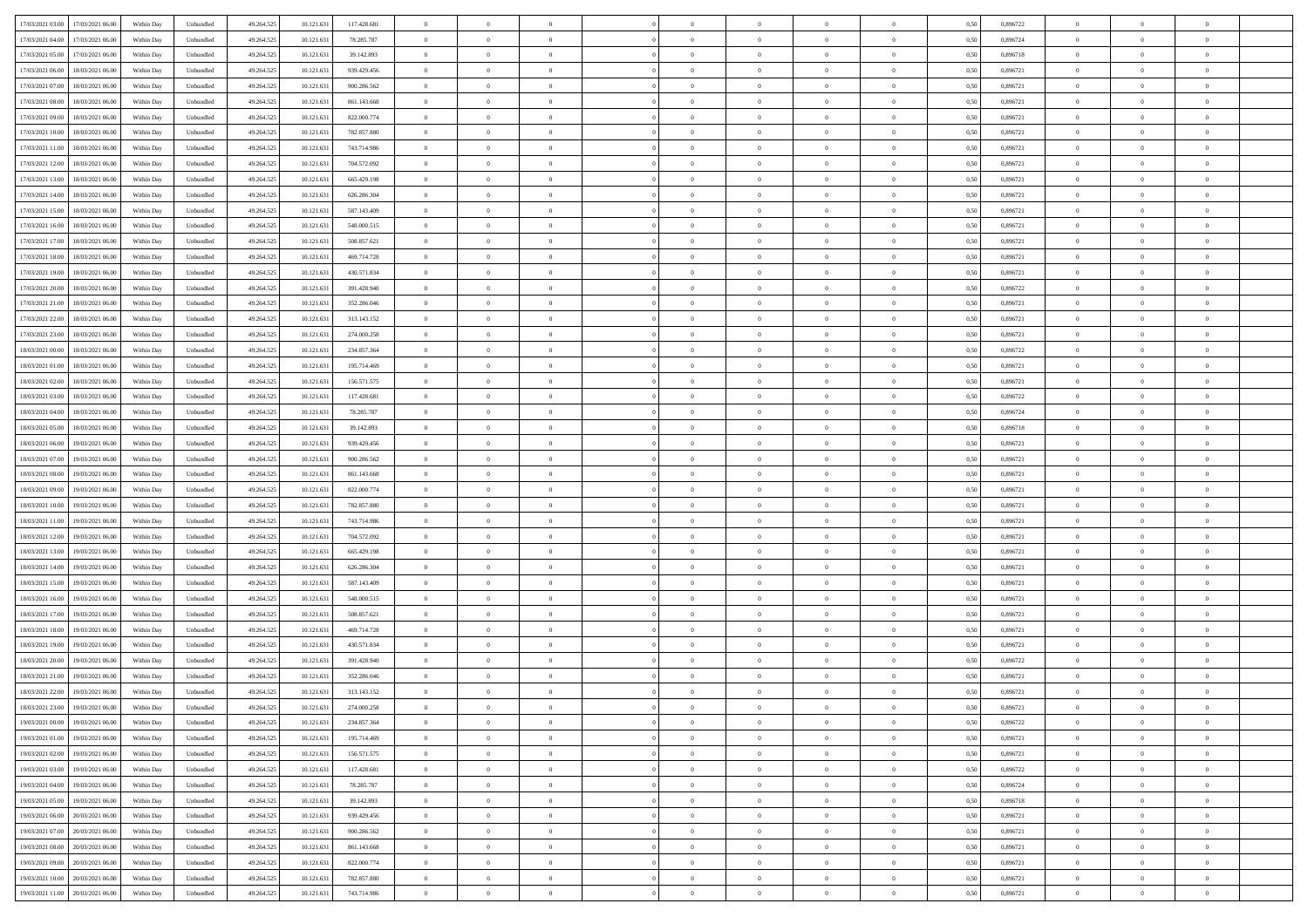|                                              |            |                             |            |            |             | $\overline{0}$ | $\theta$       |                | $\overline{0}$ | $\theta$       |                | $\theta$       |      |          | $\theta$       | $\theta$       | $\overline{0}$ |  |
|----------------------------------------------|------------|-----------------------------|------------|------------|-------------|----------------|----------------|----------------|----------------|----------------|----------------|----------------|------|----------|----------------|----------------|----------------|--|
| 17/03/2021 03:00 17/03/2021 06:00            | Within Day | Unbundled                   | 49.264.525 | 10.121.631 | 117.428.681 |                |                |                |                |                |                |                | 0,50 | 0,896722 |                |                |                |  |
| 17/03/2021 04:00<br>17/03/2021 06:00         | Within Day | Unbundled                   | 49.264.52  | 10.121.63  | 78.285.787  | $\bf{0}$       | $\overline{0}$ | $\overline{0}$ | $\overline{0}$ | $\bf{0}$       | $\overline{0}$ | $\bf{0}$       | 0,50 | 0,896724 | $\,$ 0 $\,$    | $\bf{0}$       | $\overline{0}$ |  |
| 17/03/2021 05:00<br>17/03/2021 06:00         | Within Day | Unbundled                   | 49.264.525 | 10.121.631 | 39.142.893  | $\overline{0}$ | $\bf{0}$       | $\overline{0}$ | $\bf{0}$       | $\bf{0}$       | $\overline{0}$ | $\bf{0}$       | 0.50 | 0.896718 | $\bf{0}$       | $\overline{0}$ | $\overline{0}$ |  |
| 17/03/2021 06:00<br>18/03/2021 06:00         | Within Day | Unbundled                   | 49.264.52  | 10.121.631 | 939.429.456 | $\overline{0}$ | $\overline{0}$ | $\overline{0}$ | $\theta$       | $\theta$       | $\overline{0}$ | $\bf{0}$       | 0,50 | 0,896721 | $\theta$       | $\theta$       | $\overline{0}$ |  |
| 17/03/2021 07:00<br>18/03/2021 06:00         | Within Day | Unbundled                   | 49.264.52  | 10.121.63  | 900.286.562 | $\bf{0}$       | $\theta$       | $\bf{0}$       | $\overline{0}$ | $\theta$       | $\overline{0}$ | $\bf{0}$       | 0,50 | 0,896721 | $\,$ 0 $\,$    | $\bf{0}$       | $\overline{0}$ |  |
|                                              |            |                             |            |            |             |                |                |                |                |                |                |                |      |          |                |                |                |  |
| 17/03/2021 08:00<br>18/03/2021 06:00         | Within Day | Unbundled                   | 49.264.525 | 10.121.63  | 861.143.668 | $\overline{0}$ | $\overline{0}$ | $\overline{0}$ | $\bf{0}$       | $\overline{0}$ | $\Omega$       | $\bf{0}$       | 0.50 | 0,896721 | $\,$ 0 $\,$    | $\theta$       | $\overline{0}$ |  |
| 17/03/2021 09:00<br>18/03/2021 06:00         | Within Day | Unbundled                   | 49.264.52  | 10.121.631 | 822.000.774 | $\overline{0}$ | $\overline{0}$ | $\overline{0}$ | $\overline{0}$ | $\theta$       | $\overline{0}$ | $\bf{0}$       | 0,50 | 0,896721 | $\,$ 0 $\,$    | $\theta$       | $\overline{0}$ |  |
| 17/03/2021 10:00<br>18/03/2021 06:00         | Within Day | Unbundled                   | 49.264.52  | 10.121.63  | 782.857.880 | $\bf{0}$       | $\overline{0}$ | $\overline{0}$ | $\overline{0}$ | $\theta$       | $\overline{0}$ | $\bf{0}$       | 0,50 | 0,896721 | $\,$ 0 $\,$    | $\bf{0}$       | $\overline{0}$ |  |
| 17/03/2021 11:00<br>18/03/2021 06:00         | Within Day | Unbundled                   | 49.264.525 | 10.121.63  | 743.714.986 | $\overline{0}$ | $\bf{0}$       | $\overline{0}$ | $\bf{0}$       | $\overline{0}$ | $\overline{0}$ | $\bf{0}$       | 0.50 | 0.896721 | $\bf{0}$       | $\theta$       | $\overline{0}$ |  |
| 17/03/2021 12:00<br>18/03/2021 06:00         | Within Day | Unbundled                   | 49.264.525 | 10.121.631 | 704.572.092 | $\overline{0}$ | $\bf{0}$       | $\overline{0}$ | $\overline{0}$ | $\overline{0}$ | $\overline{0}$ | $\bf{0}$       | 0,50 | 0,896721 | $\,$ 0 $\,$    | $\bf{0}$       | $\overline{0}$ |  |
|                                              |            |                             |            |            |             |                |                |                |                |                |                |                |      |          |                |                |                |  |
| 17/03/2021 13:00<br>18/03/2021 06:00         | Within Day | Unbundled                   | 49.264.52  | 10.121.63  | 665.429.198 | $\bf{0}$       | $\overline{0}$ | $\bf{0}$       | $\overline{0}$ | $\bf{0}$       | $\overline{0}$ | $\bf{0}$       | 0,50 | 0,896721 | $\,$ 0 $\,$    | $\bf{0}$       | $\overline{0}$ |  |
| 17/03/2021 14:00<br>18/03/2021 06:00         | Within Day | Unbundled                   | 49.264.525 | 10.121.631 | 626.286.304 | $\overline{0}$ | $\bf{0}$       | $\overline{0}$ | $\bf{0}$       | $\bf{0}$       | $\overline{0}$ | $\bf{0}$       | 0.50 | 0.896721 | $\bf{0}$       | $\overline{0}$ | $\bf{0}$       |  |
| 17/03/2021 15:00<br>18/03/2021 06:00         | Within Day | Unbundled                   | 49.264.52  | 10.121.631 | 587.143.409 | $\overline{0}$ | $\overline{0}$ | $\overline{0}$ | $\overline{0}$ | $\theta$       | $\overline{0}$ | $\overline{0}$ | 0,50 | 0,896721 | $\,$ 0 $\,$    | $\theta$       | $\overline{0}$ |  |
| 17/03/2021 16:00<br>18/03/2021 06:00         | Within Day | Unbundled                   | 49.264.52  | 10.121.63  | 548.000.515 | $\bf{0}$       | $\theta$       | $\bf{0}$       | $\overline{0}$ | $\theta$       | $\overline{0}$ | $\bf{0}$       | 0,50 | 0,896721 | $\bf{0}$       | $\bf{0}$       | $\overline{0}$ |  |
| 17/03/2021 17:00<br>18/03/2021 06:00         | Within Day | Unbundled                   | 49.264.525 | 10.121.63  | 508.857.621 | $\overline{0}$ | $\overline{0}$ | $\overline{0}$ | $\bf{0}$       | $\theta$       | $\theta$       | $\bf{0}$       | 0.50 | 0,896721 | $\bf{0}$       | $\theta$       | $\overline{0}$ |  |
| 17/03/2021 18:00<br>18/03/2021 06:00         | Within Day | Unbundled                   | 49.264.525 | 10.121.631 | 469.714.728 | $\overline{0}$ | $\overline{0}$ | $\overline{0}$ | $\overline{0}$ | $\theta$       | $\overline{0}$ | $\bf{0}$       | 0,50 | 0,896721 | $\theta$       | $\theta$       | $\overline{0}$ |  |
|                                              |            |                             |            |            |             |                |                |                |                |                |                |                |      |          |                |                |                |  |
| 17/03/2021 19:00<br>18/03/2021 06:00         | Within Day | Unbundled                   | 49.264.52  | 10.121.63  | 430.571.834 | $\bf{0}$       | $\overline{0}$ | $\overline{0}$ | $\overline{0}$ | $\theta$       | $\overline{0}$ | $\bf{0}$       | 0,50 | 0,896721 | $\,$ 0 $\,$    | $\bf{0}$       | $\overline{0}$ |  |
| 17/03/2021 20:00<br>18/03/2021 06:00         | Within Day | Unbundled                   | 49.264.525 | 10.121.63  | 391.428.940 | $\overline{0}$ | $\bf{0}$       | $\overline{0}$ | $\bf{0}$       | $\overline{0}$ | $\overline{0}$ | $\bf{0}$       | 0.50 | 0.896722 | $\bf{0}$       | $\overline{0}$ | $\overline{0}$ |  |
| 17/03/2021 21:00<br>18/03/2021 06:00         | Within Day | Unbundled                   | 49.264.525 | 10.121.631 | 352.286.046 | $\overline{0}$ | $\overline{0}$ | $\overline{0}$ | $\overline{0}$ | $\overline{0}$ | $\overline{0}$ | $\bf{0}$       | 0,50 | 0,896721 | $\,$ 0 $\,$    | $\bf{0}$       | $\overline{0}$ |  |
| 17/03/2021 22:00<br>18/03/2021 06:00         | Within Day | Unbundled                   | 49.264.52  | 10.121.63  | 313.143.152 | $\bf{0}$       | $\overline{0}$ | $\bf{0}$       | $\bf{0}$       | $\overline{0}$ | $\overline{0}$ | $\bf{0}$       | 0,50 | 0,896721 | $\,$ 0 $\,$    | $\bf{0}$       | $\overline{0}$ |  |
| 17/03/2021 23:00<br>18/03/2021 06:00         | Within Day | Unbundled                   | 49.264.525 | 10.121.631 | 274,000.258 | $\overline{0}$ | $\bf{0}$       | $\overline{0}$ | $\bf{0}$       | $\bf{0}$       | $\overline{0}$ | $\bf{0}$       | 0.50 | 0.896721 | $\bf{0}$       | $\overline{0}$ | $\overline{0}$ |  |
| 18/03/2021 00:00<br>18/03/2021 06:00         | Within Day | Unbundled                   | 49.264.52  | 10.121.631 | 234.857.364 | $\overline{0}$ | $\overline{0}$ | $\overline{0}$ | $\theta$       | $\theta$       | $\overline{0}$ | $\bf{0}$       | 0,50 | 0,896722 | $\theta$       | $\theta$       | $\overline{0}$ |  |
|                                              |            |                             |            |            |             |                |                |                |                |                |                |                |      |          |                |                |                |  |
| 18/03/2021 01:00<br>18/03/2021 06:00         | Within Day | Unbundled                   | 49.264.52  | 10.121.63  | 195.714.469 | $\bf{0}$       | $\overline{0}$ | $\bf{0}$       | $\bf{0}$       | $\bf{0}$       | $\overline{0}$ | $\bf{0}$       | 0,50 | 0,896721 | $\,$ 0 $\,$    | $\bf{0}$       | $\overline{0}$ |  |
| 18/03/2021 02:00<br>18/03/2021 06:00         | Within Day | Unbundled                   | 49.264.525 | 10.121.63  | 156.571.575 | $\overline{0}$ | $\overline{0}$ | $\overline{0}$ | $\overline{0}$ | $\overline{0}$ | $\Omega$       | $\bf{0}$       | 0.50 | 0,896721 | $\,$ 0 $\,$    | $\theta$       | $\overline{0}$ |  |
| 18/03/2021 03:00<br>18/03/2021 06:00         | Within Day | Unbundled                   | 49.264.525 | 10.121.631 | 117.428.681 | $\overline{0}$ | $\overline{0}$ | $\overline{0}$ | $\overline{0}$ | $\theta$       | $\overline{0}$ | $\bf{0}$       | 0,50 | 0,896722 | $\theta$       | $\theta$       | $\overline{0}$ |  |
| 18/03/2021 04:00<br>18/03/2021 06:00         | Within Day | Unbundled                   | 49.264.52  | 10.121.63  | 78.285.787  | $\bf{0}$       | $\theta$       | $\bf{0}$       | $\overline{0}$ | $\theta$       | $\overline{0}$ | $\bf{0}$       | 0,50 | 0,896724 | $\,$ 0 $\,$    | $\bf{0}$       | $\overline{0}$ |  |
| 18/03/2021 05:00<br>18/03/2021 06:00         | Within Day | Unbundled                   | 49.264.525 | 10.121.63  | 39.142.893  | $\overline{0}$ | $\bf{0}$       | $\overline{0}$ | $\bf{0}$       | $\overline{0}$ | $\overline{0}$ | $\bf{0}$       | 0.50 | 0.896718 | $\bf{0}$       | $\overline{0}$ | $\overline{0}$ |  |
| 18/03/2021 06:00<br>19/03/2021 06:00         | Within Day | Unbundled                   | 49.264.525 | 10.121.631 | 939.429.456 | $\overline{0}$ | $\overline{0}$ | $\overline{0}$ | $\overline{0}$ | $\overline{0}$ | $\overline{0}$ | $\bf{0}$       | 0,50 | 0,896721 | $\theta$       | $\theta$       | $\overline{0}$ |  |
| 18/03/2021 07:00<br>19/03/2021 06:00         | Within Day | Unbundled                   | 49.264.52  | 10.121.63  | 900.286.562 | $\bf{0}$       | $\bf{0}$       | $\bf{0}$       | $\bf{0}$       | $\overline{0}$ | $\overline{0}$ | $\bf{0}$       | 0,50 | 0,896721 | $\,$ 0 $\,$    | $\bf{0}$       | $\overline{0}$ |  |
|                                              |            |                             |            |            |             |                |                |                |                |                |                |                |      |          |                |                |                |  |
| 18/03/2021 08:00<br>19/03/2021 06:00         | Within Day | Unbundled                   | 49.264.52  | 10.121.631 | 861.143.668 | $\overline{0}$ | $\bf{0}$       | $\overline{0}$ | $\bf{0}$       | $\bf{0}$       | $\overline{0}$ | $\bf{0}$       | 0.50 | 0.896721 | $\bf{0}$       | $\overline{0}$ | $\overline{0}$ |  |
| 18/03/2021 09:00<br>19/03/2021 06:00         | Within Day | Unbundled                   | 49.264.525 | 10.121.63  | 822.000.774 | $\overline{0}$ | $\overline{0}$ | $\overline{0}$ | $\overline{0}$ | $\overline{0}$ | $\overline{0}$ | $\bf{0}$       | 0.5( | 0,896721 | $\theta$       | $\theta$       | $\overline{0}$ |  |
| 18/03/2021 10:00<br>19/03/2021 06:00         | Within Day | Unbundled                   | 49.264.52  | 10.121.63  | 782.857.880 | $\bf{0}$       | $\overline{0}$ | $\bf{0}$       | $\bf{0}$       | $\overline{0}$ | $\overline{0}$ | $\bf{0}$       | 0,50 | 0,896721 | $\,$ 0 $\,$    | $\bf{0}$       | $\overline{0}$ |  |
| 18/03/2021 11:00<br>19/03/2021 06:00         | Within Day | Unbundled                   | 49.264.525 | 10.121.63  | 743.714.986 | $\overline{0}$ | $\overline{0}$ | $\overline{0}$ | $\bf{0}$       | $\bf{0}$       | $\Omega$       | $\bf{0}$       | 0.50 | 0,896721 | $\,$ 0 $\,$    | $\overline{0}$ | $\overline{0}$ |  |
| 18/03/2021 12:00<br>19/03/2021 06:00         | Within Dav | Unbundled                   | 49.264.525 | 10.121.631 | 704.572.092 | $\overline{0}$ | $\overline{0}$ | $\overline{0}$ | $\overline{0}$ | $\theta$       | $\overline{0}$ | $\overline{0}$ | 0.5( | 0,896721 | $\theta$       | $\theta$       | $\overline{0}$ |  |
| 18/03/2021 13:00<br>19/03/2021 06:00         | Within Day | Unbundled                   | 49.264.52  | 10.121.63  | 665.429.198 | $\bf{0}$       | $\overline{0}$ | $\bf{0}$       | $\overline{0}$ | $\bf{0}$       | $\overline{0}$ | $\bf{0}$       | 0,50 | 0,896721 | $\,$ 0 $\,$    | $\bf{0}$       | $\overline{0}$ |  |
| 18/03/2021 14:00<br>19/03/2021 06:00         |            | Unbundled                   | 49.264.52  | 10.121.63  | 626.286.304 |                | $\bf{0}$       | $\overline{0}$ |                | $\overline{0}$ | $\overline{0}$ |                | 0.50 | 0.896721 | $\bf{0}$       | $\overline{0}$ | $\overline{0}$ |  |
|                                              | Within Day |                             |            |            |             | $\overline{0}$ |                |                | $\bf{0}$       |                |                | $\bf{0}$       |      |          |                |                |                |  |
| 18/03/2021 15:00<br>19/03/2021 06:00         | Within Dav | Unbundled                   | 49.264.52  | 10.121.63  | 587.143.409 | $\overline{0}$ | $\overline{0}$ | $\overline{0}$ | $\overline{0}$ | $\overline{0}$ | $\overline{0}$ | $\overline{0}$ | 0.50 | 0,896721 | $\theta$       | $\theta$       | $\overline{0}$ |  |
| 18/03/2021 16:00<br>19/03/2021 06:00         | Within Day | Unbundled                   | 49.264.52  | 10.121.63  | 548.000.515 | $\bf{0}$       | $\bf{0}$       | $\bf{0}$       | $\bf{0}$       | $\overline{0}$ | $\overline{0}$ | $\bf{0}$       | 0,50 | 0,896721 | $\,$ 0 $\,$    | $\bf{0}$       | $\overline{0}$ |  |
| 18/03/2021 17:00<br>19/03/2021 06:00         | Within Day | Unbundled                   | 49.264.525 | 10.121.631 | 508.857.621 | $\overline{0}$ | $\bf{0}$       | $\overline{0}$ | $\bf{0}$       | $\bf{0}$       | $\overline{0}$ | $\bf{0}$       | 0.50 | 0.896721 | $\bf{0}$       | $\overline{0}$ | $\overline{0}$ |  |
| 18/03/2021 18:00<br>19/03/2021 06:00         | Within Dav | Unbundled                   | 49.264.525 | 10.121.631 | 469.714.728 | $\overline{0}$ | $\overline{0}$ | $\overline{0}$ | $\overline{0}$ | $\theta$       | $\overline{0}$ | $\bf{0}$       | 0.50 | 0,896721 | $\theta$       | $\theta$       | $\overline{0}$ |  |
| 18/03/2021 19:00<br>19/03/2021 06:00         | Within Day | Unbundled                   | 49.264.525 | 10.121.63  | 430.571.834 | $\bf{0}$       | $\overline{0}$ | $\bf{0}$       | $\bf{0}$       | $\theta$       | $\overline{0}$ | $\bf{0}$       | 0,50 | 0,896721 | $\,$ 0 $\,$    | $\bf{0}$       | $\overline{0}$ |  |
| 18/03/2021 20:00<br>19/03/2021 06:00         | Within Day | Unbundled                   | 49.264.525 | 10.121.63  | 391.428.940 | $\overline{0}$ | $\overline{0}$ | $\Omega$       | $\overline{0}$ | $\bf{0}$       | $\theta$       | $\bf{0}$       | 0.50 | 0,896722 | $\bf{0}$       | $\theta$       | $\overline{0}$ |  |
| 19/03/2021 06:00                             | Within Dav | Unbundled                   | 49.264.52  | 10.121.63  | 352.286.046 | $\overline{0}$ | $\overline{0}$ | $\Omega$       |                | $\theta$       | $\Omega$       | $\overline{0}$ | 0.5( | 0,896721 | $\theta$       | $\theta$       | $\overline{0}$ |  |
| 18/03/2021 21:00                             |            |                             |            |            |             |                |                |                | $\overline{0}$ |                |                |                |      |          |                |                |                |  |
| 18/03/2021 22:00<br>19/03/2021 06:00         | Within Day | Unbundled                   | 49.264.525 | 10.121.63  | 313.143.152 | $\bf{0}$       | $\bf{0}$       | $\bf{0}$       | $\bf{0}$       | $\bf{0}$       | $\overline{0}$ | $\bf{0}$       | 0,50 | 0,896721 | $\,$ 0 $\,$    | $\bf{0}$       | $\overline{0}$ |  |
| $18/03/2021\ 23.00 \qquad 19/03/2021\ 06.00$ | Within Day | $\ensuremath{\mathsf{Unb}}$ | 49.264.525 | 10.121.631 | 274.000.258 | $\overline{0}$ | $\Omega$       |                | $\Omega$       |                |                |                | 0,50 | 0.896721 | $\theta$       | $\overline{0}$ |                |  |
| 19/03/2021 00:00 19/03/2021 06:00            | Within Day | Unbundled                   | 49.264.525 | 10.121.631 | 234.857.364 | $\overline{0}$ | $\theta$       | $\Omega$       | $\theta$       | $\overline{0}$ | $\overline{0}$ | $\bf{0}$       | 0,50 | 0,896722 | $\theta$       | $\theta$       | $\overline{0}$ |  |
| 19/03/2021 01:00<br>19/03/2021 06:00         | Within Day | Unbundled                   | 49.264.525 | 10.121.631 | 195.714.469 | $\overline{0}$ | $\bf{0}$       | $\overline{0}$ | $\overline{0}$ | $\bf{0}$       | $\overline{0}$ | $\bf{0}$       | 0,50 | 0,896721 | $\bf{0}$       | $\overline{0}$ | $\bf{0}$       |  |
| 19/03/2021 02:00 19/03/2021 06:00            | Within Day | Unbundled                   | 49.264.525 | 10.121.631 | 156.571.575 | $\overline{0}$ | $\bf{0}$       | $\overline{0}$ | $\overline{0}$ | $\overline{0}$ | $\overline{0}$ | $\bf{0}$       | 0.50 | 0.896721 | $\overline{0}$ | $\bf{0}$       | $\,$ 0 $\,$    |  |
| 19/03/2021 03:00 19/03/2021 06:00            | Within Day | Unbundled                   | 49.264.525 | 10.121.631 | 117.428.681 | $\overline{0}$ | $\overline{0}$ | $\overline{0}$ | $\overline{0}$ | $\overline{0}$ | $\overline{0}$ | $\bf{0}$       | 0,50 | 0,896722 | $\theta$       | $\theta$       | $\overline{0}$ |  |
|                                              |            |                             |            |            |             |                |                |                |                |                |                |                |      |          |                |                |                |  |
| 19/03/2021 04:00<br>19/03/2021 06:00         | Within Day | Unbundled                   | 49.264.525 | 10.121.631 | 78.285.787  | $\overline{0}$ | $\bf{0}$       | $\overline{0}$ | $\bf{0}$       | $\overline{0}$ | $\bf{0}$       | $\bf{0}$       | 0,50 | 0,896724 | $\bf{0}$       | $\bf{0}$       | $\overline{0}$ |  |
| 19/03/2021 05:00<br>19/03/2021 06:00         | Within Day | Unbundled                   | 49.264.525 | 10.121.631 | 39.142.893  | $\overline{0}$ | $\bf{0}$       | $\overline{0}$ | $\overline{0}$ | $\overline{0}$ | $\overline{0}$ | $\bf{0}$       | 0.50 | 0.896718 | $\,$ 0 $\,$    | $\theta$       | $\overline{0}$ |  |
| 19/03/2021 06:00<br>20/03/2021 06:00         | Within Dav | Unbundled                   | 49.264.525 | 10.121.631 | 939.429.456 | $\overline{0}$ | $\overline{0}$ | $\overline{0}$ | $\overline{0}$ | $\overline{0}$ | $\overline{0}$ | $\bf{0}$       | 0.50 | 0,896721 | $\overline{0}$ | $\theta$       | $\overline{0}$ |  |
| 19/03/2021 07:00<br>20/03/2021 06:00         | Within Day | Unbundled                   | 49.264.525 | 10.121.631 | 900.286.562 | $\overline{0}$ | $\overline{0}$ | $\overline{0}$ | $\overline{0}$ | $\bf{0}$       | $\overline{0}$ | $\bf{0}$       | 0,50 | 0,896721 | $\bf{0}$       | $\overline{0}$ | $\overline{0}$ |  |
| 19/03/2021 08:00<br>20/03/2021 06:00         | Within Day | Unbundled                   | 49.264.525 | 10.121.631 | 861.143.668 | $\overline{0}$ | $\overline{0}$ | $\overline{0}$ | $\overline{0}$ | $\bf{0}$       | $\overline{0}$ | $\bf{0}$       | 0.50 | 0.896721 | $\overline{0}$ | $\,$ 0 $\,$    | $\,$ 0         |  |
| 19/03/2021 09:00 20/03/2021 06:00            | Within Dav | Unbundled                   | 49.264.525 | 10.121.631 | 822.000.774 | $\overline{0}$ | $\overline{0}$ | $\overline{0}$ | $\overline{0}$ | $\overline{0}$ | $\overline{0}$ | $\bf{0}$       | 0,50 | 0,896721 | $\overline{0}$ | $\theta$       | $\overline{0}$ |  |
|                                              |            |                             |            |            |             |                |                |                |                |                |                |                |      |          |                |                |                |  |
| 19/03/2021 10:00<br>20/03/2021 06:00         | Within Day | Unbundled                   | 49.264.525 | 10.121.63  | 782.857.880 | $\overline{0}$ | $\bf{0}$       | $\overline{0}$ | $\bf{0}$       | $\overline{0}$ | $\bf{0}$       | $\bf{0}$       | 0,50 | 0,896721 | $\bf{0}$       | $\bf{0}$       | $\overline{0}$ |  |
| 19/03/2021 11:00 20/03/2021 06:00            | Within Day | Unbundled                   | 49.264.525 | 10.121.631 | 743.714.986 | $\overline{0}$ | $\bf{0}$       | $\overline{0}$ | $\overline{0}$ | $\,$ 0 $\,$    | $\overline{0}$ | $\bf{0}$       | 0,50 | 0,896721 | $\overline{0}$ | $\,$ 0 $\,$    | $\,$ 0 $\,$    |  |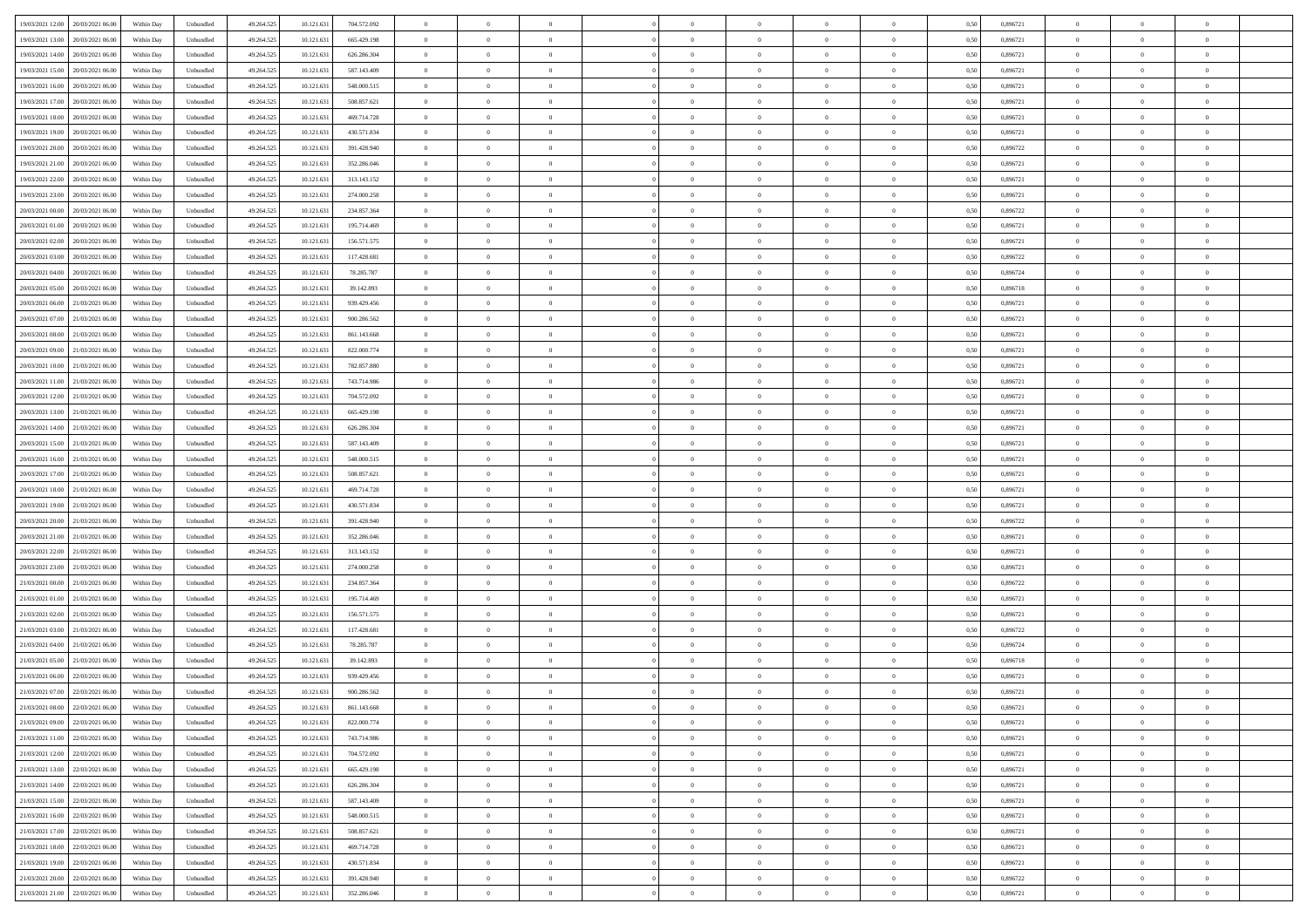| 19/03/2021 12:00 20/03/2021 06:00          | Within Day | Unbundled                   | 49.264.525 | 10.121.631 | 704.572.092 | $\overline{0}$ | $\theta$       |                | $\overline{0}$ | $\theta$       |                | $\theta$       | 0,50 | 0,896721 | $\theta$       | $\theta$       | $\overline{0}$ |  |
|--------------------------------------------|------------|-----------------------------|------------|------------|-------------|----------------|----------------|----------------|----------------|----------------|----------------|----------------|------|----------|----------------|----------------|----------------|--|
|                                            |            |                             |            |            |             |                |                |                |                |                |                |                |      |          |                |                |                |  |
| 19/03/2021 13:00<br>20/03/2021 06:00       | Within Day | Unbundled                   | 49.264.52  | 10.121.63  | 665.429.198 | $\bf{0}$       | $\overline{0}$ | $\bf{0}$       | $\overline{0}$ | $\bf{0}$       | $\overline{0}$ | $\bf{0}$       | 0,50 | 0,896721 | $\,$ 0 $\,$    | $\bf{0}$       | $\overline{0}$ |  |
| 19/03/2021 14:00<br>20/03/2021 06:00       | Within Day | Unbundled                   | 49.264.525 | 10.121.631 | 626.286.304 | $\overline{0}$ | $\bf{0}$       | $\overline{0}$ | $\bf{0}$       | $\bf{0}$       | $\overline{0}$ | $\bf{0}$       | 0.50 | 0.896721 | $\bf{0}$       | $\overline{0}$ | $\overline{0}$ |  |
| 19/03/2021 15:00<br>20/03/2021 06:00       | Within Day | Unbundled                   | 49.264.52  | 10.121.631 | 587.143.409 | $\overline{0}$ | $\overline{0}$ | $\overline{0}$ | $\theta$       | $\theta$       | $\overline{0}$ | $\overline{0}$ | 0,50 | 0,896721 | $\theta$       | $\theta$       | $\overline{0}$ |  |
|                                            |            |                             |            |            |             |                |                |                |                |                |                |                |      |          |                |                |                |  |
| 19/03/2021 16:00<br>20/03/2021 06:00       | Within Day | Unbundled                   | 49.264.52  | 10.121.63  | 548.000.515 | $\bf{0}$       | $\overline{0}$ | $\bf{0}$       | $\overline{0}$ | $\theta$       | $\overline{0}$ | $\bf{0}$       | 0,50 | 0,896721 | $\,$ 0 $\,$    | $\bf{0}$       | $\overline{0}$ |  |
| 19/03/2021 17:00<br>20/03/2021 06:00       | Within Day | Unbundled                   | 49.264.525 | 10.121.63  | 508.857.621 | $\overline{0}$ | $\overline{0}$ | $\overline{0}$ | $\overline{0}$ | $\overline{0}$ | $\theta$       | $\bf{0}$       | 0.50 | 0.896721 | $\,$ 0 $\,$    | $\theta$       | $\overline{0}$ |  |
| 19/03/2021 18:00<br>20/03/2021 06:00       | Within Day | Unbundled                   | 49.264.525 | 10.121.631 | 469.714.728 | $\overline{0}$ | $\overline{0}$ | $\overline{0}$ | $\overline{0}$ | $\theta$       | $\overline{0}$ | $\bf{0}$       | 0,50 | 0,896721 | $\theta$       | $\theta$       | $\overline{0}$ |  |
| 19/03/2021 19:00<br>20/03/2021 06:00       | Within Day | Unbundled                   | 49.264.52  | 10.121.63  | 430.571.834 | $\bf{0}$       | $\overline{0}$ | $\overline{0}$ | $\overline{0}$ | $\theta$       | $\overline{0}$ | $\bf{0}$       | 0,50 | 0,896721 | $\,$ 0 $\,$    | $\bf{0}$       | $\overline{0}$ |  |
| 19/03/2021 20:00<br>20/03/2021 06:00       | Within Day | Unbundled                   | 49.264.525 | 10.121.63  | 391.428.940 | $\overline{0}$ | $\bf{0}$       | $\overline{0}$ | $\bf{0}$       | $\overline{0}$ | $\overline{0}$ | $\bf{0}$       | 0.50 | 0.896722 | $\bf{0}$       | $\overline{0}$ | $\overline{0}$ |  |
|                                            |            |                             |            |            |             |                |                |                |                |                |                |                |      |          |                |                |                |  |
| 19/03/2021 21:00<br>20/03/2021 06:00       | Within Day | Unbundled                   | 49.264.525 | 10.121.631 | 352.286.046 | $\overline{0}$ | $\bf{0}$       | $\overline{0}$ | $\overline{0}$ | $\overline{0}$ | $\overline{0}$ | $\bf{0}$       | 0,50 | 0,896721 | $\,$ 0 $\,$    | $\bf{0}$       | $\overline{0}$ |  |
| 19/03/2021 22:00<br>20/03/2021 06:00       | Within Day | Unbundled                   | 49.264.52  | 10.121.63  | 313.143.152 | $\bf{0}$       | $\overline{0}$ | $\bf{0}$       | $\bf{0}$       | $\bf{0}$       | $\overline{0}$ | $\bf{0}$       | 0,50 | 0,896721 | $\,$ 0 $\,$    | $\bf{0}$       | $\overline{0}$ |  |
| 19/03/2021 23:00<br>20/03/2021 06:00       | Within Day | Unbundled                   | 49.264.525 | 10.121.631 | 274,000.258 | $\overline{0}$ | $\bf{0}$       | $\overline{0}$ | $\bf{0}$       | $\bf{0}$       | $\overline{0}$ | $\bf{0}$       | 0.50 | 0.896721 | $\bf{0}$       | $\overline{0}$ | $\bf{0}$       |  |
| 20/03/2021 00:00<br>20/03/2021 06:00       | Within Day | Unbundled                   | 49.264.52  | 10.121.631 | 234.857.364 | $\overline{0}$ | $\overline{0}$ | $\overline{0}$ | $\overline{0}$ | $\theta$       | $\overline{0}$ | $\overline{0}$ | 0,50 | 0,896722 | $\,$ 0 $\,$    | $\theta$       | $\overline{0}$ |  |
|                                            |            |                             |            |            |             |                | $\overline{0}$ |                | $\overline{0}$ | $\theta$       | $\overline{0}$ |                |      |          |                | $\bf{0}$       | $\overline{0}$ |  |
| 20/03/2021 01:00<br>20/03/2021 06:00       | Within Day | Unbundled                   | 49.264.52  | 10.121.63  | 195.714.469 | $\bf{0}$       |                | $\bf{0}$       |                |                |                | $\bf{0}$       | 0,50 | 0,896721 | $\bf{0}$       |                |                |  |
| 20/03/2021 02:00<br>20/03/2021 06:00       | Within Day | Unbundled                   | 49.264.525 | 10.121.63  | 156.571.575 | $\overline{0}$ | $\overline{0}$ | $\overline{0}$ | $\bf{0}$       | $\bf{0}$       | $\Omega$       | $\bf{0}$       | 0.50 | 0,896721 | $\,$ 0 $\,$    | $\theta$       | $\overline{0}$ |  |
| 20/03/2021 03:00<br>20/03/2021 06:00       | Within Day | Unbundled                   | 49.264.525 | 10.121.631 | 117.428.681 | $\overline{0}$ | $\overline{0}$ | $\overline{0}$ | $\overline{0}$ | $\overline{0}$ | $\overline{0}$ | $\bf{0}$       | 0,50 | 0,896722 | $\theta$       | $\theta$       | $\overline{0}$ |  |
| 20/03/2021 04:00<br>20/03/2021 06:00       | Within Day | Unbundled                   | 49.264.52  | 10.121.63  | 78.285.787  | $\bf{0}$       | $\overline{0}$ | $\overline{0}$ | $\overline{0}$ | $\bf{0}$       | $\overline{0}$ | $\bf{0}$       | 0,50 | 0,896724 | $\,$ 0 $\,$    | $\bf{0}$       | $\overline{0}$ |  |
| 20/03/2021 05:00<br>20/03/2021 06:00       | Within Day | Unbundled                   | 49.264.525 | 10.121.63  | 39.142.893  | $\overline{0}$ | $\bf{0}$       | $\overline{0}$ | $\bf{0}$       | $\overline{0}$ | $\overline{0}$ | $\bf{0}$       | 0.50 | 0.896718 | $\bf{0}$       | $\overline{0}$ | $\overline{0}$ |  |
|                                            |            |                             |            |            |             | $\overline{0}$ | $\overline{0}$ | $\overline{0}$ | $\overline{0}$ | $\overline{0}$ | $\overline{0}$ |                |      |          | $\,$ 0 $\,$    | $\theta$       | $\overline{0}$ |  |
| 20/03/2021 06:00<br>21/03/2021 06:00       | Within Day | Unbundled                   | 49.264.525 | 10.121.631 | 939.429.456 |                |                |                |                |                |                | $\bf{0}$       | 0,50 | 0,896721 |                |                |                |  |
| 20/03/2021 07:00<br>21/03/2021 06.00       | Within Day | Unbundled                   | 49.264.52  | 10.121.63  | 900.286.562 | $\bf{0}$       | $\bf{0}$       | $\bf{0}$       | $\bf{0}$       | $\overline{0}$ | $\overline{0}$ | $\bf{0}$       | 0,50 | 0,896721 | $\,$ 0 $\,$    | $\bf{0}$       | $\overline{0}$ |  |
| 20/03/2021 08:00<br>21/03/2021 06:00       | Within Day | Unbundled                   | 49.264.525 | 10.121.631 | 861.143.668 | $\overline{0}$ | $\bf{0}$       | $\overline{0}$ | $\bf{0}$       | $\bf{0}$       | $\overline{0}$ | $\bf{0}$       | 0.50 | 0.896721 | $\bf{0}$       | $\overline{0}$ | $\bf{0}$       |  |
| 20/03/2021 09:00<br>21/03/2021 06:00       | Within Day | Unbundled                   | 49.264.52  | 10.121.631 | 822.000.774 | $\overline{0}$ | $\overline{0}$ | $\overline{0}$ | $\theta$       | $\theta$       | $\overline{0}$ | $\bf{0}$       | 0,50 | 0,896721 | $\theta$       | $\theta$       | $\overline{0}$ |  |
| 20/03/2021 10:00<br>21/03/2021 06.00       | Within Day | Unbundled                   | 49.264.52  | 10.121.63  | 782.857.880 | $\bf{0}$       | $\overline{0}$ | $\bf{0}$       | $\bf{0}$       | $\bf{0}$       | $\overline{0}$ | $\bf{0}$       | 0,50 | 0,896721 | $\,$ 0 $\,$    | $\bf{0}$       | $\overline{0}$ |  |
|                                            |            |                             |            |            |             |                |                |                |                |                |                |                |      |          |                |                |                |  |
| 20/03/2021 11:00<br>21/03/2021 06:00       | Within Day | Unbundled                   | 49.264.525 | 10.121.63  | 743.714.986 | $\overline{0}$ | $\overline{0}$ | $\overline{0}$ | $\overline{0}$ | $\overline{0}$ | $\Omega$       | $\bf{0}$       | 0.50 | 0.896721 | $\,$ 0 $\,$    | $\theta$       | $\overline{0}$ |  |
| 20/03/2021 12:00<br>21/03/2021 06:00       | Within Day | Unbundled                   | 49.264.525 | 10.121.631 | 704.572.092 | $\overline{0}$ | $\overline{0}$ | $\overline{0}$ | $\overline{0}$ | $\theta$       | $\overline{0}$ | $\bf{0}$       | 0,50 | 0,896721 | $\theta$       | $\theta$       | $\overline{0}$ |  |
| 20/03/2021 13:00<br>21/03/2021 06.00       | Within Day | Unbundled                   | 49.264.52  | 10.121.63  | 665.429.198 | $\bf{0}$       | $\overline{0}$ | $\bf{0}$       | $\overline{0}$ | $\theta$       | $\overline{0}$ | $\bf{0}$       | 0,50 | 0,896721 | $\,$ 0 $\,$    | $\bf{0}$       | $\overline{0}$ |  |
| 20/03/2021 14:00<br>21/03/2021 06:00       | Within Day | Unbundled                   | 49.264.525 | 10.121.63  | 626.286.304 | $\overline{0}$ | $\bf{0}$       | $\overline{0}$ | $\bf{0}$       | $\overline{0}$ | $\overline{0}$ | $\bf{0}$       | 0.50 | 0.896721 | $\bf{0}$       | $\overline{0}$ | $\overline{0}$ |  |
| 20/03/2021 15:00<br>21/03/2021 06:00       | Within Day | Unbundled                   | 49.264.525 | 10.121.631 | 587.143.409 | $\overline{0}$ | $\overline{0}$ | $\overline{0}$ | $\theta$       | $\overline{0}$ | $\overline{0}$ | $\bf{0}$       | 0,50 | 0,896721 | $\theta$       | $\theta$       | $\overline{0}$ |  |
|                                            |            |                             |            |            |             |                |                |                |                |                |                |                |      |          |                |                |                |  |
| 20/03/2021 16:00<br>21/03/2021 06.00       | Within Day | Unbundled                   | 49.264.52  | 10.121.63  | 548.000.515 | $\bf{0}$       | $\bf{0}$       | $\bf{0}$       | $\bf{0}$       | $\overline{0}$ | $\overline{0}$ | $\bf{0}$       | 0,50 | 0,896721 | $\,$ 0 $\,$    | $\bf{0}$       | $\overline{0}$ |  |
| 20/03/2021 17:00<br>21/03/2021 06:00       | Within Day | Unbundled                   | 49.264.52  | 10.121.631 | 508.857.621 | $\overline{0}$ | $\bf{0}$       | $\overline{0}$ | $\bf{0}$       | $\bf{0}$       | $\overline{0}$ | $\bf{0}$       | 0.50 | 0.896721 | $\bf{0}$       | $\overline{0}$ | $\bf{0}$       |  |
| 20/03/2021 18:00<br>21/03/2021 06:00       | Within Day | Unbundled                   | 49.264.525 | 10.121.63  | 469.714.728 | $\overline{0}$ | $\overline{0}$ | $\overline{0}$ | $\overline{0}$ | $\overline{0}$ | $\overline{0}$ | $\bf{0}$       | 0.5( | 0,896721 | $\theta$       | $\theta$       | $\overline{0}$ |  |
| 20/03/2021 19:00<br>21/03/2021 06.00       | Within Day | Unbundled                   | 49.264.52  | 10.121.63  | 430.571.834 | $\bf{0}$       | $\overline{0}$ | $\bf{0}$       | $\bf{0}$       | $\overline{0}$ | $\overline{0}$ | $\bf{0}$       | 0,50 | 0,896721 | $\,$ 0 $\,$    | $\bf{0}$       | $\overline{0}$ |  |
| 20/03/2021 20:00<br>21/03/2021 06:00       | Within Day | Unbundled                   | 49.264.525 | 10.121.63  | 391.428.940 | $\overline{0}$ | $\overline{0}$ | $\overline{0}$ | $\bf{0}$       | $\overline{0}$ | $\Omega$       | $\bf{0}$       | 0.50 | 0,896722 | $\,$ 0 $\,$    | $\theta$       | $\overline{0}$ |  |
|                                            |            |                             |            |            |             |                |                |                |                |                |                |                |      |          |                |                |                |  |
| 20/03/2021 21:00<br>21/03/2021 06:00       | Within Dav | Unbundled                   | 49.264.525 | 10.121.631 | 352.286.046 | $\overline{0}$ | $\overline{0}$ | $\overline{0}$ | $\overline{0}$ | $\overline{0}$ | $\overline{0}$ | $\overline{0}$ | 0.5( | 0,896721 | $\theta$       | $\theta$       | $\overline{0}$ |  |
| 20/03/2021 22:00<br>21/03/2021 06:00       | Within Day | Unbundled                   | 49.264.52  | 10.121.63  | 313.143.152 | $\bf{0}$       | $\overline{0}$ | $\bf{0}$       | $\overline{0}$ | $\bf{0}$       | $\overline{0}$ | $\bf{0}$       | 0,50 | 0,896721 | $\,$ 0 $\,$    | $\bf{0}$       | $\overline{0}$ |  |
| 20/03/2021 23:00<br>21/03/2021 06:00       | Within Day | Unbundled                   | 49.264.52  | 10.121.63  | 274,000.258 | $\overline{0}$ | $\bf{0}$       | $\overline{0}$ | $\bf{0}$       | $\overline{0}$ | $\overline{0}$ | $\bf{0}$       | 0.50 | 0.896721 | $\bf{0}$       | $\overline{0}$ | $\overline{0}$ |  |
| 21/03/2021 00:00<br>21/03/2021 06:00       | Within Dav | Unbundled                   | 49.264.52  | 10.121.63  | 234.857.364 | $\overline{0}$ | $\overline{0}$ | $\overline{0}$ | $\overline{0}$ | $\overline{0}$ | $\overline{0}$ | $\overline{0}$ | 0.50 | 0,896722 | $\theta$       | $\theta$       | $\overline{0}$ |  |
| 21/03/2021 01:00<br>21/03/2021 06.00       | Within Day | Unbundled                   | 49.264.52  | 10.121.63  | 195.714.469 | $\bf{0}$       | $\bf{0}$       | $\bf{0}$       | $\bf{0}$       | $\overline{0}$ | $\overline{0}$ | $\bf{0}$       | 0,50 | 0,896721 | $\,$ 0 $\,$    | $\bf{0}$       | $\overline{0}$ |  |
| 21/03/2021 02:00<br>21/03/2021 06:00       |            | Unbundled                   | 49.264.525 |            |             |                | $\bf{0}$       | $\overline{0}$ |                | $\bf{0}$       | $\overline{0}$ |                | 0.50 | 0.896721 | $\bf{0}$       | $\overline{0}$ | $\overline{0}$ |  |
|                                            | Within Day |                             |            | 10.121.631 | 156.571.575 | $\overline{0}$ |                |                | $\bf{0}$       |                |                | $\bf{0}$       |      |          |                |                |                |  |
| 21/03/2021 03:00<br>21/03/2021 06:00       | Within Dav | Unbundled                   | 49.264.525 | 10.121.631 | 117.428.681 | $\overline{0}$ | $\overline{0}$ | $\overline{0}$ | $\overline{0}$ | $\overline{0}$ | $\overline{0}$ | $\bf{0}$       | 0.5( | 0,896722 | $\theta$       | $\theta$       | $\overline{0}$ |  |
| 21/03/2021 04:00<br>21/03/2021 06.00       | Within Day | Unbundled                   | 49.264.525 | 10.121.63  | 78.285.787  | $\bf{0}$       | $\bf{0}$       | $\bf{0}$       | $\bf{0}$       | $\,$ 0 $\,$    | $\overline{0}$ | $\bf{0}$       | 0,50 | 0,896724 | $\,$ 0 $\,$    | $\bf{0}$       | $\overline{0}$ |  |
| 21/03/2021 05:00<br>21/03/2021 06:00       | Within Day | Unbundled                   | 49.264.525 | 10.121.63  | 39.142.893  | $\overline{0}$ | $\overline{0}$ | $\Omega$       | $\overline{0}$ | $\bf{0}$       | $\Omega$       | $\bf{0}$       | 0.50 | 0.896718 | $\bf{0}$       | $\theta$       | $\overline{0}$ |  |
| 21/03/2021 06:00<br>22/03/2021 06:00       | Within Dav | Unbundled                   | 49.264.52  | 10.121.63  | 939.429.456 | $\overline{0}$ | $\overline{0}$ | $\Omega$       | $\overline{0}$ | $\theta$       | $\Omega$       | $\overline{0}$ | 0.5( | 0,896721 | $\theta$       | $\theta$       | $\overline{0}$ |  |
| 21/03/2021 07:00<br>22/03/2021 06:00       | Within Day | Unbundled                   | 49.264.525 | 10.121.63  | 900.286.562 | $\bf{0}$       | $\bf{0}$       | $\bf{0}$       | $\bf{0}$       | $\bf{0}$       | $\overline{0}$ | $\bf{0}$       | 0,50 | 0,896721 | $\,$ 0 $\,$    | $\bf{0}$       | $\overline{0}$ |  |
|                                            |            |                             |            |            |             |                |                |                |                |                |                |                |      |          |                |                |                |  |
| $21/03/2021~08.00 \qquad 22/03/2021~06.00$ | Within Day | $\ensuremath{\mathsf{Unb}}$ | 49.264.525 | 10.121.631 | 861.143.668 | $\bf{0}$       | $\theta$       |                | $\overline{0}$ |                |                |                | 0,50 | 0,896721 | $\bf{0}$       | $\overline{0}$ |                |  |
| 21/03/2021 09:00 22/03/2021 06:00          | Within Day | Unbundled                   | 49.264.525 | 10.121.631 | 822.000.774 | $\overline{0}$ | $\theta$       | $\Omega$       | $\theta$       | $\overline{0}$ | $\overline{0}$ | $\bf{0}$       | 0,50 | 0,896721 | $\theta$       | $\theta$       | $\overline{0}$ |  |
| 21/03/2021 11:00<br>22/03/2021 06:00       | Within Day | Unbundled                   | 49.264.525 | 10.121.631 | 743.714.986 | $\overline{0}$ | $\bf{0}$       | $\overline{0}$ | $\overline{0}$ | $\bf{0}$       | $\overline{0}$ | $\bf{0}$       | 0,50 | 0,896721 | $\bf{0}$       | $\overline{0}$ | $\bf{0}$       |  |
| 21/03/2021 12:00 22/03/2021 06:00          | Within Day | Unbundled                   | 49.264.525 | 10.121.631 | 704.572.092 | $\overline{0}$ | $\bf{0}$       | $\overline{0}$ | $\overline{0}$ | $\overline{0}$ | $\overline{0}$ | $\bf{0}$       | 0.50 | 0.896721 | $\overline{0}$ | $\bf{0}$       | $\,$ 0 $\,$    |  |
| 21/03/2021 13:00 22/03/2021 06:00          | Within Day | Unbundled                   | 49.264.525 | 10.121.631 | 665.429.198 | $\overline{0}$ | $\overline{0}$ | $\overline{0}$ | $\overline{0}$ | $\overline{0}$ | $\overline{0}$ | $\bf{0}$       | 0,50 | 0,896721 | $\theta$       | $\theta$       | $\overline{0}$ |  |
|                                            |            |                             |            |            |             |                |                |                |                |                |                |                |      |          |                |                |                |  |
| 21/03/2021 14:00<br>22/03/2021 06:00       | Within Day | Unbundled                   | 49.264.525 | 10.121.631 | 626.286.304 | $\overline{0}$ | $\bf{0}$       | $\overline{0}$ | $\bf{0}$       | $\overline{0}$ | $\bf{0}$       | $\bf{0}$       | 0,50 | 0,896721 | $\bf{0}$       | $\bf{0}$       | $\overline{0}$ |  |
| 21/03/2021 15:00<br>22/03/2021 06:00       | Within Day | Unbundled                   | 49.264.525 | 10.121.631 | 587.143.409 | $\overline{0}$ | $\bf{0}$       | $\overline{0}$ | $\overline{0}$ | $\overline{0}$ | $\overline{0}$ | $\bf{0}$       | 0.50 | 0,896721 | $\,$ 0 $\,$    | $\theta$       | $\overline{0}$ |  |
| 21/03/2021 16:00 22/03/2021 06:00          | Within Dav | Unbundled                   | 49.264.525 | 10.121.631 | 548.000.515 | $\overline{0}$ | $\overline{0}$ | $\overline{0}$ | $\overline{0}$ | $\overline{0}$ | $\overline{0}$ | $\bf{0}$       | 0.50 | 0,896721 | $\overline{0}$ | $\theta$       | $\overline{0}$ |  |
| 22/03/2021 06:00<br>21/03/2021 17:00       | Within Day | Unbundled                   | 49.264.525 | 10.121.631 | 508.857.621 | $\overline{0}$ | $\overline{0}$ | $\overline{0}$ | $\overline{0}$ | $\bf{0}$       | $\overline{0}$ | $\bf{0}$       | 0,50 | 0,896721 | $\bf{0}$       | $\overline{0}$ | $\overline{0}$ |  |
| 21/03/2021 18:00 22/03/2021 06:00          |            |                             |            |            |             |                |                |                |                |                |                |                |      |          |                |                |                |  |
|                                            | Within Day | Unbundled                   | 49.264.525 | 10.121.631 | 469.714.728 | $\overline{0}$ | $\overline{0}$ | $\overline{0}$ | $\overline{0}$ | $\bf{0}$       | $\overline{0}$ | $\bf{0}$       | 0.50 | 0.896721 | $\overline{0}$ | $\,$ 0 $\,$    | $\,$ 0         |  |
| 21/03/2021 19:00 22/03/2021 06:00          | Within Dav | Unbundled                   | 49.264.525 | 10.121.631 | 430.571.834 | $\overline{0}$ | $\overline{0}$ | $\overline{0}$ | $\overline{0}$ | $\overline{0}$ | $\overline{0}$ | $\bf{0}$       | 0,50 | 0,896721 | $\overline{0}$ | $\theta$       | $\overline{0}$ |  |
| 21/03/2021 20:00<br>22/03/2021 06:00       | Within Day | Unbundled                   | 49.264.525 | 10.121.63  | 391.428.940 | $\overline{0}$ | $\bf{0}$       | $\overline{0}$ | $\bf{0}$       | $\overline{0}$ | $\bf{0}$       | $\bf{0}$       | 0,50 | 0,896722 | $\bf{0}$       | $\bf{0}$       | $\overline{0}$ |  |
| 21/03/2021 21:00 22/03/2021 06:00          | Within Day | Unbundled                   | 49.264.525 | 10.121.631 | 352.286.046 | $\overline{0}$ | $\bf{0}$       | $\overline{0}$ | $\overline{0}$ | $\,$ 0 $\,$    | $\overline{0}$ | $\bf{0}$       | 0,50 | 0,896721 | $\overline{0}$ | $\,$ 0 $\,$    | $\,$ 0 $\,$    |  |
|                                            |            |                             |            |            |             |                |                |                |                |                |                |                |      |          |                |                |                |  |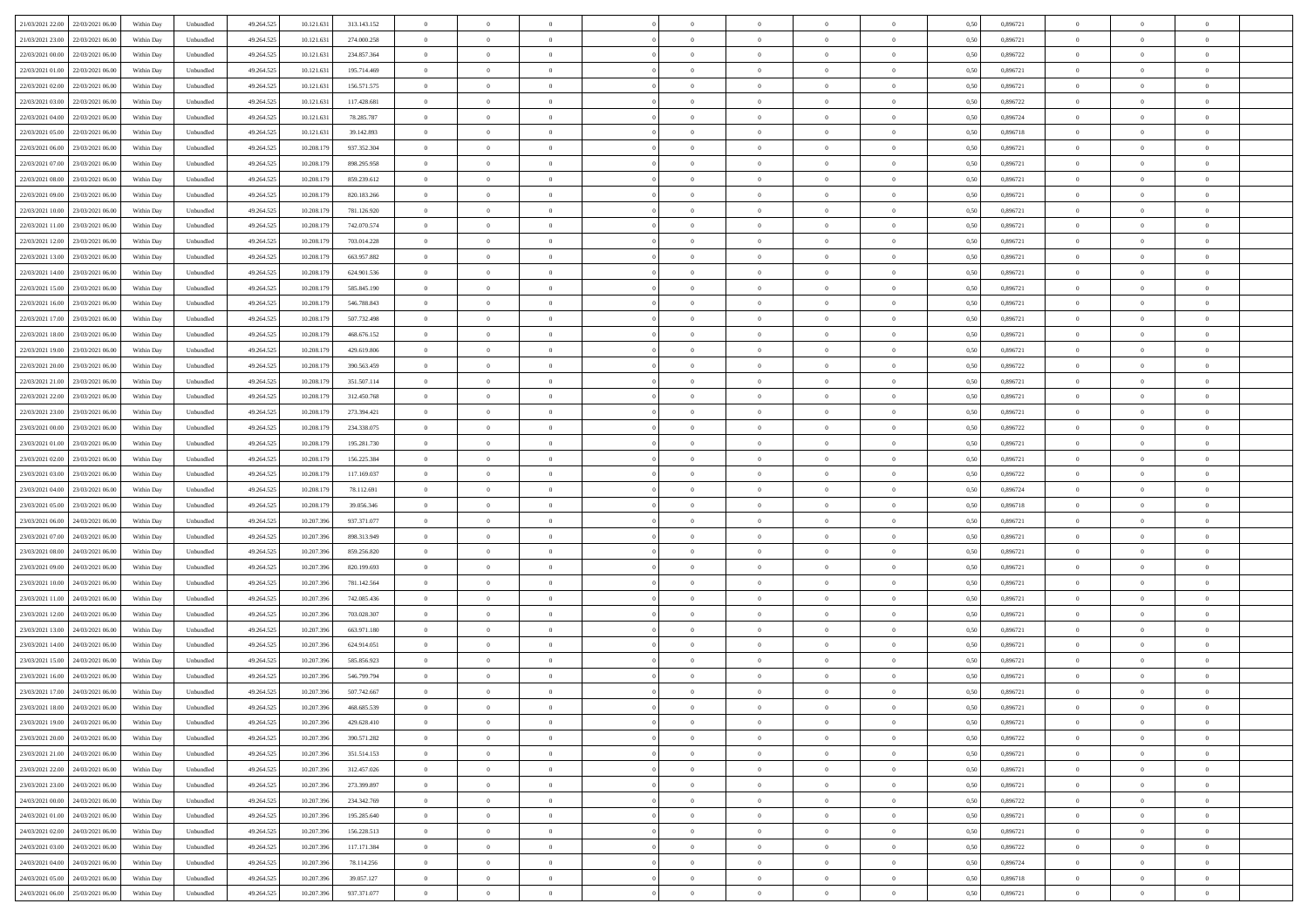|                                              |            |                   |            |            |               | $\overline{0}$ | $\theta$       |                | $\overline{0}$ | $\theta$       |                | $\theta$       |      |          | $\theta$       | $\theta$       | $\overline{0}$ |  |
|----------------------------------------------|------------|-------------------|------------|------------|---------------|----------------|----------------|----------------|----------------|----------------|----------------|----------------|------|----------|----------------|----------------|----------------|--|
| 21/03/2021 22:00 22/03/2021 06:00            | Within Day | Unbundled         | 49.264.525 | 10.121.631 | 313.143.152   |                |                |                |                |                |                |                | 0,50 | 0,896721 |                |                |                |  |
| 21/03/2021 23:00<br>22/03/2021 06.00         | Within Day | Unbundled         | 49.264.52  | 10.121.63  | 274.000.258   | $\bf{0}$       | $\overline{0}$ | $\bf{0}$       | $\overline{0}$ | $\bf{0}$       | $\overline{0}$ | $\bf{0}$       | 0,50 | 0,896721 | $\,$ 0 $\,$    | $\bf{0}$       | $\overline{0}$ |  |
| 22/03/2021 00:00<br>22/03/2021 06:00         | Within Day | Unbundled         | 49.264.525 | 10.121.631 | 234,857,364   | $\overline{0}$ | $\bf{0}$       | $\overline{0}$ | $\bf{0}$       | $\bf{0}$       | $\overline{0}$ | $\bf{0}$       | 0.50 | 0,896722 | $\bf{0}$       | $\overline{0}$ | $\overline{0}$ |  |
| 22/03/2021 01:00<br>22/03/2021 06:00         | Within Day | Unbundled         | 49.264.52  | 10.121.631 | 195.714.469   | $\overline{0}$ | $\overline{0}$ | $\overline{0}$ | $\theta$       | $\theta$       | $\overline{0}$ | $\bf{0}$       | 0,50 | 0,896721 | $\theta$       | $\theta$       | $\overline{0}$ |  |
| 22/03/2021 02:00<br>22/03/2021 06.00         | Within Day | Unbundled         | 49.264.52  | 10.121.63  | 156.571.575   | $\bf{0}$       | $\overline{0}$ | $\bf{0}$       | $\overline{0}$ | $\theta$       | $\overline{0}$ | $\bf{0}$       | 0,50 | 0,896721 | $\,$ 0 $\,$    | $\bf{0}$       | $\overline{0}$ |  |
|                                              |            |                   |            |            |               |                |                |                |                |                |                |                |      |          |                |                |                |  |
| 22/03/2021 03:00<br>22/03/2021 06:00         | Within Day | Unbundled         | 49.264.525 | 10.121.63  | 117.428.681   | $\overline{0}$ | $\overline{0}$ | $\overline{0}$ | $\bf{0}$       | $\overline{0}$ | $\theta$       | $\bf{0}$       | 0.50 | 0.896722 | $\,$ 0 $\,$    | $\theta$       | $\overline{0}$ |  |
| 22/03/2021 04:00<br>22/03/2021 06:00         | Within Day | Unbundled         | 49.264.525 | 10.121.631 | 78.285.787    | $\overline{0}$ | $\overline{0}$ | $\overline{0}$ | $\overline{0}$ | $\overline{0}$ | $\overline{0}$ | $\bf{0}$       | 0,50 | 0,896724 | $\theta$       | $\theta$       | $\overline{0}$ |  |
| 22/03/2021 05:00<br>22/03/2021 06.00         | Within Day | Unbundled         | 49.264.52  | 10.121.63  | 39.142.893    | $\bf{0}$       | $\overline{0}$ | $\overline{0}$ | $\overline{0}$ | $\overline{0}$ | $\overline{0}$ | $\bf{0}$       | 0,50 | 0,896718 | $\,$ 0 $\,$    | $\bf{0}$       | $\overline{0}$ |  |
| 22/03/2021 06:00<br>23/03/2021 06:00         | Within Day | Unbundled         | 49.264.525 | 10.208.179 | 937.352.304   | $\overline{0}$ | $\bf{0}$       | $\overline{0}$ | $\bf{0}$       | $\overline{0}$ | $\overline{0}$ | $\bf{0}$       | 0.50 | 0.896721 | $\bf{0}$       | $\overline{0}$ | $\overline{0}$ |  |
| 22/03/2021 07:00<br>23/03/2021 06:00         | Within Day | Unbundled         | 49.264.525 | 10.208.179 | 898.295.958   | $\overline{0}$ | $\bf{0}$       | $\overline{0}$ | $\overline{0}$ | $\overline{0}$ | $\overline{0}$ | $\bf{0}$       | 0,50 | 0,896721 | $\,$ 0 $\,$    | $\bf{0}$       | $\overline{0}$ |  |
| 22/03/2021 08:00<br>23/03/2021 06.00         | Within Day | Unbundled         | 49.264.52  | 10.208.179 | 859.239.612   | $\bf{0}$       | $\overline{0}$ | $\bf{0}$       | $\overline{0}$ | $\bf{0}$       | $\overline{0}$ | $\bf{0}$       | 0,50 | 0,896721 | $\,$ 0 $\,$    | $\bf{0}$       | $\overline{0}$ |  |
| 22/03/2021 09:00<br>23/03/2021 06:00         | Within Day | Unbundled         | 49.264.525 | 10.208.179 | 820.183.266   | $\overline{0}$ | $\bf{0}$       | $\overline{0}$ | $\bf{0}$       | $\bf{0}$       | $\overline{0}$ | $\bf{0}$       | 0.50 | 0.896721 | $\bf{0}$       | $\overline{0}$ | $\bf{0}$       |  |
|                                              |            |                   |            |            |               |                |                |                |                |                |                |                |      |          |                |                |                |  |
| 22/03/2021 10:00<br>23/03/2021 06:00         | Within Day | Unbundled         | 49.264.52  | 10.208.179 | 781.126.920   | $\overline{0}$ | $\overline{0}$ | $\overline{0}$ | $\overline{0}$ | $\theta$       | $\overline{0}$ | $\overline{0}$ | 0,50 | 0,896721 | $\,$ 0 $\,$    | $\theta$       | $\overline{0}$ |  |
| 22/03/2021 11:00<br>23/03/2021 06:00         | Within Day | Unbundled         | 49.264.52  | 10.208.17  | 742.070.574   | $\bf{0}$       | $\theta$       | $\bf{0}$       | $\overline{0}$ | $\theta$       | $\overline{0}$ | $\bf{0}$       | 0,50 | 0,896721 | $\bf{0}$       | $\bf{0}$       | $\overline{0}$ |  |
| 22/03/2021 12:00<br>23/03/2021 06:00         | Within Day | Unbundled         | 49.264.525 | 10.208.179 | 703.014.228   | $\overline{0}$ | $\overline{0}$ | $\overline{0}$ | $\bf{0}$       | $\overline{0}$ | $\Omega$       | $\bf{0}$       | 0.50 | 0,896721 | $\bf{0}$       | $\theta$       | $\overline{0}$ |  |
| 22/03/2021 13:00<br>23/03/2021 06:00         | Within Day | Unbundled         | 49.264.525 | 10.208.179 | 663.957.882   | $\overline{0}$ | $\overline{0}$ | $\overline{0}$ | $\overline{0}$ | $\overline{0}$ | $\overline{0}$ | $\bf{0}$       | 0,50 | 0,896721 | $\theta$       | $\theta$       | $\overline{0}$ |  |
| 22/03/2021 14:00<br>23/03/2021 06.00         | Within Day | Unbundled         | 49.264.52  | 10.208.17  | 624.901.536   | $\bf{0}$       | $\overline{0}$ | $\overline{0}$ | $\overline{0}$ | $\bf{0}$       | $\overline{0}$ | $\bf{0}$       | 0,50 | 0,896721 | $\,$ 0 $\,$    | $\bf{0}$       | $\overline{0}$ |  |
| 22/03/2021 15:00<br>23/03/2021 06:00         | Within Day | Unbundled         | 49.264.525 | 10.208.179 | 585.845.190   | $\overline{0}$ | $\bf{0}$       | $\overline{0}$ | $\bf{0}$       | $\overline{0}$ | $\overline{0}$ | $\bf{0}$       | 0.50 | 0.896721 | $\bf{0}$       | $\overline{0}$ | $\overline{0}$ |  |
| 22/03/2021 16:00<br>23/03/2021 06:00         | Within Day | Unbundled         | 49.264.525 | 10.208.179 | 546.788.843   | $\overline{0}$ | $\overline{0}$ | $\overline{0}$ | $\overline{0}$ | $\overline{0}$ | $\overline{0}$ | $\bf{0}$       | 0,50 | 0,896721 | $\,$ 0 $\,$    | $\bf{0}$       | $\overline{0}$ |  |
|                                              |            |                   |            |            |               |                |                |                |                |                |                |                |      |          |                |                |                |  |
| 22/03/2021 17:00<br>23/03/2021 06.00         | Within Day | Unbundled         | 49.264.52  | 10.208.17  | 507.732.498   | $\bf{0}$       | $\overline{0}$ | $\bf{0}$       | $\bf{0}$       | $\overline{0}$ | $\overline{0}$ | $\bf{0}$       | 0,50 | 0,896721 | $\,$ 0 $\,$    | $\bf{0}$       | $\overline{0}$ |  |
| 22/03/2021 18:00<br>23/03/2021 06:00         | Within Day | Unbundled         | 49.264.525 | 10.208.179 | 468.676.152   | $\overline{0}$ | $\bf{0}$       | $\overline{0}$ | $\bf{0}$       | $\bf{0}$       | $\overline{0}$ | $\bf{0}$       | 0.50 | 0.896721 | $\bf{0}$       | $\overline{0}$ | $\bf{0}$       |  |
| 22/03/2021 19:00<br>23/03/2021 06:00         | Within Day | Unbundled         | 49.264.52  | 10.208.179 | 429.619.806   | $\overline{0}$ | $\overline{0}$ | $\overline{0}$ | $\theta$       | $\theta$       | $\overline{0}$ | $\bf{0}$       | 0,50 | 0,896721 | $\theta$       | $\theta$       | $\overline{0}$ |  |
| 22/03/2021 20:00<br>23/03/2021 06.00         | Within Day | Unbundled         | 49.264.52  | 10.208.17  | 390.563.459   | $\bf{0}$       | $\overline{0}$ | $\bf{0}$       | $\bf{0}$       | $\bf{0}$       | $\overline{0}$ | $\bf{0}$       | 0,50 | 0,896722 | $\,$ 0 $\,$    | $\bf{0}$       | $\overline{0}$ |  |
| 22/03/2021 21:00<br>23/03/2021 06:00         | Within Day | Unbundled         | 49.264.525 | 10.208.179 | 351.507.114   | $\overline{0}$ | $\overline{0}$ | $\overline{0}$ | $\overline{0}$ | $\overline{0}$ | $\Omega$       | $\bf{0}$       | 0.50 | 0.896721 | $\,$ 0 $\,$    | $\theta$       | $\overline{0}$ |  |
| 22/03/2021 22:00<br>23/03/2021 06:00         | Within Day | Unbundled         | 49.264.525 | 10.208.179 | 312.450.768   | $\overline{0}$ | $\overline{0}$ | $\overline{0}$ | $\overline{0}$ | $\overline{0}$ | $\overline{0}$ | $\bf{0}$       | 0,50 | 0,896721 | $\theta$       | $\theta$       | $\overline{0}$ |  |
| 22/03/2021 23:00<br>23/03/2021 06.00         | Within Day | Unbundled         | 49.264.52  | 10.208.17  | 273.394.421   | $\bf{0}$       | $\theta$       | $\bf{0}$       | $\overline{0}$ | $\bf{0}$       | $\overline{0}$ | $\bf{0}$       | 0,50 | 0,896721 | $\,$ 0 $\,$    | $\bf{0}$       | $\overline{0}$ |  |
| 23/03/2021 00:00<br>23/03/2021 06:00         | Within Day | Unbundled         | 49.264.525 | 10.208.179 | 234,338,075   | $\overline{0}$ | $\bf{0}$       | $\overline{0}$ | $\bf{0}$       | $\overline{0}$ | $\overline{0}$ | $\bf{0}$       | 0.50 | 0.896722 | $\bf{0}$       | $\overline{0}$ | $\overline{0}$ |  |
| 23/03/2021 01:00<br>23/03/2021 06:00         |            |                   |            |            |               | $\overline{0}$ | $\overline{0}$ | $\overline{0}$ | $\overline{0}$ | $\overline{0}$ | $\overline{0}$ |                |      |          | $\theta$       | $\theta$       | $\overline{0}$ |  |
|                                              | Within Day | Unbundled         | 49.264.525 | 10.208.179 | 195.281.730   |                |                |                |                |                |                | $\bf{0}$       | 0,50 | 0,896721 |                |                |                |  |
| 23/03/2021 02:00<br>23/03/2021 06.00         | Within Day | Unbundled         | 49.264.52  | 10.208.179 | 156.225.384   | $\bf{0}$       | $\bf{0}$       | $\bf{0}$       | $\bf{0}$       | $\overline{0}$ | $\overline{0}$ | $\bf{0}$       | 0,50 | 0,896721 | $\,$ 0 $\,$    | $\bf{0}$       | $\overline{0}$ |  |
| 23/03/2021 03:00<br>23/03/2021 06:00         | Within Day | Unbundled         | 49.264.52  | 10.208.179 | 117.169.037   | $\overline{0}$ | $\bf{0}$       | $\overline{0}$ | $\bf{0}$       | $\bf{0}$       | $\overline{0}$ | $\bf{0}$       | 0.50 | 0.896722 | $\bf{0}$       | $\overline{0}$ | $\bf{0}$       |  |
| 23/03/2021 04:00<br>23/03/2021 06:00         | Within Day | Unbundled         | 49.264.525 | 10.208.17  | 78.112.691    | $\overline{0}$ | $\overline{0}$ | $\overline{0}$ | $\overline{0}$ | $\overline{0}$ | $\overline{0}$ | $\bf{0}$       | 0.5( | 0,896724 | $\theta$       | $\theta$       | $\overline{0}$ |  |
| 23/03/2021 05:00<br>23/03/2021 06.00         | Within Day | Unbundled         | 49.264.52  | 10.208.179 | 39.056.346    | $\bf{0}$       | $\overline{0}$ | $\bf{0}$       | $\bf{0}$       | $\,$ 0 $\,$    | $\overline{0}$ | $\bf{0}$       | 0,50 | 0,896718 | $\,$ 0 $\,$    | $\bf{0}$       | $\overline{0}$ |  |
| 23/03/2021 06:00<br>24/03/2021 06:00         | Within Day | Unbundled         | 49.264.525 | 10.207.39  | 937.371.077   | $\overline{0}$ | $\overline{0}$ | $\overline{0}$ | $\bf{0}$       | $\overline{0}$ | $\overline{0}$ | $\bf{0}$       | 0.50 | 0,896721 | $\,$ 0 $\,$    | $\theta$       | $\overline{0}$ |  |
| 23/03/2021 07:00<br>24/03/2021 06:00         | Within Dav | Unbundled         | 49.264.525 | 10.207.396 | 898.313.949   | $\overline{0}$ | $\overline{0}$ | $\overline{0}$ | $\overline{0}$ | $\overline{0}$ | $\overline{0}$ | $\overline{0}$ | 0.5( | 0,896721 | $\theta$       | $\theta$       | $\overline{0}$ |  |
| 23/03/2021 08:00<br>24/03/2021 06.00         | Within Day | Unbundled         | 49.264.52  | 10.207.39  | 859.256.820   | $\bf{0}$       | $\overline{0}$ | $\bf{0}$       | $\bf{0}$       | $\bf{0}$       | $\overline{0}$ | $\bf{0}$       | 0,50 | 0,896721 | $\,$ 0 $\,$    | $\bf{0}$       | $\overline{0}$ |  |
| 23/03/2021 09:00<br>24/03/2021 06:00         | Within Day | Unbundled         | 49.264.525 | 10.207.39  | 820.199.693   | $\overline{0}$ | $\bf{0}$       | $\overline{0}$ | $\bf{0}$       | $\overline{0}$ | $\overline{0}$ | $\bf{0}$       | 0.50 | 0.896721 | $\bf{0}$       | $\overline{0}$ | $\overline{0}$ |  |
|                                              |            |                   |            |            |               |                |                |                |                |                |                |                |      |          |                |                |                |  |
| 23/03/2021 10:00<br>24/03/2021 06:00         | Within Day | Unbundled         | 49.264.52  | 10.207.39  | 781.142.564   | $\overline{0}$ | $\overline{0}$ | $\overline{0}$ | $\overline{0}$ | $\overline{0}$ | $\overline{0}$ | $\overline{0}$ | 0.50 | 0,896721 | $\theta$       | $\theta$       | $\overline{0}$ |  |
| 23/03/2021 11:00<br>24/03/2021 06.00         | Within Day | Unbundled         | 49.264.52  | 10.207.39  | 742.085.436   | $\bf{0}$       | $\bf{0}$       | $\bf{0}$       | $\bf{0}$       | $\overline{0}$ | $\overline{0}$ | $\bf{0}$       | 0,50 | 0,896721 | $\,$ 0 $\,$    | $\bf{0}$       | $\overline{0}$ |  |
| 23/03/2021 12:00<br>24/03/2021 06:00         | Within Day | Unbundled         | 49.264.525 | 10.207.39  | 703.028.307   | $\overline{0}$ | $\bf{0}$       | $\overline{0}$ | $\bf{0}$       | $\bf{0}$       | $\overline{0}$ | $\bf{0}$       | 0.50 | 0.896721 | $\bf{0}$       | $\overline{0}$ | $\overline{0}$ |  |
| 23/03/2021 13:00<br>24/03/2021 06:00         | Within Day | Unbundled         | 49.264.525 | 10.207.396 | 663.971.180   | $\overline{0}$ | $\overline{0}$ | $\overline{0}$ | $\overline{0}$ | $\overline{0}$ | $\overline{0}$ | $\bf{0}$       | 0.50 | 0,896721 | $\theta$       | $\theta$       | $\overline{0}$ |  |
| 23/03/2021 14:00<br>24/03/2021 06.00         | Within Day | Unbundled         | 49.264.525 | 10.207.39  | 624.914.051   | $\bf{0}$       | $\overline{0}$ | $\bf{0}$       | $\bf{0}$       | $\overline{0}$ | $\overline{0}$ | $\bf{0}$       | 0,50 | 0,896721 | $\,$ 0 $\,$    | $\bf{0}$       | $\overline{0}$ |  |
| 23/03/2021 15:00<br>24/03/2021 06:00         | Within Day | Unbundled         | 49.264.525 | 10.207.39  | 585.856.923   | $\overline{0}$ | $\overline{0}$ | $\Omega$       | $\overline{0}$ | $\bf{0}$       | $\Omega$       | $\bf{0}$       | 0.50 | 0,896721 | $\bf{0}$       | $\theta$       | $\overline{0}$ |  |
| 23/03/2021 16:00<br>24/03/2021 06:00         | Within Dav | Unbundled         | 49.264.525 | 10.207.39  | 546.799.794   | $\overline{0}$ | $\overline{0}$ | $\Omega$       | $\overline{0}$ | $\theta$       | $\Omega$       | $\overline{0}$ | 0.5( | 0,896721 | $\theta$       | $\theta$       | $\overline{0}$ |  |
| 23/03/2021 17:00<br>24/03/2021 06:00         | Within Day | Unbundled         | 49.264.525 | 10.207.39  | 507.742.667   | $\bf{0}$       | $\bf{0}$       | $\overline{0}$ | $\bf{0}$       | $\bf{0}$       | $\overline{0}$ | $\bf{0}$       | 0,50 | 0,896721 | $\,$ 0 $\,$    | $\bf{0}$       | $\overline{0}$ |  |
| $23/03/2021\ 18.00 \qquad 24/03/2021\ 06.00$ | Within Day | ${\sf Unbundred}$ | 49.264.525 | 10.207.396 | 468.685.539   | $\bf{0}$       | $\theta$       |                | $\overline{0}$ |                |                |                | 0,50 | 0.896721 | $\bf{0}$       | $\bf{0}$       |                |  |
|                                              |            |                   |            |            |               |                |                |                |                |                |                |                |      |          |                |                |                |  |
| 23/03/2021 19:00 24/03/2021 06:00            | Within Day | Unbundled         | 49.264.525 | 10.207.396 | 429.628.410   | $\overline{0}$ | $\theta$       | $\Omega$       | $\theta$       | $\overline{0}$ | $\overline{0}$ | $\bf{0}$       | 0,50 | 0,896721 | $\theta$       | $\theta$       | $\overline{0}$ |  |
| 23/03/2021 20:00<br>24/03/2021 06:00         | Within Day | Unbundled         | 49.264.525 | 10.207.39  | 390.571.282   | $\overline{0}$ | $\bf{0}$       | $\overline{0}$ | $\overline{0}$ | $\bf{0}$       | $\overline{0}$ | $\bf{0}$       | 0,50 | 0,896722 | $\bf{0}$       | $\overline{0}$ | $\bf{0}$       |  |
| 23/03/2021 21:00 24/03/2021 06:00            | Within Day | Unbundled         | 49.264.525 | 10.207.396 | 351.514.153   | $\overline{0}$ | $\bf{0}$       | $\overline{0}$ | $\overline{0}$ | $\overline{0}$ | $\overline{0}$ | $\,$ 0 $\,$    | 0.50 | 0,896721 | $\overline{0}$ | $\bf{0}$       | $\,$ 0 $\,$    |  |
| 23/03/2021 22:00 24/03/2021 06:00            | Within Day | Unbundled         | 49.264.525 | 10.207.396 | 312.457.026   | $\overline{0}$ | $\overline{0}$ | $\overline{0}$ | $\overline{0}$ | $\overline{0}$ | $\overline{0}$ | $\bf{0}$       | 0,50 | 0,896721 | $\theta$       | $\theta$       | $\overline{0}$ |  |
| 23/03/2021 23:00<br>24/03/2021 06:00         | Within Day | Unbundled         | 49.264.525 | 10.207.39  | 273.399.897   | $\overline{0}$ | $\bf{0}$       | $\overline{0}$ | $\bf{0}$       | $\overline{0}$ | $\bf{0}$       | $\bf{0}$       | 0,50 | 0,896721 | $\bf{0}$       | $\bf{0}$       | $\overline{0}$ |  |
| 24/03/2021 00:00<br>24/03/2021 06:00         | Within Day | Unbundled         | 49.264.525 | 10.207.39  | 234, 342, 769 | $\overline{0}$ | $\bf{0}$       | $\overline{0}$ | $\overline{0}$ | $\overline{0}$ | $\overline{0}$ | $\bf{0}$       | 0.50 | 0.896722 | $\,$ 0 $\,$    | $\theta$       | $\,$ 0         |  |
| 24/03/2021 01:00 24/03/2021 06:00            | Within Dav | Unbundled         | 49.264.525 | 10.207.396 | 195.285.640   | $\overline{0}$ | $\overline{0}$ | $\overline{0}$ | $\overline{0}$ | $\overline{0}$ | $\overline{0}$ | $\bf{0}$       | 0.50 | 0,896721 | $\overline{0}$ | $\theta$       | $\overline{0}$ |  |
|                                              |            |                   |            |            |               |                |                |                |                |                |                |                |      |          |                |                |                |  |
| 24/03/2021 02:00<br>24/03/2021 06:00         | Within Day | Unbundled         | 49.264.525 | 10.207.39  | 156.228.513   | $\overline{0}$ | $\overline{0}$ | $\overline{0}$ | $\overline{0}$ | $\overline{0}$ | $\overline{0}$ | $\bf{0}$       | 0,50 | 0,896721 | $\bf{0}$       | $\bf{0}$       | $\overline{0}$ |  |
| 24/03/2021 03:00 24/03/2021 06:00            | Within Day | Unbundled         | 49.264.525 | 10.207.39  | 117.171.384   | $\overline{0}$ | $\overline{0}$ | $\overline{0}$ | $\overline{0}$ | $\bf{0}$       | $\overline{0}$ | $\bf{0}$       | 0.50 | 0.896722 | $\overline{0}$ | $\,$ 0 $\,$    | $\,$ 0         |  |
| 24/03/2021 04:00 24/03/2021 06:00            | Within Dav | Unbundled         | 49.264.525 | 10.207.396 | 78.114.256    | $\overline{0}$ | $\overline{0}$ | $\overline{0}$ | $\overline{0}$ | $\overline{0}$ | $\overline{0}$ | $\bf{0}$       | 0,50 | 0,896724 | $\overline{0}$ | $\theta$       | $\overline{0}$ |  |
| 24/03/2021 05:00<br>24/03/2021 06.00         | Within Day | Unbundled         | 49.264.525 | 10.207.39  | 39.057.127    | $\overline{0}$ | $\bf{0}$       | $\overline{0}$ | $\bf{0}$       | $\overline{0}$ | $\bf{0}$       | $\bf{0}$       | 0,50 | 0,896718 | $\bf{0}$       | $\bf{0}$       | $\overline{0}$ |  |
| 24/03/2021 06:00 25/03/2021 06:00            | Within Day | Unbundled         | 49.264.525 | 10.207.396 | 937.371.077   | $\overline{0}$ | $\bf{0}$       | $\overline{0}$ | $\overline{0}$ | $\,$ 0 $\,$    | $\overline{0}$ | $\bf{0}$       | 0,50 | 0,896721 | $\overline{0}$ | $\,$ 0 $\,$    | $\,$ 0 $\,$    |  |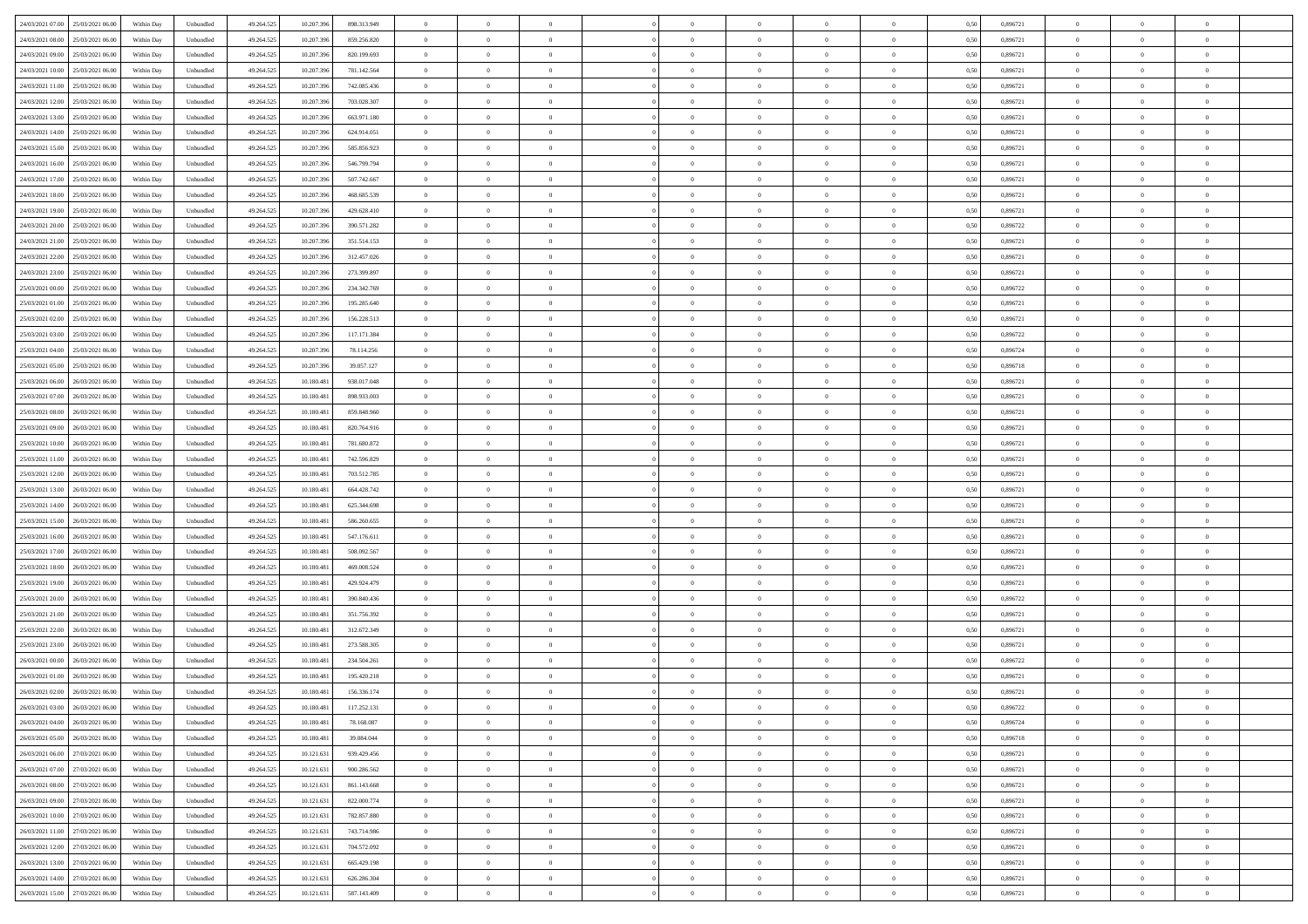| 24/03/2021 07:00 25/03/2021 06:00            | Within Day | Unbundled                   | 49.264.525 | 10.207.396 | 898.313.949   | $\overline{0}$ | $\theta$       |                | $\overline{0}$ | $\theta$       |                | $\bf{0}$       | 0,50 | 0,896721 | $\theta$       | $\theta$       | $\overline{0}$ |  |
|----------------------------------------------|------------|-----------------------------|------------|------------|---------------|----------------|----------------|----------------|----------------|----------------|----------------|----------------|------|----------|----------------|----------------|----------------|--|
| 24/03/2021 08:00<br>25/03/2021 06.00         | Within Day | Unbundled                   | 49.264.52  | 10.207.39  | 859.256.820   | $\bf{0}$       | $\overline{0}$ | $\bf{0}$       | $\overline{0}$ | $\theta$       | $\overline{0}$ | $\bf{0}$       | 0,50 | 0,896721 | $\,$ 0 $\,$    | $\bf{0}$       | $\overline{0}$ |  |
| 24/03/2021 09:00<br>25/03/2021 06:00         | Within Day | Unbundled                   | 49.264.525 | 10.207.39  | 820.199.693   | $\overline{0}$ | $\bf{0}$       | $\overline{0}$ | $\bf{0}$       | $\bf{0}$       | $\overline{0}$ | $\bf{0}$       | 0.50 | 0.896721 | $\bf{0}$       | $\overline{0}$ | $\overline{0}$ |  |
| 24/03/2021 10:00<br>25/03/2021 06:00         |            |                             |            |            |               | $\overline{0}$ | $\overline{0}$ | $\overline{0}$ | $\theta$       | $\theta$       | $\overline{0}$ | $\overline{0}$ |      | 0,896721 | $\theta$       | $\theta$       | $\overline{0}$ |  |
|                                              | Within Day | Unbundled                   | 49.264.525 | 10.207.396 | 781.142.564   |                |                |                |                |                |                |                | 0,50 |          |                |                |                |  |
| 24/03/2021 11:00<br>25/03/2021 06.00         | Within Day | Unbundled                   | 49.264.52  | 10.207.39  | 742.085.436   | $\overline{0}$ | $\theta$       | $\overline{0}$ | $\overline{0}$ | $\theta$       | $\overline{0}$ | $\bf{0}$       | 0,50 | 0,896721 | $\,$ 0 $\,$    | $\bf{0}$       | $\overline{0}$ |  |
| 24/03/2021 12:00<br>25/03/2021 06:00         | Within Day | Unbundled                   | 49.264.525 | 10.207.39  | 703.028.307   | $\overline{0}$ | $\overline{0}$ | $\overline{0}$ | $\overline{0}$ | $\overline{0}$ | $\Omega$       | $\bf{0}$       | 0.50 | 0.896721 | $\bf{0}$       | $\theta$       | $\overline{0}$ |  |
| 24/03/2021 13:00<br>25/03/2021 06:00         | Within Day | Unbundled                   | 49.264.525 | 10.207.396 | 663.971.180   | $\overline{0}$ | $\overline{0}$ | $\overline{0}$ | $\overline{0}$ | $\overline{0}$ | $\overline{0}$ | $\bf{0}$       | 0,50 | 0,896721 | $\theta$       | $\theta$       | $\overline{0}$ |  |
|                                              |            |                             |            |            |               |                |                |                |                |                |                |                |      |          |                |                |                |  |
| 24/03/2021 14:00<br>25/03/2021 06.00         | Within Day | Unbundled                   | 49.264.52  | 10.207.39  | 624.914.051   | $\bf{0}$       | $\overline{0}$ | $\overline{0}$ | $\overline{0}$ | $\theta$       | $\overline{0}$ | $\bf{0}$       | 0,50 | 0,896721 | $\,$ 0 $\,$    | $\bf{0}$       | $\overline{0}$ |  |
| 24/03/2021 15:00<br>25/03/2021 06:00         | Within Day | Unbundled                   | 49.264.525 | 10.207.39  | 585.856.923   | $\overline{0}$ | $\overline{0}$ | $\overline{0}$ | $\bf{0}$       | $\overline{0}$ | $\overline{0}$ | $\bf{0}$       | 0.50 | 0.896721 | $\bf{0}$       | $\theta$       | $\overline{0}$ |  |
| 24/03/2021 16:00<br>25/03/2021 06:00         | Within Day | Unbundled                   | 49.264.525 | 10.207.396 | 546.799.794   | $\overline{0}$ | $\bf{0}$       | $\overline{0}$ | $\overline{0}$ | $\theta$       | $\overline{0}$ | $\bf{0}$       | 0,50 | 0,896721 | $\,$ 0 $\,$    | $\theta$       | $\overline{0}$ |  |
| 24/03/2021 17:00<br>25/03/2021 06.00         | Within Day | Unbundled                   | 49.264.52  | 10.207.39  | 507.742.667   | $\bf{0}$       | $\overline{0}$ | $\bf{0}$       | $\overline{0}$ | $\bf{0}$       | $\overline{0}$ | $\bf{0}$       | 0,50 | 0,896721 | $\,$ 0 $\,$    | $\bf{0}$       | $\overline{0}$ |  |
|                                              |            |                             |            |            |               |                |                |                |                |                |                |                |      |          |                |                |                |  |
| 24/03/2021 18:00<br>25/03/2021 06:00         | Within Day | Unbundled                   | 49.264.525 | 10.207.39  | 468,685,539   | $\overline{0}$ | $\overline{0}$ | $\overline{0}$ | $\bf{0}$       | $\bf{0}$       | $\overline{0}$ | $\bf{0}$       | 0.50 | 0.896721 | $\bf{0}$       | $\overline{0}$ | $\overline{0}$ |  |
| 24/03/2021 19:00<br>25/03/2021 06:00         | Within Day | Unbundled                   | 49.264.52  | 10.207.396 | 429.628.410   | $\overline{0}$ | $\overline{0}$ | $\overline{0}$ | $\overline{0}$ | $\theta$       | $\overline{0}$ | $\overline{0}$ | 0,50 | 0,896721 | $\theta$       | $\theta$       | $\overline{0}$ |  |
| 24/03/2021 20:00<br>25/03/2021 06.00         | Within Day | Unbundled                   | 49.264.52  | 10.207.39  | 390.571.282   | $\bf{0}$       | $\theta$       | $\bf{0}$       | $\overline{0}$ | $\theta$       | $\overline{0}$ | $\bf{0}$       | 0,50 | 0,896722 | $\bf{0}$       | $\bf{0}$       | $\overline{0}$ |  |
|                                              |            |                             |            |            |               |                |                |                |                |                |                |                |      |          |                |                |                |  |
| 24/03/2021 21:00<br>25/03/2021 06:00         | Within Day | Unbundled                   | 49.264.525 | 10.207.39  | 351.514.153   | $\overline{0}$ | $\overline{0}$ | $\overline{0}$ | $\bf{0}$       | $\theta$       | $\theta$       | $\bf{0}$       | 0.50 | 0,896721 | $\bf{0}$       | $\overline{0}$ | $\overline{0}$ |  |
| 24/03/2021 22:00<br>25/03/2021 06:00         | Within Day | Unbundled                   | 49.264.525 | 10.207.396 | 312.457.026   | $\overline{0}$ | $\overline{0}$ | $\overline{0}$ | $\overline{0}$ | $\overline{0}$ | $\overline{0}$ | $\bf{0}$       | 0,50 | 0,896721 | $\theta$       | $\theta$       | $\overline{0}$ |  |
| 24/03/2021 23:00<br>25/03/2021 06.00         | Within Day | Unbundled                   | 49.264.52  | 10.207.39  | 273.399.897   | $\bf{0}$       | $\overline{0}$ | $\overline{0}$ | $\overline{0}$ | $\theta$       | $\overline{0}$ | $\bf{0}$       | 0,50 | 0,896721 | $\,$ 0 $\,$    | $\theta$       | $\overline{0}$ |  |
| 25/03/2021 00:00<br>25/03/2021 06:00         | Within Day | Unbundled                   | 49.264.525 | 10.207.39  | 234, 342, 769 | $\overline{0}$ | $\overline{0}$ | $\overline{0}$ | $\bf{0}$       | $\overline{0}$ | $\overline{0}$ | $\bf{0}$       | 0.50 | 0.896722 | $\bf{0}$       | $\overline{0}$ | $\overline{0}$ |  |
| 25/03/2021 01:00<br>25/03/2021 06:00         | Within Day | Unbundled                   | 49.264.525 | 10.207.396 | 195.285.640   | $\overline{0}$ | $\overline{0}$ | $\overline{0}$ | $\overline{0}$ | $\theta$       | $\overline{0}$ | $\bf{0}$       | 0,50 | 0,896721 | $\,$ 0 $\,$    | $\theta$       | $\overline{0}$ |  |
|                                              |            |                             |            |            |               |                |                |                |                |                |                |                |      |          |                |                |                |  |
| 25/03/2021 02:00<br>25/03/2021 06.00         | Within Day | Unbundled                   | 49.264.52  | 10.207.39  | 156.228.513   | $\bf{0}$       | $\overline{0}$ | $\bf{0}$       | $\bf{0}$       | $\overline{0}$ | $\overline{0}$ | $\bf{0}$       | 0,50 | 0,896721 | $\,$ 0 $\,$    | $\bf{0}$       | $\overline{0}$ |  |
| 25/03/2021 03:00<br>25/03/2021 06:00         | Within Day | Unbundled                   | 49.264.525 | 10.207.39  | 117.171.384   | $\overline{0}$ | $\bf{0}$       | $\overline{0}$ | $\bf{0}$       | $\overline{0}$ | $\overline{0}$ | $\bf{0}$       | 0.50 | 0.896722 | $\bf{0}$       | $\overline{0}$ | $\overline{0}$ |  |
| 25/03/2021 04:00<br>25/03/2021 06:00         | Within Day | Unbundled                   | 49.264.52  | 10.207.396 | 78.114.256    | $\overline{0}$ | $\overline{0}$ | $\overline{0}$ | $\overline{0}$ | $\theta$       | $\overline{0}$ | $\bf{0}$       | 0,50 | 0,896724 | $\theta$       | $\theta$       | $\overline{0}$ |  |
| 25/03/2021 05:00<br>25/03/2021 06.00         | Within Day | Unbundled                   | 49.264.52  | 10.207.39  | 39.057.127    | $\bf{0}$       | $\overline{0}$ | $\bf{0}$       | $\bf{0}$       | $\theta$       | $\overline{0}$ | $\bf{0}$       | 0,50 | 0,896718 | $\,$ 0 $\,$    | $\bf{0}$       | $\overline{0}$ |  |
|                                              |            |                             |            |            |               |                |                |                |                |                |                |                |      |          |                |                |                |  |
| 25/03/2021 06:00<br>26/03/2021 06:00         | Within Day | Unbundled                   | 49.264.525 | 10.180.48  | 938.017.048   | $\overline{0}$ | $\overline{0}$ | $\overline{0}$ | $\overline{0}$ | $\overline{0}$ | $\Omega$       | $\bf{0}$       | 0.50 | 0.896721 | $\bf{0}$       | $\theta$       | $\overline{0}$ |  |
| 25/03/2021 07:00<br>26/03/2021 06:00         | Within Day | Unbundled                   | 49.264.525 | 10.180.481 | 898.933.003   | $\overline{0}$ | $\overline{0}$ | $\overline{0}$ | $\overline{0}$ | $\theta$       | $\overline{0}$ | $\bf{0}$       | 0,50 | 0,896721 | $\theta$       | $\theta$       | $\overline{0}$ |  |
| 25/03/2021 08:00<br>26/03/2021 06.00         | Within Day | Unbundled                   | 49.264.52  | 10.180.48  | 859.848.960   | $\bf{0}$       | $\theta$       | $\overline{0}$ | $\overline{0}$ | $\theta$       | $\overline{0}$ | $\bf{0}$       | 0,50 | 0,896721 | $\,$ 0 $\,$    | $\bf{0}$       | $\overline{0}$ |  |
| 25/03/2021 09:00<br>26/03/2021 06:00         | Within Day | Unbundled                   | 49.264.525 | 10.180.48  | 820.764.916   | $\overline{0}$ | $\overline{0}$ | $\overline{0}$ | $\bf{0}$       | $\overline{0}$ | $\overline{0}$ | $\bf{0}$       | 0.50 | 0.896721 | $\bf{0}$       | $\theta$       | $\overline{0}$ |  |
|                                              |            |                             |            |            |               |                |                |                |                |                |                |                |      |          |                |                |                |  |
| 25/03/2021 10:00<br>26/03/2021 06:00         | Within Day | Unbundled                   | 49.264.525 | 10.180.481 | 781.680.872   | $\overline{0}$ | $\overline{0}$ | $\overline{0}$ | $\overline{0}$ | $\theta$       | $\overline{0}$ | $\bf{0}$       | 0,50 | 0,896721 | $\theta$       | $\theta$       | $\overline{0}$ |  |
| 25/03/2021 11:00<br>26/03/2021 06.00         | Within Day | Unbundled                   | 49.264.52  | 10.180.48  | 742.596.829   | $\bf{0}$       | $\bf{0}$       | $\bf{0}$       | $\bf{0}$       | $\overline{0}$ | $\overline{0}$ | $\bf{0}$       | 0,50 | 0,896721 | $\,$ 0 $\,$    | $\bf{0}$       | $\overline{0}$ |  |
| 25/03/2021 12:00<br>26/03/2021 06:00         | Within Day | Unbundled                   | 49.264.52  | 10.180.481 | 703.512.785   | $\overline{0}$ | $\bf{0}$       | $\overline{0}$ | $\bf{0}$       | $\bf{0}$       | $\overline{0}$ | $\bf{0}$       | 0.50 | 0.896721 | $\bf{0}$       | $\overline{0}$ | $\overline{0}$ |  |
| 25/03/2021 13:00<br>26/03/2021 06:00         | Within Day | Unbundled                   | 49.264.52  | 10.180.48  | 664.428.742   | $\overline{0}$ | $\overline{0}$ | $\overline{0}$ | $\overline{0}$ | $\theta$       | $\overline{0}$ | $\bf{0}$       | 0.5( | 0,896721 | $\theta$       | $\theta$       | $\overline{0}$ |  |
|                                              |            |                             |            |            |               |                |                |                |                |                |                |                |      |          |                |                |                |  |
| 25/03/2021 14:00<br>26/03/2021 06.00         | Within Day | Unbundled                   | 49.264.52  | 10.180.48  | 625.344.698   | $\bf{0}$       | $\overline{0}$ | $\bf{0}$       | $\overline{0}$ | $\overline{0}$ | $\overline{0}$ | $\bf{0}$       | 0,50 | 0,896721 | $\,$ 0 $\,$    | $\bf{0}$       | $\overline{0}$ |  |
| 25/03/2021 15:00<br>26/03/2021 06:00         | Within Day | Unbundled                   | 49.264.525 | 10.180.48  | 586.260.655   | $\overline{0}$ | $\overline{0}$ | $\overline{0}$ | $\bf{0}$       | $\bf{0}$       | $\Omega$       | $\bf{0}$       | 0.50 | 0,896721 | $\,$ 0 $\,$    | $\overline{0}$ | $\overline{0}$ |  |
| 25/03/2021 16:00<br>26/03/2021 06:00         | Within Dav | Unbundled                   | 49.264.52  | 10.180.481 | 547.176.611   | $\overline{0}$ | $\theta$       | $\overline{0}$ | $\overline{0}$ | $\theta$       | $\overline{0}$ | $\overline{0}$ | 0.5( | 0,896721 | $\theta$       | $\theta$       | $\overline{0}$ |  |
| 25/03/2021 17:00<br>26/03/2021 06.00         | Within Day | Unbundled                   | 49.264.52  | 10.180.48  | 508.092.567   | $\bf{0}$       | $\overline{0}$ | $\bf{0}$       | $\overline{0}$ | $\bf{0}$       | $\overline{0}$ | $\bf{0}$       | 0,50 | 0,896721 | $\,$ 0 $\,$    | $\bf{0}$       | $\overline{0}$ |  |
| 25/03/2021 18:00<br>26/03/2021 06:00         |            | Unbundled                   | 49.264.52  | 10.180.48  | 469.008.524   |                | $\overline{0}$ | $\overline{0}$ |                | $\overline{0}$ | $\overline{0}$ |                | 0.50 | 0.896721 | $\bf{0}$       | $\overline{0}$ | $\overline{0}$ |  |
|                                              | Within Day |                             |            |            |               | $\overline{0}$ |                |                | $\bf{0}$       |                |                | $\bf{0}$       |      |          |                |                |                |  |
| 25/03/2021 19:00<br>26/03/2021 06:00         | Within Dav | Unbundled                   | 49.264.52  | 10.180.48  | 429.924.479   | $\overline{0}$ | $\overline{0}$ | $\overline{0}$ | $\overline{0}$ | $\overline{0}$ | $\overline{0}$ | $\overline{0}$ | 0.50 | 0,896721 | $\theta$       | $\theta$       | $\overline{0}$ |  |
| 25/03/2021 20:00<br>26/03/2021 06.00         | Within Day | Unbundled                   | 49.264.52  | 10.180.48  | 390.840.436   | $\bf{0}$       | $\bf{0}$       | $\bf{0}$       | $\bf{0}$       | $\overline{0}$ | $\overline{0}$ | $\bf{0}$       | 0,50 | 0,896722 | $\,$ 0 $\,$    | $\bf{0}$       | $\overline{0}$ |  |
| 25/03/2021 21:00<br>26/03/2021 06:00         | Within Day | Unbundled                   | 49.264.525 | 10.180.481 | 351.756.392   | $\overline{0}$ | $\bf{0}$       | $\overline{0}$ | $\bf{0}$       | $\bf{0}$       | $\overline{0}$ | $\bf{0}$       | 0.50 | 0.896721 | $\bf{0}$       | $\overline{0}$ | $\overline{0}$ |  |
| 25/03/2021 22:00<br>26/03/2021 06:00         | Within Dav | Unbundled                   | 49.264.525 | 10.180.481 | 312.672.349   | $\overline{0}$ | $\overline{0}$ | $\Omega$       | $\overline{0}$ | $\overline{0}$ | $\overline{0}$ | $\bf{0}$       | 0.5( | 0,896721 | $\theta$       | $\theta$       | $\overline{0}$ |  |
|                                              |            |                             |            |            |               |                |                |                |                |                |                |                |      |          |                |                |                |  |
| 25/03/2021 23:00<br>26/03/2021 06.00         | Within Day | Unbundled                   | 49.264.525 | 10.180.48  | 273.588.305   | $\bf{0}$       | $\overline{0}$ | $\bf{0}$       | $\overline{0}$ | $\,$ 0 $\,$    | $\overline{0}$ | $\bf{0}$       | 0,50 | 0,896721 | $\,$ 0 $\,$    | $\bf{0}$       | $\overline{0}$ |  |
| 26/03/2021 00:00<br>26/03/2021 06:00         | Within Day | Unbundled                   | 49.264.525 | 10.180.48  | 234.504.261   | $\overline{0}$ | $\overline{0}$ | $\Omega$       | $\overline{0}$ | $\theta$       | $\theta$       | $\bf{0}$       | 0.50 | 0,896722 | $\,$ 0 $\,$    | $\overline{0}$ | $\overline{0}$ |  |
| 26/03/2021 01:00<br>26/03/2021 06:00         | Within Dav | Unbundled                   | 49.264.52  | 10.180.48  | 195.420.218   | $\overline{0}$ | $\overline{0}$ | $\Omega$       | $\overline{0}$ | $\theta$       | $\Omega$       | $\overline{0}$ | 0.5( | 0,896721 | $\theta$       | $\theta$       | $\overline{0}$ |  |
| 26/03/2021 02:00<br>26/03/2021 06:00         | Within Day | Unbundled                   | 49.264.525 | 10.180.48  | 156.336.174   | $\bf{0}$       | $\bf{0}$       | $\overline{0}$ | $\bf{0}$       | $\bf{0}$       | $\overline{0}$ | $\bf{0}$       | 0,50 | 0,896721 | $\,$ 0 $\,$    | $\bf{0}$       | $\overline{0}$ |  |
|                                              |            |                             |            |            |               |                |                |                |                |                |                |                |      |          |                |                |                |  |
| $26/03/2021\ 03.00 \qquad 26/03/2021\ 06.00$ | Within Day | $\ensuremath{\mathsf{Unb}}$ | 49.264.525 | 10.180.481 | 117.252.131   | $\overline{0}$ | $\Omega$       |                | $\overline{0}$ |                |                |                | 0,50 | 0,896722 | $\theta$       | $\overline{0}$ |                |  |
| 26/03/2021 04:00 26/03/2021 06:00            | Within Day | Unbundled                   | 49.264.525 | 10.180.481 | 78.168.087    | $\overline{0}$ | $\theta$       | $\Omega$       | $\theta$       | $\overline{0}$ | $\overline{0}$ | $\bf{0}$       | 0,50 | 0,896724 | $\theta$       | $\theta$       | $\overline{0}$ |  |
| 26/03/2021 05:00<br>26/03/2021 06:00         | Within Day | Unbundled                   | 49.264.525 | 10.180.481 | 39.084.044    | $\overline{0}$ | $\bf{0}$       | $\overline{0}$ | $\overline{0}$ | $\bf{0}$       | $\overline{0}$ | $\bf{0}$       | 0,50 | 0,896718 | $\bf{0}$       | $\overline{0}$ | $\bf{0}$       |  |
| 26/03/2021 06:00 27/03/2021 06:00            | Within Day | Unbundled                   | 49.264.525 | 10.121.631 | 939.429.456   | $\overline{0}$ | $\bf{0}$       | $\overline{0}$ | $\overline{0}$ | $\overline{0}$ | $\overline{0}$ | $\bf{0}$       | 0.50 | 0.896721 | $\overline{0}$ | $\bf{0}$       | $\,$ 0 $\,$    |  |
|                                              |            |                             |            |            |               |                |                |                |                |                |                |                |      |          |                |                |                |  |
| 26/03/2021 07:00 27/03/2021 06:00            | Within Dav | Unbundled                   | 49.264.525 | 10.121.631 | 900.286.562   | $\overline{0}$ | $\overline{0}$ | $\overline{0}$ | $\overline{0}$ | $\overline{0}$ | $\overline{0}$ | $\bf{0}$       | 0,50 | 0,896721 | $\theta$       | $\theta$       | $\overline{0}$ |  |
| 26/03/2021 08:00<br>27/03/2021 06:00         | Within Day | Unbundled                   | 49.264.525 | 10.121.631 | 861.143.668   | $\overline{0}$ | $\bf{0}$       | $\overline{0}$ | $\bf{0}$       | $\overline{0}$ | $\bf{0}$       | $\bf{0}$       | 0,50 | 0,896721 | $\bf{0}$       | $\bf{0}$       | $\overline{0}$ |  |
| 27/03/2021 06:00<br>26/03/2021 09:00         | Within Day | Unbundled                   | 49.264.525 | 10.121.631 | 822,000.774   | $\overline{0}$ | $\bf{0}$       | $\overline{0}$ | $\overline{0}$ | $\overline{0}$ | $\overline{0}$ | $\bf{0}$       | 0.50 | 0,896721 | $\,$ 0 $\,$    | $\theta$       | $\overline{0}$ |  |
| 26/03/2021 10:00<br>27/03/2021 06:00         | Within Dav | Unbundled                   | 49.264.525 | 10.121.631 | 782.857.880   | $\overline{0}$ | $\overline{0}$ | $\overline{0}$ | $\overline{0}$ | $\overline{0}$ | $\overline{0}$ | $\bf{0}$       | 0.50 | 0,896721 | $\overline{0}$ | $\theta$       | $\overline{0}$ |  |
|                                              |            |                             |            |            |               |                |                |                |                |                |                |                |      |          |                |                |                |  |
| 26/03/2021 11:00<br>27/03/2021 06:00         | Within Day | Unbundled                   | 49.264.525 | 10.121.631 | 743.714.986   | $\overline{0}$ | $\overline{0}$ | $\overline{0}$ | $\overline{0}$ | $\bf{0}$       | $\overline{0}$ | $\bf{0}$       | 0,50 | 0,896721 | $\bf{0}$       | $\overline{0}$ | $\overline{0}$ |  |
| 26/03/2021 12:00 27/03/2021 06:00            | Within Day | Unbundled                   | 49.264.525 | 10.121.631 | 704.572.092   | $\overline{0}$ | $\overline{0}$ | $\overline{0}$ | $\overline{0}$ | $\bf{0}$       | $\overline{0}$ | $\bf{0}$       | 0.50 | 0.896721 | $\overline{0}$ | $\,$ 0 $\,$    | $\,$ 0         |  |
| 26/03/2021 13:00 27/03/2021 06:00            | Within Dav | Unbundled                   | 49.264.525 | 10.121.631 | 665.429.198   | $\overline{0}$ | $\overline{0}$ | $\overline{0}$ | $\overline{0}$ | $\overline{0}$ | $\overline{0}$ | $\bf{0}$       | 0,50 | 0,896721 | $\overline{0}$ | $\theta$       | $\overline{0}$ |  |
| 26/03/2021 14:00<br>27/03/2021 06:00         | Within Day | Unbundled                   | 49.264.525 | 10.121.631 | 626.286.304   | $\overline{0}$ | $\bf{0}$       | $\overline{0}$ | $\bf{0}$       | $\overline{0}$ | $\bf{0}$       | $\bf{0}$       | 0,50 | 0,896721 | $\bf{0}$       | $\bf{0}$       | $\overline{0}$ |  |
|                                              |            |                             |            |            |               |                |                |                |                |                |                |                |      |          |                |                |                |  |
| 26/03/2021 15:00 27/03/2021 06:00            | Within Day | Unbundled                   | 49.264.525 | 10.121.631 | 587.143.409   | $\overline{0}$ | $\bf{0}$       | $\overline{0}$ | $\overline{0}$ | $\,$ 0 $\,$    | $\overline{0}$ | $\bf{0}$       | 0,50 | 0,896721 | $\overline{0}$ | $\,$ 0 $\,$    | $\,$ 0 $\,$    |  |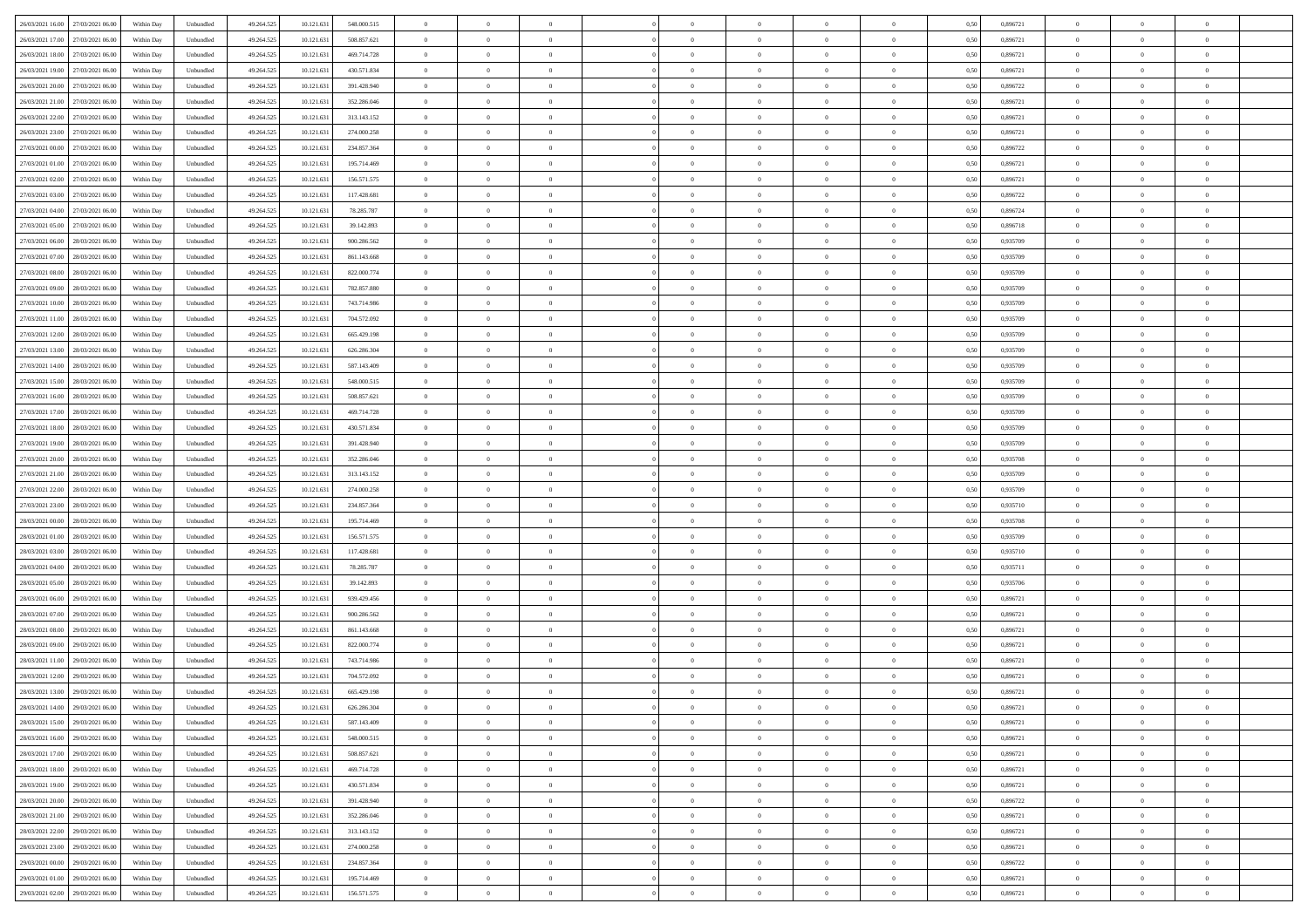|                                      |            |                   |            |            |             | $\overline{0}$ | $\theta$       |                | $\overline{0}$ | $\theta$       |                | $\theta$       |      |          | $\theta$       | $\theta$       | $\overline{0}$ |  |
|--------------------------------------|------------|-------------------|------------|------------|-------------|----------------|----------------|----------------|----------------|----------------|----------------|----------------|------|----------|----------------|----------------|----------------|--|
| 26/03/2021 16:00 27/03/2021 06:00    | Within Day | Unbundled         | 49.264.525 | 10.121.631 | 548.000.515 |                |                |                |                |                |                |                | 0,50 | 0,896721 |                |                |                |  |
| 26/03/2021 17:00<br>27/03/2021 06.00 | Within Day | Unbundled         | 49.264.52  | 10.121.63  | 508.857.621 | $\bf{0}$       | $\overline{0}$ | $\bf{0}$       | $\overline{0}$ | $\bf{0}$       | $\overline{0}$ | $\bf{0}$       | 0,50 | 0,896721 | $\,$ 0 $\,$    | $\bf{0}$       | $\overline{0}$ |  |
| 26/03/2021 18:00<br>27/03/2021 06:00 | Within Day | Unbundled         | 49.264.525 | 10.121.631 | 469.714.728 | $\overline{0}$ | $\bf{0}$       | $\overline{0}$ | $\bf{0}$       | $\bf{0}$       | $\overline{0}$ | $\bf{0}$       | 0.50 | 0.896721 | $\bf{0}$       | $\overline{0}$ | $\overline{0}$ |  |
| 26/03/2021 19:00<br>27/03/2021 06:00 | Within Day | Unbundled         | 49.264.52  | 10.121.631 | 430.571.834 | $\overline{0}$ | $\overline{0}$ | $\overline{0}$ | $\theta$       | $\theta$       | $\overline{0}$ | $\bf{0}$       | 0,50 | 0,896721 | $\theta$       | $\theta$       | $\overline{0}$ |  |
| 26/03/2021 20:00<br>27/03/2021 06.00 | Within Day | Unbundled         | 49.264.52  | 10.121.63  | 391.428.940 | $\bf{0}$       | $\overline{0}$ | $\bf{0}$       | $\overline{0}$ | $\theta$       | $\overline{0}$ | $\bf{0}$       | 0,50 | 0,896722 | $\,$ 0 $\,$    | $\bf{0}$       | $\overline{0}$ |  |
|                                      |            |                   |            |            |             |                |                |                |                |                |                |                |      |          |                |                |                |  |
| 26/03/2021 21:00<br>27/03/2021 06:00 | Within Day | Unbundled         | 49.264.525 | 10.121.63  | 352.286.046 | $\overline{0}$ | $\overline{0}$ | $\overline{0}$ | $\bf{0}$       | $\overline{0}$ | $\theta$       | $\bf{0}$       | 0.50 | 0,896721 | $\,$ 0 $\,$    | $\theta$       | $\overline{0}$ |  |
| 26/03/2021 22:00<br>27/03/2021 06:00 | Within Day | Unbundled         | 49.264.525 | 10.121.631 | 313.143.152 | $\overline{0}$ | $\overline{0}$ | $\overline{0}$ | $\overline{0}$ | $\overline{0}$ | $\overline{0}$ | $\bf{0}$       | 0,50 | 0,896721 | $\theta$       | $\theta$       | $\overline{0}$ |  |
| 26/03/2021 23:00<br>27/03/2021 06.00 | Within Day | Unbundled         | 49.264.52  | 10.121.63  | 274.000.258 | $\bf{0}$       | $\overline{0}$ | $\overline{0}$ | $\overline{0}$ | $\overline{0}$ | $\overline{0}$ | $\bf{0}$       | 0,50 | 0,896721 | $\,$ 0 $\,$    | $\bf{0}$       | $\overline{0}$ |  |
| 27/03/2021 00:00<br>27/03/2021 06:00 | Within Day | Unbundled         | 49.264.525 | 10.121.63  | 234,857,364 | $\overline{0}$ | $\bf{0}$       | $\overline{0}$ | $\bf{0}$       | $\overline{0}$ | $\overline{0}$ | $\bf{0}$       | 0.50 | 0.896722 | $\bf{0}$       | $\overline{0}$ | $\overline{0}$ |  |
| 27/03/2021 01:00<br>27/03/2021 06:00 | Within Day | Unbundled         | 49.264.525 | 10.121.631 | 195.714.469 | $\bf{0}$       | $\bf{0}$       | $\overline{0}$ | $\overline{0}$ | $\overline{0}$ | $\overline{0}$ | $\bf{0}$       | 0,50 | 0,896721 | $\,$ 0 $\,$    | $\bf{0}$       | $\overline{0}$ |  |
| 27/03/2021 02:00<br>27/03/2021 06.00 | Within Day | Unbundled         | 49.264.52  | 10.121.63  | 156.571.575 | $\bf{0}$       | $\overline{0}$ | $\bf{0}$       | $\bf{0}$       | $\bf{0}$       | $\overline{0}$ | $\bf{0}$       | 0,50 | 0,896721 | $\,$ 0 $\,$    | $\bf{0}$       | $\overline{0}$ |  |
| 27/03/2021 03:00<br>27/03/2021 06:00 | Within Day | Unbundled         | 49.264.525 | 10.121.631 | 117.428.681 | $\overline{0}$ | $\bf{0}$       | $\overline{0}$ | $\bf{0}$       | $\bf{0}$       | $\overline{0}$ | $\bf{0}$       | 0.50 | 0.896722 | $\bf{0}$       | $\overline{0}$ | $\bf{0}$       |  |
|                                      |            |                   |            |            |             | $\overline{0}$ | $\overline{0}$ | $\overline{0}$ | $\overline{0}$ | $\theta$       | $\overline{0}$ | $\overline{0}$ |      |          | $\,$ 0 $\,$    | $\theta$       | $\overline{0}$ |  |
| 27/03/2021 04:00<br>27/03/2021 06:00 | Within Day | Unbundled         | 49.264.52  | 10.121.631 | 78.285.787  |                |                |                |                |                |                |                | 0,50 | 0,896724 |                |                |                |  |
| 27/03/2021 05:00<br>27/03/2021 06.00 | Within Day | Unbundled         | 49.264.52  | 10.121.63  | 39.142.893  | $\bf{0}$       | $\overline{0}$ | $\bf{0}$       | $\overline{0}$ | $\theta$       | $\overline{0}$ | $\bf{0}$       | 0,50 | 0,896718 | $\bf{0}$       | $\bf{0}$       | $\overline{0}$ |  |
| 27/03/2021 06:00<br>28/03/2021 06:00 | Within Day | Unbundled         | 49.264.525 | 10.121.63  | 900.286.562 | $\overline{0}$ | $\overline{0}$ | $\overline{0}$ | $\bf{0}$       | $\overline{0}$ | $\Omega$       | $\bf{0}$       | 0.50 | 0.935709 | $\,$ 0 $\,$    | $\theta$       | $\overline{0}$ |  |
| 27/03/2021 07:00<br>28/03/2021 06:00 | Within Day | Unbundled         | 49.264.525 | 10.121.631 | 861.143.668 | $\overline{0}$ | $\overline{0}$ | $\overline{0}$ | $\overline{0}$ | $\overline{0}$ | $\overline{0}$ | $\bf{0}$       | 0,50 | 0,935709 | $\theta$       | $\theta$       | $\overline{0}$ |  |
| 27/03/2021 08:00<br>28/03/2021 06:00 | Within Day | Unbundled         | 49.264.52  | 10.121.63  | 822.000.774 | $\bf{0}$       | $\overline{0}$ | $\overline{0}$ | $\overline{0}$ | $\bf{0}$       | $\overline{0}$ | $\bf{0}$       | 0,50 | 0,935709 | $\,$ 0 $\,$    | $\bf{0}$       | $\overline{0}$ |  |
| 27/03/2021 09:00<br>28/03/2021 06:00 | Within Day | Unbundled         | 49.264.525 | 10.121.63  | 782,857,880 | $\overline{0}$ | $\bf{0}$       | $\overline{0}$ | $\bf{0}$       | $\overline{0}$ | $\overline{0}$ | $\bf{0}$       | 0.50 | 0.935709 | $\bf{0}$       | $\overline{0}$ | $\overline{0}$ |  |
| 27/03/2021 10:00<br>28/03/2021 06:00 | Within Day | Unbundled         | 49.264.525 | 10.121.631 | 743.714.986 | $\overline{0}$ | $\overline{0}$ | $\overline{0}$ | $\overline{0}$ | $\overline{0}$ | $\overline{0}$ | $\bf{0}$       | 0,50 | 0,935709 | $\,$ 0 $\,$    | $\bf{0}$       | $\overline{0}$ |  |
|                                      |            |                   |            |            |             |                |                |                |                |                |                |                |      |          |                |                |                |  |
| 27/03/2021 11:00<br>28/03/2021 06:00 | Within Day | Unbundled         | 49.264.52  | 10.121.63  | 704.572.092 | $\bf{0}$       | $\bf{0}$       | $\bf{0}$       | $\bf{0}$       | $\overline{0}$ | $\overline{0}$ | $\bf{0}$       | 0,50 | 0,935709 | $\,$ 0 $\,$    | $\bf{0}$       | $\overline{0}$ |  |
| 27/03/2021 12:00<br>28/03/2021 06:00 | Within Day | Unbundled         | 49.264.525 | 10.121.631 | 665.429.198 | $\overline{0}$ | $\bf{0}$       | $\overline{0}$ | $\bf{0}$       | $\bf{0}$       | $\overline{0}$ | $\bf{0}$       | 0.50 | 0.935709 | $\bf{0}$       | $\overline{0}$ | $\overline{0}$ |  |
| 27/03/2021 13:00<br>28/03/2021 06:00 | Within Day | Unbundled         | 49.264.52  | 10.121.631 | 626.286.304 | $\overline{0}$ | $\overline{0}$ | $\overline{0}$ | $\theta$       | $\theta$       | $\overline{0}$ | $\bf{0}$       | 0,50 | 0,935709 | $\theta$       | $\theta$       | $\overline{0}$ |  |
| 27/03/2021 14:00<br>28/03/2021 06:00 | Within Day | Unbundled         | 49.264.52  | 10.121.63  | 587.143.409 | $\bf{0}$       | $\overline{0}$ | $\bf{0}$       | $\bf{0}$       | $\bf{0}$       | $\overline{0}$ | $\bf{0}$       | 0,50 | 0,935709 | $\,$ 0 $\,$    | $\bf{0}$       | $\overline{0}$ |  |
| 27/03/2021 15:00<br>28/03/2021 06:00 | Within Day | Unbundled         | 49.264.525 | 10.121.63  | 548,000.515 | $\overline{0}$ | $\overline{0}$ | $\overline{0}$ | $\overline{0}$ | $\overline{0}$ | $\theta$       | $\bf{0}$       | 0.50 | 0.935709 | $\,$ 0 $\,$    | $\theta$       | $\overline{0}$ |  |
| 27/03/2021 16:00<br>28/03/2021 06:00 | Within Day | Unbundled         | 49.264.525 | 10.121.631 | 508.857.621 | $\overline{0}$ | $\overline{0}$ | $\overline{0}$ | $\overline{0}$ | $\overline{0}$ | $\overline{0}$ | $\bf{0}$       | 0,50 | 0,935709 | $\theta$       | $\theta$       | $\overline{0}$ |  |
| 27/03/2021 17:00<br>28/03/2021 06:00 | Within Day | Unbundled         | 49.264.52  | 10.121.63  | 469.714.728 | $\bf{0}$       | $\overline{0}$ | $\bf{0}$       | $\overline{0}$ | $\theta$       | $\overline{0}$ | $\bf{0}$       | 0,50 | 0,935709 | $\,$ 0 $\,$    | $\bf{0}$       | $\overline{0}$ |  |
| 27/03/2021 18:00<br>28/03/2021 06:00 | Within Day | Unbundled         | 49.264.525 | 10.121.63  | 430.571.834 | $\overline{0}$ | $\bf{0}$       | $\overline{0}$ | $\bf{0}$       | $\overline{0}$ | $\overline{0}$ | $\bf{0}$       | 0.50 | 0.935709 | $\bf{0}$       | $\overline{0}$ | $\overline{0}$ |  |
|                                      |            |                   |            |            |             |                |                |                |                |                |                |                |      |          |                |                |                |  |
| 27/03/2021 19:00<br>28/03/2021 06:00 | Within Day | Unbundled         | 49.264.525 | 10.121.631 | 391.428.940 | $\overline{0}$ | $\overline{0}$ | $\overline{0}$ | $\overline{0}$ | $\overline{0}$ | $\overline{0}$ | $\bf{0}$       | 0,50 | 0,935709 | $\theta$       | $\theta$       | $\overline{0}$ |  |
| 27/03/2021 20:00<br>28/03/2021 06:00 | Within Day | Unbundled         | 49.264.52  | 10.121.63  | 352.286.046 | $\bf{0}$       | $\bf{0}$       | $\bf{0}$       | $\bf{0}$       | $\overline{0}$ | $\overline{0}$ | $\bf{0}$       | 0,50 | 0,935708 | $\,$ 0 $\,$    | $\bf{0}$       | $\overline{0}$ |  |
| 27/03/2021 21:00<br>28/03/2021 06:00 | Within Day | Unbundled         | 49.264.52  | 10.121.631 | 313.143.152 | $\overline{0}$ | $\bf{0}$       | $\overline{0}$ | $\bf{0}$       | $\bf{0}$       | $\overline{0}$ | $\bf{0}$       | 0.50 | 0.935709 | $\bf{0}$       | $\overline{0}$ | $\overline{0}$ |  |
| 27/03/2021 22:00<br>28/03/2021 06:00 | Within Day | Unbundled         | 49.264.525 | 10.121.63  | 274,000.258 | $\overline{0}$ | $\overline{0}$ | $\overline{0}$ | $\overline{0}$ | $\overline{0}$ | $\overline{0}$ | $\bf{0}$       | 0.5( | 0,935709 | $\theta$       | $\theta$       | $\overline{0}$ |  |
| 27/03/2021 23:00<br>28/03/2021 06:00 | Within Day | Unbundled         | 49.264.52  | 10.121.63  | 234.857.364 | $\bf{0}$       | $\overline{0}$ | $\bf{0}$       | $\bf{0}$       | $\overline{0}$ | $\overline{0}$ | $\bf{0}$       | 0,50 | 0,935710 | $\,$ 0 $\,$    | $\bf{0}$       | $\overline{0}$ |  |
| 28/03/2021 00:00<br>28/03/2021 06:00 | Within Day | Unbundled         | 49.264.525 | 10.121.631 | 195.714.469 | $\overline{0}$ | $\overline{0}$ | $\overline{0}$ | $\bf{0}$       | $\overline{0}$ | $\Omega$       | $\bf{0}$       | 0.50 | 0.935708 | $\,$ 0 $\,$    | $\theta$       | $\overline{0}$ |  |
| 28/03/2021 01:00<br>28/03/2021 06:00 | Within Dav | Unbundled         | 49.264.525 | 10.121.631 | 156.571.575 | $\overline{0}$ | $\overline{0}$ | $\overline{0}$ | $\overline{0}$ | $\overline{0}$ | $\overline{0}$ | $\overline{0}$ | 0.5( | 0,935709 | $\theta$       | $\theta$       | $\overline{0}$ |  |
| 28/03/2021 03:00<br>28/03/2021 06:00 | Within Day | Unbundled         | 49.264.52  | 10.121.63  | 117.428.681 | $\bf{0}$       | $\bf{0}$       | $\bf{0}$       | $\overline{0}$ | $\bf{0}$       | $\overline{0}$ | $\bf{0}$       | 0,50 | 0,935710 | $\,$ 0 $\,$    | $\bf{0}$       | $\overline{0}$ |  |
| 28/03/2021 06:00                     |            | Unbundled         | 49.264.525 |            |             |                |                |                |                |                | $\overline{0}$ |                |      | 0.935711 |                |                |                |  |
| 28/03/2021 04:00                     | Within Day |                   |            | 10.121.63  | 78.285.787  | $\overline{0}$ | $\bf{0}$       | $\overline{0}$ | $\bf{0}$       | $\overline{0}$ |                | $\bf{0}$       | 0.50 |          | $\bf{0}$       | $\overline{0}$ | $\overline{0}$ |  |
| 28/03/2021 05:00<br>28/03/2021 06:00 | Within Dav | Unbundled         | 49.264.52  | 10.121.63  | 39.142.893  | $\overline{0}$ | $\overline{0}$ | $\overline{0}$ | $\overline{0}$ | $\overline{0}$ | $\overline{0}$ | $\overline{0}$ | 0.50 | 0,935706 | $\theta$       | $\theta$       | $\overline{0}$ |  |
| 28/03/2021 06:00<br>29/03/2021 06.00 | Within Day | Unbundled         | 49.264.52  | 10.121.63  | 939.429.456 | $\bf{0}$       | $\bf{0}$       | $\bf{0}$       | $\bf{0}$       | $\overline{0}$ | $\overline{0}$ | $\bf{0}$       | 0,50 | 0,896721 | $\,$ 0 $\,$    | $\bf{0}$       | $\overline{0}$ |  |
| 28/03/2021 07:00<br>29/03/2021 06:00 | Within Day | Unbundled         | 49.264.525 | 10.121.631 | 900.286.562 | $\overline{0}$ | $\bf{0}$       | $\overline{0}$ | $\bf{0}$       | $\bf{0}$       | $\overline{0}$ | $\bf{0}$       | 0.50 | 0.896721 | $\bf{0}$       | $\overline{0}$ | $\overline{0}$ |  |
| 28/03/2021 08:00<br>29/03/2021 06:00 | Within Dav | Unbundled         | 49.264.525 | 10.121.631 | 861.143.668 | $\overline{0}$ | $\overline{0}$ | $\overline{0}$ | $\overline{0}$ | $\overline{0}$ | $\overline{0}$ | $\bf{0}$       | 0.50 | 0,896721 | $\theta$       | $\theta$       | $\overline{0}$ |  |
| 28/03/2021 09:00<br>29/03/2021 06.00 | Within Day | Unbundled         | 49.264.525 | 10.121.63  | 822.000.774 | $\bf{0}$       | $\overline{0}$ | $\bf{0}$       | $\bf{0}$       | $\,$ 0 $\,$    | $\overline{0}$ | $\bf{0}$       | 0,50 | 0,896721 | $\,$ 0 $\,$    | $\bf{0}$       | $\overline{0}$ |  |
| 28/03/2021 11:00<br>29/03/2021 06.00 | Within Day | Unbundled         | 49.264.525 | 10.121.63  | 743.714.986 | $\overline{0}$ | $\overline{0}$ | $\Omega$       | $\overline{0}$ | $\overline{0}$ | $\Omega$       | $\bf{0}$       | 0.50 | 0,896721 | $\bf{0}$       | $\theta$       | $\overline{0}$ |  |
| 28/03/2021 12:00<br>29/03/2021 06:00 | Within Dav | Unbundled         | 49.264.52  | 10.121.63  | 704.572.092 | $\overline{0}$ | $\overline{0}$ | $\Omega$       | $\overline{0}$ | $\theta$       | $\Omega$       | $\overline{0}$ | 0.5( | 0,896721 | $\theta$       | $\theta$       | $\overline{0}$ |  |
| 28/03/2021 13:00<br>29/03/2021 06.00 | Within Day | Unbundled         | 49.264.525 | 10.121.63  | 665.429.198 | $\bf{0}$       | $\bf{0}$       | $\bf{0}$       | $\bf{0}$       | $\bf{0}$       | $\overline{0}$ | $\bf{0}$       | 0,50 | 0,896721 | $\,$ 0 $\,$    | $\bf{0}$       | $\overline{0}$ |  |
| 28/03/2021 14:00 29/03/2021 06:00    |            |                   |            |            |             |                |                |                |                |                |                |                | 0,50 | 0,896721 |                |                |                |  |
|                                      | Within Day | ${\sf Unbundred}$ | 49.264.525 | 10.121.631 | 626.286.304 | $\bf{0}$       | $\theta$       |                | $\overline{0}$ |                |                |                |      |          | $\bf{0}$       | $\overline{0}$ |                |  |
| 28/03/2021 15:00 29/03/2021 06:00    | Within Day | Unbundled         | 49.264.525 | 10.121.631 | 587.143.409 | $\overline{0}$ | $\theta$       | $\Omega$       | $\theta$       | $\overline{0}$ | $\overline{0}$ | $\bf{0}$       | 0,50 | 0,896721 | $\theta$       | $\theta$       | $\overline{0}$ |  |
| 28/03/2021 16:00<br>29/03/2021 06.00 | Within Day | Unbundled         | 49.264.525 | 10.121.631 | 548.000.515 | $\overline{0}$ | $\bf{0}$       | $\overline{0}$ | $\overline{0}$ | $\bf{0}$       | $\overline{0}$ | $\bf{0}$       | 0,50 | 0,896721 | $\bf{0}$       | $\overline{0}$ | $\bf{0}$       |  |
| 28/03/2021 17:00 29/03/2021 06:00    | Within Day | Unbundled         | 49.264.525 | 10.121.631 | 508.857.621 | $\overline{0}$ | $\bf{0}$       | $\overline{0}$ | $\overline{0}$ | $\overline{0}$ | $\overline{0}$ | $\bf{0}$       | 0.50 | 0.896721 | $\overline{0}$ | $\bf{0}$       | $\,$ 0 $\,$    |  |
| 28/03/2021 18:00 29/03/2021 06:00    | Within Day | Unbundled         | 49.264.525 | 10.121.631 | 469.714.728 | $\overline{0}$ | $\overline{0}$ | $\overline{0}$ | $\overline{0}$ | $\overline{0}$ | $\overline{0}$ | $\bf{0}$       | 0,50 | 0,896721 | $\theta$       | $\theta$       | $\overline{0}$ |  |
| 28/03/2021 19:00<br>29/03/2021 06.00 | Within Day | Unbundled         | 49.264.525 | 10.121.631 | 430.571.834 | $\overline{0}$ | $\bf{0}$       | $\overline{0}$ | $\bf{0}$       | $\overline{0}$ | $\bf{0}$       | $\bf{0}$       | 0,50 | 0,896721 | $\bf{0}$       | $\bf{0}$       | $\overline{0}$ |  |
| 29/03/2021 06:00<br>28/03/2021 20:00 | Within Day | Unbundled         | 49.264.525 | 10.121.631 | 391.428.940 | $\overline{0}$ | $\bf{0}$       | $\overline{0}$ | $\overline{0}$ | $\overline{0}$ | $\overline{0}$ | $\bf{0}$       | 0.50 | 0.896722 | $\,$ 0 $\,$    | $\theta$       | $\overline{0}$ |  |
| 28/03/2021 21:00                     |            |                   |            |            |             |                |                |                |                |                |                |                |      |          |                |                |                |  |
| 29/03/2021 06:00                     | Within Dav | Unbundled         | 49.264.525 | 10.121.631 | 352.286.046 | $\overline{0}$ | $\overline{0}$ | $\overline{0}$ | $\overline{0}$ | $\overline{0}$ | $\overline{0}$ | $\bf{0}$       | 0.50 | 0,896721 | $\overline{0}$ | $\theta$       | $\overline{0}$ |  |
| 28/03/2021 22:00<br>29/03/2021 06.00 | Within Day | Unbundled         | 49.264.525 | 10.121.631 | 313.143.152 | $\overline{0}$ | $\overline{0}$ | $\overline{0}$ | $\overline{0}$ | $\bf{0}$       | $\overline{0}$ | $\bf{0}$       | 0,50 | 0,896721 | $\bf{0}$       | $\overline{0}$ | $\overline{0}$ |  |
| 28/03/2021 23:00<br>29/03/2021 06:00 | Within Day | Unbundled         | 49.264.525 | 10.121.631 | 274.000.258 | $\overline{0}$ | $\overline{0}$ | $\overline{0}$ | $\overline{0}$ | $\bf{0}$       | $\overline{0}$ | $\bf{0}$       | 0.50 | 0.896721 | $\overline{0}$ | $\,$ 0 $\,$    | $\,$ 0         |  |
| 29/03/2021 00:00 29/03/2021 06:00    | Within Dav | Unbundled         | 49.264.525 | 10.121.631 | 234.857.364 | $\overline{0}$ | $\overline{0}$ | $\overline{0}$ | $\overline{0}$ | $\overline{0}$ | $\overline{0}$ | $\bf{0}$       | 0,50 | 0,896722 | $\overline{0}$ | $\theta$       | $\overline{0}$ |  |
| 29/03/2021 01:00<br>29/03/2021 06.00 | Within Day | Unbundled         | 49.264.525 | 10.121.63  | 195.714.469 | $\overline{0}$ | $\bf{0}$       | $\overline{0}$ | $\bf{0}$       | $\overline{0}$ | $\bf{0}$       | $\bf{0}$       | 0,50 | 0,896721 | $\bf{0}$       | $\bf{0}$       | $\overline{0}$ |  |
| 29/03/2021 02:00 29/03/2021 06:00    | Within Day | Unbundled         | 49.264.525 | 10.121.631 | 156.571.575 | $\overline{0}$ | $\bf{0}$       | $\overline{0}$ | $\overline{0}$ | $\,$ 0 $\,$    | $\overline{0}$ | $\bf{0}$       | 0,50 | 0,896721 | $\overline{0}$ | $\,$ 0 $\,$    | $\,$ 0 $\,$    |  |
|                                      |            |                   |            |            |             |                |                |                |                |                |                |                |      |          |                |                |                |  |